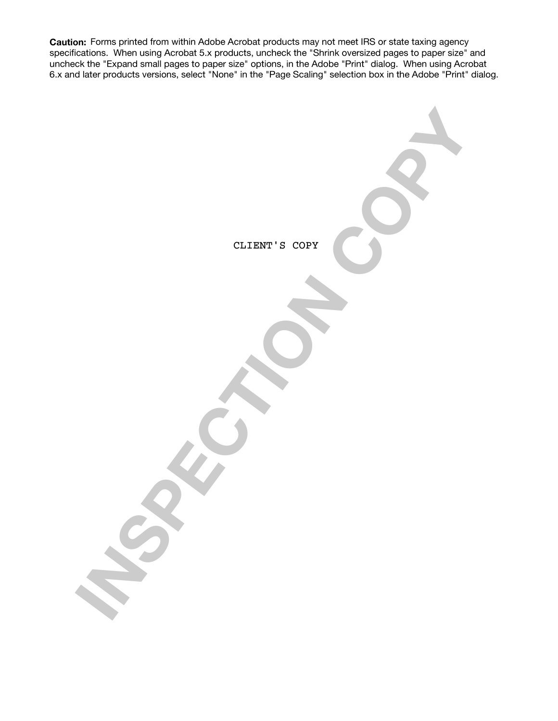**Caution:** Forms printed from within Adobe Acrobat products may not meet IRS or state taxing agency specifications. When using Acrobat 5.x products, uncheck the "Shrink oversized pages to paper size" and uncheck the "Expand small pages to paper size" options, in the Adobe "Print" dialog. When using Acrobat 6.x and later products versions, select "None" in the "Page Scaling" selection box in the Adobe "Print" dialog.

**MSPECTION COPY** CLIENT'S COPY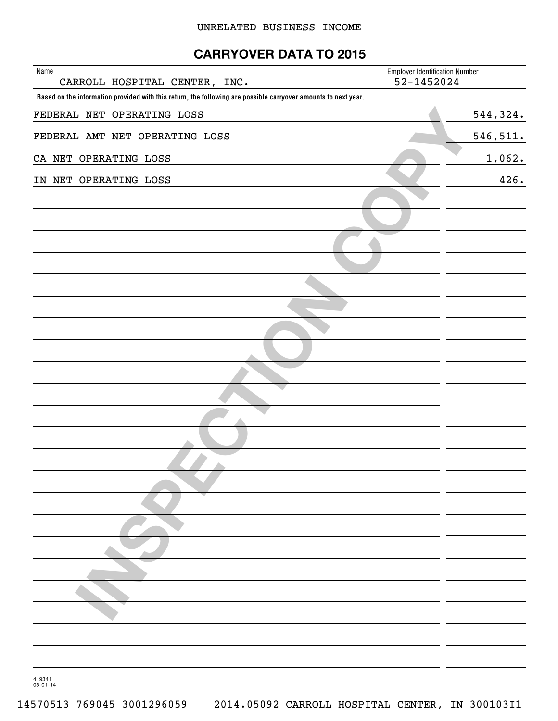## **CARRYOVER DATA TO 2015**

| Name<br>CARROLL HOSPITAL CENTER, INC.                                                                          | <b>Employer Identification Number</b><br>52-1452024 |
|----------------------------------------------------------------------------------------------------------------|-----------------------------------------------------|
| Based on the information provided with this return, the following are possible carryover amounts to next year. |                                                     |
| FEDERAL NET OPERATING LOSS                                                                                     | 544, 324.                                           |
| FEDERAL AMT NET OPERATING LOSS                                                                                 | 546, 511.                                           |
| CA NET OPERATING LOSS                                                                                          | 1,062.                                              |
| IN NET OPERATING LOSS                                                                                          | 426.                                                |
|                                                                                                                |                                                     |
|                                                                                                                |                                                     |
|                                                                                                                |                                                     |
|                                                                                                                |                                                     |
|                                                                                                                |                                                     |
|                                                                                                                |                                                     |
|                                                                                                                |                                                     |
|                                                                                                                |                                                     |
|                                                                                                                |                                                     |
|                                                                                                                |                                                     |
|                                                                                                                |                                                     |
|                                                                                                                |                                                     |
|                                                                                                                |                                                     |
|                                                                                                                |                                                     |
|                                                                                                                |                                                     |
|                                                                                                                |                                                     |
|                                                                                                                |                                                     |
|                                                                                                                |                                                     |
|                                                                                                                |                                                     |
|                                                                                                                |                                                     |
|                                                                                                                |                                                     |
|                                                                                                                |                                                     |

419341 05-01-14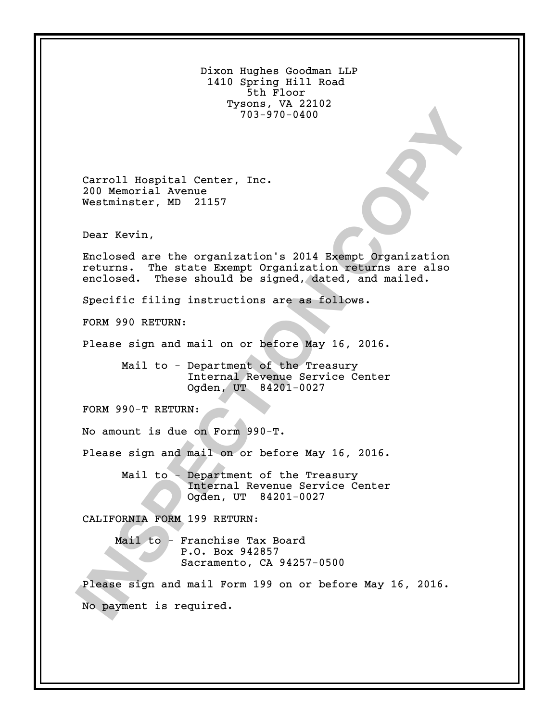| Dixon Hughes Goodman LLP<br>1410 Spring Hill Road<br>5th Floor<br>Tysons, VA 22102<br>$703 - 970 - 0400$                                                                       |
|--------------------------------------------------------------------------------------------------------------------------------------------------------------------------------|
| Carroll Hospital Center, Inc.<br>200 Memorial Avenue<br>Westminster, MD 21157                                                                                                  |
| Dear Kevin,                                                                                                                                                                    |
| Enclosed are the organization's 2014 Exempt Organization<br>The state Exempt Organization returns are also<br>returns.<br>enclosed. These should be signed, dated, and mailed. |
| Specific filing instructions are as follows.                                                                                                                                   |
| FORM 990 RETURN:                                                                                                                                                               |
| Please sign and mail on or before May 16, 2016.                                                                                                                                |
| Mail to - Department of the Treasury<br>Internal Revenue Service Center<br>Ogden, UT 84201-0027                                                                                |
| FORM 990-T RETURN:                                                                                                                                                             |
| No amount is due on Form 990-T.                                                                                                                                                |
| Please sign and mail on or before May 16, 2016.                                                                                                                                |
| Mail to - Department of the Treasury<br>Internal Revenue Service Center<br>Ogden, UT 84201-0027                                                                                |
| CALIFORNIA FORM 199 RETURN:                                                                                                                                                    |
| Mail to - Franchise Tax Board<br>P.O. Box 942857<br>Sacramento, CA 94257-0500                                                                                                  |
| Please sign and mail Form 199 on or before May 16, 2016.<br>No payment is required.                                                                                            |
|                                                                                                                                                                                |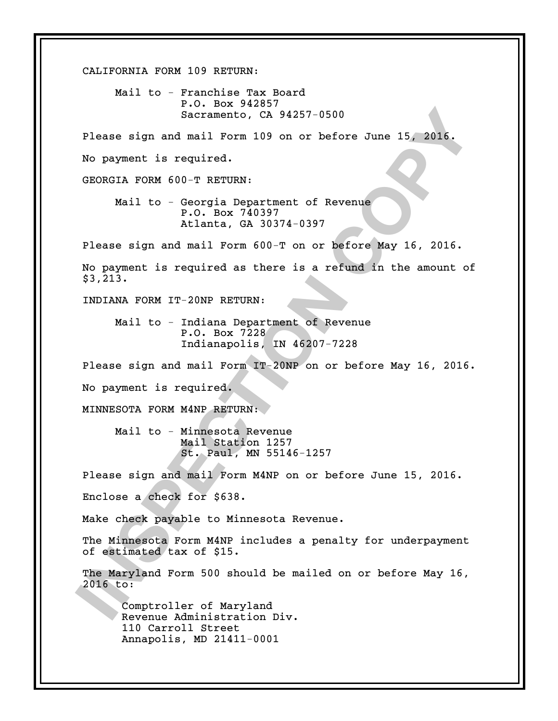Secretarito, CA 94257-0500<br>
No premet is required.<br>
No payamet is required.<br> **INSPECT 120** on or before June 15, 2016.<br> **INSPECT 2027 (2027)**<br>
Mail to - Georgia Persturent of Revenue<br>
Atlanta, CA 30374-0397<br>
Please sign an CALIFORNIA FORM 109 RETURN: Mail to - Franchise Tax Board P.O. Box 942857 Sacramento, CA 94257-0500 Please sign and mail Form 109 on or before June 15, 2016. No payment is required. GEORGIA FORM 600-T RETURN: Mail to - Georgia Department of Revenue P.O. Box 740397 Atlanta, GA 30374-0397 Please sign and mail Form 600-T on or before May 16, 2016. No payment is required as there is a refund in the amount of \$3,213. INDIANA FORM IT-20NP RETURN: Mail to - Indiana Department of Revenue P.O. Box 7228 Indianapolis, IN 46207-7228 Please sign and mail Form IT-20NP on or before May 16, 2016. No payment is required. MINNESOTA FORM M4NP RETURN: Mail to - Minnesota Revenue Mail Station 1257 St. Paul, MN 55146-1257 Please sign and mail Form M4NP on or before June 15, 2016. Enclose a check for \$638. Make check payable to Minnesota Revenue. The Minnesota Form M4NP includes a penalty for underpayment of estimated tax of \$15. The Maryland Form 500 should be mailed on or before May 16, 2016 to: Comptroller of Maryland Revenue Administration Div. 110 Carroll Street Annapolis, MD 21411-0001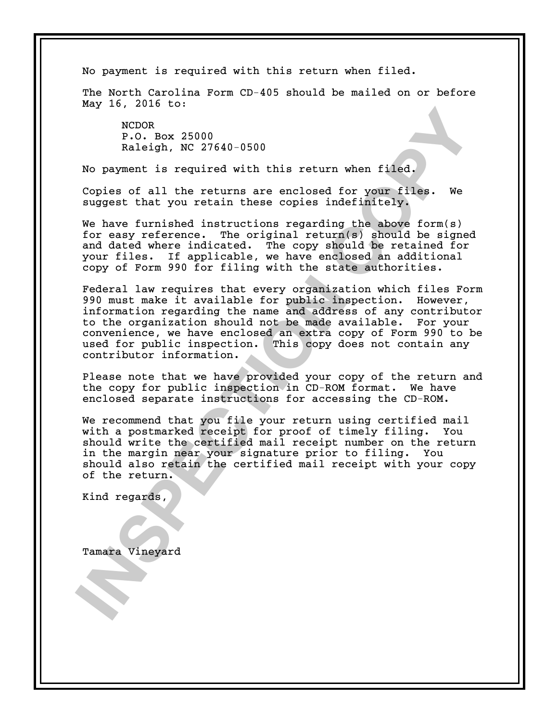No payment is required with this return when filed.

The North Carolina Form CD-405 should be mailed on or before May 16, 2016 to:

NCDOR P.O. Box 25000 Raleigh, NC 27640-0500

No payment is required with this return when filed.

Copies of all the returns are enclosed for your files. We suggest that you retain these copies indefinitely.

We have furnished instructions regarding the above form(s) for easy reference. The original return(s) should be signed and dated where indicated. The copy should be retained for your files. If applicable, we have enclosed an additional copy of Form 990 for filing with the state authorities.

**INSPECTED**<br> **INSPECTED**<br> **INSPECTED**<br> **INSPECTION**<br> **INSPECTED**<br> **INSPECTED**<br> **INSPECTED**<br> **INSPECTED**<br> **INSPECTED**<br> **INSPECTED**<br> **INSPECTED**<br> **INSPECTED**<br> **INSPECTED**<br> **INSPECTED**<br> **INSPECTED**<br> **INSPECTED**<br> **INSPECTED**<br> Federal law requires that every organization which files Form 990 must make it available for public inspection. However, information regarding the name and address of any contributor to the organization should not be made available. For your convenience, we have enclosed an extra copy of Form 990 to be used for public inspection. This copy does not contain any contributor information.

Please note that we have provided your copy of the return and the copy for public inspection in CD-ROM format. We have enclosed separate instructions for accessing the CD-ROM.

We recommend that you file your return using certified mail with a postmarked receipt for proof of timely filing. You should write the certified mail receipt number on the return in the margin near your signature prior to filing. You should also retain the certified mail receipt with your copy of the return.

Kind regards,

Tamara Vineyard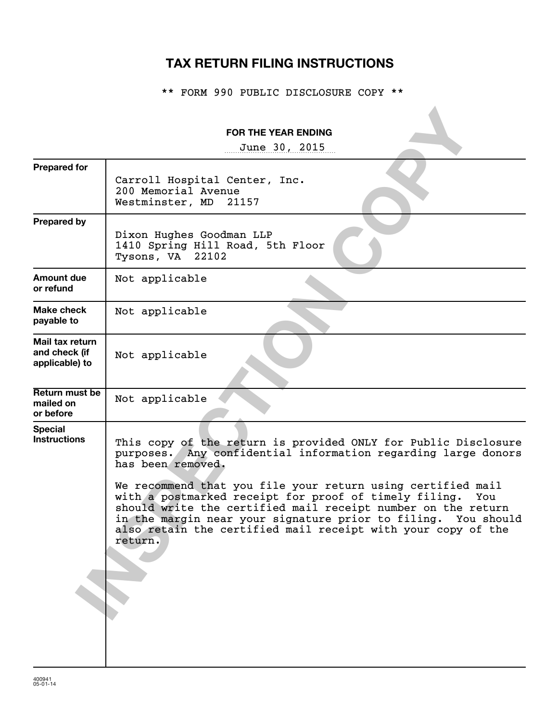# **TAX RETURN FILING INSTRUCTIONS**

\*\* FORM 990 PUBLIC DISCLOSURE COPY \*\*

|                                                    | <b>FOR THE YEAR ENDING</b>                                                                                                                                                                                                                                                                                                                                                                                                                                                                      |
|----------------------------------------------------|-------------------------------------------------------------------------------------------------------------------------------------------------------------------------------------------------------------------------------------------------------------------------------------------------------------------------------------------------------------------------------------------------------------------------------------------------------------------------------------------------|
|                                                    | June 30, 2015                                                                                                                                                                                                                                                                                                                                                                                                                                                                                   |
| <b>Prepared for</b>                                | Carroll Hospital Center, Inc.<br>200 Memorial Avenue<br>Westminster, MD<br>21157                                                                                                                                                                                                                                                                                                                                                                                                                |
| <b>Prepared by</b>                                 | Dixon Hughes Goodman LLP<br>1410 Spring Hill Road, 5th Floor<br>Tysons, VA 22102                                                                                                                                                                                                                                                                                                                                                                                                                |
| Amount due<br>or refund                            | Not applicable                                                                                                                                                                                                                                                                                                                                                                                                                                                                                  |
| Make check<br>payable to                           | Not applicable                                                                                                                                                                                                                                                                                                                                                                                                                                                                                  |
| Mail tax return<br>and check (if<br>applicable) to | Not applicable                                                                                                                                                                                                                                                                                                                                                                                                                                                                                  |
| Return must be<br>mailed on<br>or before           | Not applicable                                                                                                                                                                                                                                                                                                                                                                                                                                                                                  |
| <b>Special</b><br><b>Instructions</b>              | This copy of the return is provided ONLY for Public Disclosure<br>purposes. Any confidential information regarding large donors<br>has been removed.<br>We recommend that you file your return using certified mail<br>with a postmarked receipt for proof of timely filing.<br>You<br>should write the certified mail receipt number on the return<br>in the margin near your signature prior to filing. You should<br>also retain the certified mail receipt with your copy of the<br>return. |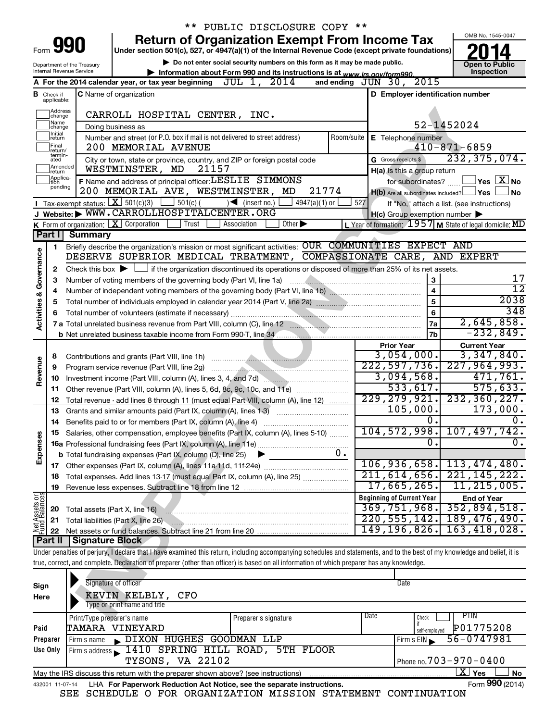|                                |                                                                                                                                            |                            |                                                                                              | ** PUBLIC DISCLOSURE COPY **                                                                                                                                               |            |                                                     |                                                                       |  |  |
|--------------------------------|--------------------------------------------------------------------------------------------------------------------------------------------|----------------------------|----------------------------------------------------------------------------------------------|----------------------------------------------------------------------------------------------------------------------------------------------------------------------------|------------|-----------------------------------------------------|-----------------------------------------------------------------------|--|--|
|                                |                                                                                                                                            |                            |                                                                                              | <b>Return of Organization Exempt From Income Tax</b>                                                                                                                       |            |                                                     | OMB No. 1545-0047                                                     |  |  |
|                                |                                                                                                                                            | Form 990                   |                                                                                              | Under section 501(c), 527, or 4947(a)(1) of the Internal Revenue Code (except private foundations)                                                                         |            |                                                     |                                                                       |  |  |
|                                |                                                                                                                                            | Department of the Treasury |                                                                                              | Do not enter social security numbers on this form as it may be made public.                                                                                                |            |                                                     | <b>Open to Public</b>                                                 |  |  |
|                                |                                                                                                                                            | Internal Revenue Service   |                                                                                              | Information about Form 990 and its instructions is at www.irs.gov/form990.                                                                                                 |            |                                                     | Inspection                                                            |  |  |
|                                |                                                                                                                                            |                            | A For the 2014 calendar year, or tax year beginning JUL 1, 2014                              |                                                                                                                                                                            |            | 2015<br>and ending $J\bar{U}N$ 30,                  |                                                                       |  |  |
|                                | <b>B</b> Check if applicable:                                                                                                              |                            | <b>C</b> Name of organization                                                                |                                                                                                                                                                            |            | D Employer identification number                    |                                                                       |  |  |
|                                |                                                                                                                                            |                            |                                                                                              |                                                                                                                                                                            |            |                                                     |                                                                       |  |  |
|                                | Address<br>change                                                                                                                          |                            | CARROLL HOSPITAL CENTER, INC.                                                                |                                                                                                                                                                            |            |                                                     |                                                                       |  |  |
|                                | Name<br>change<br>Initial                                                                                                                  |                            | Doing business as                                                                            |                                                                                                                                                                            |            |                                                     | 52-1452024                                                            |  |  |
|                                | return                                                                                                                                     |                            | Number and street (or P.O. box if mail is not delivered to street address)                   |                                                                                                                                                                            | Room/suite | E Telephone number                                  |                                                                       |  |  |
|                                | Final<br>return/<br>termin-                                                                                                                |                            | 200 MEMORIAL AVENUE                                                                          |                                                                                                                                                                            |            |                                                     | $410 - 871 - 6859$                                                    |  |  |
|                                | ated<br>Amended                                                                                                                            |                            |                                                                                              | City or town, state or province, country, and ZIP or foreign postal code                                                                                                   |            | G Gross receipts \$                                 | 232, 375, 074.                                                        |  |  |
|                                | Ireturn<br>Applica-                                                                                                                        |                            | WESTMINSTER, MD                                                                              | 21157                                                                                                                                                                      |            | H(a) Is this a group return                         |                                                                       |  |  |
|                                | tion<br>pending                                                                                                                            |                            | F Name and address of principal officer: LESLIE SIMMONS<br>200 MEMORIAL AVE, WESTMINSTER, MD |                                                                                                                                                                            | 21774      | for subordinates?                                   | $\mathsf{\lvert}$ Yes $\mathsf{\lvert} \mathsf{X} \mathsf{\lvert}$ No |  |  |
|                                |                                                                                                                                            |                            | Tax-exempt status: $X \mid 501(c)(3)$<br>$501(c)$ (                                          | $4947(a)(1)$ or                                                                                                                                                            | 527        | $H(b)$ Are all subordinates included? $\Box$ Yes    | <b>No</b>                                                             |  |  |
|                                |                                                                                                                                            |                            | J Website: WWW.CARROLLHOSPITALCENTER.ORG                                                     | $\sqrt{\bullet}$ (insert no.)                                                                                                                                              |            |                                                     | If "No," attach a list. (see instructions)                            |  |  |
|                                |                                                                                                                                            |                            | K Form of organization: $X$ Corporation<br>Trust                                             | $\overline{Other}$<br>Association                                                                                                                                          |            | $H(c)$ Group exemption number $\blacktriangleright$ | L Year of formation: $1957$ M State of legal domicile: MD             |  |  |
|                                | Part I                                                                                                                                     | <b>Summary</b>             |                                                                                              |                                                                                                                                                                            |            |                                                     |                                                                       |  |  |
|                                | 1                                                                                                                                          |                            |                                                                                              | Briefly describe the organization's mission or most significant activities: OUR COMMUNITIES EXPECT AND                                                                     |            |                                                     |                                                                       |  |  |
| Governance                     |                                                                                                                                            |                            |                                                                                              | DESERVE SUPERIOR MEDICAL TREATMENT, COMPASSIONATE CARE, AND EXPERT                                                                                                         |            |                                                     |                                                                       |  |  |
|                                | 2                                                                                                                                          |                            |                                                                                              | Check this box $\blacktriangleright \Box$ if the organization discontinued its operations or disposed of more than 25% of its net assets.                                  |            |                                                     |                                                                       |  |  |
|                                | З                                                                                                                                          |                            | Number of voting members of the governing body (Part VI, line 1a)                            |                                                                                                                                                                            |            | 3                                                   | 17                                                                    |  |  |
|                                | 4                                                                                                                                          |                            |                                                                                              |                                                                                                                                                                            |            | $\overline{4}$                                      | $\overline{12}$                                                       |  |  |
|                                | 5                                                                                                                                          |                            |                                                                                              |                                                                                                                                                                            |            | $\overline{5}$                                      | 2038                                                                  |  |  |
|                                | 6                                                                                                                                          |                            |                                                                                              |                                                                                                                                                                            |            | 6                                                   | 348                                                                   |  |  |
| <b>Activities &amp;</b>        |                                                                                                                                            |                            |                                                                                              |                                                                                                                                                                            |            | <b>7a</b>                                           | 2,645,858.                                                            |  |  |
|                                |                                                                                                                                            |                            |                                                                                              |                                                                                                                                                                            |            | <b>7b</b>                                           | $-232,849.$                                                           |  |  |
|                                |                                                                                                                                            |                            |                                                                                              |                                                                                                                                                                            |            | <b>Prior Year</b>                                   | <b>Current Year</b>                                                   |  |  |
|                                | 8                                                                                                                                          |                            |                                                                                              |                                                                                                                                                                            |            | 3,054,000.                                          | 3,347,840.                                                            |  |  |
| Revenue                        | 9                                                                                                                                          |                            | Program service revenue (Part VIII, line 2g)                                                 |                                                                                                                                                                            |            | 222, 597, 736.                                      | 227, 964, 993.                                                        |  |  |
|                                | 10                                                                                                                                         |                            |                                                                                              | Investment income (Part VIII, column (A), lines 3, 4, and 7d)                                                                                                              |            | 3,094,568.<br>533,617.                              | 471,761.<br>575,633.                                                  |  |  |
|                                | 11                                                                                                                                         |                            |                                                                                              | Other revenue (Part VIII, column (A), lines 5, 6d, 8c, 9c, 10c, and 11e)                                                                                                   |            | 229, 279, 921.                                      | 232, 360, 227.                                                        |  |  |
|                                | 12                                                                                                                                         |                            |                                                                                              | Total revenue - add lines 8 through 11 (must equal Part VIII, column (A), line 12)                                                                                         |            | 105,000.                                            | 173,000.                                                              |  |  |
|                                | 13<br>14                                                                                                                                   |                            |                                                                                              | Grants and similar amounts paid (Part IX, column (A), lines 1-3)                                                                                                           |            | 0.                                                  | 0.                                                                    |  |  |
|                                |                                                                                                                                            |                            |                                                                                              | Salaries, other compensation, employee benefits (Part IX, column (A), lines 5-10)                                                                                          |            |                                                     | <u>104,572,998. 107,497,742.</u>                                      |  |  |
|                                |                                                                                                                                            |                            |                                                                                              |                                                                                                                                                                            |            | $\overline{0}$ .                                    | $\overline{0}$ .                                                      |  |  |
| Expenses                       |                                                                                                                                            |                            | <b>b</b> Total fundraising expenses (Part IX, column (D), line 25)                           |                                                                                                                                                                            | 0.         |                                                     |                                                                       |  |  |
|                                |                                                                                                                                            |                            |                                                                                              |                                                                                                                                                                            |            | 106, 936, 658.                                      | 113,474,480.                                                          |  |  |
|                                | 18                                                                                                                                         |                            |                                                                                              | Total expenses. Add lines 13-17 (must equal Part IX, column (A), line 25) <i></i>                                                                                          |            | 211, 614, 656.                                      | 221, 145, 222.                                                        |  |  |
|                                | 19                                                                                                                                         |                            |                                                                                              |                                                                                                                                                                            |            | 17,665,265.                                         | 11, 215, 005.                                                         |  |  |
| Net Assets or<br>Fund Balances |                                                                                                                                            |                            |                                                                                              |                                                                                                                                                                            |            | <b>Beginning of Current Year</b>                    | <b>End of Year</b>                                                    |  |  |
|                                | 20                                                                                                                                         |                            | Total assets (Part X, line 16)                                                               |                                                                                                                                                                            |            | 369,751,968.                                        | 352,894,518.                                                          |  |  |
|                                | 21                                                                                                                                         |                            | Total liabilities (Part X, line 26)                                                          |                                                                                                                                                                            |            | 220, 555, 142.                                      | 189,476,490.                                                          |  |  |
|                                | 22                                                                                                                                         |                            |                                                                                              |                                                                                                                                                                            |            | 149, 196, 826.                                      | 163, 418, 028.                                                        |  |  |
|                                | Part II                                                                                                                                    | Signature Block            |                                                                                              |                                                                                                                                                                            |            |                                                     |                                                                       |  |  |
|                                |                                                                                                                                            |                            |                                                                                              | Under penalties of perjury, I declare that I have examined this return, including accompanying schedules and statements, and to the best of my knowledge and belief, it is |            |                                                     |                                                                       |  |  |
|                                | true, correct, and complete. Declaration of preparer (other than officer) is based on all information of which preparer has any knowledge. |                            |                                                                                              |                                                                                                                                                                            |            |                                                     |                                                                       |  |  |
|                                |                                                                                                                                            |                            | Signature of officer                                                                         |                                                                                                                                                                            |            | Date                                                |                                                                       |  |  |
| Sign                           |                                                                                                                                            |                            | KEVIN KELBLY,<br><b>CFO</b>                                                                  |                                                                                                                                                                            |            |                                                     |                                                                       |  |  |
| Here                           |                                                                                                                                            |                            | Type or print name and title                                                                 |                                                                                                                                                                            |            |                                                     |                                                                       |  |  |
|                                |                                                                                                                                            | Print/Type preparer's name |                                                                                              | Preparer's signature                                                                                                                                                       |            | Date<br>Check                                       | PTIN                                                                  |  |  |
| Paid                           |                                                                                                                                            |                            | <b>TAMARA VINEYARD</b>                                                                       |                                                                                                                                                                            |            | self-employed                                       | P01775208                                                             |  |  |
|                                | Preparer                                                                                                                                   | Firm's name                | DIXON HUGHES GOODMAN LLP                                                                     |                                                                                                                                                                            |            | Firm's EIN                                          | 56-0747981                                                            |  |  |
|                                | Use Only                                                                                                                                   |                            |                                                                                              | Firm's address 1410 SPRING HILL ROAD, 5TH FLOOR                                                                                                                            |            |                                                     |                                                                       |  |  |
|                                | <b>TYSONS</b> VA 22102<br>Phone no $703 - 970 - 0400$                                                                                      |                            |                                                                                              |                                                                                                                                                                            |            |                                                     |                                                                       |  |  |

|                 | <b>TYSONS, VA 22102</b>                                                           | Phone no. 7 0 3 – 9 7 0 – 0 4 0 0 |                   |
|-----------------|-----------------------------------------------------------------------------------|-----------------------------------|-------------------|
|                 | May the IRS discuss this return with the preparer shown above? (see instructions) |                                   | ' Yes<br>N٥.<br>A |
| 432001 11-07-14 | LHA For Paperwork Reduction Act Notice, see the separate instructions.            |                                   | Form 990 (2014)   |

Phone no. 703-970-0400

SEE SCHEDULE O FOR ORGANIZATION MISSION STATEMENT CONTINUATION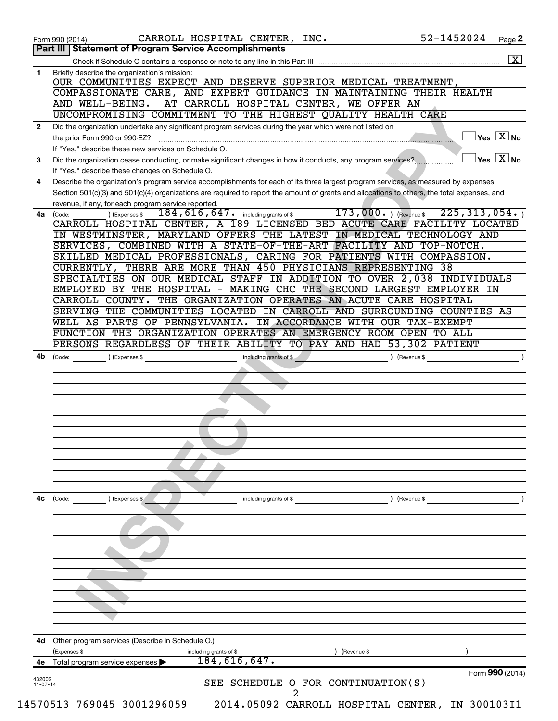|                      | 52-1452024<br>CARROLL HOSPITAL CENTER, INC.<br>Page 2<br>Form 990 (2014)<br>Part III   Statement of Program Service Accomplishments                                                                                                                                                  |
|----------------------|--------------------------------------------------------------------------------------------------------------------------------------------------------------------------------------------------------------------------------------------------------------------------------------|
|                      | $\overline{\mathbf{x}}$                                                                                                                                                                                                                                                              |
| 1                    | Briefly describe the organization's mission:                                                                                                                                                                                                                                         |
|                      | OUR COMMUNITIES EXPECT AND DESERVE SUPERIOR MEDICAL TREATMENT,                                                                                                                                                                                                                       |
|                      | AND EXPERT GUIDANCE IN MAINTAINING THEIR HEALTH<br>COMPASSIONATE CARE,<br>AND WELL-BEING.<br>AT CARROLL HOSPITAL CENTER, WE OFFER AN                                                                                                                                                 |
|                      | UNCOMPROMISING COMMITMENT TO THE HIGHEST QUALITY HEALTH CARE                                                                                                                                                                                                                         |
| $\mathbf{2}$         | Did the organization undertake any significant program services during the year which were not listed on                                                                                                                                                                             |
|                      | $ {\mathsf Y}{\mathsf e}{\mathsf s}^\top\mathbf{X} $ No<br>the prior Form 990 or 990-EZ?                                                                                                                                                                                             |
|                      | If "Yes," describe these new services on Schedule O.                                                                                                                                                                                                                                 |
| 3                    | $\vert$ Yes $\vert$ $\mathrm{X}$ $\vert$ No<br>Did the organization cease conducting, or make significant changes in how it conducts, any program services?                                                                                                                          |
|                      | If "Yes," describe these changes on Schedule O.                                                                                                                                                                                                                                      |
| 4                    | Describe the organization's program service accomplishments for each of its three largest program services, as measured by expenses.<br>Section 501(c)(3) and 501(c)(4) organizations are required to report the amount of grants and allocations to others, the total expenses, and |
|                      | revenue, if any, for each program service reported.                                                                                                                                                                                                                                  |
| 4a                   | $173,000.$ ) (Revenue \$<br>225, 313, 054.<br>$\overline{184}$ , $\overline{616}$ , $\overline{647}$ . including grants of \$<br>) (Expenses \$<br>(Code:                                                                                                                            |
|                      | CARROLL HOSPITAL CENTER, A 189 LICENSED BED ACUTE CARE FACILITY LOCATED                                                                                                                                                                                                              |
|                      | IN WESTMINSTER, MARYLAND OFFERS THE LATEST IN MEDICAL TECHNOLOGY AND                                                                                                                                                                                                                 |
|                      | SERVICES, COMBINED WITH A STATE-OF-THE-ART FACILITY AND TOP-NOTCH,                                                                                                                                                                                                                   |
|                      | SKILLED MEDICAL PROFESSIONALS, CARING FOR PATIENTS WITH COMPASSION.                                                                                                                                                                                                                  |
|                      | CURRENTLY, THERE ARE MORE THAN 450 PHYSICIANS REPRESENTING 38<br>SPECIALTIES ON OUR MEDICAL STAFF IN ADDITION TO OVER 2,038 INDIVIDUALS                                                                                                                                              |
|                      | EMPLOYED BY THE HOSPITAL -<br>MAKING CHC THE<br>SECOND LARGEST EMPLOYER IN                                                                                                                                                                                                           |
|                      | CARROLL COUNTY. THE ORGANIZATION OPERATES AN ACUTE CARE HOSPITAL                                                                                                                                                                                                                     |
|                      | SERVING THE COMMUNITIES LOCATED IN CARROLL AND SURROUNDING COUNTIES AS                                                                                                                                                                                                               |
|                      | WELL AS PARTS OF PENNSYLVANIA. IN ACCORDANCE WITH OUR TAX-EXEMPT                                                                                                                                                                                                                     |
|                      | FUNCTION THE ORGANIZATION OPERATES AN EMERGENCY ROOM OPEN TO ALL                                                                                                                                                                                                                     |
|                      | PERSONS REGARDLESS OF THEIR ABILITY TO PAY AND HAD 53,302 PATIENT                                                                                                                                                                                                                    |
| 4b                   | $\begin{pmatrix} \text{Code:} \end{pmatrix}$<br>including grants of \$<br>) (Expenses \$<br>) (Revenue \$                                                                                                                                                                            |
|                      |                                                                                                                                                                                                                                                                                      |
|                      |                                                                                                                                                                                                                                                                                      |
|                      |                                                                                                                                                                                                                                                                                      |
|                      |                                                                                                                                                                                                                                                                                      |
|                      |                                                                                                                                                                                                                                                                                      |
|                      |                                                                                                                                                                                                                                                                                      |
|                      |                                                                                                                                                                                                                                                                                      |
|                      |                                                                                                                                                                                                                                                                                      |
|                      |                                                                                                                                                                                                                                                                                      |
|                      |                                                                                                                                                                                                                                                                                      |
| 4с                   | ) (Revenue \$<br>(Expenses \$<br>(Code:<br>including grants of \$                                                                                                                                                                                                                    |
|                      |                                                                                                                                                                                                                                                                                      |
|                      |                                                                                                                                                                                                                                                                                      |
|                      |                                                                                                                                                                                                                                                                                      |
|                      |                                                                                                                                                                                                                                                                                      |
|                      |                                                                                                                                                                                                                                                                                      |
|                      |                                                                                                                                                                                                                                                                                      |
|                      |                                                                                                                                                                                                                                                                                      |
|                      |                                                                                                                                                                                                                                                                                      |
|                      |                                                                                                                                                                                                                                                                                      |
|                      |                                                                                                                                                                                                                                                                                      |
|                      |                                                                                                                                                                                                                                                                                      |
| 4d                   | Other program services (Describe in Schedule O.)                                                                                                                                                                                                                                     |
|                      | (Expenses \$<br>(Revenue \$<br>including grants of \$                                                                                                                                                                                                                                |
| 4е                   | 184, 616, 647.<br>Total program service expenses                                                                                                                                                                                                                                     |
| 432002<br>$11-07-14$ | Form 990 (2014)<br>SEE SCHEDULE O FOR CONTINUATION(S)                                                                                                                                                                                                                                |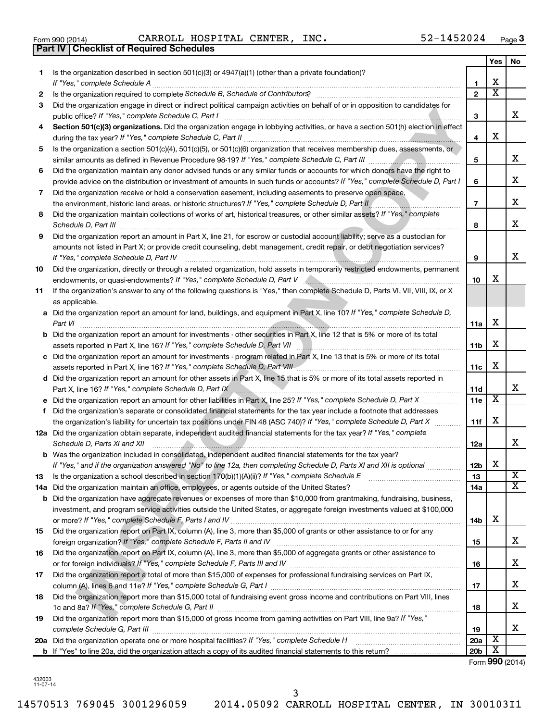| Form 990 (2014) |  |  |
|-----------------|--|--|

**Part IV Checklist of Required Schedules**

Form 990 (2014) Page CARROLL HOSPITAL CENTER, INC. 52-1452024

|    |                                                                                                                                                                                         |                       | Yes                     | No |
|----|-----------------------------------------------------------------------------------------------------------------------------------------------------------------------------------------|-----------------------|-------------------------|----|
| 1. | Is the organization described in section $501(c)(3)$ or $4947(a)(1)$ (other than a private foundation)?                                                                                 |                       |                         |    |
|    | If "Yes," complete Schedule A                                                                                                                                                           | 1                     | х                       |    |
| 2  | Is the organization required to complete Schedule B, Schedule of Contributors? [11] the organization required to complete Schedule B, Schedule of Contributors?                         | $\overline{2}$        | $\overline{\textbf{x}}$ |    |
| 3  | Did the organization engage in direct or indirect political campaign activities on behalf of or in opposition to candidates for<br>public office? If "Yes," complete Schedule C, Part I | 3                     |                         | x  |
| 4  | Section 501(c)(3) organizations. Did the organization engage in lobbying activities, or have a section 501(h) election in effect                                                        |                       |                         |    |
|    |                                                                                                                                                                                         | 4                     | х                       |    |
| 5  | Is the organization a section 501(c)(4), 501(c)(5), or 501(c)(6) organization that receives membership dues, assessments, or                                                            |                       |                         |    |
|    |                                                                                                                                                                                         | 5                     |                         | х  |
| 6  | Did the organization maintain any donor advised funds or any similar funds or accounts for which donors have the right to                                                               |                       |                         |    |
|    | provide advice on the distribution or investment of amounts in such funds or accounts? If "Yes," complete Schedule D, Part I                                                            | 6                     |                         | x  |
| 7  | Did the organization receive or hold a conservation easement, including easements to preserve open space,                                                                               |                       |                         |    |
|    | the environment, historic land areas, or historic structures? If "Yes," complete Schedule D, Part II                                                                                    | $\overline{7}$        |                         | x  |
| 8  | Did the organization maintain collections of works of art, historical treasures, or other similar assets? If "Yes," complete                                                            | 8                     |                         | x  |
| 9  | Did the organization report an amount in Part X, line 21, for escrow or custodial account liability; serve as a custodian for                                                           |                       |                         |    |
|    | amounts not listed in Part X; or provide credit counseling, debt management, credit repair, or debt negotiation services?                                                               |                       |                         |    |
|    | If "Yes," complete Schedule D, Part IV                                                                                                                                                  | 9                     |                         | x  |
| 10 | Did the organization, directly or through a related organization, hold assets in temporarily restricted endowments, permanent                                                           |                       |                         |    |
|    |                                                                                                                                                                                         | 10                    | x                       |    |
| 11 | If the organization's answer to any of the following questions is "Yes," then complete Schedule D, Parts VI, VII, VIII, IX, or X                                                        |                       |                         |    |
|    | as applicable.                                                                                                                                                                          |                       |                         |    |
|    | a Did the organization report an amount for land, buildings, and equipment in Part X, line 10? If "Yes," complete Schedule D,                                                           |                       |                         |    |
|    | Part VI                                                                                                                                                                                 | 11a                   | х                       |    |
|    | <b>b</b> Did the organization report an amount for investments - other securities in Part X, line 12 that is 5% or more of its total                                                    |                       |                         |    |
|    |                                                                                                                                                                                         | 11 <sub>b</sub>       | х                       |    |
|    | c Did the organization report an amount for investments - program related in Part X, line 13 that is 5% or more of its total                                                            |                       |                         |    |
|    | assets reported in Part X, line 16? If "Yes," complete Schedule D, Part VIII [[[[[[[[[[[[[[[[[[[[[[[[[[[[[[[[                                                                           | 11c                   | х                       |    |
|    | d Did the organization report an amount for other assets in Part X, line 15 that is 5% or more of its total assets reported in                                                          |                       |                         |    |
|    | Part X, line 16? If "Yes," complete Schedule D, Part IX                                                                                                                                 | 11d                   |                         | x  |
|    |                                                                                                                                                                                         | 11e                   | х                       |    |
| f  | Did the organization's separate or consolidated financial statements for the tax year include a footnote that addresses                                                                 |                       |                         |    |
|    | the organization's liability for uncertain tax positions under FIN 48 (ASC 740)? If "Yes," complete Schedule D, Part X                                                                  | 11f                   | х                       |    |
|    | 12a Did the organization obtain separate, independent audited financial statements for the tax year? If "Yes," complete                                                                 |                       |                         |    |
|    | Schedule D, Parts XI and XII                                                                                                                                                            | 12a                   |                         | x  |
|    | <b>b</b> Was the organization included in consolidated, independent audited financial statements for the tax year?                                                                      |                       | X                       |    |
| 13 | If "Yes," and if the organization answered "No" to line 12a, then completing Schedule D, Parts XI and XII is optional www.                                                              | 12 <sub>b</sub><br>13 |                         | X  |
|    |                                                                                                                                                                                         | 14a                   |                         | x  |
|    | <b>b</b> Did the organization have aggregate revenues or expenses of more than \$10,000 from grantmaking, fundraising, business,                                                        |                       |                         |    |
|    | investment, and program service activities outside the United States, or aggregate foreign investments valued at \$100,000                                                              |                       |                         |    |
|    |                                                                                                                                                                                         | 14 <sub>b</sub>       | х                       |    |
| 15 | Did the organization report on Part IX, column (A), line 3, more than \$5,000 of grants or other assistance to or for any                                                               |                       |                         |    |
|    |                                                                                                                                                                                         | 15                    |                         | x  |
| 16 | Did the organization report on Part IX, column (A), line 3, more than \$5,000 of aggregate grants or other assistance to                                                                |                       |                         |    |
|    |                                                                                                                                                                                         | 16                    |                         | x  |
| 17 | Did the organization report a total of more than \$15,000 of expenses for professional fundraising services on Part IX,                                                                 |                       |                         |    |
|    |                                                                                                                                                                                         | 17                    |                         | x  |
| 18 | Did the organization report more than \$15,000 total of fundraising event gross income and contributions on Part VIII, lines                                                            |                       |                         |    |
|    |                                                                                                                                                                                         | 18                    |                         | x  |
| 19 | Did the organization report more than \$15,000 of gross income from gaming activities on Part VIII, line 9a? If "Yes,"                                                                  |                       |                         |    |
|    |                                                                                                                                                                                         | 19                    |                         | x  |
|    |                                                                                                                                                                                         | 20a                   | х                       |    |
|    |                                                                                                                                                                                         | 20 <sub>b</sub>       | х                       |    |

Form (2014) **990**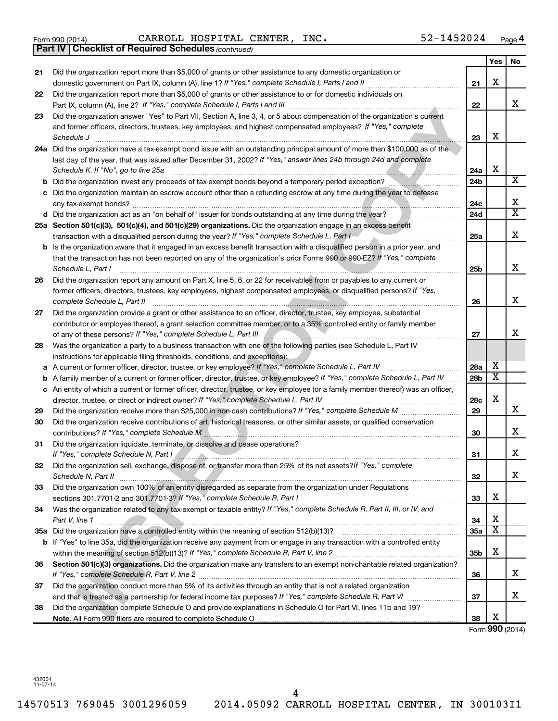|  | Form 990 (2014) |
|--|-----------------|
|  |                 |

Form 990 (2014) Page CARROLL HOSPITAL CENTER, INC. 52-1452024

|    | <b>Part IV   Checklist of Required Schedules (continued)</b>                                                                      |                 |                         |                       |
|----|-----------------------------------------------------------------------------------------------------------------------------------|-----------------|-------------------------|-----------------------|
|    |                                                                                                                                   |                 | Yes                     | No                    |
| 21 | Did the organization report more than \$5,000 of grants or other assistance to any domestic organization or                       |                 |                         |                       |
|    | domestic government on Part IX, column (A), line 1? If "Yes," complete Schedule I, Parts I and II                                 | 21              | X                       |                       |
| 22 | Did the organization report more than \$5,000 of grants or other assistance to or for domestic individuals on                     |                 |                         |                       |
|    |                                                                                                                                   | 22              |                         | x                     |
| 23 | Did the organization answer "Yes" to Part VII, Section A, line 3, 4, or 5 about compensation of the organization's current        |                 |                         |                       |
|    | and former officers, directors, trustees, key employees, and highest compensated employees? If "Yes," complete                    |                 |                         |                       |
|    | Schedule J <b>Execute Schedule J Execute Schedule J</b>                                                                           | 23              | X                       |                       |
|    | 24a Did the organization have a tax-exempt bond issue with an outstanding principal amount of more than \$100,000 as of the       |                 |                         |                       |
|    | last day of the year, that was issued after December 31, 2002? If "Yes," answer lines 24b through 24d and complete                |                 |                         |                       |
|    | Schedule K. If "No", go to line 25a                                                                                               | 24a             | X                       |                       |
| b  | Did the organization invest any proceeds of tax-exempt bonds beyond a temporary period exception?                                 | 24b             |                         | X                     |
|    | Did the organization maintain an escrow account other than a refunding escrow at any time during the year to defease              |                 |                         |                       |
|    |                                                                                                                                   | 24c             |                         | х                     |
|    |                                                                                                                                   | 24 <sub>d</sub> |                         | $\overline{\text{x}}$ |
|    | 25a Section 501(c)(3), 501(c)(4), and 501(c)(29) organizations. Did the organization engage in an excess benefit                  |                 |                         |                       |
|    | transaction with a disqualified person during the year? If "Yes," complete Schedule L, Part I manus and consumer manuscription    | 25a             |                         | х                     |
| b  | Is the organization aware that it engaged in an excess benefit transaction with a disqualified person in a prior year, and        |                 |                         |                       |
|    | that the transaction has not been reported on any of the organization's prior Forms 990 or 990-EZ? If "Yes," complete             |                 |                         |                       |
|    | Schedule L, Part I                                                                                                                | 25b             |                         | X                     |
| 26 | Did the organization report any amount on Part X, line 5, 6, or 22 for receivables from or payables to any current or             |                 |                         |                       |
|    | former officers, directors, trustees, key employees, highest compensated employees, or disqualified persons? If "Yes,"            |                 |                         |                       |
|    | complete Schedule L, Part II                                                                                                      | 26              |                         | X                     |
| 27 | Did the organization provide a grant or other assistance to an officer, director, trustee, key employee, substantial              |                 |                         |                       |
|    | contributor or employee thereof, a grant selection committee member, or to a 35% controlled entity or family member               |                 |                         |                       |
|    | of any of these persons? If "Yes," complete Schedule L, Part III                                                                  | 27              |                         | х                     |
| 28 | Was the organization a party to a business transaction with one of the following parties (see Schedule L, Part IV                 |                 |                         |                       |
|    | instructions for applicable filing thresholds, conditions, and exceptions):                                                       |                 |                         |                       |
| а  | A current or former officer, director, trustee, or key employee? If "Yes," complete Schedule L, Part IV                           | 28a             | х                       |                       |
| b  | A family member of a current or former officer, director, trustee, or key employee? If "Yes," complete Schedule L, Part IV        | 28 <sub>b</sub> | $\overline{\mathbf{X}}$ |                       |
|    | c An entity of which a current or former officer, director, trustee, or key employee (or a family member thereof) was an officer, |                 |                         |                       |
|    | director, trustee, or direct or indirect owner? If "Yes," complete Schedule L, Part IV                                            | 28c             | X                       |                       |
| 29 |                                                                                                                                   | 29              |                         | х                     |
| 30 | Did the organization receive contributions of art, historical treasures, or other similar assets, or qualified conservation       |                 |                         |                       |
|    | contributions? If "Yes," complete Schedule M                                                                                      | 30              |                         | х                     |
| 31 | Did the organization liquidate, terminate, or dissolve and cease operations?                                                      |                 |                         |                       |
|    | If "Yes," complete Schedule N, Part I And All And All And All And All And All And All And All And All And All A                   | 31              |                         | Χ                     |
| 32 | Did the organization sell, exchange, dispose of, or transfer more than 25% of its net assets? If "Yes," complete                  |                 |                         |                       |
|    |                                                                                                                                   | 32              |                         | x                     |
| 33 | Did the organization own 100% of an entity disregarded as separate from the organization under Regulations                        |                 |                         |                       |
|    |                                                                                                                                   | 33              | X                       |                       |
| 34 | Was the organization related to any tax-exempt or taxable entity? If "Yes," complete Schedule R, Part II, III, or IV, and         |                 |                         |                       |
|    | Part V, line 1                                                                                                                    | 34              | X                       |                       |
|    |                                                                                                                                   | 35a             | $\overline{\mathbf{X}}$ |                       |
| b  | If "Yes" to line 35a, did the organization receive any payment from or engage in any transaction with a controlled entity         |                 |                         |                       |
|    |                                                                                                                                   | 35 <sub>b</sub> | X                       |                       |
| 36 | Section 501(c)(3) organizations. Did the organization make any transfers to an exempt non-charitable related organization?        |                 |                         |                       |
|    |                                                                                                                                   | 36              |                         | x                     |
| 37 | Did the organization conduct more than 5% of its activities through an entity that is not a related organization                  |                 |                         |                       |
|    |                                                                                                                                   | 37              |                         | х                     |
| 38 | Did the organization complete Schedule O and provide explanations in Schedule O for Part VI, lines 11b and 19?                    |                 |                         |                       |
|    |                                                                                                                                   | 38              | х                       |                       |

Form (2014) **990**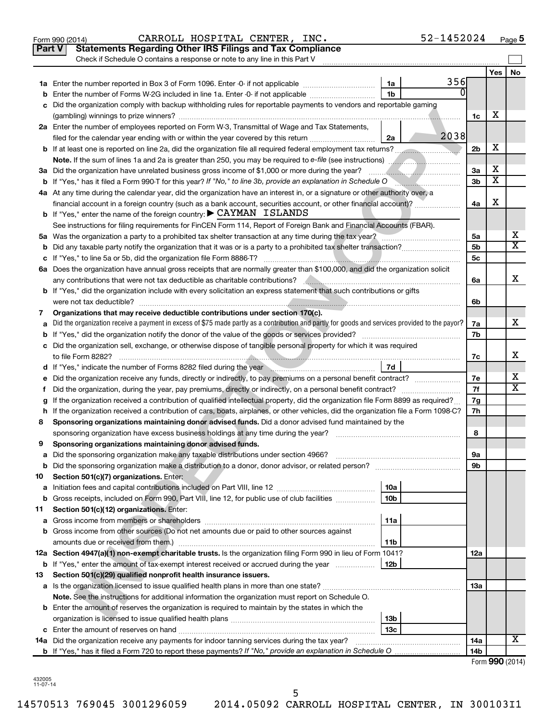|               | 52-1452024<br>CARROLL HOSPITAL CENTER, INC.<br>Form 990 (2014)                                                                                      |                |                         | Page 5                  |
|---------------|-----------------------------------------------------------------------------------------------------------------------------------------------------|----------------|-------------------------|-------------------------|
| <b>Part V</b> | <b>Statements Regarding Other IRS Filings and Tax Compliance</b>                                                                                    |                |                         |                         |
|               | Check if Schedule O contains a response or note to any line in this Part V                                                                          |                |                         |                         |
|               |                                                                                                                                                     |                | Yes                     | No                      |
|               | 356<br>1a                                                                                                                                           |                |                         |                         |
| b             | ŋ<br>Enter the number of Forms W-2G included in line 1a. Enter -0- if not applicable<br>1b                                                          |                |                         |                         |
| с             | Did the organization comply with backup withholding rules for reportable payments to vendors and reportable gaming                                  |                |                         |                         |
|               |                                                                                                                                                     | 1c             | х                       |                         |
|               | 2a Enter the number of employees reported on Form W-3, Transmittal of Wage and Tax Statements,                                                      |                |                         |                         |
|               | 2038<br>filed for the calendar year ending with or within the year covered by this return<br>2a                                                     |                |                         |                         |
|               |                                                                                                                                                     | 2 <sub>b</sub> | х                       |                         |
|               | Note. If the sum of lines 1a and 2a is greater than 250, you may be required to e-file (see instructions)                                           |                |                         |                         |
|               | 3a Did the organization have unrelated business gross income of \$1,000 or more during the year?                                                    | 3a             | х                       |                         |
|               | <b>b</b> If "Yes," has it filed a Form 990-T for this year? If "No," to line 3b, provide an explanation in Schedule O                               | 3b             | $\overline{\textbf{x}}$ |                         |
|               | 4a At any time during the calendar year, did the organization have an interest in, or a signature or other authority over, a                        |                |                         |                         |
|               | financial account in a foreign country (such as a bank account, securities account, or other financial account)?                                    | 4a             | х                       |                         |
|               | <b>b</b> If "Yes," enter the name of the foreign country: $\blacktriangleright$ CAYMAN ISLANDS                                                      |                |                         |                         |
|               | See instructions for filing requirements for FinCEN Form 114, Report of Foreign Bank and Financial Accounts (FBAR).                                 |                |                         |                         |
|               | 5a Was the organization a party to a prohibited tax shelter transaction at any time during the tax year?                                            | 5a             |                         | x                       |
| b             |                                                                                                                                                     | 5b             |                         | $\overline{\texttt{x}}$ |
|               |                                                                                                                                                     | 5c             |                         |                         |
|               | 6a Does the organization have annual gross receipts that are normally greater than \$100,000, and did the organization solicit                      |                |                         |                         |
|               |                                                                                                                                                     | 6a             |                         | x                       |
|               | b If "Yes," did the organization include with every solicitation an express statement that such contributions or gifts                              |                |                         |                         |
|               |                                                                                                                                                     | 6b             |                         |                         |
| 7             | Organizations that may receive deductible contributions under section 170(c).                                                                       |                |                         |                         |
| а             | Did the organization receive a payment in excess of \$75 made partly as a contribution and partly for goods and services provided to the payor?     | 7a             |                         | x                       |
| b             |                                                                                                                                                     | 7b             |                         |                         |
|               | c Did the organization sell, exchange, or otherwise dispose of tangible personal property for which it was required                                 |                |                         |                         |
|               | to file Form 8282?                                                                                                                                  | 7c             |                         | x                       |
|               | 7d<br>d If "Yes," indicate the number of Forms 8282 filed during the year manufactured in the set of the number of Forms 8282 filed during the year |                |                         |                         |
| е             |                                                                                                                                                     | 7е             |                         | х                       |
| f.            |                                                                                                                                                     | 7f             |                         | X                       |
| g             | If the organization received a contribution of qualified intellectual property, did the organization file Form 8899 as required?                    | 7g             |                         |                         |
|               | h If the organization received a contribution of cars, boats, airplanes, or other vehicles, did the organization file a Form 1098-C?                | 7h             |                         |                         |
| 8             | Sponsoring organizations maintaining donor advised funds. Did a donor advised fund maintained by the                                                |                |                         |                         |
|               | sponsoring organization have excess business holdings at any time during the year?                                                                  | 8              |                         |                         |
| 9             | Sponsoring organizations maintaining donor advised funds.                                                                                           |                |                         |                         |
| а             | Did the sponsoring organization make any taxable distributions under section 4966?                                                                  | 9а             |                         |                         |
| b             |                                                                                                                                                     | 9b             |                         |                         |
| 10            | Section 501(c)(7) organizations. Enter:                                                                                                             |                |                         |                         |
| а             | 10a                                                                                                                                                 |                |                         |                         |
| b             | Gross receipts, included on Form 990, Part VIII, line 12, for public use of club facilities<br>10 <sub>b</sub>                                      |                |                         |                         |
| 11            | Section 501(c)(12) organizations. Enter:                                                                                                            |                |                         |                         |
| а             | 11a                                                                                                                                                 |                |                         |                         |
| b             | Gross income from other sources (Do not net amounts due or paid to other sources against                                                            |                |                         |                         |
|               | amounts due or received from them.)<br>11b                                                                                                          |                |                         |                         |
|               | 12a Section 4947(a)(1) non-exempt charitable trusts. Is the organization filing Form 990 in lieu of Form 1041?                                      | 12a            |                         |                         |
| b             | If "Yes," enter the amount of tax-exempt interest received or accrued during the year<br>12b                                                        |                |                         |                         |
| 13            | Section 501(c)(29) qualified nonprofit health insurance issuers.                                                                                    |                |                         |                         |
|               |                                                                                                                                                     | 13a            |                         |                         |
|               | Note. See the instructions for additional information the organization must report on Schedule O.                                                   |                |                         |                         |
|               | <b>b</b> Enter the amount of reserves the organization is required to maintain by the states in which the                                           |                |                         |                         |
|               | 13 <sub>b</sub>                                                                                                                                     |                |                         |                         |
|               | 13с                                                                                                                                                 |                |                         |                         |
| 14a           | Did the organization receive any payments for indoor tanning services during the tax year?                                                          | 14a            |                         | X                       |
|               |                                                                                                                                                     | 14b            |                         |                         |
|               |                                                                                                                                                     |                |                         | Form 990 (2014)         |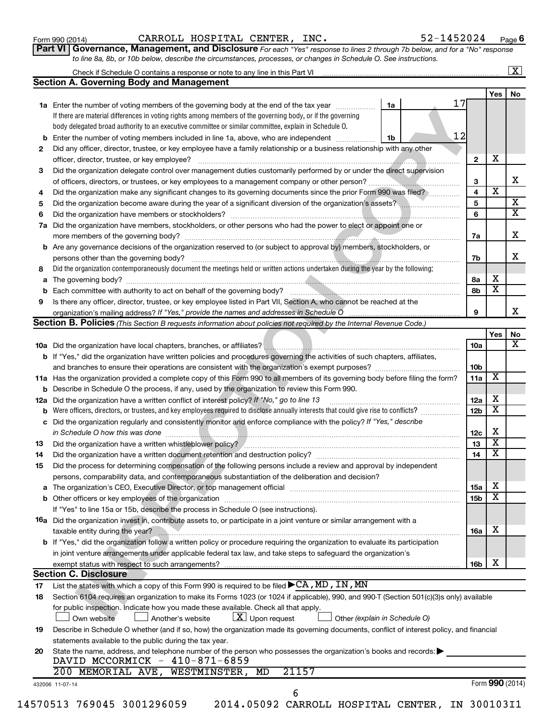| Form 990 (2014) |  |  |
|-----------------|--|--|
|-----------------|--|--|

Form 990 (2014) Page CARROLL HOSPITAL CENTER, INC. 52-1452024

**Part VI** Governance, Management, and Disclosure For each "Yes" response to lines 2 through 7b below, and for a "No" response *to line 8a, 8b, or 10b below, describe the circumstances, processes, or changes in Schedule O. See instructions.*

| <b>Section A. Governing Body and Management</b><br>1a Enter the number of voting members of the governing body at the end of the tax year <i>manument</i><br>If there are material differences in voting rights among members of the governing body, or if the governing<br>body delegated broad authority to an executive committee or similar committee, explain in Schedule O.<br>Enter the number of voting members included in line 1a, above, who are independent <i>manumum</i><br>Did any officer, director, trustee, or key employee have a family relationship or a business relationship with any other<br>officer, director, trustee, or key employee?<br>Did the organization delegate control over management duties customarily performed by or under the direct supervision<br>Did the organization make any significant changes to its governing documents since the prior Form 990 was filed?<br>Did the organization become aware during the year of a significant diversion of the organization's assets?<br>Did the organization have members, stockholders, or other persons who had the power to elect or appoint one or<br>Are any governance decisions of the organization reserved to (or subject to approval by) members, stockholders, or | 1a<br>1b | 17<br>12 | $\mathbf{2}$                                                                                                    | Yes                     | No                                                                                                                                                                                                                                                 |
|-----------------------------------------------------------------------------------------------------------------------------------------------------------------------------------------------------------------------------------------------------------------------------------------------------------------------------------------------------------------------------------------------------------------------------------------------------------------------------------------------------------------------------------------------------------------------------------------------------------------------------------------------------------------------------------------------------------------------------------------------------------------------------------------------------------------------------------------------------------------------------------------------------------------------------------------------------------------------------------------------------------------------------------------------------------------------------------------------------------------------------------------------------------------------------------------------------------------------------------------------------------------------|----------|----------|-----------------------------------------------------------------------------------------------------------------|-------------------------|----------------------------------------------------------------------------------------------------------------------------------------------------------------------------------------------------------------------------------------------------|
|                                                                                                                                                                                                                                                                                                                                                                                                                                                                                                                                                                                                                                                                                                                                                                                                                                                                                                                                                                                                                                                                                                                                                                                                                                                                       |          |          |                                                                                                                 |                         |                                                                                                                                                                                                                                                    |
|                                                                                                                                                                                                                                                                                                                                                                                                                                                                                                                                                                                                                                                                                                                                                                                                                                                                                                                                                                                                                                                                                                                                                                                                                                                                       |          |          |                                                                                                                 |                         |                                                                                                                                                                                                                                                    |
|                                                                                                                                                                                                                                                                                                                                                                                                                                                                                                                                                                                                                                                                                                                                                                                                                                                                                                                                                                                                                                                                                                                                                                                                                                                                       |          |          |                                                                                                                 |                         |                                                                                                                                                                                                                                                    |
|                                                                                                                                                                                                                                                                                                                                                                                                                                                                                                                                                                                                                                                                                                                                                                                                                                                                                                                                                                                                                                                                                                                                                                                                                                                                       |          |          |                                                                                                                 |                         |                                                                                                                                                                                                                                                    |
|                                                                                                                                                                                                                                                                                                                                                                                                                                                                                                                                                                                                                                                                                                                                                                                                                                                                                                                                                                                                                                                                                                                                                                                                                                                                       |          |          |                                                                                                                 |                         |                                                                                                                                                                                                                                                    |
|                                                                                                                                                                                                                                                                                                                                                                                                                                                                                                                                                                                                                                                                                                                                                                                                                                                                                                                                                                                                                                                                                                                                                                                                                                                                       |          |          |                                                                                                                 |                         |                                                                                                                                                                                                                                                    |
|                                                                                                                                                                                                                                                                                                                                                                                                                                                                                                                                                                                                                                                                                                                                                                                                                                                                                                                                                                                                                                                                                                                                                                                                                                                                       |          |          |                                                                                                                 |                         |                                                                                                                                                                                                                                                    |
|                                                                                                                                                                                                                                                                                                                                                                                                                                                                                                                                                                                                                                                                                                                                                                                                                                                                                                                                                                                                                                                                                                                                                                                                                                                                       |          |          |                                                                                                                 | х                       |                                                                                                                                                                                                                                                    |
|                                                                                                                                                                                                                                                                                                                                                                                                                                                                                                                                                                                                                                                                                                                                                                                                                                                                                                                                                                                                                                                                                                                                                                                                                                                                       |          |          |                                                                                                                 |                         |                                                                                                                                                                                                                                                    |
|                                                                                                                                                                                                                                                                                                                                                                                                                                                                                                                                                                                                                                                                                                                                                                                                                                                                                                                                                                                                                                                                                                                                                                                                                                                                       |          |          | 3                                                                                                               |                         | x                                                                                                                                                                                                                                                  |
|                                                                                                                                                                                                                                                                                                                                                                                                                                                                                                                                                                                                                                                                                                                                                                                                                                                                                                                                                                                                                                                                                                                                                                                                                                                                       |          |          | 4                                                                                                               | $\overline{\textbf{x}}$ |                                                                                                                                                                                                                                                    |
|                                                                                                                                                                                                                                                                                                                                                                                                                                                                                                                                                                                                                                                                                                                                                                                                                                                                                                                                                                                                                                                                                                                                                                                                                                                                       |          |          | 5                                                                                                               |                         | $\overline{\mathbf{X}}$                                                                                                                                                                                                                            |
|                                                                                                                                                                                                                                                                                                                                                                                                                                                                                                                                                                                                                                                                                                                                                                                                                                                                                                                                                                                                                                                                                                                                                                                                                                                                       |          |          | 6                                                                                                               |                         | $\overline{\mathtt{x}}$                                                                                                                                                                                                                            |
|                                                                                                                                                                                                                                                                                                                                                                                                                                                                                                                                                                                                                                                                                                                                                                                                                                                                                                                                                                                                                                                                                                                                                                                                                                                                       |          |          |                                                                                                                 |                         |                                                                                                                                                                                                                                                    |
|                                                                                                                                                                                                                                                                                                                                                                                                                                                                                                                                                                                                                                                                                                                                                                                                                                                                                                                                                                                                                                                                                                                                                                                                                                                                       |          |          | 7a                                                                                                              |                         | X                                                                                                                                                                                                                                                  |
|                                                                                                                                                                                                                                                                                                                                                                                                                                                                                                                                                                                                                                                                                                                                                                                                                                                                                                                                                                                                                                                                                                                                                                                                                                                                       |          |          |                                                                                                                 |                         |                                                                                                                                                                                                                                                    |
| persons other than the governing body?                                                                                                                                                                                                                                                                                                                                                                                                                                                                                                                                                                                                                                                                                                                                                                                                                                                                                                                                                                                                                                                                                                                                                                                                                                |          |          | 7b                                                                                                              |                         | x                                                                                                                                                                                                                                                  |
| Did the organization contemporaneously document the meetings held or written actions undertaken during the year by the following:                                                                                                                                                                                                                                                                                                                                                                                                                                                                                                                                                                                                                                                                                                                                                                                                                                                                                                                                                                                                                                                                                                                                     |          |          |                                                                                                                 |                         |                                                                                                                                                                                                                                                    |
|                                                                                                                                                                                                                                                                                                                                                                                                                                                                                                                                                                                                                                                                                                                                                                                                                                                                                                                                                                                                                                                                                                                                                                                                                                                                       |          |          | 8а                                                                                                              | х                       |                                                                                                                                                                                                                                                    |
|                                                                                                                                                                                                                                                                                                                                                                                                                                                                                                                                                                                                                                                                                                                                                                                                                                                                                                                                                                                                                                                                                                                                                                                                                                                                       |          |          | 8b                                                                                                              | $\overline{\textbf{x}}$ |                                                                                                                                                                                                                                                    |
| Is there any officer, director, trustee, or key employee listed in Part VII, Section A, who cannot be reached at the                                                                                                                                                                                                                                                                                                                                                                                                                                                                                                                                                                                                                                                                                                                                                                                                                                                                                                                                                                                                                                                                                                                                                  |          |          |                                                                                                                 |                         |                                                                                                                                                                                                                                                    |
|                                                                                                                                                                                                                                                                                                                                                                                                                                                                                                                                                                                                                                                                                                                                                                                                                                                                                                                                                                                                                                                                                                                                                                                                                                                                       |          |          | 9                                                                                                               |                         | x                                                                                                                                                                                                                                                  |
| Section B. Policies (This Section B requests information about policies not required by the Internal Revenue Code.)                                                                                                                                                                                                                                                                                                                                                                                                                                                                                                                                                                                                                                                                                                                                                                                                                                                                                                                                                                                                                                                                                                                                                   |          |          |                                                                                                                 |                         |                                                                                                                                                                                                                                                    |
|                                                                                                                                                                                                                                                                                                                                                                                                                                                                                                                                                                                                                                                                                                                                                                                                                                                                                                                                                                                                                                                                                                                                                                                                                                                                       |          |          |                                                                                                                 | Yes                     | No                                                                                                                                                                                                                                                 |
|                                                                                                                                                                                                                                                                                                                                                                                                                                                                                                                                                                                                                                                                                                                                                                                                                                                                                                                                                                                                                                                                                                                                                                                                                                                                       |          |          | 10a                                                                                                             |                         | $\overline{\mathbf{X}}$                                                                                                                                                                                                                            |
| b If "Yes," did the organization have written policies and procedures governing the activities of such chapters, affiliates,                                                                                                                                                                                                                                                                                                                                                                                                                                                                                                                                                                                                                                                                                                                                                                                                                                                                                                                                                                                                                                                                                                                                          |          |          |                                                                                                                 |                         |                                                                                                                                                                                                                                                    |
|                                                                                                                                                                                                                                                                                                                                                                                                                                                                                                                                                                                                                                                                                                                                                                                                                                                                                                                                                                                                                                                                                                                                                                                                                                                                       |          |          | 10 <sub>b</sub>                                                                                                 |                         |                                                                                                                                                                                                                                                    |
| 11a Has the organization provided a complete copy of this Form 990 to all members of its governing body before filing the form?                                                                                                                                                                                                                                                                                                                                                                                                                                                                                                                                                                                                                                                                                                                                                                                                                                                                                                                                                                                                                                                                                                                                       |          |          | 11a                                                                                                             | X                       |                                                                                                                                                                                                                                                    |
|                                                                                                                                                                                                                                                                                                                                                                                                                                                                                                                                                                                                                                                                                                                                                                                                                                                                                                                                                                                                                                                                                                                                                                                                                                                                       |          |          |                                                                                                                 |                         |                                                                                                                                                                                                                                                    |
| Describe in Schedule O the process, if any, used by the organization to review this Form 990.                                                                                                                                                                                                                                                                                                                                                                                                                                                                                                                                                                                                                                                                                                                                                                                                                                                                                                                                                                                                                                                                                                                                                                         |          |          |                                                                                                                 | х                       |                                                                                                                                                                                                                                                    |
| Did the organization have a written conflict of interest policy? If "No," go to line 13                                                                                                                                                                                                                                                                                                                                                                                                                                                                                                                                                                                                                                                                                                                                                                                                                                                                                                                                                                                                                                                                                                                                                                               |          |          | 12a<br>12 <sub>b</sub>                                                                                          | $\overline{\textbf{x}}$ |                                                                                                                                                                                                                                                    |
| Were officers, directors, or trustees, and key employees required to disclose annually interests that could give rise to conflicts?                                                                                                                                                                                                                                                                                                                                                                                                                                                                                                                                                                                                                                                                                                                                                                                                                                                                                                                                                                                                                                                                                                                                   |          |          |                                                                                                                 |                         |                                                                                                                                                                                                                                                    |
| Did the organization regularly and consistently monitor and enforce compliance with the policy? If "Yes," describe                                                                                                                                                                                                                                                                                                                                                                                                                                                                                                                                                                                                                                                                                                                                                                                                                                                                                                                                                                                                                                                                                                                                                    |          |          |                                                                                                                 | х                       |                                                                                                                                                                                                                                                    |
| in Schedule O how this was done <b>construction</b> and construction of the set of the set of the set of the set of the                                                                                                                                                                                                                                                                                                                                                                                                                                                                                                                                                                                                                                                                                                                                                                                                                                                                                                                                                                                                                                                                                                                                               |          |          | 12c                                                                                                             | $\overline{\textbf{x}}$ |                                                                                                                                                                                                                                                    |
|                                                                                                                                                                                                                                                                                                                                                                                                                                                                                                                                                                                                                                                                                                                                                                                                                                                                                                                                                                                                                                                                                                                                                                                                                                                                       |          |          | 13                                                                                                              | $\overline{\textbf{x}}$ |                                                                                                                                                                                                                                                    |
| Did the organization have a written document retention and destruction policy? [11] manufaction materials and destruction policy? [11] manufaction have a written document retention and destruction policy?                                                                                                                                                                                                                                                                                                                                                                                                                                                                                                                                                                                                                                                                                                                                                                                                                                                                                                                                                                                                                                                          |          |          | 14                                                                                                              |                         |                                                                                                                                                                                                                                                    |
| Did the process for determining compensation of the following persons include a review and approval by independent                                                                                                                                                                                                                                                                                                                                                                                                                                                                                                                                                                                                                                                                                                                                                                                                                                                                                                                                                                                                                                                                                                                                                    |          |          |                                                                                                                 |                         |                                                                                                                                                                                                                                                    |
| persons, comparability data, and contemporaneous substantiation of the deliberation and decision?                                                                                                                                                                                                                                                                                                                                                                                                                                                                                                                                                                                                                                                                                                                                                                                                                                                                                                                                                                                                                                                                                                                                                                     |          |          |                                                                                                                 |                         |                                                                                                                                                                                                                                                    |
|                                                                                                                                                                                                                                                                                                                                                                                                                                                                                                                                                                                                                                                                                                                                                                                                                                                                                                                                                                                                                                                                                                                                                                                                                                                                       |          |          | <b>15a</b>                                                                                                      | х                       |                                                                                                                                                                                                                                                    |
| <b>b</b> Other officers or key employees of the organization                                                                                                                                                                                                                                                                                                                                                                                                                                                                                                                                                                                                                                                                                                                                                                                                                                                                                                                                                                                                                                                                                                                                                                                                          |          |          | 15b                                                                                                             | $\overline{\textbf{x}}$ |                                                                                                                                                                                                                                                    |
| If "Yes" to line 15a or 15b, describe the process in Schedule O (see instructions).                                                                                                                                                                                                                                                                                                                                                                                                                                                                                                                                                                                                                                                                                                                                                                                                                                                                                                                                                                                                                                                                                                                                                                                   |          |          |                                                                                                                 |                         |                                                                                                                                                                                                                                                    |
| <b>16a</b> Did the organization invest in, contribute assets to, or participate in a joint venture or similar arrangement with a                                                                                                                                                                                                                                                                                                                                                                                                                                                                                                                                                                                                                                                                                                                                                                                                                                                                                                                                                                                                                                                                                                                                      |          |          |                                                                                                                 |                         |                                                                                                                                                                                                                                                    |
| taxable entity during the year?                                                                                                                                                                                                                                                                                                                                                                                                                                                                                                                                                                                                                                                                                                                                                                                                                                                                                                                                                                                                                                                                                                                                                                                                                                       |          |          | 16a                                                                                                             | х                       |                                                                                                                                                                                                                                                    |
| b If "Yes," did the organization follow a written policy or procedure requiring the organization to evaluate its participation                                                                                                                                                                                                                                                                                                                                                                                                                                                                                                                                                                                                                                                                                                                                                                                                                                                                                                                                                                                                                                                                                                                                        |          |          |                                                                                                                 |                         |                                                                                                                                                                                                                                                    |
| in joint venture arrangements under applicable federal tax law, and take steps to safequard the organization's                                                                                                                                                                                                                                                                                                                                                                                                                                                                                                                                                                                                                                                                                                                                                                                                                                                                                                                                                                                                                                                                                                                                                        |          |          |                                                                                                                 |                         |                                                                                                                                                                                                                                                    |
| exempt status with respect to such arrangements?                                                                                                                                                                                                                                                                                                                                                                                                                                                                                                                                                                                                                                                                                                                                                                                                                                                                                                                                                                                                                                                                                                                                                                                                                      |          |          | 16 <sub>b</sub>                                                                                                 | х                       |                                                                                                                                                                                                                                                    |
| <b>Section C. Disclosure</b>                                                                                                                                                                                                                                                                                                                                                                                                                                                                                                                                                                                                                                                                                                                                                                                                                                                                                                                                                                                                                                                                                                                                                                                                                                          |          |          |                                                                                                                 |                         |                                                                                                                                                                                                                                                    |
| List the states with which a copy of this Form 990 is required to be filed $\blacktriangleright$ CA, MD, IN, MN                                                                                                                                                                                                                                                                                                                                                                                                                                                                                                                                                                                                                                                                                                                                                                                                                                                                                                                                                                                                                                                                                                                                                       |          |          |                                                                                                                 |                         |                                                                                                                                                                                                                                                    |
| Section 6104 requires an organization to make its Forms 1023 (or 1024 if applicable), 990, and 990-T (Section 501(c)(3)s only) available                                                                                                                                                                                                                                                                                                                                                                                                                                                                                                                                                                                                                                                                                                                                                                                                                                                                                                                                                                                                                                                                                                                              |          |          |                                                                                                                 |                         |                                                                                                                                                                                                                                                    |
| for public inspection. Indicate how you made these available. Check all that apply.                                                                                                                                                                                                                                                                                                                                                                                                                                                                                                                                                                                                                                                                                                                                                                                                                                                                                                                                                                                                                                                                                                                                                                                   |          |          |                                                                                                                 |                         |                                                                                                                                                                                                                                                    |
| $\lfloor \underline{X} \rfloor$ Upon request<br>Own website<br>Another's website<br>Other (explain in Schedule O)                                                                                                                                                                                                                                                                                                                                                                                                                                                                                                                                                                                                                                                                                                                                                                                                                                                                                                                                                                                                                                                                                                                                                     |          |          |                                                                                                                 |                         |                                                                                                                                                                                                                                                    |
|                                                                                                                                                                                                                                                                                                                                                                                                                                                                                                                                                                                                                                                                                                                                                                                                                                                                                                                                                                                                                                                                                                                                                                                                                                                                       |          |          |                                                                                                                 |                         |                                                                                                                                                                                                                                                    |
|                                                                                                                                                                                                                                                                                                                                                                                                                                                                                                                                                                                                                                                                                                                                                                                                                                                                                                                                                                                                                                                                                                                                                                                                                                                                       |          |          |                                                                                                                 |                         |                                                                                                                                                                                                                                                    |
| statements available to the public during the tax year.                                                                                                                                                                                                                                                                                                                                                                                                                                                                                                                                                                                                                                                                                                                                                                                                                                                                                                                                                                                                                                                                                                                                                                                                               |          |          |                                                                                                                 |                         |                                                                                                                                                                                                                                                    |
|                                                                                                                                                                                                                                                                                                                                                                                                                                                                                                                                                                                                                                                                                                                                                                                                                                                                                                                                                                                                                                                                                                                                                                                                                                                                       |          |          |                                                                                                                 |                         |                                                                                                                                                                                                                                                    |
| DAVID MCCORMICK - 410-871-6859                                                                                                                                                                                                                                                                                                                                                                                                                                                                                                                                                                                                                                                                                                                                                                                                                                                                                                                                                                                                                                                                                                                                                                                                                                        |          |          |                                                                                                                 |                         |                                                                                                                                                                                                                                                    |
| 21157<br>200 MEMORIAL AVE, WESTMINSTER,<br>MD                                                                                                                                                                                                                                                                                                                                                                                                                                                                                                                                                                                                                                                                                                                                                                                                                                                                                                                                                                                                                                                                                                                                                                                                                         |          |          |                                                                                                                 |                         |                                                                                                                                                                                                                                                    |
|                                                                                                                                                                                                                                                                                                                                                                                                                                                                                                                                                                                                                                                                                                                                                                                                                                                                                                                                                                                                                                                                                                                                                                                                                                                                       |          |          |                                                                                                                 |                         |                                                                                                                                                                                                                                                    |
|                                                                                                                                                                                                                                                                                                                                                                                                                                                                                                                                                                                                                                                                                                                                                                                                                                                                                                                                                                                                                                                                                                                                                                                                                                                                       |          |          | State the name, address, and telephone number of the person who possesses the organization's books and records: |                         | Describe in Schedule O whether (and if so, how) the organization made its governing documents, conflict of interest policy, and financial<br>Form 990 (2014)<br>6<br>14570513 769045 3001296059<br>2014.05092 CARROLL HOSPITAL CENTER, IN 300103I1 |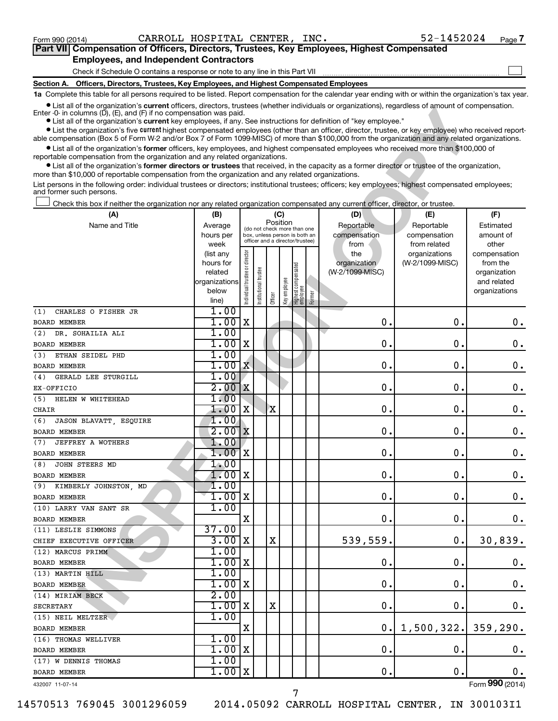$\Box$ 

| Part VII Compensation of Officers, Directors, Trustees, Key Employees, Highest Compensated |  |  |  |
|--------------------------------------------------------------------------------------------|--|--|--|
| <b>Employees, and Independent Contractors</b>                                              |  |  |  |

Check if Schedule O contains a response or note to any line in this Part VII

**Section A. Officers, Directors, Trustees, Key Employees, and Highest Compensated Employees**

**1a**  Complete this table for all persons required to be listed. Report compensation for the calendar year ending with or within the organization's tax year.

**•** List all of the organization's current officers, directors, trustees (whether individuals or organizations), regardless of amount of compensation. Enter -0- in columns  $(D)$ ,  $(E)$ , and  $(F)$  if no compensation was paid.

| Clist all of the organization's <b>current</b> onicers, directors, trustees (whether individuals or organizations), regardless or amount or compensation.<br>Enter $\cdot$ 0 in columns (D), (E), and (F) if no compensation was paid.                                      |                      |                                |                                 |          |              |                                   |        |                                 |                 |                             |
|-----------------------------------------------------------------------------------------------------------------------------------------------------------------------------------------------------------------------------------------------------------------------------|----------------------|--------------------------------|---------------------------------|----------|--------------|-----------------------------------|--------|---------------------------------|-----------------|-----------------------------|
| • List all of the organization's current key employees, if any. See instructions for definition of "key employee."<br>• List the organization's five current highest compensated employees (other than an officer, director, trustee, or key employee) who received report- |                      |                                |                                 |          |              |                                   |        |                                 |                 |                             |
| able compensation (Box 5 of Form W-2 and/or Box 7 of Form 1099-MISC) of more than \$100,000 from the organization and any related organizations.                                                                                                                            |                      |                                |                                 |          |              |                                   |        |                                 |                 |                             |
| • List all of the organization's former officers, key employees, and highest compensated employees who received more than \$100,000 of                                                                                                                                      |                      |                                |                                 |          |              |                                   |        |                                 |                 |                             |
| reportable compensation from the organization and any related organizations.<br>• List all of the organization's former directors or trustees that received, in the capacity as a former director or trustee of the organization,                                           |                      |                                |                                 |          |              |                                   |        |                                 |                 |                             |
| more than \$10,000 of reportable compensation from the organization and any related organizations.                                                                                                                                                                          |                      |                                |                                 |          |              |                                   |        |                                 |                 |                             |
| List persons in the following order: individual trustees or directors; institutional trustees; officers; key employees; highest compensated employees;<br>and former such persons.                                                                                          |                      |                                |                                 |          |              |                                   |        |                                 |                 |                             |
| Check this box if neither the organization nor any related organization compensated any current officer, director, or trustee.                                                                                                                                              |                      |                                |                                 |          |              |                                   |        |                                 |                 |                             |
| (A)                                                                                                                                                                                                                                                                         | (B)                  |                                |                                 | (C)      |              |                                   |        | (D)                             | (E)             | (F)                         |
| Name and Title                                                                                                                                                                                                                                                              | Average              |                                | (do not check more than one     | Position |              |                                   |        | Reportable                      | Reportable      | Estimated                   |
|                                                                                                                                                                                                                                                                             | hours per            |                                | box, unless person is both an   |          |              |                                   |        | compensation                    | compensation    | amount of                   |
|                                                                                                                                                                                                                                                                             | week                 |                                | officer and a director/trustee) |          |              |                                   |        | from                            | from related    | other                       |
|                                                                                                                                                                                                                                                                             | (list any            |                                |                                 |          |              |                                   |        | the                             | organizations   | compensation                |
|                                                                                                                                                                                                                                                                             | hours for<br>related |                                |                                 |          |              |                                   |        | organization<br>(W-2/1099-MISC) | (W-2/1099-MISC) | from the                    |
|                                                                                                                                                                                                                                                                             | organizations        |                                |                                 |          |              |                                   |        |                                 |                 | organization<br>and related |
|                                                                                                                                                                                                                                                                             | below                |                                |                                 |          |              |                                   |        |                                 |                 | organizations               |
|                                                                                                                                                                                                                                                                             | line)                | Individual trustee or director | Institutional trustee           | Officer  | Key employee | Highest compensated<br>  employee | Former |                                 |                 |                             |
| CHARLES O FISHER JR<br>(1)                                                                                                                                                                                                                                                  | 1.00                 |                                |                                 |          |              |                                   |        |                                 |                 |                             |
| <b>BOARD MEMBER</b>                                                                                                                                                                                                                                                         | 1.00                 | X                              |                                 |          |              |                                   |        | 0                               | 0.              | 0.                          |
| DR. SOHAILIA ALI<br>(2)                                                                                                                                                                                                                                                     | 1.00                 |                                |                                 |          |              |                                   |        |                                 |                 |                             |
| <b>BOARD MEMBER</b>                                                                                                                                                                                                                                                         | 1.00                 | X                              |                                 |          |              |                                   |        | 0                               | О.              | 0.                          |
| ETHAN SEIDEL PHD<br>(3)                                                                                                                                                                                                                                                     | 1.00                 |                                |                                 |          |              |                                   |        |                                 |                 |                             |
| <b>BOARD MEMBER</b>                                                                                                                                                                                                                                                         | $1.00 \mathrm{X}$    |                                |                                 |          |              |                                   |        | 0                               | О.              | 0.                          |
| GERALD LEE STURGILL<br>(4)                                                                                                                                                                                                                                                  | 1.00                 |                                |                                 |          |              |                                   |        |                                 |                 |                             |
| EX-OFFICIO                                                                                                                                                                                                                                                                  | 2.00                 | X                              |                                 |          |              |                                   |        | 0                               | О.              | 0.                          |
| (5)<br>HELEN W WHITEHEAD                                                                                                                                                                                                                                                    | 1.00                 |                                |                                 |          |              |                                   |        |                                 |                 |                             |
| CHAIR                                                                                                                                                                                                                                                                       | 1.00                 | X                              |                                 | X        |              |                                   |        | 0                               | О.              | 0.                          |
| JASON BLAVATT, ESQUIRE<br>(6)                                                                                                                                                                                                                                               | 1.00                 |                                |                                 |          |              |                                   |        |                                 |                 |                             |
| <b>BOARD MEMBER</b>                                                                                                                                                                                                                                                         | 2.00x                |                                |                                 |          |              |                                   |        | 0                               | О.              | 0.                          |
| JEFFREY A WOTHERS<br>(7)                                                                                                                                                                                                                                                    | 1.00                 |                                |                                 |          |              |                                   |        |                                 |                 |                             |
| <b>BOARD MEMBER</b>                                                                                                                                                                                                                                                         | 1.001                | X                              |                                 |          |              |                                   |        | 0                               | О.              | 0.                          |
| JOHN STEERS MD<br>(8)                                                                                                                                                                                                                                                       | 1.00                 |                                |                                 |          |              |                                   |        |                                 |                 |                             |
| <b>BOARD MEMBER</b>                                                                                                                                                                                                                                                         | 1.00                 | X                              |                                 |          |              |                                   |        | 0                               | О.              | 0.                          |
| KIMBERLY JOHNSTON, MD<br>(9)<br><b>BOARD MEMBER</b>                                                                                                                                                                                                                         | 1.00<br>1.00         | X                              |                                 |          |              |                                   |        | 0                               | $\mathbf 0$     | 0.                          |
|                                                                                                                                                                                                                                                                             | 1.00                 |                                |                                 |          |              |                                   |        |                                 |                 |                             |
| (10) LARRY VAN SANT SR<br><b>BOARD MEMBER</b>                                                                                                                                                                                                                               |                      | X                              |                                 |          |              |                                   |        | 0.                              | 0.              | $0$ .                       |
| (11) LESLIE SIMMONS                                                                                                                                                                                                                                                         | 37.00                |                                |                                 |          |              |                                   |        |                                 |                 |                             |
| CHIEF EXECUTIVE OFFICER                                                                                                                                                                                                                                                     | $3.00$ X             |                                |                                 | X        |              |                                   |        | 539,559.                        | 0.              | 30,839.                     |
| (12) MARCUS PRIMM                                                                                                                                                                                                                                                           | 1.00                 |                                |                                 |          |              |                                   |        |                                 |                 |                             |
| BOARD MEMBER                                                                                                                                                                                                                                                                | $1.00$ X             |                                |                                 |          |              |                                   |        | $\mathbf 0$ .                   | 0.              | 0.                          |
| (13) MARTIN HILL                                                                                                                                                                                                                                                            | 1.00                 |                                |                                 |          |              |                                   |        |                                 |                 |                             |
| <b>BOARD MEMBER</b>                                                                                                                                                                                                                                                         | $1.00$ X             |                                |                                 |          |              |                                   |        | 0.                              | О.              | $\mathbf 0$ .               |
| (14) MIRIAM BECK                                                                                                                                                                                                                                                            | 2.00                 |                                |                                 |          |              |                                   |        |                                 |                 |                             |
| <b>SECRETARY</b>                                                                                                                                                                                                                                                            | $1.00 \, \mathrm{X}$ |                                |                                 | X        |              |                                   |        | 0.                              | О.              | 0.                          |
| (15) NEIL MELTZER                                                                                                                                                                                                                                                           | 1.00                 |                                |                                 |          |              |                                   |        |                                 |                 |                             |
| BOARD MEMBER                                                                                                                                                                                                                                                                |                      | х                              |                                 |          |              |                                   |        | 0.1                             | 1,500,322.      | 359, 290.                   |
| (16) THOMAS WELLIVER                                                                                                                                                                                                                                                        | 1.00                 |                                |                                 |          |              |                                   |        |                                 |                 |                             |
| BOARD MEMBER                                                                                                                                                                                                                                                                | $1.00$ X             |                                |                                 |          |              |                                   |        | 0.                              | $\mathbf 0$ .   | $\mathbf 0$ .               |
| (17) W DENNIS THOMAS                                                                                                                                                                                                                                                        | 1.00                 |                                |                                 |          |              |                                   |        |                                 |                 |                             |
| BOARD MEMBER                                                                                                                                                                                                                                                                | $1.00$ X             |                                |                                 |          |              |                                   |        | 0.                              | $\mathbf 0$ .   | 0.                          |
| 432007 11-07-14                                                                                                                                                                                                                                                             |                      |                                |                                 |          |              |                                   |        |                                 |                 | Form 990 (2014)             |

7

432007 11-07-14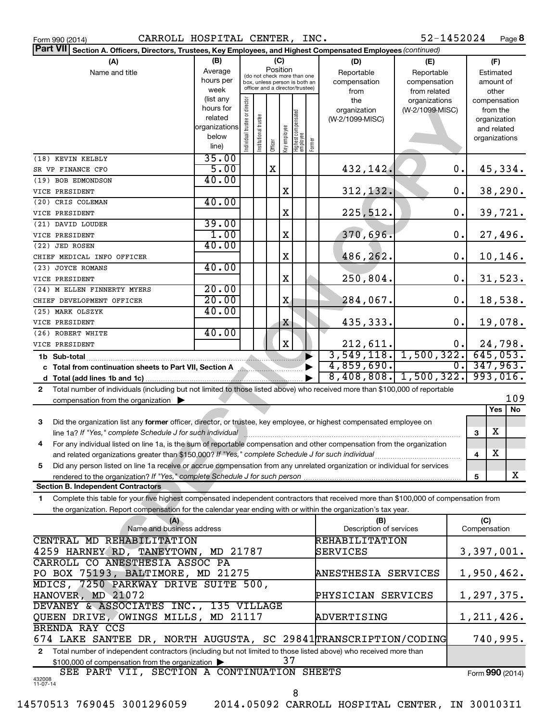|       | Form 990 (2014) |
|-------|-----------------|
| ----- |                 |

Form 990 (2014) **CARROLL HOSPITAL CENTER, INC.** 52-1452024 Page

52-1452024 Page 8

| <b>Part VII</b> Section A. Officers, Directors, Trustees, Key Employees, and Highest Compensated Employees (continued)                       |                                                                              |                                |                       |                                                                  |             |                                 |                       |                                 |                 |    |               |             |          |
|----------------------------------------------------------------------------------------------------------------------------------------------|------------------------------------------------------------------------------|--------------------------------|-----------------------|------------------------------------------------------------------|-------------|---------------------------------|-----------------------|---------------------------------|-----------------|----|---------------|-------------|----------|
| (A)                                                                                                                                          | (B)                                                                          |                                |                       | (C)                                                              |             |                                 |                       | (D)                             | (E)             |    |               | (F)         |          |
| Name and title                                                                                                                               | Average                                                                      |                                |                       | Position<br>(do not check more than one                          |             |                                 |                       | Reportable                      | Reportable      |    |               | Estimated   |          |
|                                                                                                                                              | hours per                                                                    |                                |                       | box, unless person is both an<br>officer and a director/trustee) |             |                                 |                       | compensation                    | compensation    |    |               | amount of   |          |
|                                                                                                                                              | week                                                                         |                                |                       |                                                                  |             |                                 |                       | from                            | from related    |    |               | other       |          |
|                                                                                                                                              | (list any<br>hours for                                                       |                                |                       |                                                                  |             |                                 |                       | the                             | organizations   |    | compensation  |             |          |
|                                                                                                                                              | related                                                                      |                                |                       |                                                                  |             |                                 |                       | organization<br>(W-2/1099-MISC) | (W-2/1099-MISC) |    | organization  | from the    |          |
|                                                                                                                                              | organizations                                                                |                                |                       |                                                                  |             |                                 |                       |                                 |                 |    |               | and related |          |
|                                                                                                                                              | below                                                                        |                                |                       |                                                                  |             |                                 |                       |                                 |                 |    | organizations |             |          |
|                                                                                                                                              | line)                                                                        | Individual trustee or director | Institutional trustee | Officer<br>Key employee                                          |             | Highest compensated<br>employee | Former                |                                 |                 |    |               |             |          |
| (18) KEVIN KELBLY                                                                                                                            | 35.00                                                                        |                                |                       |                                                                  |             |                                 |                       |                                 |                 |    |               |             |          |
| SR VP FINANCE CFO                                                                                                                            | 5.00                                                                         |                                |                       | $\mathbf X$                                                      |             |                                 |                       | 432,142.                        |                 | 0. |               |             | 45,334.  |
| (19) BOB EDMONDSON                                                                                                                           | 40.00                                                                        |                                |                       |                                                                  |             |                                 |                       |                                 |                 |    |               |             |          |
| VICE PRESIDENT                                                                                                                               |                                                                              |                                |                       |                                                                  | X           |                                 |                       | 312, 132.                       |                 | 0. |               |             | 38, 290. |
| (20) CRIS COLEMAN                                                                                                                            | 40.00                                                                        |                                |                       |                                                                  |             |                                 |                       |                                 |                 |    |               |             |          |
| VICE PRESIDENT                                                                                                                               |                                                                              |                                |                       |                                                                  | X           |                                 |                       | 225,512.                        |                 | 0. |               | 39,721.     |          |
| (21) DAVID LOUDER                                                                                                                            | 39.00                                                                        |                                |                       |                                                                  |             |                                 |                       |                                 |                 |    |               |             |          |
| VICE PRESIDENT                                                                                                                               | 1.00                                                                         |                                |                       |                                                                  | X           |                                 |                       | 370,696.                        |                 | 0. |               |             | 27,496.  |
| (22) JED ROSEN                                                                                                                               | 40.00                                                                        |                                |                       |                                                                  |             |                                 |                       |                                 |                 |    |               |             |          |
| CHIEF MEDICAL INFO OFFICER                                                                                                                   |                                                                              |                                |                       |                                                                  | X           |                                 |                       | 486,262.                        |                 | 0. |               |             | 10,146.  |
| (23) JOYCE ROMANS                                                                                                                            | 40.00                                                                        |                                |                       |                                                                  |             |                                 |                       |                                 |                 |    |               |             |          |
| VICE PRESIDENT                                                                                                                               |                                                                              |                                |                       |                                                                  | X           |                                 |                       | 250,804.                        |                 | 0. |               |             | 31,523.  |
| (24) M ELLEN FINNERTY MYERS                                                                                                                  | 20.00                                                                        |                                |                       |                                                                  |             |                                 |                       |                                 |                 |    |               |             |          |
| CHIEF DEVELOPMENT OFFICER                                                                                                                    | 20.00                                                                        |                                |                       |                                                                  | X           |                                 |                       | 284,067.                        |                 | 0. |               |             | 18,538.  |
| (25) MARK OLSZYK                                                                                                                             | 40.00                                                                        |                                |                       |                                                                  |             |                                 |                       |                                 |                 |    |               |             |          |
| VICE PRESIDENT                                                                                                                               |                                                                              |                                |                       |                                                                  | X           |                                 |                       | 435,333.                        |                 | 0. |               | 19,078.     |          |
| (26) ROBERT WHITE                                                                                                                            | 40.00                                                                        |                                |                       |                                                                  |             |                                 |                       |                                 |                 |    |               |             |          |
| VICE PRESIDENT                                                                                                                               |                                                                              |                                |                       |                                                                  | $\mathbf X$ |                                 |                       | 212,611.                        |                 | 0. |               | 24,798.     |          |
|                                                                                                                                              |                                                                              |                                |                       |                                                                  |             |                                 | $\blacktriangleright$ | $3,549,118.$ 1,500,322.         |                 |    | 645,053.      |             |          |
| c Total from continuation sheets to Part VII, Section A                                                                                      |                                                                              |                                |                       |                                                                  |             |                                 |                       | 4,859,690.                      |                 | 0. | 347,963.      |             |          |
| $8,408,808.$ 1,500,322.<br>993,016.                                                                                                          |                                                                              |                                |                       |                                                                  |             |                                 |                       |                                 |                 |    |               |             |          |
| Total number of individuals (including but not limited to those listed above) who received more than \$100,000 of reportable<br>$\mathbf{2}$ |                                                                              |                                |                       |                                                                  |             |                                 |                       |                                 |                 |    |               |             |          |
| 109<br>compensation from the organization $\blacktriangleright$                                                                              |                                                                              |                                |                       |                                                                  |             |                                 |                       |                                 |                 |    |               |             |          |
|                                                                                                                                              |                                                                              |                                |                       |                                                                  |             |                                 |                       |                                 |                 |    |               | <b>Yes</b>  | No       |
| Did the organization list any former officer, director, or trustee, key employee, or highest compensated employee on<br>3                    |                                                                              |                                |                       |                                                                  |             |                                 |                       |                                 |                 |    |               |             |          |
| line 1a? If "Yes," complete Schedule J for such individual [1, 2000] [2010] [2010] [2010] [30] [30] [30] [30] [                              |                                                                              |                                |                       |                                                                  |             |                                 |                       |                                 |                 |    | 3             | X           |          |
| For any individual listed on line 1a, is the sum of reportable compensation and other compensation from the organization<br>4                |                                                                              |                                |                       |                                                                  |             |                                 |                       |                                 |                 |    |               |             |          |
| and related organizations greater than \$150,000? If "Yes," complete Schedule J for such individual                                          |                                                                              |                                |                       |                                                                  |             |                                 |                       |                                 |                 |    | 4             | X           |          |
| Did any person listed on line 1a receive or accrue compensation from any unrelated organization or individual for services<br>5.             |                                                                              |                                |                       |                                                                  |             |                                 |                       |                                 |                 |    |               |             |          |
|                                                                                                                                              |                                                                              |                                |                       |                                                                  |             |                                 |                       |                                 |                 |    | 5             |             | X        |
| <b>Section B. Independent Contractors</b>                                                                                                    |                                                                              |                                |                       |                                                                  |             |                                 |                       |                                 |                 |    |               |             |          |
| Complete this table for your five highest compensated independent contractors that received more than \$100,000 of compensation from<br>1.   |                                                                              |                                |                       |                                                                  |             |                                 |                       |                                 |                 |    |               |             |          |
| the organization. Report compensation for the calendar year ending with or within the organization's tax year.                               |                                                                              |                                |                       |                                                                  |             |                                 |                       |                                 |                 |    |               |             |          |
| (A)                                                                                                                                          |                                                                              |                                |                       |                                                                  |             |                                 |                       | (B)                             |                 |    | (C)           |             |          |
| Name and business address                                                                                                                    |                                                                              |                                |                       |                                                                  |             |                                 |                       | Description of services         |                 |    | Compensation  |             |          |
| CENTRAL MD REHABILITATION                                                                                                                    |                                                                              |                                |                       |                                                                  |             |                                 |                       | <b>REHABILITATION</b>           |                 |    |               |             |          |
| 4259 HARNEY RD, TANEYTOWN, MD 21787                                                                                                          |                                                                              |                                |                       |                                                                  |             |                                 |                       | SERVICES                        |                 |    | 3,397,001.    |             |          |
| CARROLL CO ANESTHESIA ASSOC PA                                                                                                               |                                                                              |                                |                       |                                                                  |             |                                 |                       |                                 |                 |    |               |             |          |
| PO BOX 75193, BALTIMORE, MD 21275                                                                                                            |                                                                              |                                |                       |                                                                  |             |                                 |                       | ANESTHESIA SERVICES             |                 |    | 1,950,462.    |             |          |
|                                                                                                                                              | MDICS, 7250 PARKWAY DRIVE SUITE 500,                                         |                                |                       |                                                                  |             |                                 |                       |                                 |                 |    |               |             |          |
| HANOVER, MD 21072                                                                                                                            |                                                                              |                                |                       |                                                                  |             | PHYSICIAN SERVICES              |                       |                                 | 1,297,375.      |    |               |             |          |
| DEVANEY & ASSOCIATES INC., 135 VILLAGE                                                                                                       |                                                                              |                                |                       |                                                                  |             |                                 |                       |                                 |                 |    |               |             |          |
| QUEEN DRIVE, OWINGS MILLS, MD 21117<br>1,211,426.<br>ADVERTISING                                                                             |                                                                              |                                |                       |                                                                  |             |                                 |                       |                                 |                 |    |               |             |          |
| BRENDA RAY CCS                                                                                                                               |                                                                              |                                |                       |                                                                  |             |                                 |                       |                                 |                 |    |               |             |          |
|                                                                                                                                              | 674 LAKE SANTEE DR, NORTH AUGUSTA, SC 29841 TRANSCRIPTION/CODING<br>740,995. |                                |                       |                                                                  |             |                                 |                       |                                 |                 |    |               |             |          |
| Total number of independent contractors (including but not limited to those listed above) who received more than<br>2                        |                                                                              |                                |                       |                                                                  |             |                                 |                       |                                 |                 |    |               |             |          |
| \$100,000 of compensation from the organization                                                                                              |                                                                              |                                |                       |                                                                  | 37          |                                 |                       |                                 |                 |    |               |             |          |
|                                                                                                                                              | SEE PART VII, SECTION A CONTINUATION SHEETS<br>Form 990 (2014)               |                                |                       |                                                                  |             |                                 |                       |                                 |                 |    |               |             |          |
| 432008<br>11-07-14                                                                                                                           |                                                                              |                                |                       |                                                                  |             |                                 |                       |                                 |                 |    |               |             |          |
|                                                                                                                                              |                                                                              |                                |                       |                                                                  |             | 8                               |                       |                                 |                 |    |               |             |          |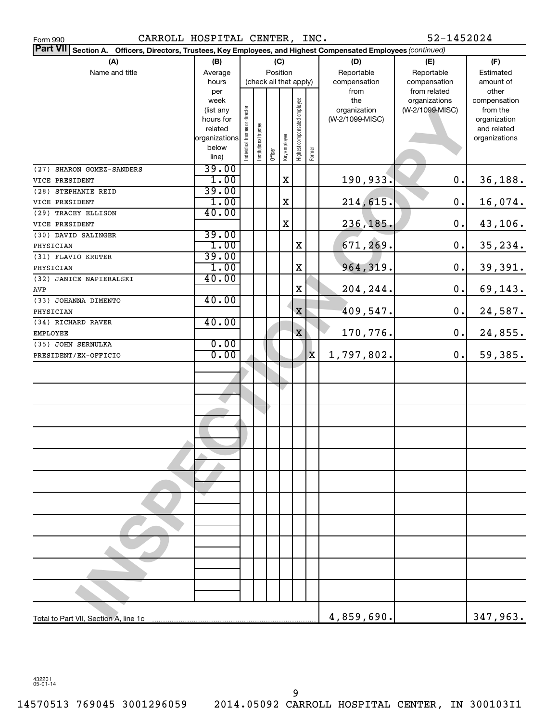| CARROLL HOSPITAL CENTER, INC.<br>Form 990                                                                       |               |                                |                       |                        |              |                              |             |                 | 52-1452024                    |                       |
|-----------------------------------------------------------------------------------------------------------------|---------------|--------------------------------|-----------------------|------------------------|--------------|------------------------------|-------------|-----------------|-------------------------------|-----------------------|
| Part VII Section A. Officers, Directors, Trustees, Key Employees, and Highest Compensated Employees (continued) |               |                                |                       |                        |              |                              |             |                 |                               |                       |
| (A)                                                                                                             | (B)           |                                |                       |                        | (C)          |                              |             | (D)             | (E)                           | (F)                   |
| Name and title                                                                                                  | Average       |                                |                       | Position               |              |                              |             | Reportable      | Reportable                    | Estimated             |
|                                                                                                                 | hours         |                                |                       | (check all that apply) |              |                              |             | compensation    | compensation                  | amount of             |
|                                                                                                                 | per<br>week   |                                |                       |                        |              |                              |             | from<br>the     | from related<br>organizations | other<br>compensation |
|                                                                                                                 | (list any     |                                |                       |                        |              |                              |             | organization    | (W-2/1099-MISC)               | from the              |
|                                                                                                                 | hours for     |                                |                       |                        |              |                              |             | (W-2/1099-MISC) |                               | organization          |
|                                                                                                                 | related       |                                |                       |                        |              |                              |             |                 |                               | and related           |
|                                                                                                                 | organizations | Individual trustee or director | Institutional trustee |                        | Key employee | Highest compensated employee |             |                 |                               | organizations         |
|                                                                                                                 | below         |                                |                       | Officer                |              |                              | Former      |                 |                               |                       |
|                                                                                                                 | line)         |                                |                       |                        |              |                              |             |                 |                               |                       |
| (27) SHARON GOMEZ-SANDERS                                                                                       | 39.00<br>1.00 |                                |                       |                        | $\mathbf X$  |                              |             |                 | $\mathbf 0$ .                 |                       |
| VICE PRESIDENT<br>(28) STEPHANIE REID                                                                           | 39.00         |                                |                       |                        |              |                              |             | 190,933.        |                               | 36,188.               |
| VICE PRESIDENT                                                                                                  | 1.00          |                                |                       |                        | X            |                              |             | 214,615.        | 0.                            | 16,074.               |
| (29) TRACEY ELLISON                                                                                             | 40.00         |                                |                       |                        |              |                              |             |                 |                               |                       |
| VICE PRESIDENT                                                                                                  |               |                                |                       |                        | $\rm X$      |                              |             | 236,185.        | 0.                            | 43,106.               |
| (30) DAVID SALINGER                                                                                             | 39.00         |                                |                       |                        |              |                              |             |                 |                               |                       |
| PHYSICIAN                                                                                                       | 1.00          |                                |                       |                        |              | $\mathbf X$                  |             | 671,269.        | $\mathbf 0$ .                 | 35, 234.              |
| (31) FLAVIO KRUTER                                                                                              | 39.00         |                                |                       |                        |              |                              |             |                 |                               |                       |
| PHYSICIAN                                                                                                       | 1.00          |                                |                       |                        |              | $\mathbf X$                  |             | 964,319.        | 0.                            | 39,391.               |
| (32) JANICE NAPIERALSKI                                                                                         | 40.00         |                                |                       |                        |              |                              |             |                 |                               |                       |
| AVP                                                                                                             |               |                                |                       |                        |              | X                            |             | 204,244.        | 0.                            | 69,143.               |
| (33) JOHANNA DIMENTO                                                                                            | 40.00         |                                |                       |                        |              |                              |             |                 |                               |                       |
| PHYSICIAN                                                                                                       |               |                                |                       |                        |              | $\mathbf X$                  |             | 409,547.        | $\mathbf 0$ .                 | 24,587.               |
| (34) RICHARD RAVER                                                                                              | 40.00         |                                |                       |                        |              |                              |             |                 |                               |                       |
| <b>EMPLOYEE</b>                                                                                                 |               |                                |                       |                        |              | $\mathbf X$                  |             | 170,776.        | 0.                            | 24,855.               |
| (35) JOHN SERNULKA                                                                                              | 0.00          |                                |                       |                        |              |                              |             |                 |                               |                       |
| PRESIDENT/EX-OFFICIO                                                                                            | 0.00          |                                |                       |                        |              |                              | $\mathbf x$ | 1,797,802.      | 0.                            | 59,385.               |
|                                                                                                                 |               |                                |                       |                        |              |                              |             |                 |                               |                       |
|                                                                                                                 |               |                                |                       |                        |              |                              |             |                 |                               |                       |
|                                                                                                                 |               |                                |                       |                        |              |                              |             |                 |                               |                       |
|                                                                                                                 |               |                                |                       |                        |              |                              |             |                 |                               |                       |
|                                                                                                                 |               |                                |                       |                        |              |                              |             |                 |                               |                       |
|                                                                                                                 |               |                                |                       |                        |              |                              |             |                 |                               |                       |
|                                                                                                                 |               |                                |                       |                        |              |                              |             |                 |                               |                       |
|                                                                                                                 |               |                                |                       |                        |              |                              |             |                 |                               |                       |
|                                                                                                                 |               |                                |                       |                        |              |                              |             |                 |                               |                       |
|                                                                                                                 |               |                                |                       |                        |              |                              |             |                 |                               |                       |
|                                                                                                                 |               |                                |                       |                        |              |                              |             |                 |                               |                       |
|                                                                                                                 |               |                                |                       |                        |              |                              |             |                 |                               |                       |
|                                                                                                                 |               |                                |                       |                        |              |                              |             |                 |                               |                       |
|                                                                                                                 |               |                                |                       |                        |              |                              |             |                 |                               |                       |
|                                                                                                                 |               |                                |                       |                        |              |                              |             |                 |                               |                       |
|                                                                                                                 |               |                                |                       |                        |              |                              |             |                 |                               |                       |
|                                                                                                                 |               |                                |                       |                        |              |                              |             |                 |                               |                       |
|                                                                                                                 |               |                                |                       |                        |              |                              |             |                 |                               |                       |
|                                                                                                                 |               |                                |                       |                        |              |                              |             |                 |                               |                       |
|                                                                                                                 |               |                                |                       |                        |              |                              |             |                 |                               |                       |
| Total to Part VII, Section A, line 1c                                                                           |               |                                |                       |                        |              |                              |             | 4,859,690.      |                               | 347,963.              |

432201 05-01-14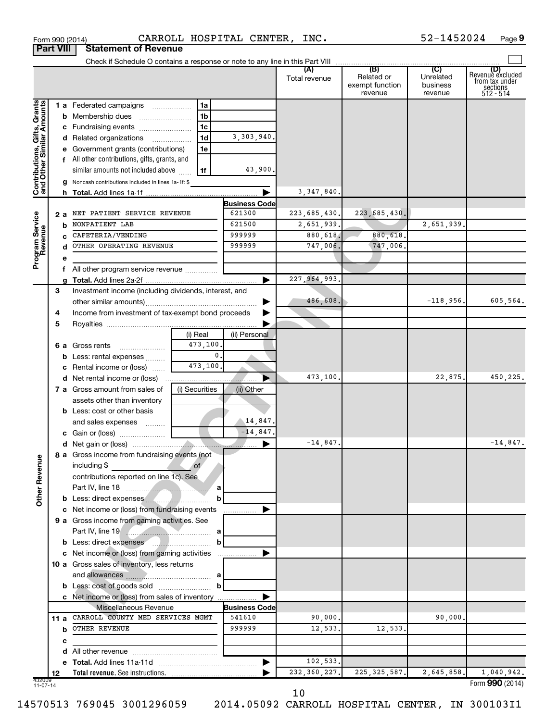|                                                           |    |    | Form 990 (2014)                                                | CARROLL HOSPITAL CENTER, INC. |                      |                      |                                                 | 52-1452024                              | Page 9                                                             |
|-----------------------------------------------------------|----|----|----------------------------------------------------------------|-------------------------------|----------------------|----------------------|-------------------------------------------------|-----------------------------------------|--------------------------------------------------------------------|
| <b>Part VIII</b>                                          |    |    | <b>Statement of Revenue</b>                                    |                               |                      |                      |                                                 |                                         |                                                                    |
|                                                           |    |    |                                                                |                               |                      |                      |                                                 |                                         |                                                                    |
|                                                           |    |    |                                                                |                               |                      | (A)<br>Total revenue | (B)<br>Related or<br>exempt function<br>revenue | (C)<br>Unrelated<br>business<br>revenue | (D)<br>Revenue excluded<br>from tax under<br>sections<br>512 - 514 |
|                                                           |    |    | 1 a Federated campaigns                                        | 1a                            |                      |                      |                                                 |                                         |                                                                    |
| Contributions, Gifts, Grants<br>and Other Similar Amounts |    |    |                                                                | 1b                            |                      |                      |                                                 |                                         |                                                                    |
|                                                           |    |    | c Fundraising events                                           | 1 <sub>c</sub>                |                      |                      |                                                 |                                         |                                                                    |
|                                                           |    |    | d Related organizations                                        | 1d                            | 3,303,940.           |                      |                                                 |                                         |                                                                    |
|                                                           |    |    | e Government grants (contributions)                            | 1e                            |                      |                      |                                                 |                                         |                                                                    |
|                                                           |    |    | f All other contributions, gifts, grants, and                  |                               |                      |                      |                                                 |                                         |                                                                    |
|                                                           |    |    | similar amounts not included above                             | 1f                            | 43,900.              |                      |                                                 |                                         |                                                                    |
|                                                           |    |    | g Noncash contributions included in lines 1a-1f: \$            |                               |                      |                      |                                                 |                                         |                                                                    |
|                                                           |    |    |                                                                |                               |                      | 3, 347, 840.         |                                                 |                                         |                                                                    |
|                                                           |    |    |                                                                |                               | <b>Business Code</b> |                      |                                                 |                                         |                                                                    |
| Program Service<br>Revenue                                |    | 2а | NET PATIENT SERVICE REVENUE                                    |                               | 621300               | 223,685,430.         | 223,685,430.                                    |                                         |                                                                    |
|                                                           |    | b  | NONPATIENT LAB                                                 |                               | 621500               | 2,651,939.           |                                                 | 2,651,939.                              |                                                                    |
|                                                           |    |    | CAFETERIA/VENDING                                              |                               | 999999               | 880,618.             | 880,618.                                        |                                         |                                                                    |
|                                                           |    |    | OTHER OPERATING REVENUE                                        |                               | 999999               | 747,006.             | 747,006.                                        |                                         |                                                                    |
|                                                           |    | е  |                                                                |                               |                      |                      |                                                 |                                         |                                                                    |
|                                                           |    |    | f All other program service revenue                            |                               |                      |                      |                                                 |                                         |                                                                    |
|                                                           |    | g  |                                                                |                               |                      | 227, 964, 993.       |                                                 |                                         |                                                                    |
|                                                           | 3  |    | Investment income (including dividends, interest, and          |                               |                      |                      |                                                 |                                         |                                                                    |
|                                                           |    |    |                                                                |                               | ▶                    | 486,608.             |                                                 | $-118,956.$                             | 605,564.                                                           |
|                                                           | 4  |    | Income from investment of tax-exempt bond proceeds             |                               |                      |                      |                                                 |                                         |                                                                    |
|                                                           | 5  |    |                                                                |                               |                      |                      |                                                 |                                         |                                                                    |
|                                                           |    |    |                                                                | (i) Real                      | (ii) Personal        |                      |                                                 |                                         |                                                                    |
|                                                           |    |    | <b>6 a</b> Gross rents<br>$\ldots \ldots \ldots \ldots \ldots$ | 473,100.                      |                      |                      |                                                 |                                         |                                                                    |
|                                                           |    |    | <b>b</b> Less: rental expenses                                 | 0.                            |                      |                      |                                                 |                                         |                                                                    |
|                                                           |    |    | <b>c</b> Rental income or (loss)                               | 473,100.                      |                      |                      |                                                 |                                         |                                                                    |
|                                                           |    |    | d Net rental income or (loss)                                  |                               |                      | 473,100.             |                                                 | 22,875.                                 | 450,225.                                                           |
|                                                           |    |    | 7 a Gross amount from sales of                                 | (i) Securities                | (ii) Other           |                      |                                                 |                                         |                                                                    |
|                                                           |    |    | assets other than inventory                                    |                               |                      |                      |                                                 |                                         |                                                                    |
|                                                           |    |    | <b>b</b> Less: cost or other basis                             |                               | 14,847.              |                      |                                                 |                                         |                                                                    |
|                                                           |    |    | and sales expenses                                             |                               | $-14,847.$           |                      |                                                 |                                         |                                                                    |
|                                                           |    |    |                                                                |                               |                      | $-14,847.$           |                                                 |                                         | $-14,847.$                                                         |
|                                                           |    |    | 8 a Gross income from fundraising events (not                  |                               |                      |                      |                                                 |                                         |                                                                    |
| <b>Other Revenue</b>                                      |    |    | including \$                                                   | $\circ$ of                    |                      |                      |                                                 |                                         |                                                                    |
|                                                           |    |    | contributions reported on line 1c). See                        |                               |                      |                      |                                                 |                                         |                                                                    |
|                                                           |    |    |                                                                |                               |                      |                      |                                                 |                                         |                                                                    |
|                                                           |    |    | b Less: direct expenses                                        | b                             |                      |                      |                                                 |                                         |                                                                    |
|                                                           |    |    | c Net income or (loss) from fundraising events                 |                               |                      |                      |                                                 |                                         |                                                                    |
|                                                           |    |    | 9 a Gross income from gaming activities. See                   |                               |                      |                      |                                                 |                                         |                                                                    |
|                                                           |    |    |                                                                |                               |                      |                      |                                                 |                                         |                                                                    |
|                                                           |    |    | b Less: direct expenses                                        | $\mathbf b$                   |                      |                      |                                                 |                                         |                                                                    |
|                                                           |    |    | c Net income or (loss) from gaming activities                  |                               |                      |                      |                                                 |                                         |                                                                    |
|                                                           |    |    | 10 a Gross sales of inventory, less returns                    |                               |                      |                      |                                                 |                                         |                                                                    |
|                                                           |    |    |                                                                |                               |                      |                      |                                                 |                                         |                                                                    |
|                                                           |    |    |                                                                |                               |                      |                      |                                                 |                                         |                                                                    |
|                                                           |    |    | c Net income or (loss) from sales of inventory                 |                               |                      |                      |                                                 |                                         |                                                                    |
|                                                           |    |    | Miscellaneous Revenue                                          |                               | <b>Business Code</b> |                      |                                                 |                                         |                                                                    |
|                                                           |    |    | 11 a CARROLL COUNTY MED SERVICES MGMT                          |                               | 541610               | 90,000.              |                                                 | 90,000.                                 |                                                                    |
|                                                           |    | b  | OTHER REVENUE                                                  |                               | 999999               | 12,533.              | 12,533.                                         |                                         |                                                                    |
|                                                           |    | c  |                                                                |                               |                      |                      |                                                 |                                         |                                                                    |
|                                                           |    |    |                                                                |                               |                      |                      |                                                 |                                         |                                                                    |
|                                                           |    |    |                                                                |                               |                      | 102,533.             |                                                 |                                         |                                                                    |
|                                                           | 12 |    |                                                                |                               |                      | 232, 360, 227.       | 225, 325, 587.                                  | 2,645,858.                              | 1,040,942.                                                         |
| 432009<br>11-07-14                                        |    |    |                                                                |                               |                      |                      |                                                 |                                         | Form 990 (2014)                                                    |

432009 11-07-14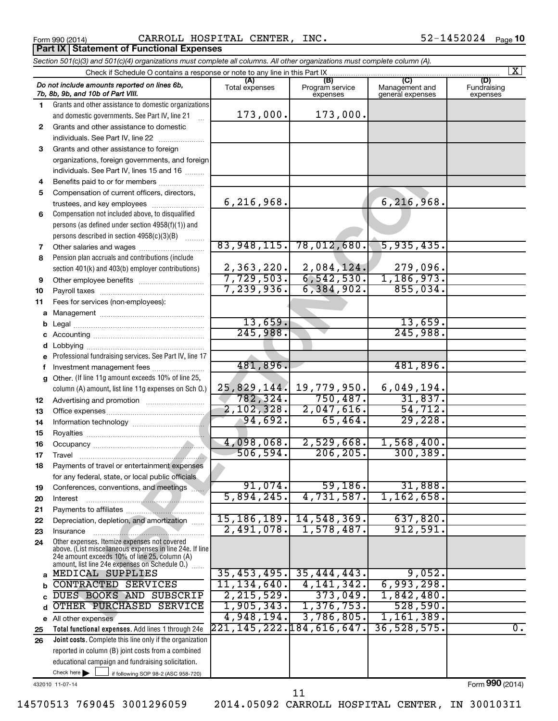**Part IX | Statement of Functional Expenses** 

Form 990 (2014) **CARROLL HOSPITAL CENTER, INC.** 52-1452024  $P_{\text{age}}$ 

|              | Section 501(c)(3) and 501(c)(4) organizations must complete all columns. All other organizations must complete column (A).                                                                                  |                          |                                    |                                    |                                |
|--------------|-------------------------------------------------------------------------------------------------------------------------------------------------------------------------------------------------------------|--------------------------|------------------------------------|------------------------------------|--------------------------------|
|              | Check if Schedule O contains a response or note to any line in this Part IX                                                                                                                                 |                          |                                    |                                    | $\vert$ X $\vert$              |
|              | Do not include amounts reported on lines 6b,<br>7b, 8b, 9b, and 10b of Part VIII.                                                                                                                           | (A)<br>Total expenses    | (B)<br>Program service<br>expenses | Management and<br>general expenses | (D)<br>Fundraising<br>expenses |
| 1.           | Grants and other assistance to domestic organizations                                                                                                                                                       |                          |                                    |                                    |                                |
|              | and domestic governments. See Part IV, line 21                                                                                                                                                              | 173,000.                 | 173,000.                           |                                    |                                |
| $\mathbf{2}$ | Grants and other assistance to domestic                                                                                                                                                                     |                          |                                    |                                    |                                |
|              | individuals. See Part IV, line 22                                                                                                                                                                           |                          |                                    |                                    |                                |
| 3            | Grants and other assistance to foreign                                                                                                                                                                      |                          |                                    |                                    |                                |
|              | organizations, foreign governments, and foreign                                                                                                                                                             |                          |                                    |                                    |                                |
|              | individuals. See Part IV, lines 15 and 16                                                                                                                                                                   |                          |                                    |                                    |                                |
| 4            | Benefits paid to or for members                                                                                                                                                                             |                          |                                    |                                    |                                |
| 5            | Compensation of current officers, directors,                                                                                                                                                                |                          |                                    |                                    |                                |
|              | trustees, and key employees                                                                                                                                                                                 | 6, 216, 968.             |                                    | 6,216,968.                         |                                |
| 6            | Compensation not included above, to disqualified                                                                                                                                                            |                          |                                    |                                    |                                |
|              | persons (as defined under section 4958(f)(1)) and                                                                                                                                                           |                          |                                    |                                    |                                |
|              | persons described in section 4958(c)(3)(B)                                                                                                                                                                  |                          |                                    |                                    |                                |
| 7            | Other salaries and wages                                                                                                                                                                                    | 83,948,115.              | 78,012,680.                        | 5,935,435.                         |                                |
| 8            | Pension plan accruals and contributions (include                                                                                                                                                            |                          |                                    |                                    |                                |
|              | section 401(k) and 403(b) employer contributions)                                                                                                                                                           | 2,363,220.<br>7,729,503. | $2,084,124.$<br>6,542,530.         | 279,096.<br>1,186,973.             |                                |
| 9            | Other employee benefits                                                                                                                                                                                     | 7,239,936.               | 6, 384, 902.                       | 855,034.                           |                                |
| 10           |                                                                                                                                                                                                             |                          |                                    |                                    |                                |
| 11           | Fees for services (non-employees):                                                                                                                                                                          |                          |                                    |                                    |                                |
| а            |                                                                                                                                                                                                             | 13,659.                  |                                    | 13,659.                            |                                |
| b            |                                                                                                                                                                                                             | 245,988.                 |                                    | 245,988.                           |                                |
|              |                                                                                                                                                                                                             |                          |                                    |                                    |                                |
|              | Professional fundraising services. See Part IV, line 17                                                                                                                                                     |                          |                                    |                                    |                                |
| f            | Investment management fees                                                                                                                                                                                  | 481,896.                 |                                    | 481,896.                           |                                |
| g            | Other. (If line 11g amount exceeds 10% of line 25,                                                                                                                                                          |                          |                                    |                                    |                                |
|              | column (A) amount, list line 11g expenses on Sch O.)                                                                                                                                                        | 25,829,144.              | 19,779,950.                        | 6,049,194.                         |                                |
| 12           |                                                                                                                                                                                                             | 782,324.                 | 750,487.                           | 31,837.                            |                                |
| 13           |                                                                                                                                                                                                             | 2,102,328.               | 2,047,616.                         | 54, 712.                           |                                |
| 14           |                                                                                                                                                                                                             | 94,692.                  | 65,464.                            | 29,228.                            |                                |
| 15           |                                                                                                                                                                                                             |                          |                                    |                                    |                                |
| 16           |                                                                                                                                                                                                             | 4,098,068.               | 2,529,668.                         | 1,568,400.                         |                                |
| 17           |                                                                                                                                                                                                             | 506, 594.                | 206, 205.                          | 300, 389.                          |                                |
| 18.          | Payments of travel or entertainment expenses                                                                                                                                                                |                          |                                    |                                    |                                |
|              | for any federal, state, or local public officials                                                                                                                                                           |                          |                                    |                                    |                                |
| 19           | Conferences, conventions, and meetings                                                                                                                                                                      | 91,074.                  | 59,186.                            | 31,888.                            |                                |
| 20           | Interest                                                                                                                                                                                                    | 5,894,245.               | 4,731,587.                         | 1,162,658.                         |                                |
| 21           |                                                                                                                                                                                                             |                          |                                    |                                    |                                |
| 22           | Depreciation, depletion, and amortization                                                                                                                                                                   | 15, 186, 189.            | 14,548,369.                        | 637,820.                           |                                |
| 23           | Insurance                                                                                                                                                                                                   | 2,491,078.               | 1,578,487.                         | 912,591.                           |                                |
| 24           | Other expenses. Itemize expenses not covered<br>above. (List miscellaneous expenses in line 24e. If line<br>24e amount exceeds 10% of line 25, column (A)<br>amount, list line 24e expenses on Schedule 0.) |                          |                                    |                                    |                                |
| a            | MEDICAL SUPPLIES                                                                                                                                                                                            | 35,453,495.              | 35,444,443.                        | 9,052.                             |                                |
| b            | <b>CONTRACTED SERVICES</b>                                                                                                                                                                                  | 11, 134, 640.            | 4, 141, 342.                       | 6,993,298.                         |                                |
| C            | DUES BOOKS AND SUBSCRIP                                                                                                                                                                                     | 2, 215, 529.             | 373,049.                           | 1,842,480.                         |                                |
| d            | OTHER PURCHASED SERVICE                                                                                                                                                                                     | 1,905,343.               | 1,376,753.                         | 528,590.                           |                                |
|              | e All other expenses                                                                                                                                                                                        | 4,948,194.               | 3,786,805.                         | 1,161,389.                         |                                |
| 25           | Total functional expenses. Add lines 1 through 24e                                                                                                                                                          | 221,145,222.184,616,647. |                                    | 36, 528, 575.                      | $\overline{0}$ .               |
| 26           | Joint costs. Complete this line only if the organization                                                                                                                                                    |                          |                                    |                                    |                                |
|              | reported in column (B) joint costs from a combined                                                                                                                                                          |                          |                                    |                                    |                                |
|              | educational campaign and fundraising solicitation.                                                                                                                                                          |                          |                                    |                                    |                                |
|              | Check here $\blacktriangleright$<br>if following SOP 98-2 (ASC 958-720)                                                                                                                                     |                          |                                    |                                    |                                |

432010 11-07-14

Form (2014) **990**

14570513 769045 3001296059 2014.05092 CARROLL HOSPITAL CENTER, IN 300103I1

11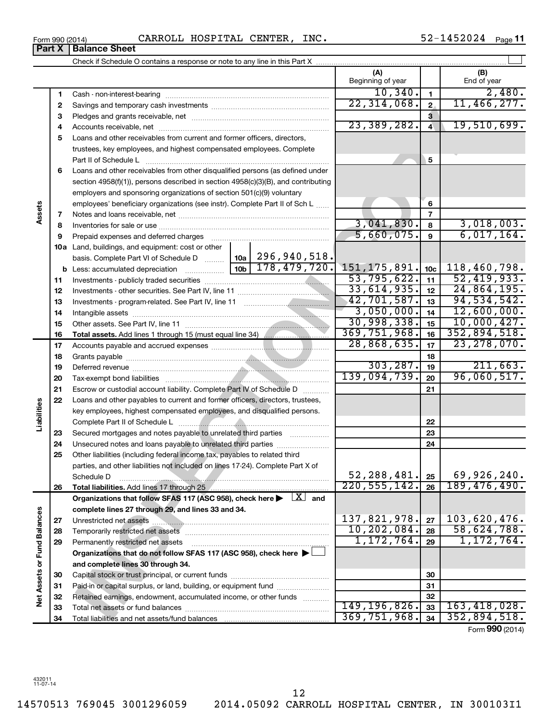## Form 990 (2014) **CARROLL HOSPITAL CENTER, INC.** 52-1452024  $P_{\text{age}}$

**Part X Balance Sheet**

52-1452024 Page 11

|                             |          |                                                                                                                                                                                                                               | (A)<br>Beginning of year |                 | (B)<br>End of year                   |
|-----------------------------|----------|-------------------------------------------------------------------------------------------------------------------------------------------------------------------------------------------------------------------------------|--------------------------|-----------------|--------------------------------------|
|                             | 1        |                                                                                                                                                                                                                               | 10, 340.                 | $\mathbf{1}$    | 2,480.                               |
|                             | 2        |                                                                                                                                                                                                                               | 22, 314, 068.            | $\mathbf{2}$    | 11,466,277.                          |
|                             | З        |                                                                                                                                                                                                                               |                          | 3               |                                      |
|                             | 4        |                                                                                                                                                                                                                               | 23,389,282.              | $\overline{4}$  | 19,510,699.                          |
|                             | 5        | Loans and other receivables from current and former officers, directors,                                                                                                                                                      |                          |                 |                                      |
|                             |          | trustees, key employees, and highest compensated employees. Complete                                                                                                                                                          |                          |                 |                                      |
|                             |          | Part II of Schedule L                                                                                                                                                                                                         |                          | 5               |                                      |
|                             | 6        | Loans and other receivables from other disqualified persons (as defined under                                                                                                                                                 |                          |                 |                                      |
|                             |          | section 4958(f)(1)), persons described in section 4958(c)(3)(B), and contributing                                                                                                                                             |                          |                 |                                      |
|                             |          | employers and sponsoring organizations of section 501(c)(9) voluntary                                                                                                                                                         |                          |                 |                                      |
|                             |          | employees' beneficiary organizations (see instr). Complete Part II of Sch L                                                                                                                                                   |                          | 6               |                                      |
| Assets                      | 7        |                                                                                                                                                                                                                               |                          | $\overline{7}$  |                                      |
|                             | 8        |                                                                                                                                                                                                                               | 3,041,830.               | 8               | 3,018,003.                           |
|                             | 9        | Prepaid expenses and deferred charges [11] [11] Prepaid expenses and deferred charges [11] [11] Martin Marian Marian Marian Marian Marian Marian Marian Marian Marian Marian Marian Marian Marian Marian Marian Marian Marian | 5,660,075.               | $\mathbf{9}$    | 6,017,164.                           |
|                             |          | 10a Land, buildings, and equipment: cost or other                                                                                                                                                                             |                          |                 |                                      |
|                             |          | basis. Complete Part VI of Schedule D    10a   296, 940, 518.                                                                                                                                                                 |                          |                 |                                      |
|                             |          | $\overline{10b}$ 178, 479, 720.<br><b>b</b> Less: accumulated depreciation <i>mimimimini</i>                                                                                                                                  | 151, 175, 891.           | 10 <sub>c</sub> | 118,460,798.                         |
|                             | 11       |                                                                                                                                                                                                                               | 53,795,622.              | 11              | 52,419,933.                          |
|                             | 12       |                                                                                                                                                                                                                               | 33,614,935.              | 12              | 24,864,195.                          |
|                             | 13       |                                                                                                                                                                                                                               | 42,701,587.              | 13              | 94, 534, 542.                        |
|                             | 14       |                                                                                                                                                                                                                               | 3,050,000.               | 14              | 12,600,000.                          |
|                             | 15       |                                                                                                                                                                                                                               | 30,998,338.              | 15              | 10,000,427.                          |
|                             | 16       |                                                                                                                                                                                                                               | 369,751,968.             | 16              | 352,894,518.<br>23, 278, 070.        |
|                             | 17       |                                                                                                                                                                                                                               | 28,868,635.              | 17              |                                      |
|                             | 18       |                                                                                                                                                                                                                               | 303, 287.                | 18              | 211,663.                             |
|                             | 19       |                                                                                                                                                                                                                               | 139,094,739.             | 19              | 96,060,517.                          |
|                             | 20       |                                                                                                                                                                                                                               |                          | 20<br>21        |                                      |
|                             | 21<br>22 | Escrow or custodial account liability. Complete Part IV of Schedule D<br>Loans and other payables to current and former officers, directors, trustees,                                                                        |                          |                 |                                      |
| Liabilities                 |          | key employees, highest compensated employees, and disqualified persons.                                                                                                                                                       |                          |                 |                                      |
|                             |          |                                                                                                                                                                                                                               |                          | 22              |                                      |
|                             | 23       | Secured mortgages and notes payable to unrelated third parties                                                                                                                                                                |                          | 23              |                                      |
|                             | 24       | Unsecured notes and loans payable to unrelated third parties                                                                                                                                                                  |                          | 24              |                                      |
|                             | 25       | Other liabilities (including federal income tax, payables to related third                                                                                                                                                    |                          |                 |                                      |
|                             |          | parties, and other liabilities not included on lines 17-24). Complete Part X of                                                                                                                                               |                          |                 |                                      |
|                             |          | Schedule D                                                                                                                                                                                                                    | 52, 288, 481.            | 25              | 69,926,240.                          |
|                             | 26       |                                                                                                                                                                                                                               | 220, 555, 142.           | 26              | 189,476,490.                         |
|                             |          | Organizations that follow SFAS 117 (ASC 958), check here $\blacktriangleright \begin{array}{c} \boxed{X} \\ \end{array}$ and                                                                                                  |                          |                 |                                      |
|                             |          | complete lines 27 through 29, and lines 33 and 34.                                                                                                                                                                            |                          |                 |                                      |
|                             | 27       | Unrestricted net assets                                                                                                                                                                                                       | 137,821,978.             | 27              | 103,620,476.                         |
|                             | 28       |                                                                                                                                                                                                                               | 10, 202, 084.            | 28              | 58,624,788.                          |
|                             | 29       | Permanently restricted net assets                                                                                                                                                                                             | 1, 172, 764.             | 29              | 1, 172, 764.                         |
|                             |          | Organizations that do not follow SFAS 117 (ASC 958), check here >                                                                                                                                                             |                          |                 |                                      |
|                             |          | and complete lines 30 through 34.                                                                                                                                                                                             |                          |                 |                                      |
| Net Assets or Fund Balances | 30       |                                                                                                                                                                                                                               |                          | 30              |                                      |
|                             | 31       | Paid-in or capital surplus, or land, building, or equipment fund                                                                                                                                                              |                          | 31              |                                      |
|                             | 32       | Retained earnings, endowment, accumulated income, or other funds                                                                                                                                                              |                          | 32              |                                      |
|                             | 33       |                                                                                                                                                                                                                               | 149, 196, 826.           | 33              | 163, 418, 028.                       |
|                             | 34       |                                                                                                                                                                                                                               | 369,751,968.             | 34              | 352,894,518.<br>$T_{2}$ (000 (001 4) |

12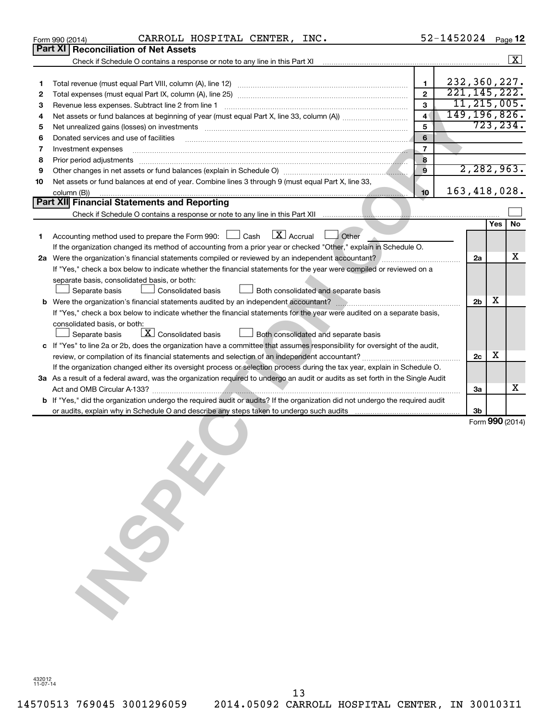|    | CARROLL HOSPITAL CENTER, INC.<br>Form 990 (2014)                                                                                |                | 52-1452024     |                |     | Page 12         |
|----|---------------------------------------------------------------------------------------------------------------------------------|----------------|----------------|----------------|-----|-----------------|
|    | Part XI Reconciliation of Net Assets                                                                                            |                |                |                |     |                 |
|    |                                                                                                                                 |                |                |                |     | $\mathbf{X}$    |
|    |                                                                                                                                 |                |                |                |     |                 |
| 1  |                                                                                                                                 | $\mathbf{1}$   | 232,360,227.   |                |     |                 |
| 2  |                                                                                                                                 | $\overline{2}$ | 221, 145, 222. |                |     |                 |
| 3  |                                                                                                                                 | $\overline{3}$ |                | 11, 215, 005.  |     |                 |
| 4  |                                                                                                                                 | $\overline{4}$ | 149, 196, 826. |                |     |                 |
| 5  | Net unrealized gains (losses) on investments [11] matter continuum matter is a set of the set of the set of the                 | 5              |                |                |     | 723, 234.       |
| 6  | Donated services and use of facilities                                                                                          | 6              |                |                |     |                 |
| 7  | Investment expenses                                                                                                             | $\overline{7}$ |                |                |     |                 |
| 8  |                                                                                                                                 | 8              |                |                |     |                 |
|    | Prior period adjustments <i>manufacture content and adjustments</i> and anti-                                                   | $\mathbf{9}$   |                | 2, 282, 963.   |     |                 |
| 9  |                                                                                                                                 |                |                |                |     |                 |
| 10 | Net assets or fund balances at end of year. Combine lines 3 through 9 (must equal Part X, line 33,                              |                | 163, 418, 028. |                |     |                 |
|    | column (B))                                                                                                                     | 10             |                |                |     |                 |
|    | Part XII Financial Statements and Reporting                                                                                     |                |                |                |     |                 |
|    |                                                                                                                                 |                |                |                |     |                 |
|    |                                                                                                                                 |                |                |                | Yes | No              |
| 1. | $\lfloor \mathbf{X} \rfloor$ Accrual<br>$\Box$ Other<br>Accounting method used to prepare the Form 990: [130] Cash              |                |                |                |     |                 |
|    | If the organization changed its method of accounting from a prior year or checked "Other," explain in Schedule O.               |                |                |                |     |                 |
|    |                                                                                                                                 |                |                | 2a             |     | х               |
|    | If "Yes," check a box below to indicate whether the financial statements for the year were compiled or reviewed on a            |                |                |                |     |                 |
|    | separate basis, consolidated basis, or both:                                                                                    |                |                |                |     |                 |
|    | <b>Consolidated basis</b><br>Separate basis<br>Both consolidated and separate basis                                             |                |                |                |     |                 |
|    |                                                                                                                                 |                |                | 2 <sub>b</sub> | х   |                 |
|    | If "Yes," check a box below to indicate whether the financial statements for the year were audited on a separate basis,         |                |                |                |     |                 |
|    | consolidated basis, or both:                                                                                                    |                |                |                |     |                 |
|    | $\boxed{\textbf{X}}$ Consolidated basis<br>Separate basis<br>Both consolidated and separate basis                               |                |                |                |     |                 |
|    | c If "Yes" to line 2a or 2b, does the organization have a committee that assumes responsibility for oversight of the audit,     |                |                |                |     |                 |
|    |                                                                                                                                 |                |                | 2c             | х   |                 |
|    | If the organization changed either its oversight process or selection process during the tax year, explain in Schedule O.       |                |                |                |     |                 |
|    | 3a As a result of a federal award, was the organization required to undergo an audit or audits as set forth in the Single Audit |                |                |                |     |                 |
|    |                                                                                                                                 |                |                | За             |     | х               |
|    | b If "Yes," did the organization undergo the required audit or audits? If the organization did not undergo the required audit   |                |                |                |     |                 |
|    |                                                                                                                                 |                |                | 3b             |     |                 |
|    |                                                                                                                                 |                |                |                |     | Form 990 (2014) |
|    |                                                                                                                                 |                |                |                |     |                 |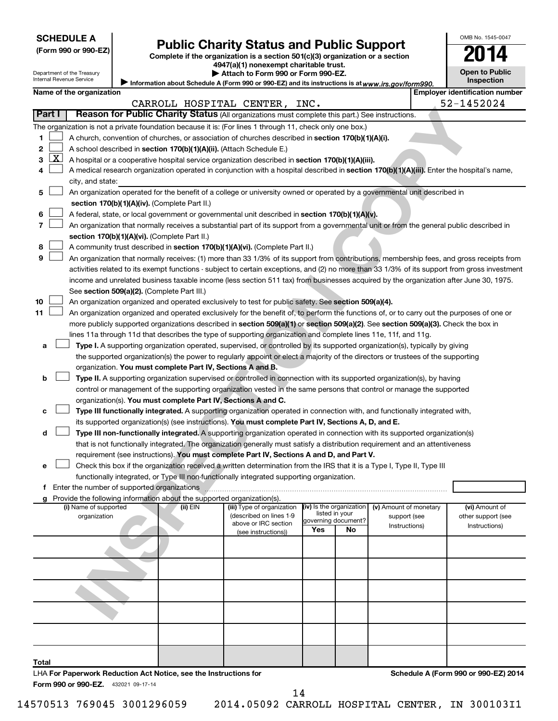| <b>SCHEDULE A</b> |  |
|-------------------|--|
|-------------------|--|

Department of the Treasury Internal Revenue Service

| (Form 990 or 990-EZ |  |
|---------------------|--|
|---------------------|--|

# Form 990 or 990-EZ) **Public Charity Status and Public Support**<br>
Complete if the organization is a section 501(c)(3) organization or a section<br> **2014**

**4947(a)(1) nonexempt charitable trust.**

| Attach to Form 990 or Form 990-EZ.                                                                  |
|-----------------------------------------------------------------------------------------------------|
| / Information about Schedule A (Form 990 or 990-EZ) and its instructions is at www.irs.gov/form990. |

| <b>Open to Public</b><br>Inspection |  |  |  |
|-------------------------------------|--|--|--|
|                                     |  |  |  |

OMB No. 1545-0047

|  | Name of the organization |
|--|--------------------------|
|--|--------------------------|

|                                                                                                                                                                                            | Name of the organization<br>CARROLL HOSPITAL CENTER, INC.                                                                                                                                                                      |            |                            |                          |                           |                        | <b>Employer identification number</b> |  |  |
|--------------------------------------------------------------------------------------------------------------------------------------------------------------------------------------------|--------------------------------------------------------------------------------------------------------------------------------------------------------------------------------------------------------------------------------|------------|----------------------------|--------------------------|---------------------------|------------------------|---------------------------------------|--|--|
| <b>Part I</b>                                                                                                                                                                              | Reason for Public Charity Status (All organizations must complete this part.) See instructions.                                                                                                                                |            |                            |                          |                           |                        | 52-1452024                            |  |  |
|                                                                                                                                                                                            |                                                                                                                                                                                                                                |            |                            |                          |                           |                        |                                       |  |  |
|                                                                                                                                                                                            | The organization is not a private foundation because it is: (For lines 1 through 11, check only one box.)                                                                                                                      |            |                            |                          |                           |                        |                                       |  |  |
| 1.                                                                                                                                                                                         | A church, convention of churches, or association of churches described in section 170(b)(1)(A)(i).                                                                                                                             |            |                            |                          |                           |                        |                                       |  |  |
| 2                                                                                                                                                                                          | A school described in section 170(b)(1)(A)(ii). (Attach Schedule E.)                                                                                                                                                           |            |                            |                          |                           |                        |                                       |  |  |
| $\lfloor x \rfloor$<br>3                                                                                                                                                                   | A hospital or a cooperative hospital service organization described in section 170(b)(1)(A)(iii).                                                                                                                              |            |                            |                          |                           |                        |                                       |  |  |
| 4                                                                                                                                                                                          | A medical research organization operated in conjunction with a hospital described in section 170(b)(1)(A)(iii). Enter the hospital's name,                                                                                     |            |                            |                          |                           |                        |                                       |  |  |
|                                                                                                                                                                                            | city, and state:                                                                                                                                                                                                               |            |                            |                          |                           |                        |                                       |  |  |
| 5                                                                                                                                                                                          | An organization operated for the benefit of a college or university owned or operated by a governmental unit described in                                                                                                      |            |                            |                          |                           |                        |                                       |  |  |
|                                                                                                                                                                                            | section 170(b)(1)(A)(iv). (Complete Part II.)                                                                                                                                                                                  |            |                            |                          |                           |                        |                                       |  |  |
| 6                                                                                                                                                                                          | A federal, state, or local government or governmental unit described in section 170(b)(1)(A)(v).                                                                                                                               |            |                            |                          |                           |                        |                                       |  |  |
| 7                                                                                                                                                                                          | An organization that normally receives a substantial part of its support from a governmental unit or from the general public described in                                                                                      |            |                            |                          |                           |                        |                                       |  |  |
|                                                                                                                                                                                            | section 170(b)(1)(A)(vi). (Complete Part II.)                                                                                                                                                                                  |            |                            |                          |                           |                        |                                       |  |  |
| 8                                                                                                                                                                                          | A community trust described in section 170(b)(1)(A)(vi). (Complete Part II.)                                                                                                                                                   |            |                            |                          |                           |                        |                                       |  |  |
| 9                                                                                                                                                                                          | An organization that normally receives: (1) more than 33 1/3% of its support from contributions, membership fees, and gross receipts from                                                                                      |            |                            |                          |                           |                        |                                       |  |  |
|                                                                                                                                                                                            | activities related to its exempt functions - subject to certain exceptions, and (2) no more than 33 1/3% of its support from gross investment                                                                                  |            |                            |                          |                           |                        |                                       |  |  |
|                                                                                                                                                                                            | income and unrelated business taxable income (less section 511 tax) from businesses acquired by the organization after June 30, 1975.                                                                                          |            |                            |                          |                           |                        |                                       |  |  |
|                                                                                                                                                                                            | See section 509(a)(2). (Complete Part III.)                                                                                                                                                                                    |            |                            |                          |                           |                        |                                       |  |  |
| 10                                                                                                                                                                                         | An organization organized and operated exclusively to test for public safety. See section 509(a)(4).                                                                                                                           |            |                            |                          |                           |                        |                                       |  |  |
| 11                                                                                                                                                                                         | An organization organized and operated exclusively for the benefit of, to perform the functions of, or to carry out the purposes of one or                                                                                     |            |                            |                          |                           |                        |                                       |  |  |
|                                                                                                                                                                                            | more publicly supported organizations described in section 509(a)(1) or section 509(a)(2). See section 509(a)(3). Check the box in                                                                                             |            |                            |                          |                           |                        |                                       |  |  |
|                                                                                                                                                                                            | lines 11a through 11d that describes the type of supporting organization and complete lines 11e, 11f, and 11g.                                                                                                                 |            |                            |                          |                           |                        |                                       |  |  |
| Type I. A supporting organization operated, supervised, or controlled by its supported organization(s), typically by giving<br>a                                                           |                                                                                                                                                                                                                                |            |                            |                          |                           |                        |                                       |  |  |
| the supported organization(s) the power to regularly appoint or elect a majority of the directors or trustees of the supporting                                                            |                                                                                                                                                                                                                                |            |                            |                          |                           |                        |                                       |  |  |
| organization. You must complete Part IV, Sections A and B.<br>Type II. A supporting organization supervised or controlled in connection with its supported organization(s), by having<br>b |                                                                                                                                                                                                                                |            |                            |                          |                           |                        |                                       |  |  |
|                                                                                                                                                                                            |                                                                                                                                                                                                                                |            |                            |                          |                           |                        |                                       |  |  |
|                                                                                                                                                                                            | control or management of the supporting organization vested in the same persons that control or manage the supported                                                                                                           |            |                            |                          |                           |                        |                                       |  |  |
|                                                                                                                                                                                            | organization(s). You must complete Part IV, Sections A and C.                                                                                                                                                                  |            |                            |                          |                           |                        |                                       |  |  |
| с                                                                                                                                                                                          | Type III functionally integrated. A supporting organization operated in connection with, and functionally integrated with,                                                                                                     |            |                            |                          |                           |                        |                                       |  |  |
|                                                                                                                                                                                            | its supported organization(s) (see instructions). You must complete Part IV, Sections A, D, and E.                                                                                                                             |            |                            |                          |                           |                        |                                       |  |  |
| d                                                                                                                                                                                          | Type III non-functionally integrated. A supporting organization operated in connection with its supported organization(s)                                                                                                      |            |                            |                          |                           |                        |                                       |  |  |
|                                                                                                                                                                                            | that is not functionally integrated. The organization generally must satisfy a distribution requirement and an attentiveness                                                                                                   |            |                            |                          |                           |                        |                                       |  |  |
|                                                                                                                                                                                            | requirement (see instructions). You must complete Part IV, Sections A and D, and Part V.                                                                                                                                       |            |                            |                          |                           |                        |                                       |  |  |
| e                                                                                                                                                                                          | Check this box if the organization received a written determination from the IRS that it is a Type I, Type II, Type III                                                                                                        |            |                            |                          |                           |                        |                                       |  |  |
|                                                                                                                                                                                            | functionally integrated, or Type III non-functionally integrated supporting organization.                                                                                                                                      |            |                            |                          |                           |                        |                                       |  |  |
|                                                                                                                                                                                            | f Enter the number of supported organizations [100] continuum continuum contract to make a set of supported organizations [100] continuum contract to make a set of the number of supported organizations [100] continuum cont |            |                            |                          |                           |                        |                                       |  |  |
|                                                                                                                                                                                            | g Provide the following information about the supported organization(s).<br>(i) Name of supported                                                                                                                              | $(ii)$ EIN | (iii) Type of organization | (iv) Is the organization |                           | (v) Amount of monetary | (vi) Amount of                        |  |  |
|                                                                                                                                                                                            | organization                                                                                                                                                                                                                   |            | (described on lines 1-9    | listed in your           |                           | support (see           | other support (see                    |  |  |
|                                                                                                                                                                                            |                                                                                                                                                                                                                                |            | above or IRC section       | Yes                      | governing document?<br>No | Instructions)          | Instructions)                         |  |  |
|                                                                                                                                                                                            |                                                                                                                                                                                                                                |            | (see instructions))        |                          |                           |                        |                                       |  |  |
|                                                                                                                                                                                            |                                                                                                                                                                                                                                |            |                            |                          |                           |                        |                                       |  |  |
|                                                                                                                                                                                            |                                                                                                                                                                                                                                |            |                            |                          |                           |                        |                                       |  |  |
|                                                                                                                                                                                            |                                                                                                                                                                                                                                |            |                            |                          |                           |                        |                                       |  |  |
|                                                                                                                                                                                            |                                                                                                                                                                                                                                |            |                            |                          |                           |                        |                                       |  |  |
|                                                                                                                                                                                            |                                                                                                                                                                                                                                |            |                            |                          |                           |                        |                                       |  |  |
|                                                                                                                                                                                            |                                                                                                                                                                                                                                |            |                            |                          |                           |                        |                                       |  |  |
|                                                                                                                                                                                            |                                                                                                                                                                                                                                |            |                            |                          |                           |                        |                                       |  |  |
|                                                                                                                                                                                            |                                                                                                                                                                                                                                |            |                            |                          |                           |                        |                                       |  |  |
|                                                                                                                                                                                            |                                                                                                                                                                                                                                |            |                            |                          |                           |                        |                                       |  |  |
|                                                                                                                                                                                            |                                                                                                                                                                                                                                |            |                            |                          |                           |                        |                                       |  |  |
| Total                                                                                                                                                                                      |                                                                                                                                                                                                                                |            |                            |                          |                           |                        |                                       |  |  |
|                                                                                                                                                                                            | LHA For Paperwork Reduction Act Notice, see the Instructions for                                                                                                                                                               |            |                            |                          |                           |                        | Schedule A (Form 990 or 990-EZ) 2014  |  |  |
|                                                                                                                                                                                            | Form 990 or 990-EZ. 432021 09-17-14                                                                                                                                                                                            |            |                            |                          |                           |                        |                                       |  |  |

14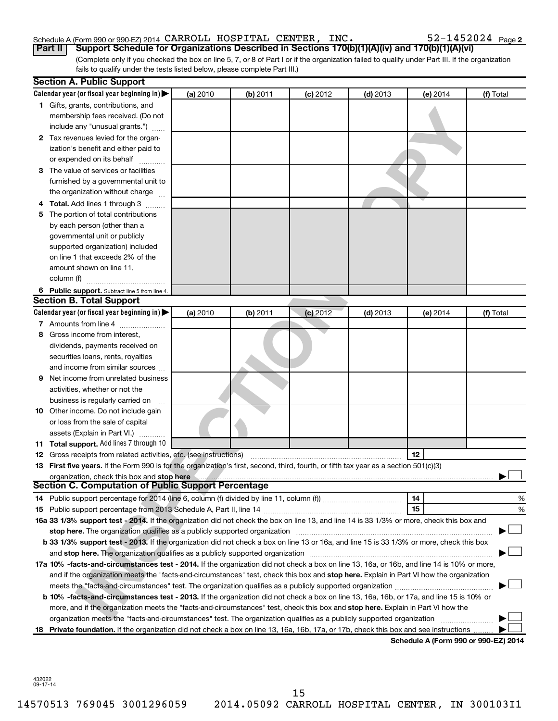## Schedule A (Form 990 or 990-EZ) 2014  $\,$  CARROLL <code>HOSPITAL CENTER</code> , <code>INC</code> .  $\,$   $\,$   $\,$  52-1452024 <code>Page</code>

(Complete only if you checked the box on line 5, 7, or 8 of Part I or if the organization failed to qualify under Part III. If the organization **Part II Support Schedule for Organizations Described in Sections 170(b)(1)(A)(iv) and 170(b)(1)(A)(vi)**

fails to qualify under the tests listed below, please complete Part III.)

|    | <b>Section A. Public Support</b>                                                                                                                                                                                              |          |            |            |            |                                      |           |
|----|-------------------------------------------------------------------------------------------------------------------------------------------------------------------------------------------------------------------------------|----------|------------|------------|------------|--------------------------------------|-----------|
|    | Calendar year (or fiscal year beginning in)                                                                                                                                                                                   | (a) 2010 | (b) 2011   | $(c)$ 2012 | $(d)$ 2013 | (e) 2014                             | (f) Total |
|    | 1 Gifts, grants, contributions, and                                                                                                                                                                                           |          |            |            |            |                                      |           |
|    | membership fees received. (Do not                                                                                                                                                                                             |          |            |            |            |                                      |           |
|    | include any "unusual grants.")                                                                                                                                                                                                |          |            |            |            |                                      |           |
|    | 2 Tax revenues levied for the organ-                                                                                                                                                                                          |          |            |            |            |                                      |           |
|    | ization's benefit and either paid to                                                                                                                                                                                          |          |            |            |            |                                      |           |
|    | or expended on its behalf                                                                                                                                                                                                     |          |            |            |            |                                      |           |
| З. | The value of services or facilities                                                                                                                                                                                           |          |            |            |            |                                      |           |
|    | furnished by a governmental unit to                                                                                                                                                                                           |          |            |            |            |                                      |           |
|    | the organization without charge                                                                                                                                                                                               |          |            |            |            |                                      |           |
|    | <b>Total.</b> Add lines 1 through 3                                                                                                                                                                                           |          |            |            |            |                                      |           |
| 5  | The portion of total contributions                                                                                                                                                                                            |          |            |            |            |                                      |           |
|    | by each person (other than a                                                                                                                                                                                                  |          |            |            |            |                                      |           |
|    | governmental unit or publicly                                                                                                                                                                                                 |          |            |            |            |                                      |           |
|    | supported organization) included                                                                                                                                                                                              |          |            |            |            |                                      |           |
|    | on line 1 that exceeds 2% of the                                                                                                                                                                                              |          |            |            |            |                                      |           |
|    | amount shown on line 11,                                                                                                                                                                                                      |          |            |            |            |                                      |           |
|    | column (f)                                                                                                                                                                                                                    |          |            |            |            |                                      |           |
|    | 6 Public support. Subtract line 5 from line 4.                                                                                                                                                                                |          |            |            |            |                                      |           |
|    | <b>Section B. Total Support</b>                                                                                                                                                                                               |          |            |            |            |                                      |           |
|    | Calendar year (or fiscal year beginning in)                                                                                                                                                                                   | (a) 2010 | $(b)$ 2011 | $(c)$ 2012 | $(d)$ 2013 | (e) 2014                             | (f) Total |
|    | 7 Amounts from line 4                                                                                                                                                                                                         |          |            |            |            |                                      |           |
| 8  | Gross income from interest,                                                                                                                                                                                                   |          |            |            |            |                                      |           |
|    | dividends, payments received on                                                                                                                                                                                               |          |            |            |            |                                      |           |
|    | securities loans, rents, royalties                                                                                                                                                                                            |          |            |            |            |                                      |           |
| 9  | and income from similar sources<br>Net income from unrelated business                                                                                                                                                         |          |            |            |            |                                      |           |
|    | activities, whether or not the                                                                                                                                                                                                |          |            |            |            |                                      |           |
|    | business is regularly carried on                                                                                                                                                                                              |          |            |            |            |                                      |           |
|    | <b>10</b> Other income. Do not include gain                                                                                                                                                                                   |          |            |            |            |                                      |           |
|    | or loss from the sale of capital                                                                                                                                                                                              |          |            |            |            |                                      |           |
|    | assets (Explain in Part VI.)                                                                                                                                                                                                  |          |            |            |            |                                      |           |
|    | 11 Total support. Add lines 7 through 10                                                                                                                                                                                      |          |            |            |            |                                      |           |
|    | <b>12</b> Gross receipts from related activities, etc. (see instructions)                                                                                                                                                     |          |            |            |            | 12                                   |           |
|    | 13 First five years. If the Form 990 is for the organization's first, second, third, fourth, or fifth tax year as a section 501(c)(3)                                                                                         |          |            |            |            |                                      |           |
|    | organization, check this box and stop here                                                                                                                                                                                    |          |            |            |            |                                      |           |
|    | Section C. Computation of Public Support Percentage                                                                                                                                                                           |          |            |            |            |                                      |           |
|    |                                                                                                                                                                                                                               |          |            |            |            | 14                                   | %         |
|    |                                                                                                                                                                                                                               |          |            |            |            | 15                                   | %         |
|    | 16a 33 1/3% support test - 2014. If the organization did not check the box on line 13, and line 14 is 33 1/3% or more, check this box and                                                                                     |          |            |            |            |                                      |           |
|    | stop here. The organization qualifies as a publicly supported organization manufaction manufacture or manufacture manufacture manufacture manufacture manufacture manufacture manufacture manufacture manufacture manufacture |          |            |            |            |                                      |           |
|    | b 33 1/3% support test - 2013. If the organization did not check a box on line 13 or 16a, and line 15 is 33 1/3% or more, check this box                                                                                      |          |            |            |            |                                      |           |
|    |                                                                                                                                                                                                                               |          |            |            |            |                                      |           |
|    | 17a 10% -facts-and-circumstances test - 2014. If the organization did not check a box on line 13, 16a, or 16b, and line 14 is 10% or more,                                                                                    |          |            |            |            |                                      |           |
|    | and if the organization meets the "facts-and-circumstances" test, check this box and stop here. Explain in Part VI how the organization                                                                                       |          |            |            |            |                                      |           |
|    |                                                                                                                                                                                                                               |          |            |            |            |                                      |           |
|    | b 10% -facts-and-circumstances test - 2013. If the organization did not check a box on line 13, 16a, 16b, or 17a, and line 15 is 10% or                                                                                       |          |            |            |            |                                      |           |
|    | more, and if the organization meets the "facts-and-circumstances" test, check this box and stop here. Explain in Part VI how the                                                                                              |          |            |            |            |                                      |           |
|    | organization meets the "facts-and-circumstances" test. The organization qualifies as a publicly supported organization                                                                                                        |          |            |            |            |                                      |           |
|    | 18 Private foundation. If the organization did not check a box on line 13, 16a, 16b, 17a, or 17b, check this box and see instructions.                                                                                        |          |            |            |            |                                      |           |
|    |                                                                                                                                                                                                                               |          |            |            |            | Schedule A (Form 990 or 990-EZ) 2014 |           |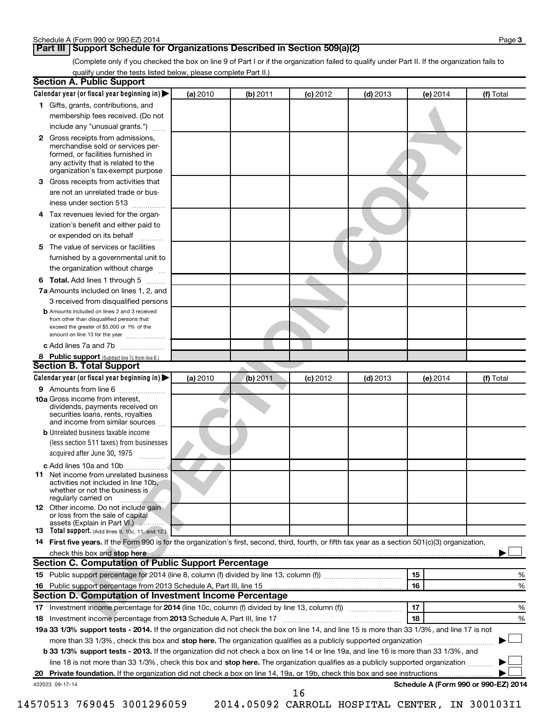## **Part III Support Schedule for Organizations Described in Section 509(a)(2)**

(Complete only if you checked the box on line 9 of Part I or if the organization failed to qualify under Part II. If the organization fails to qualify under the tests listed below, please complete Part II.)

|     | <b>Section A. Public Support</b>                                                                                                                                                         |          |          |            |            |            |                                      |
|-----|------------------------------------------------------------------------------------------------------------------------------------------------------------------------------------------|----------|----------|------------|------------|------------|--------------------------------------|
|     | Calendar year (or fiscal year beginning in)                                                                                                                                              | (a) 2010 | (b) 2011 | $(c)$ 2012 | $(d)$ 2013 | $(e)$ 2014 | (f) Total                            |
|     | 1 Gifts, grants, contributions, and                                                                                                                                                      |          |          |            |            |            |                                      |
|     | membership fees received. (Do not                                                                                                                                                        |          |          |            |            |            |                                      |
|     | include any "unusual grants.")                                                                                                                                                           |          |          |            |            |            |                                      |
|     | 2 Gross receipts from admissions,<br>merchandise sold or services per-<br>formed, or facilities furnished in<br>any activity that is related to the<br>organization's tax-exempt purpose |          |          |            |            |            |                                      |
|     | <b>3</b> Gross receipts from activities that                                                                                                                                             |          |          |            |            |            |                                      |
|     | are not an unrelated trade or bus-                                                                                                                                                       |          |          |            |            |            |                                      |
|     | iness under section 513                                                                                                                                                                  |          |          |            |            |            |                                      |
|     | 4 Tax revenues levied for the organ-                                                                                                                                                     |          |          |            |            |            |                                      |
|     | ization's benefit and either paid to                                                                                                                                                     |          |          |            |            |            |                                      |
|     | or expended on its behalf                                                                                                                                                                |          |          |            |            |            |                                      |
|     | 5 The value of services or facilities                                                                                                                                                    |          |          |            |            |            |                                      |
|     | furnished by a governmental unit to                                                                                                                                                      |          |          |            |            |            |                                      |
|     | the organization without charge                                                                                                                                                          |          |          |            |            |            |                                      |
|     | <b>6 Total.</b> Add lines 1 through 5                                                                                                                                                    |          |          |            |            |            |                                      |
|     | 7a Amounts included on lines 1, 2, and                                                                                                                                                   |          |          |            |            |            |                                      |
|     | 3 received from disqualified persons                                                                                                                                                     |          |          |            |            |            |                                      |
|     | <b>b</b> Amounts included on lines 2 and 3 received<br>from other than disqualified persons that<br>exceed the greater of \$5,000 or 1% of the<br>amount on line 13 for the year         |          |          |            |            |            |                                      |
|     | c Add lines 7a and 7b                                                                                                                                                                    |          |          |            |            |            |                                      |
|     | 8 Public support (Subtract line 7c from line 6.)                                                                                                                                         |          |          |            |            |            |                                      |
|     | <b>Section B. Total Support</b>                                                                                                                                                          |          |          |            |            |            |                                      |
|     | Calendar year (or fiscal year beginning in)                                                                                                                                              | (a) 2010 | (b) 2011 | $(c)$ 2012 | $(d)$ 2013 | (e) 2014   | (f) Total                            |
|     | 9 Amounts from line 6                                                                                                                                                                    |          |          |            |            |            |                                      |
|     | <b>10a</b> Gross income from interest,<br>dividends, payments received on<br>securities loans, rents, royalties<br>and income from similar sources                                       |          |          |            |            |            |                                      |
|     | <b>b</b> Unrelated business taxable income                                                                                                                                               |          |          |            |            |            |                                      |
|     | (less section 511 taxes) from businesses                                                                                                                                                 |          |          |            |            |            |                                      |
|     | acquired after June 30, 1975                                                                                                                                                             |          |          |            |            |            |                                      |
|     | c Add lines 10a and 10b                                                                                                                                                                  |          |          |            |            |            |                                      |
| 11. | Net income from unrelated business<br>activities not included in line 10b.<br>whether or not the business is<br>regularly carried on                                                     |          |          |            |            |            |                                      |
|     | <b>12</b> Other income. Do not include gain<br>or loss from the sale of capital<br>assets (Explain in Part VI.)                                                                          |          |          |            |            |            |                                      |
|     | <b>13</b> Total support. (Add lines 9, 10c, 11, and 12.)                                                                                                                                 |          |          |            |            |            |                                      |
|     | 14 First five years. If the Form 990 is for the organization's first, second, third, fourth, or fifth tax year as a section 501(c)(3) organization,                                      |          |          |            |            |            |                                      |
|     |                                                                                                                                                                                          |          |          |            |            |            |                                      |
|     | <b>Section C. Computation of Public Support Percentage</b>                                                                                                                               |          |          |            |            |            |                                      |
|     |                                                                                                                                                                                          |          |          |            |            | 15         | %                                    |
|     |                                                                                                                                                                                          |          |          |            |            | 16         | %                                    |
|     | Section D. Computation of Investment Income Percentage                                                                                                                                   |          |          |            |            |            |                                      |
|     | 17 Investment income percentage for 2014 (line 10c, column (f) divided by line 13, column (f))                                                                                           |          |          |            |            | 17         | %                                    |
|     | 18 Investment income percentage from 2013 Schedule A, Part III, line 17                                                                                                                  |          |          |            |            | 18         | %                                    |
|     | 19a 33 1/3% support tests - 2014. If the organization did not check the box on line 14, and line 15 is more than 33 1/3%, and line 17 is not                                             |          |          |            |            |            |                                      |
|     | more than 33 1/3%, check this box and stop here. The organization qualifies as a publicly supported organization                                                                         |          |          |            |            |            |                                      |
|     | b 33 1/3% support tests - 2013. If the organization did not check a box on line 14 or line 19a, and line 16 is more than 33 1/3%, and                                                    |          |          |            |            |            |                                      |
|     | line 18 is not more than 33 1/3%, check this box and stop here. The organization qualifies as a publicly supported organization                                                          |          |          |            |            |            |                                      |
|     |                                                                                                                                                                                          |          |          |            |            |            |                                      |
|     | 432023 09-17-14                                                                                                                                                                          |          |          | 16         |            |            | Schedule A (Form 990 or 990-EZ) 2014 |

14570513 769045 3001296059 2014.05092 CARROLL HOSPITAL CENTER, IN 300103I1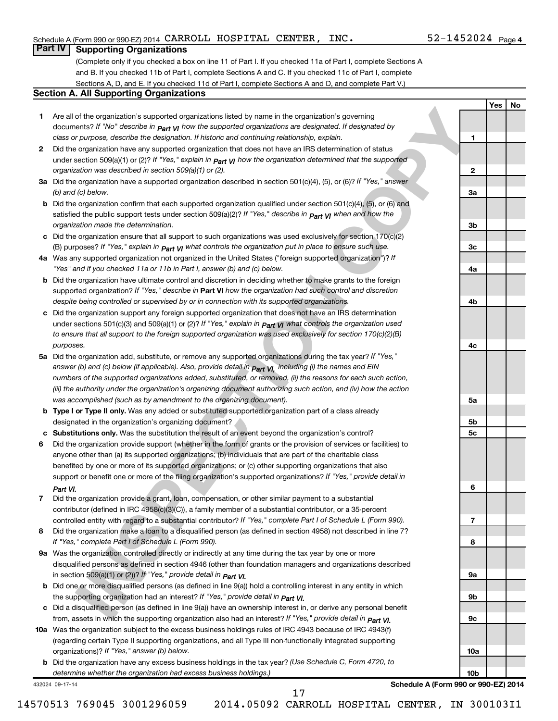## Schedule A (Form 990 or 990-EZ) 2014  $\,$  CARROLL <code>HOSPITAL CENTER</code> , <code>INC</code> .  $\,$   $\,$   $\,$  52-1452024 <code>Page</code>

## $52 - 1452024$  Page 4

**1**

**2**

**3a**

**3b**

**3c**

**4a**

**4b**

**4c**

**5a**

**5b 5c**

**6**

**7**

**8**

**9a**

**9b**

**9c**

**10a**

**10b**

**Yes No**

## **Part IV Supporting Organizations**

(Complete only if you checked a box on line 11 of Part I. If you checked 11a of Part I, complete Sections A and B. If you checked 11b of Part I, complete Sections A and C. If you checked 11c of Part I, complete Sections A, D, and E. If you checked 11d of Part I, complete Sections A and D, and complete Part V.)

#### **Section A. All Supporting Organizations**

| Are all of the organization's supported organizations listed by name in the organization's governing                   |
|------------------------------------------------------------------------------------------------------------------------|
| documents? If "No" describe in $P_{\text{art}}$ $V_I$ how the supported organizations are designated. If designated by |
| class or purpose, describe the designation. If historic and continuing relationship, explain.                          |

- **2** Did the organization have any supported organization that does not have an IRS determination of status under section 509(a)(1) or (2)? If "Yes," explain in **p<sub>art VI</sub> how the organization determined that the supported** *organization was described in section 509(a)(1) or (2).*
- **3a** Did the organization have a supported organization described in section 501(c)(4), (5), or (6)? If "Yes," answer *(b) and (c) below.*
- **b** Did the organization confirm that each supported organization qualified under section 501(c)(4), (5), or (6) and satisfied the public support tests under section 509(a)(2)? If "Yes," describe in  $_{\rm Part}$   $_{\rm VI}$  when and how the *organization made the determination.*
- **c** Did the organization ensure that all support to such organizations was used exclusively for section 170(c)(2) (B) purposes? If "Yes," explain in  $_{\mathsf{Part}}$   $_{\mathsf{V}}$  what controls the organization put in place to ensure such use.
- **4 a** *If* Was any supported organization not organized in the United States ("foreign supported organization")? *"Yes" and if you checked 11a or 11b in Part I, answer (b) and (c) below.*
- **b** Did the organization have ultimate control and discretion in deciding whether to make grants to the foreign supported organization? If "Yes," describe in Part VI how the organization had such control and discretion *despite being controlled or supervised by or in connection with its supported organizations.*
- **c** Did the organization support any foreign supported organization that does not have an IRS determination under sections 501(c)(3) and 509(a)(1) or (2)? If "Yes," ex*plain in*  $_{\sf Part}$  *VI what controls the organization used to ensure that all support to the foreign supported organization was used exclusively for section 170(c)(2)(B) purposes.*
- **5a** Did the organization add, substitute, or remove any supported organizations during the tax year? If "Yes," answer (b) and (c) below (if applicable). Also, provide detail in  $_{\rm Part}$   $_{\rm VI,}$  including (i) the names and EIN *numbers of the supported organizations added, substituted, or removed, (ii) the reasons for each such action, (iii) the authority under the organization's organizing document authorizing such action, and (iv) how the action was accomplished (such as by amendment to the organizing document).*
- **b** Type I or Type II only. Was any added or substituted supported organization part of a class already designated in the organization's organizing document?
- **c Substitutions only.**  Was the substitution the result of an event beyond the organization's control?
- **If the cognitizations associated cognitization** in the significant of the cognitization given in the collection of the collection of the collection of the collection of the collection of the collection of the collection o **6** Did the organization provide support (whether in the form of grants or the provision of services or facilities) to support or benefit one or more of the filing organization's supported organizations? If "Yes," provide detail in anyone other than (a) its supported organizations; (b) individuals that are part of the charitable class benefited by one or more of its supported organizations; or (c) other supporting organizations that also *Part VI.*
- **7** Did the organization provide a grant, loan, compensation, or other similar payment to a substantial controlled entity with regard to a substantial contributor? If "Yes," complete Part I of Schedule L (Form 990). contributor (defined in IRC 4958(c)(3)(C)), a family member of a substantial contributor, or a 35-percent
- **8** Did the organization make a loan to a disqualified person (as defined in section 4958) not described in line 7? *If "Yes," complete Part I of Schedule L (Form 990).*
- **9 a** Was the organization controlled directly or indirectly at any time during the tax year by one or more *If "Yes," provide detail in*  in section 509(a)(1) or (2))? *Part VI.* disqualified persons as defined in section 4946 (other than foundation managers and organizations described
- **b** Did one or more disqualified persons (as defined in line 9(a)) hold a controlling interest in any entity in which  *If "Yes," provide detail in*  the supporting organization had an interest? *Part VI.*
- **c** Did a disqualified person (as defined in line 9(a)) have an ownership interest in, or derive any personal benefit from, assets in which the supporting organization also had an interest? If "Yes," *provide detail in Part VI.*
- **10 a** Was the organization subject to the excess business holdings rules of IRC 4943 because of IRC 4943(f)  *If "Yes," answer (b) below.* organizations)? (regarding certain Type II supporting organizations, and all Type III non-functionally integrated supporting
	- **b** Did the organization have any excess business holdings in the tax year? (Use Schedule C, Form 4720, to *determine whether the organization had excess business holdings.)*

432024 09-17-14

**Schedule A (Form 990 or 990-EZ) 2014**

14570513 769045 3001296059 2014.05092 CARROLL HOSPITAL CENTER, IN 300103I1

17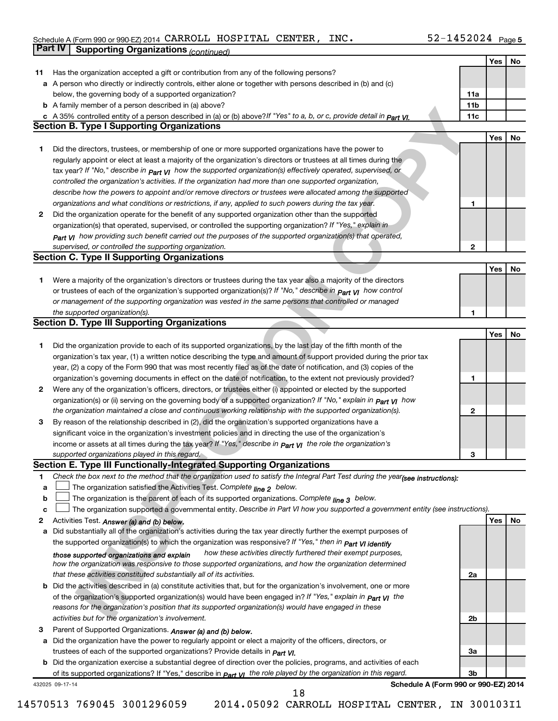#### Schedule A (Form 990 or 990-EZ) 2014 CARROLL HOSPITAL CENTER,INC。 5Z-I45ZUZ4 Page CARROLL HOSPITAL CENTER, INC. 52-1452024

|    | Part IV<br><b>Supporting Organizations (continued)</b>                                                                                                 |                 |     |    |
|----|--------------------------------------------------------------------------------------------------------------------------------------------------------|-----------------|-----|----|
|    |                                                                                                                                                        |                 | Yes | No |
| 11 | Has the organization accepted a gift or contribution from any of the following persons?                                                                |                 |     |    |
|    | a A person who directly or indirectly controls, either alone or together with persons described in (b) and (c)                                         |                 |     |    |
|    | below, the governing body of a supported organization?                                                                                                 | 11a             |     |    |
|    | <b>b</b> A family member of a person described in (a) above?                                                                                           | 11 <sub>b</sub> |     |    |
|    | c A 35% controlled entity of a person described in (a) or (b) above? If "Yes" to a, b, or c, provide detail in Part VI.                                | 11c             |     |    |
|    | <b>Section B. Type I Supporting Organizations</b>                                                                                                      |                 |     |    |
|    |                                                                                                                                                        |                 | Yes | No |
| 1  | Did the directors, trustees, or membership of one or more supported organizations have the power to                                                    |                 |     |    |
|    | regularly appoint or elect at least a majority of the organization's directors or trustees at all times during the                                     |                 |     |    |
|    |                                                                                                                                                        |                 |     |    |
|    | tax year? If "No," describe in $_{Part}$ $_{VI}$ how the supported organization(s) effectively operated, supervised, or                                |                 |     |    |
|    | controlled the organization's activities. If the organization had more than one supported organization,                                                |                 |     |    |
|    | describe how the powers to appoint and/or remove directors or trustees were allocated among the supported                                              |                 |     |    |
|    | organizations and what conditions or restrictions, if any, applied to such powers during the tax year.                                                 | 1               |     |    |
| 2  | Did the organization operate for the benefit of any supported organization other than the supported                                                    |                 |     |    |
|    | organization(s) that operated, supervised, or controlled the supporting organization? If "Yes," explain in                                             |                 |     |    |
|    | Part VI how providing such benefit carried out the purposes of the supported organization(s) that operated,                                            |                 |     |    |
|    | supervised, or controlled the supporting organization.                                                                                                 | 2               |     |    |
|    | <b>Section C. Type II Supporting Organizations</b>                                                                                                     |                 |     |    |
|    |                                                                                                                                                        |                 | Yes | No |
| 1  | Were a majority of the organization's directors or trustees during the tax year also a majority of the directors                                       |                 |     |    |
|    | or trustees of each of the organization's supported organization(s)? If "No," describe in Part VI how control                                          |                 |     |    |
|    | or management of the supporting organization was vested in the same persons that controlled or managed                                                 |                 |     |    |
|    | the supported organization(s).                                                                                                                         | 1               |     |    |
|    | <b>Section D. Type III Supporting Organizations</b>                                                                                                    |                 |     |    |
|    |                                                                                                                                                        |                 | Yes | No |
| 1  | Did the organization provide to each of its supported organizations, by the last day of the fifth month of the                                         |                 |     |    |
|    | organization's tax year, (1) a written notice describing the type and amount of support provided during the prior tax                                  |                 |     |    |
|    | year, (2) a copy of the Form 990 that was most recently filed as of the date of notification, and (3) copies of the                                    |                 |     |    |
|    | organization's governing documents in effect on the date of notification, to the extent not previously provided?                                       | 1               |     |    |
| 2  | Were any of the organization's officers, directors, or trustees either (i) appointed or elected by the supported                                       |                 |     |    |
|    | organization(s) or (ii) serving on the governing body of a supported organization? If "No," explain in part VI how                                     |                 |     |    |
|    | the organization maintained a close and continuous working relationship with the supported organization(s).                                            | 2               |     |    |
| 3  | By reason of the relationship described in (2), did the organization's supported organizations have a                                                  |                 |     |    |
|    | significant voice in the organization's investment policies and in directing the use of the organization's                                             |                 |     |    |
|    | income or assets at all times during the tax year? If "Yes," describe in $P_{\text{art } VI}$ the role the organization's                              |                 |     |    |
|    | supported organizations played in this regard.                                                                                                         | з               |     |    |
|    | Section E. Type III Functionally-Integrated Supporting Organizations                                                                                   |                 |     |    |
| 1  | Check the box next to the method that the organization used to satisfy the Integral Part Test during the year(see instructions):                       |                 |     |    |
| a  | The organization satisfied the Activities Test. Complete line 2 below.                                                                                 |                 |     |    |
| b  | The organization is the parent of each of its supported organizations. Complete line 3 below.                                                          |                 |     |    |
| c  | The organization supported a governmental entity. Describe in Part VI how you supported a government entity (see instructions).                        |                 |     |    |
| 2  | Activities Test. Answer (a) and (b) below.                                                                                                             |                 | Yes | No |
| a  | Did substantially all of the organization's activities during the tax year directly further the exempt purposes of                                     |                 |     |    |
|    | the supported organization(s) to which the organization was responsive? If "Yes," then in Part VI identify                                             |                 |     |    |
|    | how these activities directly furthered their exempt purposes,                                                                                         |                 |     |    |
|    | those supported organizations and explain<br>how the organization was responsive to those supported organizations, and how the organization determined |                 |     |    |
|    | that these activities constituted substantially all of its activities.                                                                                 | 2a              |     |    |
|    | <b>b</b> Did the activities described in (a) constitute activities that, but for the organization's involvement, one or more                           |                 |     |    |
|    | of the organization's supported organization(s) would have been engaged in? If "Yes," explain in <b>Part VI</b> the                                    |                 |     |    |
|    |                                                                                                                                                        |                 |     |    |
|    | reasons for the organization's position that its supported organization(s) would have engaged in these                                                 |                 |     |    |
|    | activities but for the organization's involvement.                                                                                                     | 2b              |     |    |
| З  | Parent of Supported Organizations. Answer (a) and (b) below.                                                                                           |                 |     |    |
| а  | Did the organization have the power to regularly appoint or elect a majority of the officers, directors, or                                            |                 |     |    |
|    | trustees of each of the supported organizations? Provide details in <i>Part VI.</i>                                                                    | За              |     |    |
|    | <b>b</b> Did the organization exercise a substantial degree of direction over the policies, programs, and activities of each                           |                 |     |    |
|    | of its supported organizations? If "Yes," describe in $P_{\text{Qff}}$ $y_1$ the role played by the organization in this regard.                       | Зb              |     |    |
|    | Schedule A (Form 990 or 990-EZ) 2014<br>432025 09-17-14<br>18                                                                                          |                 |     |    |
|    |                                                                                                                                                        |                 |     |    |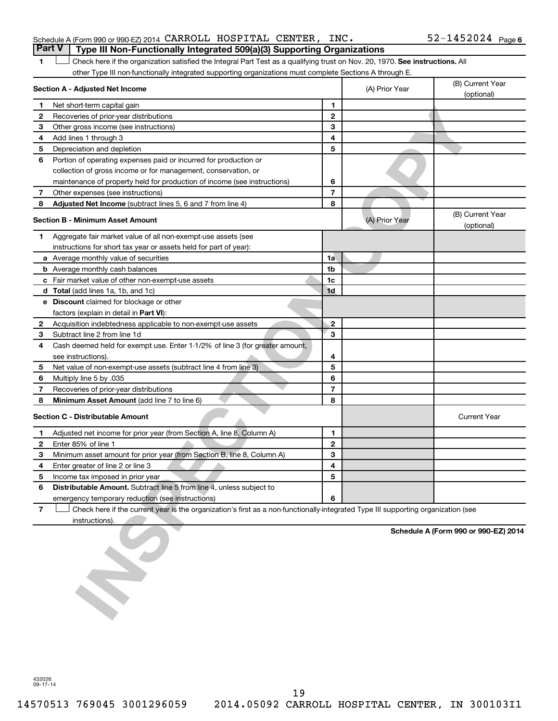|  | Schedule A (Form 990 or 990-EZ) 2014 CARROLL HOSPITAL CENTER, INC.                    |  |  | $52 - 1452024$ Page 6 |  |
|--|---------------------------------------------------------------------------------------|--|--|-----------------------|--|
|  | <b>Part V</b> Type III Non-Functionally Integrated 509(a)(3) Supporting Organizations |  |  |                       |  |

1 **Letter on Reck here if the organization satisfied the Integral Part Test as a qualifying trust on Nov. 20, 1970. See instructions. All** other Type III non-functionally integrated supporting organizations must complete Sections A through E.

|                | Section A - Adjusted Net Income                                                                                                   |                | (A) Prior Year | (B) Current Year                     |
|----------------|-----------------------------------------------------------------------------------------------------------------------------------|----------------|----------------|--------------------------------------|
|                |                                                                                                                                   | 1              |                | (optional)                           |
| 1              | Net short-term capital gain                                                                                                       | $\mathbf{2}$   |                |                                      |
| 2<br>3         | Recoveries of prior-year distributions                                                                                            | 3              |                |                                      |
|                | Other gross income (see instructions)                                                                                             | 4              |                |                                      |
| 4              | Add lines 1 through 3                                                                                                             | 5              |                |                                      |
| 5              | Depreciation and depletion                                                                                                        |                |                |                                      |
| 6              | Portion of operating expenses paid or incurred for production or                                                                  |                |                |                                      |
|                | collection of gross income or for management, conservation, or                                                                    |                |                |                                      |
|                | maintenance of property held for production of income (see instructions)                                                          | 6              |                |                                      |
| 7              | Other expenses (see instructions)                                                                                                 | $\overline{7}$ |                |                                      |
| 8              | Adjusted Net Income (subtract lines 5, 6 and 7 from line 4)                                                                       | 8              |                |                                      |
|                | Section B - Minimum Asset Amount                                                                                                  |                | (A) Prior Year | (B) Current Year<br>(optional)       |
| 1              | Aggregate fair market value of all non-exempt-use assets (see                                                                     |                |                |                                      |
|                | instructions for short tax year or assets held for part of year):                                                                 |                |                |                                      |
|                | a Average monthly value of securities                                                                                             | 1a             |                |                                      |
|                | <b>b</b> Average monthly cash balances                                                                                            | 1b             |                |                                      |
|                | c Fair market value of other non-exempt-use assets                                                                                | 1c             |                |                                      |
|                | d Total (add lines 1a, 1b, and 1c)                                                                                                | 1d             |                |                                      |
|                | e Discount claimed for blockage or other                                                                                          |                |                |                                      |
|                | factors (explain in detail in Part VI):                                                                                           |                |                |                                      |
| 2              | Acquisition indebtedness applicable to non-exempt-use assets                                                                      | $\overline{2}$ |                |                                      |
| 3              | Subtract line 2 from line 1d                                                                                                      | 3              |                |                                      |
| 4              | Cash deemed held for exempt use. Enter 1-1/2% of line 3 (for greater amount,                                                      |                |                |                                      |
|                | see instructions).                                                                                                                | 4              |                |                                      |
| 5              | Net value of non-exempt-use assets (subtract line 4 from line 3)                                                                  | 5              |                |                                      |
| 6              | Multiply line 5 by .035                                                                                                           | 6              |                |                                      |
| 7              | Recoveries of prior-year distributions                                                                                            | $\overline{7}$ |                |                                      |
| 8              | Minimum Asset Amount (add line 7 to line 6)                                                                                       | 8              |                |                                      |
|                | <b>Section C - Distributable Amount</b>                                                                                           |                |                | <b>Current Year</b>                  |
| 1              | Adjusted net income for prior year (from Section A, line 8, Column A)                                                             | 1              |                |                                      |
| $\mathbf{2}$   | Enter 85% of line 1                                                                                                               | $\mathbf{2}$   |                |                                      |
| 3              | Minimum asset amount for prior year (from Section B, line 8, Column A)                                                            | 3              |                |                                      |
| 4              | Enter greater of line 2 or line 3                                                                                                 | 4              |                |                                      |
| 5              | Income tax imposed in prior year                                                                                                  | 5              |                |                                      |
| 6              | Distributable Amount. Subtract line 5 from line 4, unless subject to                                                              |                |                |                                      |
|                | emergency temporary reduction (see instructions)                                                                                  | 6              |                |                                      |
| $\overline{7}$ | Check here if the current year is the organization's first as a non-functionally-integrated Type III supporting organization (see |                |                |                                      |
|                | instructions).                                                                                                                    |                |                |                                      |
|                |                                                                                                                                   |                |                | Schedule A (Form 990 or 990-EZ) 2014 |

432026 09-17-14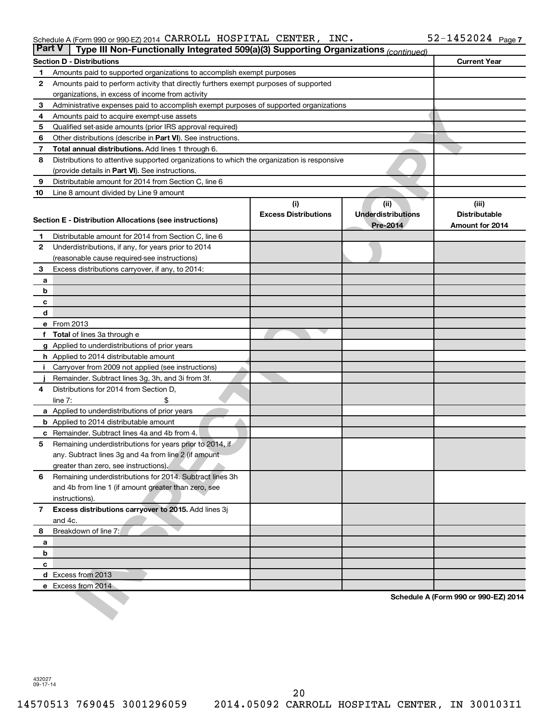### Schedule A (Form 990 or 990-EZ) 2014  $\,$  CARROLL <code>HOSPITAL CENTER</code> , <code>INC</code> .  $\,$   $\,$   $\,$  52-1452024 <code>Page</code>

| <b>Part V</b> |             | Type III Non-Functionally Integrated 509(a)(3) Supporting Organizations (continued)        |                                    |                                                      |                                                  |
|---------------|-------------|--------------------------------------------------------------------------------------------|------------------------------------|------------------------------------------------------|--------------------------------------------------|
|               |             | <b>Section D - Distributions</b>                                                           |                                    |                                                      | <b>Current Year</b>                              |
| 1             |             | Amounts paid to supported organizations to accomplish exempt purposes                      |                                    |                                                      |                                                  |
| 2             |             | Amounts paid to perform activity that directly furthers exempt purposes of supported       |                                    |                                                      |                                                  |
|               |             | organizations, in excess of income from activity                                           |                                    |                                                      |                                                  |
| 3             |             | Administrative expenses paid to accomplish exempt purposes of supported organizations      |                                    |                                                      |                                                  |
| 4             |             | Amounts paid to acquire exempt-use assets                                                  |                                    |                                                      |                                                  |
| 5             |             | Qualified set-aside amounts (prior IRS approval required)                                  |                                    |                                                      |                                                  |
| 6             |             | Other distributions (describe in Part VI). See instructions.                               |                                    |                                                      |                                                  |
| 7             |             | Total annual distributions. Add lines 1 through 6.                                         |                                    |                                                      |                                                  |
| 8             |             | Distributions to attentive supported organizations to which the organization is responsive |                                    |                                                      |                                                  |
|               |             | (provide details in Part VI). See instructions.                                            |                                    |                                                      |                                                  |
| 9             |             | Distributable amount for 2014 from Section C, line 6                                       |                                    |                                                      |                                                  |
| 10            |             | Line 8 amount divided by Line 9 amount                                                     |                                    |                                                      |                                                  |
|               |             | Section E - Distribution Allocations (see instructions)                                    | (i)<br><b>Excess Distributions</b> | (ii)<br><b>Underdistributions</b><br><b>Pre-2014</b> | (iii)<br><b>Distributable</b><br>Amount for 2014 |
| 1             |             | Distributable amount for 2014 from Section C, line 6                                       |                                    |                                                      |                                                  |
| 2             |             | Underdistributions, if any, for years prior to 2014                                        |                                    |                                                      |                                                  |
|               |             | (reasonable cause required-see instructions)                                               |                                    |                                                      |                                                  |
| 3             |             | Excess distributions carryover, if any, to 2014:                                           |                                    |                                                      |                                                  |
| a             |             |                                                                                            |                                    |                                                      |                                                  |
| b             |             |                                                                                            |                                    |                                                      |                                                  |
| с             |             |                                                                                            |                                    |                                                      |                                                  |
| d             |             |                                                                                            |                                    |                                                      |                                                  |
|               | e From 2013 |                                                                                            |                                    |                                                      |                                                  |
| f             |             | <b>Total</b> of lines 3a through e                                                         |                                    |                                                      |                                                  |
|               |             | <b>g</b> Applied to underdistributions of prior years                                      |                                    |                                                      |                                                  |
|               |             | <b>h</b> Applied to 2014 distributable amount                                              |                                    |                                                      |                                                  |
|               |             | Carryover from 2009 not applied (see instructions)                                         |                                    |                                                      |                                                  |
|               |             | Remainder. Subtract lines 3g, 3h, and 3i from 3f.                                          |                                    |                                                      |                                                  |
| 4             | line $7:$   | Distributions for 2014 from Section D,                                                     |                                    |                                                      |                                                  |
|               |             | a Applied to underdistributions of prior years                                             |                                    |                                                      |                                                  |
|               |             | <b>b</b> Applied to 2014 distributable amount                                              |                                    |                                                      |                                                  |
| с             |             | Remainder. Subtract lines 4a and 4b from 4.                                                |                                    |                                                      |                                                  |
| 5             |             | Remaining underdistributions for years prior to 2014, if                                   |                                    |                                                      |                                                  |
|               |             | any. Subtract lines 3g and 4a from line 2 (if amount                                       |                                    |                                                      |                                                  |
|               |             | greater than zero, see instructions),                                                      |                                    |                                                      |                                                  |
| 6             |             | Remaining underdistributions for 2014. Subtract lines 3h                                   |                                    |                                                      |                                                  |
|               |             | and 4b from line 1 (if amount greater than zero, see                                       |                                    |                                                      |                                                  |
|               |             | instructions).                                                                             |                                    |                                                      |                                                  |
| $\mathbf{7}$  |             | Excess distributions carryover to 2015. Add lines 3j                                       |                                    |                                                      |                                                  |
|               | and 4c.     |                                                                                            |                                    |                                                      |                                                  |
| 8             |             | Breakdown of line 7:                                                                       |                                    |                                                      |                                                  |
| a             |             |                                                                                            |                                    |                                                      |                                                  |
| b             |             |                                                                                            |                                    |                                                      |                                                  |
| c             |             |                                                                                            |                                    |                                                      |                                                  |
|               |             | d Excess from 2013                                                                         |                                    |                                                      |                                                  |
|               |             | e Excess from 2014                                                                         |                                    |                                                      |                                                  |
|               |             |                                                                                            |                                    |                                                      | Schedule A (Form 990 or 990-EZ) 2014             |

432027 09-17-14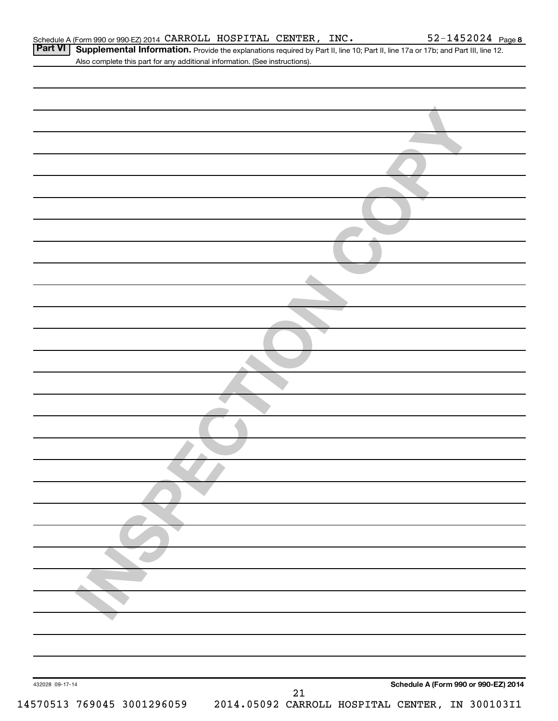|                 | Also complete this part for any additional information. (See instructions). |
|-----------------|-----------------------------------------------------------------------------|
|                 |                                                                             |
|                 |                                                                             |
|                 |                                                                             |
|                 |                                                                             |
|                 |                                                                             |
|                 |                                                                             |
|                 |                                                                             |
|                 |                                                                             |
|                 |                                                                             |
|                 |                                                                             |
|                 |                                                                             |
|                 |                                                                             |
|                 |                                                                             |
|                 |                                                                             |
|                 |                                                                             |
|                 |                                                                             |
|                 |                                                                             |
|                 |                                                                             |
|                 |                                                                             |
|                 |                                                                             |
|                 |                                                                             |
|                 |                                                                             |
|                 |                                                                             |
|                 |                                                                             |
|                 |                                                                             |
|                 |                                                                             |
|                 |                                                                             |
|                 |                                                                             |
|                 |                                                                             |
|                 |                                                                             |
|                 |                                                                             |
|                 |                                                                             |
|                 |                                                                             |
|                 |                                                                             |
|                 |                                                                             |
|                 |                                                                             |
|                 |                                                                             |
|                 |                                                                             |
| 432028 09-17-14 | Schedule A (Form 990 or 990-EZ) 2014<br>21                                  |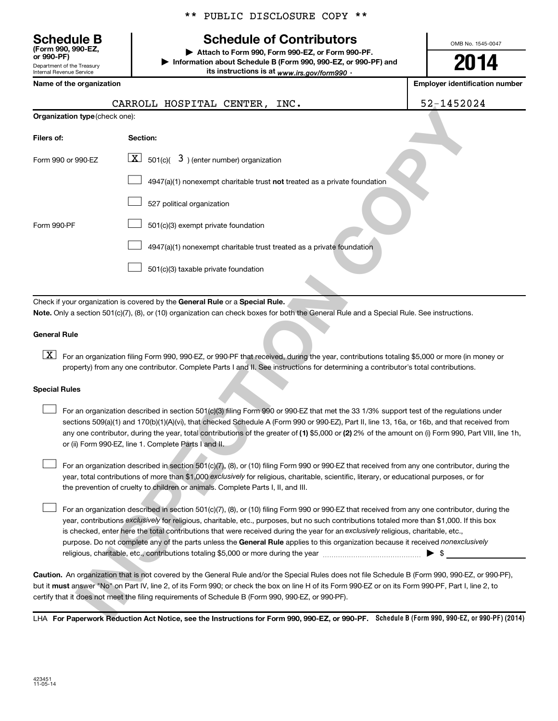**(Form 990, 990-EZ,**

Department of the Treasury Internal Revenue Service

\*\* PUBLIC DISCLOSURE COPY \*\*

## **Schedule B Schedule of Contributors**

**or 990-PF) | Attach to Form 990, Form 990-EZ, or Form 990-PF. | Information about Schedule B (Form 990, 990-EZ, or 990-PF) and** its instructions is at <sub>www.irs.gov/form990  $\cdot$ </sub>

**2014**

OMB No. 1545-0047

| Name of the organization       |                                                                                                                                                                                                                                                                                                                                                                                                                                                                                                                                                                        | <b>Employer identification number</b> |
|--------------------------------|------------------------------------------------------------------------------------------------------------------------------------------------------------------------------------------------------------------------------------------------------------------------------------------------------------------------------------------------------------------------------------------------------------------------------------------------------------------------------------------------------------------------------------------------------------------------|---------------------------------------|
|                                | CARROLL HOSPITAL CENTER,<br>INC.                                                                                                                                                                                                                                                                                                                                                                                                                                                                                                                                       | 52-1452024                            |
| Organization type (check one): |                                                                                                                                                                                                                                                                                                                                                                                                                                                                                                                                                                        |                                       |
| Filers of:                     | Section:                                                                                                                                                                                                                                                                                                                                                                                                                                                                                                                                                               |                                       |
| Form 990 or 990-EZ             | $\boxed{\textbf{X}}$ 501(c)( 3) (enter number) organization                                                                                                                                                                                                                                                                                                                                                                                                                                                                                                            |                                       |
|                                | 4947(a)(1) nonexempt charitable trust not treated as a private foundation                                                                                                                                                                                                                                                                                                                                                                                                                                                                                              |                                       |
|                                | 527 political organization                                                                                                                                                                                                                                                                                                                                                                                                                                                                                                                                             |                                       |
| Form 990-PF                    | 501(c)(3) exempt private foundation                                                                                                                                                                                                                                                                                                                                                                                                                                                                                                                                    |                                       |
|                                | 4947(a)(1) nonexempt charitable trust treated as a private foundation                                                                                                                                                                                                                                                                                                                                                                                                                                                                                                  |                                       |
|                                | 501(c)(3) taxable private foundation                                                                                                                                                                                                                                                                                                                                                                                                                                                                                                                                   |                                       |
|                                |                                                                                                                                                                                                                                                                                                                                                                                                                                                                                                                                                                        |                                       |
|                                | Check if your organization is covered by the General Rule or a Special Rule.<br>Note. Only a section 501(c)(7), (8), or (10) organization can check boxes for both the General Rule and a Special Rule. See instructions.                                                                                                                                                                                                                                                                                                                                              |                                       |
| <b>General Rule</b>            |                                                                                                                                                                                                                                                                                                                                                                                                                                                                                                                                                                        |                                       |
| $\lfloor x \rfloor$            | For an organization filing Form 990, 990-EZ, or 990-PF that received, during the year, contributions totaling \$5,000 or more (in money or<br>property) from any one contributor. Complete Parts I and II. See instructions for determining a contributor's total contributions.                                                                                                                                                                                                                                                                                       |                                       |
| <b>Special Rules</b>           |                                                                                                                                                                                                                                                                                                                                                                                                                                                                                                                                                                        |                                       |
|                                | For an organization described in section 501(c)(3) filing Form 990 or 990-EZ that met the 33 1/3% support test of the regulations under<br>sections 509(a)(1) and 170(b)(1)(A)(vi), that checked Schedule A (Form 990 or 990-EZ), Part II, line 13, 16a, or 16b, and that received from<br>any one contributor, during the year, total contributions of the greater of (1) \$5,000 or (2) 2% of the amount on (i) Form 990, Part VIII, line 1h,<br>or (ii) Form 990-EZ, line 1. Complete Parts I and II.                                                               |                                       |
|                                | For an organization described in section 501(c)(7), (8), or (10) filing Form 990 or 990-EZ that received from any one contributor, during the<br>year, total contributions of more than \$1,000 exclusively for religious, charitable, scientific, literary, or educational purposes, or for<br>the prevention of cruelty to children or animals. Complete Parts I, II, and III.                                                                                                                                                                                       |                                       |
|                                | For an organization described in section 501(c)(7), (8), or (10) filing Form 990 or 990-EZ that received from any one contributor, during the<br>year, contributions exclusively for religious, charitable, etc., purposes, but no such contributions totaled more than \$1,000. If this box<br>is checked, enter here the total contributions that were received during the year for an exclusively religious, charitable, etc.,<br>purpose. Do not complete any of the parts unless the General Rule applies to this organization because it received nonexclusively | $\blacktriangleright$ \$              |
|                                | Caution. An organization that is not covered by the General Rule and/or the Special Rules does not file Schedule B (Form 990, 990-EZ, or 990-PF),<br>but it must answer "No" on Part IV, line 2, of its Form 990; or check the box on line H of its Form 990-EZ or on its Form 990-PF, Part I, line 2, to<br>certify that it does not meet the filing requirements of Schedule B (Form 990, 990-EZ, or 990-PF).                                                                                                                                                        |                                       |
|                                | LHA For Paperwork Reduction Act Notice, see the Instructions for Form 990, 990-FZ, or 990-PF. Schedule B (Form 990, 990-EZ, or 990-PF) (2014                                                                                                                                                                                                                                                                                                                                                                                                                           |                                       |

#### **General Rule**

#### **Special Rules**

LHA For Paperwork Reduction Act Notice, see the Instructions for Form 990, 990-EZ, or 990-PF. Schedule B (Form 990, 990-EZ, or 990-PF) (2014)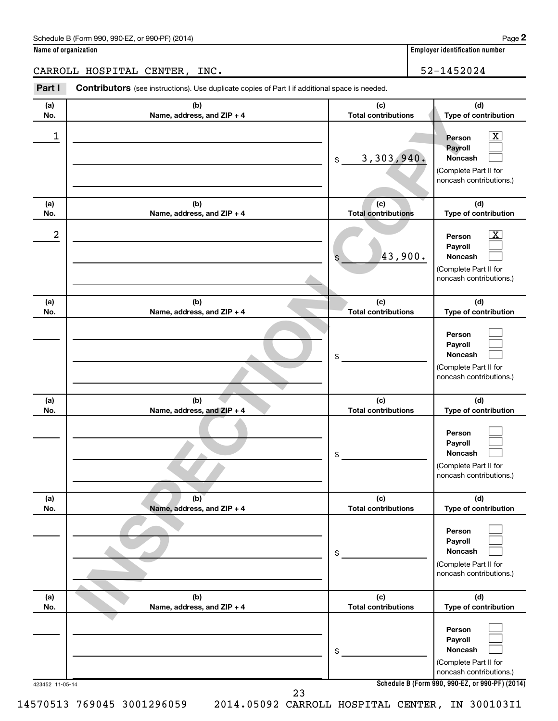| Schedule B (Form 990, 990-EZ, or 990-PF) (2014) | Page |
|-------------------------------------------------|------|
|-------------------------------------------------|------|

| Name of organization |  |  |
|----------------------|--|--|
|                      |  |  |

**Employer identification number** 

CARROLL HOSPITAL CENTER, INC. 52-1452024

**INSPECTION CONTRACT CONTRACT CONTRACT CONTRACT CONTRACT CONTRACT CONTRACT CONTRACT CONTRACT CONTRACT CONTRACT CONTRACT CONTRACT CONTRACT CONTRACT CONTRACT CONTRACT CONTRACT CONTRACT CONTRACT CONTRACT CONTRACT CONTRACT CO** 423452 11-05-14 **Schedule B (Form 990, 990-EZ, or 990-PF) (2014) (a) No. (b) Name, address, and ZIP + 4 (c) Total contributions (d) Type of contribution Person Payroll Noncash (a) No. (b) Name, address, and ZIP + 4 (c) Total contributions (d) Type of contribution Person Payroll Noncash (a) No. (b) Name, address, and ZIP + 4 (c) Total contributions (d) Type of contribution Person Payroll Noncash (a) No. (b) Name, address, and ZIP + 4 (c) Total contributions (d) Type of contribution Person Payroll Noncash (a) No. (b) Name, address, and ZIP + 4 (c) Total contributions (d) Type of contribution Person Payroll Noncash (a) No. (b) Name, address, and ZIP + 4 (c) Total contributions (d) Type of contribution Person Payroll Noncash Part I** Contributors (see instructions). Use duplicate copies of Part I if additional space is needed. \$ (Complete Part II for noncash contributions.) \$ (Complete Part II for noncash contributions.) \$ (Complete Part II for noncash contributions.) \$ (Complete Part II for noncash contributions.) \$ (Complete Part II for noncash contributions.) \$ (Complete Part II for noncash contributions.)  $\boxed{\textbf{X}}$  $\Box$  $\Box$  $\overline{\mathbf{X}}$  $\Box$  $\Box$  $\Box$  $\Box$  $\Box$  $\Box$  $\Box$  $\Box$  $\Box$  $\Box$  $\Box$  $\Box$  $\Box$  $\Box$  $1$  Person  $\overline{\mathbf{X}}$ 3,303,940.  $2$  Person  $\overline{\text{X}}$ 43,900. 23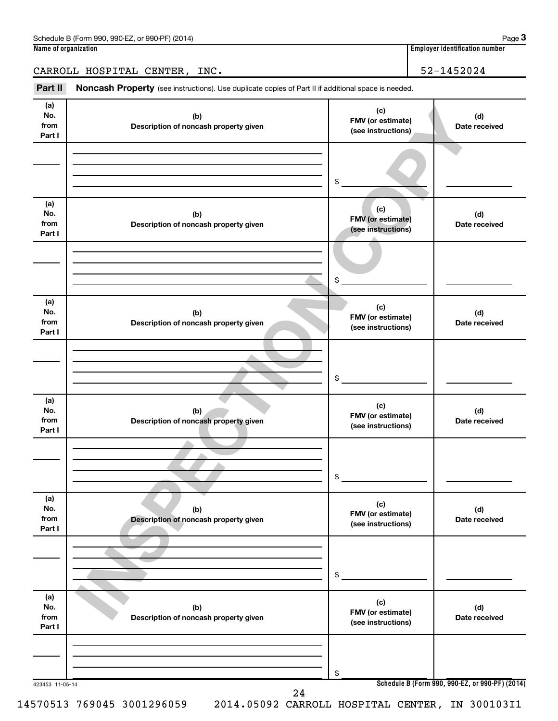| <b>QQN.E7</b><br>(2014)<br>$\overline{\phantom{0}}$<br>990<br>$\sim$ or $00^{\circ}$<br>$n$ LPF <sup>Y</sup><br>(Form<br>Schedule<br>- 790 - 7<br>. . | Page                                      |
|-------------------------------------------------------------------------------------------------------------------------------------------------------|-------------------------------------------|
| Namo<br>of organization :                                                                                                                             | 1 1 1<br>identification number<br>Emplove |

**3**

CARROLL HOSPITAL CENTER, INC. 52-1452024

Part II Noncash Property (see instructions). Use duplicate copies of Part II if additional space is needed.

| (a)<br>No.<br>from<br>Part I | (b)<br>Description of noncash property given | (c)<br>FMV (or estimate)<br>(see instructions) | (d)<br>Date received                            |
|------------------------------|----------------------------------------------|------------------------------------------------|-------------------------------------------------|
|                              |                                              |                                                |                                                 |
|                              |                                              |                                                |                                                 |
|                              |                                              | \$                                             |                                                 |
| (a)                          |                                              |                                                |                                                 |
| No.<br>from                  | (b)<br>Description of noncash property given | (c)<br>FMV (or estimate)                       | (d)<br>Date received                            |
| Part I                       |                                              | (see instructions)                             |                                                 |
|                              |                                              |                                                |                                                 |
|                              |                                              |                                                |                                                 |
|                              |                                              | \$                                             |                                                 |
| (a)<br>No.                   | (b)                                          | (c)                                            | (d)                                             |
| from                         | Description of noncash property given        | FMV (or estimate)<br>(see instructions)        | Date received                                   |
| Part I                       |                                              |                                                |                                                 |
|                              |                                              |                                                |                                                 |
|                              |                                              | \$                                             |                                                 |
| (a)                          |                                              |                                                |                                                 |
| No.                          | (b)                                          | (c)<br>FMV (or estimate)                       | (d)                                             |
| from<br>Part I               | Description of noncash property given        | (see instructions)                             | Date received                                   |
|                              |                                              |                                                |                                                 |
|                              |                                              |                                                |                                                 |
|                              |                                              | \$                                             |                                                 |
| (a)                          |                                              | (c)                                            |                                                 |
| No.<br>from                  | (b)<br>Description of noncash property given | FMV (or estimate)<br>(see instructions)        | (d)<br>Date received                            |
| Part I                       |                                              |                                                |                                                 |
|                              |                                              |                                                |                                                 |
|                              |                                              | \$                                             |                                                 |
|                              |                                              |                                                |                                                 |
| (a)<br>No.                   | (b)                                          | (c)<br>FMV (or estimate)                       | (d)                                             |
| from<br>Part I               | Description of noncash property given        | (see instructions)                             | Date received                                   |
|                              |                                              |                                                |                                                 |
|                              |                                              |                                                |                                                 |
|                              |                                              | \$                                             | Schedule B (Form 990, 990-EZ, or 990-PF) (2014) |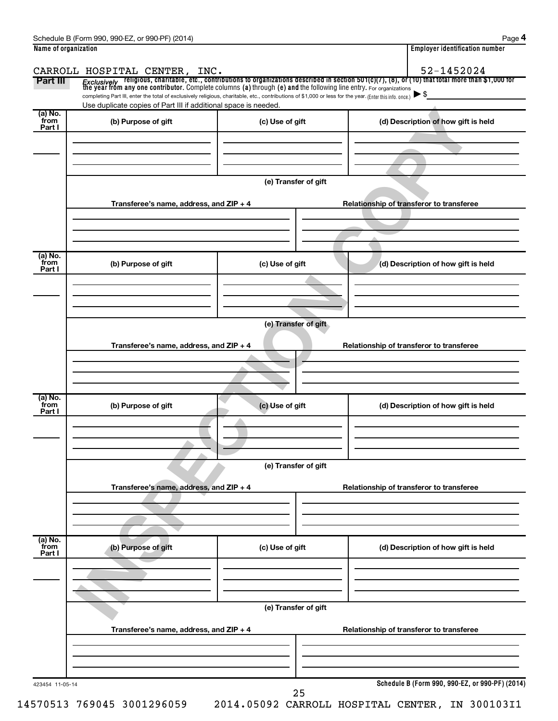|                 |                                                                                                                                                          |                      | <i>Exclusively</i> religious, charitable, etc., contributions to organizations described in section 501(c)(7), (8), or (10) that total more than \$1,000 for<br>the year from any one contributor. Complete columns (a) through (e) and |
|-----------------|----------------------------------------------------------------------------------------------------------------------------------------------------------|----------------------|-----------------------------------------------------------------------------------------------------------------------------------------------------------------------------------------------------------------------------------------|
|                 | completing Part III, enter the total of exclusively religious, charitable, etc., contributions of \$1,000 or less for the year. (Enter this info. once.) |                      | $\blacktriangleright$ \$                                                                                                                                                                                                                |
| (a) No.         | Use duplicate copies of Part III if additional space is needed.                                                                                          |                      |                                                                                                                                                                                                                                         |
| from<br>Part I  | (b) Purpose of gift                                                                                                                                      | (c) Use of gift      | (d) Description of how gift is held                                                                                                                                                                                                     |
|                 |                                                                                                                                                          |                      |                                                                                                                                                                                                                                         |
|                 |                                                                                                                                                          |                      |                                                                                                                                                                                                                                         |
|                 |                                                                                                                                                          |                      |                                                                                                                                                                                                                                         |
|                 |                                                                                                                                                          | (e) Transfer of gift |                                                                                                                                                                                                                                         |
|                 | Transferee's name, address, and ZIP + 4                                                                                                                  |                      | Relationship of transferor to transferee                                                                                                                                                                                                |
|                 |                                                                                                                                                          |                      |                                                                                                                                                                                                                                         |
|                 |                                                                                                                                                          |                      |                                                                                                                                                                                                                                         |
|                 |                                                                                                                                                          |                      |                                                                                                                                                                                                                                         |
| (a) No.         |                                                                                                                                                          |                      |                                                                                                                                                                                                                                         |
| from<br>Part I  | (b) Purpose of gift                                                                                                                                      | (c) Use of gift      | (d) Description of how gift is held                                                                                                                                                                                                     |
|                 |                                                                                                                                                          |                      |                                                                                                                                                                                                                                         |
|                 |                                                                                                                                                          |                      |                                                                                                                                                                                                                                         |
|                 |                                                                                                                                                          |                      |                                                                                                                                                                                                                                         |
|                 |                                                                                                                                                          | (e) Transfer of gift |                                                                                                                                                                                                                                         |
|                 | Transferee's name, address, and ZIP + 4                                                                                                                  |                      | Relationship of transferor to transferee                                                                                                                                                                                                |
|                 |                                                                                                                                                          |                      |                                                                                                                                                                                                                                         |
|                 |                                                                                                                                                          |                      |                                                                                                                                                                                                                                         |
|                 |                                                                                                                                                          |                      |                                                                                                                                                                                                                                         |
| (a) No.<br>from | (b) Purpose of gift                                                                                                                                      | (c) Use of gift      | (d) Description of how gift is held                                                                                                                                                                                                     |
| Part I          |                                                                                                                                                          |                      |                                                                                                                                                                                                                                         |
|                 |                                                                                                                                                          |                      |                                                                                                                                                                                                                                         |
|                 |                                                                                                                                                          |                      |                                                                                                                                                                                                                                         |
|                 |                                                                                                                                                          | (e) Transfer of gift |                                                                                                                                                                                                                                         |
|                 |                                                                                                                                                          |                      |                                                                                                                                                                                                                                         |
|                 | Transferee's name, address, and ZIP + 4                                                                                                                  |                      | Relationship of transferor to transferee                                                                                                                                                                                                |
|                 |                                                                                                                                                          |                      |                                                                                                                                                                                                                                         |
|                 |                                                                                                                                                          |                      |                                                                                                                                                                                                                                         |
| (a) No.<br>from |                                                                                                                                                          |                      |                                                                                                                                                                                                                                         |
| Part I          | (b) Purpose of gift                                                                                                                                      | (c) Use of gift      | (d) Description of how gift is held                                                                                                                                                                                                     |
|                 |                                                                                                                                                          |                      |                                                                                                                                                                                                                                         |
|                 |                                                                                                                                                          |                      |                                                                                                                                                                                                                                         |
|                 |                                                                                                                                                          |                      |                                                                                                                                                                                                                                         |
|                 |                                                                                                                                                          | (e) Transfer of gift |                                                                                                                                                                                                                                         |
|                 |                                                                                                                                                          |                      |                                                                                                                                                                                                                                         |
|                 |                                                                                                                                                          |                      |                                                                                                                                                                                                                                         |
|                 | Transferee's name, address, and ZIP + 4                                                                                                                  |                      | Relationship of transferor to transferee                                                                                                                                                                                                |
|                 |                                                                                                                                                          |                      |                                                                                                                                                                                                                                         |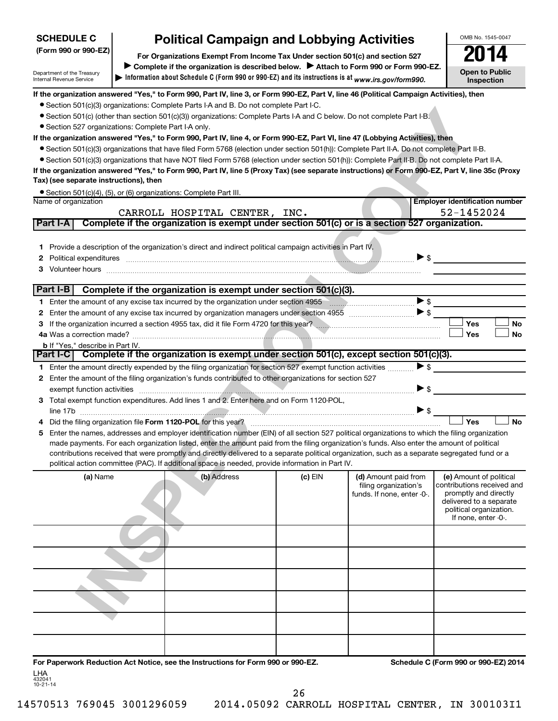| <b>SCHEDULE C</b>                                      | <b>Political Campaign and Lobbying Activities</b>                                                                                                                                                                                                                                                                               |           |                            | OMB No. 1545-0047                                |
|--------------------------------------------------------|---------------------------------------------------------------------------------------------------------------------------------------------------------------------------------------------------------------------------------------------------------------------------------------------------------------------------------|-----------|----------------------------|--------------------------------------------------|
| (Form 990 or 990-EZ)                                   | For Organizations Exempt From Income Tax Under section 501(c) and section 527                                                                                                                                                                                                                                                   |           |                            |                                                  |
|                                                        | Complete if the organization is described below.<br>Attach to Form 990 or Form 990-EZ.                                                                                                                                                                                                                                          |           |                            | <b>Open to Public</b>                            |
| Department of the Treasury<br>Internal Revenue Service | Information about Schedule C (Form 990 or 990-EZ) and its instructions is at www.irs.gov/form990.                                                                                                                                                                                                                               |           |                            | Inspection                                       |
|                                                        | If the organization answered "Yes," to Form 990, Part IV, line 3, or Form 990-EZ, Part V, line 46 (Political Campaign Activities), then                                                                                                                                                                                         |           |                            |                                                  |
|                                                        | • Section 501(c)(3) organizations: Complete Parts I-A and B. Do not complete Part I-C.                                                                                                                                                                                                                                          |           |                            |                                                  |
|                                                        | • Section 501(c) (other than section 501(c)(3)) organizations: Complete Parts I-A and C below. Do not complete Part I-B.                                                                                                                                                                                                        |           |                            |                                                  |
|                                                        | · Section 527 organizations: Complete Part I-A only.                                                                                                                                                                                                                                                                            |           |                            |                                                  |
|                                                        | If the organization answered "Yes," to Form 990, Part IV, line 4, or Form 990-EZ, Part VI, line 47 (Lobbying Activities), then                                                                                                                                                                                                  |           |                            |                                                  |
|                                                        | • Section 501(c)(3) organizations that have filed Form 5768 (election under section 501(h)): Complete Part II-A. Do not complete Part II-B.                                                                                                                                                                                     |           |                            |                                                  |
|                                                        | • Section 501(c)(3) organizations that have NOT filed Form 5768 (election under section 501(h)): Complete Part II-B. Do not complete Part II-A.                                                                                                                                                                                 |           |                            |                                                  |
| Tax) (see separate instructions), then                 | If the organization answered "Yes," to Form 990, Part IV, line 5 (Proxy Tax) (see separate instructions) or Form 990-EZ, Part V, line 35c (Proxy                                                                                                                                                                                |           |                            |                                                  |
|                                                        | • Section 501(c)(4), (5), or (6) organizations: Complete Part III.                                                                                                                                                                                                                                                              |           |                            |                                                  |
| Name of organization                                   |                                                                                                                                                                                                                                                                                                                                 |           |                            | <b>Employer identification number</b>            |
|                                                        | CARROLL HOSPITAL CENTER, INC.                                                                                                                                                                                                                                                                                                   |           |                            | 52-1452024                                       |
| Part I-A                                               | Complete if the organization is exempt under section 501(c) or is a section 527 organization.                                                                                                                                                                                                                                   |           |                            |                                                  |
|                                                        |                                                                                                                                                                                                                                                                                                                                 |           |                            |                                                  |
|                                                        | 1 Provide a description of the organization's direct and indirect political campaign activities in Part IV.                                                                                                                                                                                                                     |           |                            |                                                  |
|                                                        |                                                                                                                                                                                                                                                                                                                                 |           | $\blacktriangleright$ \$   |                                                  |
|                                                        |                                                                                                                                                                                                                                                                                                                                 |           |                            |                                                  |
| Part I-B                                               | Complete if the organization is exempt under section 501(c)(3).                                                                                                                                                                                                                                                                 |           |                            |                                                  |
|                                                        |                                                                                                                                                                                                                                                                                                                                 |           | $\blacktriangleright$ \$   |                                                  |
|                                                        |                                                                                                                                                                                                                                                                                                                                 |           |                            |                                                  |
|                                                        |                                                                                                                                                                                                                                                                                                                                 |           |                            | Yes<br><b>No</b>                                 |
|                                                        |                                                                                                                                                                                                                                                                                                                                 |           |                            | Yes<br><b>No</b>                                 |
| b If "Yes," describe in Part IV.                       |                                                                                                                                                                                                                                                                                                                                 |           |                            |                                                  |
|                                                        | Part I-C Complete if the organization is exempt under section 501(c), except section 501(c)(3).                                                                                                                                                                                                                                 |           |                            |                                                  |
|                                                        | 1 Enter the amount directly expended by the filing organization for section 527 exempt function activities                                                                                                                                                                                                                      |           | $\triangleright$ \$        |                                                  |
|                                                        | 2 Enter the amount of the filing organization's funds contributed to other organizations for section 527                                                                                                                                                                                                                        |           | $\blacktriangleright$ \$   |                                                  |
|                                                        | exempt function activities <i>machines</i> and activities and activities and activities and activities and activities and activities and activities and activities and activities and activities and activities and activities and<br>3 Total exempt function expenditures. Add lines 1 and 2. Enter here and on Form 1120-POL, |           |                            |                                                  |
|                                                        |                                                                                                                                                                                                                                                                                                                                 |           | $\blacktriangleright$ \$   |                                                  |
|                                                        |                                                                                                                                                                                                                                                                                                                                 |           |                            | Yes<br><b>No</b>                                 |
|                                                        | 5 Enter the names, addresses and employer identification number (EIN) of all section 527 political organizations to which the filing organization                                                                                                                                                                               |           |                            |                                                  |
|                                                        | made payments. For each organization listed, enter the amount paid from the filing organization's funds. Also enter the amount of political                                                                                                                                                                                     |           |                            |                                                  |
|                                                        | contributions received that were promptly and directly delivered to a separate political organization, such as a separate segregated fund or a                                                                                                                                                                                  |           |                            |                                                  |
|                                                        | political action committee (PAC). If additional space is needed, provide information in Part IV.                                                                                                                                                                                                                                |           |                            |                                                  |
| (a) Name                                               | (b) Address                                                                                                                                                                                                                                                                                                                     | $(c)$ EIN | (d) Amount paid from       | (e) Amount of political                          |
|                                                        |                                                                                                                                                                                                                                                                                                                                 |           | filing organization's      | contributions received and                       |
|                                                        |                                                                                                                                                                                                                                                                                                                                 |           | funds. If none, enter -0-. | promptly and directly<br>delivered to a separate |
|                                                        |                                                                                                                                                                                                                                                                                                                                 |           |                            | political organization.                          |
|                                                        |                                                                                                                                                                                                                                                                                                                                 |           |                            | If none, enter -0-.                              |
|                                                        |                                                                                                                                                                                                                                                                                                                                 |           |                            |                                                  |
|                                                        |                                                                                                                                                                                                                                                                                                                                 |           |                            |                                                  |
|                                                        |                                                                                                                                                                                                                                                                                                                                 |           |                            |                                                  |
|                                                        |                                                                                                                                                                                                                                                                                                                                 |           |                            |                                                  |
|                                                        |                                                                                                                                                                                                                                                                                                                                 |           |                            |                                                  |
|                                                        |                                                                                                                                                                                                                                                                                                                                 |           |                            |                                                  |
|                                                        |                                                                                                                                                                                                                                                                                                                                 |           |                            |                                                  |
|                                                        |                                                                                                                                                                                                                                                                                                                                 |           |                            |                                                  |

**For Paperwork Reduction Act Notice, see the Instructions for Form 990 or 990-EZ. Schedule C (Form 990 or 990-EZ) 2014** LHA

432041 10-21-14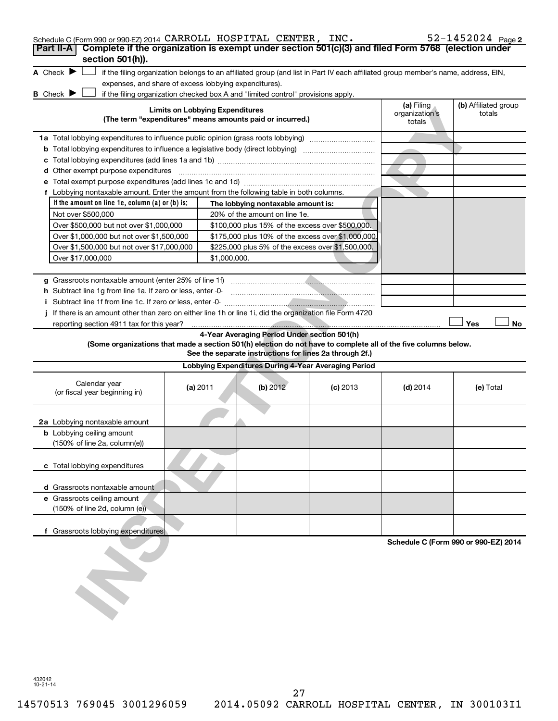| Schedule C (Form 990 or 990-EZ) 2014 CARROLL HOSPITAL CENTER, INC.                                                                                                 |                                        |                                                         |                                                      |                                        | $52 - 1452024$ Page 2                |
|--------------------------------------------------------------------------------------------------------------------------------------------------------------------|----------------------------------------|---------------------------------------------------------|------------------------------------------------------|----------------------------------------|--------------------------------------|
| Complete if the organization is exempt under section 501(c)(3) and filed Form 5768 (election under<br>Part II-A<br>section 501(h)).                                |                                        |                                                         |                                                      |                                        |                                      |
| A Check $\blacktriangleright$<br>if the filing organization belongs to an affiliated group (and list in Part IV each affiliated group member's name, address, EIN, |                                        |                                                         |                                                      |                                        |                                      |
| expenses, and share of excess lobbying expenditures).                                                                                                              |                                        |                                                         |                                                      |                                        |                                      |
| B Check P<br>if the filing organization checked box A and "limited control" provisions apply.                                                                      |                                        |                                                         |                                                      |                                        |                                      |
| (The term "expenditures" means amounts paid or incurred.)                                                                                                          | <b>Limits on Lobbying Expenditures</b> |                                                         |                                                      | (a) Filing<br>organization's<br>totals | (b) Affiliated group<br>totals       |
| 1a Total lobbying expenditures to influence public opinion (grass roots lobbying)                                                                                  |                                        |                                                         |                                                      |                                        |                                      |
|                                                                                                                                                                    |                                        |                                                         |                                                      |                                        |                                      |
| c                                                                                                                                                                  |                                        |                                                         |                                                      |                                        |                                      |
| d Other exempt purpose expenditures                                                                                                                                |                                        |                                                         |                                                      |                                        |                                      |
|                                                                                                                                                                    |                                        |                                                         |                                                      |                                        |                                      |
| f Lobbying nontaxable amount. Enter the amount from the following table in both columns.                                                                           |                                        |                                                         |                                                      |                                        |                                      |
| If the amount on line 1e, column $(a)$ or $(b)$ is:                                                                                                                |                                        | The lobbying nontaxable amount is:                      |                                                      |                                        |                                      |
| Not over \$500,000                                                                                                                                                 |                                        | 20% of the amount on line 1e.                           |                                                      |                                        |                                      |
| Over \$500,000 but not over \$1,000,000<br>Over \$1,000,000 but not over \$1,500,000                                                                               |                                        | \$100,000 plus 15% of the excess over \$500,000.        | \$175,000 plus 10% of the excess over \$1,000,000    |                                        |                                      |
| Over \$1,500,000 but not over \$17,000,000                                                                                                                         |                                        | \$225,000 plus 5% of the excess over \$1,500,000.       |                                                      |                                        |                                      |
| Over \$17,000,000                                                                                                                                                  | \$1,000,000.                           |                                                         |                                                      |                                        |                                      |
|                                                                                                                                                                    |                                        |                                                         |                                                      |                                        |                                      |
|                                                                                                                                                                    |                                        |                                                         |                                                      |                                        |                                      |
| h Subtract line 1q from line 1a. If zero or less, enter -0-                                                                                                        |                                        |                                                         |                                                      |                                        |                                      |
|                                                                                                                                                                    |                                        |                                                         |                                                      |                                        |                                      |
| If there is an amount other than zero on either line 1h or line 1i, did the organization file Form 4720                                                            |                                        |                                                         |                                                      |                                        |                                      |
|                                                                                                                                                                    |                                        |                                                         |                                                      |                                        | Yes<br>No                            |
|                                                                                                                                                                    |                                        | 4-Year Averaging Period Under section 501(h)            |                                                      |                                        |                                      |
| (Some organizations that made a section 501(h) election do not have to complete all of the five columns below.                                                     |                                        | See the separate instructions for lines 2a through 2f.) |                                                      |                                        |                                      |
|                                                                                                                                                                    |                                        |                                                         | Lobbying Expenditures During 4-Year Averaging Period |                                        |                                      |
| Calendar year<br>(or fiscal year beginning in)                                                                                                                     | (a) 2011                               | (b) 2012                                                | $(c)$ 2013                                           | $(d)$ 2014                             | (e) Total                            |
| 2a Lobbying nontaxable amount                                                                                                                                      |                                        |                                                         |                                                      |                                        |                                      |
| <b>b</b> Lobbying ceiling amount<br>(150% of line 2a, column(e))                                                                                                   |                                        |                                                         |                                                      |                                        |                                      |
| c Total lobbying expenditures                                                                                                                                      |                                        |                                                         |                                                      |                                        |                                      |
| d Grassroots nontaxable amount                                                                                                                                     |                                        |                                                         |                                                      |                                        |                                      |
| e Grassroots ceiling amount<br>(150% of line 2d, column (e))                                                                                                       |                                        |                                                         |                                                      |                                        |                                      |
| f Grassroots lobbying expenditures                                                                                                                                 |                                        |                                                         |                                                      |                                        |                                      |
|                                                                                                                                                                    |                                        |                                                         |                                                      |                                        | Schedule C (Form 990 or 990-EZ) 2014 |
|                                                                                                                                                                    |                                        |                                                         |                                                      |                                        |                                      |

432042 10-21-14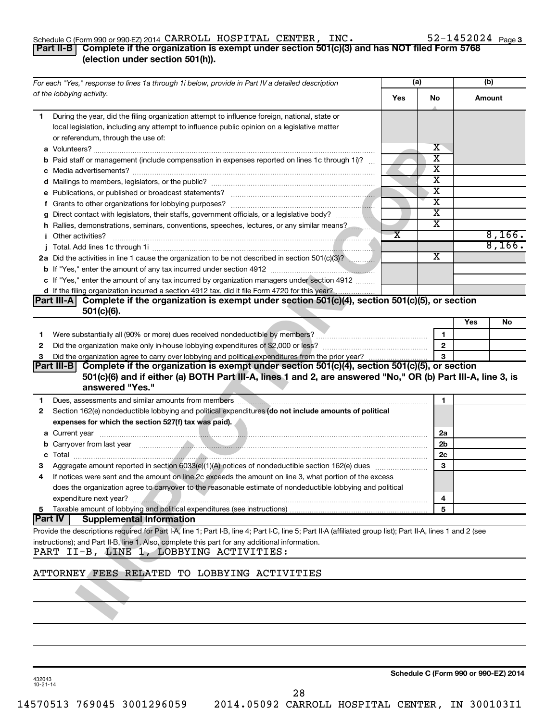## Schedule C (Form 990 or 990-EZ) 2014  $\verb|CARROL|$   $\verb|HOSPITAL|$   $\verb|CENTER|$ ,  $\verb|INC. 52–1452024$   $\verb|Page|$

## 52-1452024 Page 3

## **Part II-B Complete if the organization is exempt under section 501(c)(3) and has NOT filed Form 5768 (election under section 501(h)).**

| For each "Yes," response to lines 1a through 1i below, provide in Part IV a detailed description                                                                                                                                          |                       | (a) |                         | (b) |        |
|-------------------------------------------------------------------------------------------------------------------------------------------------------------------------------------------------------------------------------------------|-----------------------|-----|-------------------------|-----|--------|
| of the lobbying activity.                                                                                                                                                                                                                 | Yes                   |     | No                      |     | Amount |
| During the year, did the filing organization attempt to influence foreign, national, state or<br>1.<br>local legislation, including any attempt to influence public opinion on a legislative matter<br>or referendum, through the use of: |                       |     | X                       |     |        |
| <b>b</b> Paid staff or management (include compensation in expenses reported on lines 1c through 1i)?                                                                                                                                     |                       |     | X                       |     |        |
|                                                                                                                                                                                                                                           |                       |     | X                       |     |        |
|                                                                                                                                                                                                                                           |                       |     | X                       |     |        |
|                                                                                                                                                                                                                                           |                       |     | X                       |     |        |
|                                                                                                                                                                                                                                           |                       |     | $\overline{\textbf{x}}$ |     |        |
|                                                                                                                                                                                                                                           |                       |     | х                       |     |        |
| h Rallies, demonstrations, seminars, conventions, speeches, lectures, or any similar means?                                                                                                                                               |                       |     | X                       |     |        |
| <b>i</b> Other activities?                                                                                                                                                                                                                | $\overline{\text{x}}$ |     |                         |     | 8,166. |
|                                                                                                                                                                                                                                           |                       |     |                         |     | 8,166. |
| 2a Did the activities in line 1 cause the organization to be not described in section 501(c)(3)?                                                                                                                                          |                       |     | $\overline{\mathbf{X}}$ |     |        |
|                                                                                                                                                                                                                                           |                       |     |                         |     |        |
| c If "Yes," enter the amount of any tax incurred by organization managers under section 4912                                                                                                                                              |                       |     |                         |     |        |
| d If the filing organization incurred a section 4912 tax, did it file Form 4720 for this year?                                                                                                                                            |                       |     |                         |     |        |
| Complete if the organization is exempt under section 501(c)(4), section 501(c)(5), or section<br> Part III-A <br>$501(c)(6)$ .                                                                                                            |                       |     |                         |     |        |
|                                                                                                                                                                                                                                           |                       |     |                         | Yes | No     |
| 1                                                                                                                                                                                                                                         |                       |     | 1                       |     |        |
| 2                                                                                                                                                                                                                                         |                       |     | $\mathbf{2}$            |     |        |
| Did the organization agree to carry over lobbying and political expenditures from the prior year?<br>3                                                                                                                                    |                       |     | 3                       |     |        |
| Complete if the organization is exempt under section 501(c)(4), section 501(c)(5), or section<br><b>Part III-B</b>                                                                                                                        |                       |     |                         |     |        |
| 501(c)(6) and if either (a) BOTH Part III-A, lines 1 and 2, are answered "No," OR (b) Part III-A, line 3, is<br>answered "Yes."                                                                                                           |                       |     |                         |     |        |
| Dues, assessments and similar amounts from members [11] production and the system of the system of the system of the system of the system of the system of the system of the system of the system of the system of the system<br>1        |                       |     | 1                       |     |        |
| Section 162(e) nondeductible lobbying and political expenditures (do not include amounts of political<br>2<br>expenses for which the section 527(f) tax was paid).                                                                        |                       |     |                         |     |        |
|                                                                                                                                                                                                                                           |                       |     | 2a                      |     |        |
| b Carryover from last year manufactured and continuum and contact the contract of the contract of the contract of the contract of the contract of the contract of the contract of the contract of the contract of the contract            |                       |     | 2 <sub>b</sub>          |     |        |
| c                                                                                                                                                                                                                                         |                       |     | 2c                      |     |        |
|                                                                                                                                                                                                                                           |                       |     | 3                       |     |        |
| If notices were sent and the amount on line 2c exceeds the amount on line 3, what portion of the excess<br>4                                                                                                                              |                       |     |                         |     |        |
| does the organization agree to carryover to the reasonable estimate of nondeductible lobbying and political                                                                                                                               |                       |     |                         |     |        |
| expenditure next year?                                                                                                                                                                                                                    |                       |     | 4                       |     |        |
| Taxable amount of lobbying and political expenditures (see instructions)<br>5                                                                                                                                                             |                       |     | 5                       |     |        |
| <b>Part IV</b><br><b>Supplemental Information</b>                                                                                                                                                                                         |                       |     |                         |     |        |
| Provide the descriptions required for Part I-A, line 1; Part I-B, line 4; Part I-C, line 5; Part II-A (affiliated group list); Part II-A, lines 1 and 2 (see                                                                              |                       |     |                         |     |        |
| instructions); and Part II-B, line 1. Also, complete this part for any additional information.<br>PART II-B, LINE 1, LOBBYING ACTIVITIES:                                                                                                 |                       |     |                         |     |        |
| ATTORNEY FEES RELATED TO LOBBYING ACTIVITIES                                                                                                                                                                                              |                       |     |                         |     |        |
|                                                                                                                                                                                                                                           |                       |     |                         |     |        |
|                                                                                                                                                                                                                                           |                       |     |                         |     |        |

432043 10-21-14

**Schedule C (Form 990 or 990-EZ) 2014**

28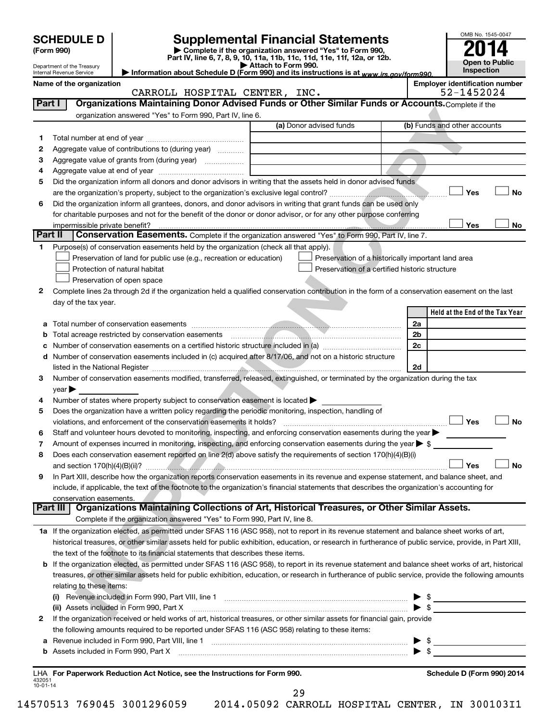|                          | <b>SCHEDULE D</b>                                      |                                                                                                        | <b>Supplemental Financial Statements</b>                                                                                                                                                                                                                                                |                      | OMB No. 1545-0047                     |
|--------------------------|--------------------------------------------------------|--------------------------------------------------------------------------------------------------------|-----------------------------------------------------------------------------------------------------------------------------------------------------------------------------------------------------------------------------------------------------------------------------------------|----------------------|---------------------------------------|
|                          | (Form 990)                                             |                                                                                                        | Complete if the organization answered "Yes" to Form 990,<br>Part IV, line 6, 7, 8, 9, 10, 11a, 11b, 11c, 11d, 11e, 11f, 12a, or 12b.                                                                                                                                                    |                      |                                       |
|                          | Department of the Treasury<br>Internal Revenue Service |                                                                                                        | Attach to Form 990.<br>Information about Schedule D (Form 990) and its instructions is at www.irs.gov/form990.                                                                                                                                                                          |                      | <b>Open to Public</b><br>Inspection   |
|                          | Name of the organization                               |                                                                                                        |                                                                                                                                                                                                                                                                                         |                      | <b>Employer identification number</b> |
|                          |                                                        | CARROLL HOSPITAL CENTER, INC.                                                                          |                                                                                                                                                                                                                                                                                         |                      | 52-1452024                            |
| Part I                   |                                                        |                                                                                                        | Organizations Maintaining Donor Advised Funds or Other Similar Funds or Accounts. Complete if the                                                                                                                                                                                       |                      |                                       |
|                          |                                                        | organization answered "Yes" to Form 990, Part IV, line 6.                                              | (a) Donor advised funds                                                                                                                                                                                                                                                                 |                      | (b) Funds and other accounts          |
| 1                        |                                                        |                                                                                                        |                                                                                                                                                                                                                                                                                         |                      |                                       |
| 2                        |                                                        | Aggregate value of contributions to (during year)                                                      |                                                                                                                                                                                                                                                                                         |                      |                                       |
| З                        |                                                        |                                                                                                        |                                                                                                                                                                                                                                                                                         |                      |                                       |
| 4                        |                                                        |                                                                                                        |                                                                                                                                                                                                                                                                                         |                      |                                       |
| 5                        |                                                        |                                                                                                        | Did the organization inform all donors and donor advisors in writing that the assets held in donor advised funds                                                                                                                                                                        |                      | Yes<br><b>No</b>                      |
| 6                        |                                                        |                                                                                                        | Did the organization inform all grantees, donors, and donor advisors in writing that grant funds can be used only                                                                                                                                                                       |                      |                                       |
|                          |                                                        |                                                                                                        | for charitable purposes and not for the benefit of the donor or donor advisor, or for any other purpose conferring                                                                                                                                                                      |                      |                                       |
|                          | impermissible private benefit?                         |                                                                                                        |                                                                                                                                                                                                                                                                                         |                      | Yes<br>No                             |
| Part II                  |                                                        |                                                                                                        | Conservation Easements. Complete if the organization answered "Yes" to Form 990, Part IV, line 7.                                                                                                                                                                                       |                      |                                       |
| 1                        |                                                        | Purpose(s) of conservation easements held by the organization (check all that apply).                  |                                                                                                                                                                                                                                                                                         |                      |                                       |
|                          |                                                        | Preservation of land for public use (e.g., recreation or education)<br>Protection of natural habitat   | Preservation of a historically important land area<br>Preservation of a certified historic structure                                                                                                                                                                                    |                      |                                       |
|                          |                                                        | Preservation of open space                                                                             |                                                                                                                                                                                                                                                                                         |                      |                                       |
| 2                        |                                                        |                                                                                                        | Complete lines 2a through 2d if the organization held a qualified conservation contribution in the form of a conservation easement on the last                                                                                                                                          |                      |                                       |
|                          | day of the tax year.                                   |                                                                                                        |                                                                                                                                                                                                                                                                                         |                      |                                       |
|                          |                                                        |                                                                                                        |                                                                                                                                                                                                                                                                                         |                      | Held at the End of the Tax Year       |
| а                        |                                                        |                                                                                                        |                                                                                                                                                                                                                                                                                         | 2a                   |                                       |
| b<br>с                   |                                                        |                                                                                                        |                                                                                                                                                                                                                                                                                         | 2 <sub>b</sub><br>2c |                                       |
| d                        |                                                        |                                                                                                        | Number of conservation easements included in (c) acquired after 8/17/06, and not on a historic structure                                                                                                                                                                                |                      |                                       |
|                          |                                                        |                                                                                                        |                                                                                                                                                                                                                                                                                         | 2d                   |                                       |
| 3                        |                                                        |                                                                                                        | Number of conservation easements modified, transferred, released, extinguished, or terminated by the organization during the tax                                                                                                                                                        |                      |                                       |
|                          | $year \triangleright$                                  |                                                                                                        |                                                                                                                                                                                                                                                                                         |                      |                                       |
| 4                        |                                                        | Number of states where property subject to conservation easement is located $\blacktriangleright$      |                                                                                                                                                                                                                                                                                         |                      |                                       |
| 5                        |                                                        | Does the organization have a written policy regarding the periodic monitoring, inspection, handling of |                                                                                                                                                                                                                                                                                         |                      | Yes<br><b>No</b>                      |
| 6                        |                                                        |                                                                                                        | Staff and volunteer hours devoted to monitoring, inspecting, and enforcing conservation easements during the year $\blacktriangleright$                                                                                                                                                 |                      |                                       |
| 7                        |                                                        |                                                                                                        | Amount of expenses incurred in monitoring, inspecting, and enforcing conservation easements during the year $\triangleright$ \$                                                                                                                                                         |                      |                                       |
| 8                        |                                                        |                                                                                                        | Does each conservation easement reported on line 2(d) above satisfy the requirements of section 170(h)(4)(B)(i)                                                                                                                                                                         |                      |                                       |
|                          |                                                        |                                                                                                        |                                                                                                                                                                                                                                                                                         |                      | Yes<br>No                             |
| 9                        |                                                        |                                                                                                        | In Part XIII, describe how the organization reports conservation easements in its revenue and expense statement, and balance sheet, and<br>include, if applicable, the text of the footnote to the organization's financial statements that describes the organization's accounting for |                      |                                       |
|                          | conservation easements.                                |                                                                                                        |                                                                                                                                                                                                                                                                                         |                      |                                       |
|                          | Part III                                               |                                                                                                        | Organizations Maintaining Collections of Art, Historical Treasures, or Other Similar Assets.                                                                                                                                                                                            |                      |                                       |
|                          |                                                        | Complete if the organization answered "Yes" to Form 990, Part IV, line 8.                              |                                                                                                                                                                                                                                                                                         |                      |                                       |
|                          |                                                        |                                                                                                        | 1a If the organization elected, as permitted under SFAS 116 (ASC 958), not to report in its revenue statement and balance sheet works of art,                                                                                                                                           |                      |                                       |
|                          |                                                        |                                                                                                        | historical treasures, or other similar assets held for public exhibition, education, or research in furtherance of public service, provide, in Part XIII,                                                                                                                               |                      |                                       |
| b                        |                                                        | the text of the footnote to its financial statements that describes these items.                       | If the organization elected, as permitted under SFAS 116 (ASC 958), to report in its revenue statement and balance sheet works of art, historical                                                                                                                                       |                      |                                       |
|                          |                                                        |                                                                                                        | treasures, or other similar assets held for public exhibition, education, or research in furtherance of public service, provide the following amounts                                                                                                                                   |                      |                                       |
|                          | relating to these items:                               |                                                                                                        |                                                                                                                                                                                                                                                                                         |                      |                                       |
|                          |                                                        |                                                                                                        | (i) Revenue included in Form 990, Part VIII, line 1 [2000] [2000] [2000] [30] Revenue included in Form 990, Part VIII, line 1 [2000] [2000] [2000] [2000] [2000] [3000] [3000] [3000] [3000] [3000] [3000] [3000] [3000] [3000                                                          |                      | $\frac{1}{2}$                         |
|                          |                                                        | (ii) Assets included in Form 990, Part X                                                               |                                                                                                                                                                                                                                                                                         |                      | $\frac{1}{2}$                         |
| 2                        |                                                        | the following amounts required to be reported under SFAS 116 (ASC 958) relating to these items:        | If the organization received or held works of art, historical treasures, or other similar assets for financial gain, provide                                                                                                                                                            |                      |                                       |
| а                        |                                                        |                                                                                                        |                                                                                                                                                                                                                                                                                         |                      | $\frac{1}{2}$                         |
|                          |                                                        |                                                                                                        |                                                                                                                                                                                                                                                                                         |                      | \$                                    |
|                          |                                                        |                                                                                                        |                                                                                                                                                                                                                                                                                         |                      |                                       |
| 432051<br>$10 - 01 - 14$ |                                                        | LHA For Paperwork Reduction Act Notice, see the Instructions for Form 990.                             |                                                                                                                                                                                                                                                                                         |                      | Schedule D (Form 990) 2014            |

29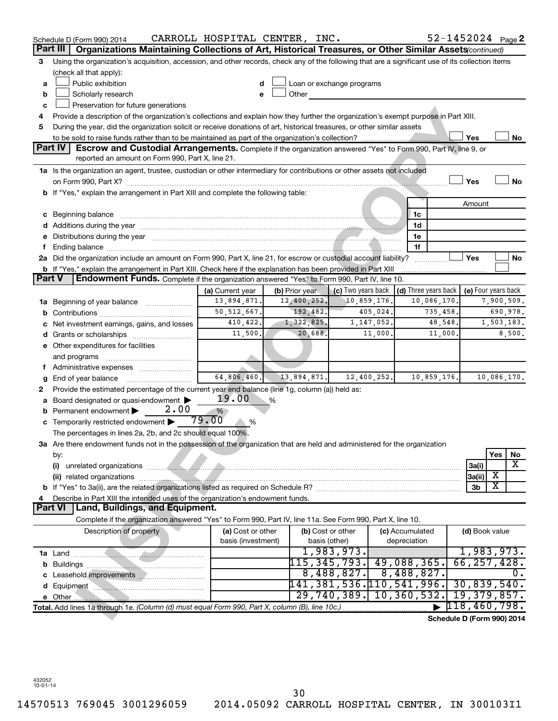|               | Schedule D (Form 990) 2014                                                                                                                                                                                                           | CARROLL HOSPITAL CENTER, INC. |                |                           |             |                                        | 52-1452024 Page 2          |             |
|---------------|--------------------------------------------------------------------------------------------------------------------------------------------------------------------------------------------------------------------------------------|-------------------------------|----------------|---------------------------|-------------|----------------------------------------|----------------------------|-------------|
| Part III      | Organizations Maintaining Collections of Art, Historical Treasures, or Other Similar Assets (continued)                                                                                                                              |                               |                |                           |             |                                        |                            |             |
| 3             | Using the organization's acquisition, accession, and other records, check any of the following that are a significant use of its collection items                                                                                    |                               |                |                           |             |                                        |                            |             |
|               | (check all that apply):                                                                                                                                                                                                              |                               |                |                           |             |                                        |                            |             |
| a             | Public exhibition                                                                                                                                                                                                                    |                               |                | Loan or exchange programs |             |                                        |                            |             |
| b             | Scholarly research                                                                                                                                                                                                                   | e                             | Other          |                           |             |                                        |                            |             |
| c             | Preservation for future generations                                                                                                                                                                                                  |                               |                |                           |             |                                        |                            |             |
| 4             | Provide a description of the organization's collections and explain how they further the organization's exempt purpose in Part XIII.                                                                                                 |                               |                |                           |             |                                        |                            |             |
| 5             | During the year, did the organization solicit or receive donations of art, historical treasures, or other similar assets                                                                                                             |                               |                |                           |             |                                        |                            |             |
|               |                                                                                                                                                                                                                                      |                               |                |                           |             |                                        | Yes                        | No          |
|               | Part IV<br>Escrow and Custodial Arrangements. Complete if the organization answered "Yes" to Form 990, Part IV, line 9, or<br>reported an amount on Form 990, Part X, line 21.                                                       |                               |                |                           |             |                                        |                            |             |
|               | 1a Is the organization an agent, trustee, custodian or other intermediary for contributions or other assets not included                                                                                                             |                               |                |                           |             |                                        |                            |             |
|               |                                                                                                                                                                                                                                      |                               |                |                           |             |                                        | Yes                        | <b>No</b>   |
|               | b If "Yes," explain the arrangement in Part XIII and complete the following table:                                                                                                                                                   |                               |                |                           |             |                                        |                            |             |
|               |                                                                                                                                                                                                                                      |                               |                |                           |             |                                        | Amount                     |             |
|               | c Beginning balance <b>contract to the contract of the contract of the contract of the contract of the contract of the contract of the contract of the contract of the contract of the contract of the contract of the contract </b> |                               |                |                           |             | 1c                                     |                            |             |
|               |                                                                                                                                                                                                                                      |                               |                |                           |             | 1d                                     |                            |             |
| е             | Distributions during the year measurements and a construction of the year measurement of the state of the state of the state of the state of the state of the state of the state of the state of the state of the state of the       |                               |                |                           |             | 1e                                     |                            |             |
| f.            |                                                                                                                                                                                                                                      |                               |                |                           |             | 1f                                     |                            |             |
|               | 2a Did the organization include an amount on Form 990, Part X, line 21, for escrow or custodial account liability?                                                                                                                   |                               |                |                           |             | .                                      | Yes                        | No          |
|               | b If "Yes," explain the arrangement in Part XIII. Check here if the explanation has been provided in Part XIII                                                                                                                       |                               |                |                           |             |                                        |                            |             |
| <b>Part V</b> | Endowment Funds. Complete if the organization answered "Yes" to Form 990, Part IV, line 10.                                                                                                                                          |                               |                |                           |             |                                        |                            |             |
|               |                                                                                                                                                                                                                                      | (a) Current year              | (b) Prior year | (c) Two years back        |             | (d) Three years back                   | (e) Four years back        |             |
|               | 1a Beginning of year balance                                                                                                                                                                                                         | 13,894,871.                   | 12,400,252.    | 10,859,176                |             | 10,086,170.                            |                            | 7,900,509.  |
| b             |                                                                                                                                                                                                                                      | 50, 512, 667.                 | 192,482.       |                           | 405,024.    | 735,458.                               |                            | 690,978.    |
| с             | Net investment earnings, gains, and losses                                                                                                                                                                                           | 410,422.                      | 1,322,825.     |                           | 1,147,052.  | 48,548.                                |                            | 1,503,183.  |
|               | d Grants or scholarships                                                                                                                                                                                                             | 11,500.                       | 20,688.        |                           | 11,000.     | 11,000.                                |                            | 8,500.      |
|               | e Other expenditures for facilities                                                                                                                                                                                                  |                               |                |                           |             |                                        |                            |             |
|               | and programs                                                                                                                                                                                                                         |                               |                |                           |             |                                        |                            |             |
|               | f Administrative expenses                                                                                                                                                                                                            |                               |                |                           |             |                                        |                            |             |
| g             |                                                                                                                                                                                                                                      | 64,806,460.                   | 13,894,871.    |                           | 12,400,252. | 10,859,176.                            |                            | 10,086,170. |
| 2             | Provide the estimated percentage of the current year end balance (line 1g, column (a)) held as:                                                                                                                                      |                               |                |                           |             |                                        |                            |             |
| a             | Board designated or quasi-endowment                                                                                                                                                                                                  | 19.00                         | %              |                           |             |                                        |                            |             |
| b             | 2.00<br>Permanent endowment                                                                                                                                                                                                          | %                             |                |                           |             |                                        |                            |             |
| c             | Temporarily restricted endowment                                                                                                                                                                                                     | 79.00<br>%                    |                |                           |             |                                        |                            |             |
|               | The percentages in lines 2a, 2b, and 2c should equal 100%.                                                                                                                                                                           |                               |                |                           |             |                                        |                            |             |
|               | 3a Are there endowment funds not in the possession of the organization that are held and administered for the organization                                                                                                           |                               |                |                           |             |                                        |                            |             |
|               | by:                                                                                                                                                                                                                                  |                               |                |                           |             |                                        |                            | Yes<br>No   |
|               | (i)                                                                                                                                                                                                                                  |                               |                |                           |             |                                        | 3a(i)                      | x           |
|               |                                                                                                                                                                                                                                      |                               |                |                           |             |                                        | 3a(ii)                     | х           |
| b             |                                                                                                                                                                                                                                      |                               |                |                           |             |                                        | 3b                         | X           |
| 4             | Describe in Part XIII the intended uses of the organization's endowment funds.                                                                                                                                                       |                               |                |                           |             |                                        |                            |             |
|               | Land, Buildings, and Equipment.<br>Part VI                                                                                                                                                                                           |                               |                |                           |             |                                        |                            |             |
|               | Complete if the organization answered "Yes" to Form 990, Part IV, line 11a. See Form 990, Part X, line 10.                                                                                                                           |                               |                |                           |             |                                        |                            |             |
|               | Description of property                                                                                                                                                                                                              | (a) Cost or other             |                | (b) Cost or other         |             | (c) Accumulated                        | (d) Book value             |             |
|               |                                                                                                                                                                                                                                      | basis (investment)            |                | basis (other)             |             | depreciation                           |                            |             |
|               |                                                                                                                                                                                                                                      |                               |                | 1,983,973.                |             |                                        | 1,983,973.                 |             |
| b             |                                                                                                                                                                                                                                      |                               |                | 115,345,793.              |             | 49,088,365.                            | 66, 257, 428               |             |
|               |                                                                                                                                                                                                                                      |                               |                | 8,488,827.                |             | 8,488,827.                             |                            | О.          |
|               |                                                                                                                                                                                                                                      |                               |                |                           |             | 141,381,536.110,541,996.               | 30,839,540.                |             |
|               |                                                                                                                                                                                                                                      |                               |                |                           |             | $\overline{29,740,389.}$ 10, 360, 532. | 19,379,857.                |             |
|               | Total. Add lines 1a through 1e. (Column (d) must equal Form 990, Part X, column (B), line 10c.)                                                                                                                                      |                               |                |                           |             |                                        | 118, 460, 798.             |             |
|               |                                                                                                                                                                                                                                      |                               |                |                           |             |                                        | Schedule D (Form 990) 2014 |             |

432052 10-01-14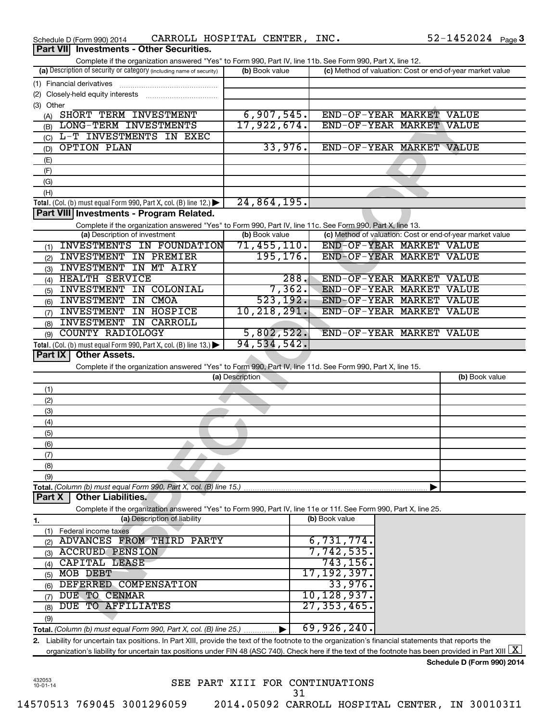| Schedule D (Form 990) 2014                                                                                                                               | CARROLL HOSPITAL CENTER, INC. |                |                                                           | $52 - 1452024$ Page 3 |
|----------------------------------------------------------------------------------------------------------------------------------------------------------|-------------------------------|----------------|-----------------------------------------------------------|-----------------------|
| <b>Investments - Other Securities.</b><br><b>Part VIII</b>                                                                                               |                               |                |                                                           |                       |
| Complete if the organization answered "Yes" to Form 990, Part IV, line 11b. See Form 990, Part X, line 12.                                               |                               |                |                                                           |                       |
| (a) Description of security or category (including name of security)                                                                                     | (b) Book value                |                | (c) Method of valuation: Cost or end-of-year market value |                       |
|                                                                                                                                                          |                               |                |                                                           |                       |
|                                                                                                                                                          |                               |                |                                                           |                       |
| (3) Other                                                                                                                                                |                               |                |                                                           |                       |
| (A) SHORT TERM INVESTMENT                                                                                                                                | 6,907,545.                    |                | END-OF-YEAR MARKET VALUE                                  |                       |
| LONG-TERM INVESTMENTS                                                                                                                                    | 17,922,674.                   |                | END-OF-YEAR MARKET VALUE                                  |                       |
| (B)                                                                                                                                                      |                               |                |                                                           |                       |
| L-T INVESTMENTS IN EXEC<br>(C)                                                                                                                           |                               |                |                                                           |                       |
| <b>OPTION PLAN</b><br>(D)                                                                                                                                | 33,976.                       |                | END-OF-YEAR MARKET VALUE                                  |                       |
| (E)                                                                                                                                                      |                               |                |                                                           |                       |
| (F)                                                                                                                                                      |                               |                |                                                           |                       |
| (G)                                                                                                                                                      |                               |                |                                                           |                       |
| (H)                                                                                                                                                      |                               |                |                                                           |                       |
| Total. (Col. (b) must equal Form 990, Part X, col. (B) line 12.)                                                                                         | 24,864,195.                   |                |                                                           |                       |
| Part VIII Investments - Program Related.                                                                                                                 |                               |                |                                                           |                       |
| Complete if the organization answered "Yes" to Form 990, Part IV, line 11c. See Form 990, Part X, line 13.                                               |                               |                |                                                           |                       |
| (a) Description of investment                                                                                                                            | (b) Book value                |                | (c) Method of valuation: Cost or end-of-year market value |                       |
| INVESTMENTS IN FOUNDATION                                                                                                                                | 71, 455, 110.                 |                | END-OF-YEAR MARKET VALUE                                  |                       |
| (1)<br><b>INVESTMENT IN PREMIER</b>                                                                                                                      | 195, 176.                     |                | END-OF-YEAR MARKET VALUE                                  |                       |
| (2)                                                                                                                                                      |                               |                |                                                           |                       |
| <b>INVESTMENT IN MT AIRY</b><br>(3)                                                                                                                      |                               |                |                                                           |                       |
| <b>HEALTH SERVICE</b><br>(4)                                                                                                                             | 288.                          |                | END-OF-YEAR MARKET VALUE                                  |                       |
| INVESTMENT IN COLONIAL<br>(5)                                                                                                                            | 7,362.                        |                | END-OF-YEAR MARKET VALUE                                  |                       |
| <b>INVESTMENT IN CMOA</b><br>(6)                                                                                                                         | 523, 192.                     |                | END-OF-YEAR MARKET                                        | <b>VALUE</b>          |
| <b>INVESTMENT IN HOSPICE</b><br>(7)                                                                                                                      | 10, 218, 291.                 |                | END-OF-YEAR MARKET                                        | <b>VALUE</b>          |
| INVESTMENT IN CARROLL<br>(8)                                                                                                                             |                               |                |                                                           |                       |
| <b>COUNTY RADIOLOGY</b><br>(9)                                                                                                                           | 5,802,522.                    |                | END-OF-YEAR MARKET VALUE                                  |                       |
|                                                                                                                                                          |                               |                |                                                           |                       |
|                                                                                                                                                          | 94, 534, 542.                 |                |                                                           |                       |
| Total. (Col. (b) must equal Form 990, Part X, col. (B) line 13.)<br>Part IX<br><b>Other Assets.</b>                                                      |                               |                |                                                           |                       |
|                                                                                                                                                          |                               |                |                                                           |                       |
| Complete if the organization answered "Yes" to Form 990, Part IV, line 11d. See Form 990, Part X, line 15.                                               | (a) Description               |                |                                                           | (b) Book value        |
|                                                                                                                                                          |                               |                |                                                           |                       |
| (1)                                                                                                                                                      |                               |                |                                                           |                       |
| (2)                                                                                                                                                      |                               |                |                                                           |                       |
| (3)                                                                                                                                                      |                               |                |                                                           |                       |
| (4)                                                                                                                                                      |                               |                |                                                           |                       |
| (5)                                                                                                                                                      |                               |                |                                                           |                       |
| (6)                                                                                                                                                      |                               |                |                                                           |                       |
| (7)                                                                                                                                                      |                               |                |                                                           |                       |
| (8)                                                                                                                                                      |                               |                |                                                           |                       |
| (9)                                                                                                                                                      |                               |                |                                                           |                       |
| Total. (Column (b) must equal Form 990, Part X, col. (B) line 15.)                                                                                       |                               |                |                                                           |                       |
| <b>Other Liabilities.</b><br>Part X                                                                                                                      |                               |                |                                                           |                       |
| Complete if the organization answered "Yes" to Form 990, Part IV, line 11e or 11f. See Form 990, Part X, line 25.                                        |                               |                |                                                           |                       |
| (a) Description of liability                                                                                                                             |                               | (b) Book value |                                                           |                       |
| 1.                                                                                                                                                       |                               |                |                                                           |                       |
| (1) Federal income taxes                                                                                                                                 |                               |                |                                                           |                       |
| ADVANCES FROM THIRD PARTY<br>(2)                                                                                                                         |                               | 6,731,774.     |                                                           |                       |
| <b>ACCRUED PENSION</b><br>(3)                                                                                                                            |                               | 7,742,535.     |                                                           |                       |
| CAPITAL LEASE<br>(4)                                                                                                                                     |                               | 743, 156.      |                                                           |                       |
| MOB DEBT<br>(5)                                                                                                                                          |                               | 17,192,397.    |                                                           |                       |
| DEFERRED COMPENSATION<br>(6)                                                                                                                             |                               | 33,976.        |                                                           |                       |
| DUE TO CENMAR<br>(7)                                                                                                                                     |                               | 10,128,937。    |                                                           |                       |
| DUE TO AFFILIATES<br>(8)                                                                                                                                 |                               | 27, 353, 465   |                                                           |                       |
| (9)                                                                                                                                                      |                               |                |                                                           |                       |
| <b>Total.</b> (Column (b) must equal Form 990, Part X, col. (B) line 25.) $\ldots$                                                                       |                               | 69,926,240.    |                                                           |                       |
| 2. Liability for uncertain tax positions. In Part XIII, provide the text of the footnote to the organization's financial statements that reports the     |                               |                |                                                           |                       |
| organization's liability for uncertain tax positions under FIN 48 (ASC 740). Check here if the text of the footnote has been provided in Part XIII $ X $ |                               |                |                                                           |                       |

432053 10-01-14

SEE PART XIII FOR CONTINUATIONS 14570513 769045 3001296059 2014.05092 CARROLL HOSPITAL CENTER, IN 300103I1 31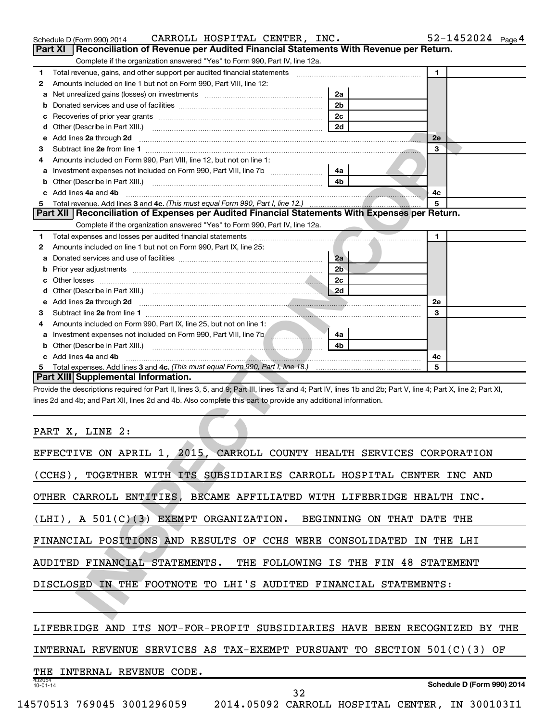|                | CARROLL HOSPITAL CENTER, INC.<br>Schedule D (Form 990) 2014                                                                                                                                                                          |                | $52 - 1452024$ Page 4 |
|----------------|--------------------------------------------------------------------------------------------------------------------------------------------------------------------------------------------------------------------------------------|----------------|-----------------------|
| <b>Part XI</b> | Reconciliation of Revenue per Audited Financial Statements With Revenue per Return.                                                                                                                                                  |                |                       |
|                | Complete if the organization answered "Yes" to Form 990, Part IV, line 12a.                                                                                                                                                          |                |                       |
| 1              | Total revenue, gains, and other support per audited financial statements [[[[[[[[[[[[[[[[[[[[[[]]]]]]]]]]]]]]                                                                                                                        |                | $\blacksquare$        |
| 2              | Amounts included on line 1 but not on Form 990, Part VIII, line 12:                                                                                                                                                                  |                |                       |
| а              | Net unrealized gains (losses) on investments [111] [12] matter contracts and a local metal of the university of                                                                                                                      | 2a             |                       |
| b              |                                                                                                                                                                                                                                      | 2 <sub>b</sub> |                       |
| с              |                                                                                                                                                                                                                                      | 2 <sub>c</sub> |                       |
| d              |                                                                                                                                                                                                                                      | 2d             |                       |
| е              | Add lines 2a through 2d                                                                                                                                                                                                              |                | 2e                    |
| З              |                                                                                                                                                                                                                                      |                | 3                     |
| 4              | Amounts included on Form 990, Part VIII, line 12, but not on line 1:                                                                                                                                                                 |                |                       |
| а              | Investment expenses not included on Form 990, Part VIII, line 7b [11, 111, 111, 120]                                                                                                                                                 | 4a             |                       |
| b              |                                                                                                                                                                                                                                      | 4 <sub>b</sub> |                       |
|                | c Add lines 4a and 4b                                                                                                                                                                                                                |                | 4c                    |
| 5              |                                                                                                                                                                                                                                      |                | 5                     |
|                | Part XII   Reconciliation of Expenses per Audited Financial Statements With Expenses per Return.                                                                                                                                     |                |                       |
|                | Complete if the organization answered "Yes" to Form 990, Part IV, line 12a.                                                                                                                                                          |                |                       |
| 1              |                                                                                                                                                                                                                                      |                | 1                     |
| 2              | Amounts included on line 1 but not on Form 990, Part IX, line 25:                                                                                                                                                                    |                |                       |
| а              | Donated services and use of facilities [111] matter contracts and use of facilities [11] matter contracts and use of facilities [11] matter contracts and use of facilities [11] matter contracts and the Donate Service and D       | 2a             |                       |
| b              |                                                                                                                                                                                                                                      | 2 <sub>b</sub> |                       |
| с              |                                                                                                                                                                                                                                      | 2c             |                       |
| d              |                                                                                                                                                                                                                                      | 2d             |                       |
| е              | Add lines 2a through 2d <b>contained a contained a contained a contained a contained a contained a contained a contained a contact a contact a contact a contact a contact a contact a contact a contact a contact a contact a c</b> |                | 2e                    |
| З              |                                                                                                                                                                                                                                      |                | 3                     |
| 4              | Amounts included on Form 990, Part IX, line 25, but not on line 1:                                                                                                                                                                   |                |                       |
| а              | Investment expenses not included on Form 990, Part VIII, line 7b [100]                                                                                                                                                               | 4a             |                       |
| b              |                                                                                                                                                                                                                                      | 4 <sub>b</sub> |                       |
|                | c Add lines 4a and 4b                                                                                                                                                                                                                |                | 4c                    |
| 5              | Total expenses. Add lines 3 and 4c. (This must equal Form 990, Part I, line 18.) <i>mand expenses. Add lines</i> 3 and                                                                                                               |                | 5                     |
|                | Part XIII Supplemental Information.                                                                                                                                                                                                  |                |                       |
|                | Provide the descriptions required for Part II, lines 3, 5, and 9; Part III, lines 1a and 4; Part IV, lines 1b and 2b; Part V, line 4; Part X, line 2; Part XI,                                                                       |                |                       |
|                | lines 2d and 4b; and Part XII, lines 2d and 4b. Also complete this part to provide any additional information.                                                                                                                       |                |                       |
|                |                                                                                                                                                                                                                                      |                |                       |
|                |                                                                                                                                                                                                                                      |                |                       |
|                | PART X, LINE 2:                                                                                                                                                                                                                      |                |                       |
|                |                                                                                                                                                                                                                                      |                |                       |
|                | EFFECTIVE ON APRIL 1, 2015, CARROLL COUNTY HEALTH SERVICES CORPORATION                                                                                                                                                               |                |                       |
|                |                                                                                                                                                                                                                                      |                |                       |
|                | (CCHS), TOGETHER WITH ITS SUBSIDIARIES CARROLL HOSPITAL CENTER INC AND                                                                                                                                                               |                |                       |
|                |                                                                                                                                                                                                                                      |                |                       |
|                | OTHER CARROLL ENTITIES, BECAME AFFILIATED WITH LIFEBRIDGE HEALTH INC.                                                                                                                                                                |                |                       |
|                |                                                                                                                                                                                                                                      |                |                       |
|                | (LHI), A 501(C)(3) EXEMPT ORGANIZATION. BEGINNING ON THAT DATE THE                                                                                                                                                                   |                |                       |
|                |                                                                                                                                                                                                                                      |                |                       |
|                | FINANCIAL POSITIONS AND RESULTS OF CCHS WERE CONSOLIDATED IN THE LHI                                                                                                                                                                 |                |                       |
|                |                                                                                                                                                                                                                                      |                |                       |
|                | AUDITED FINANCIAL STATEMENTS. THE FOLLOWING IS THE FIN 48 STATEMENT                                                                                                                                                                  |                |                       |
|                |                                                                                                                                                                                                                                      |                |                       |
|                | DISCLOSED IN THE FOOTNOTE TO LHI'S AUDITED FINANCIAL STATEMENTS:                                                                                                                                                                     |                |                       |
|                |                                                                                                                                                                                                                                      |                |                       |
|                |                                                                                                                                                                                                                                      |                |                       |
|                |                                                                                                                                                                                                                                      |                |                       |

| EFFECTIVE ON APRIL 1, 2015, CARROLL COUNTY HEALTH SERVICES CORPORATION           |
|----------------------------------------------------------------------------------|
| $(CCHS)$ .<br>TOGETHER WITH ITS SUBSIDIARIES CARROLL HOSPITAL CENTER INC AND     |
| OTHER CARROLL ENTITIES, BECAME AFFILIATED WITH LIFEBRIDGE HEALTH INC.            |
| (LHI), A 501(C)(3) EXEMPT ORGANIZATION. BEGINNING ON THAT DATE<br>THE            |
| FINANCIAL POSITIONS AND RESULTS OF CCHS WERE CONSOLIDATED<br>THE LHI<br>IN       |
| AUDITED FINANCIAL STATEMENTS. THE FOLLOWING IS THE FIN 48 STATEMENT              |
| DISCLOSED IN THE FOOTNOTE TO LHI'S AUDITED FINANCIAL STATEMENTS:                 |
|                                                                                  |
| LIFEBRIDGE AND<br>ITS NOT-FOR-PROFIT SUBSIDIARIES HAVE BEEN RECOGNIZED<br>BY THE |
| INTERNAL REVENUE SERVICES AS TAX-EXEMPT PURSUANT TO SECTION 501(C)(3)<br>OF      |
| INTERNAL REVENUE CODE.<br>THE.                                                   |
| 432054<br>Schedule D (Form 990) 2014<br>$10 - 01 - 14$<br>32                     |
| 14570513 769045 3001296059 2014.05092 CARROLL HOSPITAL CENTER, IN 300103I1       |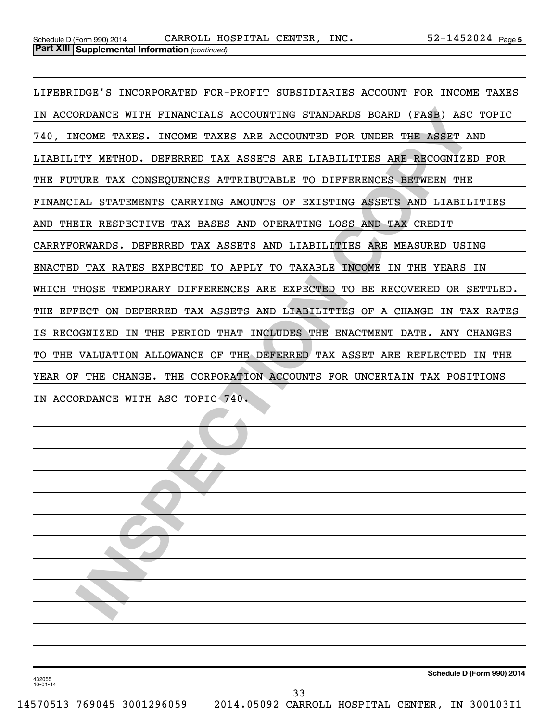**INSPECTE WARRELL ASSESS AND ANDEREST CORPORATION OF AN ASSESS AND INSTEAD AND INTERFERIT IN A SSESS ARE ACCOUNTED FOR UNDER THE ASSET AND ITY METHOD. DEFEREED TAX ASSESS ARE LIABILITIES ARE RECONSIZED FOR THE TAX CONSEQUE** LIFEBRIDGE'S INCORPORATED FOR-PROFIT SUBSIDIARIES ACCOUNT FOR INCOME TAXES IN ACCORDANCE WITH FINANCIALS ACCOUNTING STANDARDS BOARD (FASB) ASC TOPIC 740, INCOME TAXES. INCOME TAXES ARE ACCOUNTED FOR UNDER THE ASSET AND LIABILITY METHOD. DEFERRED TAX ASSETS ARE LIABILITIES ARE RECOGNIZED FOR THE FUTURE TAX CONSEQUENCES ATTRIBUTABLE TO DIFFERENCES BETWEEN THE FINANCIAL STATEMENTS CARRYING AMOUNTS OF EXISTING ASSETS AND LIABILITIES AND THEIR RESPECTIVE TAX BASES AND OPERATING LOSS AND TAX CREDIT CARRYFORWARDS. DEFERRED TAX ASSETS AND LIABILITIES ARE MEASURED USING ENACTED TAX RATES EXPECTED TO APPLY TO TAXABLE INCOME IN THE YEARS IN WHICH THOSE TEMPORARY DIFFERENCES ARE EXPECTED TO BE RECOVERED OR SETTLED. THE EFFECT ON DEFERRED TAX ASSETS AND LIABILITIES OF A CHANGE IN TAX RATES IS RECOGNIZED IN THE PERIOD THAT INCLUDES THE ENACTMENT DATE. ANY CHANGES TO THE VALUATION ALLOWANCE OF THE DEFERRED TAX ASSET ARE REFLECTED IN THE YEAR OF THE CHANGE. THE CORPORATION ACCOUNTS FOR UNCERTAIN TAX POSITIONS IN ACCORDANCE WITH ASC TOPIC 740.

**Schedule D (Form 990) 2014**

432055 10-01-14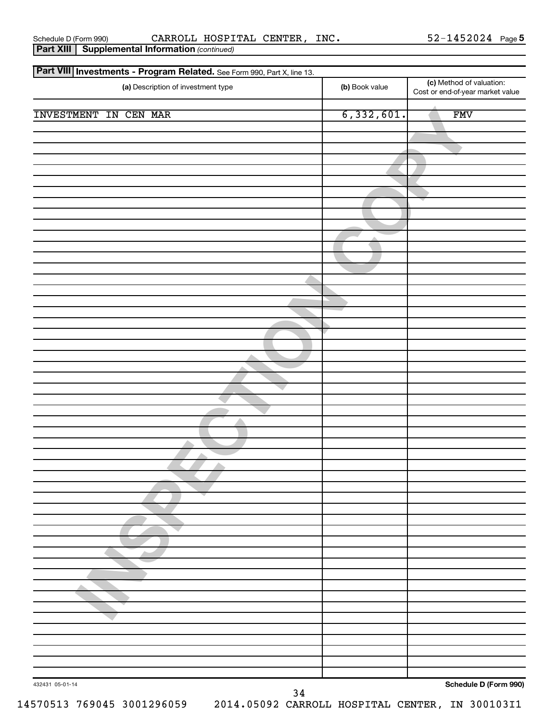**Part XIII | Supplemental Information** (continued)

Schedule D (Form 990) CARROLL HOSPITAL CENTER,INC 52-1452024 Page

| Part VIII Investments - Program Related. See Form 990, Part X, line 13. |                |                                                              |
|-------------------------------------------------------------------------|----------------|--------------------------------------------------------------|
| (a) Description of investment type                                      | (b) Book value | (c) Method of valuation:<br>Cost or end-of-year market value |
| <b>INVESTMENT IN CEN MAR</b>                                            | 6,332,601.     | <b>FMV</b>                                                   |
|                                                                         |                |                                                              |
|                                                                         |                |                                                              |
|                                                                         |                |                                                              |
|                                                                         |                |                                                              |
|                                                                         |                |                                                              |
|                                                                         |                |                                                              |
|                                                                         |                |                                                              |
|                                                                         |                |                                                              |
|                                                                         |                |                                                              |
|                                                                         |                |                                                              |
|                                                                         |                |                                                              |
|                                                                         |                |                                                              |
|                                                                         |                |                                                              |
|                                                                         |                |                                                              |
|                                                                         |                |                                                              |
|                                                                         |                |                                                              |
| 432431 05-01-14                                                         |                | Schedule D (Form 990)                                        |

**Schedule D (Form 990)**

34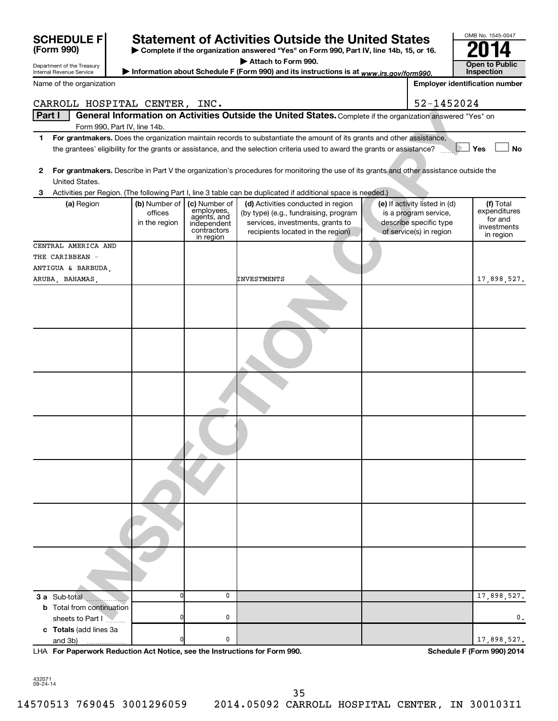| <b>SCHEDULE F</b>                                      |                              |                                                                      | <b>Statement of Activities Outside the United States</b>                                                                                                                                                                                             |                                                                            | OMB No. 1545-0047                                   |
|--------------------------------------------------------|------------------------------|----------------------------------------------------------------------|------------------------------------------------------------------------------------------------------------------------------------------------------------------------------------------------------------------------------------------------------|----------------------------------------------------------------------------|-----------------------------------------------------|
| (Form 990)                                             |                              |                                                                      | Complete if the organization answered "Yes" on Form 990, Part IV, line 14b, 15, or 16.                                                                                                                                                               |                                                                            |                                                     |
|                                                        |                              |                                                                      | Attach to Form 990.                                                                                                                                                                                                                                  |                                                                            |                                                     |
| Department of the Treasury<br>Internal Revenue Service |                              |                                                                      | Information about Schedule F (Form 990) and its instructions is at www.irs.gov/form990.                                                                                                                                                              |                                                                            | <b>Open to Public</b><br>Inspection                 |
| Name of the organization                               |                              |                                                                      |                                                                                                                                                                                                                                                      |                                                                            | <b>Employer identification number</b>               |
| CARROLL HOSPITAL CENTER, INC.                          |                              |                                                                      |                                                                                                                                                                                                                                                      | 52-1452024                                                                 |                                                     |
| Part I                                                 |                              |                                                                      | General Information on Activities Outside the United States. Complete if the organization answered "Yes" on                                                                                                                                          |                                                                            |                                                     |
|                                                        | Form 990, Part IV, line 14b. |                                                                      |                                                                                                                                                                                                                                                      |                                                                            |                                                     |
| 1                                                      |                              |                                                                      | For grantmakers. Does the organization maintain records to substantiate the amount of its grants and other assistance,<br>the grantees' eligibility for the grants or assistance, and the selection criteria used to award the grants or assistance? |                                                                            | Yes<br>No                                           |
| 2<br>United States.                                    |                              |                                                                      | For grantmakers. Describe in Part V the organization's procedures for monitoring the use of its grants and other assistance outside the                                                                                                              |                                                                            |                                                     |
| з                                                      |                              |                                                                      | Activities per Region. (The following Part I, line 3 table can be duplicated if additional space is needed.)                                                                                                                                         |                                                                            |                                                     |
| (a) Region                                             | (b) Number of                | (c) Number of                                                        | (d) Activities conducted in region                                                                                                                                                                                                                   | (e) If activity listed in (d)                                              | (f) Total                                           |
|                                                        | offices<br>in the region     | employees,<br>agents, and<br>independent<br>contractors<br>in region | (by type) (e.g., fundraising, program<br>services, investments, grants to<br>recipients located in the region)                                                                                                                                       | is a program service,<br>describe specific type<br>of service(s) in region | expenditures<br>for and<br>investments<br>in region |
| CENTRAL AMERICA AND                                    |                              |                                                                      |                                                                                                                                                                                                                                                      |                                                                            |                                                     |
| THE CARIBBEAN -                                        |                              |                                                                      |                                                                                                                                                                                                                                                      |                                                                            |                                                     |
| ANTIGUA & BARBUDA,                                     |                              |                                                                      |                                                                                                                                                                                                                                                      |                                                                            |                                                     |
| ARUBA, BAHAMAS,                                        |                              |                                                                      | <b>INVESTMENTS</b>                                                                                                                                                                                                                                   |                                                                            | 17,898,527.                                         |
|                                                        |                              |                                                                      |                                                                                                                                                                                                                                                      |                                                                            |                                                     |
|                                                        |                              |                                                                      |                                                                                                                                                                                                                                                      |                                                                            |                                                     |
|                                                        |                              |                                                                      |                                                                                                                                                                                                                                                      |                                                                            |                                                     |
|                                                        |                              |                                                                      |                                                                                                                                                                                                                                                      |                                                                            |                                                     |
|                                                        |                              |                                                                      |                                                                                                                                                                                                                                                      |                                                                            |                                                     |
|                                                        |                              |                                                                      |                                                                                                                                                                                                                                                      |                                                                            |                                                     |
|                                                        |                              |                                                                      |                                                                                                                                                                                                                                                      |                                                                            |                                                     |
|                                                        |                              |                                                                      |                                                                                                                                                                                                                                                      |                                                                            |                                                     |
| 3 a Sub-total                                          |                              | 0                                                                    |                                                                                                                                                                                                                                                      |                                                                            | 17,898,527.                                         |
| <b>b</b> Total from continuation                       |                              |                                                                      |                                                                                                                                                                                                                                                      |                                                                            |                                                     |
| sheets to Part I                                       |                              | 0                                                                    |                                                                                                                                                                                                                                                      |                                                                            | 0.                                                  |
| c Totals (add lines 3a                                 |                              |                                                                      |                                                                                                                                                                                                                                                      |                                                                            |                                                     |
| and 3b)                                                |                              | 0                                                                    |                                                                                                                                                                                                                                                      |                                                                            | 17,898,527.                                         |

**For Paperwork Reduction Act Notice, see the Instructions for Form 990. Schedule F (Form 990) 2014** LHA

OMB No. 1545-0047

432071 09-24-14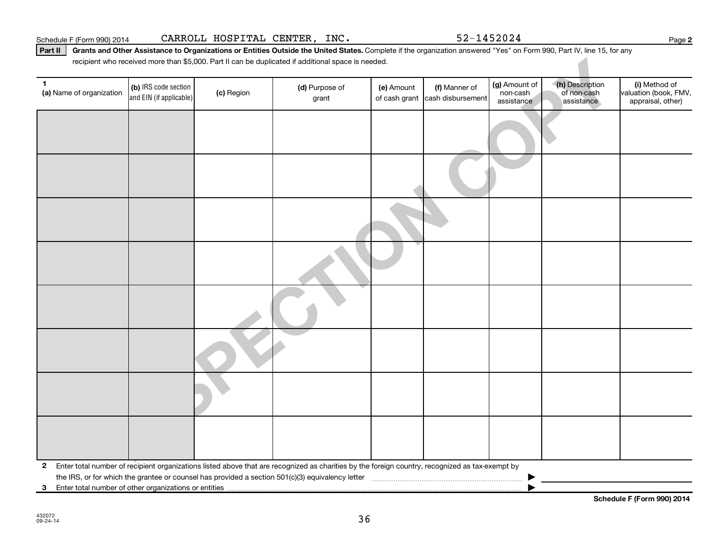**2**

Part II | Grants and Other Assistance to Organizations or Entities Outside the United States. Complete if the organization answered "Yes" on Form 990, Part IV, line 15, for any recipient who received more than \$5,000. Part II can be duplicated if additional space is needed.

|                                                                            |                                                 |            | recipient who received more than \$5,000. Part II can be duplicated if additional space is needed.                                              |            |                                                  |                                         |                                              |                                                             |
|----------------------------------------------------------------------------|-------------------------------------------------|------------|-------------------------------------------------------------------------------------------------------------------------------------------------|------------|--------------------------------------------------|-----------------------------------------|----------------------------------------------|-------------------------------------------------------------|
| 1<br>(a) Name of organization                                              | (b) IRS code section<br>and EIN (if applicable) | (c) Region | (d) Purpose of<br>grant                                                                                                                         | (e) Amount | (f) Manner of<br>of cash grant cash disbursement | (g) Amount of<br>non-cash<br>assistance | (h) Description<br>of non-cash<br>assistance | (i) Method of<br>valuation (book, FMV,<br>appraisal, other) |
|                                                                            |                                                 |            |                                                                                                                                                 |            |                                                  |                                         |                                              |                                                             |
|                                                                            |                                                 |            |                                                                                                                                                 |            |                                                  |                                         |                                              |                                                             |
|                                                                            |                                                 |            |                                                                                                                                                 |            |                                                  |                                         |                                              |                                                             |
|                                                                            |                                                 |            |                                                                                                                                                 |            |                                                  |                                         |                                              |                                                             |
|                                                                            |                                                 |            |                                                                                                                                                 |            |                                                  |                                         |                                              |                                                             |
|                                                                            |                                                 |            |                                                                                                                                                 |            |                                                  |                                         |                                              |                                                             |
|                                                                            |                                                 |            |                                                                                                                                                 |            |                                                  |                                         |                                              |                                                             |
|                                                                            |                                                 |            |                                                                                                                                                 |            |                                                  |                                         |                                              |                                                             |
| $\mathbf{2}$<br>Enter total number of other organizations or entities<br>3 |                                                 |            | Enter total number of recipient organizations listed above that are recognized as charities by the foreign country, recognized as tax-exempt by |            |                                                  |                                         |                                              |                                                             |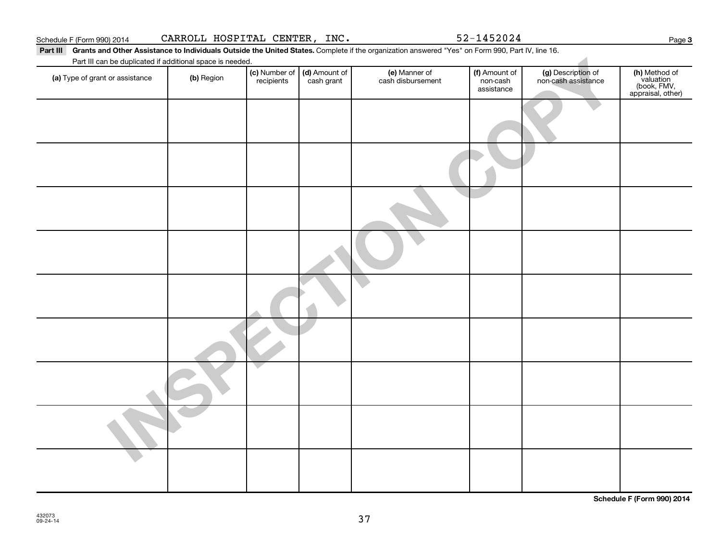**INSPECTION COPY** Part III Grants and Other Assistance to Individuals Outside the United States. Complete if the organization answered "Yes" on Form 990, Part IV, line 16. (a) Type of grant or assistance (b) Region (b) Region (c) Number of (d) Amount of (e) Manner of (f) Amount of (f)<br>Region (cash grant cash dishursement pop-cash assistance v Part III can be duplicated if additional space is needed. (c) Number of recipients (d) Amount of cash grant (e) Manner of cash disbursement (f) Amount of non-cash assistance (g) Description of non-cash assistance **(h)** Method of<br>valuation<br>(book, FMV,<br>appraisal, other)

**Schedule F (Form 990) 2014**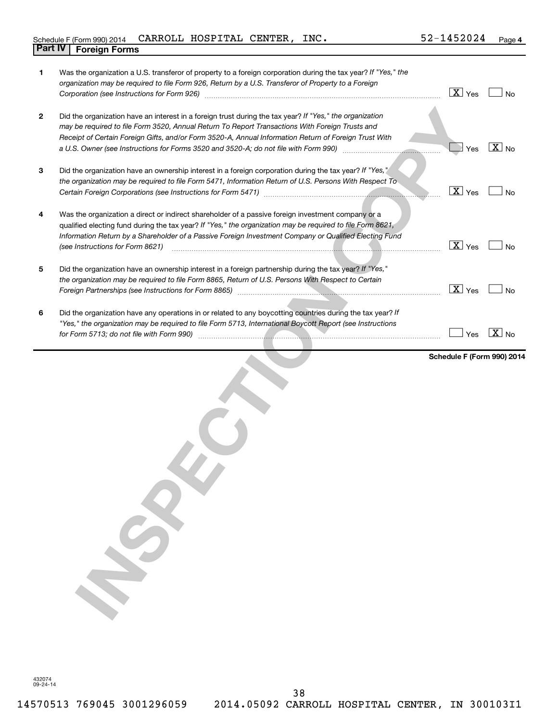# Schedule F (Form 990) 2014  $\verb|CARROL|$   $\verb|HOSPITAL|$   $\verb|CENTER|$ ,  $\verb|INC.|$   $\verb|52-1452024$   $\verb|Page|$ **Part IV Foreign Forms**

| 1            | Was the organization a U.S. transferor of property to a foreign corporation during the tax year? If "Yes," the<br>organization may be required to file Form 926, Return by a U.S. Transferor of Property to a Foreign                                                                                                                                                                                                                 | $\overline{\text{X}}$ Yes | <b>No</b>         |
|--------------|---------------------------------------------------------------------------------------------------------------------------------------------------------------------------------------------------------------------------------------------------------------------------------------------------------------------------------------------------------------------------------------------------------------------------------------|---------------------------|-------------------|
| $\mathbf{2}$ | Did the organization have an interest in a foreign trust during the tax year? If "Yes," the organization<br>may be required to file Form 3520, Annual Return To Report Transactions With Foreign Trusts and<br>Receipt of Certain Foreign Gifts, and/or Form 3520-A, Annual Information Return of Foreign Trust With<br>a U.S. Owner (see Instructions for Forms 3520 and 3520-A; do not file with Form 990) [[[[[[[[[[[[[[[[[[[[[[[[ | Yes                       | $\overline{X}$ No |
| 3            | Did the organization have an ownership interest in a foreign corporation during the tax year? If "Yes,'<br>the organization may be required to file Form 5471, Information Return of U.S. Persons With Respect To<br>Certain Foreign Corporations (see Instructions for Form 5471) [11] [12] Certain Foreign Corporations (see Instructions for Form 5471)                                                                            | $\boxed{\text{X}}$ Yes    | <b>No</b>         |
| 4            | Was the organization a direct or indirect shareholder of a passive foreign investment company or a<br>qualified electing fund during the tax year? If "Yes," the organization may be required to file Form 8621,<br>Information Return by a Shareholder of a Passive Foreign Investment Company or Qualified Electing Fund<br>(see Instructions for Form 8621)                                                                        | $\boxed{\mathbf{X}}$ Yes  | <b>No</b>         |
| 5            | Did the organization have an ownership interest in a foreign partnership during the tax year? If "Yes,"<br>the organization may be required to file Form 8865, Return of U.S. Persons With Respect to Certain                                                                                                                                                                                                                         | $\overline{X}$ Yes        | <b>No</b>         |
| 6            | Did the organization have any operations in or related to any boycotting countries during the tax year? If<br>"Yes," the organization may be required to file Form 5713, International Boycott Report (see Instructions                                                                                                                                                                                                               | Yes                       | $\overline{X}$ No |
|              | $\boldsymbol{\mathcal{G}}$                                                                                                                                                                                                                                                                                                                                                                                                            | Schedule F (Form 990) 201 |                   |

432074 09-24-14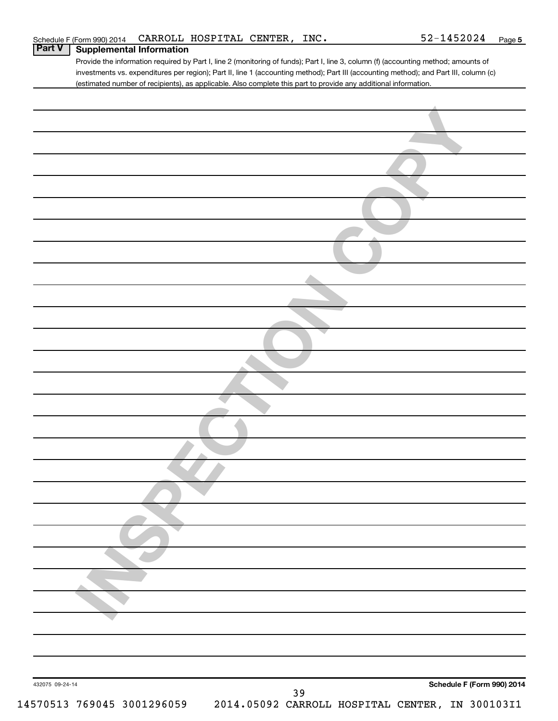Provide the information required by Part I, line 2 (monitoring of funds); Part I, line 3, column (f) (accounting method; amounts of investments vs. expenditures per region); Part II, line 1 (accounting method); Part III (accounting method); and Part III, column (c) (estimated number of recipients), as applicable. Also complete this part to provide any additional information.

| Schedule F (Form 990) 2014                                               |
|--------------------------------------------------------------------------|
| 432075 09-24-14<br>39<br>2014.05092 CARROLL HOSPITAL CENTER, IN 30010311 |
| 14570513 769045 3001296059                                               |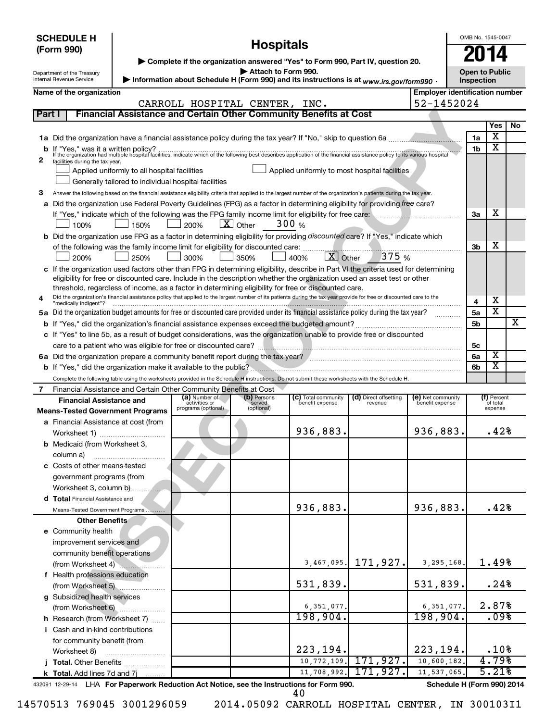|        | <b>SCHEDULE H</b><br><b>Hospitals</b><br>(Form 990)<br>▶ Complete if the organization answered "Yes" to Form 990, Part IV, question 20.<br>Attach to Form 990.<br>Department of the Treasury |                                                                                   |                                |                       |                                                                                                                                                                                                                                                                 |                                  |                                       |                | OMB No. 1545-0047<br><b>Open to Public</b> |    |  |
|--------|----------------------------------------------------------------------------------------------------------------------------------------------------------------------------------------------|-----------------------------------------------------------------------------------|--------------------------------|-----------------------|-----------------------------------------------------------------------------------------------------------------------------------------------------------------------------------------------------------------------------------------------------------------|----------------------------------|---------------------------------------|----------------|--------------------------------------------|----|--|
|        | Internal Revenue Service                                                                                                                                                                     |                                                                                   |                                |                       | > Information about Schedule H (Form 990) and its instructions is at www.irs.gov/form990.                                                                                                                                                                       |                                  |                                       | Inspection     |                                            |    |  |
|        | Name of the organization                                                                                                                                                                     |                                                                                   |                                |                       |                                                                                                                                                                                                                                                                 |                                  | <b>Employer identification number</b> |                |                                            |    |  |
| Part I |                                                                                                                                                                                              |                                                                                   | CARROLL HOSPITAL CENTER, INC.  |                       | Financial Assistance and Certain Other Community Benefits at Cost                                                                                                                                                                                               |                                  | 52-1452024                            |                |                                            |    |  |
|        |                                                                                                                                                                                              |                                                                                   |                                |                       |                                                                                                                                                                                                                                                                 |                                  |                                       |                | Yes                                        | No |  |
|        |                                                                                                                                                                                              |                                                                                   |                                |                       |                                                                                                                                                                                                                                                                 |                                  |                                       | 1a             | Χ                                          |    |  |
|        |                                                                                                                                                                                              |                                                                                   |                                |                       |                                                                                                                                                                                                                                                                 |                                  |                                       | 1b             | $\overline{\texttt{x}}$                    |    |  |
| 2      | facilities during the tax year.                                                                                                                                                              |                                                                                   |                                |                       | If "Yes," was it a written policy?<br>If the organization had multiple hospital facilities, indicate which of the following best describes application of the financial assistance policy to its various hospital                                               |                                  |                                       |                |                                            |    |  |
|        |                                                                                                                                                                                              | Applied uniformly to all hospital facilities                                      |                                |                       | Applied uniformly to most hospital facilities                                                                                                                                                                                                                   |                                  |                                       |                |                                            |    |  |
|        |                                                                                                                                                                                              | Generally tailored to individual hospital facilities                              |                                |                       |                                                                                                                                                                                                                                                                 |                                  |                                       |                |                                            |    |  |
| з      |                                                                                                                                                                                              |                                                                                   |                                |                       | Answer the following based on the financial assistance eligibility criteria that applied to the largest number of the organization's patients during the tax year.                                                                                              |                                  |                                       |                |                                            |    |  |
|        |                                                                                                                                                                                              |                                                                                   |                                |                       | a Did the organization use Federal Poverty Guidelines (FPG) as a factor in determining eligibility for providing free care?                                                                                                                                     |                                  |                                       |                |                                            |    |  |
|        |                                                                                                                                                                                              |                                                                                   |                                |                       |                                                                                                                                                                                                                                                                 |                                  |                                       | За             | х                                          |    |  |
|        | 100%                                                                                                                                                                                         | 150%                                                                              | 200%                           | $X$ Other             | 300 $%$                                                                                                                                                                                                                                                         |                                  |                                       |                |                                            |    |  |
|        |                                                                                                                                                                                              |                                                                                   |                                |                       | b Did the organization use FPG as a factor in determining eligibility for providing discounted care? If "Yes," indicate which                                                                                                                                   |                                  |                                       |                |                                            |    |  |
|        |                                                                                                                                                                                              | of the following was the family income limit for eligibility for discounted care: |                                |                       | $\boxed{\text{X}}$ Other                                                                                                                                                                                                                                        | 375 %                            |                                       | 3b             | х                                          |    |  |
|        | 200%                                                                                                                                                                                         | 250%                                                                              | 300%                           | 350%                  | 400%                                                                                                                                                                                                                                                            |                                  |                                       |                |                                            |    |  |
|        |                                                                                                                                                                                              |                                                                                   |                                |                       | c If the organization used factors other than FPG in determining eligibility, describe in Part VI the criteria used for determining<br>eligibility for free or discounted care. Include in the description whether the organization used an asset test or other |                                  |                                       |                |                                            |    |  |
|        |                                                                                                                                                                                              |                                                                                   |                                |                       | threshold, regardless of income, as a factor in determining eligibility for free or discounted care.                                                                                                                                                            |                                  |                                       |                |                                            |    |  |
| 4      |                                                                                                                                                                                              |                                                                                   |                                |                       | Did the organization's financial assistance policy that applied to the largest number of its patients during the tax year provide for free or discounted care to the                                                                                            |                                  |                                       | 4              | х                                          |    |  |
|        | "medically indigent"?                                                                                                                                                                        |                                                                                   |                                |                       | 5a Did the organization budget amounts for free or discounted care provided under its financial assistance policy during the tax year?                                                                                                                          |                                  |                                       | 5a             | х                                          |    |  |
|        |                                                                                                                                                                                              |                                                                                   |                                |                       |                                                                                                                                                                                                                                                                 |                                  |                                       | 5 <sub>b</sub> |                                            | X  |  |
|        |                                                                                                                                                                                              |                                                                                   |                                |                       | c If "Yes" to line 5b, as a result of budget considerations, was the organization unable to provide free or discounted                                                                                                                                          |                                  |                                       |                |                                            |    |  |
|        |                                                                                                                                                                                              |                                                                                   |                                |                       |                                                                                                                                                                                                                                                                 |                                  |                                       | 5с             |                                            |    |  |
|        |                                                                                                                                                                                              |                                                                                   |                                |                       |                                                                                                                                                                                                                                                                 |                                  |                                       | 6a             | X                                          |    |  |
|        |                                                                                                                                                                                              |                                                                                   |                                |                       | b If "Yes," did the organization make it available to the public?                                                                                                                                                                                               |                                  |                                       | 6b             | $\overline{\texttt{x}}$                    |    |  |
|        |                                                                                                                                                                                              |                                                                                   |                                |                       | Complete the following table using the worksheets provided in the Schedule H instructions. Do not submit these worksheets with the Schedule H.                                                                                                                  |                                  |                                       |                |                                            |    |  |
| 7      | Financial Assistance and Certain Other Community Benefits at Cost                                                                                                                            |                                                                                   |                                |                       |                                                                                                                                                                                                                                                                 |                                  |                                       |                |                                            |    |  |
|        | <b>Financial Assistance and</b>                                                                                                                                                              |                                                                                   | (a) Number of<br>activities or | (b) Persons<br>served | (c) Total community<br>benefit expense                                                                                                                                                                                                                          | (d) Direct offsetting<br>revenue | (e) Net community<br>benefit expense  |                | (f) Percent<br>of total                    |    |  |
|        | <b>Means-Tested Government Programs</b>                                                                                                                                                      |                                                                                   | programs (optional)            | (optional)            |                                                                                                                                                                                                                                                                 |                                  |                                       |                | expense                                    |    |  |
|        | a Financial Assistance at cost (from                                                                                                                                                         |                                                                                   |                                |                       |                                                                                                                                                                                                                                                                 |                                  |                                       |                |                                            |    |  |
|        | Worksheet 1)                                                                                                                                                                                 |                                                                                   |                                |                       | 936,883.                                                                                                                                                                                                                                                        |                                  | 936,883.                              |                | .42%                                       |    |  |
|        | <b>b</b> Medicaid (from Worksheet 3,                                                                                                                                                         |                                                                                   |                                |                       |                                                                                                                                                                                                                                                                 |                                  |                                       |                |                                            |    |  |
|        | column a)                                                                                                                                                                                    |                                                                                   |                                |                       |                                                                                                                                                                                                                                                                 |                                  |                                       |                |                                            |    |  |
|        | c Costs of other means-tested                                                                                                                                                                |                                                                                   |                                |                       |                                                                                                                                                                                                                                                                 |                                  |                                       |                |                                            |    |  |
|        | government programs (from                                                                                                                                                                    |                                                                                   |                                |                       |                                                                                                                                                                                                                                                                 |                                  |                                       |                |                                            |    |  |
|        | Worksheet 3, column b)<br>d Total Financial Assistance and                                                                                                                                   |                                                                                   |                                |                       |                                                                                                                                                                                                                                                                 |                                  |                                       |                |                                            |    |  |
|        | Means-Tested Government Programs                                                                                                                                                             |                                                                                   |                                |                       | 936,883.                                                                                                                                                                                                                                                        |                                  | 936,883.                              |                | .42%                                       |    |  |
|        | <b>Other Benefits</b>                                                                                                                                                                        |                                                                                   |                                |                       |                                                                                                                                                                                                                                                                 |                                  |                                       |                |                                            |    |  |
|        | e Community health                                                                                                                                                                           |                                                                                   |                                |                       |                                                                                                                                                                                                                                                                 |                                  |                                       |                |                                            |    |  |
|        | improvement services and                                                                                                                                                                     |                                                                                   |                                |                       |                                                                                                                                                                                                                                                                 |                                  |                                       |                |                                            |    |  |
|        | community benefit operations                                                                                                                                                                 |                                                                                   |                                |                       |                                                                                                                                                                                                                                                                 |                                  |                                       |                |                                            |    |  |
|        | (from Worksheet 4)                                                                                                                                                                           |                                                                                   |                                |                       | 3,467,095.                                                                                                                                                                                                                                                      | 171,927.                         | 3,295,168.                            |                | 1.49%                                      |    |  |
|        | f Health professions education                                                                                                                                                               |                                                                                   |                                |                       |                                                                                                                                                                                                                                                                 |                                  |                                       |                |                                            |    |  |
|        | (from Worksheet 5)                                                                                                                                                                           |                                                                                   |                                |                       | 531,839.                                                                                                                                                                                                                                                        |                                  | 531,839.                              |                | .24%                                       |    |  |
|        | g Subsidized health services                                                                                                                                                                 |                                                                                   |                                |                       |                                                                                                                                                                                                                                                                 |                                  |                                       |                |                                            |    |  |
|        | (from Worksheet 6)                                                                                                                                                                           |                                                                                   |                                |                       | 6, 351, 077.                                                                                                                                                                                                                                                    |                                  | 6,351,077.                            |                | 2.87%                                      |    |  |
|        | h Research (from Worksheet 7)                                                                                                                                                                |                                                                                   |                                |                       | 198,904.                                                                                                                                                                                                                                                        |                                  | 198,904.                              |                | .098                                       |    |  |
|        | i Cash and in-kind contributions                                                                                                                                                             |                                                                                   |                                |                       |                                                                                                                                                                                                                                                                 |                                  |                                       |                |                                            |    |  |
|        | for community benefit (from                                                                                                                                                                  |                                                                                   |                                |                       | 223,194.                                                                                                                                                                                                                                                        |                                  | 223,194.                              |                | .10%                                       |    |  |
|        | Worksheet 8)                                                                                                                                                                                 |                                                                                   |                                |                       | 10, 772, 109.                                                                                                                                                                                                                                                   | 171,927.                         | 10,600,182.                           |                | 4.79%                                      |    |  |
|        | j Total. Other Benefits<br>k Total. Add lines 7d and 7j                                                                                                                                      |                                                                                   |                                |                       | 11,708,992.                                                                                                                                                                                                                                                     | 171,927.                         | 11,537,065.                           |                | 5.21%                                      |    |  |
|        |                                                                                                                                                                                              | .                                                                                 |                                |                       | <b>LUA For Panorwork Poduction Act Notice, see the Instructions for Form 000</b>                                                                                                                                                                                |                                  | Schodule H (Form 000) 2014            |                |                                            |    |  |

432091 12-29-14 **For Paperwork Reduction Act Notice, see the Instructions for Form 990. Schedule H (Form 990) 2014** LHA For Paperwork Re

40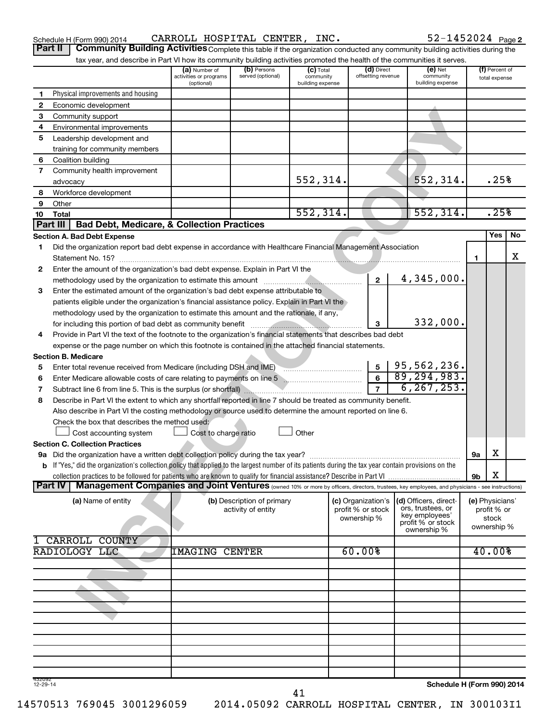Schedule H (Form 990) 2014  $\,$  CARROLL HOSPITAL CENTER, INC.  $\,$  52-1452024  $_{\rm Page}$ 

52-1452024 Page 2

**Part II** | Community Building Activities Complete this table if the organization conducted any community building activities during the tax year, and describe in Part VI how its community building activities promoted the health of the communities

|                    | tax year, and describe in Part VI now its community building activities promoted the nealth of the communities it serves.                                                                                                                                                                                                                       | (a) Number of                        | (b) Persons                | $(c)$ Total                   | (d) Direct         | $(e)$ Net                           |                            | (f) Percent of       |    |
|--------------------|-------------------------------------------------------------------------------------------------------------------------------------------------------------------------------------------------------------------------------------------------------------------------------------------------------------------------------------------------|--------------------------------------|----------------------------|-------------------------------|--------------------|-------------------------------------|----------------------------|----------------------|----|
|                    |                                                                                                                                                                                                                                                                                                                                                 | activities or programs<br>(optional) | served (optional)          | community<br>building expense | offsetting revenue | community<br>building expense       |                            | total expense        |    |
| 1                  | Physical improvements and housing                                                                                                                                                                                                                                                                                                               |                                      |                            |                               |                    |                                     |                            |                      |    |
| 2                  | Economic development                                                                                                                                                                                                                                                                                                                            |                                      |                            |                               |                    |                                     |                            |                      |    |
| З                  | Community support                                                                                                                                                                                                                                                                                                                               |                                      |                            |                               |                    |                                     |                            |                      |    |
| 4                  | Environmental improvements                                                                                                                                                                                                                                                                                                                      |                                      |                            |                               |                    |                                     |                            |                      |    |
| 5                  | Leadership development and                                                                                                                                                                                                                                                                                                                      |                                      |                            |                               |                    |                                     |                            |                      |    |
|                    | training for community members                                                                                                                                                                                                                                                                                                                  |                                      |                            |                               |                    |                                     |                            |                      |    |
| 6                  | Coalition building                                                                                                                                                                                                                                                                                                                              |                                      |                            |                               |                    |                                     |                            |                      |    |
| $\overline{7}$     | Community health improvement                                                                                                                                                                                                                                                                                                                    |                                      |                            |                               |                    |                                     |                            |                      |    |
|                    | advocacy                                                                                                                                                                                                                                                                                                                                        |                                      |                            | 552, 314.                     |                    | 552,314.                            |                            | .25%                 |    |
| 8                  | Workforce development                                                                                                                                                                                                                                                                                                                           |                                      |                            |                               |                    |                                     |                            |                      |    |
| 9                  | Other                                                                                                                                                                                                                                                                                                                                           |                                      |                            |                               |                    |                                     |                            |                      |    |
| 10                 | Total                                                                                                                                                                                                                                                                                                                                           |                                      |                            | 552, 314.                     |                    | 552, 314.                           |                            | .25%                 |    |
|                    | <b>Bad Debt, Medicare, &amp; Collection Practices</b><br>Part III                                                                                                                                                                                                                                                                               |                                      |                            |                               |                    |                                     |                            |                      |    |
|                    | <b>Section A. Bad Debt Expense</b>                                                                                                                                                                                                                                                                                                              |                                      |                            |                               |                    |                                     |                            | <b>Yes</b>           | No |
| 1                  | Did the organization report bad debt expense in accordance with Healthcare Financial Management Association                                                                                                                                                                                                                                     |                                      |                            |                               |                    |                                     |                            |                      |    |
|                    |                                                                                                                                                                                                                                                                                                                                                 |                                      |                            |                               |                    |                                     | 1.                         |                      | х  |
| 2                  | Enter the amount of the organization's bad debt expense. Explain in Part VI the                                                                                                                                                                                                                                                                 |                                      |                            |                               |                    |                                     |                            |                      |    |
|                    | methodology used by the organization to estimate this amount [111] [11] methodology used by the organization to estimate this amount                                                                                                                                                                                                            |                                      |                            |                               | $\mathbf{2}$       | 4,345,000.                          |                            |                      |    |
| 3                  | Enter the estimated amount of the organization's bad debt expense attributable to                                                                                                                                                                                                                                                               |                                      |                            |                               |                    |                                     |                            |                      |    |
|                    | patients eligible under the organization's financial assistance policy. Explain in Part VI the                                                                                                                                                                                                                                                  |                                      |                            |                               |                    |                                     |                            |                      |    |
|                    | methodology used by the organization to estimate this amount and the rationale, if any,                                                                                                                                                                                                                                                         |                                      |                            |                               |                    |                                     |                            |                      |    |
|                    |                                                                                                                                                                                                                                                                                                                                                 |                                      |                            |                               | 3                  | 332,000.                            |                            |                      |    |
|                    | for including this portion of bad debt as community benefit [11] matter in the control of the set of the set of the set of the set of the set of the set of the set of the set of the set of the set of the set of the set of<br>Provide in Part VI the text of the footnote to the organization's financial statements that describes bad debt |                                      |                            |                               |                    |                                     |                            |                      |    |
| 4                  |                                                                                                                                                                                                                                                                                                                                                 |                                      |                            |                               |                    |                                     |                            |                      |    |
|                    | expense or the page number on which this footnote is contained in the attached financial statements.<br><b>Section B. Medicare</b>                                                                                                                                                                                                              |                                      |                            |                               |                    |                                     |                            |                      |    |
|                    |                                                                                                                                                                                                                                                                                                                                                 |                                      |                            |                               | 5 <sup>1</sup>     | 95,562,236.                         |                            |                      |    |
| 5                  | Enter total revenue received from Medicare (including DSH and IME)                                                                                                                                                                                                                                                                              |                                      |                            |                               | 6                  | 89, 294, 983.                       |                            |                      |    |
| 6                  |                                                                                                                                                                                                                                                                                                                                                 |                                      |                            |                               |                    | 6, 267, 253.                        |                            |                      |    |
| 7                  |                                                                                                                                                                                                                                                                                                                                                 |                                      |                            |                               | $\overline{7}$     |                                     |                            |                      |    |
| 8                  | Describe in Part VI the extent to which any shortfall reported in line 7 should be treated as community benefit.                                                                                                                                                                                                                                |                                      |                            |                               |                    |                                     |                            |                      |    |
|                    | Also describe in Part VI the costing methodology or source used to determine the amount reported on line 6.                                                                                                                                                                                                                                     |                                      |                            |                               |                    |                                     |                            |                      |    |
|                    | Check the box that describes the method used:                                                                                                                                                                                                                                                                                                   |                                      |                            |                               |                    |                                     |                            |                      |    |
|                    | Cost accounting system                                                                                                                                                                                                                                                                                                                          | Cost to charge ratio                 |                            | Other                         |                    |                                     |                            |                      |    |
|                    | <b>Section C. Collection Practices</b>                                                                                                                                                                                                                                                                                                          |                                      |                            |                               |                    |                                     |                            |                      |    |
|                    |                                                                                                                                                                                                                                                                                                                                                 |                                      |                            |                               |                    |                                     | <b>9a</b>                  | х                    |    |
|                    | <b>b</b> If "Yes," did the organization's collection policy that applied to the largest number of its patients during the tax year contain provisions on the                                                                                                                                                                                    |                                      |                            |                               |                    |                                     |                            |                      |    |
|                    |                                                                                                                                                                                                                                                                                                                                                 |                                      |                            |                               |                    |                                     | 9b                         | X                    |    |
|                    | Management Companies and Joint Ventures (owned 10% or more by officers, directors, trustees, key employees, and physicians - see instructions)<br><b>Part IV</b>                                                                                                                                                                                |                                      |                            |                               |                    |                                     |                            |                      |    |
|                    | (a) Name of entity                                                                                                                                                                                                                                                                                                                              |                                      | (b) Description of primary |                               | (c) Organization's | (d) Officers, direct-               |                            | (e) Physicians'      |    |
|                    |                                                                                                                                                                                                                                                                                                                                                 |                                      | activity of entity         |                               | profit % or stock  | ors, trustees, or<br>key employees' |                            | profit % or          |    |
|                    |                                                                                                                                                                                                                                                                                                                                                 |                                      |                            |                               | ownership %        | profit % or stock                   |                            | stock<br>ownership % |    |
|                    |                                                                                                                                                                                                                                                                                                                                                 |                                      |                            |                               |                    | ownership %                         |                            |                      |    |
|                    | CARROLL COUNTY                                                                                                                                                                                                                                                                                                                                  |                                      |                            |                               |                    |                                     |                            |                      |    |
|                    | RADIOLOGY LLC                                                                                                                                                                                                                                                                                                                                   | IMAGING                              | <b>CENTER</b>              |                               | 60.00%             |                                     |                            | 40.00%               |    |
|                    |                                                                                                                                                                                                                                                                                                                                                 |                                      |                            |                               |                    |                                     |                            |                      |    |
|                    |                                                                                                                                                                                                                                                                                                                                                 |                                      |                            |                               |                    |                                     |                            |                      |    |
|                    |                                                                                                                                                                                                                                                                                                                                                 |                                      |                            |                               |                    |                                     |                            |                      |    |
|                    |                                                                                                                                                                                                                                                                                                                                                 |                                      |                            |                               |                    |                                     |                            |                      |    |
|                    |                                                                                                                                                                                                                                                                                                                                                 |                                      |                            |                               |                    |                                     |                            |                      |    |
|                    |                                                                                                                                                                                                                                                                                                                                                 |                                      |                            |                               |                    |                                     |                            |                      |    |
|                    |                                                                                                                                                                                                                                                                                                                                                 |                                      |                            |                               |                    |                                     |                            |                      |    |
|                    |                                                                                                                                                                                                                                                                                                                                                 |                                      |                            |                               |                    |                                     |                            |                      |    |
|                    |                                                                                                                                                                                                                                                                                                                                                 |                                      |                            |                               |                    |                                     |                            |                      |    |
|                    |                                                                                                                                                                                                                                                                                                                                                 |                                      |                            |                               |                    |                                     |                            |                      |    |
|                    |                                                                                                                                                                                                                                                                                                                                                 |                                      |                            |                               |                    |                                     |                            |                      |    |
| 432092<br>12-29-14 |                                                                                                                                                                                                                                                                                                                                                 |                                      |                            |                               |                    |                                     | Schedule H (Form 990) 2014 |                      |    |

14570513 769045 3001296059 2014.05092 CARROLL HOSPITAL CENTER, IN 300103I1

**Schedule H (Form 990) 2014**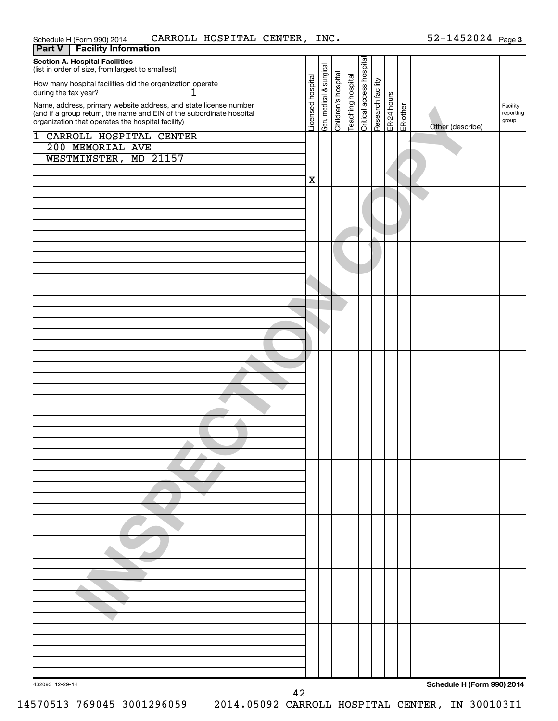| CARROLL HOSPITAL CENTER, INC.<br>Schedule H (Form 990) 2014                                                               |                   |                         |                     |                   |                          |                                              |  | $52 - 1452024$ Page 3      |                    |
|---------------------------------------------------------------------------------------------------------------------------|-------------------|-------------------------|---------------------|-------------------|--------------------------|----------------------------------------------|--|----------------------------|--------------------|
| <b>Facility Information</b><br>Part V                                                                                     |                   |                         |                     |                   |                          |                                              |  |                            |                    |
| <b>Section A. Hospital Facilities</b><br>(list in order of size, from largest to smallest)                                |                   |                         |                     |                   |                          |                                              |  |                            |                    |
| How many hospital facilities did the organization operate<br>1<br>during the tax year?                                    |                   |                         |                     |                   |                          |                                              |  |                            |                    |
| Name, address, primary website address, and state license number                                                          |                   |                         |                     |                   |                          |                                              |  |                            | Facility           |
| (and if a group return, the name and EIN of the subordinate hospital<br>organization that operates the hospital facility) | Licensed hospital | Gen. medical & surgical | Children's hospital | Teaching hospital | Critical access hospital | Research facility<br>ER-24 hours<br>ER-other |  | Other (describe)           | reporting<br>group |
| <b>1 CARROLL HOSPITAL CENTER</b>                                                                                          |                   |                         |                     |                   |                          |                                              |  |                            |                    |
| 200 MEMORIAL AVE                                                                                                          |                   |                         |                     |                   |                          |                                              |  |                            |                    |
| WESTMINSTER,<br>MD 21157                                                                                                  |                   |                         |                     |                   |                          |                                              |  |                            |                    |
|                                                                                                                           | $\mathbf X$       |                         |                     |                   |                          |                                              |  |                            |                    |
|                                                                                                                           |                   |                         |                     |                   |                          |                                              |  |                            |                    |
|                                                                                                                           |                   |                         |                     |                   |                          |                                              |  |                            |                    |
|                                                                                                                           |                   |                         |                     |                   |                          |                                              |  |                            |                    |
|                                                                                                                           |                   |                         |                     |                   |                          |                                              |  |                            |                    |
|                                                                                                                           |                   |                         |                     |                   |                          |                                              |  |                            |                    |
|                                                                                                                           |                   |                         |                     |                   |                          |                                              |  |                            |                    |
|                                                                                                                           |                   |                         |                     |                   |                          |                                              |  |                            |                    |
|                                                                                                                           |                   |                         |                     |                   |                          |                                              |  |                            |                    |
|                                                                                                                           |                   |                         |                     |                   |                          |                                              |  |                            |                    |
|                                                                                                                           |                   |                         |                     |                   |                          |                                              |  |                            |                    |
|                                                                                                                           |                   |                         |                     |                   |                          |                                              |  |                            |                    |
|                                                                                                                           |                   |                         |                     |                   |                          |                                              |  |                            |                    |
|                                                                                                                           |                   |                         |                     |                   |                          |                                              |  |                            |                    |
|                                                                                                                           |                   |                         |                     |                   |                          |                                              |  |                            |                    |
|                                                                                                                           |                   |                         |                     |                   |                          |                                              |  |                            |                    |
|                                                                                                                           |                   |                         |                     |                   |                          |                                              |  |                            |                    |
|                                                                                                                           |                   |                         |                     |                   |                          |                                              |  |                            |                    |
|                                                                                                                           |                   |                         |                     |                   |                          |                                              |  |                            |                    |
|                                                                                                                           |                   |                         |                     |                   |                          |                                              |  |                            |                    |
|                                                                                                                           |                   |                         |                     |                   |                          |                                              |  |                            |                    |
|                                                                                                                           |                   |                         |                     |                   |                          |                                              |  |                            |                    |
|                                                                                                                           |                   |                         |                     |                   |                          |                                              |  |                            |                    |
|                                                                                                                           |                   |                         |                     |                   |                          |                                              |  |                            |                    |
|                                                                                                                           |                   |                         |                     |                   |                          |                                              |  |                            |                    |
|                                                                                                                           |                   |                         |                     |                   |                          |                                              |  |                            |                    |
|                                                                                                                           |                   |                         |                     |                   |                          |                                              |  |                            |                    |
|                                                                                                                           |                   |                         |                     |                   |                          |                                              |  |                            |                    |
|                                                                                                                           |                   |                         |                     |                   |                          |                                              |  |                            |                    |
|                                                                                                                           |                   |                         |                     |                   |                          |                                              |  |                            |                    |
|                                                                                                                           |                   |                         |                     |                   |                          |                                              |  |                            |                    |
|                                                                                                                           |                   |                         |                     |                   |                          |                                              |  |                            |                    |
|                                                                                                                           |                   |                         |                     |                   |                          |                                              |  |                            |                    |
|                                                                                                                           |                   |                         |                     |                   |                          |                                              |  |                            |                    |
|                                                                                                                           |                   |                         |                     |                   |                          |                                              |  |                            |                    |
| 432093 12-29-14                                                                                                           |                   |                         |                     |                   |                          |                                              |  | Schedule H (Form 990) 2014 |                    |
| 42                                                                                                                        |                   |                         |                     |                   |                          |                                              |  |                            |                    |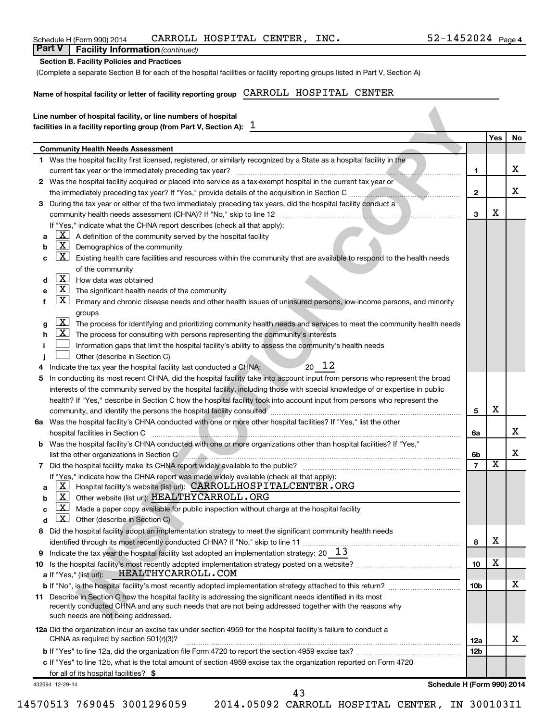| Name of hospital facility or letter of facility reporting group CARROLL HOSPITAL CENTER                                                                                                   |                 |     |    |
|-------------------------------------------------------------------------------------------------------------------------------------------------------------------------------------------|-----------------|-----|----|
|                                                                                                                                                                                           |                 |     |    |
| Line number of hospital facility, or line numbers of hospital<br>facilities in a facility reporting group (from Part V, Section A): $1$                                                   |                 |     |    |
|                                                                                                                                                                                           |                 | Yes | No |
| <b>Community Health Needs Assessment</b>                                                                                                                                                  |                 |     |    |
| 1 Was the hospital facility first licensed, registered, or similarly recognized by a State as a hospital facility in the                                                                  |                 |     | х  |
| current tax year or the immediately preceding tax year?<br>2 Was the hospital facility acquired or placed into service as a tax-exempt hospital in the current tax year or                | 1               |     |    |
|                                                                                                                                                                                           | $\mathbf{2}$    |     | х  |
| During the tax year or either of the two immediately preceding tax years, did the hospital facility conduct a<br>3                                                                        |                 |     |    |
|                                                                                                                                                                                           | 3               | х   |    |
| If "Yes," indicate what the CHNA report describes (check all that apply):                                                                                                                 |                 |     |    |
| $\boxed{\text{X}}$ A definition of the community served by the hospital facility<br>а                                                                                                     |                 |     |    |
| $\mathbf{X}$<br>Demographics of the community<br>b                                                                                                                                        |                 |     |    |
| $\mathbf{X}$<br>Existing health care facilities and resources within the community that are available to respond to the health needs<br>с                                                 |                 |     |    |
| of the community                                                                                                                                                                          |                 |     |    |
| $\mathbf{X}$<br>How data was obtained<br>d                                                                                                                                                |                 |     |    |
| $\mathbf{X}$<br>The significant health needs of the community<br>е                                                                                                                        |                 |     |    |
| $\mathbf{X}$<br>Primary and chronic disease needs and other health issues of uninsured persons, low-income persons, and minority                                                          |                 |     |    |
| groups                                                                                                                                                                                    |                 |     |    |
| $\lfloor x \rfloor$<br>The process for identifying and prioritizing community health needs and services to meet the community health needs<br>g                                           |                 |     |    |
| $\lfloor \underline{x} \rfloor$ The process for consulting with persons representing the community's interests<br>h                                                                       |                 |     |    |
| Information gaps that limit the hospital facility's ability to assess the community's health needs                                                                                        |                 |     |    |
| Other (describe in Section C)                                                                                                                                                             |                 |     |    |
| $20 \t12$<br>Indicate the tax year the hospital facility last conducted a CHNA:<br>4                                                                                                      |                 |     |    |
| In conducting its most recent CHNA, did the hospital facility take into account input from persons who represent the broad<br>5                                                           |                 |     |    |
| interests of the community served by the hospital facility, including those with special knowledge of or expertise in public                                                              |                 |     |    |
| health? If "Yes," describe in Section C how the hospital facility took into account input from persons who represent the                                                                  |                 | х   |    |
| community, and identify the persons the hospital facility consulted<br>6a Was the hospital facility's CHNA conducted with one or more other hospital facilities? If "Yes," list the other | 5               |     |    |
| hospital facilities in Section C                                                                                                                                                          | 6a              |     | х  |
| Was the hospital facility's CHNA conducted with one or more organizations other than hospital facilities? If "Yes,"                                                                       |                 |     |    |
| b<br>list the other organizations in Section C                                                                                                                                            | 6b              |     | х  |
|                                                                                                                                                                                           |                 | ᅀ   |    |
| If "Yes," indicate how the CHNA report was made widely available (check all that apply):                                                                                                  |                 |     |    |
| X <br>Hospital facility's website (list url): CARROLLHOSPITALCENTER. ORG<br>a                                                                                                             |                 |     |    |
| $\lfloor x \rfloor$<br>Other website (list url): HEALTHYCARROLL.ORG<br>b                                                                                                                  |                 |     |    |
| $\lfloor x \rfloor$<br>Made a paper copy available for public inspection without charge at the hospital facility<br>c                                                                     |                 |     |    |
| $\mathbf{x}$<br>Other (describe in Section C)<br>d                                                                                                                                        |                 |     |    |
| Did the hospital facility adopt an implementation strategy to meet the significant community health needs<br>8                                                                            |                 |     |    |
|                                                                                                                                                                                           | 8               | х   |    |
| Indicate the tax year the hospital facility last adopted an implementation strategy: 20 $13$<br>9                                                                                         |                 |     |    |
| 10                                                                                                                                                                                        | 10              | х   |    |
| HEALTHYCARROLL.COM<br>a If "Yes," (list url):                                                                                                                                             |                 |     |    |
|                                                                                                                                                                                           | 10 <sub>b</sub> |     | х  |
| 11 Describe in Section C how the hospital facility is addressing the significant needs identified in its most                                                                             |                 |     |    |
| recently conducted CHNA and any such needs that are not being addressed together with the reasons why                                                                                     |                 |     |    |
| such needs are not being addressed.                                                                                                                                                       |                 |     |    |
|                                                                                                                                                                                           |                 |     |    |
| 12a Did the organization incur an excise tax under section 4959 for the hospital facility's failure to conduct a                                                                          |                 |     |    |
| CHNA as required by section 501(r)(3)?                                                                                                                                                    | 12a             |     | х  |
| c If "Yes" to line 12b, what is the total amount of section 4959 excise tax the organization reported on Form 4720                                                                        | 12 <sub>b</sub> |     |    |

43

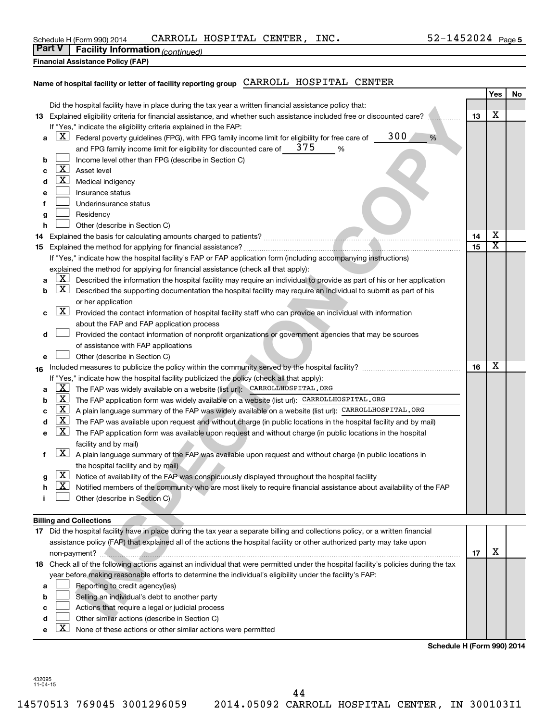| Schedule H (Form 990) 2014                        | CARROLL | HOSPITAL | <b>CENTER</b> | INC. | .452024<br>$\lambda$ $-$ | Page 5 |
|---------------------------------------------------|---------|----------|---------------|------|--------------------------|--------|
| Part V<br><b>Facility Information (continued)</b> |         |          |               |      |                          |        |

|  | $\vert$ rate $\vert$ racinty information $\vert_{CO}$ |  |
|--|-------------------------------------------------------|--|
|  |                                                       |  |

**Financial Assistance Policy (FAP)**

## **Name of hospital facility or letter of facility reporting group** CARROLL HOSPITAL CENTER

|     |                                                                                                                                                      |    | Yes                     | No |
|-----|------------------------------------------------------------------------------------------------------------------------------------------------------|----|-------------------------|----|
|     | Did the hospital facility have in place during the tax year a written financial assistance policy that:                                              |    |                         |    |
|     | 13 Explained eligibility criteria for financial assistance, and whether such assistance included free or discounted care?                            |    |                         |    |
|     | If "Yes," indicate the eligibility criteria explained in the FAP:                                                                                    |    |                         |    |
|     | 300<br><u>x</u><br>%<br>Federal poverty guidelines (FPG), with FPG family income limit for eligibility for free care of<br>а                         |    |                         |    |
|     | 375<br>and FPG family income limit for eligibility for discounted care of<br>℅                                                                       |    |                         |    |
|     | Income level other than FPG (describe in Section C)<br>b                                                                                             |    |                         |    |
|     | $\lfloor \texttt{X} \rfloor$<br>Asset level                                                                                                          |    |                         |    |
|     | c<br><u>X  </u>                                                                                                                                      |    |                         |    |
|     | Medical indigency<br>d                                                                                                                               |    |                         |    |
|     | Insurance status                                                                                                                                     |    |                         |    |
|     | Underinsurance status                                                                                                                                |    |                         |    |
|     | Residency<br>g                                                                                                                                       |    |                         |    |
|     | Other (describe in Section C)<br>h                                                                                                                   |    |                         |    |
| 14. |                                                                                                                                                      | 14 | х                       |    |
| 15  |                                                                                                                                                      | 15 | $\overline{\textbf{x}}$ |    |
|     | If "Yes," indicate how the hospital facility's FAP or FAP application form (including accompanying instructions)                                     |    |                         |    |
|     | explained the method for applying for financial assistance (check all that apply):                                                                   |    |                         |    |
|     | X.<br>Described the information the hospital facility may require an individual to provide as part of his or her application                         |    |                         |    |
|     | $\lfloor \texttt{X} \rfloor$<br>Described the supporting documentation the hospital facility may require an individual to submit as part of his<br>b |    |                         |    |
|     | or her application                                                                                                                                   |    |                         |    |
|     | $\boxed{\text{X}}$<br>Provided the contact information of hospital facility staff who can provide an individual with information<br>с                |    |                         |    |
|     | about the FAP and FAP application process                                                                                                            |    |                         |    |
|     | Provided the contact information of nonprofit organizations or government agencies that may be sources<br>d                                          |    |                         |    |
|     | of assistance with FAP applications                                                                                                                  |    |                         |    |
|     | Other (describe in Section C)<br>е                                                                                                                   |    |                         |    |
|     |                                                                                                                                                      | 16 | х                       |    |
| 16  |                                                                                                                                                      |    |                         |    |
|     | If "Yes," indicate how the hospital facility publicized the policy (check all that apply):<br><u>x</u>                                               |    |                         |    |
|     | The FAP was widely available on a website (list url): CARROLLHOSPITAL. ORG<br>а                                                                      |    |                         |    |
|     | <u>  X</u><br>The FAP application form was widely available on a website (list url): CARROLLHOSPITAL. ORG<br>b                                       |    |                         |    |
|     | <u>X</u><br>A plain language summary of the FAP was widely available on a website (list url): CARROLLHOSPITAL.ORG<br>с                               |    |                         |    |
|     | The FAP was available upon request and without charge (in public locations in the hospital facility and by mail)<br>d                                |    |                         |    |
|     | $\lfloor x \rfloor$<br>The FAP application form was available upon request and without charge (in public locations in the hospital<br>е              |    |                         |    |
|     | facility and by mail)                                                                                                                                |    |                         |    |
| f   | $\lfloor x \rfloor$<br>A plain language summary of the FAP was available upon request and without charge (in public locations in                     |    |                         |    |
|     | the hospital facility and by mail)                                                                                                                   |    |                         |    |
|     | <u>  X</u><br>Notice of availability of the FAP was conspicuously displayed throughout the hospital facility<br>g                                    |    |                         |    |
|     | <u>  X </u><br>Notified members of the community who are most likely to require financial assistance about availability of the FAP<br>h              |    |                         |    |
|     | Other (describe in Section C)                                                                                                                        |    |                         |    |
|     |                                                                                                                                                      |    |                         |    |
|     | <b>Billing and Collections</b>                                                                                                                       |    |                         |    |
|     | 17 Did the hospital facility have in place during the tax year a separate billing and collections policy, or a written financial                     |    |                         |    |
|     | assistance policy (FAP) that explained all of the actions the hospital facility or other authorized party may take upon                              |    |                         |    |
|     |                                                                                                                                                      | 17 | X                       |    |
|     | 18 Check all of the following actions against an individual that were permitted under the hospital facility's policies during the tax                |    |                         |    |
|     | year before making reasonable efforts to determine the individual's eligibility under the facility's FAP:                                            |    |                         |    |
|     | Reporting to credit agency(ies)<br>a                                                                                                                 |    |                         |    |
|     | Selling an individual's debt to another party<br>b                                                                                                   |    |                         |    |
|     | Actions that require a legal or judicial process                                                                                                     |    |                         |    |
|     | Other similar actions (describe in Section C)                                                                                                        |    |                         |    |
|     |                                                                                                                                                      |    |                         |    |

- **d Letter** other similar actions (describe in Section C)
- **e**  $\boxed{\textbf{X}}$  None of these actions or other similar actions were permitted

**Schedule H (Form 990) 2014**

432095 11-04-15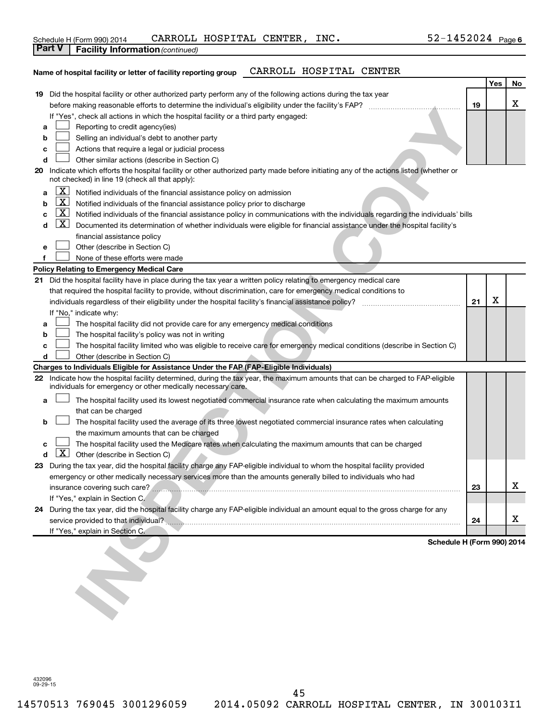| Schedule H (Form 990) 2014                   | CARROLL HOSPITAL CENTER, | INC. | 1452024<br>Page 6 |  |
|----------------------------------------------|--------------------------|------|-------------------|--|
| l Part V<br>Engility Information (sentiment) |                          |      |                   |  |

| Parτ v<br><b>Facility Information</b> (continued)                                                                                                                                              |                            |     |    |
|------------------------------------------------------------------------------------------------------------------------------------------------------------------------------------------------|----------------------------|-----|----|
| CARROLL HOSPITAL CENTER<br>Name of hospital facility or letter of facility reporting group                                                                                                     |                            | Yes |    |
|                                                                                                                                                                                                |                            |     | No |
| Did the hospital facility or other authorized party perform any of the following actions during the tax year<br>19                                                                             |                            |     | x  |
| 19                                                                                                                                                                                             |                            |     |    |
| If "Yes", check all actions in which the hospital facility or a third party engaged:                                                                                                           |                            |     |    |
| Reporting to credit agency(ies)<br>а                                                                                                                                                           |                            |     |    |
| Selling an individual's debt to another party<br>b                                                                                                                                             |                            |     |    |
| Actions that require a legal or judicial process<br>с                                                                                                                                          |                            |     |    |
| Other similar actions (describe in Section C)<br>d                                                                                                                                             |                            |     |    |
| Indicate which efforts the hospital facility or other authorized party made before initiating any of the actions listed (whether or<br>20<br>not checked) in line 19 (check all that apply):   |                            |     |    |
| X<br>Notified individuals of the financial assistance policy on admission<br>a                                                                                                                 |                            |     |    |
| $\lfloor x \rfloor$<br>Notified individuals of the financial assistance policy prior to discharge<br>b                                                                                         |                            |     |    |
| $\lfloor x \rfloor$<br>Notified individuals of the financial assistance policy in communications with the individuals regarding the individuals' bills<br>с                                    |                            |     |    |
| <u>  X </u><br>Documented its determination of whether individuals were eligible for financial assistance under the hospital facility's<br>d                                                   |                            |     |    |
| financial assistance policy                                                                                                                                                                    |                            |     |    |
| Other (describe in Section C)<br>е                                                                                                                                                             |                            |     |    |
| f<br>None of these efforts were made                                                                                                                                                           |                            |     |    |
| <b>Policy Relating to Emergency Medical Care</b>                                                                                                                                               |                            |     |    |
| Did the hospital facility have in place during the tax year a written policy relating to emergency medical care<br>21                                                                          |                            |     |    |
| that required the hospital facility to provide, without discrimination, care for emergency medical conditions to                                                                               |                            |     |    |
|                                                                                                                                                                                                | 21                         | X   |    |
| If "No," indicate why:                                                                                                                                                                         |                            |     |    |
| The hospital facility did not provide care for any emergency medical conditions<br>а                                                                                                           |                            |     |    |
| The hospital facility's policy was not in writing<br>b                                                                                                                                         |                            |     |    |
| The hospital facility limited who was eligible to receive care for emergency medical conditions (describe in Section C)<br>c                                                                   |                            |     |    |
| Other (describe in Section C)<br>d                                                                                                                                                             |                            |     |    |
| Charges to Individuals Eligible for Assistance Under the FAP (FAP-Eligible Individuals)                                                                                                        |                            |     |    |
| 22 Indicate how the hospital facility determined, during the tax year, the maximum amounts that can be charged to FAP-eligible<br>individuals for emergency or other medically necessary care. |                            |     |    |
| The hospital facility used its lowest negotiated commercial insurance rate when calculating the maximum amounts<br>a<br>that can be charged                                                    |                            |     |    |
| The hospital facility used the average of its three lowest negotiated commercial insurance rates when calculating<br>b                                                                         |                            |     |    |
| the maximum amounts that can be charged                                                                                                                                                        |                            |     |    |
| The hospital facility used the Medicare rates when calculating the maximum amounts that can be charged<br>с                                                                                    |                            |     |    |
| Other (describe in Section C)<br><b>Contract Contract Contract</b>                                                                                                                             |                            |     |    |
| 23 During the tax year, did the hospital facility charge any FAP-eligible individual to whom the hospital facility provided                                                                    |                            |     |    |
| emergency or other medically necessary services more than the amounts generally billed to individuals who had                                                                                  |                            |     |    |
|                                                                                                                                                                                                | 23                         |     | х  |
| insurance covering such care?<br>If "Yes," explain in Section C.                                                                                                                               |                            |     |    |
| During the tax year, did the hospital facility charge any FAP-eligible individual an amount equal to the gross charge for any<br>24                                                            |                            |     |    |
|                                                                                                                                                                                                | 24                         |     | х  |
| If "Yes," explain in Section C.                                                                                                                                                                |                            |     |    |
|                                                                                                                                                                                                | Schedule H (Form 990) 2014 |     |    |
|                                                                                                                                                                                                |                            |     |    |
|                                                                                                                                                                                                |                            |     |    |
|                                                                                                                                                                                                |                            |     |    |
|                                                                                                                                                                                                |                            |     |    |
|                                                                                                                                                                                                |                            |     |    |
|                                                                                                                                                                                                |                            |     |    |
|                                                                                                                                                                                                |                            |     |    |

432096 09-29-15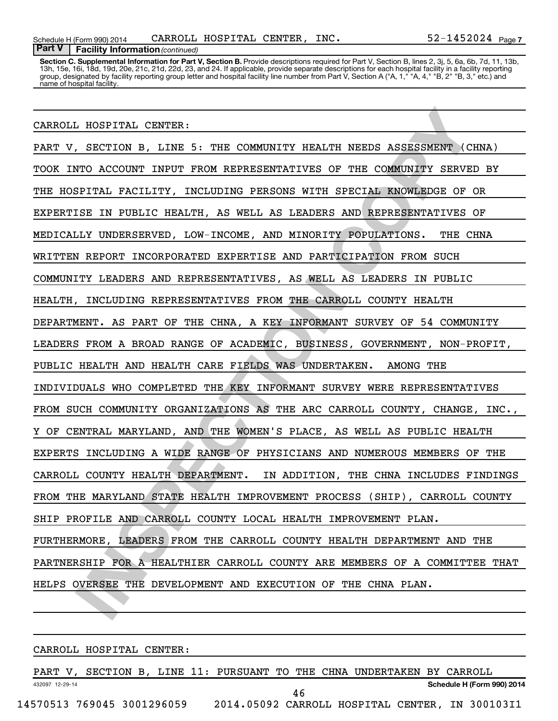Section C. Supplemental Information for Part V, Section B. Provide descriptions required for Part V, Section B, lines 2, 3j, 5, 6a, 6b, 7d, 11, 13b, 13h, 15e, 16i, 18d, 19d, 20e, 21c, 21d, 22d, 23, and 24. If applicable, provide separate descriptions for each hospital facility in a facility reporting group, designated by facility reporting group letter and hospital facility line number from Part V, Section A ("A, 1," "A, 4," "B, 2" "B, 3," etc.) and name of hospital facility.

### CARROLL HOSPITAL CENTER:

L'HOSPITAL CENTER:<br>
I SECTION B, LINE 5: THE COMMUNITY HEALTH NEEDS ASSESSMENT (CHNA)<br>
NTO ACCOUNT INFUT FROM REPRESENTATIVES OF THE COMMUNITY SERVED BY<br>
FITAL PACILITY, INCLUDING PERSONS WITH SPECIAL KNOWLEDGE OF OR<br>
ISPI PART V, SECTION B, LINE 5: THE COMMUNITY HEALTH NEEDS ASSESSMENT (CHNA) TOOK INTO ACCOUNT INPUT FROM REPRESENTATIVES OF THE COMMUNITY SERVED BY THE HOSPITAL FACILITY, INCLUDING PERSONS WITH SPECIAL KNOWLEDGE OF OR EXPERTISE IN PUBLIC HEALTH, AS WELL AS LEADERS AND REPRESENTATIVES OF MEDICALLY UNDERSERVED, LOW-INCOME, AND MINORITY POPULATIONS. THE CHNA WRITTEN REPORT INCORPORATED EXPERTISE AND PARTICIPATION FROM SUCH COMMUNITY LEADERS AND REPRESENTATIVES, AS WELL AS LEADERS IN PUBLIC HEALTH, INCLUDING REPRESENTATIVES FROM THE CARROLL COUNTY HEALTH DEPARTMENT. AS PART OF THE CHNA, A KEY INFORMANT SURVEY OF 54 COMMUNITY LEADERS FROM A BROAD RANGE OF ACADEMIC, BUSINESS, GOVERNMENT, NON-PROFIT, PUBLIC HEALTH AND HEALTH CARE FIELDS WAS UNDERTAKEN. AMONG THE INDIVIDUALS WHO COMPLETED THE KEY INFORMANT SURVEY WERE REPRESENTATIVES FROM SUCH COMMUNITY ORGANIZATIONS AS THE ARC CARROLL COUNTY, CHANGE, INC., Y OF CENTRAL MARYLAND, AND THE WOMEN'S PLACE, AS WELL AS PUBLIC HEALTH EXPERTS INCLUDING A WIDE RANGE OF PHYSICIANS AND NUMEROUS MEMBERS OF THE CARROLL COUNTY HEALTH DEPARTMENT. IN ADDITION, THE CHNA INCLUDES FINDINGS FROM THE MARYLAND STATE HEALTH IMPROVEMENT PROCESS (SHIP), CARROLL COUNTY SHIP PROFILE AND CARROLL COUNTY LOCAL HEALTH IMPROVEMENT PLAN. FURTHERMORE, LEADERS FROM THE CARROLL COUNTY HEALTH DEPARTMENT AND THE PARTNERSHIP FOR A HEALTHIER CARROLL COUNTY ARE MEMBERS OF A COMMITTEE THAT HELPS OVERSEE THE DEVELOPMENT AND EXECUTION OF THE CHNA PLAN.

CARROLL HOSPITAL CENTER:

432097 12-29-14 **Schedule H (Form 990) 2014** PART V, SECTION B, LINE 11: PURSUANT TO THE CHNA UNDERTAKEN BY CARROLL 14570513 769045 3001296059 2014.05092 CARROLL HOSPITAL CENTER, IN 300103I1 46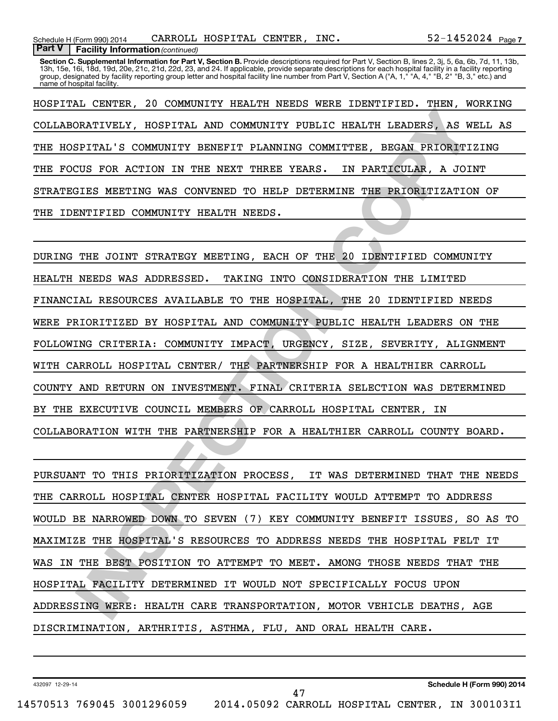Section C. Supplemental Information for Part V, Section B. Provide descriptions required for Part V, Section B, lines 2, 3j, 5, 6a, 6b, 7d, 11, 13b, 13h, 15e, 16i, 18d, 19d, 20e, 21c, 21d, 22d, 23, and 24. If applicable, provide separate descriptions for each hospital facility in a facility reporting group, designated by facility reporting group letter and hospital facility line number from Part V, Section A ("A, 1," "A, 4," "B, 2" "B, 3," etc.) and name of hospital facility.

HOSPITAL CENTER, 20 COMMUNITY HEALTH NEEDS WERE IDENTIFIED. THEN, WORKING COLLABORATIVELY, HOSPITAL AND COMMUNITY PUBLIC HEALTH LEADERS, AS WELL AS THE HOSPITAL'S COMMUNITY BENEFIT PLANNING COMMITTEE, BEGAN PRIORITIZING THE FOCUS FOR ACTION IN THE NEXT THREE YEARS. IN PARTICULAR, A JOINT STRATEGIES MEETING WAS CONVENED TO HELP DETERMINE THE PRIORITIZATION OF THE IDENTIFIED COMMUNITY HEALTH NEEDS.

**INSPECTIVE THE SERVICE IN THE RELEANT ON THE RELEANT AND COMMUNITY FUBLIC HEALTH LEADERS, AS WELL ISFITAL'S COMMUNITY EBREFTIT FLANNING COMMUNITYS. BEGAN PRIORITIZING<br>THE STITAL'S COMMUNITY EBREFTIT FLANNING COMMUNITYS. B** DURING THE JOINT STRATEGY MEETING, EACH OF THE 20 IDENTIFIED COMMUNITY HEALTH NEEDS WAS ADDRESSED. TAKING INTO CONSIDERATION THE LIMITED FINANCIAL RESOURCES AVAILABLE TO THE HOSPITAL, THE 20 IDENTIFIED NEEDS WERE PRIORITIZED BY HOSPITAL AND COMMUNITY PUBLIC HEALTH LEADERS ON THE FOLLOWING CRITERIA: COMMUNITY IMPACT, URGENCY, SIZE, SEVERITY, ALIGNMENT WITH CARROLL HOSPITAL CENTER/ THE PARTNERSHIP FOR A HEALTHIER CARROLL COUNTY AND RETURN ON INVESTMENT. FINAL CRITERIA SELECTION WAS DETERMINED BY THE EXECUTIVE COUNCIL MEMBERS OF CARROLL HOSPITAL CENTER, IN COLLABORATION WITH THE PARTNERSHIP FOR A HEALTHIER CARROLL COUNTY BOARD.

PURSUANT TO THIS PRIORITIZATION PROCESS, IT WAS DETERMINED THAT THE NEEDS THE CARROLL HOSPITAL CENTER HOSPITAL FACILITY WOULD ATTEMPT TO ADDRESS WOULD BE NARROWED DOWN TO SEVEN (7) KEY COMMUNITY BENEFIT ISSUES, SO AS TO MAXIMIZE THE HOSPITAL'S RESOURCES TO ADDRESS NEEDS THE HOSPITAL FELT IT WAS IN THE BEST POSITION TO ATTEMPT TO MEET. AMONG THOSE NEEDS THAT THE HOSPITAL FACILITY DETERMINED IT WOULD NOT SPECIFICALLY FOCUS UPON ADDRESSING WERE: HEALTH CARE TRANSPORTATION, MOTOR VEHICLE DEATHS, AGE DISCRIMINATION, ARTHRITIS, ASTHMA, FLU, AND ORAL HEALTH CARE.

47

432097 12-29-14

**Schedule H (Form 990) 2014**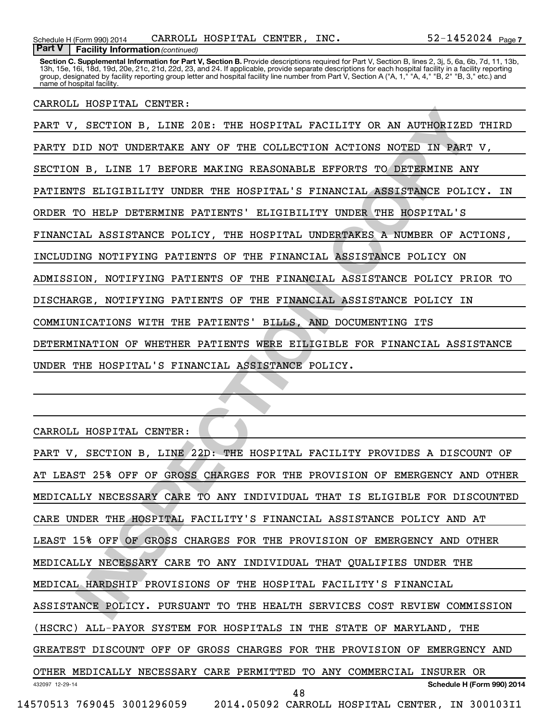Section C. Supplemental Information for Part V, Section B. Provide descriptions required for Part V, Section B, lines 2, 3j, 5, 6a, 6b, 7d, 11, 13b, 13h, 15e, 16i, 18d, 19d, 20e, 21c, 21d, 22d, 23, and 24. If applicable, provide separate descriptions for each hospital facility in a facility reporting group, designated by facility reporting group letter and hospital facility line number from Part V, Section A ("A, 1," "A, 4," "B, 2" "B, 3," etc.) and name of hospital facility.

## CARROLL HOSPITAL CENTER:

**INSPECTION B, LINE 2018: THE HOSPITAL FACILITY OR AN AUTHORIZED THILD NOT UNDERTAKE ANY OF THE COLLECTION ACTIONS NOTED IN PART V,<br>
IN R, LINE 17 BEFORE MAKING REASONABLE EFFORTS TO DETERMINE ANY<br>
IN R, LINE 17 BEFORE MAK** PART V, SECTION B, LINE 20E: THE HOSPITAL FACILITY OR AN AUTHORIZED THIRD PARTY DID NOT UNDERTAKE ANY OF THE COLLECTION ACTIONS NOTED IN PART V, SECTION B, LINE 17 BEFORE MAKING REASONABLE EFFORTS TO DETERMINE ANY PATIENTS ELIGIBILITY UNDER THE HOSPITAL'S FINANCIAL ASSISTANCE POLICY. IN ORDER TO HELP DETERMINE PATIENTS' ELIGIBILITY UNDER THE HOSPITAL'S FINANCIAL ASSISTANCE POLICY, THE HOSPITAL UNDERTAKES A NUMBER OF ACTIONS, INCLUDING NOTIFYING PATIENTS OF THE FINANCIAL ASSISTANCE POLICY ON ADMISSION, NOTIFYING PATIENTS OF THE FINANCIAL ASSISTANCE POLICY PRIOR TO DISCHARGE, NOTIFYING PATIENTS OF THE FINANCIAL ASSISTANCE POLICY IN COMMIUNICATIONS WITH THE PATIENTS' BILLS, AND DOCUMENTING ITS DETERMINATION OF WHETHER PATIENTS WERE EILIGIBLE FOR FINANCIAL ASSISTANCE UNDER THE HOSPITAL'S FINANCIAL ASSISTANCE POLICY.

CARROLL HOSPITAL CENTER:

| PART V, SECTION B, LINE 22D: THE HOSPITAL FACILITY PROVIDES A DISCOUNT OF  |
|----------------------------------------------------------------------------|
| AT LEAST 25% OFF OF GROSS CHARGES FOR THE PROVISION OF EMERGENCY AND OTHER |
| MEDICALLY NECESSARY CARE TO ANY INDIVIDUAL THAT IS ELIGIBLE FOR DISCOUNTED |
| CARE UNDER THE HOSPITAL FACILITY'S FINANCIAL ASSISTANCE POLICY AND AT      |
| LEAST 15% OFF OF GROSS CHARGES FOR THE PROVISION OF EMERGENCY AND OTHER    |
| MEDICALLY NECESSARY CARE TO ANY INDIVIDUAL THAT QUALIFIES UNDER THE        |
| MEDICAL HARDSHIP PROVISIONS OF THE HOSPITAL FACILITY'S FINANCIAL           |
| ASSISTANCE POLICY. PURSUANT TO THE HEALTH SERVICES COST REVIEW COMMISSION  |
| (HSCRC) ALL-PAYOR SYSTEM FOR HOSPITALS IN THE STATE OF MARYLAND, THE       |
| GREATEST DISCOUNT OFF OF GROSS CHARGES FOR THE PROVISION OF EMERGENCY AND  |
| OTHER MEDICALLY NECESSARY CARE PERMITTED TO ANY COMMERCIAL INSURER OR      |
| Schedule H (Form 990) 2014<br>432097 12-29-14<br>48                        |
| 14570513 769045 3001296059 2014.05092 CARROLL HOSPITAL CENTER, IN 300103I1 |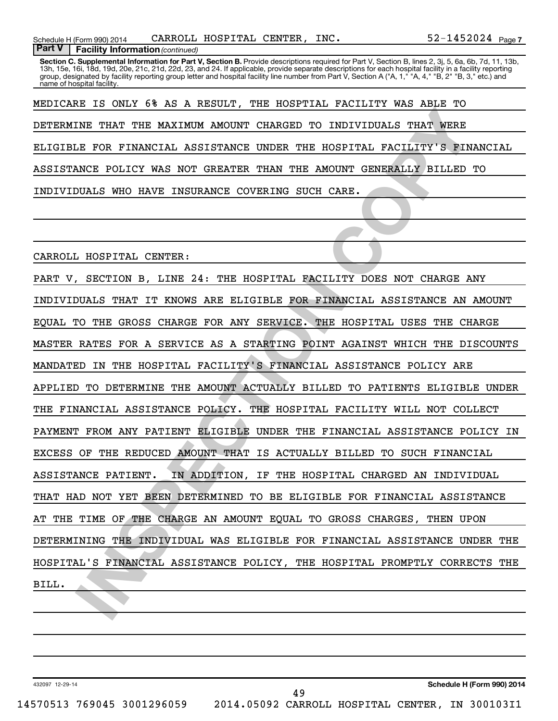Section C. Supplemental Information for Part V, Section B. Provide descriptions required for Part V, Section B, lines 2, 3j, 5, 6a, 6b, 7d, 11, 13b, 13h, 15e, 16i, 18d, 19d, 20e, 21c, 21d, 22d, 23, and 24. If applicable, provide separate descriptions for each hospital facility in a facility reporting group, designated by facility reporting group letter and hospital facility line number from Part V, Section A ("A, 1," "A, 4," "B, 2" "B, 3," etc.) and name of hospital facility.

MEDICARE IS ONLY 6% AS A RESULT, THE HOSPTIAL FACILITY WAS ABLE TO DETERMINE THAT THE MAXIMUM AMOUNT CHARGED TO INDIVIDUALS THAT WERE ELIGIBLE FOR FINANCIAL ASSISTANCE UNDER THE HOSPITAL FACILITY'S FINANCIAL ASSISTANCE POLICY WAS NOT GREATER THAN THE AMOUNT GENERALLY BILLED TO INDIVIDUALS WHO HAVE INSURANCE COVERING SUCH CARE.

CARROLL HOSPITAL CENTER:

INS THAT THE MAXIMUM AMOUNT CHARGED TO INDIVIDUALS THAT WERE<br>LE FOR FINANCIAL ASSISTANCE UNDER THE HOSPITAL FACILITY'S FINANCIA<br>LE FOR FINANCIAL ASSISTANCE UNDER THE HOSPITAL FACILITY'S FINANCIA<br>MCE POLICY WAS NOT GREATER PART V, SECTION B, LINE 24: THE HOSPITAL FACILITY DOES NOT CHARGE ANY INDIVIDUALS THAT IT KNOWS ARE ELIGIBLE FOR FINANCIAL ASSISTANCE AN AMOUNT EQUAL TO THE GROSS CHARGE FOR ANY SERVICE. THE HOSPITAL USES THE CHARGE MASTER RATES FOR A SERVICE AS A STARTING POINT AGAINST WHICH THE DISCOUNTS MANDATED IN THE HOSPITAL FACILITY'S FINANCIAL ASSISTANCE POLICY ARE APPLIED TO DETERMINE THE AMOUNT ACTUALLY BILLED TO PATIENTS ELIGIBLE UNDER THE FINANCIAL ASSISTANCE POLICY. THE HOSPITAL FACILITY WILL NOT COLLECT PAYMENT FROM ANY PATIENT ELIGIBLE UNDER THE FINANCIAL ASSISTANCE POLICY IN EXCESS OF THE REDUCED AMOUNT THAT IS ACTUALLY BILLED TO SUCH FINANCIAL ASSISTANCE PATIENT. IN ADDITION, IF THE HOSPITAL CHARGED AN INDIVIDUAL THAT HAD NOT YET BEEN DETERMINED TO BE ELIGIBLE FOR FINANCIAL ASSISTANCE AT THE TIME OF THE CHARGE AN AMOUNT EQUAL TO GROSS CHARGES, THEN UPON DETERMINING THE INDIVIDUAL WAS ELIGIBLE FOR FINANCIAL ASSISTANCE UNDER THE HOSPITAL'S FINANCIAL ASSISTANCE POLICY, THE HOSPITAL PROMPTLY CORRECTS THE BILL.

432097 12-29-14

**Schedule H (Form 990) 2014**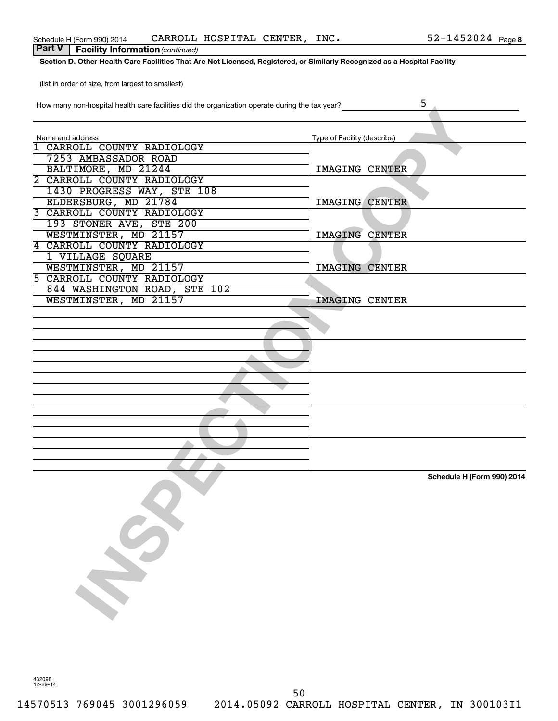| TIOW THANY TION PHOSPITAL HEART CALE TAGINIES ON THE ORGANIZATION TOPERTE GUITING THE TAX YEAR ! |                             |
|--------------------------------------------------------------------------------------------------|-----------------------------|
| Name and address                                                                                 | Type of Facility (describe) |
| 1 CARROLL COUNTY RADIOLOGY                                                                       |                             |
| 7253 AMBASSADOR ROAD                                                                             |                             |
| BALTIMORE, MD 21244                                                                              | IMAGING CENTER              |
| 2 CARROLL COUNTY RADIOLOGY                                                                       |                             |
| 1430 PROGRESS WAY, STE 108                                                                       |                             |
| ELDERSBURG, MD 21784                                                                             | <b>IMAGING CENTER</b>       |
| 3 CARROLL COUNTY RADIOLOGY                                                                       |                             |
|                                                                                                  |                             |
| 193 STONER AVE, STE 200                                                                          |                             |
| WESTMINSTER, MD 21157                                                                            | IMAGING CENTER              |
| 4 CARROLL COUNTY RADIOLOGY                                                                       |                             |
| 1 VILLAGE SQUARE                                                                                 |                             |
| WESTMINSTER, MD 21157                                                                            | IMAGING CENTER              |
| 5 CARROLL COUNTY RADIOLOGY                                                                       |                             |
| 844 WASHINGTON ROAD, STE 102                                                                     |                             |
| WESTMINSTER, MD 21157                                                                            | <b>IMAGING CENTER</b>       |
|                                                                                                  |                             |
|                                                                                                  |                             |
|                                                                                                  |                             |
|                                                                                                  |                             |
|                                                                                                  |                             |
|                                                                                                  |                             |
|                                                                                                  |                             |
|                                                                                                  |                             |
|                                                                                                  |                             |
|                                                                                                  |                             |
|                                                                                                  |                             |
|                                                                                                  |                             |
|                                                                                                  |                             |
|                                                                                                  |                             |
|                                                                                                  |                             |
|                                                                                                  |                             |
|                                                                                                  | Schedule H (Form 990) 2014  |
|                                                                                                  |                             |
|                                                                                                  |                             |
|                                                                                                  |                             |
|                                                                                                  |                             |
|                                                                                                  |                             |
| $\mathcal{S}$                                                                                    |                             |
|                                                                                                  |                             |
|                                                                                                  |                             |
|                                                                                                  |                             |
|                                                                                                  |                             |
|                                                                                                  |                             |
|                                                                                                  |                             |
|                                                                                                  |                             |

How many non-hospital health care facilities did the organization operate during the tax year?

**Part V** | Facility Information (continued)

(list in order of size, from largest to smallest)

**Section D. Other Health Care Facilities That Are Not Licensed, Registered, or Similarly Recognized as a Hospital Facility**

52-1452024 Page 8

5

50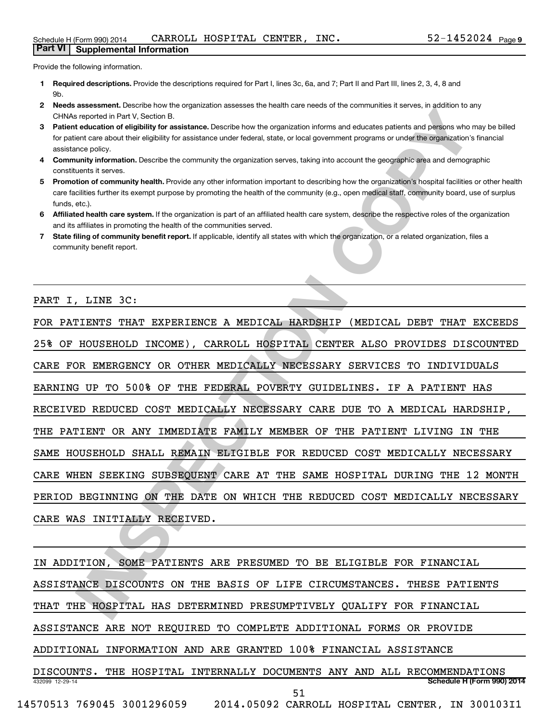Provide the following information.

**Part VI Supplemental Information**

- **1 Required descriptions.** Provide the descriptions required for Part I, lines 3c, 6a, and 7; Part II and Part III, lines 2, 3, 4, 8 and 9b.
- **2** Needs assessment. Describe how the organization assesses the health care needs of the communities it serves, in addition to any CHNAs reported in Part V, Section B.
- **3 Patient education of eligibility for assistance.** Describe how the organization informs and educates patients and persons who may be billed for patient care about their eligibility for assistance under federal, state, or local government programs or under the organization's financial assistance policy.
- **4 Community information.** Describe the community the organization serves, taking into account the geographic area and demographic constituents it serves.
- 5 Promotion of community health. Provide any other information important to describing how the organization's hospital facilities or other health care facilities further its exempt purpose by promoting the health of the community (e.g., open medical staff, community board, use of surplus funds, etc.).
- **6 Affiliated health care system.** If the organization is part of an affiliated health care system, describe the respective roles of the organization and its affiliates in promoting the health of the communities served.
- **7** State filing of community benefit report. If applicable, identify all states with which the organization, or a related organization, files a community benefit report.

## PART I, LINE 3C:

**Internal Henry Cost Control The Control Theoretical Control The ENDINGLISH TO THE INTERNATION CONTROLLY INTERNATION CONTROLLY INTERNATION CONTROLLY INTERNATION CONTROLLY INTERNATION CONTROLLY INTERNATION CONTROLLY INTERNA** FOR PATIENTS THAT EXPERIENCE A MEDICAL HARDSHIP (MEDICAL DEBT THAT EXCEEDS 25% OF HOUSEHOLD INCOME), CARROLL HOSPITAL CENTER ALSO PROVIDES DISCOUNTED CARE FOR EMERGENCY OR OTHER MEDICALLY NECESSARY SERVICES TO INDIVIDUALS EARNING UP TO 500% OF THE FEDERAL POVERTY GUIDELINES. IF A PATIENT HAS RECEIVED REDUCED COST MEDICALLY NECESSARY CARE DUE TO A MEDICAL HARDSHIP, THE PATIENT OR ANY IMMEDIATE FAMILY MEMBER OF THE PATIENT LIVING IN THE SAME HOUSEHOLD SHALL REMAIN ELIGIBLE FOR REDUCED COST MEDICALLY NECESSARY CARE WHEN SEEKING SUBSEQUENT CARE AT THE SAME HOSPITAL DURING THE 12 MONTH PERIOD BEGINNING ON THE DATE ON WHICH THE REDUCED COST MEDICALLY NECESSARY CARE WAS INITIALLY RECEIVED.

432099 12-29-14 **Schedule H (Form 990) 2014** IN ADDITION, SOME PATIENTS ARE PRESUMED TO BE ELIGIBLE FOR FINANCIAL ASSISTANCE DISCOUNTS ON THE BASIS OF LIFE CIRCUMSTANCES. THESE PATIENTS THAT THE HOSPITAL HAS DETERMINED PRESUMPTIVELY QUALIFY FOR FINANCIAL ASSISTANCE ARE NOT REQUIRED TO COMPLETE ADDITIONAL FORMS OR PROVIDE ADDITIONAL INFORMATION AND ARE GRANTED 100% FINANCIAL ASSISTANCE DISCOUNTS. THE HOSPITAL INTERNALLY DOCUMENTS ANY AND ALL RECOMMENDATIONS 14570513 769045 3001296059 2014.05092 CARROLL HOSPITAL CENTER, IN 300103I1 51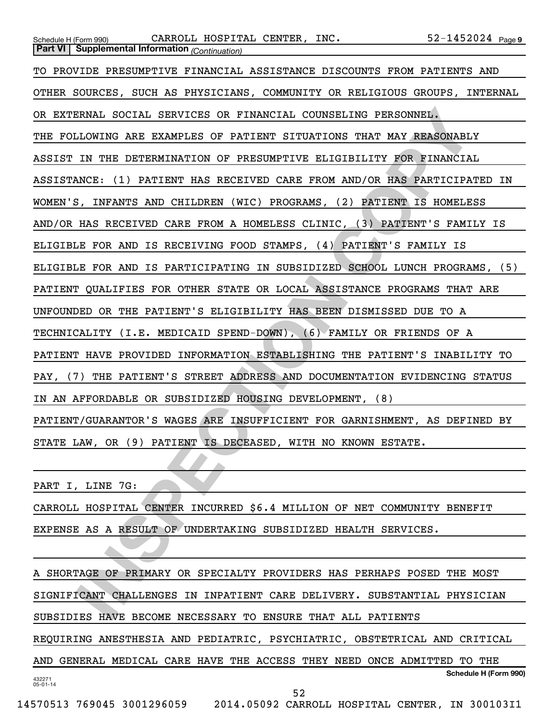| Schedule H (Form 990) CARROLL HOSPITAL CENTER, INC.                        | $52 - 1452024$ Page 9 |
|----------------------------------------------------------------------------|-----------------------|
| <b>Part VI</b> Supplemental Information (Continuation)                     |                       |
| TO PROVIDE PRESUMPTIVE FINANCIAL ASSISTANCE DISCOUNTS FROM PATIENTS AND    |                       |
| OTHER SOURCES, SUCH AS PHYSICIANS, COMMUNITY OR RELIGIOUS GROUPS, INTERNAL |                       |
| OR EXTERNAL SOCIAL SERVICES OR FINANCIAL COUNSELING PERSONNEL.             |                       |
| THE FOLLOWING ARE EXAMPLES OF PATIENT SITUATIONS THAT MAY REASONABLY       |                       |
| ASSIST IN THE DETERMINATION OF PRESUMPTIVE ELIGIBILITY FOR FINANCIAL       |                       |
| ASSISTANCE: (1) PATIENT HAS RECEIVED CARE FROM AND/OR HAS PARTICIPATED IN  |                       |
| WOMEN'S, INFANTS AND CHILDREN (WIC) PROGRAMS, (2) PATIENT IS HOMELESS      |                       |
| AND/OR HAS RECEIVED CARE FROM A HOMELESS CLINIC, (3) PATIENT'S FAMILY IS   |                       |
| ELIGIBLE FOR AND IS RECEIVING FOOD STAMPS, (4) PATIENT'S FAMILY IS         |                       |
| ELIGIBLE FOR AND IS PARTICIPATING IN SUBSIDIZED SCHOOL LUNCH PROGRAMS, (5) |                       |
| PATIENT QUALIFIES FOR OTHER STATE OR LOCAL ASSISTANCE PROGRAMS THAT ARE    |                       |
| UNFOUNDED OR THE PATIENT'S ELIGIBILITY HAS BEEN DISMISSED DUE TO A         |                       |
| TECHNICALITY (I.E. MEDICAID SPEND-DOWN), (6) FAMILY OR FRIENDS OF A        |                       |
| PATIENT HAVE PROVIDED INFORMATION ESTABLISHING THE PATIENT'S INABILITY TO  |                       |
| PAY, (7) THE PATIENT'S STREET ADDRESS AND DOCUMENTATION EVIDENCING STATUS  |                       |
| IN AN AFFORDABLE OR SUBSIDIZED HOUSING DEVELOPMENT, (8)                    |                       |
| PATIENT/GUARANTOR'S WAGES ARE INSUFFICIENT FOR GARNISHMENT, AS DEFINED BY  |                       |
| STATE LAW, OR (9) PATIENT IS DECEASED, WITH NO KNOWN ESTATE.               |                       |
|                                                                            |                       |
| PART I, LINE 7G:                                                           |                       |
| CARROLL HOSPITAL CENTER INCURRED \$6.4 MILLION OF NET COMMUNITY BENEFIT    |                       |
| EXPENSE AS A RESULT OF UNDERTAKING SUBSIDIZED HEALTH SERVICES.             |                       |
|                                                                            |                       |
| A SHORTAGE OF PRIMARY OR SPECIALTY PROVIDERS HAS PERHAPS POSED THE MOST    |                       |
| SIGNIFICANT CHALLENGES IN INPATIENT CARE DELIVERY. SUBSTANTIAL PHYSICIAN   |                       |
| SUBSIDIES HAVE BECOME NECESSARY TO ENSURE THAT ALL PATIENTS                |                       |

432271 05-01-14 **Schedule H (Form 990)** A SHORTAGE OF PRIMARY OR SPECIALTY PROVIDERS HAS PERHAPS POSED THE MOST SIGNIFICANT CHALLENGES IN INPATIENT CARE DELIVERY. SUBSTANTIAL PHYSICIAN SUBSIDIES HAVE BECOME NECESSARY TO ENSURE THAT ALL PATIENTS REQUIRING ANESTHESIA AND PEDIATRIC, PSYCHIATRIC, OBSTETRICAL AND CRITICAL AND GENERAL MEDICAL CARE HAVE THE ACCESS THEY NEED ONCE ADMITTED TO THE 52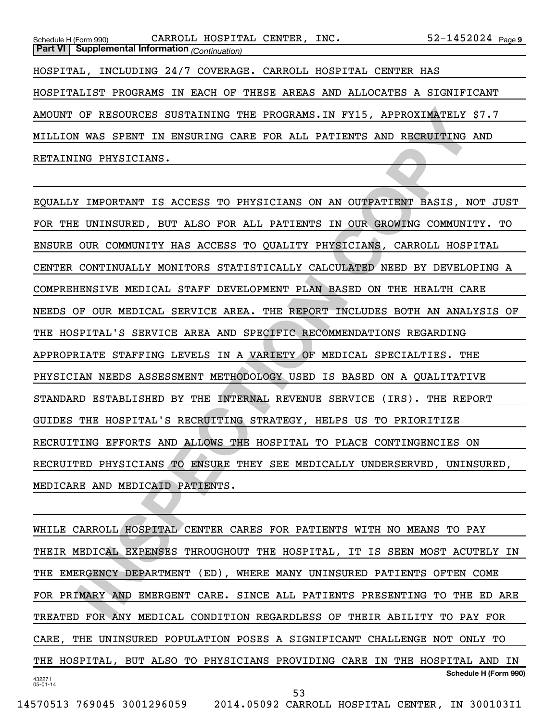| Schedule H (Form 990)                                  | CARROLL HOSPITAL CENTER, INC.                                  | $52 - 1452024$ Page 9                                                     |
|--------------------------------------------------------|----------------------------------------------------------------|---------------------------------------------------------------------------|
| <b>Part VI</b> Supplemental Information (Continuation) |                                                                |                                                                           |
|                                                        | HOSPITAL, INCLUDING 24/7 COVERAGE. CARROLL HOSPITAL CENTER HAS |                                                                           |
|                                                        |                                                                | HOSPITALIST PROGRAMS IN EACH OF THESE AREAS AND ALLOCATES A SIGNIFICANT   |
|                                                        |                                                                | AMOUNT OF RESOURCES SUSTAINING THE PROGRAMS. IN FY15, APPROXIMATELY \$7.7 |
|                                                        |                                                                | MILLION WAS SPENT IN ENSURING CARE FOR ALL PATIENTS AND RECRUITING AND    |
| RETAINING PHYSICIANS.                                  |                                                                |                                                                           |

OF RESOURCES SUSTAINING THE PROGRAMS.IN FYIS, APPROXIMATELY \$7.7<br>
IN WAS SPENT IN ENSURING CARE FOR ALL PATIENTS AND RECRUITING AND<br>
INSPECTING.<br>
IN THEORY IN ENSURED.<br>
INSPECTING CONSUMITY IS ACCESS TO PHYSICIANS ON AN OU EQUALLY IMPORTANT IS ACCESS TO PHYSICIANS ON AN OUTPATIENT BASIS, NOT JUST FOR THE UNINSURED, BUT ALSO FOR ALL PATIENTS IN OUR GROWING COMMUNITY. TO ENSURE OUR COMMUNITY HAS ACCESS TO QUALITY PHYSICIANS, CARROLL HOSPITAL CENTER CONTINUALLY MONITORS STATISTICALLY CALCULATED NEED BY DEVELOPING A COMPREHENSIVE MEDICAL STAFF DEVELOPMENT PLAN BASED ON THE HEALTH CARE NEEDS OF OUR MEDICAL SERVICE AREA. THE REPORT INCLUDES BOTH AN ANALYSIS OF THE HOSPITAL'S SERVICE AREA AND SPECIFIC RECOMMENDATIONS REGARDING APPROPRIATE STAFFING LEVELS IN A VARIETY OF MEDICAL SPECIALTIES. THE PHYSICIAN NEEDS ASSESSMENT METHODOLOGY USED IS BASED ON A QUALITATIVE STANDARD ESTABLISHED BY THE INTERNAL REVENUE SERVICE (IRS). THE REPORT GUIDES THE HOSPITAL'S RECRUITING STRATEGY, HELPS US TO PRIORITIZE RECRUITING EFFORTS AND ALLOWS THE HOSPITAL TO PLACE CONTINGENCIES ON RECRUITED PHYSICIANS TO ENSURE THEY SEE MEDICALLY UNDERSERVED, UNINSURED, MEDICARE AND MEDICAID PATIENTS.

432271 05-01-14 **Schedule H (Form 990)** WHILE CARROLL HOSPITAL CENTER CARES FOR PATIENTS WITH NO MEANS TO PAY THEIR MEDICAL EXPENSES THROUGHOUT THE HOSPITAL, IT IS SEEN MOST ACUTELY IN THE EMERGENCY DEPARTMENT (ED), WHERE MANY UNINSURED PATIENTS OFTEN COME FOR PRIMARY AND EMERGENT CARE. SINCE ALL PATIENTS PRESENTING TO THE ED ARE TREATED FOR ANY MEDICAL CONDITION REGARDLESS OF THEIR ABILITY TO PAY FOR CARE, THE UNINSURED POPULATION POSES A SIGNIFICANT CHALLENGE NOT ONLY TO THE HOSPITAL, BUT ALSO TO PHYSICIANS PROVIDING CARE IN THE HOSPITAL AND IN 53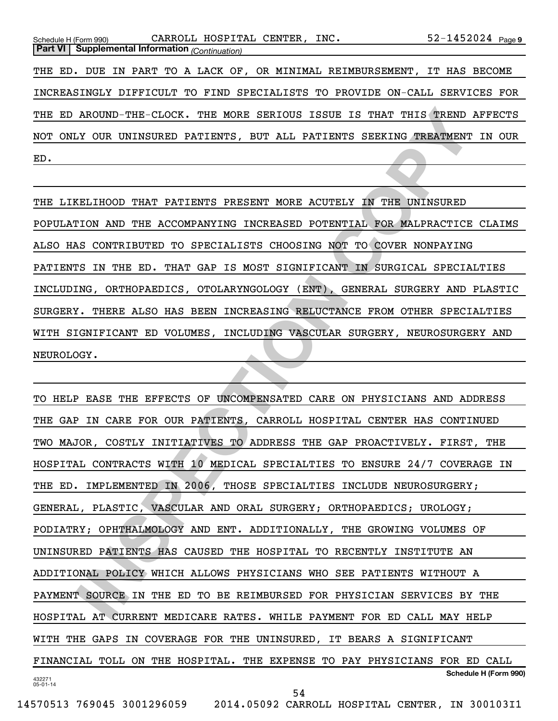| CARROLL HOSPITAL CENTER, INC.<br>Schedule H (Form 990)                     | $52 - 1452024$ Page 9 |
|----------------------------------------------------------------------------|-----------------------|
| <b>Part VI</b>   Supplemental Information (Continuation)                   |                       |
| THE ED. DUE IN PART TO A LACK OF, OR MINIMAL REIMBURSEMENT,                | IT HAS BECOME         |
| INCREASINGLY DIFFICULT TO FIND SPECIALISTS TO PROVIDE ON-CALL SERVICES FOR |                       |
| THE ED AROUND-THE-CLOCK. THE MORE SERIOUS ISSUE IS THAT THIS TREND AFFECTS |                       |
| NOT ONLY OUR UNINSURED PATIENTS, BUT ALL PATIENTS SEEKING TREATMENT IN OUR |                       |
| ED.                                                                        |                       |

THE LIKELIHOOD THAT PATIENTS PRESENT MORE ACUTELY IN THE UNINSURED POPULATION AND THE ACCOMPANYING INCREASED POTENTIAL FOR MALPRACTICE CLAIMS ALSO HAS CONTRIBUTED TO SPECIALISTS CHOOSING NOT TO COVER NONPAYING PATIENTS IN THE ED. THAT GAP IS MOST SIGNIFICANT IN SURGICAL SPECIALTIES INCLUDING, ORTHOPAEDICS, OTOLARYNGOLOGY (ENT), GENERAL SURGERY AND PLASTIC SURGERY. THERE ALSO HAS BEEN INCREASING RELUCTANCE FROM OTHER SPECIALTIES WITH SIGNIFICANT ED VOLUMES, INCLUDING VASCULAR SURGERY, NEUROSURGERY AND NEUROLOGY.

AROUND-THE-CLOCK. THE MORE SERIOUS ISSUE IS THAT THIS TREND AFFEN<br>IN OUR UNINSURED PATIENTS, BUT ALL PATIENTS SEEKING TREATMENT IN (<br>
IN AND THE ACCOMPANYING INCREASED POTENTIAL FOR MALPARCTICE CLA.<br>
IN THE ROOT THAT THE S 432271 05-01-14 **Schedule H (Form 990)** TO HELP EASE THE EFFECTS OF UNCOMPENSATED CARE ON PHYSICIANS AND ADDRESS THE GAP IN CARE FOR OUR PATIENTS, CARROLL HOSPITAL CENTER HAS CONTINUED TWO MAJOR, COSTLY INITIATIVES TO ADDRESS THE GAP PROACTIVELY. FIRST, THE HOSPITAL CONTRACTS WITH 10 MEDICAL SPECIALTIES TO ENSURE 24/7 COVERAGE IN THE ED. IMPLEMENTED IN 2006, THOSE SPECIALTIES INCLUDE NEUROSURGERY; GENERAL, PLASTIC, VASCULAR AND ORAL SURGERY; ORTHOPAEDICS; UROLOGY; PODIATRY; OPHTHALMOLOGY AND ENT. ADDITIONALLY, THE GROWING VOLUMES OF UNINSURED PATIENTS HAS CAUSED THE HOSPITAL TO RECENTLY INSTITUTE AN ADDITIONAL POLICY WHICH ALLOWS PHYSICIANS WHO SEE PATIENTS WITHOUT A PAYMENT SOURCE IN THE ED TO BE REIMBURSED FOR PHYSICIAN SERVICES BY THE HOSPITAL AT CURRENT MEDICARE RATES. WHILE PAYMENT FOR ED CALL MAY HELP WITH THE GAPS IN COVERAGE FOR THE UNINSURED, IT BEARS A SIGNIFICANT FINANCIAL TOLL ON THE HOSPITAL. THE EXPENSE TO PAY PHYSICIANS FOR ED CALL

54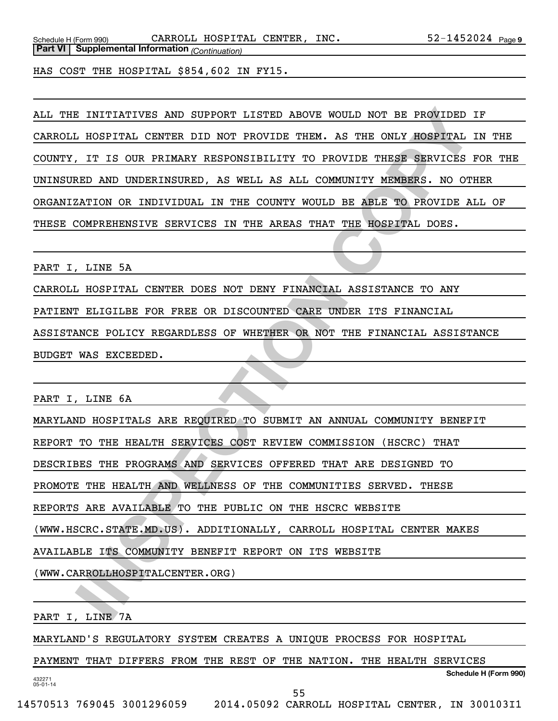HAS COST THE HOSPITAL \$854,602 IN FY15.

ALL THE INITIATIVES AND SUPPORT LISTED ABOVE WOULD NOT BE PROVIDED IF CARROLL HOSPITAL CENTER DID NOT PROVIDE THEM. AS THE ONLY HOSPITAL IN THE COUNTY, IT IS OUR PRIMARY RESPONSIBILITY TO PROVIDE THESE SERVICES FOR THE UNINSURED AND UNDERINSURED, AS WELL AS ALL COMMUNITY MEMBERS. NO OTHER ORGANIZATION OR INDIVIDUAL IN THE COUNTY WOULD BE ABLE TO PROVIDE ALL OF THESE COMPREHENSIVE SERVICES IN THE AREAS THAT THE HOSPITAL DOES.

PART I, LINE 5A

CARROLL HOSPITAL CENTER DOES NOT DENY FINANCIAL ASSISTANCE TO ANY

PATIENT ELIGILBE FOR FREE OR DISCOUNTED CARE UNDER ITS FINANCIAL

ASSISTANCE POLICY REGARDLESS OF WHETHER OR NOT THE FINANCIAL ASSISTANCE BUDGET WAS EXCEEDED.

PART I, LINE 6A

**INSTEDENTIVES AND SUPPORT LISTED ABOVE WOULD NOT BE PROVIDED IF A HOSPITAL CENTER DID NOT PROVIDE THEM. AS THE ONLY ROSPITAL IN THE TIT IS OUR PRIMARY RESPONSIBILITY TO PROVIDE THEM A STRE ONLY ROSPITAL IN THE AGENE ON DE** MARYLAND HOSPITALS ARE REQUIRED TO SUBMIT AN ANNUAL COMMUNITY BENEFIT REPORT TO THE HEALTH SERVICES COST REVIEW COMMISSION (HSCRC) THAT DESCRIBES THE PROGRAMS AND SERVICES OFFERED THAT ARE DESIGNED TO PROMOTE THE HEALTH AND WELLNESS OF THE COMMUNITIES SERVED. THESE REPORTS ARE AVAILABLE TO THE PUBLIC ON THE HSCRC WEBSITE (WWW.HSCRC.STATE.MD.US). ADDITIONALLY, CARROLL HOSPITAL CENTER MAKES AVAILABLE ITS COMMUNITY BENEFIT REPORT ON ITS WEBSITE (WWW.CARROLLHOSPITALCENTER.ORG)

PART I, LINE 7A

432271 05-01-14

MARYLAND'S REGULATORY SYSTEM CREATES A UNIQUE PROCESS FOR HOSPITAL

PAYMENT THAT DIFFERS FROM THE REST OF THE NATION. THE HEALTH SERVICES

**Schedule H (Form 990)**

55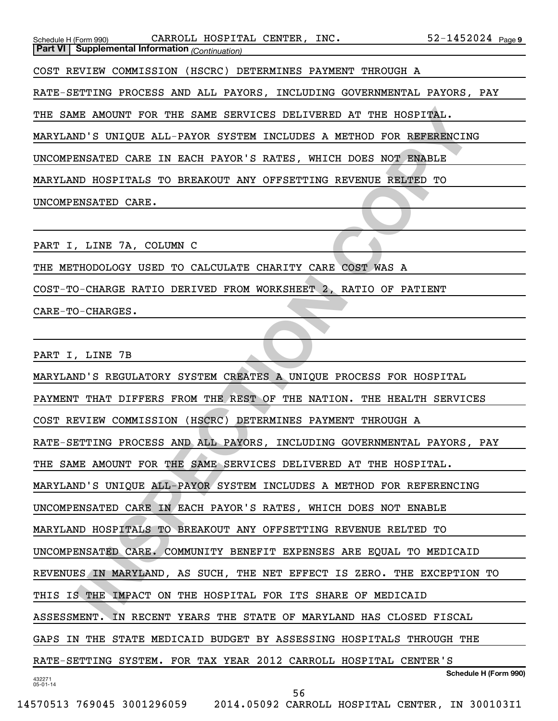| $52 - 1452024$ Page 9<br>CARROLL HOSPITAL CENTER, INC.<br>Schedule H (Form 990)<br><b>Part VI</b> Supplemental Information (Continuation) |
|-------------------------------------------------------------------------------------------------------------------------------------------|
| COST REVIEW COMMISSION (HSCRC) DETERMINES PAYMENT THROUGH A                                                                               |
| RATE-SETTING PROCESS AND ALL PAYORS, INCLUDING GOVERNMENTAL PAYORS, PAY                                                                   |
| THE SAME AMOUNT FOR THE SAME SERVICES DELIVERED AT THE HOSPITAL.                                                                          |
| MARYLAND'S UNIQUE ALL-PAYOR SYSTEM INCLUDES A METHOD FOR REFERENCING                                                                      |
| UNCOMPENSATED CARE IN EACH PAYOR'S RATES, WHICH DOES NOT ENABLE                                                                           |
| MARYLAND HOSPITALS TO BREAKOUT ANY OFFSETTING REVENUE RELTED TO                                                                           |
| UNCOMPENSATED CARE.                                                                                                                       |
|                                                                                                                                           |
| PART I, LINE 7A, COLUMN C                                                                                                                 |
| THE METHODOLOGY USED TO CALCULATE CHARITY CARE COST WAS A                                                                                 |
| COST-TO-CHARGE RATIO DERIVED FROM WORKSHEET 2, RATIO OF PATIENT                                                                           |
| CARE-TO-CHARGES.                                                                                                                          |
|                                                                                                                                           |
| PART I, LINE 7B                                                                                                                           |
| MARYLAND'S REGULATORY SYSTEM CREATES A UNIQUE PROCESS FOR HOSPITAL                                                                        |
| PAYMENT THAT DIFFERS FROM THE REST OF THE NATION. THE HEALTH SERVICES                                                                     |
| COST REVIEW COMMISSION (HSCRC) DETERMINES PAYMENT THROUGH A                                                                               |
| RATE-SETTING PROCESS AND ALL PAYORS, INCLUDING GOVERNMENTAL PAYORS, PAY                                                                   |
| THE SAME AMOUNT FOR THE SAME SERVICES DELIVERED AT THE HOSPITAL.                                                                          |
| MARYLAND'S UNIQUE ALL-PAYOR SYSTEM INCLUDES A METHOD FOR REFERENCING                                                                      |
| UNCOMPENSATED CARE IN EACH PAYOR'S RATES, WHICH DOES NOT ENABLE                                                                           |
| MARYLAND HOSPITALS TO BREAKOUT ANY OFFSETTING REVENUE RELTED TO                                                                           |
| UNCOMPENSATED CARE. COMMUNITY BENEFIT EXPENSES ARE EQUAL TO MEDICAID                                                                      |
| REVENUES IN MARYLAND, AS SUCH, THE NET EFFECT IS ZERO. THE EXCEPTION TO                                                                   |
| THIS IS THE IMPACT ON THE HOSPITAL FOR ITS SHARE OF MEDICAID                                                                              |
| ASSESSMENT. IN RECENT YEARS THE STATE OF MARYLAND HAS CLOSED FISCAL                                                                       |

ASSESSMENT. IN RECENT YEARS THE STATE OF MARYLAND HAS CLOSED FISCAL

GAPS IN THE STATE MEDICAID BUDGET BY ASSESSING HOSPITALS THROUGH THE

RATE-SETTING SYSTEM. FOR TAX YEAR 2012 CARROLL HOSPITAL CENTER'S

432271 05-01-14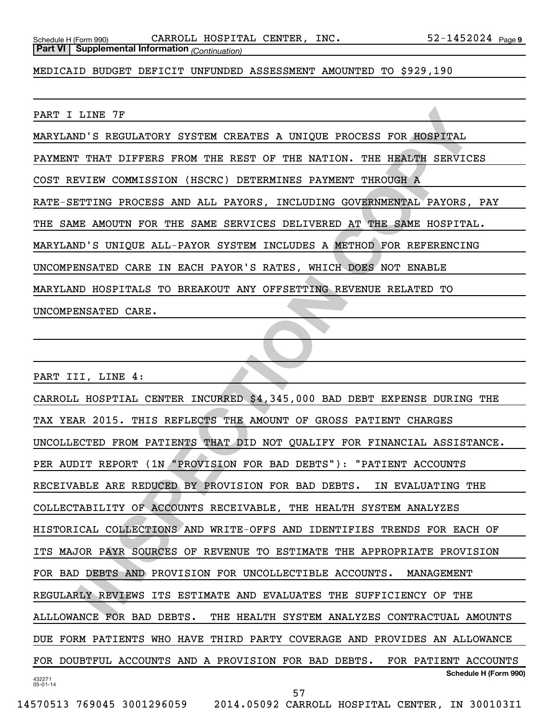MEDICAID BUDGET DEFICIT UNFUNDED ASSESSMENT AMOUNTED TO \$929,190

PART I LINE 7F

MARYLAND'S REGULATORY SYSTEM CREATES A UNIQUE PROCESS FOR HOSPITAL

PAYMENT THAT DIFFERS FROM THE REST OF THE NATION. THE HEALTH SERVICES

COST REVIEW COMMISSION (HSCRC) DETERMINES PAYMENT THROUGH A

RATE-SETTING PROCESS AND ALL PAYORS, INCLUDING GOVERNMENTAL PAYORS, PAY

THE SAME AMOUTN FOR THE SAME SERVICES DELIVERED AT THE SAME HOSPITAL.

MARYLAND'S UNIQUE ALL-PAYOR SYSTEM INCLUDES A METHOD FOR REFERENCING

UNCOMPENSATED CARE IN EACH PAYOR'S RATES, WHICH DOES NOT ENABLE

MARYLAND HOSPITALS TO BREAKOUT ANY OFFSETTING REVENUE RELATED TO

UNCOMPENSATED CARE.

PART III, LINE 4:

LINE 7F<br>
THAT DIFFERE FROM THE REST OT THE NATION. THE HEALTH SERVICES<br>
THAT DIFFERE FROM THE REST OT THE NATION. THE HEALTH SERVICES<br>
FIVIR COMMISSION (HSCRC) DETERMINES PAYMENT THROUGH A<br>
THE MACUTES ON BALL PAYOR S. INC 432271 05-01-14 **Schedule H (Form 990)** CARROLL HOSPTIAL CENTER INCURRED \$4,345,000 BAD DEBT EXPENSE DURING THE TAX YEAR 2015. THIS REFLECTS THE AMOUNT OF GROSS PATIENT CHARGES UNCOLLECTED FROM PATIENTS THAT DID NOT QUALIFY FOR FINANCIAL ASSISTANCE. PER AUDIT REPORT (1N "PROVISION FOR BAD DEBTS"): "PATIENT ACCOUNTS RECEIVABLE ARE REDUCED BY PROVISION FOR BAD DEBTS. IN EVALUATING THE COLLECTABILITY OF ACCOUNTS RECEIVABLE, THE HEALTH SYSTEM ANALYZES HISTORICAL COLLECTIONS AND WRITE-OFFS AND IDENTIFIES TRENDS FOR EACH OF ITS MAJOR PAYR SOURCES OF REVENUE TO ESTIMATE THE APPROPRIATE PROVISION FOR BAD DEBTS AND PROVISION FOR UNCOLLECTIBLE ACCOUNTS. MANAGEMENT REGULARLY REVIEWS ITS ESTIMATE AND EVALUATES THE SUFFICIENCY OF THE ALLLOWANCE FOR BAD DEBTS. THE HEALTH SYSTEM ANALYZES CONTRACTUAL AMOUNTS DUE FORM PATIENTS WHO HAVE THIRD PARTY COVERAGE AND PROVIDES AN ALLOWANCE FOR DOUBTFUL ACCOUNTS AND A PROVISION FOR BAD DEBTS. FOR PATIENT ACCOUNTS 57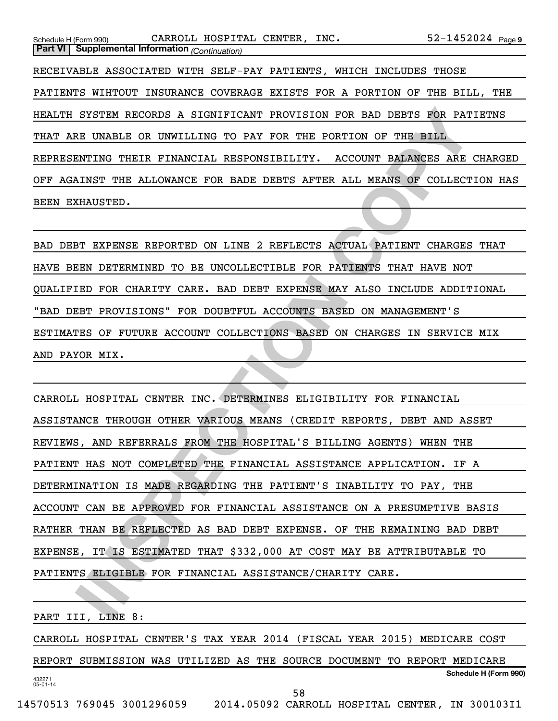52-1452024 Page 9 Schedule H (Form 990)  $\,$  CARROLL HOSPITAL CENTER, INC.  $\,$  52-1452024  $_{\rm Page}$ **Part VI Supplemental Information** *(Continuation)* RECEIVABLE ASSOCIATED WITH SELF-PAY PATIENTS, WHICH INCLUDES THOSE PATIENTS WIHTOUT INSURANCE COVERAGE EXISTS FOR A PORTION OF THE BILL, THE HEALTH SYSTEM RECORDS A SIGNIFICANT PROVISION FOR BAD DEBTS FOR PATIETNS THAT ARE UNABLE OR UNWILLING TO PAY FOR THE PORTION OF THE BILL REPRESENTING THEIR FINANCIAL RESPONSIBILITY. ACCOUNT BALANCES ARE CHARGED OFF AGAINST THE ALLOWANCE FOR BADE DEBTS AFTER ALL MEANS OF COLLECTION HAS BEEN EXHAUSTED.

BAD DEBT EXPENSE REPORTED ON LINE 2 REFLECTS ACTUAL PATIENT CHARGES THAT HAVE BEEN DETERMINED TO BE UNCOLLECTIBLE FOR PATIENTS THAT HAVE NOT QUALIFIED FOR CHARITY CARE. BAD DEBT EXPENSE MAY ALSO INCLUDE ADDITIONAL "BAD DEBT PROVISIONS" FOR DOUBTFUL ACCOUNTS BASED ON MANAGEMENT'S ESTIMATES OF FUTURE ACCOUNT COLLECTIONS BASED ON CHARGES IN SERVICE MIX AND PAYOR MIX.

SYSTEM RECORDS A SIGNIFICANT PROVISION FOR BAD DEBTS FOR PATIETNS<br>IS UNABLE OR UNWILLING TO PAY FOR THE PORTION OF THE BILL TRYING THEIR FINANCIAL RESPONSIBILITY. ACCOUNT BALANCES ARE CHARCHER FINANCIAL RESPONSIBILITY. ACC CARROLL HOSPITAL CENTER INC. DETERMINES ELIGIBILITY FOR FINANCIAL ASSISTANCE THROUGH OTHER VARIOUS MEANS (CREDIT REPORTS, DEBT AND ASSET REVIEWS, AND REFERRALS FROM THE HOSPITAL'S BILLING AGENTS) WHEN THE PATIENT HAS NOT COMPLETED THE FINANCIAL ASSISTANCE APPLICATION. IF A DETERMINATION IS MADE REGARDING THE PATIENT'S INABILITY TO PAY, THE ACCOUNT CAN BE APPROVED FOR FINANCIAL ASSISTANCE ON A PRESUMPTIVE BASIS RATHER THAN BE REFLECTED AS BAD DEBT EXPENSE. OF THE REMAINING BAD DEBT EXPENSE, IT IS ESTIMATED THAT \$332,000 AT COST MAY BE ATTRIBUTABLE TO PATIENTS ELIGIBLE FOR FINANCIAL ASSISTANCE/CHARITY CARE.

432271 05-01-14 **Schedule H (Form 990)** PART III, LINE 8: CARROLL HOSPITAL CENTER'S TAX YEAR 2014 (FISCAL YEAR 2015) MEDICARE COST REPORT SUBMISSION WAS UTILIZED AS THE SOURCE DOCUMENT TO REPORT MEDICARE 58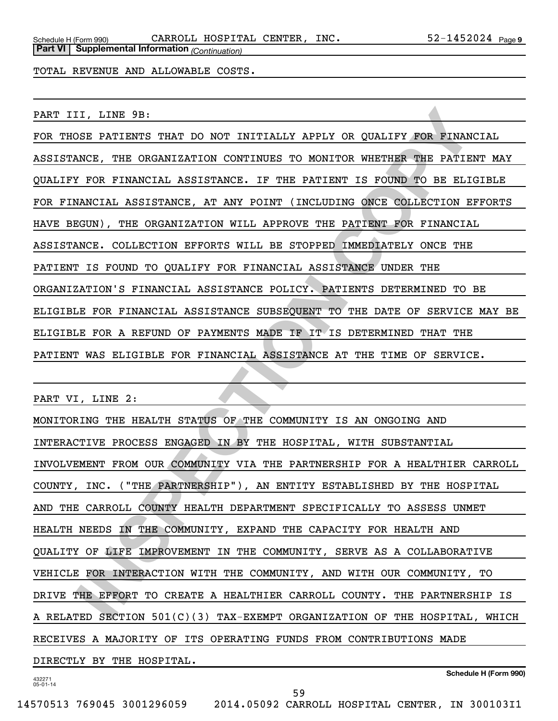**Part VI Supplemental Information** *(Continuation)*

TOTAL REVENUE AND ALLOWABLE COSTS.

PART III, LINE 9B:

II, LINE 9B.<br>
INCE, THE ORGANIZATION CONTINUES TO MONITOR WHETHER THE PRINANCIAL<br>
INCE, THE ORGANIZATION CONTINUES TO MONITOR WHETHER THE BATIENT IN<br>
INCE, THE ORGANIZATION CONTINUES TO MONITOR WHETHER THE BATIENT IN<br>
INCE FOR THOSE PATIENTS THAT DO NOT INITIALLY APPLY OR QUALIFY FOR FINANCIAL ASSISTANCE, THE ORGANIZATION CONTINUES TO MONITOR WHETHER THE PATIENT MAY QUALIFY FOR FINANCIAL ASSISTANCE. IF THE PATIENT IS FOUND TO BE ELIGIBLE FOR FINANCIAL ASSISTANCE, AT ANY POINT (INCLUDING ONCE COLLECTION EFFORTS HAVE BEGUN), THE ORGANIZATION WILL APPROVE THE PATIENT FOR FINANCIAL ASSISTANCE. COLLECTION EFFORTS WILL BE STOPPED IMMEDIATELY ONCE THE PATIENT IS FOUND TO QUALIFY FOR FINANCIAL ASSISTANCE UNDER THE ORGANIZATION'S FINANCIAL ASSISTANCE POLICY. PATIENTS DETERMINED TO BE ELIGIBLE FOR FINANCIAL ASSISTANCE SUBSEQUENT TO THE DATE OF SERVICE MAY BE ELIGIBLE FOR A REFUND OF PAYMENTS MADE IF IT IS DETERMINED THAT THE PATIENT WAS ELIGIBLE FOR FINANCIAL ASSISTANCE AT THE TIME OF SERVICE.

PART VI, LINE 2:

MONITORING THE HEALTH STATUS OF THE COMMUNITY IS AN ONGOING AND INTERACTIVE PROCESS ENGAGED IN BY THE HOSPITAL, WITH SUBSTANTIAL INVOLVEMENT FROM OUR COMMUNITY VIA THE PARTNERSHIP FOR A HEALTHIER CARROLL COUNTY, INC. ("THE PARTNERSHIP"), AN ENTITY ESTABLISHED BY THE HOSPITAL AND THE CARROLL COUNTY HEALTH DEPARTMENT SPECIFICALLY TO ASSESS UNMET HEALTH NEEDS IN THE COMMUNITY, EXPAND THE CAPACITY FOR HEALTH AND QUALITY OF LIFE IMPROVEMENT IN THE COMMUNITY, SERVE AS A COLLABORATIVE VEHICLE FOR INTERACTION WITH THE COMMUNITY, AND WITH OUR COMMUNITY, TO DRIVE THE EFFORT TO CREATE A HEALTHIER CARROLL COUNTY. THE PARTNERSHIP IS A RELATED SECTION 501(C)(3) TAX-EXEMPT ORGANIZATION OF THE HOSPITAL, WHICH RECEIVES A MAJORITY OF ITS OPERATING FUNDS FROM CONTRIBUTIONS MADE DIRECTLY BY THE HOSPITAL.

432271 05-01-14

**Schedule H (Form 990)**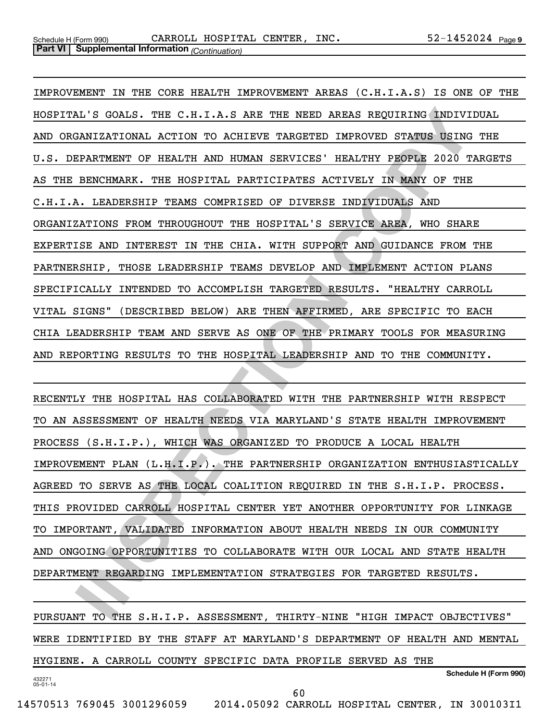IL'S GOALS. THE C.H.I.A.S ARE THE NEED AREAS REQUIRING INDIVIDUAL<br>EMIZATIONAL ACTION TO ACHIEVE TARGETED IMPROVED STATUS USING THE<br>FRATYMENT OF HEALTH AND HUMAN SENUICES' HEALTHY FEOPLE 2020 TARGET<br>EXAMPLEMANCE. THE HOSPIT IMPROVEMENT IN THE CORE HEALTH IMPROVEMENT AREAS (C.H.I.A.S) IS ONE OF THE HOSPITAL'S GOALS. THE C.H.I.A.S ARE THE NEED AREAS REQUIRING INDIVIDUAL AND ORGANIZATIONAL ACTION TO ACHIEVE TARGETED IMPROVED STATUS USING THE U.S. DEPARTMENT OF HEALTH AND HUMAN SERVICES' HEALTHY PEOPLE 2020 TARGETS AS THE BENCHMARK. THE HOSPITAL PARTICIPATES ACTIVELY IN MANY OF THE C.H.I.A. LEADERSHIP TEAMS COMPRISED OF DIVERSE INDIVIDUALS AND ORGANIZATIONS FROM THROUGHOUT THE HOSPITAL'S SERVICE AREA, WHO SHARE EXPERTISE AND INTEREST IN THE CHIA. WITH SUPPORT AND GUIDANCE FROM THE PARTNERSHIP, THOSE LEADERSHIP TEAMS DEVELOP AND IMPLEMENT ACTION PLANS SPECIFICALLY INTENDED TO ACCOMPLISH TARGETED RESULTS. "HEALTHY CARROLL VITAL SIGNS" (DESCRIBED BELOW) ARE THEN AFFIRMED, ARE SPECIFIC TO EACH CHIA LEADERSHIP TEAM AND SERVE AS ONE OF THE PRIMARY TOOLS FOR MEASURING AND REPORTING RESULTS TO THE HOSPITAL LEADERSHIP AND TO THE COMMUNITY.

RECENTLY THE HOSPITAL HAS COLLABORATED WITH THE PARTNERSHIP WITH RESPECT TO AN ASSESSMENT OF HEALTH NEEDS VIA MARYLAND'S STATE HEALTH IMPROVEMENT PROCESS (S.H.I.P.), WHICH WAS ORGANIZED TO PRODUCE A LOCAL HEALTH IMPROVEMENT PLAN (L.H.I.P.). THE PARTNERSHIP ORGANIZATION ENTHUSIASTICALLY AGREED TO SERVE AS THE LOCAL COALITION REQUIRED IN THE S.H.I.P. PROCESS. THIS PROVIDED CARROLL HOSPITAL CENTER YET ANOTHER OPPORTUNITY FOR LINKAGE TO IMPORTANT, VALIDATED INFORMATION ABOUT HEALTH NEEDS IN OUR COMMUNITY AND ONGOING OPPORTUNITIES TO COLLABORATE WITH OUR LOCAL AND STATE HEALTH DEPARTMENT REGARDING IMPLEMENTATION STRATEGIES FOR TARGETED RESULTS.

432271 05-01-14 **Schedule H (Form 990)** PURSUANT TO THE S.H.I.P. ASSESSMENT, THIRTY-NINE "HIGH IMPACT OBJECTIVES" WERE IDENTIFIED BY THE STAFF AT MARYLAND'S DEPARTMENT OF HEALTH AND MENTAL HYGIENE. A CARROLL COUNTY SPECIFIC DATA PROFILE SERVED AS THE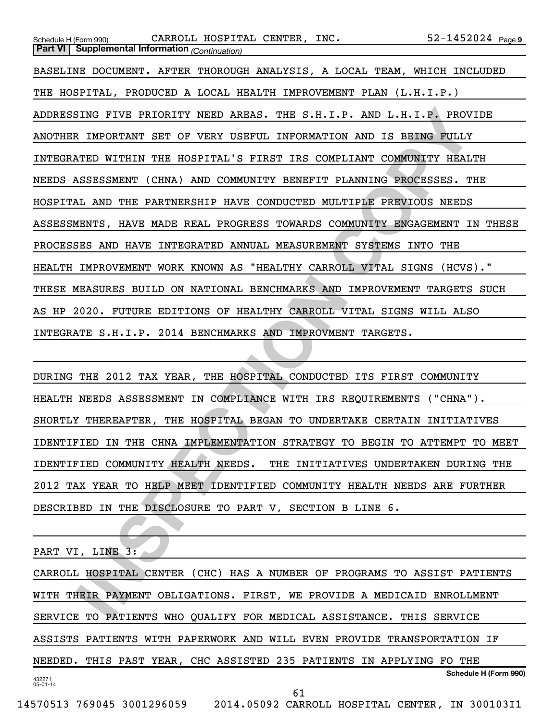| $52 - 1452024$ Page 9<br>CARROLL HOSPITAL CENTER, INC.<br>Schedule H (Form 990)<br><b>Part VI</b> Supplemental Information (Continuation) |
|-------------------------------------------------------------------------------------------------------------------------------------------|
|                                                                                                                                           |
| BASELINE DOCUMENT. AFTER THOROUGH ANALYSIS, A LOCAL TEAM, WHICH INCLUDED                                                                  |
| THE HOSPITAL, PRODUCED A LOCAL HEALTH IMPROVEMENT PLAN (L.H.I.P.)                                                                         |
| ADDRESSING FIVE PRIORITY NEED AREAS. THE S.H.I.P. AND L.H.I.P. PROVIDE                                                                    |
| ANOTHER IMPORTANT SET OF VERY USEFUL INFORMATION AND IS BEING FULLY                                                                       |
| INTEGRATED WITHIN THE HOSPITAL'S FIRST IRS COMPLIANT COMMUNITY HEALTH                                                                     |
| NEEDS ASSESSMENT (CHNA) AND COMMUNITY BENEFIT PLANNING PROCESSES. THE                                                                     |
| HOSPITAL AND THE PARTNERSHIP HAVE CONDUCTED MULTIPLE PREVIOUS NEEDS                                                                       |
| ASSESSMENTS, HAVE MADE REAL PROGRESS TOWARDS COMMUNITY ENGAGEMENT IN THESE                                                                |
| PROCESSES AND HAVE INTEGRATED ANNUAL MEASUREMENT SYSTEMS INTO THE                                                                         |
| HEALTH IMPROVEMENT WORK KNOWN AS "HEALTHY CARROLL VITAL SIGNS (HCVS)."                                                                    |
| THESE MEASURES BUILD ON NATIONAL BENCHMARKS AND IMPROVEMENT TARGETS SUCH                                                                  |
| AS HP 2020. FUTURE EDITIONS OF HEALTHY CARROLL VITAL SIGNS WILL ALSO                                                                      |
| INTEGRATE S.H.I.P. 2014 BENCHMARKS AND IMPROVMENT TARGETS.                                                                                |
|                                                                                                                                           |
| DURING THE 2012 TAX YEAR, THE HOSPITAL CONDUCTED ITS FIRST COMMUNITY                                                                      |
| HEALTH NEEDS ASSESSMENT IN COMPLIANCE WITH IRS REQUIREMENTS ("CHNA").                                                                     |
| SHORTLY THEREAFTER, THE HOSPITAL BEGAN TO UNDERTAKE CERTAIN INITIATIVES                                                                   |
| IDENTIFIED IN THE CHNA IMPLEMENTATION STRATEGY TO BEGIN TO ATTEMPT TO MEET                                                                |
| IDENTIFIED COMMUNITY HEALTH NEEDS. THE INITIATIVES UNDERTAKEN DURING THE                                                                  |
| 2012 TAX YEAR TO HELP MEET IDENTIFIED COMMUNITY HEALTH NEEDS ARE FURTHER                                                                  |
| DESCRIBED IN THE DISCLOSURE TO PART V, SECTION B LINE 6.                                                                                  |
|                                                                                                                                           |
| PART VI, LINE 3:                                                                                                                          |
| CARROLL HOSPITAL CENTER (CHC) HAS A NUMBER OF PROGRAMS TO ASSIST PATIENTS                                                                 |
| WITH THEIR PAYMENT OBLIGATIONS. FIRST, WE PROVIDE A MEDICAID ENROLLMENT                                                                   |
| SERVICE TO PATIENTS WHO OUALIFY FOR MEDICAL ASSISTANCE. THIS SERVICE                                                                      |

432271 05-01-14 **Schedule H (Form 990)** CARROLL HOSPITAL CENTER (CHC) HAS A NUMBER OF PROGRAMS TO ASSIST PATIENTS WITH THEIR PAYMENT OBLIGATIONS. FIRST, WE PROVIDE A MEDICAID ENROLLMENT SERVICE TO PATIENTS WHO QUALIFY FOR MEDICAL ASSISTANCE. THIS SERVICE ASSISTS PATIENTS WITH PAPERWORK AND WILL EVEN PROVIDE TRANSPORTATION IF NEEDED. THIS PAST YEAR, CHC ASSISTED 235 PATIENTS IN APPLYING FO THE 61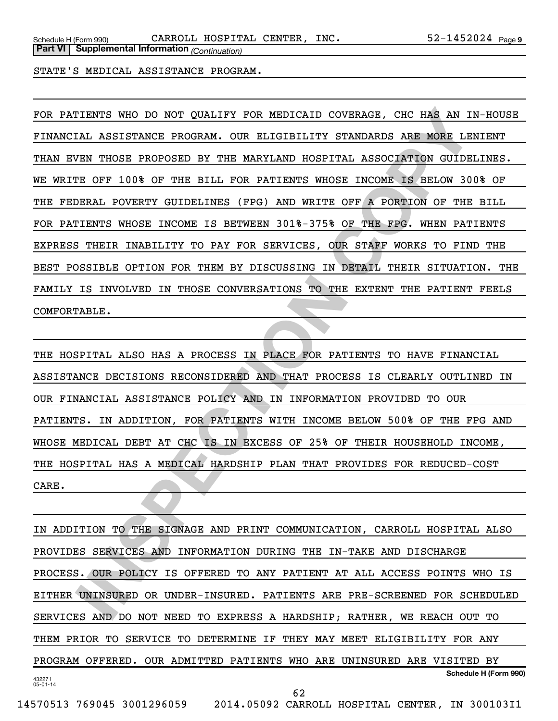**Part VI Supplemental Information** *(Continuation)*

STATE'S MEDICAL ASSISTANCE PROGRAM.

ITENTS WHO DO NOT QUALIFY FOR MEDICAID COVERAGE, CHC HAR AN IN-HOT<br>TAN ASSISTANCE PROGRAM. OUR ELIGIBILITY STANDARDS ARE MORE LENIENT<br>FE OF TOOS PROGREM BY THE MARYLAND HOSTITAL ASSOCIATION CULDELIES<br>THE TOOS OF THE BILL F FOR PATIENTS WHO DO NOT QUALIFY FOR MEDICAID COVERAGE, CHC HAS AN IN-HOUSE FINANCIAL ASSISTANCE PROGRAM. OUR ELIGIBILITY STANDARDS ARE MORE LENIENT THAN EVEN THOSE PROPOSED BY THE MARYLAND HOSPITAL ASSOCIATION GUIDELINES. WE WRITE OFF 100% OF THE BILL FOR PATIENTS WHOSE INCOME IS BELOW 300% OF THE FEDERAL POVERTY GUIDELINES (FPG) AND WRITE OFF A PORTION OF THE BILL FOR PATIENTS WHOSE INCOME IS BETWEEN 301%-375% OF THE FPG. WHEN PATIENTS EXPRESS THEIR INABILITY TO PAY FOR SERVICES, OUR STAFF WORKS TO FIND THE BEST POSSIBLE OPTION FOR THEM BY DISCUSSING IN DETAIL THEIR SITUATION. THE FAMILY IS INVOLVED IN THOSE CONVERSATIONS TO THE EXTENT THE PATIENT FEELS COMFORTABLE.

THE HOSPITAL ALSO HAS A PROCESS IN PLACE FOR PATIENTS TO HAVE FINANCIAL ASSISTANCE DECISIONS RECONSIDERED AND THAT PROCESS IS CLEARLY OUTLINED IN OUR FINANCIAL ASSISTANCE POLICY AND IN INFORMATION PROVIDED TO OUR PATIENTS. IN ADDITION, FOR PATIENTS WITH INCOME BELOW 500% OF THE FPG AND WHOSE MEDICAL DEBT AT CHC IS IN EXCESS OF 25% OF THEIR HOUSEHOLD INCOME, THE HOSPITAL HAS A MEDICAL HARDSHIP PLAN THAT PROVIDES FOR REDUCED-COST CARE.

432271 05-01-14 **Schedule H (Form 990)** IN ADDITION TO THE SIGNAGE AND PRINT COMMUNICATION, CARROLL HOSPITAL ALSO PROVIDES SERVICES AND INFORMATION DURING THE IN-TAKE AND DISCHARGE PROCESS. OUR POLICY IS OFFERED TO ANY PATIENT AT ALL ACCESS POINTS WHO IS EITHER UNINSURED OR UNDER-INSURED. PATIENTS ARE PRE-SCREENED FOR SCHEDULED SERVICES AND DO NOT NEED TO EXPRESS A HARDSHIP; RATHER, WE REACH OUT TO THEM PRIOR TO SERVICE TO DETERMINE IF THEY MAY MEET ELIGIBILITY FOR ANY PROGRAM OFFERED. OUR ADMITTED PATIENTS WHO ARE UNINSURED ARE VISITED BY 62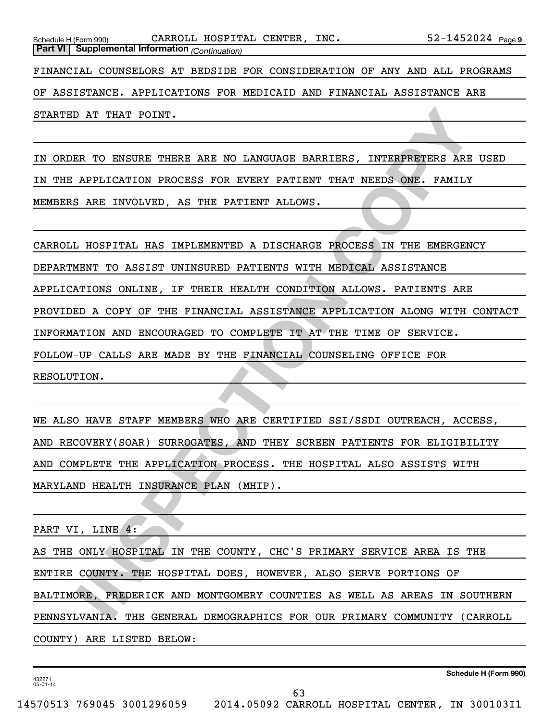STARTED AT THAT POINT.

IN ORDER TO ENSURE THERE ARE NO LANGUAGE BARRIERS, INTERPRETERS ARE USED IN THE APPLICATION PROCESS FOR EVERY PATIENT THAT NEEDS ONE. FAMILY MEMBERS ARE INVOLVED, AS THE PATIENT ALLOWS.

**INSPECTIVE AN AN INSPECTIVE AND DEVICE OF A THE REPORT ON THE RELEANS ONE CONSULTATION PROCESS FOR EVERY PATIENT THAT NEEDS ONE. FAMILY ARE INVOLVED, AS THE PATIENT ALLOWS.<br>
INSPECTIVE AN INSPECTIVE A DISCUSSION CONSULTIN** CARROLL HOSPITAL HAS IMPLEMENTED A DISCHARGE PROCESS IN THE EMERGENCY DEPARTMENT TO ASSIST UNINSURED PATIENTS WITH MEDICAL ASSISTANCE APPLICATIONS ONLINE, IF THEIR HEALTH CONDITION ALLOWS. PATIENTS ARE PROVIDED A COPY OF THE FINANCIAL ASSISTANCE APPLICATION ALONG WITH CONTACT INFORMATION AND ENCOURAGED TO COMPLETE IT AT THE TIME OF SERVICE. FOLLOW-UP CALLS ARE MADE BY THE FINANCIAL COUNSELING OFFICE FOR RESOLUTION.

WE ALSO HAVE STAFF MEMBERS WHO ARE CERTIFIED SSI/SSDI OUTREACH, ACCESS, AND RECOVERY(SOAR) SURROGATES, AND THEY SCREEN PATIENTS FOR ELIGIBILITY AND COMPLETE THE APPLICATION PROCESS. THE HOSPITAL ALSO ASSISTS WITH MARYLAND HEALTH INSURANCE PLAN (MHIP).

PART VI, LINE 4:

AS THE ONLY HOSPITAL IN THE COUNTY, CHC'S PRIMARY SERVICE AREA IS THE ENTIRE COUNTY. THE HOSPITAL DOES, HOWEVER, ALSO SERVE PORTIONS OF BALTIMORE, FREDERICK AND MONTGOMERY COUNTIES AS WELL AS AREAS IN SOUTHERN PENNSYLVANIA. THE GENERAL DEMOGRAPHICS FOR OUR PRIMARY COMMUNITY (CARROLL COUNTY) ARE LISTED BELOW:

432271 05-01-14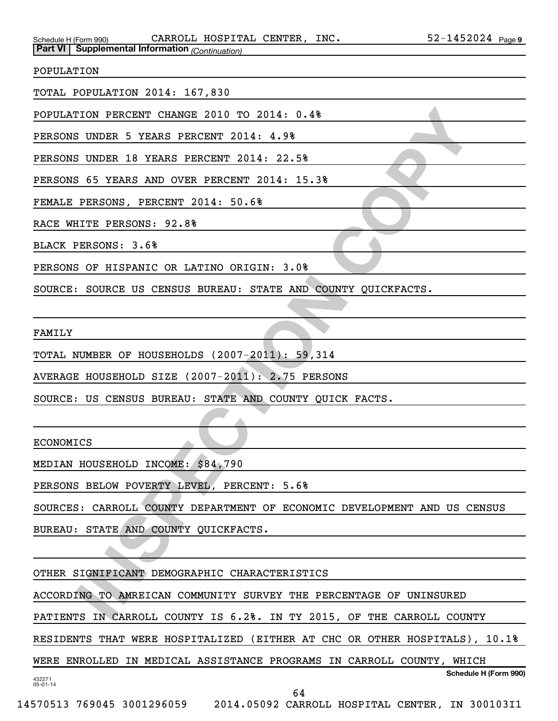Schedule H (Form 990)  $\,$  CARROLL HOSPITAL CENTER, INC.  $\,$  52-1452024  $_{\rm Page}$ **Part VI Supplemental Information** *(Continuation)*

POPULATION

TOTAL POPULATION 2014: 167,830

POPULATION PERCENT CHANGE 2010 TO 2014: 0.4%

PERSONS UNDER 5 YEARS PERCENT 2014: 4.9%

PERSONS UNDER 18 YEARS PERCENT 2014: 22.5%

PERSONS 65 YEARS AND OVER PERCENT 2014: 15.3%

FEMALE PERSONS, PERCENT 2014: 50.6%

RACE WHITE PERSONS: 92.8%

BLACK PERSONS: 3.6%

PERSONS OF HISPANIC OR LATINO ORIGIN: 3.0%

SOURCE: SOURCE US CENSUS BUREAU: STATE AND COUNTY QUICKFACTS.

FAMILY

TOTAL NUMBER OF HOUSEHOLDS (2007-2011): 59,314

AVERAGE HOUSEHOLD SIZE (2007-2011): 2.75 PERSONS

SOURCE: US CENSUS BUREAU: STATE AND COUNTY QUICK FACTS.

ECONOMICS

MEDIAN HOUSEHOLD INCOME: \$84,790

PERSONS BELOW POVERTY LEVEL, PERCENT: 5.6%

ION PERCENT CHANGE 2010 TO 2014: 0.48<br>
INDER 5 YEARS PERCENT 2014: 4.98<br>
INDER 18 YEARS PERCENT 2014: 4.98<br>
FOR SOME 18 YEARS PERCENT 2014: 52.58<br>
FOR SOME PERCISE TRECK TO 2014: 50.68<br>
ITTE PERSONS: 92.88<br>
ITTE PERSONS: 9 SOURCES: CARROLL COUNTY DEPARTMENT OF ECONOMIC DEVELOPMENT AND US CENSUS

BUREAU: STATE AND COUNTY QUICKFACTS.

OTHER SIGNIFICANT DEMOGRAPHIC CHARACTERISTICS

ACCORDING TO AMREICAN COMMUNITY SURVEY THE PERCENTAGE OF UNINSURED

PATIENTS IN CARROLL COUNTY IS 6.2%. IN TY 2015, OF THE CARROLL COUNTY

RESIDENTS THAT WERE HOSPITALIZED (EITHER AT CHC OR OTHER HOSPITALS), 10.1%

**Schedule H (Form 990)** WERE ENROLLED IN MEDICAL ASSISTANCE PROGRAMS IN CARROLL COUNTY, WHICH

432271 05-01-14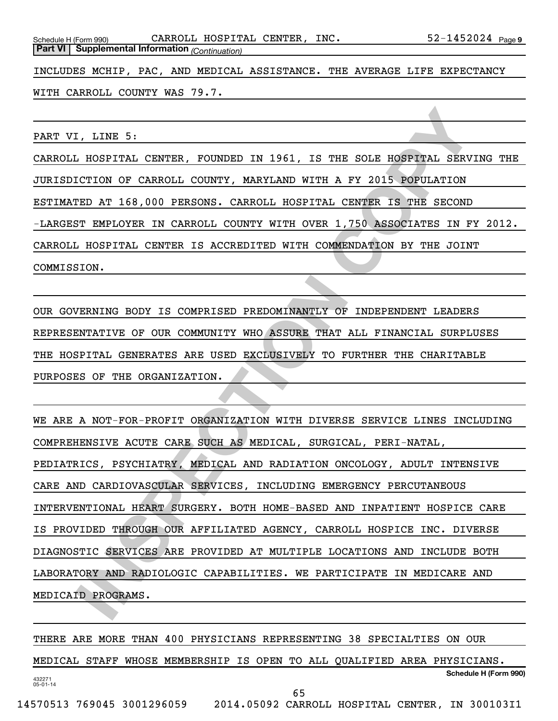INCLUDES MCHIP, PAC, AND MEDICAL ASSISTANCE. THE AVERAGE LIFE EXPECTANCY

WITH CARROLL COUNTY WAS 79.7.

PART VI, LINE 5:

CARROLL HOSPITAL CENTER, FOUNDED IN 1961, IS THE SOLE HOSPITAL SERVING THE JURISDICTION OF CARROLL COUNTY, MARYLAND WITH A FY 2015 POPULATION ESTIMATED AT 168,000 PERSONS. CARROLL HOSPITAL CENTER IS THE SECOND -LARGEST EMPLOYER IN CARROLL COUNTY WITH OVER 1,750 ASSOCIATES IN FY 2012. CARROLL HOSPITAL CENTER IS ACCREDITED WITH COMMENDATION BY THE JOINT COMMISSION.

OUR GOVERNING BODY IS COMPRISED PREDOMINANTLY OF INDEPENDENT LEADERS REPRESENTATIVE OF OUR COMMUNITY WHO ASSURE THAT ALL FINANCIAL SURPLUSES THE HOSPITAL GENERATES ARE USED EXCLUSIVELY TO FURTHER THE CHARITABLE PURPOSES OF THE ORGANIZATION.

I, LINE 5:<br>
I HOSFITAL CENTER, FOUNDED IN 1961, IS THE SOLE HOSFITAL SERVING<br>
ICTION OF CARROLL COUNTY, MARYLAND WITH A FY 2015 POPULATION<br>
IED AT 168,000 PERSONS. CARROLL HOSFITAL CENTER IS THE SECOND<br>
IT EMPLOYER IN CARR WE ARE A NOT-FOR-PROFIT ORGANIZATION WITH DIVERSE SERVICE LINES INCLUDING COMPREHENSIVE ACUTE CARE SUCH AS MEDICAL, SURGICAL, PERI-NATAL, PEDIATRICS, PSYCHIATRY, MEDICAL AND RADIATION ONCOLOGY, ADULT INTENSIVE CARE AND CARDIOVASCULAR SERVICES, INCLUDING EMERGENCY PERCUTANEOUS INTERVENTIONAL HEART SURGERY. BOTH HOME-BASED AND INPATIENT HOSPICE CARE IS PROVIDED THROUGH OUR AFFILIATED AGENCY, CARROLL HOSPICE INC. DIVERSE DIAGNOSTIC SERVICES ARE PROVIDED AT MULTIPLE LOCATIONS AND INCLUDE BOTH LABORATORY AND RADIOLOGIC CAPABILITIES. WE PARTICIPATE IN MEDICARE AND MEDICAID PROGRAMS.

432271 05-01-14 **Schedule H (Form 990)** THERE ARE MORE THAN 400 PHYSICIANS REPRESENTING 38 SPECIALTIES ON OUR MEDICAL STAFF WHOSE MEMBERSHIP IS OPEN TO ALL QUALIFIED AREA PHYSICIANS. 65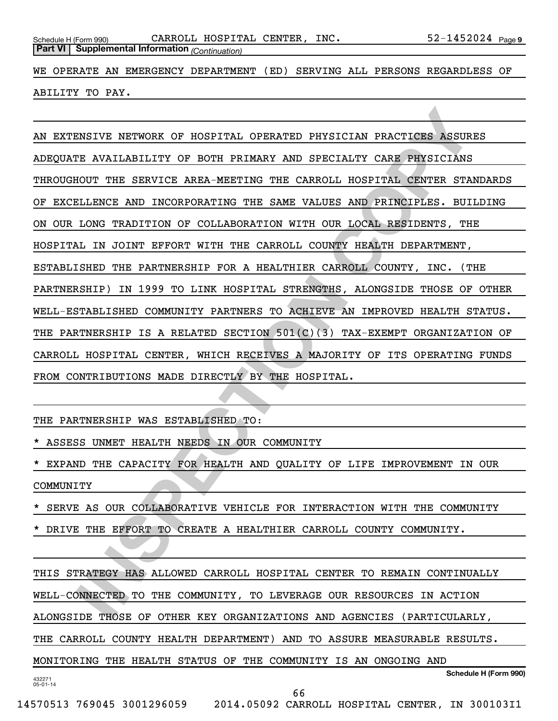WE OPERATE AN EMERGENCY DEPARTMENT (ED) SERVING ALL PERSONS REGARDLESS OF ABILITY TO PAY.

ENSIVE NETWORK OF HOSFITAL OPERATED PHYSICIAN PRACTICES ASSURES<br>
IT AVAILABILITY OF BOTH FRIMARY AND SPECIALTY CARE PHYSICIANS<br>
HOUT THE SERVICE AREA-MEETING THE CARGOLL HOSPITAL CENTER STANDAR<br>
ILLINGE AND INCORPORATING T AN EXTENSIVE NETWORK OF HOSPITAL OPERATED PHYSICIAN PRACTICES ASSURES ADEQUATE AVAILABILITY OF BOTH PRIMARY AND SPECIALTY CARE PHYSICIANS THROUGHOUT THE SERVICE AREA-MEETING THE CARROLL HOSPITAL CENTER STANDARDS OF EXCELLENCE AND INCORPORATING THE SAME VALUES AND PRINCIPLES. BUILDING ON OUR LONG TRADITION OF COLLABORATION WITH OUR LOCAL RESIDENTS, THE HOSPITAL IN JOINT EFFORT WITH THE CARROLL COUNTY HEALTH DEPARTMENT, ESTABLISHED THE PARTNERSHIP FOR A HEALTHIER CARROLL COUNTY, INC. (THE PARTNERSHIP) IN 1999 TO LINK HOSPITAL STRENGTHS, ALONGSIDE THOSE OF OTHER WELL-ESTABLISHED COMMUNITY PARTNERS TO ACHIEVE AN IMPROVED HEALTH STATUS. THE PARTNERSHIP IS A RELATED SECTION 501(C)(3) TAX-EXEMPT ORGANIZATION OF CARROLL HOSPITAL CENTER, WHICH RECEIVES A MAJORITY OF ITS OPERATING FUNDS FROM CONTRIBUTIONS MADE DIRECTLY BY THE HOSPITAL.

THE PARTNERSHIP WAS ESTABLISHED TO:

ASSESS UNMET HEALTH NEEDS IN OUR COMMUNITY

EXPAND THE CAPACITY FOR HEALTH AND QUALITY OF LIFE IMPROVEMENT IN OUR COMMUNITY

SERVE AS OUR COLLABORATIVE VEHICLE FOR INTERACTION WITH THE COMMUNITY

DRIVE THE EFFORT TO CREATE A HEALTHIER CARROLL COUNTY COMMUNITY.

432271 05-01-14 **Schedule H (Form 990)** THIS STRATEGY HAS ALLOWED CARROLL HOSPITAL CENTER TO REMAIN CONTINUALLY WELL-CONNECTED TO THE COMMUNITY, TO LEVERAGE OUR RESOURCES IN ACTION ALONGSIDE THOSE OF OTHER KEY ORGANIZATIONS AND AGENCIES (PARTICULARLY, THE CARROLL COUNTY HEALTH DEPARTMENT) AND TO ASSURE MEASURABLE RESULTS. MONITORING THE HEALTH STATUS OF THE COMMUNITY IS AN ONGOING AND

66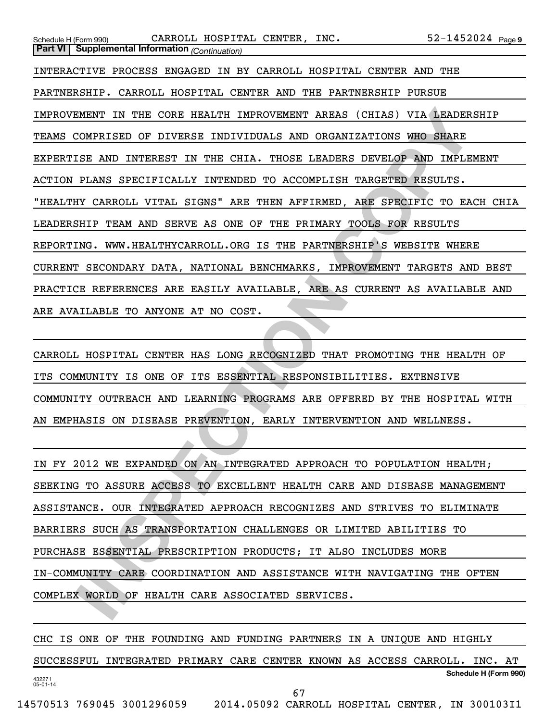| CARROLL HOSPITAL CENTER, INC.<br>Schedule H (Form 990)                     | $52 - 1452024$ Page 9 |
|----------------------------------------------------------------------------|-----------------------|
| <b>Part VI</b> Supplemental Information (Continuation)                     |                       |
| INTERACTIVE PROCESS ENGAGED IN BY CARROLL HOSPITAL CENTER AND THE          |                       |
| PARTNERSHIP. CARROLL HOSPITAL CENTER AND THE PARTNERSHIP PURSUE            |                       |
| IMPROVEMENT IN THE CORE HEALTH IMPROVEMENT AREAS (CHIAS) VIA LEADERSHIP    |                       |
| TEAMS COMPRISED OF DIVERSE INDIVIDUALS AND ORGANIZATIONS WHO SHARE         |                       |
| EXPERTISE AND INTEREST IN THE CHIA. THOSE LEADERS DEVELOP AND IMPLEMENT    |                       |
| ACTION PLANS SPECIFICALLY INTENDED TO ACCOMPLISH TARGETED RESULTS.         |                       |
| "HEALTHY CARROLL VITAL SIGNS" ARE THEN AFFIRMED, ARE SPECIFIC TO EACH CHIA |                       |
| LEADERSHIP TEAM AND SERVE AS ONE OF THE PRIMARY TOOLS FOR RESULTS          |                       |
| REPORTING. WWW.HEALTHYCARROLL.ORG IS THE PARTNERSHIP'S WEBSITE WHERE       |                       |
| CURRENT SECONDARY DATA, NATIONAL BENCHMARKS, IMPROVEMENT TARGETS AND BEST  |                       |
| PRACTICE REFERENCES ARE EASILY AVAILABLE, ARE AS CURRENT AS AVAILABLE AND  |                       |
| ARE AVAILABLE TO ANYONE AT NO COST.                                        |                       |
|                                                                            |                       |
| CARROLL HOSPITAL CENTER HAS LONG RECOGNIZED THAT PROMOTING THE HEALTH OF   |                       |
| ITS COMMUNITY IS ONE OF ITS ESSENTIAL RESPONSIBILITIES. EXTENSIVE          |                       |
| COMMUNITY OUTREACH AND LEARNING PROGRAMS ARE OFFERED BY THE HOSPITAL WITH  |                       |
| AN EMPHASIS ON DISEASE PREVENTION, EARLY INTERVENTION AND WELLNESS.        |                       |
|                                                                            |                       |
| IN FY 2012 WE EXPANDED ON AN INTEGRATED APPROACH TO POPULATION HEALTH;     |                       |
| SEEKING TO ASSURE ACCESS TO EXCELLENT HEALTH CARE AND DISEASE MANAGEMENT   |                       |
| ASSISTANCE. OUR INTEGRATED APPROACH RECOGNIZES AND STRIVES TO ELIMINATE    |                       |
| BARRIERS SUCH AS TRANSPORTATION CHALLENGES OR LIMITED ABILITIES TO         |                       |
| PURCHASE ESSENTIAL PRESCRIPTION PRODUCTS; IT ALSO INCLUDES MORE            |                       |
| IN-COMMUNITY CARE COORDINATION AND ASSISTANCE WITH NAVIGATING THE OFTEN    |                       |
| COMPLEX WORLD OF HEALTH CARE ASSOCIATED SERVICES.                          |                       |
|                                                                            |                       |

| IN FY 2012 WE EXPANDED ON AN INTEGRATED APPROACH TO POPULATION HEALTH;   |
|--------------------------------------------------------------------------|
| SEEKING TO ASSURE ACCESS TO EXCELLENT HEALTH CARE AND DISEASE MANAGEMENT |
| ASSISTANCE. OUR INTEGRATED APPROACH RECOGNIZES AND STRIVES TO ELIMINATE  |
| BARRIERS SUCH AS TRANSPORTATION CHALLENGES OR LIMITED ABILITIES TO       |
| PURCHASE ESSENTIAL PRESCRIPTION PRODUCTS; IT ALSO INCLUDES MORE          |
| IN-COMMUNITY CARE COORDINATION AND ASSISTANCE WITH NAVIGATING THE OFTEN  |
| COMPLEX WORLD OF HEALTH CARE ASSOCIATED SERVICES.                        |

432271 05-01-14 **Schedule H (Form 990)** CHC IS ONE OF THE FOUNDING AND FUNDING PARTNERS IN A UNIQUE AND HIGHLY SUCCESSFUL INTEGRATED PRIMARY CARE CENTER KNOWN AS ACCESS CARROLL. INC. AT 67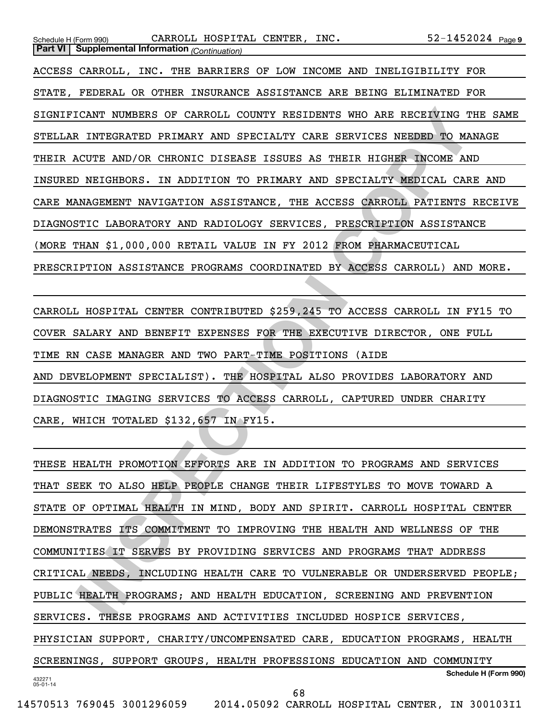| CARROLL HOSPITAL CENTER, INC.<br>$52 - 1452024$ Page 9<br>Schedule H (Form 990) |
|---------------------------------------------------------------------------------|
| <b>Part VI</b> Supplemental Information (Continuation)                          |
| ACCESS CARROLL, INC. THE BARRIERS OF LOW INCOME AND INELIGIBILITY FOR           |
| STATE, FEDERAL OR OTHER INSURANCE ASSISTANCE ARE BEING ELIMINATED FOR           |
| SIGNIFICANT NUMBERS OF CARROLL COUNTY RESIDENTS WHO ARE RECEIVING THE SAME      |
| STELLAR INTEGRATED PRIMARY AND SPECIALTY CARE SERVICES NEEDED TO MANAGE         |
| THEIR ACUTE AND/OR CHRONIC DISEASE ISSUES AS THEIR HIGHER INCOME AND            |
| INSURED NEIGHBORS. IN ADDITION TO PRIMARY AND SPECIALTY MEDICAL CARE AND        |
| CARE MANAGEMENT NAVIGATION ASSISTANCE, THE ACCESS CARROLL PATIENTS RECEIVE      |
| DIAGNOSTIC LABORATORY AND RADIOLOGY SERVICES, PRESCRIPTION ASSISTANCE           |
| (MORE THAN \$1,000,000 RETAIL VALUE IN FY 2012 FROM PHARMACEUTICAL              |
| PRESCRIPTION ASSISTANCE PROGRAMS COORDINATED BY ACCESS CARROLL) AND MORE.       |
|                                                                                 |
| CARROLL HOSPITAL CENTER CONTRIBUTED \$259,245 TO ACCESS CARROLL IN FY15 TO      |
| COVER SALARY AND BENEFIT EXPENSES FOR THE EXECUTIVE DIRECTOR, ONE FULL          |
| TIME RN CASE MANAGER AND TWO PART-TIME POSITIONS (AIDE                          |
| AND DEVELOPMENT SPECIALIST). THE HOSPITAL ALSO PROVIDES LABORATORY AND          |
| DIAGNOSTIC IMAGING SERVICES TO ACCESS CARROLL, CAPTURED UNDER CHARITY           |
| CARE, WHICH TOTALED \$132,657 IN FY15.                                          |
| <b>AND</b>                                                                      |
| THESE HEALTH PROMOTION EFFORTS ARE IN ADDITION TO PROGRAMS AND SERVICES         |
| THAT SEEK TO ALSO HELP PEOPLE CHANGE THEIR LIFESTYLES TO MOVE TOWARD A          |
| STATE OF OPTIMAL HEALTH IN MIND, BODY AND SPIRIT. CARROLL HOSPITAL CENTER       |
| DEMONSTRATES ITS COMMITMENT TO IMPROVING THE HEALTH AND WELLNESS OF THE         |
| COMMUNITIES IT SERVES BY PROVIDING SERVICES AND PROGRAMS THAT ADDRESS           |
| CRITICAL NEEDS, INCLUDING HEALTH CARE TO VULNERABLE OR UNDERSERVED PEOPLE;      |
| PUBLIC HEALTH PROGRAMS; AND HEALTH EDUCATION, SCREENING AND PREVENTION          |
| SERVICES. THESE PROGRAMS AND ACTIVITIES INCLUDED HOSPICE SERVICES,              |

432271 05-01-14 **Schedule H (Form 990)** THESE HEALTH PROMOTION EFFORTS ARE IN ADDITION TO PROGRAMS AND SERVICES THAT SEEK TO ALSO HELP PEOPLE CHANGE THEIR LIFESTYLES TO MOVE TOWARD A STATE OF OPTIMAL HEALTH IN MIND, BODY AND SPIRIT. CARROLL HOSPITAL CENTER DEMONSTRATES ITS COMMITMENT TO IMPROVING THE HEALTH AND WELLNESS OF THE COMMUNITIES IT SERVES BY PROVIDING SERVICES AND PROGRAMS THAT ADDRESS CRITICAL NEEDS, INCLUDING HEALTH CARE TO VULNERABLE OR UNDERSERVED PEOPLE; PUBLIC HEALTH PROGRAMS; AND HEALTH EDUCATION, SCREENING AND PREVENTION SERVICES. THESE PROGRAMS AND ACTIVITIES INCLUDED HOSPICE SERVICES, PHYSICIAN SUPPORT, CHARITY/UNCOMPENSATED CARE, EDUCATION PROGRAMS, HEALTH SCREENINGS, SUPPORT GROUPS, HEALTH PROFESSIONS EDUCATION AND COMMUNITY 68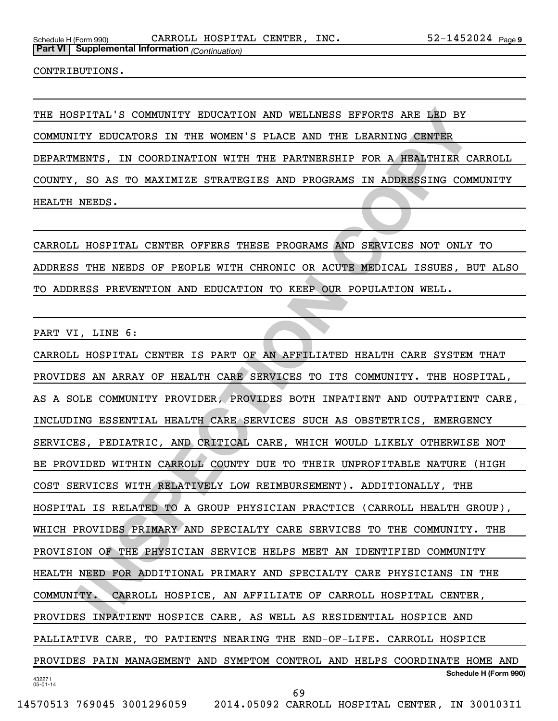CONTRIBUTIONS.

THE HOSPITAL'S COMMUNITY EDUCATION AND WELLNESS EFFORTS ARE LED BY COMMUNITY EDUCATORS IN THE WOMEN'S PLACE AND THE LEARNING CENTER DEPARTMENTS, IN COORDINATION WITH THE PARTNERSHIP FOR A HEALTHIER CARROLL COUNTY, SO AS TO MAXIMIZE STRATEGIES AND PROGRAMS IN ADDRESSING COMMUNITY HEALTH NEEDS.

CARROLL HOSPITAL CENTER OFFERS THESE PROGRAMS AND SERVICES NOT ONLY TO ADDRESS THE NEEDS OF PEOPLE WITH CHRONIC OR ACUTE MEDICAL ISSUES, BUT ALSO TO ADDRESS PREVENTION AND EDUCATION TO KEEP OUR POPULATION WELL.

PART VI, LINE 6:

**ISPITAL'S COMMUNITY EDUCATION AND WELLNESS EFFORTS ARE LED BY<br>TITY EDUCATORS IN THE WOMEN'S PLACE AND THE LEARNING CENTER<br>EENTS, IN COORDINATION WITH THE PARTNERSHIP FOR A HEALTHIER CARRO<br>RESP. 50 AS TO MAXIMIZE STRATEGIE** 432271 05-01-14 **Schedule H (Form 990)** CARROLL HOSPITAL CENTER IS PART OF AN AFFILIATED HEALTH CARE SYSTEM THAT PROVIDES AN ARRAY OF HEALTH CARE SERVICES TO ITS COMMUNITY. THE HOSPITAL, AS A SOLE COMMUNITY PROVIDER, PROVIDES BOTH INPATIENT AND OUTPATIENT CARE, INCLUDING ESSENTIAL HEALTH CARE SERVICES SUCH AS OBSTETRICS, EMERGENCY SERVICES, PEDIATRIC, AND CRITICAL CARE, WHICH WOULD LIKELY OTHERWISE NOT BE PROVIDED WITHIN CARROLL COUNTY DUE TO THEIR UNPROFITABLE NATURE (HIGH COST SERVICES WITH RELATIVELY LOW REIMBURSEMENT). ADDITIONALLY, THE HOSPITAL IS RELATED TO A GROUP PHYSICIAN PRACTICE (CARROLL HEALTH GROUP), WHICH PROVIDES PRIMARY AND SPECIALTY CARE SERVICES TO THE COMMUNITY. THE PROVISION OF THE PHYSICIAN SERVICE HELPS MEET AN IDENTIFIED COMMUNITY HEALTH NEED FOR ADDITIONAL PRIMARY AND SPECIALTY CARE PHYSICIANS IN THE COMMUNITY. CARROLL HOSPICE, AN AFFILIATE OF CARROLL HOSPITAL CENTER, PROVIDES INPATIENT HOSPICE CARE, AS WELL AS RESIDENTIAL HOSPICE AND PALLIATIVE CARE, TO PATIENTS NEARING THE END-OF-LIFE. CARROLL HOSPICE PROVIDES PAIN MANAGEMENT AND SYMPTOM CONTROL AND HELPS COORDINATE HOME AND 69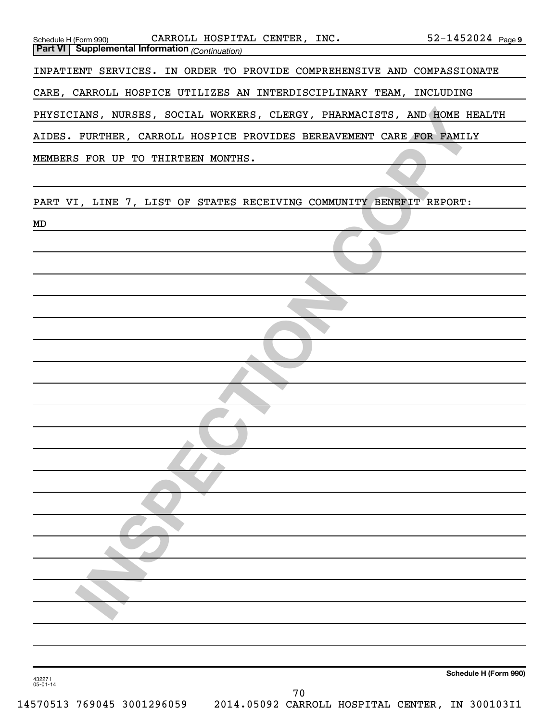| Schedule H (Form 990) CARROLL HOSPITAL CENTER, INC. 52-1452024 Page 9<br>Part VI Supplemental Information (Continuation) |                       |
|--------------------------------------------------------------------------------------------------------------------------|-----------------------|
| INPATIENT SERVICES. IN ORDER TO PROVIDE COMPREHENSIVE AND COMPASSIONATE                                                  |                       |
| CARE, CARROLL HOSPICE UTILIZES AN INTERDISCIPLINARY TEAM, INCLUDING                                                      |                       |
| PHYSICIANS, NURSES, SOCIAL WORKERS, CLERGY, PHARMACISTS, AND HOME HEALTH                                                 |                       |
| AIDES. FURTHER, CARROLL HOSPICE PROVIDES BEREAVEMENT CARE FOR FAMILY                                                     |                       |
| MEMBERS FOR UP TO THIRTEEN MONTHS.                                                                                       |                       |
|                                                                                                                          |                       |
| PART VI, LINE 7, LIST OF STATES RECEIVING COMMUNITY BENEFIT REPORT:<br>MD                                                |                       |
|                                                                                                                          |                       |
|                                                                                                                          |                       |
|                                                                                                                          |                       |
|                                                                                                                          |                       |
|                                                                                                                          |                       |
|                                                                                                                          |                       |
|                                                                                                                          |                       |
|                                                                                                                          |                       |
|                                                                                                                          |                       |
|                                                                                                                          |                       |
|                                                                                                                          |                       |
|                                                                                                                          |                       |
|                                                                                                                          |                       |
|                                                                                                                          |                       |
|                                                                                                                          |                       |
|                                                                                                                          |                       |
|                                                                                                                          |                       |
| 432271<br>$05 - 01 - 14$<br>70                                                                                           | Schedule H (Form 990) |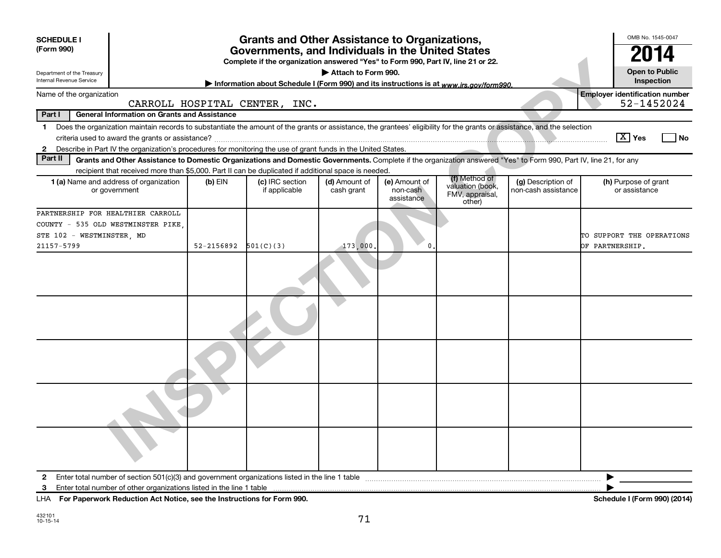| <b>SCHEDULE I</b><br>(Form 990)                                                                                                                                                                                                                                                                                | <b>Grants and Other Assistance to Organizations,</b><br>Governments, and Individuals in the United States<br>Complete if the organization answered "Yes" to Form 990, Part IV, line 21 or 22. |                                  |                             |                                         |                                                      |                                           |                                                     |  |  |  |  |
|----------------------------------------------------------------------------------------------------------------------------------------------------------------------------------------------------------------------------------------------------------------------------------------------------------------|-----------------------------------------------------------------------------------------------------------------------------------------------------------------------------------------------|----------------------------------|-----------------------------|-----------------------------------------|------------------------------------------------------|-------------------------------------------|-----------------------------------------------------|--|--|--|--|
| Department of the Treasury<br>Internal Revenue Service                                                                                                                                                                                                                                                         | <b>Open to Public</b><br>Attach to Form 990.<br>Inspection<br>Information about Schedule I (Form 990) and its instructions is at www.irs.gov/form990.                                         |                                  |                             |                                         |                                                      |                                           |                                                     |  |  |  |  |
| Name of the organization                                                                                                                                                                                                                                                                                       |                                                                                                                                                                                               | CARROLL HOSPITAL CENTER, INC.    |                             |                                         |                                                      |                                           | <b>Employer identification number</b><br>52-1452024 |  |  |  |  |
| Part I<br><b>General Information on Grants and Assistance</b>                                                                                                                                                                                                                                                  |                                                                                                                                                                                               |                                  |                             |                                         |                                                      |                                           |                                                     |  |  |  |  |
| Does the organization maintain records to substantiate the amount of the grants or assistance, the grantees' eligibility for the grants or assistance, and the selection<br>1<br>Describe in Part IV the organization's procedures for monitoring the use of grant funds in the United States.<br>$\mathbf{2}$ |                                                                                                                                                                                               |                                  |                             |                                         |                                                      |                                           | $\boxed{\text{X}}$ Yes<br>l No                      |  |  |  |  |
| Part II<br>Grants and Other Assistance to Domestic Organizations and Domestic Governments. Complete if the organization answered "Yes" to Form 990, Part IV, line 21, for any                                                                                                                                  |                                                                                                                                                                                               |                                  |                             |                                         |                                                      |                                           |                                                     |  |  |  |  |
| recipient that received more than \$5,000. Part II can be duplicated if additional space is needed.<br><b>1 (a)</b> Name and address of organization<br>or government                                                                                                                                          | $(b)$ EIN                                                                                                                                                                                     | (c) IRC section<br>if applicable | (d) Amount of<br>cash grant | (e) Amount of<br>non-cash<br>assistance | (f) Method of<br>valuation (book,<br>FMV, appraisal, | (g) Description of<br>non-cash assistance | (h) Purpose of grant<br>or assistance               |  |  |  |  |
| PARTNERSHIP FOR HEALTHIER CARROLL<br>COUNTY - 535 OLD WESTMINSTER PIKE<br>STE 102 - WESTMINSTER, MD<br>21157-5799                                                                                                                                                                                              | 52-2156892                                                                                                                                                                                    | 501(C)(3)                        | 173,000                     | 0                                       | other)                                               |                                           | TO SUPPORT THE OPERATIONS<br>OF PARTNERSHIP.        |  |  |  |  |
|                                                                                                                                                                                                                                                                                                                |                                                                                                                                                                                               |                                  |                             |                                         |                                                      |                                           |                                                     |  |  |  |  |
|                                                                                                                                                                                                                                                                                                                |                                                                                                                                                                                               |                                  |                             |                                         |                                                      |                                           |                                                     |  |  |  |  |
|                                                                                                                                                                                                                                                                                                                |                                                                                                                                                                                               |                                  |                             |                                         |                                                      |                                           |                                                     |  |  |  |  |
|                                                                                                                                                                                                                                                                                                                |                                                                                                                                                                                               |                                  |                             |                                         |                                                      |                                           |                                                     |  |  |  |  |
|                                                                                                                                                                                                                                                                                                                |                                                                                                                                                                                               |                                  |                             |                                         |                                                      |                                           |                                                     |  |  |  |  |
| $\mathbf{2}$                                                                                                                                                                                                                                                                                                   |                                                                                                                                                                                               |                                  |                             |                                         |                                                      |                                           |                                                     |  |  |  |  |
| 3<br>LHA For Paperwork Reduction Act Notice, see the Instructions for Form 990.                                                                                                                                                                                                                                |                                                                                                                                                                                               |                                  |                             |                                         |                                                      |                                           | Schedule I (Form 990) (2014)                        |  |  |  |  |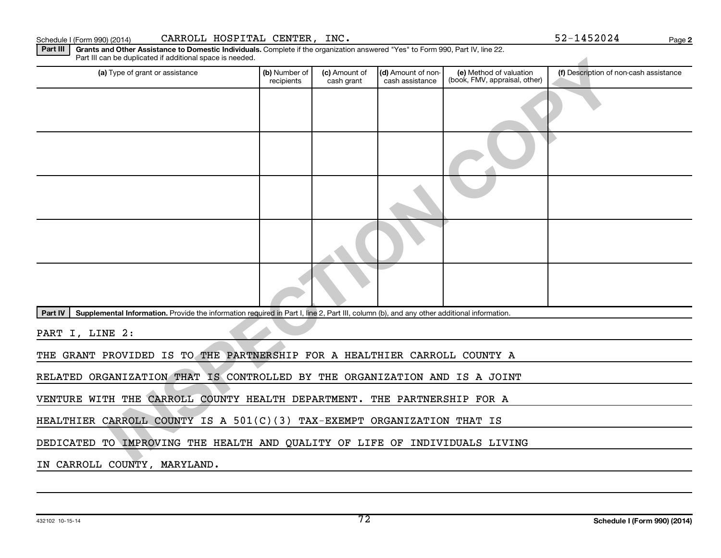| 432102 10-15-14 |
|-----------------|

| Part III can be duplicated if additional space is needed.                                                                                            |                             |                             |                                       |                                                          |                                        |
|------------------------------------------------------------------------------------------------------------------------------------------------------|-----------------------------|-----------------------------|---------------------------------------|----------------------------------------------------------|----------------------------------------|
| (a) Type of grant or assistance                                                                                                                      | (b) Number of<br>recipients | (c) Amount of<br>cash grant | (d) Amount of non-<br>cash assistance | (e) Method of valuation<br>(book, FMV, appraisal, other) | (f) Description of non-cash assistance |
|                                                                                                                                                      |                             |                             |                                       |                                                          |                                        |
|                                                                                                                                                      |                             |                             |                                       |                                                          |                                        |
|                                                                                                                                                      |                             |                             |                                       |                                                          |                                        |
|                                                                                                                                                      |                             |                             |                                       |                                                          |                                        |
|                                                                                                                                                      |                             |                             |                                       |                                                          |                                        |
|                                                                                                                                                      |                             |                             |                                       |                                                          |                                        |
| Part IV<br>Supplemental Information. Provide the information required in Part I, line 2, Part III, column (b), and any other additional information. |                             |                             |                                       |                                                          |                                        |
| PART I, LINE 2:                                                                                                                                      |                             |                             |                                       |                                                          |                                        |
| THE GRANT PROVIDED IS TO THE PARTNERSHIP FOR A HEALTHIER CARROLL COUNTY A                                                                            |                             |                             |                                       |                                                          |                                        |
| RELATED ORGANIZATION THAT IS CONTROLLED BY THE ORGANIZATION AND IS A JOINT                                                                           |                             |                             |                                       |                                                          |                                        |
| VENTURE WITH THE CARROLL COUNTY HEALTH DEPARTMENT. THE PARTNERSHIP FOR A                                                                             |                             |                             |                                       |                                                          |                                        |
| HEALTHIER CARROLL COUNTY IS A 501(C)(3) TAX-EXEMPT ORGANIZATION THAT IS                                                                              |                             |                             |                                       |                                                          |                                        |
| DEDICATED TO IMPROVING THE HEALTH AND QUALITY OF LIFE OF INDIVIDUALS LIVING                                                                          |                             |                             |                                       |                                                          |                                        |
| IN CARROLL COUNTY, MARYLAND.                                                                                                                         |                             |                             |                                       |                                                          |                                        |
|                                                                                                                                                      |                             |                             |                                       |                                                          |                                        |
|                                                                                                                                                      |                             |                             |                                       |                                                          |                                        |

Part III | Grants and Other Assistance to Domestic Individuals. Complete if the organization answered "Yes" to Form 990, Part IV, line 22. Part III can be duplicated if additional space is needed.

**2**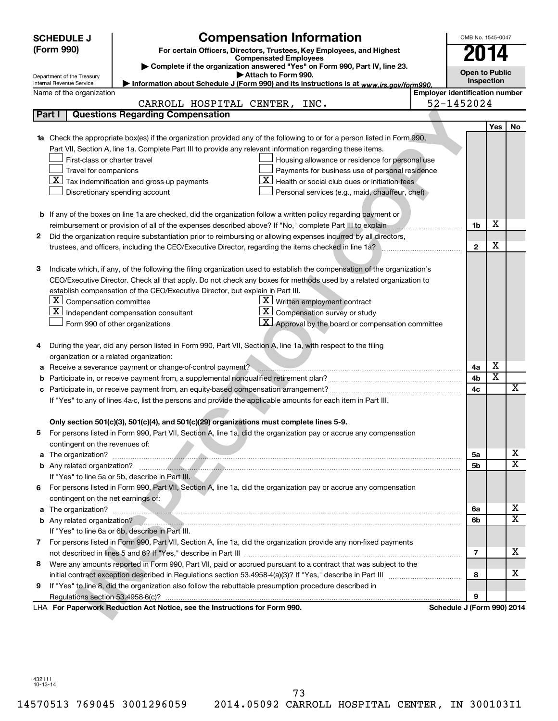|    | <b>SCHEDULE J</b>                       | <b>Compensation Information</b>                                                                                           |                                       | OMB No. 1545-0047     |                       |                         |
|----|-----------------------------------------|---------------------------------------------------------------------------------------------------------------------------|---------------------------------------|-----------------------|-----------------------|-------------------------|
|    | (Form 990)                              | For certain Officers, Directors, Trustees, Key Employees, and Highest                                                     |                                       | 2014                  |                       |                         |
|    |                                         | <b>Compensated Employees</b>                                                                                              |                                       |                       |                       |                         |
|    | Department of the Treasury              | Complete if the organization answered "Yes" on Form 990, Part IV, line 23.<br>Attach to Form 990.                         |                                       | <b>Open to Public</b> |                       |                         |
|    | Internal Revenue Service                | Information about Schedule J (Form 990) and its instructions is at www.irs.gov/form990.                                   |                                       |                       | Inspection            |                         |
|    | Name of the organization                |                                                                                                                           | <b>Employer identification number</b> |                       |                       |                         |
|    |                                         | CARROLL HOSPITAL CENTER, INC.                                                                                             | 52-1452024                            |                       |                       |                         |
|    | Part I                                  | <b>Questions Regarding Compensation</b>                                                                                   |                                       |                       |                       |                         |
|    |                                         |                                                                                                                           |                                       |                       | <b>Yes</b>            | No                      |
|    |                                         | Check the appropriate box(es) if the organization provided any of the following to or for a person listed in Form 990,    |                                       |                       |                       |                         |
|    |                                         | Part VII, Section A, line 1a. Complete Part III to provide any relevant information regarding these items.                |                                       |                       |                       |                         |
|    | First-class or charter travel           | Housing allowance or residence for personal use                                                                           |                                       |                       |                       |                         |
|    | Travel for companions                   | Payments for business use of personal residence                                                                           |                                       |                       |                       |                         |
|    |                                         | $ \mathbf{X} $ Tax indemnification and gross-up payments<br>Health or social club dues or initiation fees                 |                                       |                       |                       |                         |
|    | Discretionary spending account          | Personal services (e.g., maid, chauffeur, chef)                                                                           |                                       |                       |                       |                         |
|    |                                         |                                                                                                                           |                                       |                       |                       |                         |
|    |                                         | <b>b</b> If any of the boxes on line 1a are checked, did the organization follow a written policy regarding payment or    |                                       |                       |                       |                         |
|    |                                         |                                                                                                                           |                                       | 1b                    | х                     |                         |
| 2  |                                         | Did the organization require substantiation prior to reimbursing or allowing expenses incurred by all directors,          |                                       |                       |                       |                         |
|    |                                         | trustees, and officers, including the CEO/Executive Director, regarding the items checked in line 1a?                     |                                       | $\mathbf{2}$          | х                     |                         |
|    |                                         |                                                                                                                           |                                       |                       |                       |                         |
| з  |                                         | Indicate which, if any, of the following the filing organization used to establish the compensation of the organization's |                                       |                       |                       |                         |
|    |                                         | CEO/Executive Director. Check all that apply. Do not check any boxes for methods used by a related organization to        |                                       |                       |                       |                         |
|    |                                         | establish compensation of the CEO/Executive Director, but explain in Part III.                                            |                                       |                       |                       |                         |
|    | $ \mathbf{X} $ Compensation committee   | $X$ Written employment contract                                                                                           |                                       |                       |                       |                         |
|    |                                         | $\mathbf{X}$ Independent compensation consultant<br><u>x</u><br>Compensation survey or study                              |                                       |                       |                       |                         |
|    | Form 990 of other organizations         | $\mathbf{X}$ Approval by the board or compensation committee                                                              |                                       |                       |                       |                         |
|    |                                         |                                                                                                                           |                                       |                       |                       |                         |
| 4  |                                         | During the year, did any person listed in Form 990, Part VII, Section A, line 1a, with respect to the filing              |                                       |                       |                       |                         |
|    | organization or a related organization: |                                                                                                                           |                                       |                       |                       |                         |
| а  |                                         | Receive a severance payment or change-of-control payment?                                                                 |                                       | 4a                    | х                     |                         |
| b  |                                         |                                                                                                                           |                                       | 4b<br>4c              | $\overline{\text{x}}$ | $\overline{\mathbf{X}}$ |
| c  |                                         |                                                                                                                           |                                       |                       |                       |                         |
|    |                                         | If "Yes" to any of lines 4a-c, list the persons and provide the applicable amounts for each item in Part III.             |                                       |                       |                       |                         |
|    |                                         |                                                                                                                           |                                       |                       |                       |                         |
|    |                                         | Only section 501(c)(3), 501(c)(4), and 501(c)(29) organizations must complete lines 5-9.                                  |                                       |                       |                       |                         |
|    |                                         | For persons listed in Form 990, Part VII, Section A, line 1a, did the organization pay or accrue any compensation         |                                       |                       |                       |                         |
|    | contingent on the revenues of:          |                                                                                                                           |                                       |                       |                       | x                       |
|    |                                         |                                                                                                                           |                                       | 5a<br>5b              |                       | X                       |
|    |                                         | If "Yes" to line 5a or 5b, describe in Part III.                                                                          |                                       |                       |                       |                         |
| 6. |                                         | For persons listed in Form 990, Part VII, Section A, line 1a, did the organization pay or accrue any compensation         |                                       |                       |                       |                         |
|    | contingent on the net earnings of:      |                                                                                                                           |                                       |                       |                       |                         |
|    |                                         |                                                                                                                           |                                       | 6a                    |                       | х                       |
|    |                                         |                                                                                                                           |                                       | 6b                    |                       | X                       |
|    |                                         | If "Yes" to line 6a or 6b, describe in Part III.                                                                          |                                       |                       |                       |                         |
| 7  |                                         | For persons listed in Form 990, Part VII, Section A, line 1a, did the organization provide any non-fixed payments         |                                       |                       |                       |                         |
|    |                                         |                                                                                                                           |                                       | 7                     |                       | x                       |
| 8  |                                         | Were any amounts reported in Form 990, Part VII, paid or accrued pursuant to a contract that was subject to the           |                                       |                       |                       |                         |
|    |                                         |                                                                                                                           |                                       | 8                     |                       | x                       |
| 9  |                                         | If "Yes" to line 8, did the organization also follow the rebuttable presumption procedure described in                    |                                       |                       |                       |                         |
|    |                                         |                                                                                                                           |                                       | 9                     |                       |                         |
|    |                                         | LHA For Paperwork Reduction Act Notice, see the Instructions for Form 990.                                                | Schedule J (Form 990) 2014            |                       |                       |                         |
|    |                                         |                                                                                                                           |                                       |                       |                       |                         |

432111 10-13-14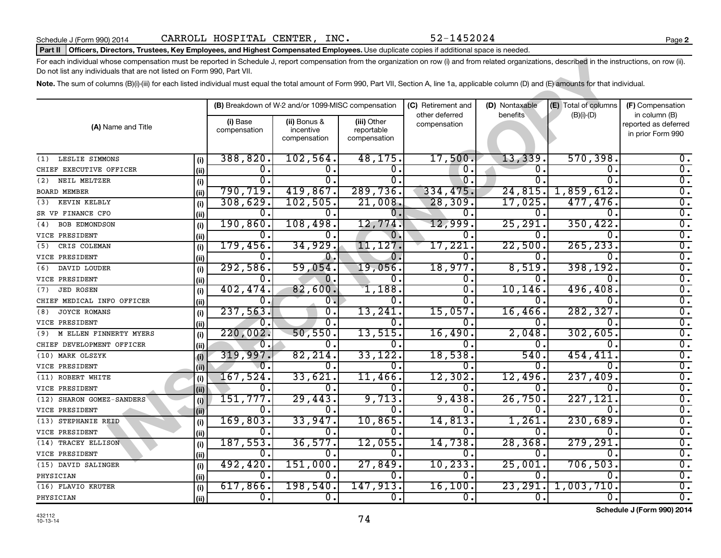#### Part II | Officers, Directors, Trustees, Key Employees, and Highest Compensated Employees. Use duplicate copies if additional space is needed.

| For each individual whose compensation must be reported in Schedule J, report compensation from the organization on row (i) and from related organizations, described in the instructions, on row (ii).<br>Do not list any individuals that are not listed on Form 990, Part VII. |      |                          |                                                                          |                                           |                                |          |                      |                                                            |  |
|-----------------------------------------------------------------------------------------------------------------------------------------------------------------------------------------------------------------------------------------------------------------------------------|------|--------------------------|--------------------------------------------------------------------------|-------------------------------------------|--------------------------------|----------|----------------------|------------------------------------------------------------|--|
| Note. The sum of columns (B)(i)-(iii) for each listed individual must equal the total amount of Form 990, Part VII, Section A, line 1a, applicable column (D) and (E) amounts for that individual.                                                                                |      |                          |                                                                          |                                           |                                |          |                      |                                                            |  |
|                                                                                                                                                                                                                                                                                   |      |                          | (B) Breakdown of W-2 and/or 1099-MISC compensation<br>(C) Retirement and |                                           |                                |          | (E) Total of columns | (F) Compensation                                           |  |
| (A) Name and Title                                                                                                                                                                                                                                                                |      | (i) Base<br>compensation | (ii) Bonus &<br>incentive<br>compensation                                | (iii) Other<br>reportable<br>compensation | other deferred<br>compensation | benefits | $(B)(i)$ - $(D)$     | in column (B)<br>reported as deferred<br>in prior Form 990 |  |
| LESLIE SIMMONS<br>(1)                                                                                                                                                                                                                                                             | (i)  | 388,820.                 | 102,564.                                                                 | 48, 175.                                  | 17,500.                        | 13,339.  | 570, 398.            | 0.                                                         |  |
| CHIEF EXECUTIVE OFFICER                                                                                                                                                                                                                                                           | (ii) | 0.                       | 0.                                                                       | 0.                                        | 0.                             | 0.       | $\mathbf 0$ .        | 0.                                                         |  |
| NEIL MELTZER<br>(2)                                                                                                                                                                                                                                                               | (i)  | 0.                       | $\overline{0}$ .                                                         | 0.                                        | 0.                             | 0.       | 0                    | $\overline{0}$ .                                           |  |
| <b>BOARD MEMBER</b>                                                                                                                                                                                                                                                               | (ii) | 790,719.                 | 419,867.                                                                 | 289,736.                                  | 334,475.                       | 24,815.  | 1,859,612            | $\overline{0}$ .                                           |  |
| KEVIN KELBLY<br>(3)                                                                                                                                                                                                                                                               | (i)  | 308,629.                 | 102,505.                                                                 | 21,008.                                   | 28, 309.                       | 17,025.  | 477,476.             | Ο.                                                         |  |
| SR VP FINANCE CFO                                                                                                                                                                                                                                                                 | (ii) | 0.                       | ο.                                                                       | 0.                                        | 0.                             | 0.       | 0.                   | $\mathbf{0}$ .                                             |  |
| <b>BOB EDMONDSON</b><br>(4)                                                                                                                                                                                                                                                       | (i)  | 190, 860.                | 108,498.                                                                 | 12,774.                                   | 12,999.                        | 25, 291. | 350, 422.            | σ.                                                         |  |
| VICE PRESIDENT                                                                                                                                                                                                                                                                    | (ii) | 0.                       | 0.                                                                       | 0.                                        | 0.                             | Ω.       | 0                    | σ.                                                         |  |
| CRIS COLEMAN<br>(5)                                                                                                                                                                                                                                                               | (i)  | 179,456.                 | 34,929.                                                                  | 11,127.                                   | 17,221                         | 22,500   | 265, 233             | $\overline{0}$ .                                           |  |
| VICE PRESIDENT                                                                                                                                                                                                                                                                    | (ii) | 0.                       | $\overline{0}$ .                                                         | 0.                                        | 0.                             | 0.       | 0                    | $\overline{0}$ .                                           |  |
| DAVID LOUDER<br>(6)                                                                                                                                                                                                                                                               | (i)  | 292,586.                 | 59,054.                                                                  | 19,056.                                   | 18,977.                        | 8,519.   | 398,192              | $\mathbf{0}$ .                                             |  |
| VICE PRESIDENT                                                                                                                                                                                                                                                                    | (ii) | ο.                       | Ο.                                                                       | υ.                                        | 0.                             | 0.       | 0.                   | $\overline{0}$ .                                           |  |
| <b>JED ROSEN</b><br>(7)                                                                                                                                                                                                                                                           | (i)  | 402,474.                 | 82,600.                                                                  | 1,188.                                    | $\overline{0}$ .               | 10, 146. | 496,408.             | $\overline{0}$ .                                           |  |
| CHIEF MEDICAL INFO OFFICER                                                                                                                                                                                                                                                        | (ii) | 0.                       | $\overline{0}$ .                                                         | 0.                                        | 0.                             | 0.       | 0                    | σ.                                                         |  |
| <b>JOYCE ROMANS</b><br>(8)                                                                                                                                                                                                                                                        | (i)  | 237,563.                 | σ.                                                                       | 13,241.                                   | 15,057.                        | 16,466.  | 282,327              | $\overline{0}$ .                                           |  |
| VICE PRESIDENT                                                                                                                                                                                                                                                                    | (ii) | 0.                       | $\overline{0}$ .                                                         | 0.                                        | 0.                             | 0.       | 0                    | $\overline{0}$ .                                           |  |
| M ELLEN FINNERTY MYERS<br>(9)                                                                                                                                                                                                                                                     | (i)  | 220,002.                 | 50,550.                                                                  | 13,515.                                   | 16,490                         | 2,048.   | 302, 605             | $\overline{0}$ .                                           |  |
| CHIEF DEVELOPMENT OFFICER                                                                                                                                                                                                                                                         | (i)  | Ω.                       | 0.                                                                       | 0.                                        | 0                              | 0.       | 0                    | $\overline{0}$ .                                           |  |
| (10) MARK OLSZYK                                                                                                                                                                                                                                                                  | (i)  | 319,997.                 | 82, 214.                                                                 | 33,122.                                   | 18,538.                        | 540.     | 454,411              | $\overline{0}$ .                                           |  |
| VICE PRESIDENT                                                                                                                                                                                                                                                                    | (ii) | 0.                       | 0.                                                                       | 0.                                        | 0.                             | 0.       | 0                    | $\overline{0}$ .                                           |  |
| (11) ROBERT WHITE                                                                                                                                                                                                                                                                 | (i)  | 167,524.                 | 33,621.                                                                  | 11,466.                                   | 12,302.                        | 12,496.  | 237,409              | σ.                                                         |  |
| VICE PRESIDENT                                                                                                                                                                                                                                                                    | (ii) | Ο.                       | 0.                                                                       | О.                                        | 0.                             | Ο.       | 0                    | $\overline{0}$ .                                           |  |
| (12) SHARON GOMEZ-SANDERS                                                                                                                                                                                                                                                         | (i)  | 151,777.                 | 29,443.                                                                  | 9,713.                                    | 9,438.                         | 26,750   | 227,121              | $\overline{0}$ .                                           |  |
| VICE PRESIDENT                                                                                                                                                                                                                                                                    | (i)  | 0.                       | 0.                                                                       | 0.                                        | 0.                             | Ο.       | 0.                   | $\overline{0}$ .                                           |  |
| (13) STEPHANIE REID                                                                                                                                                                                                                                                               | (i)  | 169,803.                 | 33,947.                                                                  | 10,865.                                   | 14,813                         | 1,261.   | 230,689              | $\overline{0}$ .                                           |  |
| VICE PRESIDENT                                                                                                                                                                                                                                                                    | (ii) | 0.                       | 0.                                                                       | 0.                                        | 0.                             | 0.       | 0                    | 0.                                                         |  |
| (14) TRACEY ELLISON                                                                                                                                                                                                                                                               | (i)  | 187,553.                 | 36,577.                                                                  | 12,055.                                   | 14,738.                        | 28, 368. | 279,291              | σ.                                                         |  |
| VICE PRESIDENT                                                                                                                                                                                                                                                                    | (ii) | Ω.                       | 0.                                                                       | 0.                                        | Ω.                             | Ω.       | $\Omega$             | $\overline{0}$ .                                           |  |
| (15) DAVID SALINGER                                                                                                                                                                                                                                                               | (i)  | 492, 420.                | 151,000.                                                                 | 27,849.                                   | 10, 233.                       | 25,001.  | 706, 503.            | σ.                                                         |  |
| PHYSICIAN                                                                                                                                                                                                                                                                         | (ii) | 0.                       | 0.                                                                       | 0.                                        | 0.                             | 0.       | 0                    | 0.                                                         |  |
| (16) FLAVIO KRUTER                                                                                                                                                                                                                                                                | (i)  | 617,866.                 | 198,540.                                                                 | 147,913.                                  | 16,100.                        | 23, 291. | 1,003,710            | $\overline{0}$ .                                           |  |
| PHYSICIAN                                                                                                                                                                                                                                                                         | (ii) | 0.                       | 0.                                                                       | 0.                                        | 0.                             | 0.       | 0.                   | 0.                                                         |  |

**Schedule J (Form 990) 2014**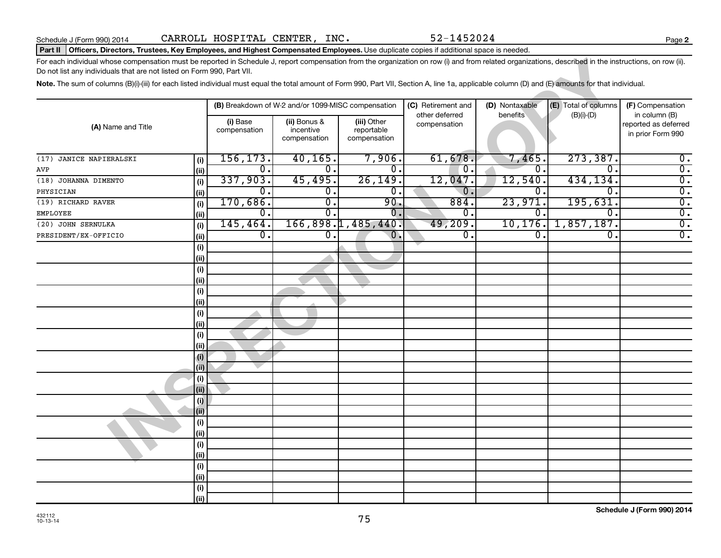**2**

#### Part II | Officers, Directors, Trustees, Key Employees, and Highest Compensated Employees. Use duplicate copies if additional space is needed.

| For each individual whose compensation must be reported in Schedule J, report compensation from the organization on row (i) and from related organizations, described in the instructions, on row (ii).<br>Do not list any individuals that are not listed on Form 990, Part VII. |             |                           |                                                    |                                           |                                      |                            |                                      |                                           |  |
|-----------------------------------------------------------------------------------------------------------------------------------------------------------------------------------------------------------------------------------------------------------------------------------|-------------|---------------------------|----------------------------------------------------|-------------------------------------------|--------------------------------------|----------------------------|--------------------------------------|-------------------------------------------|--|
| Note. The sum of columns (B)(i)-(iii) for each listed individual must equal the total amount of Form 990, Part VII, Section A, line 1a, applicable column (D) and (E) amounts for that individual.                                                                                |             |                           |                                                    |                                           |                                      |                            |                                      |                                           |  |
|                                                                                                                                                                                                                                                                                   |             |                           | (B) Breakdown of W-2 and/or 1099-MISC compensation |                                           | (C) Retirement and<br>other deferred | (D) Nontaxable<br>benefits | (E) Total of columns<br>$(B)(i)-(D)$ | (F) Compensation<br>in column (B)         |  |
| (A) Name and Title                                                                                                                                                                                                                                                                |             | (i) Base<br>compensation  | (ii) Bonus &<br>incentive<br>compensation          | (iii) Other<br>reportable<br>compensation | compensation                         |                            |                                      | reported as deferred<br>in prior Form 990 |  |
| JANICE NAPIERALSKI<br>(17)                                                                                                                                                                                                                                                        | (i)         | 156, 173.                 | 40, 165.                                           | 7,906.                                    | 61,678.                              | 7,465                      | 273, 387.                            | $\overline{0}$ .                          |  |
| AVP                                                                                                                                                                                                                                                                               | (ii)        | $\overline{0}$ .          | σ.                                                 | 0.                                        | $\overline{0}$ .                     | 0.                         | 0.                                   | $\overline{0}$ .                          |  |
| (18) JOHANNA DIMENTO                                                                                                                                                                                                                                                              | (i)         | 337,903.                  | 45,495.                                            | 26, 149.                                  | 12,047.                              | 12,540.                    | 434,134.                             | $\overline{0}$ .                          |  |
| PHYSICIAN                                                                                                                                                                                                                                                                         | (ii)        | $\overline{0}$ .          | $\overline{0}$ .                                   | 0.                                        | 0.                                   | $\overline{0}$ .           | 0.                                   | $\overline{0}$ .                          |  |
| (19) RICHARD RAVER                                                                                                                                                                                                                                                                | (i)         | 170,686.                  | σ.                                                 | 90.                                       | 884.                                 | 23,971.                    | 195,631.                             | $\overline{0}$ .                          |  |
| <b>EMPLOYEE</b>                                                                                                                                                                                                                                                                   | (ii)        | $\overline{\mathbf{0}}$ . | $\overline{0}$ .                                   | $\overline{0}$ .                          | σ.                                   | $\overline{0}$ .           | $\overline{0}$ .                     | $\overline{0}$ .                          |  |
| (20) JOHN SERNULKA                                                                                                                                                                                                                                                                | (i)         | 145, 464.                 |                                                    | 166, 898.1, 485, 440.                     | 49,209.                              | 10, 176.                   | 1,857,187.                           | $\overline{0}$ .                          |  |
| PRESIDENT/EX-OFFICIO                                                                                                                                                                                                                                                              | (ii)        | Ο.                        | 0.                                                 | $\overline{0}$ .                          | О.                                   | $\overline{0}$ .           | σ.                                   | $\overline{0}$ .                          |  |
|                                                                                                                                                                                                                                                                                   | (i)         |                           |                                                    |                                           |                                      |                            |                                      |                                           |  |
|                                                                                                                                                                                                                                                                                   | (ii)        |                           |                                                    |                                           |                                      |                            |                                      |                                           |  |
|                                                                                                                                                                                                                                                                                   | (i)         |                           |                                                    |                                           |                                      |                            |                                      |                                           |  |
|                                                                                                                                                                                                                                                                                   | (ii)        |                           |                                                    |                                           |                                      |                            |                                      |                                           |  |
|                                                                                                                                                                                                                                                                                   | (i)         |                           |                                                    |                                           |                                      |                            |                                      |                                           |  |
|                                                                                                                                                                                                                                                                                   | (ii)        |                           |                                                    |                                           |                                      |                            |                                      |                                           |  |
|                                                                                                                                                                                                                                                                                   | (i)         |                           |                                                    |                                           |                                      |                            |                                      |                                           |  |
|                                                                                                                                                                                                                                                                                   | (ii)        |                           |                                                    |                                           |                                      |                            |                                      |                                           |  |
|                                                                                                                                                                                                                                                                                   | (i)         |                           |                                                    |                                           |                                      |                            |                                      |                                           |  |
|                                                                                                                                                                                                                                                                                   | (ii)        |                           |                                                    |                                           |                                      |                            |                                      |                                           |  |
|                                                                                                                                                                                                                                                                                   | (i)         |                           |                                                    |                                           |                                      |                            |                                      |                                           |  |
|                                                                                                                                                                                                                                                                                   | (ii)        |                           |                                                    |                                           |                                      |                            |                                      |                                           |  |
|                                                                                                                                                                                                                                                                                   | (i)         |                           |                                                    |                                           |                                      |                            |                                      |                                           |  |
|                                                                                                                                                                                                                                                                                   | (ii)        |                           |                                                    |                                           |                                      |                            |                                      |                                           |  |
|                                                                                                                                                                                                                                                                                   | (i)         |                           |                                                    |                                           |                                      |                            |                                      |                                           |  |
|                                                                                                                                                                                                                                                                                   | (ii)        |                           |                                                    |                                           |                                      |                            |                                      |                                           |  |
|                                                                                                                                                                                                                                                                                   | (i)<br>(ii) |                           |                                                    |                                           |                                      |                            |                                      |                                           |  |
|                                                                                                                                                                                                                                                                                   | (i)         |                           |                                                    |                                           |                                      |                            |                                      |                                           |  |
|                                                                                                                                                                                                                                                                                   | (ii)        |                           |                                                    |                                           |                                      |                            |                                      |                                           |  |
|                                                                                                                                                                                                                                                                                   | (i)         |                           |                                                    |                                           |                                      |                            |                                      |                                           |  |
|                                                                                                                                                                                                                                                                                   | (ii)        |                           |                                                    |                                           |                                      |                            |                                      |                                           |  |
|                                                                                                                                                                                                                                                                                   | (i)         |                           |                                                    |                                           |                                      |                            |                                      |                                           |  |
|                                                                                                                                                                                                                                                                                   | (ii)        |                           |                                                    |                                           |                                      |                            |                                      |                                           |  |
|                                                                                                                                                                                                                                                                                   |             |                           |                                                    |                                           |                                      |                            |                                      |                                           |  |

**Schedule J (Form 990) 2014**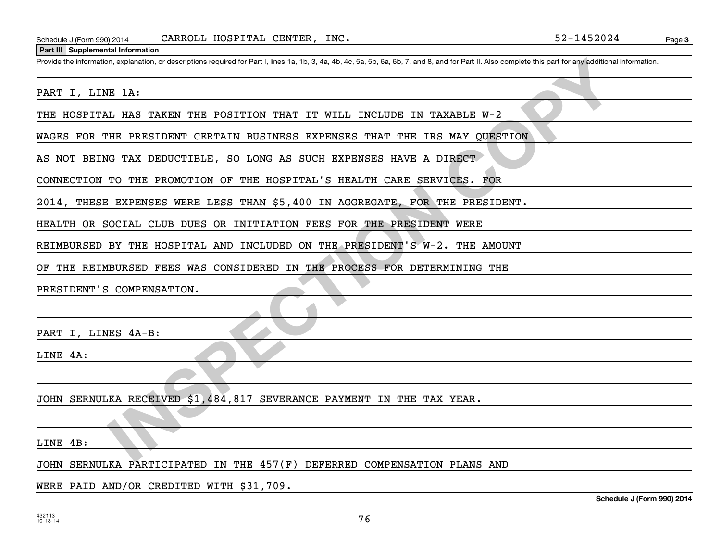#### **Part III Supplemental Information**

**IN SEPARATION CONFINENTIAL SERVER AND DESCRIPTION OF THE PROCESS OF A SERVER AND PROPERTION OF THE POST OF A SERVER AND DESCRIPTION OF THE POST OF A SERVER AND DESCRIPTION OF THE POST OF THE POST OF A SERVER AND DESCRIPTI** Provide the information, explanation, or descriptions required for Part I, lines 1a, 1b, 3, 4a, 4b, 4c, 5a, 5b, 6a, 6b, 7, and 8, and for Part II. Also complete this part for any additional information.

PART I, LINE 1A:

THE HOSPITAL HAS TAKEN THE POSITION THAT IT WILL INCLUDE IN TAXABLE W-2

WAGES FOR THE PRESIDENT CERTAIN BUSINESS EXPENSES THAT THE IRS MAY QUESTION

AS NOT BEING TAX DEDUCTIBLE, SO LONG AS SUCH EXPENSES HAVE A DIRECT

CONNECTION TO THE PROMOTION OF THE HOSPITAL'S HEALTH CARE SERVICES. FOR

2014, THESE EXPENSES WERE LESS THAN \$5,400 IN AGGREGATE, FOR THE PRESIDENT.

HEALTH OR SOCIAL CLUB DUES OR INITIATION FEES FOR THE PRESIDENT WERE

REIMBURSED BY THE HOSPITAL AND INCLUDED ON THE PRESIDENT'S W-2. THE AMOUNT

OF THE REIMBURSED FEES WAS CONSIDERED IN THE PROCESS FOR DETERMINING THE

PRESIDENT'S COMPENSATION.

PART I, LINES 4A-B:

LINE 4A:

JOHN SERNULKA RECEIVED \$1,484,817 SEVERANCE PAYMENT IN THE TAX YEAR.

LINE 4B:

JOHN SERNULKA PARTICIPATED IN THE 457(F) DEFERRED COMPENSATION PLANS AND

WERE PAID AND/OR CREDITED WITH \$31,709.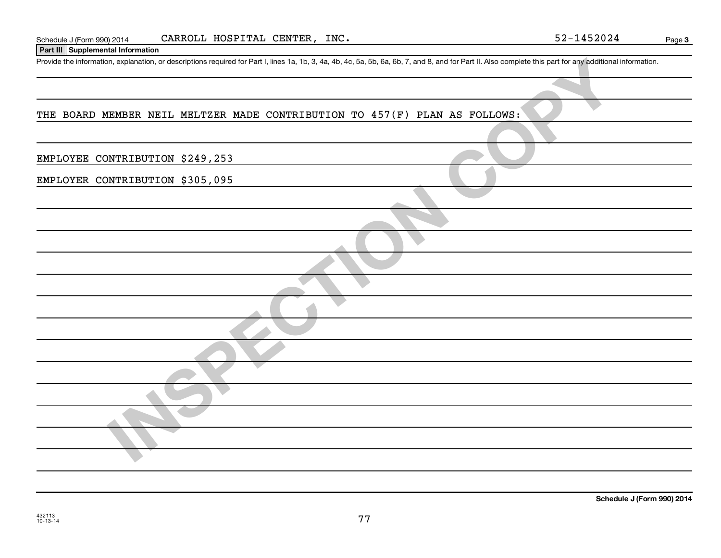| Schedule J (F | 2014 (990 | HOSPITAL<br>CARROLL | INC.<br>CENTER | $\cdot$ $\circ$ $\circ$<br>14 U 45 | Page |
|---------------|-----------|---------------------|----------------|------------------------------------|------|
| $\sim$        |           |                     |                |                                    |      |

## **Part III Supplemental Information**

Provide the information, explanation, or descriptions required for Part I, lines 1a, 1b, 3, 4a, 4b, 4c, 5a, 5b, 6a, 6b, 7, and 8, and for Part II. Also complete this part for any additional information.

## THE BOARD MEMBER NEIL MELTZER MADE CONTRIBUTION TO 457(F) PLAN AS FOLLOWS:

| Provide the information, explanation, or descriptions required for Part I, lines 1a, 1b, 3, 4a, 4b, 4c, 5a, 5b, 6a, 6b, 7, and 8, and for Part II. Also complete this part for any additional information. |
|------------------------------------------------------------------------------------------------------------------------------------------------------------------------------------------------------------|
|                                                                                                                                                                                                            |
| THE BOARD MEMBER NEIL MELTZER MADE CONTRIBUTION TO 457(F) PLAN AS FOLLOWS:                                                                                                                                 |
|                                                                                                                                                                                                            |
| EMPLOYEE CONTRIBUTION \$249,253                                                                                                                                                                            |
| EMPLOYER CONTRIBUTION \$305,095                                                                                                                                                                            |
|                                                                                                                                                                                                            |
|                                                                                                                                                                                                            |
|                                                                                                                                                                                                            |
|                                                                                                                                                                                                            |
|                                                                                                                                                                                                            |
|                                                                                                                                                                                                            |
|                                                                                                                                                                                                            |
|                                                                                                                                                                                                            |
|                                                                                                                                                                                                            |
|                                                                                                                                                                                                            |
|                                                                                                                                                                                                            |
|                                                                                                                                                                                                            |
|                                                                                                                                                                                                            |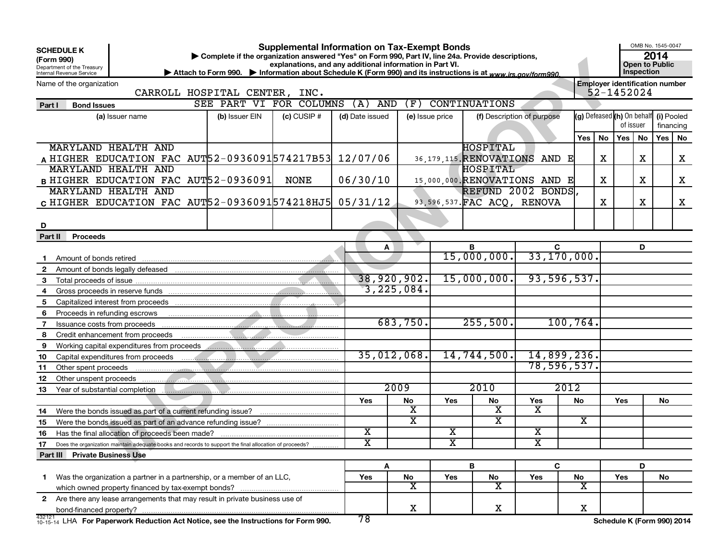| <b>SCHEDULE K</b><br>(Form 990)<br>Department of the Treasury<br>Internal Revenue Service                    | Complete if the organization answered "Yes" on Form 990, Part IV, line 24a, Provide descriptions,<br>▶ Attach to Form 990. ▶ Information about Schedule K (Form 990) and its instructions is at www.irs.gov/form990. | <b>Supplemental Information on Tax-Exempt Bonds</b><br>explanations, and any additional information in Part VI. |                         |             |                         |                                 |                            |       |    |                                                     | Inspection | OMB No. 1545-0047<br>2014<br><b>Open to Public</b> |   |
|--------------------------------------------------------------------------------------------------------------|----------------------------------------------------------------------------------------------------------------------------------------------------------------------------------------------------------------------|-----------------------------------------------------------------------------------------------------------------|-------------------------|-------------|-------------------------|---------------------------------|----------------------------|-------|----|-----------------------------------------------------|------------|----------------------------------------------------|---|
| Name of the organization                                                                                     | CARROLL HOSPITAL CENTER, INC.                                                                                                                                                                                        |                                                                                                                 |                         |             |                         |                                 |                            |       |    | <b>Employer identification number</b><br>52-1452024 |            |                                                    |   |
| Part I<br><b>Bond Issues</b>                                                                                 | SEE PART VI FOR COLUMNS                                                                                                                                                                                              |                                                                                                                 | (A)                     | (F)<br>AND  |                         | <b>CONTINUATIONS</b>            |                            |       |    |                                                     |            |                                                    |   |
| (a) Issuer name                                                                                              | (b) Issuer EIN                                                                                                                                                                                                       | $(c)$ CUSIP $#$                                                                                                 | (d) Date issued         |             | (e) Issue price         |                                 | (f) Description of purpose |       |    | (g) Defeased (h) On behalf (i) Pooled<br>of issuer  |            | financing                                          |   |
|                                                                                                              |                                                                                                                                                                                                                      |                                                                                                                 |                         |             |                         |                                 |                            | Yes l | No | Yes <sub>1</sub>                                    | No         | Yes   No                                           |   |
| MARYLAND HEALTH AND                                                                                          |                                                                                                                                                                                                                      |                                                                                                                 |                         |             |                         | HOSPITAL                        |                            |       |    |                                                     |            |                                                    |   |
| A HIGHER EDUCATION FAC AUT 52-0936091 574217B53 12/07/06                                                     |                                                                                                                                                                                                                      |                                                                                                                 |                         |             |                         | 36, 179, 115. RENOVATIONS AND E |                            |       | х  |                                                     | X          |                                                    | X |
| MARYLAND HEALTH AND                                                                                          |                                                                                                                                                                                                                      |                                                                                                                 |                         |             |                         | HOSPITAL                        |                            |       |    |                                                     |            |                                                    |   |
| B HIGHER EDUCATION FAC AUT52-0936091                                                                         |                                                                                                                                                                                                                      | <b>NONE</b>                                                                                                     | 06/30/10                |             |                         | 15,000,000. RENOVATIONS AND E   |                            |       | х  |                                                     | х          |                                                    | X |
| MARYLAND HEALTH AND                                                                                          |                                                                                                                                                                                                                      |                                                                                                                 |                         |             |                         | REFUND 2002 BONDS.              |                            |       |    |                                                     |            |                                                    |   |
| c HIGHER EDUCATION FAC AUT52-0936091574218HJ5 05/31/12                                                       |                                                                                                                                                                                                                      |                                                                                                                 |                         |             |                         | 93, 596, 537. FAC ACQ, RENOVA   |                            |       | х  |                                                     | X          |                                                    | X |
|                                                                                                              |                                                                                                                                                                                                                      |                                                                                                                 |                         |             |                         |                                 |                            |       |    |                                                     |            |                                                    |   |
| D                                                                                                            |                                                                                                                                                                                                                      |                                                                                                                 |                         |             |                         |                                 |                            |       |    |                                                     |            |                                                    |   |
| Part II<br>Proceeds                                                                                          |                                                                                                                                                                                                                      |                                                                                                                 |                         |             |                         |                                 |                            |       |    |                                                     |            |                                                    |   |
|                                                                                                              |                                                                                                                                                                                                                      |                                                                                                                 |                         | A           |                         | B                               | C                          |       |    |                                                     | D          |                                                    |   |
| Amount of bonds retired                                                                                      |                                                                                                                                                                                                                      |                                                                                                                 |                         |             |                         | 15,000,000.                     | 33, 170, 000.              |       |    |                                                     |            |                                                    |   |
| $\mathbf{2}$<br>Amount of bonds legally defeased                                                             |                                                                                                                                                                                                                      |                                                                                                                 |                         |             |                         |                                 |                            |       |    |                                                     |            |                                                    |   |
| 3                                                                                                            |                                                                                                                                                                                                                      |                                                                                                                 |                         | 38,920,902. |                         | 15,000,000.                     | 93,596,537.                |       |    |                                                     |            |                                                    |   |
| 4                                                                                                            |                                                                                                                                                                                                                      |                                                                                                                 |                         | 3,225,084.  |                         |                                 |                            |       |    |                                                     |            |                                                    |   |
| 5.<br>Capitalized interest from proceeds                                                                     |                                                                                                                                                                                                                      |                                                                                                                 |                         |             |                         |                                 |                            |       |    |                                                     |            |                                                    |   |
| 6<br>Proceeds in refunding escrows                                                                           |                                                                                                                                                                                                                      |                                                                                                                 |                         |             |                         |                                 |                            |       |    |                                                     |            |                                                    |   |
| 7<br>Issuance costs from proceeds                                                                            |                                                                                                                                                                                                                      |                                                                                                                 |                         | 683,750.    |                         | 255,500.                        | 100, 764.                  |       |    |                                                     |            |                                                    |   |
| Credit enhancement from proceeds<br>8                                                                        |                                                                                                                                                                                                                      |                                                                                                                 |                         |             |                         |                                 |                            |       |    |                                                     |            |                                                    |   |
| 9<br>Working capital expenditures from proceeds                                                              | .                                                                                                                                                                                                                    |                                                                                                                 |                         |             |                         |                                 |                            |       |    |                                                     |            |                                                    |   |
| 10<br>Capital expenditures from proceeds                                                                     |                                                                                                                                                                                                                      |                                                                                                                 |                         | 35,012,068. |                         | 14,744,500.                     | 14,899,236.                |       |    |                                                     |            |                                                    |   |
| 11<br>Other spent proceeds                                                                                   |                                                                                                                                                                                                                      |                                                                                                                 |                         |             |                         |                                 | 78,596,537.                |       |    |                                                     |            |                                                    |   |
| 12<br>Other unspent proceeds                                                                                 |                                                                                                                                                                                                                      |                                                                                                                 |                         |             |                         |                                 |                            |       |    |                                                     |            |                                                    |   |
| 13<br>Year of substantial completion                                                                         |                                                                                                                                                                                                                      |                                                                                                                 |                         | 2009        |                         | 2010                            | 2012                       |       |    |                                                     |            |                                                    |   |
|                                                                                                              |                                                                                                                                                                                                                      |                                                                                                                 | Yes                     | No          | Yes                     | No                              | Yes                        | No    |    | Yes                                                 |            | No                                                 |   |
| Were the bonds issued as part of a current refunding issue?<br>14                                            |                                                                                                                                                                                                                      |                                                                                                                 |                         | х           |                         | х                               | x                          |       |    |                                                     |            |                                                    |   |
| Were the bonds issued as part of an advance refunding issue?<br>15                                           |                                                                                                                                                                                                                      |                                                                                                                 |                         | x           |                         | х                               |                            | x     |    |                                                     |            |                                                    |   |
| Has the final allocation of proceeds been made?<br>16                                                        |                                                                                                                                                                                                                      |                                                                                                                 | $\overline{\textbf{X}}$ |             | x                       |                                 | х                          |       |    |                                                     |            |                                                    |   |
| 17<br>Does the organization maintain adequate books and records to support the final allocation of proceeds? |                                                                                                                                                                                                                      |                                                                                                                 | $\overline{\mathtt{x}}$ |             | $\overline{\textbf{x}}$ |                                 | $\overline{\texttt{x}}$    |       |    |                                                     |            |                                                    |   |
| Part III Private Business Use                                                                                |                                                                                                                                                                                                                      |                                                                                                                 |                         |             |                         |                                 |                            |       |    |                                                     |            |                                                    |   |
|                                                                                                              |                                                                                                                                                                                                                      |                                                                                                                 |                         | Α           |                         | B                               | C                          |       |    |                                                     | D          |                                                    |   |
| Was the organization a partner in a partnership, or a member of an LLC,<br>1.                                |                                                                                                                                                                                                                      |                                                                                                                 | Yes                     | No          | Yes                     | No                              | Yes                        | No    |    | Yes                                                 |            | No                                                 |   |
|                                                                                                              |                                                                                                                                                                                                                      |                                                                                                                 |                         | х           |                         | х                               |                            | х     |    |                                                     |            |                                                    |   |
| 2 Are there any lease arrangements that may result in private business use of                                |                                                                                                                                                                                                                      |                                                                                                                 |                         |             |                         |                                 |                            |       |    |                                                     |            |                                                    |   |
|                                                                                                              |                                                                                                                                                                                                                      |                                                                                                                 |                         | x           |                         | X                               |                            | X     |    |                                                     |            |                                                    |   |
| 432121 LHA For Paperwork Reduction Act Notice, see the Instructions for Form 990.                            |                                                                                                                                                                                                                      |                                                                                                                 | 78                      |             |                         |                                 |                            |       |    | Schedule K (Form 990) 2014                          |            |                                                    |   |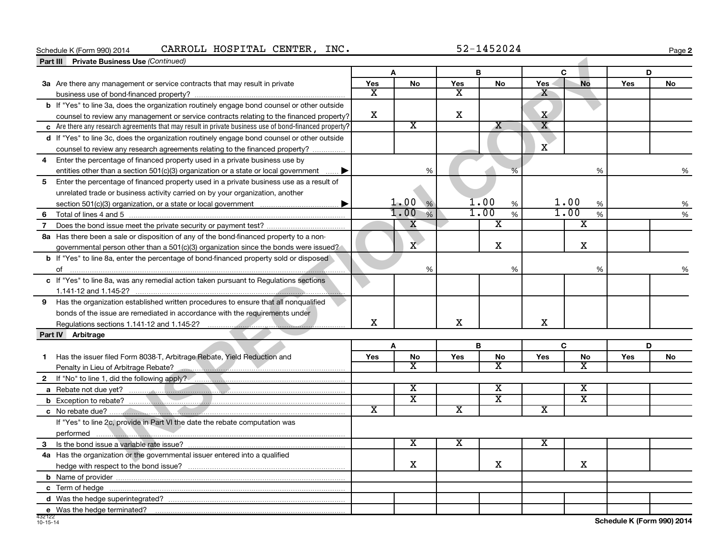#### **<u>Part III</u> Private Business II**<br>**Part III Private Business II** Schedule K (Form 990) 2014 CARROLL HOSPITAL CENTER,INC. 52-1452024 Page

**2**

|    | <b>Private Business Use (Continued)</b><br>Part III                                                                                                   |                         |                         |                         |                         |                         |                         |     |    |
|----|-------------------------------------------------------------------------------------------------------------------------------------------------------|-------------------------|-------------------------|-------------------------|-------------------------|-------------------------|-------------------------|-----|----|
|    |                                                                                                                                                       |                         |                         | B                       |                         |                         | C                       |     | D  |
|    | 3a Are there any management or service contracts that may result in private                                                                           | Yes                     | No                      | Yes                     | <b>No</b>               | <b>Yes</b>              | <b>No</b>               | Yes | No |
|    |                                                                                                                                                       | x                       |                         | x                       |                         | x                       |                         |     |    |
|    | b If "Yes" to line 3a, does the organization routinely engage bond counsel or other outside                                                           |                         |                         |                         |                         |                         |                         |     |    |
|    | counsel to review any management or service contracts relating to the financed property?                                                              | X                       |                         | X                       |                         | $\mathbf x$             |                         |     |    |
|    | c Are there any research agreements that may result in private business use of bond-financed property?                                                |                         | $\overline{\texttt{x}}$ |                         | $\overline{\mathbf{X}}$ | $\overline{\mathbf{X}}$ |                         |     |    |
|    | d If "Yes" to line 3c, does the organization routinely engage bond counsel or other outside                                                           |                         |                         |                         |                         |                         |                         |     |    |
|    | counsel to review any research agreements relating to the financed property?                                                                          |                         |                         |                         |                         | X                       |                         |     |    |
| 4  | Enter the percentage of financed property used in a private business use by                                                                           |                         |                         |                         |                         |                         |                         |     |    |
|    | entities other than a section 501(c)(3) organization or a state or local government $\ldots$ .                                                        |                         | %                       |                         | %                       |                         | %                       |     | %  |
| 5  | Enter the percentage of financed property used in a private business use as a result of                                                               |                         |                         |                         |                         |                         |                         |     |    |
|    | unrelated trade or business activity carried on by your organization, another                                                                         |                         |                         |                         |                         |                         |                         |     |    |
|    |                                                                                                                                                       |                         | 1.00%                   |                         | 1.00<br>%               |                         | 1.00<br>%               |     | %  |
| 6  |                                                                                                                                                       |                         | 1.00<br>$\frac{1}{2}$   |                         | 1.00<br>%               |                         | 1.00<br>%               |     | %  |
| 7  |                                                                                                                                                       |                         | X                       |                         | $\overline{\texttt{x}}$ |                         | $\overline{\texttt{x}}$ |     |    |
|    | 8a Has there been a sale or disposition of any of the bond-financed property to a non-                                                                |                         |                         |                         |                         |                         |                         |     |    |
|    | governmental person other than a 501(c)(3) organization since the bonds were issued?                                                                  |                         | $\mathbf{X}$            |                         | X                       |                         | X                       |     |    |
|    | <b>b</b> If "Yes" to line 8a, enter the percentage of bond-financed property sold or disposed                                                         |                         |                         |                         |                         |                         |                         |     |    |
|    |                                                                                                                                                       |                         | %                       |                         | %                       |                         | %                       |     | %  |
|    | c If "Yes" to line 8a, was any remedial action taken pursuant to Regulations sections                                                                 |                         |                         |                         |                         |                         |                         |     |    |
|    |                                                                                                                                                       |                         |                         |                         |                         |                         |                         |     |    |
|    | 9 Has the organization established written procedures to ensure that all nonqualified                                                                 |                         |                         |                         |                         |                         |                         |     |    |
|    | bonds of the issue are remediated in accordance with the requirements under                                                                           |                         |                         |                         |                         |                         |                         |     |    |
|    | Regulations sections 1.141-12 and 1.145-2?                                                                                                            | $\mathbf X$             |                         | $\mathbf X$             |                         | $\mathbf X$             |                         |     |    |
|    | Part IV Arbitrage                                                                                                                                     |                         |                         |                         |                         |                         |                         |     |    |
|    |                                                                                                                                                       |                         | A                       |                         | B                       |                         | C                       |     | D  |
| 1. | Has the issuer filed Form 8038-T, Arbitrage Rebate, Yield Reduction and                                                                               | Yes                     | No                      | Yes                     | No                      | Yes                     | No                      | Yes | No |
|    | Penalty in Lieu of Arbitrage Rebate?<br>2020 - 2021 - 2022 - 2022 - 2022 - 2022 - 2022 - 2022 - 2023 - 2023 - 2023 - 2023 - 2023 - 2023 - 2023 - 2023 |                         | $\overline{\text{x}}$   |                         | $\overline{\text{x}}$   |                         | $\overline{\text{x}}$   |     |    |
|    |                                                                                                                                                       |                         |                         |                         |                         |                         |                         |     |    |
|    |                                                                                                                                                       |                         | $\overline{\textbf{x}}$ |                         | $\overline{\textbf{X}}$ |                         | $\overline{\textbf{x}}$ |     |    |
|    |                                                                                                                                                       |                         | $\overline{\text{x}}$   |                         | $\overline{\textbf{x}}$ |                         | $\overline{\text{x}}$   |     |    |
|    |                                                                                                                                                       | $\overline{\texttt{x}}$ |                         | $\overline{\textbf{x}}$ |                         | $\overline{\mathtt{x}}$ |                         |     |    |
|    | If "Yes" to line 2c, provide in Part VI the date the rebate computation was                                                                           |                         |                         |                         |                         |                         |                         |     |    |
|    |                                                                                                                                                       |                         |                         |                         |                         |                         |                         |     |    |
| 3  |                                                                                                                                                       |                         | X                       | $\overline{\textbf{X}}$ |                         | x                       |                         |     |    |
|    | 4a Has the organization or the governmental issuer entered into a qualified                                                                           |                         |                         |                         |                         |                         |                         |     |    |
|    |                                                                                                                                                       |                         | X                       |                         | X                       |                         | X                       |     |    |
|    |                                                                                                                                                       |                         |                         |                         |                         |                         |                         |     |    |
|    |                                                                                                                                                       |                         |                         |                         |                         |                         |                         |     |    |
|    |                                                                                                                                                       |                         |                         |                         |                         |                         |                         |     |    |
|    | e Was the hedge terminated?                                                                                                                           |                         |                         |                         |                         |                         |                         |     |    |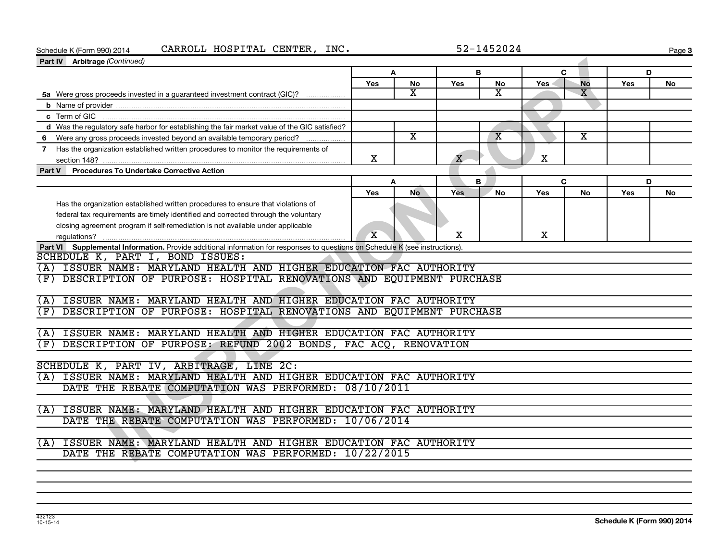# Schedule K (Form 990) 2014 CARROLL HOSPITAL CENTER,INC. 52-1452024 Page

**Page 3** 

| Part IV Arbitrage (Continued)                                                                                                 |                         |                         |              |                         |            |                         |            |    |
|-------------------------------------------------------------------------------------------------------------------------------|-------------------------|-------------------------|--------------|-------------------------|------------|-------------------------|------------|----|
|                                                                                                                               | A                       |                         | B            |                         | C          |                         | D          |    |
|                                                                                                                               | Yes                     | No                      | Yes          | No                      | <b>Yes</b> | <b>No</b>               | Yes        | No |
| 5a Were gross proceeds invested in a guaranteed investment contract (GIC)?                                                    |                         | X                       |              | x                       |            | x                       |            |    |
|                                                                                                                               |                         |                         |              |                         |            |                         |            |    |
|                                                                                                                               |                         |                         |              |                         |            |                         |            |    |
| d Was the regulatory safe harbor for establishing the fair market value of the GIC satisfied?                                 |                         |                         |              |                         |            |                         |            |    |
| 6 Were any gross proceeds invested beyond an available temporary period?                                                      |                         | $\overline{\mathbf{x}}$ |              | $\overline{\mathbf{X}}$ |            | $\overline{\textbf{x}}$ |            |    |
| Has the organization established written procedures to monitor the requirements of<br>$\mathbf{7}$                            |                         |                         |              |                         |            |                         |            |    |
|                                                                                                                               | X                       |                         | $\mathbf{X}$ |                         | X          |                         |            |    |
| Part V Procedures To Undertake Corrective Action                                                                              |                         |                         |              |                         |            |                         |            |    |
|                                                                                                                               | A                       |                         |              | B.                      | C          |                         | D          |    |
|                                                                                                                               | Yes                     | No                      | <b>Yes</b>   | No                      | Yes        | No                      | <b>Yes</b> | No |
| Has the organization established written procedures to ensure that violations of                                              |                         |                         |              |                         |            |                         |            |    |
| federal tax requirements are timely identified and corrected through the voluntary                                            |                         |                         |              |                         |            |                         |            |    |
| closing agreement program if self-remediation is not available under applicable                                               |                         |                         |              |                         |            |                         |            |    |
|                                                                                                                               | $\overline{\mathbf{X}}$ |                         | X            |                         | X          |                         |            |    |
| Part VI Supplemental Information. Provide additional information for responses to questions on Schedule K (see instructions). |                         |                         |              |                         |            |                         |            |    |
| SCHEDULE K, PART I, BOND ISSUES:                                                                                              |                         |                         |              |                         |            |                         |            |    |
| (A) ISSUER NAME: MARYLAND HEALTH AND HIGHER EDUCATION FAC AUTHORITY                                                           |                         |                         |              |                         |            |                         |            |    |
| DESCRIPTION OF PURPOSE: HOSPITAL RENOVATIONS AND EQUIPMENT PURCHASE<br>(F)                                                    |                         |                         |              |                         |            |                         |            |    |
|                                                                                                                               |                         |                         |              |                         |            |                         |            |    |
| (A) ISSUER NAME: MARYLAND HEALTH AND HIGHER EDUCATION FAC AUTHORITY                                                           |                         |                         |              |                         |            |                         |            |    |
| DESCRIPTION OF PURPOSE: HOSPITAL RENOVATIONS AND EQUIPMENT PURCHASE<br>(F)                                                    |                         |                         |              |                         |            |                         |            |    |
|                                                                                                                               |                         |                         |              |                         |            |                         |            |    |
| (A) ISSUER NAME: MARYLAND HEALTH AND HIGHER EDUCATION FAC AUTHORITY                                                           |                         |                         |              |                         |            |                         |            |    |
| DESCRIPTION OF PURPOSE: REFUND 2002 BONDS, FAC ACQ, RENOVATION<br>(F)                                                         |                         |                         |              |                         |            |                         |            |    |
|                                                                                                                               |                         |                         |              |                         |            |                         |            |    |
| SCHEDULE K, PART IV, ARBITRAGE, LINE 2C:                                                                                      |                         |                         |              |                         |            |                         |            |    |
| (A) ISSUER NAME: MARYLAND HEALTH AND HIGHER EDUCATION FAC AUTHORITY                                                           |                         |                         |              |                         |            |                         |            |    |
| DATE THE REBATE COMPUTATION WAS PERFORMED: 08/10/2011                                                                         |                         |                         |              |                         |            |                         |            |    |
|                                                                                                                               |                         |                         |              |                         |            |                         |            |    |
| (A) ISSUER NAME: MARYLAND HEALTH AND HIGHER EDUCATION FAC AUTHORITY                                                           |                         |                         |              |                         |            |                         |            |    |
| DATE THE REBATE COMPUTATION WAS PERFORMED: 10/06/2014                                                                         |                         |                         |              |                         |            |                         |            |    |
|                                                                                                                               |                         |                         |              |                         |            |                         |            |    |
| ISSUER NAME: MARYLAND HEALTH AND HIGHER EDUCATION FAC AUTHORITY<br>(A)                                                        |                         |                         |              |                         |            |                         |            |    |
| DATE THE REBATE COMPUTATION WAS PERFORMED: 10/22/2015                                                                         |                         |                         |              |                         |            |                         |            |    |
|                                                                                                                               |                         |                         |              |                         |            |                         |            |    |
|                                                                                                                               |                         |                         |              |                         |            |                         |            |    |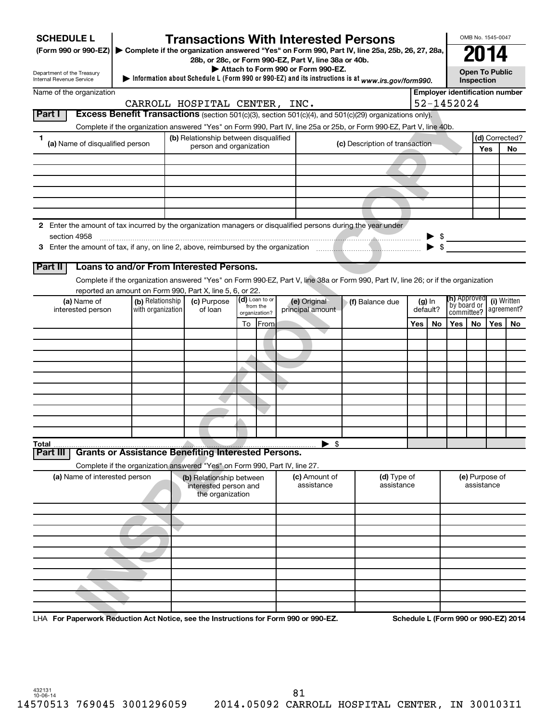| <b>SCHEDULE L</b>                                                                                             |                   | <b>Transactions With Interested Persons</b>                                                                                        |                              |               |                                    |  |                                |     |                      |                                       | OMB No. 1545-0047                          |       |                                      |
|---------------------------------------------------------------------------------------------------------------|-------------------|------------------------------------------------------------------------------------------------------------------------------------|------------------------------|---------------|------------------------------------|--|--------------------------------|-----|----------------------|---------------------------------------|--------------------------------------------|-------|--------------------------------------|
| (Form 990 or 990-EZ)                                                                                          |                   | Complete if the organization answered "Yes" on Form 990, Part IV, line 25a, 25b, 26, 27, 28a,                                      |                              |               |                                    |  |                                |     |                      |                                       |                                            |       |                                      |
|                                                                                                               |                   | 28b, or 28c, or Form 990-EZ, Part V, line 38a or 40b.                                                                              |                              |               | Attach to Form 990 or Form 990-EZ. |  |                                |     |                      |                                       |                                            |       |                                      |
| Department of the Treasury<br>Internal Revenue Service                                                        |                   | Information about Schedule L (Form 990 or 990-EZ) and its instructions is at www.irs.gov/form990.                                  |                              |               |                                    |  |                                |     |                      |                                       | <b>Open To Public</b><br><b>Inspection</b> |       |                                      |
| Name of the organization                                                                                      |                   |                                                                                                                                    |                              |               |                                    |  |                                |     |                      | <b>Employer identification number</b> |                                            |       |                                      |
|                                                                                                               |                   | CARROLL HOSPITAL CENTER, INC.                                                                                                      |                              |               |                                    |  |                                |     |                      | 52-1452024                            |                                            |       |                                      |
| Part I                                                                                                        |                   | Excess Benefit Transactions (section 501(c)(3), section 501(c)(4), and 501(c)(29) organizations only).                             |                              |               |                                    |  |                                |     |                      |                                       |                                            |       |                                      |
|                                                                                                               |                   | Complete if the organization answered "Yes" on Form 990, Part IV, line 25a or 25b, or Form 990-EZ, Part V, line 40b.               |                              |               |                                    |  |                                |     |                      |                                       |                                            |       |                                      |
| 1.<br>(a) Name of disqualified person                                                                         |                   | (b) Relationship between disqualified<br>person and organization                                                                   |                              |               |                                    |  | (c) Description of transaction |     |                      |                                       |                                            |       | (d) Corrected?                       |
|                                                                                                               |                   |                                                                                                                                    |                              |               |                                    |  |                                |     |                      |                                       |                                            | Yes   | No                                   |
|                                                                                                               |                   |                                                                                                                                    |                              |               |                                    |  |                                |     |                      |                                       |                                            |       |                                      |
|                                                                                                               |                   |                                                                                                                                    |                              |               |                                    |  |                                |     |                      |                                       |                                            |       |                                      |
|                                                                                                               |                   |                                                                                                                                    |                              |               |                                    |  |                                |     |                      |                                       |                                            |       |                                      |
|                                                                                                               |                   |                                                                                                                                    |                              |               |                                    |  |                                |     |                      |                                       |                                            |       |                                      |
|                                                                                                               |                   |                                                                                                                                    |                              |               |                                    |  |                                |     |                      |                                       |                                            |       |                                      |
| 2 Enter the amount of tax incurred by the organization managers or disqualified persons during the year under |                   |                                                                                                                                    |                              |               |                                    |  |                                |     |                      |                                       |                                            |       |                                      |
| section 4958                                                                                                  |                   |                                                                                                                                    |                              |               |                                    |  |                                |     |                      |                                       |                                            |       |                                      |
|                                                                                                               |                   |                                                                                                                                    |                              |               |                                    |  |                                |     |                      |                                       |                                            |       |                                      |
| Part II                                                                                                       |                   | Loans to and/or From Interested Persons.                                                                                           |                              |               |                                    |  |                                |     |                      |                                       |                                            |       |                                      |
|                                                                                                               |                   | Complete if the organization answered "Yes" on Form 990-EZ, Part V, line 38a or Form 990, Part IV, line 26; or if the organization |                              |               |                                    |  |                                |     |                      |                                       |                                            |       |                                      |
|                                                                                                               |                   | reported an amount on Form 990, Part X, line 5, 6, or 22.                                                                          |                              |               |                                    |  |                                |     |                      |                                       |                                            |       |                                      |
| (a) Name of                                                                                                   | (b) Relationship  | (c) Purpose                                                                                                                        | $(d)$ Loan to or<br>from the |               | (e) Original                       |  | √(f) Balance due               |     | $(g)$ In<br>default? |                                       | <b>(h)</b> Approved<br>`by board or        |       | (i) Written<br>agreement?            |
| interested person                                                                                             | with organization | of loan                                                                                                                            |                              | organization? | principal amount                   |  |                                |     |                      | committee?                            |                                            |       |                                      |
|                                                                                                               |                   |                                                                                                                                    | To                           | From          |                                    |  |                                | Yes | <b>No</b>            | Yes l                                 | No.                                        | Yes I | No                                   |
|                                                                                                               |                   |                                                                                                                                    |                              |               |                                    |  |                                |     |                      |                                       |                                            |       |                                      |
|                                                                                                               |                   |                                                                                                                                    |                              |               |                                    |  |                                |     |                      |                                       |                                            |       |                                      |
|                                                                                                               |                   |                                                                                                                                    |                              |               |                                    |  |                                |     |                      |                                       |                                            |       |                                      |
|                                                                                                               |                   |                                                                                                                                    |                              |               |                                    |  |                                |     |                      |                                       |                                            |       |                                      |
|                                                                                                               |                   |                                                                                                                                    |                              |               |                                    |  |                                |     |                      |                                       |                                            |       |                                      |
|                                                                                                               |                   |                                                                                                                                    |                              |               |                                    |  |                                |     |                      |                                       |                                            |       |                                      |
|                                                                                                               |                   |                                                                                                                                    |                              |               |                                    |  |                                |     |                      |                                       |                                            |       |                                      |
|                                                                                                               |                   |                                                                                                                                    |                              |               |                                    |  |                                |     |                      |                                       |                                            |       |                                      |
| Total                                                                                                         |                   |                                                                                                                                    |                              |               | $\blacktriangleright$ \$           |  |                                |     |                      |                                       |                                            |       |                                      |
| Part III                                                                                                      |                   | <b>Grants or Assistance Benefiting Interested Persons.</b>                                                                         |                              |               |                                    |  |                                |     |                      |                                       |                                            |       |                                      |
|                                                                                                               |                   | Complete if the organization answered "Yes" on Form 990, Part IV, line 27.                                                         |                              |               |                                    |  |                                |     |                      |                                       |                                            |       |                                      |
| (a) Name of interested person                                                                                 |                   | (b) Relationship between                                                                                                           |                              |               | (c) Amount of                      |  | (d) Type of                    |     |                      |                                       | (e) Purpose of                             |       |                                      |
|                                                                                                               |                   | interested person and                                                                                                              |                              |               | assistance                         |  | assistance                     |     |                      |                                       | assistance                                 |       |                                      |
|                                                                                                               |                   | the organization                                                                                                                   |                              |               |                                    |  |                                |     |                      |                                       |                                            |       |                                      |
|                                                                                                               |                   |                                                                                                                                    |                              |               |                                    |  |                                |     |                      |                                       |                                            |       |                                      |
|                                                                                                               |                   |                                                                                                                                    |                              |               |                                    |  |                                |     |                      |                                       |                                            |       |                                      |
|                                                                                                               |                   |                                                                                                                                    |                              |               |                                    |  |                                |     |                      |                                       |                                            |       |                                      |
|                                                                                                               |                   |                                                                                                                                    |                              |               |                                    |  |                                |     |                      |                                       |                                            |       |                                      |
|                                                                                                               |                   |                                                                                                                                    |                              |               |                                    |  |                                |     |                      |                                       |                                            |       |                                      |
|                                                                                                               |                   |                                                                                                                                    |                              |               |                                    |  |                                |     |                      |                                       |                                            |       |                                      |
|                                                                                                               |                   |                                                                                                                                    |                              |               |                                    |  |                                |     |                      |                                       |                                            |       |                                      |
|                                                                                                               |                   |                                                                                                                                    |                              |               |                                    |  |                                |     |                      |                                       |                                            |       |                                      |
|                                                                                                               |                   |                                                                                                                                    |                              |               |                                    |  |                                |     |                      |                                       |                                            |       |                                      |
| LHA For Paperwork Reduction Act Notice, see the Instructions for Form 990 or 990-EZ.                          |                   |                                                                                                                                    |                              |               |                                    |  |                                |     |                      |                                       |                                            |       | Schedule L (Form 990 or 990-EZ) 2014 |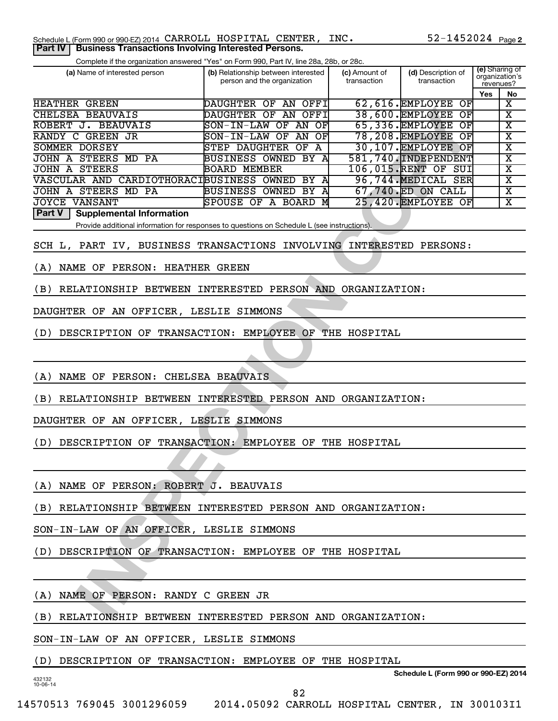Complete if the organization answered "Yes" on Form 990, Part IV, line 28a, 28b, or 28c.

| (a) Name of interested person                                                               | (b) Relationship between interested<br>person and the organization | (c) Amount of<br>transaction | (d) Description of<br>transaction          | (e) Sharing of<br>organization's<br>revenues? |                             |
|---------------------------------------------------------------------------------------------|--------------------------------------------------------------------|------------------------------|--------------------------------------------|-----------------------------------------------|-----------------------------|
|                                                                                             |                                                                    |                              |                                            | Yes                                           | No                          |
| <b>HEATHER GREEN</b>                                                                        | DAUGHTER OF AN OFFI                                                |                              | 62,616. EMPLOYEE OF                        |                                               | $\overline{\mathbf{X}}$     |
| <b>CHELSEA BEAUVAIS</b>                                                                     | DAUGHTER OF AN OFFI                                                |                              | 38,600. EMPLOYEE<br>$\overline{\text{OF}}$ |                                               | $\overline{\textbf{x}}$     |
| ROBERT J. BEAUVAIS                                                                          | SON-IN-LAW OF AN<br>OF                                             |                              | 65,336. EMPLOYEE<br>QF                     |                                               | $\overline{\text{X}}$       |
| RANDY C GREEN JR                                                                            | SON-IN-LAW OF<br>OF<br>AN                                          |                              | 78, 208. EMPLOYEE<br>QF                    |                                               | $\overline{\textbf{x}}$     |
| SOMMER DORSEY                                                                               | <b>STEP DAUGHTER</b><br>$\overline{A}$<br>OF                       |                              | 30,107. EMPLOYEE OF                        |                                               | $\overline{\textnormal{x}}$ |
| JOHN A STEERS MD PA                                                                         | BUSINESS OWNED BY A                                                |                              | 581,740. INDEPENDENT                       |                                               | $\overline{\textbf{x}}$     |
| <b>JOHN A STEERS</b>                                                                        | <b>BOARD MEMBER</b>                                                |                              | 106,015.RENT OF SUI                        |                                               | $\overline{\text{x}}$       |
| VASCULAR AND CARDIOTHORACIBUSINESS OWNED BY A                                               |                                                                    |                              | 96,744.MEDICAL SER                         |                                               | $\overline{\textbf{x}}$     |
| <b>JOHN A STEERS MD PA</b>                                                                  | <b>BUSINESS OWNED BY A</b>                                         |                              | 67,740.ED ON CALL                          |                                               | $\overline{\text{x}}$       |
| <b>JOYCE VANSANT</b>                                                                        | SPOUSE OF A BOARD M                                                |                              | 25,420. EMPLOYEE OF                        |                                               | $\overline{\textbf{x}}$     |
| Part V  <br><b>Supplemental Information</b>                                                 |                                                                    |                              |                                            |                                               |                             |
| Provide additional information for responses to questions on Schedule L (see instructions). |                                                                    |                              |                                            |                                               |                             |
| SCH L, PART IV, BUSINESS TRANSACTIONS INVOLVING INTERESTED PERSONS:                         |                                                                    |                              |                                            |                                               |                             |
| NAME OF PERSON: HEATHER GREEN<br>(A)                                                        |                                                                    |                              |                                            |                                               |                             |
| RELATIONSHIP BETWEEN INTERESTED PERSON AND ORGANIZATION:<br>(B)                             |                                                                    |                              |                                            |                                               |                             |
| DAUGHTER OF AN OFFICER, LESLIE SIMMONS                                                      |                                                                    |                              |                                            |                                               |                             |
| DESCRIPTION OF TRANSACTION: EMPLOYEE OF THE HOSPITAL<br>(D)                                 |                                                                    |                              |                                            |                                               |                             |
|                                                                                             |                                                                    |                              |                                            |                                               |                             |
| NAME OF PERSON: CHELSEA BEAUVAIS<br>(A)                                                     |                                                                    |                              |                                            |                                               |                             |
| RELATIONSHIP BETWEEN INTERESTED PERSON AND ORGANIZATION:<br>(B)                             |                                                                    |                              |                                            |                                               |                             |
| DAUGHTER OF AN OFFICER, LESLIE SIMMONS                                                      |                                                                    |                              |                                            |                                               |                             |
| DESCRIPTION OF TRANSACTION: EMPLOYEE OF THE HOSPITAL<br>(D)                                 |                                                                    |                              |                                            |                                               |                             |
|                                                                                             |                                                                    |                              |                                            |                                               |                             |
| (A) NAME OF PERSON: ROBERT J. BEAUVAIS                                                      |                                                                    |                              |                                            |                                               |                             |
| (B) RELATIONSHIP BETWEEN INTERESTED PERSON AND ORGANIZATION:                                |                                                                    |                              |                                            |                                               |                             |
| SON-IN-LAW OF AN OFFICER, LESLIE SIMMONS                                                    |                                                                    |                              |                                            |                                               |                             |
| (D) DESCRIPTION OF TRANSACTION: EMPLOYEE OF THE HOSPITAL                                    |                                                                    |                              |                                            |                                               |                             |
|                                                                                             |                                                                    |                              |                                            |                                               |                             |
| (A) NAME OF PERSON: RANDY C GREEN JR                                                        |                                                                    |                              |                                            |                                               |                             |
| (B) RELATIONSHIP BETWEEN INTERESTED PERSON AND ORGANIZATION:                                |                                                                    |                              |                                            |                                               |                             |

(B) RELATIONSHIP BETWEEN INTERESTED PERSON AND ORGANIZATION:

SON-IN-LAW OF AN OFFICER, LESLIE SIMMONS

(D) DESCRIPTION OF TRANSACTION: EMPLOYEE OF THE HOSPITAL

432132 10-06-14

**Schedule L (Form 990 or 990-EZ) 2014**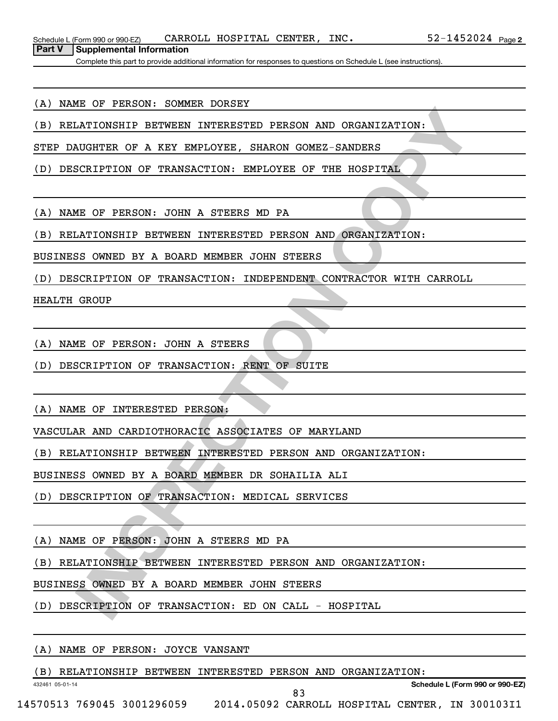**Part V Supplemental Information**

Complete this part to provide additional information for responses to questions on Schedule L (see instructions).

### (A) NAME OF PERSON: SOMMER DORSEY

(B) RELATIONSHIP BETWEEN INTERESTED PERSON AND ORGANIZATION:

STEP DAUGHTER OF A KEY EMPLOYEE, SHARON GOMEZ-SANDERS

(D) DESCRIPTION OF TRANSACTION: EMPLOYEE OF THE HOSPITAL

(A) NAME OF PERSON: JOHN A STEERS MD PA

(B) RELATIONSHIP BETWEEN INTERESTED PERSON AND ORGANIZATION:

BUSINESS OWNED BY A BOARD MEMBER JOHN STEERS

**INTERNATION INTERESTED PERSON AND ORGANIZATION:**<br>
INTERNATIONS OF A KEY EMPLOYEE, SHARON GOMEZ-SAMDERS<br>
SCRIPTION OF TRANSACTION: EMPLOYEE OF THE HOSPITAL<br>
INTERNATION COPY TRANSACTION: EMPLOYEE OF THE HOSPITAL<br>
IS ON THE (D) DESCRIPTION OF TRANSACTION: INDEPENDENT CONTRACTOR WITH CARROLL

HEALTH GROUP

(A) NAME OF PERSON: JOHN A STEERS

(D) DESCRIPTION OF TRANSACTION: RENT OF SUITE

(A) NAME OF INTERESTED PERSON:

VASCULAR AND CARDIOTHORACIC ASSOCIATES OF MARYLAND

(B) RELATIONSHIP BETWEEN INTERESTED PERSON AND ORGANIZATION:

BUSINESS OWNED BY A BOARD MEMBER DR SOHAILIA ALI

(D) DESCRIPTION OF TRANSACTION: MEDICAL SERVICES

(A) NAME OF PERSON: JOHN A STEERS MD PA

(B) RELATIONSHIP BETWEEN INTERESTED PERSON AND ORGANIZATION:

BUSINESS OWNED BY A BOARD MEMBER JOHN STEERS

(D) DESCRIPTION OF TRANSACTION: ED ON CALL - HOSPITAL

### (A) NAME OF PERSON: JOYCE VANSANT

432461 05-01-14

(B) RELATIONSHIP BETWEEN INTERESTED PERSON AND ORGANIZATION:

**Schedule L (Form 990 or 990-EZ)**

14570513 769045 3001296059 2014.05092 CARROLL HOSPITAL CENTER, IN 300103I1

83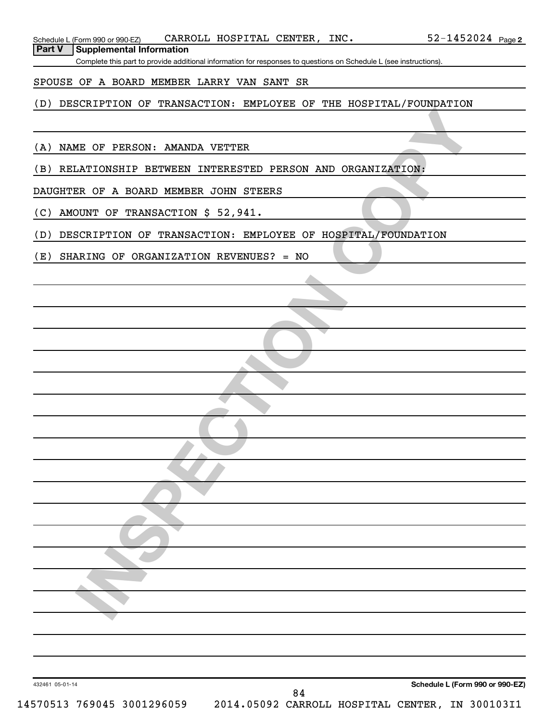Complete this part to provide additional information for responses to questions on Schedule L (see instructions).

## SPOUSE OF A BOARD MEMBER LARRY VAN SANT SR

## (D) DESCRIPTION OF TRANSACTION: EMPLOYEE OF THE HOSPITAL/FOUNDATION

(A) NAME OF PERSON: AMANDA VETTER

(B) RELATIONSHIP BETWEEN INTERESTED PERSON AND ORGANIZATION:

DAUGHTER OF A BOARD MEMBER JOHN STEERS

(C) AMOUNT OF TRANSACTION \$ 52,941.

**INSPECTIONS AN EXAMPLE INTERESTED PERSON AND ORGANIZATIONS:**<br>
INTONSHIP BETWEEN INTERESTED PERSON AND ORGANIZATION:<br>
INTON OF TRANSACTION \$ 52,941.<br>
SCRIPTION OF TRANSACTION: EMPLOYEE OF HOSPITAL/FOUNDATION<br>
ARING OF ORGA (D) DESCRIPTION OF TRANSACTION: EMPLOYEE OF HOSPITAL/FOUNDATION

(E) SHARING OF ORGANIZATION REVENUES? = NO

432461 05-01-14

$$
30010311
$$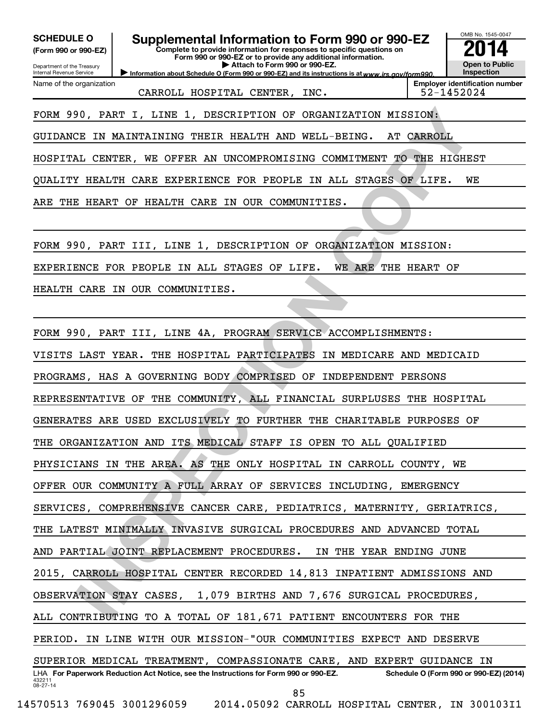30, PART I, LINE 1, DESCRIPTION OF ORGANIZATION MISSION:<br>THE MAINTAINING THEIR HEALTH AND WELL-BEING. AT CARNOLL<br>LICENTER, WE OFFIR AN UNCOMPROMISING COMMITMENT TO THE HIGHEST<br>FRAME COPY TRALIT CARE IN OUR COMMUNITIES.<br>THA OMB No. 1545-0047 Department of the Treasury Internal Revenue Service 432211 08-27-14 Information about Schedule O (Form 990 or 990-EZ) and its instructions is at www.irs.gov/form990. **Complete to provide information for responses to specific questions on Form 990 or 990-EZ or to provide any additional information. | Attach to Form 990 or 990-EZ. (Form 990 or 990-EZ) Open to Public Inspection Employer identification number** LHA For Paperwork Reduction Act Notice, see the Instructions for Form 990 or 990-EZ. Schedule O (Form 990 or 990-EZ) (2014) Name of the organization SCHEDULE O **Supplemental Information to Form 990 or 990-EZ 2014** CARROLL HOSPITAL CENTER, INC. 52-1452024 FORM 990, PART I, LINE 1, DESCRIPTION OF ORGANIZATION MISSION: GUIDANCE IN MAINTAINING THEIR HEALTH AND WELL-BEING. AT CARROLL HOSPITAL CENTER, WE OFFER AN UNCOMPROMISING COMMITMENT TO THE HIGHEST QUALITY HEALTH CARE EXPERIENCE FOR PEOPLE IN ALL STAGES OF LIFE. WE ARE THE HEART OF HEALTH CARE IN OUR COMMUNITIES. FORM 990, PART III, LINE 1, DESCRIPTION OF ORGANIZATION MISSION: EXPERIENCE FOR PEOPLE IN ALL STAGES OF LIFE. WE ARE THE HEART OF HEALTH CARE IN OUR COMMUNITIES. FORM 990, PART III, LINE 4A, PROGRAM SERVICE ACCOMPLISHMENTS: VISITS LAST YEAR. THE HOSPITAL PARTICIPATES IN MEDICARE AND MEDICAID PROGRAMS, HAS A GOVERNING BODY COMPRISED OF INDEPENDENT PERSONS REPRESENTATIVE OF THE COMMUNITY, ALL FINANCIAL SURPLUSES THE HOSPITAL GENERATES ARE USED EXCLUSIVELY TO FURTHER THE CHARITABLE PURPOSES OF THE ORGANIZATION AND ITS MEDICAL STAFF IS OPEN TO ALL QUALIFIED PHYSICIANS IN THE AREA. AS THE ONLY HOSPITAL IN CARROLL COUNTY, WE OFFER OUR COMMUNITY A FULL ARRAY OF SERVICES INCLUDING, EMERGENCY SERVICES, COMPREHENSIVE CANCER CARE, PEDIATRICS, MATERNITY, GERIATRICS, THE LATEST MINIMALLY INVASIVE SURGICAL PROCEDURES AND ADVANCED TOTAL AND PARTIAL JOINT REPLACEMENT PROCEDURES. IN THE YEAR ENDING JUNE 2015, CARROLL HOSPITAL CENTER RECORDED 14,813 INPATIENT ADMISSIONS AND OBSERVATION STAY CASES, 1,079 BIRTHS AND 7,676 SURGICAL PROCEDURES, ALL CONTRIBUTING TO A TOTAL OF 181,671 PATIENT ENCOUNTERS FOR THE PERIOD. IN LINE WITH OUR MISSION-"OUR COMMUNITIES EXPECT AND DESERVE SUPERIOR MEDICAL TREATMENT, COMPASSIONATE CARE, AND EXPERT GUIDANCE IN 85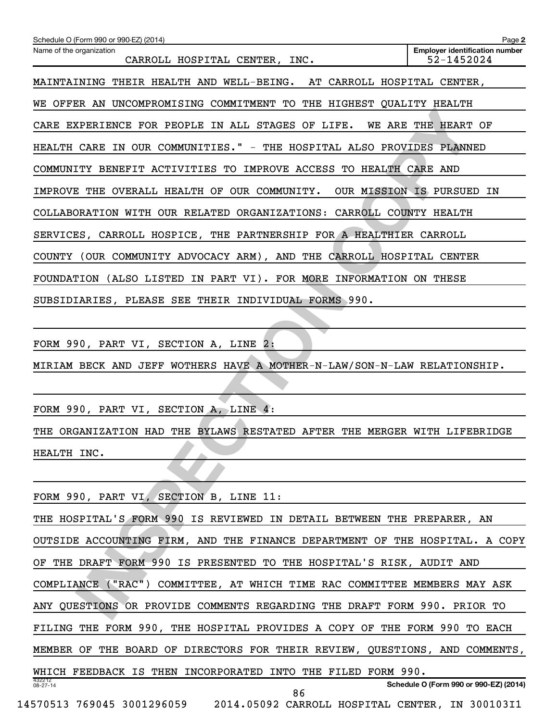| Schedule O (Form 990 or 990-EZ) (2014)                                      | Page 2                                              |
|-----------------------------------------------------------------------------|-----------------------------------------------------|
| Name of the organization<br>CARROLL HOSPITAL CENTER, INC.                   | <b>Employer identification number</b><br>52-1452024 |
| MAINTAINING THEIR HEALTH AND WELL-BEING. AT CARROLL HOSPITAL CENTER,        |                                                     |
| WE OFFER AN UNCOMPROMISING COMMITMENT TO THE HIGHEST QUALITY HEALTH         |                                                     |
| CARE EXPERIENCE FOR PEOPLE IN ALL STAGES OF LIFE. WE ARE THE HEART OF       |                                                     |
| HEALTH CARE IN OUR COMMUNITIES." - THE HOSPITAL ALSO PROVIDES PLANNED       |                                                     |
| COMMUNITY BENEFIT ACTIVITIES TO IMPROVE ACCESS TO HEALTH CARE AND           |                                                     |
| IMPROVE THE OVERALL HEALTH OF OUR COMMUNITY. OUR MISSION IS PURSUED IN      |                                                     |
| COLLABORATION WITH OUR RELATED ORGANIZATIONS: CARROLL COUNTY HEALTH         |                                                     |
| SERVICES, CARROLL HOSPICE, THE PARTNERSHIP FOR A HEALTHIER CARROLL          |                                                     |
| COUNTY (OUR COMMUNITY ADVOCACY ARM), AND THE CARROLL HOSPITAL CENTER        |                                                     |
| FOUNDATION (ALSO LISTED IN PART VI). FOR MORE INFORMATION ON THESE          |                                                     |
| SUBSIDIARIES, PLEASE SEE THEIR INDIVIDUAL FORMS 990.                        |                                                     |
|                                                                             |                                                     |
| FORM 990, PART VI, SECTION A, LINE 2:                                       |                                                     |
| MIRIAM BECK AND JEFF WOTHERS HAVE A MOTHER-N-LAW/SON-N-LAW RELATIONSHIP.    |                                                     |
|                                                                             |                                                     |
| FORM 990, PART VI, SECTION A, LINE 4:                                       |                                                     |
| THE ORGANIZATION HAD THE BYLAWS RESTATED AFTER THE MERGER WITH LIFEBRIDGE   |                                                     |
| HEALTH INC.                                                                 |                                                     |
|                                                                             |                                                     |
| FORM 990, PART VI, SECTION B, LINE 11:                                      |                                                     |
| THE HOSPITAL'S FORM 990 IS REVIEWED IN DETAIL BETWEEN THE PREPARER, AN      |                                                     |
| OUTSIDE ACCOUNTING FIRM, AND THE FINANCE DEPARTMENT OF THE HOSPITAL. A COPY |                                                     |
| OF THE DRAFT FORM 990 IS PRESENTED TO THE HOSPITAL'S RISK, AUDIT AND        |                                                     |
| COMPLIANCE ("RAC") COMMITTEE, AT WHICH TIME RAC COMMITTEE MEMBERS MAY ASK   |                                                     |
| ANY QUESTIONS OR PROVIDE COMMENTS REGARDING THE DRAFT FORM 990. PRIOR TO    |                                                     |

432212 08-27-14 **Schedule O (Form 990 or 990-EZ) (2014)** THE HOSPITAL'S FORM 990 IS REVIEWED IN DETAIL BETWEEN THE PREPARER, AN OUTSIDE ACCOUNTING FIRM, AND THE FINANCE DEPARTMENT OF THE HOSPITAL. A COPY OF THE DRAFT FORM 990 IS PRESENTED TO THE HOSPITAL'S RISK, AUDIT AND COMPLIANCE ("RAC") COMMITTEE, AT WHICH TIME RAC COMMITTEE MEMBERS MAY ASK ANY QUESTIONS OR PROVIDE COMMENTS REGARDING THE DRAFT FORM 990. PRIOR TO FILING THE FORM 990, THE HOSPITAL PROVIDES A COPY OF THE FORM 990 TO EACH MEMBER OF THE BOARD OF DIRECTORS FOR THEIR REVIEW, QUESTIONS, AND COMMENTS, WHICH FEEDBACK IS THEN INCORPORATED INTO THE FILED FORM 990. 14570513 769045 3001296059 2014.05092 CARROLL HOSPITAL CENTER, IN 300103I1 86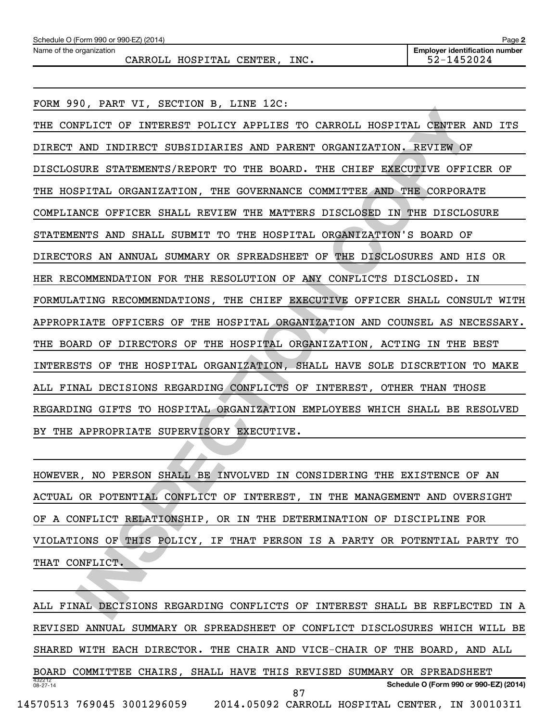| Schedule O (Form 990 or 990-EZ) (2014) | Page $\square$                        |
|----------------------------------------|---------------------------------------|
| Name of the organization               | <b>Emplover identification number</b> |
| INC.<br>CARROLL HOSPITAL CENTER,       | 52-1452024                            |

**INCORPENDION CONTENDING CONFIDENTIAL CENTER AND INDIRECT OF INFERENT POLICY APPLIES TO CARROLL HOSPITAL CENTER AND TAD INDIRECT SUSSIDIARIES AND PARENT ORGANIZATION, REVIEW OF AND INDIRECT SUSSIDIARIES AND PARENT ORGANIZA** FORM 990, PART VI, SECTION B, LINE 12C: THE CONFLICT OF INTEREST POLICY APPLIES TO CARROLL HOSPITAL CENTER AND ITS DIRECT AND INDIRECT SUBSIDIARIES AND PARENT ORGANIZATION. REVIEW OF DISCLOSURE STATEMENTS/REPORT TO THE BOARD. THE CHIEF EXECUTIVE OFFICER OF THE HOSPITAL ORGANIZATION, THE GOVERNANCE COMMITTEE AND THE CORPORATE COMPLIANCE OFFICER SHALL REVIEW THE MATTERS DISCLOSED IN THE DISCLOSURE STATEMENTS AND SHALL SUBMIT TO THE HOSPITAL ORGANIZATION'S BOARD OF DIRECTORS AN ANNUAL SUMMARY OR SPREADSHEET OF THE DISCLOSURES AND HIS OR HER RECOMMENDATION FOR THE RESOLUTION OF ANY CONFLICTS DISCLOSED. IN FORMULATING RECOMMENDATIONS, THE CHIEF EXECUTIVE OFFICER SHALL CONSULT WITH APPROPRIATE OFFICERS OF THE HOSPITAL ORGANIZATION AND COUNSEL AS NECESSARY. THE BOARD OF DIRECTORS OF THE HOSPITAL ORGANIZATION, ACTING IN THE BEST INTERESTS OF THE HOSPITAL ORGANIZATION, SHALL HAVE SOLE DISCRETION TO MAKE ALL FINAL DECISIONS REGARDING CONFLICTS OF INTEREST, OTHER THAN THOSE REGARDING GIFTS TO HOSPITAL ORGANIZATION EMPLOYEES WHICH SHALL BE RESOLVED BY THE APPROPRIATE SUPERVISORY EXECUTIVE.

HOWEVER, NO PERSON SHALL BE INVOLVED IN CONSIDERING THE EXISTENCE OF AN ACTUAL OR POTENTIAL CONFLICT OF INTEREST, IN THE MANAGEMENT AND OVERSIGHT OF A CONFLICT RELATIONSHIP, OR IN THE DETERMINATION OF DISCIPLINE FOR VIOLATIONS OF THIS POLICY, IF THAT PERSON IS A PARTY OR POTENTIAL PARTY TO THAT CONFLICT.

432212 08-27-14 **Schedule O (Form 990 or 990-EZ) (2014)** ALL FINAL DECISIONS REGARDING CONFLICTS OF INTEREST SHALL BE REFLECTED IN A REVISED ANNUAL SUMMARY OR SPREADSHEET OF CONFLICT DISCLOSURES WHICH WILL BE SHARED WITH EACH DIRECTOR. THE CHAIR AND VICE-CHAIR OF THE BOARD, AND ALL BOARD COMMITTEE CHAIRS, SHALL HAVE THIS REVISED SUMMARY OR SPREADSHEET 14570513 769045 3001296059 2014.05092 CARROLL HOSPITAL CENTER, IN 300103I1 87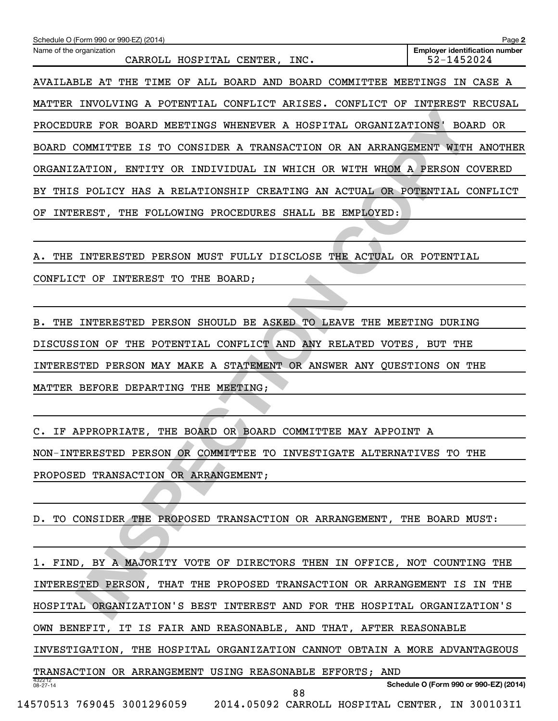| Name of the organization<br>CARROLL HOSPITAL CENTER, INC.                   | <b>Employer identification number</b><br>52-1452024 |
|-----------------------------------------------------------------------------|-----------------------------------------------------|
| AVAILABLE AT THE TIME OF ALL BOARD AND BOARD COMMITTEE MEETINGS IN CASE A   |                                                     |
| MATTER INVOLVING A POTENTIAL CONFLICT ARISES. CONFLICT OF INTEREST RECUSAL  |                                                     |
| PROCEDURE FOR BOARD MEETINGS WHENEVER A HOSPITAL ORGANIZATIONS' BOARD OR    |                                                     |
| BOARD COMMITTEE IS TO CONSIDER A TRANSACTION OR AN ARRANGEMENT WITH ANOTHER |                                                     |
| ORGANIZATION, ENTITY OR INDIVIDUAL IN WHICH OR WITH WHOM A PERSON COVERED   |                                                     |
| BY THIS POLICY HAS A RELATIONSHIP CREATING AN ACTUAL OR POTENTIAL CONFLICT  |                                                     |
| OF INTEREST, THE FOLLOWING PROCEDURES SHALL BE EMPLOYED:                    |                                                     |
|                                                                             |                                                     |
| A. THE INTERESTED PERSON MUST FULLY DISCLOSE THE ACTUAL OR POTENTIAL        |                                                     |
| CONFLICT OF INTEREST TO THE BOARD;                                          |                                                     |
|                                                                             |                                                     |
| B. THE INTERESTED PERSON SHOULD BE ASKED TO LEAVE THE MEETING DURING        |                                                     |
| DISCUSSION OF THE POTENTIAL CONFLICT AND ANY RELATED VOTES, BUT THE         |                                                     |
| INTERESTED PERSON MAY MAKE A STATEMENT OR ANSWER ANY QUESTIONS ON THE       |                                                     |
| MATTER BEFORE DEPARTING THE MEETING;                                        |                                                     |
|                                                                             |                                                     |
| C. IF APPROPRIATE, THE BOARD OR BOARD COMMITTEE MAY APPOINT A               |                                                     |
| NON-INTERESTED PERSON OR COMMITTEE TO INVESTIGATE ALTERNATIVES TO THE       |                                                     |
| PROPOSED TRANSACTION OR ARRANGEMENT;                                        |                                                     |
|                                                                             |                                                     |
| D. TO CONSIDER THE PROPOSED TRANSACTION OR ARRANGEMENT, THE BOARD MUST:     |                                                     |
|                                                                             |                                                     |
| 1. FIND, BY A MAJORITY VOTE OF DIRECTORS THEN IN OFFICE, NOT COUNTING THE   |                                                     |
| INTERESTED PERSON, THAT THE PROPOSED TRANSACTION OR ARRANGEMENT IS IN THE   |                                                     |
| HOSPITAL ORGANIZATION'S BEST INTEREST AND FOR THE HOSPITAL ORGANIZATION'S   |                                                     |
| OWN BENEFIT, IT IS FAIR AND REASONABLE, AND THAT, AFTER REASONABLE          |                                                     |
| INVESTIGATION, THE HOSPITAL ORGANIZATION CANNOT OBTAIN A MORE ADVANTAGEOUS  |                                                     |
| TRANSACTION OR ARRANGEMENT USING REASONABLE EFFORTS; AND<br>432212          |                                                     |
| $08 - 27 - 14$<br>88                                                        | Schedule O (Form 990 or 990-EZ) (2014)              |
| 14570513 769045 3001296059 2014.05092 CARROLL HOSPITAL CENTER, IN 300103I1  |                                                     |

Schedule O (Form 990 or 990-EZ) (2014)

**2**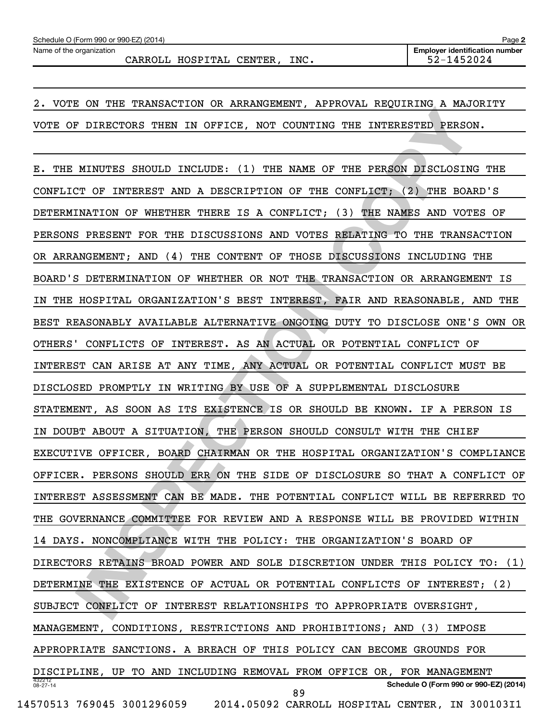CARROLL HOSPITAL CENTER, INC. 52-1452024

2. VOTE ON THE TRANSACTION OR ARRANGEMENT, APPROVAL REQUIRING A MAJORITY VOTE OF DIRECTORS THEN IN OFFICE, NOT COUNTING THE INTERESTED PERSON.

**INSPECTION THE INTERFECT OF THE PROPORTING COPYTIME INTERFECT AND A RESPONSE ON THE TRIP PROPORTING THE TRIP CONFLICT (3) THE BOARD'S FRAME OF THE PERSON DISCLOSING THE TRIP ONCE THE SECOND INCLUDE (1) THE NAME OF THE CON** 432212 08-27-14 **Schedule O (Form 990 or 990-EZ) (2014)** E. THE MINUTES SHOULD INCLUDE: (1) THE NAME OF THE PERSON DISCLOSING THE CONFLICT OF INTEREST AND A DESCRIPTION OF THE CONFLICT; (2) THE BOARD'S DETERMINATION OF WHETHER THERE IS A CONFLICT; (3) THE NAMES AND VOTES OF PERSONS PRESENT FOR THE DISCUSSIONS AND VOTES RELATING TO THE TRANSACTION OR ARRANGEMENT; AND (4) THE CONTENT OF THOSE DISCUSSIONS INCLUDING THE BOARD'S DETERMINATION OF WHETHER OR NOT THE TRANSACTION OR ARRANGEMENT IS IN THE HOSPITAL ORGANIZATION'S BEST INTEREST, FAIR AND REASONABLE, AND THE BEST REASONABLY AVAILABLE ALTERNATIVE ONGOING DUTY TO DISCLOSE ONE'S OWN OR OTHERS' CONFLICTS OF INTEREST. AS AN ACTUAL OR POTENTIAL CONFLICT OF INTEREST CAN ARISE AT ANY TIME, ANY ACTUAL OR POTENTIAL CONFLICT MUST BE DISCLOSED PROMPTLY IN WRITING BY USE OF A SUPPLEMENTAL DISCLOSURE STATEMENT, AS SOON AS ITS EXISTENCE IS OR SHOULD BE KNOWN. IF A PERSON IS IN DOUBT ABOUT A SITUATION, THE PERSON SHOULD CONSULT WITH THE CHIEF EXECUTIVE OFFICER, BOARD CHAIRMAN OR THE HOSPITAL ORGANIZATION'S COMPLIANCE OFFICER. PERSONS SHOULD ERR ON THE SIDE OF DISCLOSURE SO THAT A CONFLICT OF INTEREST ASSESSMENT CAN BE MADE. THE POTENTIAL CONFLICT WILL BE REFERRED TO THE GOVERNANCE COMMITTEE FOR REVIEW AND A RESPONSE WILL BE PROVIDED WITHIN 14 DAYS. NONCOMPLIANCE WITH THE POLICY: THE ORGANIZATION'S BOARD OF DIRECTORS RETAINS BROAD POWER AND SOLE DISCRETION UNDER THIS POLICY TO: (1) DETERMINE THE EXISTENCE OF ACTUAL OR POTENTIAL CONFLICTS OF INTEREST; (2) SUBJECT CONFLICT OF INTEREST RELATIONSHIPS TO APPROPRIATE OVERSIGHT, MANAGEMENT, CONDITIONS, RESTRICTIONS AND PROHIBITIONS; AND (3) IMPOSE APPROPRIATE SANCTIONS. A BREACH OF THIS POLICY CAN BECOME GROUNDS FOR DISCIPLINE, UP TO AND INCLUDING REMOVAL FROM OFFICE OR, FOR MANAGEMENT 14570513 769045 3001296059 2014.05092 CARROLL HOSPITAL CENTER, IN 300103I1 89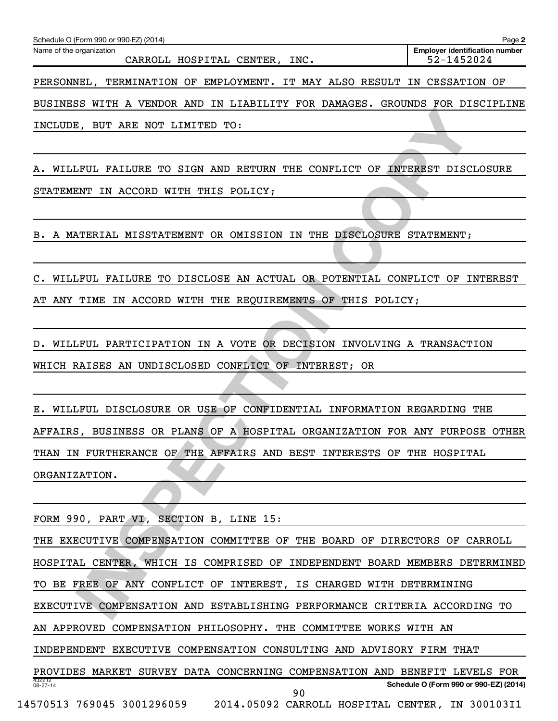| Schedule O (Form 990 or 990-EZ) (2014)                                      | Page 2                                              |
|-----------------------------------------------------------------------------|-----------------------------------------------------|
| Name of the organization<br>CARROLL HOSPITAL CENTER, INC.                   | <b>Employer identification number</b><br>52-1452024 |
| TERMINATION OF EMPLOYMENT. IT MAY ALSO RESULT IN CESSATION OF<br>PERSONNEL. |                                                     |
| BUSINESS WITH A VENDOR AND IN LIABILITY FOR DAMAGES. GROUNDS FOR DISCIPLINE |                                                     |

INCLUDE, BUT ARE NOT LIMITED TO:

A. WILLFUL FAILURE TO SIGN AND RETURN THE CONFLICT OF INTEREST DISCLOSURE

STATEMENT IN ACCORD WITH THIS POLICY;

B. A MATERIAL MISSTATEMENT OR OMISSION IN THE DISCLOSURE STATEMENT;

C. WILLFUL FAILURE TO DISCLOSE AN ACTUAL OR POTENTIAL CONFLICT OF INTEREST AT ANY TIME IN ACCORD WITH THE REQUIREMENTS OF THIS POLICY;

D. WILLFUL PARTICIPATION IN A VOTE OR DECISION INVOLVING A TRANSACTION WHICH RAISES AN UNDISCLOSED CONFLICT OF INTEREST; OR

E. WILLFUL DISCLOSURE OR USE OF CONFIDENTIAL INFORMATION REGARDING THE AFFAIRS, BUSINESS OR PLANS OF A HOSPITAL ORGANIZATION FOR ANY PURPOSE OTHER THAN IN FURTHERANCE OF THE AFFAIRS AND BEST INTERESTS OF THE HOSPITAL ORGANIZATION.

FORM 990, PART VI, SECTION B, LINE 15:

**INSPECTION OF THE SECTION CONFIDENT SOMETIME COPPIES AND REPORT AND ASSOCIATED TO:**<br>THE FAILURE TO SIGN AND RETURN THE CONFLICT OF INFERENT DISCLOSURE<br>WIT IN ACCORD WITH THIS POLICY;<br>ATRENAL MISSTATEMENT OR OMISSION IN TH 432212 08-27-14 **Schedule O (Form 990 or 990-EZ) (2014)** THE EXECUTIVE COMPENSATION COMMITTEE OF THE BOARD OF DIRECTORS OF CARROLL HOSPITAL CENTER, WHICH IS COMPRISED OF INDEPENDENT BOARD MEMBERS DETERMINED TO BE FREE OF ANY CONFLICT OF INTEREST, IS CHARGED WITH DETERMINING EXECUTIVE COMPENSATION AND ESTABLISHING PERFORMANCE CRITERIA ACCORDING TO AN APPROVED COMPENSATION PHILOSOPHY. THE COMMITTEE WORKS WITH AN INDEPENDENT EXECUTIVE COMPENSATION CONSULTING AND ADVISORY FIRM THAT PROVIDES MARKET SURVEY DATA CONCERNING COMPENSATION AND BENEFIT LEVELS FOR 14570513 769045 3001296059 2014.05092 CARROLL HOSPITAL CENTER, IN 300103I1 90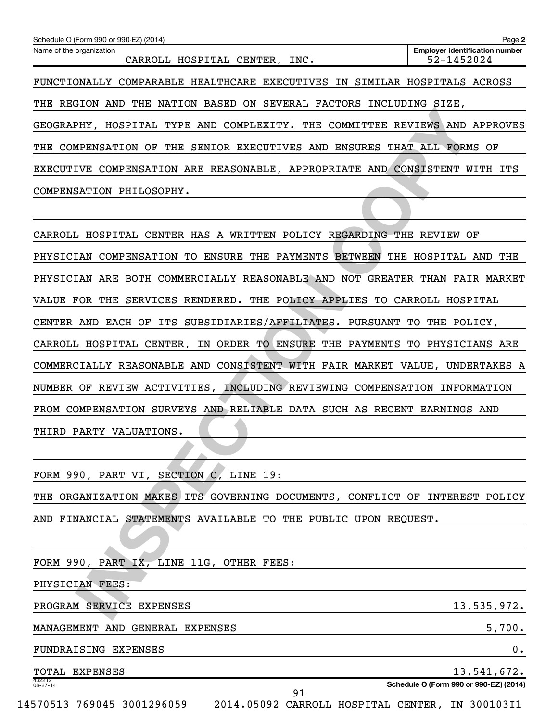| Schedule O (Form 990 or 990-EZ) (2014)                                         | Page 2                                              |
|--------------------------------------------------------------------------------|-----------------------------------------------------|
| Name of the organization<br>CARROLL HOSPITAL CENTER, INC.                      | <b>Employer identification number</b><br>52-1452024 |
| FUNCTIONALLY COMPARABLE HEALTHCARE EXECUTIVES IN SIMILAR HOSPITALS ACROSS      |                                                     |
| NATION BASED ON SEVERAL FACTORS INCLUDING<br>THE<br>REGION<br>AND<br>THE       | SIZE,                                               |
| HOSPITAL TYPE AND COMPLEXITY. THE COMMITTEE REVIEWS AND APPROVES<br>GEOGRAPHY, |                                                     |
| SENIOR EXECUTIVES AND<br>THE<br>COMPENSATION OF<br>THE                         | ENSURES THAT ALL FORMS OF                           |
| EXECUTIVE COMPENSATION ARE REASONABLE, APPROPRIATE AND CONSISTENT WITH ITS     |                                                     |
| COMPENSATION PHILOSOPHY.                                                       |                                                     |

FRI, HOSPITAL TYPE AND COMPLEXITY. THE COMMITTEE REVIEWS AND APPROPERTS THE TRIMINATION OF THE SENIOR EXECUTIVES AND ENSURES THAT ALL FORMS OF THE SENIOR EXECUTIVES AND ENSURES THAT ALL FORMS OF THE SENIOR PRESENOVABLE, AP CARROLL HOSPITAL CENTER HAS A WRITTEN POLICY REGARDING THE REVIEW OF PHYSICIAN COMPENSATION TO ENSURE THE PAYMENTS BETWEEN THE HOSPITAL AND THE PHYSICIAN ARE BOTH COMMERCIALLY REASONABLE AND NOT GREATER THAN FAIR MARKET VALUE FOR THE SERVICES RENDERED. THE POLICY APPLIES TO CARROLL HOSPITAL CENTER AND EACH OF ITS SUBSIDIARIES/AFFILIATES. PURSUANT TO THE POLICY, CARROLL HOSPITAL CENTER, IN ORDER TO ENSURE THE PAYMENTS TO PHYSICIANS ARE COMMERCIALLY REASONABLE AND CONSISTENT WITH FAIR MARKET VALUE, UNDERTAKES A NUMBER OF REVIEW ACTIVITIES, INCLUDING REVIEWING COMPENSATION INFORMATION FROM COMPENSATION SURVEYS AND RELIABLE DATA SUCH AS RECENT EARNINGS AND THIRD PARTY VALUATIONS.

FORM 990, PART VI, SECTION C, LINE 19: THE ORGANIZATION MAKES ITS GOVERNING DOCUMENTS, CONFLICT OF INTEREST POLICY AND FINANCIAL STATEMENTS AVAILABLE TO THE PUBLIC UPON REQUEST.

432212 08-27-14 **Schedule O (Form 990 or 990-EZ) (2014)** FORM 990, PART IX, LINE 11G, OTHER FEES: PHYSICIAN FEES: PROGRAM SERVICE EXPENSES 13,535,972. MANAGEMENT AND GENERAL EXPENSES **5,700.** FUNDRAISING EXPENSES 0. TOTAL EXPENSES 13,541,672. 14570513 769045 3001296059 2014.05092 CARROLL HOSPITAL CENTER, IN 300103I1 91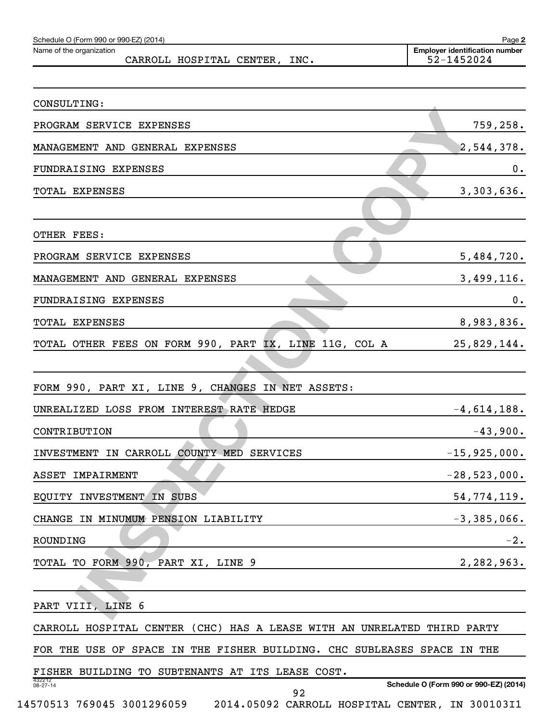| Schedule O (Form 990 or 990-EZ) (2014)<br>Name of the organization                                     | Page 2<br><b>Employer identification number</b><br>52-1452024 |
|--------------------------------------------------------------------------------------------------------|---------------------------------------------------------------|
| CARROLL HOSPITAL CENTER, INC.                                                                          |                                                               |
| CONSULTING:                                                                                            |                                                               |
| PROGRAM SERVICE EXPENSES                                                                               | 759,258.                                                      |
| MANAGEMENT AND GENERAL EXPENSES                                                                        | 2,544,378.                                                    |
| FUNDRAISING EXPENSES                                                                                   | 0.                                                            |
| TOTAL EXPENSES                                                                                         | 3,303,636.                                                    |
|                                                                                                        |                                                               |
| OTHER FEES:                                                                                            |                                                               |
| PROGRAM SERVICE EXPENSES                                                                               | 5,484,720.                                                    |
| MANAGEMENT AND GENERAL EXPENSES                                                                        | 3,499,116.                                                    |
| FUNDRAISING EXPENSES                                                                                   | 0.                                                            |
| TOTAL EXPENSES                                                                                         | 8,983,836.                                                    |
| TOTAL OTHER FEES ON FORM 990, PART IX, LINE 11G, COL A                                                 | 25,829,144.                                                   |
|                                                                                                        |                                                               |
| FORM 990, PART XI, LINE 9, CHANGES IN NET ASSETS:                                                      |                                                               |
| UNREALIZED LOSS FROM INTEREST RATE HEDGE                                                               | $-4,614,188.$                                                 |
| CONTRIBUTION                                                                                           | $-43,900.$                                                    |
| INVESTMENT IN CARROLL COUNTY MED SERVICES                                                              | $-15,925,000.$                                                |
| ASSET IMPAIRMENT                                                                                       | $-28, 523, 000.$                                              |
| EQUITY INVESTMENT IN SUBS                                                                              | 54, 774, 119.                                                 |
| CHANGE IN MINUMUM PENSION LIABILITY                                                                    | $-3,385,066.$                                                 |
| ROUNDING                                                                                               | $-2$ .                                                        |
| TOTAL TO FORM 990, PART XI, LINE 9                                                                     | 2,282,963.                                                    |
|                                                                                                        |                                                               |
| PART VIII, LINE 6                                                                                      |                                                               |
| CARROLL HOSPITAL CENTER (CHC) HAS A LEASE WITH AN UNRELATED THIRD PARTY                                |                                                               |
| FOR THE USE OF SPACE IN THE FISHER BUILDING. CHC SUBLEASES SPACE IN THE                                |                                                               |
| FISHER BUILDING TO SUBTENANTS AT ITS LEASE COST.                                                       |                                                               |
| 432212<br>08-27-14<br>92<br>14570513 769045 3001296059 2014.05092 CARROLL HOSPITAL CENTER, IN 300103I1 | Schedule O (Form 990 or 990-EZ) (2014)                        |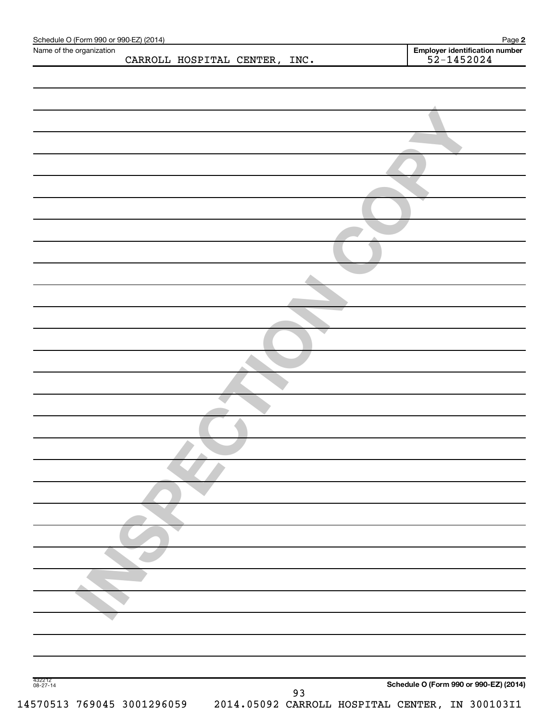| Name of the organization |  |                               |                                                  |
|--------------------------|--|-------------------------------|--------------------------------------------------|
|                          |  | CARROLL HOSPITAL CENTER, INC. | Employer identification number<br>$52 - 1452024$ |
|                          |  |                               |                                                  |
|                          |  |                               |                                                  |
|                          |  |                               |                                                  |
|                          |  |                               |                                                  |
|                          |  |                               |                                                  |
|                          |  |                               |                                                  |
|                          |  |                               |                                                  |
|                          |  |                               |                                                  |
|                          |  |                               |                                                  |
|                          |  |                               |                                                  |
|                          |  |                               |                                                  |
|                          |  |                               |                                                  |
|                          |  |                               |                                                  |
|                          |  |                               |                                                  |
|                          |  |                               |                                                  |
|                          |  |                               |                                                  |
|                          |  |                               |                                                  |
|                          |  |                               |                                                  |
|                          |  |                               |                                                  |
|                          |  |                               |                                                  |
|                          |  |                               |                                                  |
|                          |  |                               |                                                  |
|                          |  |                               |                                                  |
|                          |  |                               |                                                  |
|                          |  |                               |                                                  |
|                          |  |                               |                                                  |
|                          |  |                               |                                                  |
|                          |  |                               |                                                  |
|                          |  |                               |                                                  |
|                          |  |                               |                                                  |
|                          |  |                               |                                                  |
|                          |  |                               |                                                  |
|                          |  |                               |                                                  |
|                          |  |                               |                                                  |
|                          |  |                               |                                                  |
|                          |  |                               |                                                  |
|                          |  |                               |                                                  |
|                          |  |                               |                                                  |
|                          |  |                               |                                                  |
|                          |  |                               |                                                  |
|                          |  |                               |                                                  |
|                          |  |                               |                                                  |
|                          |  |                               |                                                  |
|                          |  |                               |                                                  |
|                          |  |                               |                                                  |
| 432212<br>08-27-14       |  |                               | Schedule O (Form 990 or 990-EZ) (2014)           |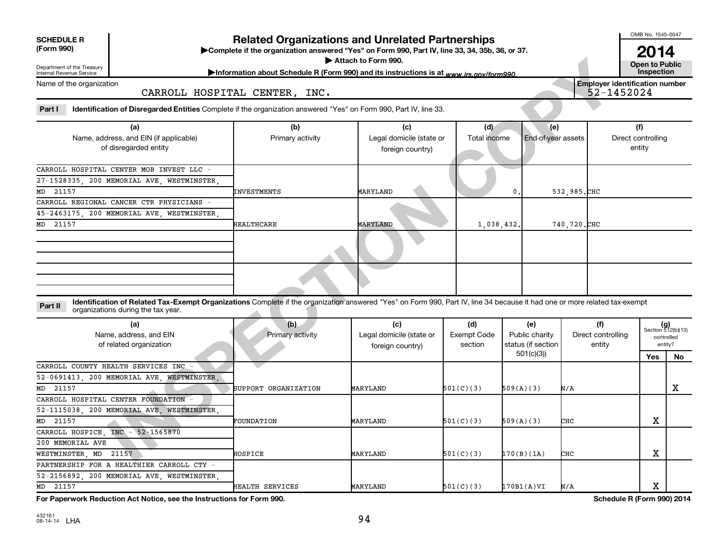| <b>SCHEDULE R</b> |
|-------------------|
|                   |

# **Related Organizations and Unrelated Partnerships**

**(Form 990) Complete if the organization answered "Yes" on Form 990, Part IV, line 33, 34, 35b, 36, or 37.** |

Attach to Form 990.

OMB No. 1545-0047

**Ather to Public<br>Inspection 2014**

#### CARROLL HOSPITAL CENTER, INC.

| Attach to Form 990.<br><b>Open to Public</b><br>Department of the Treasury<br>Information about Schedule R (Form 990) and its instructions is at www.irs.gov/form990.<br><b>Internal Revenue Service</b> |                                                                                                                                                                                                                  |                               |                                                     |                                      |                                             |                                                     |                                     |                                                      |  |  |  |  |
|----------------------------------------------------------------------------------------------------------------------------------------------------------------------------------------------------------|------------------------------------------------------------------------------------------------------------------------------------------------------------------------------------------------------------------|-------------------------------|-----------------------------------------------------|--------------------------------------|---------------------------------------------|-----------------------------------------------------|-------------------------------------|------------------------------------------------------|--|--|--|--|
| Name of the organization                                                                                                                                                                                 |                                                                                                                                                                                                                  | CARROLL HOSPITAL CENTER, INC. |                                                     |                                      |                                             | <b>Employer identification number</b><br>52-1452024 |                                     |                                                      |  |  |  |  |
| Part I                                                                                                                                                                                                   | Identification of Disregarded Entities Complete if the organization answered "Yes" on Form 990, Part IV, line 33.                                                                                                |                               |                                                     |                                      |                                             |                                                     |                                     |                                                      |  |  |  |  |
|                                                                                                                                                                                                          | (a)<br>Name, address, and EIN (if applicable)<br>of disregarded entity                                                                                                                                           | (b)<br>Primary activity       | (c)<br>Legal domicile (state or<br>foreign country) | (d)<br>Total income                  | (e)<br>End-of-year assets                   |                                                     | (f)<br>Direct controlling<br>entity |                                                      |  |  |  |  |
| 21157<br>MD                                                                                                                                                                                              | CARROLL HOSPITAL CENTER MOB INVEST LLC -<br>27-1528335, 200 MEMORIAL AVE, WESTMINSTER,                                                                                                                           | INVESTMENTS                   | MARYLAND                                            |                                      | $\mathbf 0$                                 | 532,985.CHC                                         |                                     |                                                      |  |  |  |  |
| 21157<br>MD                                                                                                                                                                                              | CARROLL REGIONAL CANCER CTR PHYSICIANS -<br>45-2463175, 200 MEMORIAL AVE, WESTMINSTER,                                                                                                                           | <b>HEALTHCARE</b>             | MARYLAND                                            | 1,038,432.                           |                                             | 740, 720. CHC                                       |                                     |                                                      |  |  |  |  |
|                                                                                                                                                                                                          |                                                                                                                                                                                                                  |                               |                                                     |                                      |                                             |                                                     |                                     |                                                      |  |  |  |  |
|                                                                                                                                                                                                          |                                                                                                                                                                                                                  |                               |                                                     |                                      |                                             |                                                     |                                     |                                                      |  |  |  |  |
| Part II                                                                                                                                                                                                  | Identification of Related Tax-Exempt Organizations Complete if the organization answered "Yes" on Form 990, Part IV, line 34 because it had one or more related tax-exempt<br>organizations during the tax year. |                               |                                                     |                                      |                                             |                                                     |                                     |                                                      |  |  |  |  |
|                                                                                                                                                                                                          | (a)<br>Name, address, and EIN<br>of related organization                                                                                                                                                         | (b)<br>Primary activity       | (c)<br>Legal domicile (state or<br>foreign country) | (d)<br><b>Exempt Code</b><br>section | (e)<br>Public charity<br>status (if section | (f)<br>Direct controlling<br>entity                 |                                     | $(g)$<br>Section 512(b)(13)<br>controlled<br>entity? |  |  |  |  |
|                                                                                                                                                                                                          |                                                                                                                                                                                                                  |                               |                                                     |                                      | 501(c)(3)                                   |                                                     | Yes                                 | No                                                   |  |  |  |  |
|                                                                                                                                                                                                          | CARROLL COUNTY HEALTH SERVICES INC_-<br>52-0691413, 200 MEMORIAL AVE, WESTMINSTER,                                                                                                                               |                               |                                                     |                                      |                                             |                                                     |                                     |                                                      |  |  |  |  |
| 21157<br>MD                                                                                                                                                                                              |                                                                                                                                                                                                                  | SUPPORT ORGANIZATION          | MARYLAND                                            | 501(C)(3)                            | 509(A)(3)                                   | N/A                                                 |                                     | x                                                    |  |  |  |  |
|                                                                                                                                                                                                          | CARROLL HOSPITAL CENTER FOUNDATION -<br>52-1115038, 200 MEMORIAL AVE, WESTMINSTER,                                                                                                                               |                               |                                                     |                                      |                                             |                                                     |                                     |                                                      |  |  |  |  |
| MD 21157                                                                                                                                                                                                 |                                                                                                                                                                                                                  | FOUNDATION                    | MARYLAND                                            | 501(C)(3)                            | 509(A)(3)                                   | снс                                                 | х                                   |                                                      |  |  |  |  |
|                                                                                                                                                                                                          | CARROLL HOSPICE, INC - 52-1565870                                                                                                                                                                                |                               |                                                     |                                      |                                             |                                                     |                                     |                                                      |  |  |  |  |
| 200 MEMORIAL AVE                                                                                                                                                                                         |                                                                                                                                                                                                                  |                               |                                                     |                                      |                                             |                                                     |                                     |                                                      |  |  |  |  |
| WESTMINSTER, MD 21157                                                                                                                                                                                    |                                                                                                                                                                                                                  | HOSPICE                       | MARYLAND                                            | 501(C)(3)                            | [170(B)(1A)                                 | снс                                                 | х                                   |                                                      |  |  |  |  |

| (a)<br>Name, address, and EIN<br>of related organization | (b)<br>Primary activity | (c)<br>Legal domicile (state or<br>foreign country) | (d)<br>Exempt Code<br>section | (e)<br>Public charity<br>status (if section | (f)<br>Direct controlling<br>entity | controlled | $(g)$<br>Section 512(b)(13)<br>entity? |
|----------------------------------------------------------|-------------------------|-----------------------------------------------------|-------------------------------|---------------------------------------------|-------------------------------------|------------|----------------------------------------|
|                                                          |                         |                                                     |                               | 501(c)(3)                                   |                                     | Yes        | No.                                    |
| CARROLL COUNTY HEALTH SERVICES INC -                     |                         |                                                     |                               |                                             |                                     |            |                                        |
| 52-0691413, 200 MEMORIAL AVE, WESTMINSTER,               |                         |                                                     |                               |                                             |                                     |            |                                        |
| MD 21157                                                 | SUPPORT ORGANIZATION    | MARYLAND                                            | 501(C)(3)                     | 509(A)(3)                                   | N/A                                 |            | х                                      |
| CARROLL HOSPITAL CENTER FOUNDATION -                     |                         |                                                     |                               |                                             |                                     |            |                                        |
| 52-1115038, 200 MEMORIAL AVE, WESTMINSTER,               |                         |                                                     |                               |                                             |                                     |            |                                        |
| MD 21157                                                 | FOUNDATION              | MARYLAND                                            | 501(C)(3)                     | 509(A)(3)                                   | <b>CHC</b>                          | Χ          |                                        |
| CARROLL HOSPICE, INC - 52-1565870                        |                         |                                                     |                               |                                             |                                     |            |                                        |
| 200 MEMORIAL AVE                                         |                         |                                                     |                               |                                             |                                     |            |                                        |
| WESTMINSTER, MD 21157                                    | HOSPICE                 | MARYLAND                                            | 501(C)(3)                     | 170(B)(1A)                                  | снс                                 | х          |                                        |
| PARTNERSHIP FOR A HEALTHIER CARROLL CTY -                |                         |                                                     |                               |                                             |                                     |            |                                        |
| 52-2156892, 200 MEMORIAL AVE, WESTMINSTER,               |                         |                                                     |                               |                                             |                                     |            |                                        |
| MD 21157                                                 | HEALTH SERVICES         | MARYLAND                                            | 501(C)(3)                     | 170B1(A)VI                                  | N/A                                 | х          |                                        |

**For Paperwork Reduction Act Notice, see the Instructions for Form 990. Schedule R (Form 990) 2014**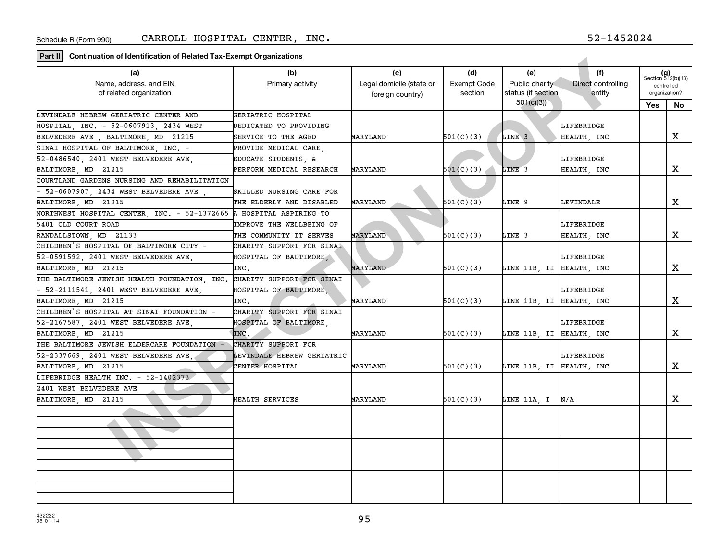**Part II Continuation of Identification of Related Tax-Exempt Organizations**

| $\lceil$ rait $\lceil \rceil$ Obtimuation of Rentincation of Heiated Tax-Liteript Organizations |                                 |                          |                    |                          |                    |                             |               |
|-------------------------------------------------------------------------------------------------|---------------------------------|--------------------------|--------------------|--------------------------|--------------------|-----------------------------|---------------|
| (a)                                                                                             | (b)                             | (c)                      | (d)                | (e)                      | (f)                | $(g)$<br>Section 512(b)(13) |               |
| Name, address, and EIN                                                                          | Primary activity                | Legal domicile (state or | <b>Exempt Code</b> | Public charity           | Direct controlling | controlled                  |               |
| of related organization                                                                         |                                 | foreign country)         | section            | status (if section       | entity             |                             | organization? |
|                                                                                                 |                                 |                          |                    | 501(c)(3)                |                    | Yes                         | No            |
| LEVINDALE HEBREW GERIATRIC CENTER AND                                                           | GERIATRIC HOSPITAL              |                          |                    |                          |                    |                             |               |
| HOSPITAL INC. - 52-0607913 2434 WEST                                                            | DEDICATED TO PROVIDING          |                          |                    |                          | LIFEBRIDGE         |                             |               |
| BELVEDERE AVE, BALTIMORE, MD 21215                                                              | <b>SERVICE TO THE AGED</b>      | MARYLAND                 | 501(C)(3)          | LINE <sub>3</sub>        | HEALTH, INC        |                             | X             |
| SINAI HOSPITAL OF BALTIMORE, INC. -                                                             | PROVIDE MEDICAL CARE,           |                          |                    |                          |                    |                             |               |
| 52-0486540, 2401 WEST BELVEDERE AVE                                                             | EDUCATE STUDENTS, &             |                          |                    |                          | LIFEBRIDGE         |                             |               |
| BALTIMORE MD 21215                                                                              | PERFORM MEDICAL RESEARCH        | MARYLAND                 | 501(C)(3)          | LINE 3                   | HEALTH, INC        |                             | x             |
| COURTLAND GARDENS NURSING AND REHABILITATION                                                    |                                 |                          |                    |                          |                    |                             |               |
| - 52-0607907, 2434 WEST BELVEDERE AVE,                                                          | SKILLED NURSING CARE FOR        |                          |                    |                          |                    |                             |               |
| BALTIMORE MD 21215                                                                              | THE ELDERLY AND DISABLED        | MARYLAND                 | 501(C)(3)          | LINE 9                   | LEVINDALE          |                             | X             |
| NORTHWEST HOSPITAL CENTER, INC. - 52-1372665                                                    | A HOSPITAL ASPIRING TO          |                          |                    |                          |                    |                             |               |
| 5401 OLD COURT ROAD                                                                             | <b>IMPROVE THE WELLBEING OF</b> |                          |                    |                          | LIFEBRIDGE         |                             |               |
| RANDALLSTOWN, MD 21133                                                                          | THE COMMUNITY IT SERVES         | MARYLAND                 | 501(C)(3)          | LINE 3                   | HEALTH, INC        |                             | X             |
| CHILDREN'S HOSPITAL OF BALTIMORE CITY -                                                         | CHARITY SUPPORT FOR SINAI       |                          |                    |                          |                    |                             |               |
| 52-0591592, 2401 WEST BELVEDERE AVE,                                                            | HOSPITAL OF BALTIMORE,          |                          |                    |                          | LIFEBRIDGE         |                             |               |
| BALTIMORE, MD 21215                                                                             | INC.                            | MARYLAND                 | 501(C)(3)          | LINE 11B, II HEALTH, INC |                    |                             | X             |
| THE BALTIMORE JEWISH HEALTH FOUNDATION, INC.                                                    | CHARITY SUPPORT FOR SINAI       |                          |                    |                          |                    |                             |               |
| $-52-2111541$ . 2401 WEST BELVEDERE AVE                                                         | HOSPITAL OF BALTIMORE.          |                          |                    |                          | LIFEBRIDGE         |                             |               |
| BALTIMORE, MD 21215                                                                             | INC.                            | MARYLAND                 | 501(C)(3)          | LINE 11B, II HEALTH, INC |                    |                             | X             |
| CHILDREN'S HOSPITAL AT SINAI FOUNDATION                                                         | CHARITY SUPPORT FOR SINAI       |                          |                    |                          |                    |                             |               |
| 52-2167587, 2401 WEST BELVEDERE AVE                                                             | HOSPITAL OF BALTIMORE,          |                          |                    |                          | LIFEBRIDGE         |                             |               |
| BALTIMORE MD 21215                                                                              | INC.                            | MARYLAND                 | 501(C)(3)          | LINE 11B, II HEALTH, INC |                    |                             | x             |
| THE BALTIMORE JEWISH ELDERCARE FOUNDATION                                                       | CHARITY SUPPORT FOR             |                          |                    |                          |                    |                             |               |
| 52-2337669, 2401 WEST BELVEDERE AVE,                                                            | LEVINDALE HEBREW GERIATRIC      |                          |                    |                          | LIFEBRIDGE         |                             |               |
| BALTIMORE MD 21215                                                                              | CENTER HOSPITAL                 | MARYLAND                 | 501(C)(3)          | LINE 11B, II HEALTH, INC |                    |                             | X             |
| LIFEBRIDGE HEALTH INC. - 52-1402373                                                             |                                 |                          |                    |                          |                    |                             |               |
| 2401 WEST BELVEDERE AVE                                                                         |                                 |                          |                    |                          |                    |                             |               |
| BALTIMORE, MD 21215                                                                             | HEALTH SERVICES                 | MARYLAND                 | 501(C)(3)          | LINE 11A, I   N/A        |                    |                             | X             |
|                                                                                                 |                                 |                          |                    |                          |                    |                             |               |
|                                                                                                 |                                 |                          |                    |                          |                    |                             |               |
|                                                                                                 |                                 |                          |                    |                          |                    |                             |               |
|                                                                                                 |                                 |                          |                    |                          |                    |                             |               |
|                                                                                                 |                                 |                          |                    |                          |                    |                             |               |
|                                                                                                 |                                 |                          |                    |                          |                    |                             |               |
|                                                                                                 |                                 |                          |                    |                          |                    |                             |               |
|                                                                                                 |                                 |                          |                    |                          |                    |                             |               |
|                                                                                                 |                                 |                          |                    |                          |                    |                             |               |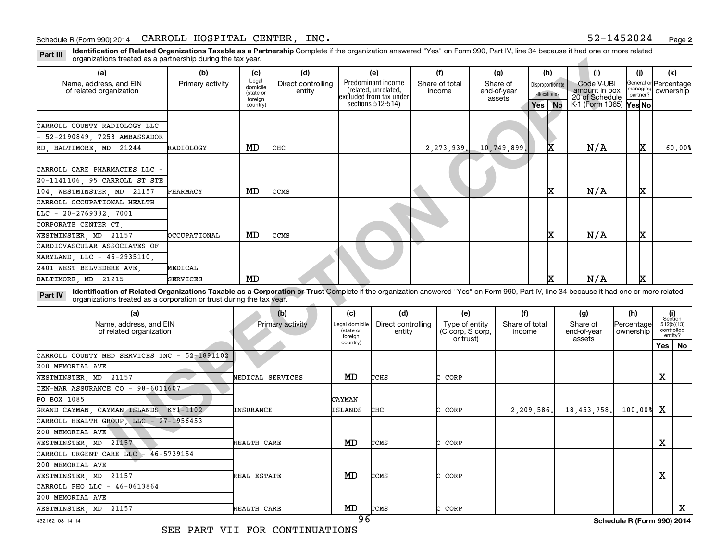Part III Identification of Related Organizations Taxable as a Partnership Complete if the organization answered "Yes" on Form 990, Part IV, line 34 because it had one or more related<br>Part III International tracted as a par organizations treated as a partnership during the tax year.

| organizations treated as a partnership during the tax year.                                                                                                                                                                                                               |                  |                                                       |                              |                             |                                                                                            |                                    |                                   |                        |                  |                                                                                |                         |                                               |                          |                 |
|---------------------------------------------------------------------------------------------------------------------------------------------------------------------------------------------------------------------------------------------------------------------------|------------------|-------------------------------------------------------|------------------------------|-----------------------------|--------------------------------------------------------------------------------------------|------------------------------------|-----------------------------------|------------------------|------------------|--------------------------------------------------------------------------------|-------------------------|-----------------------------------------------|--------------------------|-----------------|
| (a)                                                                                                                                                                                                                                                                       | (b)              | (c)                                                   | (d)                          |                             | (e)                                                                                        | (f)                                | (g)                               | (h)                    |                  | (i)                                                                            |                         | (i)                                           | (k)                      |                 |
| Name, address, and EIN<br>of related organization                                                                                                                                                                                                                         | Primary activity | Legal<br>domicile<br>(state or<br>foreign<br>country) | Direct controlling<br>entity |                             | Predominant income<br>(related, unrelated,<br>excluded from tax under<br>sections 512-514) | Share of total<br>income           | Share of<br>end-of-year<br>assets | allocations?<br>Yes No | Disproportionate | Code V-UBI<br>amount in box<br>20 of Schedule<br>K-1 (Form 1065) <b>Yes No</b> |                         | General or Percentage<br>nanaging<br>partner? | ownership                |                 |
|                                                                                                                                                                                                                                                                           |                  |                                                       |                              |                             |                                                                                            |                                    |                                   |                        |                  |                                                                                |                         |                                               |                          |                 |
| CARROLL COUNTY RADIOLOGY LLC                                                                                                                                                                                                                                              |                  |                                                       |                              |                             |                                                                                            |                                    |                                   |                        |                  |                                                                                |                         |                                               |                          |                 |
| 52-2190849, 7253 AMBASSADOR                                                                                                                                                                                                                                               |                  |                                                       |                              |                             |                                                                                            |                                    |                                   |                        |                  |                                                                                |                         |                                               |                          |                 |
| RD, BALTIMORE, MD<br>21244                                                                                                                                                                                                                                                | RADIOLOGY        | MD                                                    | CHC                          |                             |                                                                                            | 2,273,939.                         | 10,749,899                        |                        | х                | N/A                                                                            |                         | x                                             |                          | 60.00%          |
|                                                                                                                                                                                                                                                                           |                  |                                                       |                              |                             |                                                                                            |                                    |                                   |                        |                  |                                                                                |                         |                                               |                          |                 |
| CARROLL CARE PHARMACIES LLC                                                                                                                                                                                                                                               |                  |                                                       |                              |                             |                                                                                            |                                    |                                   |                        |                  |                                                                                |                         |                                               |                          |                 |
| 20-1141106, 95 CARROLL ST STE                                                                                                                                                                                                                                             |                  | MD                                                    |                              |                             |                                                                                            |                                    |                                   |                        | х                | N/A                                                                            |                         | X                                             |                          |                 |
| 104 WESTMINSTER MD 21157                                                                                                                                                                                                                                                  | PHARMACY         |                                                       | CCMS                         |                             |                                                                                            |                                    |                                   |                        |                  |                                                                                |                         |                                               |                          |                 |
| CARROLL OCCUPATIONAL HEALTH                                                                                                                                                                                                                                               |                  |                                                       |                              |                             |                                                                                            |                                    |                                   |                        |                  |                                                                                |                         |                                               |                          |                 |
| LLC - 20-2769332 7001                                                                                                                                                                                                                                                     |                  |                                                       |                              |                             |                                                                                            |                                    |                                   |                        |                  |                                                                                |                         |                                               |                          |                 |
| CORPORATE CENTER CT.                                                                                                                                                                                                                                                      |                  |                                                       |                              |                             |                                                                                            |                                    |                                   |                        |                  |                                                                                |                         |                                               |                          |                 |
| WESTMINSTER MD 21157                                                                                                                                                                                                                                                      | bccupational     | MD                                                    | CCMS                         |                             |                                                                                            |                                    |                                   |                        | х                | N/A                                                                            |                         | x                                             |                          |                 |
| CARDIOVASCULAR ASSOCIATES OF                                                                                                                                                                                                                                              |                  |                                                       |                              |                             |                                                                                            |                                    |                                   |                        |                  |                                                                                |                         |                                               |                          |                 |
| MARYLAND LLC - 46-2935110                                                                                                                                                                                                                                                 |                  |                                                       |                              |                             |                                                                                            |                                    |                                   |                        |                  |                                                                                |                         |                                               |                          |                 |
| 2401 WEST BELVEDERE AVE.                                                                                                                                                                                                                                                  | MEDICAL          |                                                       |                              |                             |                                                                                            |                                    |                                   |                        |                  |                                                                                |                         |                                               |                          |                 |
| BALTIMORE MD 21215                                                                                                                                                                                                                                                        | SERVICES         | MD                                                    |                              |                             |                                                                                            |                                    |                                   |                        | х                | N/A                                                                            |                         | x.                                            |                          |                 |
| Identification of Related Organizations Taxable as a Corporation or Trust Complete if the organization answered "Yes" on Form 990, Part IV, line 34 because it had one or more related<br>Part IV<br>organizations treated as a corporation or trust during the tax year. |                  |                                                       |                              |                             |                                                                                            |                                    |                                   |                        |                  |                                                                                |                         |                                               |                          |                 |
| (a)                                                                                                                                                                                                                                                                       |                  |                                                       | (b)                          | (c)                         | (d)                                                                                        | (e)                                | (f)                               |                        |                  | (g)                                                                            | (h)                     |                                               | (i)<br>Section           |                 |
| Name, address, and EIN<br>of related organization                                                                                                                                                                                                                         |                  |                                                       | Primary activity             | Legal domicile<br>(state or | Direct controlling<br>entity                                                               | Type of entity<br>(C corp, S corp, | Share of total<br>income          |                        |                  | Share of<br>end-of-year                                                        | Percentage<br>ownership |                                               | 512(b)(13)<br>controlled |                 |
|                                                                                                                                                                                                                                                                           |                  |                                                       |                              | foreign<br>country)         |                                                                                            | or trust)                          |                                   |                        |                  | assets                                                                         |                         |                                               | Yes l                    | entity?<br>l No |
| CARROLL COUNTY MED SERVICES INC - 52-1891102                                                                                                                                                                                                                              |                  |                                                       |                              |                             |                                                                                            |                                    |                                   |                        |                  |                                                                                |                         |                                               |                          |                 |
| 200 MEMORIAL AVE                                                                                                                                                                                                                                                          |                  |                                                       |                              |                             |                                                                                            |                                    |                                   |                        |                  |                                                                                |                         |                                               |                          |                 |
| WESTMINSTER, MD 21157                                                                                                                                                                                                                                                     |                  | MEDICAL SERVICES                                      |                              | MD                          | CCHS                                                                                       | CORP                               |                                   |                        |                  |                                                                                |                         |                                               | х                        |                 |
| CEN-MAR ASSURANCE CO - 98-6011607                                                                                                                                                                                                                                         |                  |                                                       |                              |                             |                                                                                            |                                    |                                   |                        |                  |                                                                                |                         |                                               |                          |                 |
| PO BOX 1085                                                                                                                                                                                                                                                               |                  |                                                       |                              | CAYMAN                      |                                                                                            |                                    |                                   |                        |                  |                                                                                |                         |                                               |                          |                 |
| GRAND CAYMAN, CAYMAN ISLANDS KY1-1102                                                                                                                                                                                                                                     |                  | INSURANCE                                             |                              | ISLANDS                     | CHC                                                                                        | CORP                               |                                   | 2,209,586.             |                  | 18,453,758.                                                                    |                         | 100.00%                                       | X                        |                 |
| CARROLL HEALTH GROUP, LLC - 27-1956453                                                                                                                                                                                                                                    |                  |                                                       |                              |                             |                                                                                            |                                    |                                   |                        |                  |                                                                                |                         |                                               |                          |                 |
| 200 MEMORIAL AVE                                                                                                                                                                                                                                                          |                  |                                                       |                              |                             |                                                                                            |                                    |                                   |                        |                  |                                                                                |                         |                                               |                          |                 |
| WESTMINSTER MD<br>21157                                                                                                                                                                                                                                                   |                  | HEALTH CARE                                           |                              | MD                          | CCMS                                                                                       | C CORP                             |                                   |                        |                  |                                                                                |                         |                                               | X                        |                 |
| CARROLL URGENT CARE LLC - 46-5739154                                                                                                                                                                                                                                      |                  |                                                       |                              |                             |                                                                                            |                                    |                                   |                        |                  |                                                                                |                         |                                               |                          |                 |
|                                                                                                                                                                                                                                                                           |                  |                                                       |                              |                             |                                                                                            |                                    |                                   |                        |                  |                                                                                |                         |                                               |                          |                 |

| (a)                                               | (b)              | (c)                                    | (d)                          | (e)                                             | (f)                      | (g)                               | (h)                        |   | (i)<br>Section                      |
|---------------------------------------------------|------------------|----------------------------------------|------------------------------|-------------------------------------------------|--------------------------|-----------------------------------|----------------------------|---|-------------------------------------|
| Name, address, and EIN<br>of related organization | Primary activity | Legal domicile<br>(state or<br>foreign | Direct controlling<br>entity | Type of entity<br>(C corp, S corp,<br>or trust) | Share of total<br>income | Share of<br>end-of-year<br>assets | Percentage<br>ownership    |   | 512(b)(13)<br>controlled<br>entity? |
|                                                   |                  | country)                               |                              |                                                 |                          |                                   |                            |   | Yes   No                            |
| CARROLL COUNTY MED SERVICES INC - 52-1891102      |                  |                                        |                              |                                                 |                          |                                   |                            |   |                                     |
| 200 MEMORIAL AVE                                  |                  |                                        |                              |                                                 |                          |                                   |                            |   |                                     |
| WESTMINSTER, MD 21157                             | MEDICAL SERVICES | MD                                     | CCHS                         | C CORP                                          |                          |                                   |                            | х |                                     |
| CEN-MAR ASSURANCE CO - 98-6011607                 |                  |                                        |                              |                                                 |                          |                                   |                            |   |                                     |
| PO BOX 1085                                       |                  | CAYMAN                                 |                              |                                                 |                          |                                   |                            |   |                                     |
| GRAND CAYMAN, CAYMAN ISLANDS KY1-1102             | <b>INSURANCE</b> | ISLANDS                                | CHC                          | CORP                                            | 2, 209, 586.             | 18,453,758.                       | 100,00%                    | X |                                     |
| CARROLL HEALTH GROUP, LLC - 27-1956453            |                  |                                        |                              |                                                 |                          |                                   |                            |   |                                     |
| 200 MEMORIAL AVE                                  |                  |                                        |                              |                                                 |                          |                                   |                            |   |                                     |
| WESTMINSTER, MD<br>21157                          | HEALTH CARE      | MD                                     | CCMS                         | CORP                                            |                          |                                   |                            | х |                                     |
| CARROLL URGENT CARE LLC - 46-5739154              |                  |                                        |                              |                                                 |                          |                                   |                            |   |                                     |
| 200 MEMORIAL AVE                                  |                  |                                        |                              |                                                 |                          |                                   |                            |   |                                     |
| WESTMINSTER, MD 21157                             | REAL ESTATE      | MD                                     | CCMS                         | CORP                                            |                          |                                   |                            | X |                                     |
| CARROLL PHO LLC - 46-0613864                      |                  |                                        |                              |                                                 |                          |                                   |                            |   |                                     |
| 200 MEMORIAL AVE                                  |                  |                                        |                              |                                                 |                          |                                   |                            |   |                                     |
| WESTMINSTER, MD 21157                             | HEALTH CARE      | MD                                     | CCMS                         | C CORP                                          |                          |                                   |                            |   | x                                   |
| 432162 08-14-14                                   |                  | 96                                     |                              |                                                 |                          |                                   | Schedule R (Form 990) 2014 |   |                                     |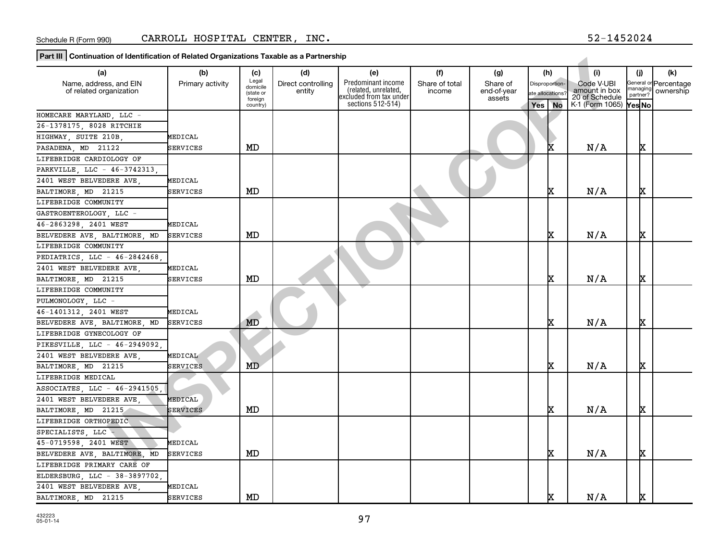**Part III Continuation of Identification of Related Organizations Taxable as a Partnership**

| ן רמו נוון דיסטומוועממטורטו ועפותוווטממטורטו וזפומנפט טו שמווצממטווט ומגמטופ מט מרמו מופרטוווט |                  |                      |                    |                                                 |                |                       |                  |                                 |          |                       |
|------------------------------------------------------------------------------------------------|------------------|----------------------|--------------------|-------------------------------------------------|----------------|-----------------------|------------------|---------------------------------|----------|-----------------------|
| (a)                                                                                            | (b)              | (c)                  | (d)                | (e)                                             | (f)            | (g)                   | (h)              | (i)                             | (i)      | (k)                   |
| Name, address, and EIN                                                                         | Primary activity | Legal<br>domicile    | Direct controlling | Predominant income                              | Share of total | Share of              | Disproportion-   | Code V-UBI                      | managing | General or Percentage |
| of related organization                                                                        |                  | (state or<br>foreign | entity             | (related, unrelated,<br>excluded from tax under | income         | end-of-year<br>assets | ate allocations? | amount in box<br>20 of Schedule | partner? | ownership             |
|                                                                                                |                  | country)             |                    | sections 512-514)                               |                |                       | Yes No           | K-1 (Form 1065) Yes No          |          |                       |
| HOMECARE MARYLAND, LLC -                                                                       |                  |                      |                    |                                                 |                |                       |                  |                                 |          |                       |
| 26-1378175, 8028 RITCHIE                                                                       |                  |                      |                    |                                                 |                |                       |                  |                                 |          |                       |
| HIGHWAY, SUITE 210B,                                                                           | MEDICAL          |                      |                    |                                                 |                |                       |                  |                                 |          |                       |
| PASADENA, MD 21122                                                                             | SERVICES         | MD                   |                    |                                                 |                |                       |                  | N/A                             | x        |                       |
| LIFEBRIDGE CARDIOLOGY OF                                                                       |                  |                      |                    |                                                 |                |                       |                  |                                 |          |                       |
| PARKVILLE, LLC - 46-3742313,                                                                   |                  |                      |                    |                                                 |                |                       |                  |                                 |          |                       |
| 2401 WEST BELVEDERE AVE                                                                        | MEDICAL          |                      |                    |                                                 |                |                       |                  |                                 |          |                       |
| BALTIMORE, MD 21215                                                                            | SERVICES         | MD                   |                    |                                                 |                |                       | x                | N/A                             | x        |                       |
| LIFEBRIDGE COMMUNITY                                                                           |                  |                      |                    |                                                 |                |                       |                  |                                 |          |                       |
| GASTROENTEROLOGY, LLC -                                                                        |                  |                      |                    |                                                 |                |                       |                  |                                 |          |                       |
| 46-2863298, 2401 WEST                                                                          | MEDICAL          |                      |                    |                                                 |                |                       |                  |                                 |          |                       |
| BELVEDERE AVE, BALTIMORE, MD                                                                   | <b>SERVICES</b>  | MD                   |                    |                                                 |                |                       | x                | N/A                             | x        |                       |
| LIFEBRIDGE COMMUNITY                                                                           |                  |                      |                    |                                                 |                |                       |                  |                                 |          |                       |
| PEDIATRICS, LLC - 46-2842468,                                                                  |                  |                      |                    |                                                 |                |                       |                  |                                 |          |                       |
| 2401 WEST BELVEDERE AVE.                                                                       | MEDICAL          |                      |                    |                                                 |                |                       |                  |                                 |          |                       |
| BALTIMORE, MD 21215                                                                            | SERVICES         | MD                   |                    |                                                 |                |                       | x                | N/A                             | x        |                       |
| LIFEBRIDGE COMMUNITY                                                                           |                  |                      |                    |                                                 |                |                       |                  |                                 |          |                       |
| PULMONOLOGY LLC -                                                                              |                  |                      |                    |                                                 |                |                       |                  |                                 |          |                       |
| 46-1401312, 2401 WEST                                                                          | MEDICAL          |                      |                    |                                                 |                |                       |                  |                                 |          |                       |
| BELVEDERE AVE, BALTIMORE, MD                                                                   | SERVICES         | MD                   |                    |                                                 |                |                       | x                | N/A                             | x        |                       |
| LIFEBRIDGE GYNECOLOGY OF                                                                       |                  |                      |                    |                                                 |                |                       |                  |                                 |          |                       |
| PIKESVILLE, LLC - 46-2949092                                                                   |                  |                      |                    |                                                 |                |                       |                  |                                 |          |                       |
| 2401 WEST BELVEDERE AVE,                                                                       | MEDICAL          |                      |                    |                                                 |                |                       |                  |                                 |          |                       |
| BALTIMORE, MD 21215                                                                            | SERVICES         | MD                   |                    |                                                 |                |                       | x                | N/A                             | x        |                       |
| LIFEBRIDGE MEDICAL                                                                             |                  |                      |                    |                                                 |                |                       |                  |                                 |          |                       |
| ASSOCIATES, LLC - 46-2941505                                                                   |                  |                      |                    |                                                 |                |                       |                  |                                 |          |                       |
| 2401 WEST BELVEDERE AVE                                                                        | MEDICAL          |                      |                    |                                                 |                |                       |                  |                                 |          |                       |
| BALTIMORE, MD 21215                                                                            | SERVICES         | MD                   |                    |                                                 |                |                       | x                | N/A                             | х        |                       |
| LIFEBRIDGE ORTHOPEDIC                                                                          |                  |                      |                    |                                                 |                |                       |                  |                                 |          |                       |
| SPECIALISTS, LLC -                                                                             |                  |                      |                    |                                                 |                |                       |                  |                                 |          |                       |
| 45-0719598, 2401 WEST                                                                          | MEDICAL          |                      |                    |                                                 |                |                       |                  |                                 |          |                       |
| BELVEDERE AVE, BALTIMORE, MD                                                                   | <b>SERVICES</b>  | MD                   |                    |                                                 |                |                       | x                | N/A                             | <b>x</b> |                       |
| LIFEBRIDGE PRIMARY CARE OF                                                                     |                  |                      |                    |                                                 |                |                       |                  |                                 |          |                       |
| ELDERSBURG, LLC - 38-3897702,                                                                  |                  |                      |                    |                                                 |                |                       |                  |                                 |          |                       |
| 2401 WEST BELVEDERE AVE                                                                        | MEDICAL          |                      |                    |                                                 |                |                       |                  |                                 |          |                       |
| BALTIMORE, MD 21215                                                                            | SERVICES         | MD                   |                    |                                                 |                |                       | x                | N/A                             | X.       |                       |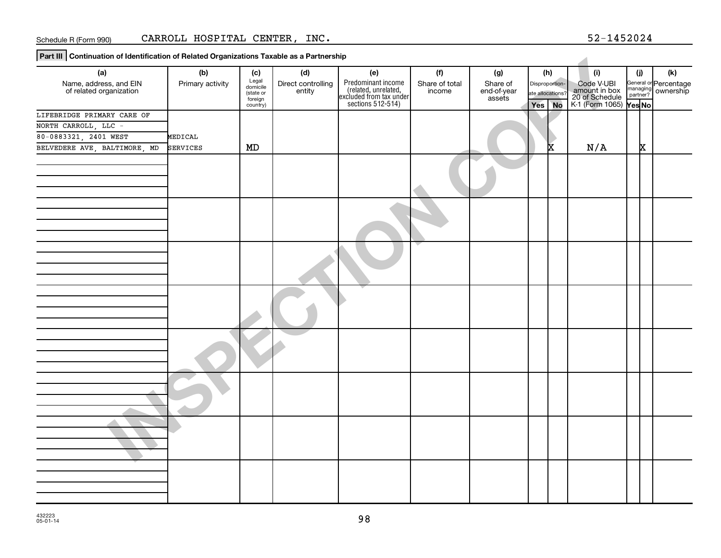**Part III Continuation of Identification of Related Organizations Taxable as a Partnership**

| $\frac{1}{2}$ r at can point in adult of identification of netated organizations Taxable as a r antiferently |                  |                      |                              |                                                                                            |                |                       |                  |                |                                                                            |     |                                                         |
|--------------------------------------------------------------------------------------------------------------|------------------|----------------------|------------------------------|--------------------------------------------------------------------------------------------|----------------|-----------------------|------------------|----------------|----------------------------------------------------------------------------|-----|---------------------------------------------------------|
| (a)                                                                                                          | (b)              | (c)                  | (d)                          | (e)                                                                                        | (f)            | (g)                   |                  | (h)            | (i)                                                                        | (j) | (k)                                                     |
| Name, address, and EIN<br>of related organization                                                            | Primary activity | Legal<br>domicile    | Direct controlling<br>entity |                                                                                            | Share of total | Share of              |                  | Disproportion- |                                                                            |     | General or Percentage<br>managing ownership<br>partner? |
|                                                                                                              |                  | (state or<br>foreign |                              | Predominant income<br>(related, unrelated,<br>excluded from tax under<br>sections 512-514) | income         | end-of-year<br>assets | ate allocations? |                | Code V-UBI<br>amount in box<br>20 of Schedule<br>K-1 (Form 1065)<br>Yes No |     |                                                         |
|                                                                                                              |                  | country)             |                              |                                                                                            |                |                       | Yes No           |                |                                                                            |     |                                                         |
| LIFEBRIDGE PRIMARY CARE OF                                                                                   |                  |                      |                              |                                                                                            |                |                       |                  |                |                                                                            |     |                                                         |
| NORTH CARROLL, LLC -                                                                                         |                  |                      |                              |                                                                                            |                |                       |                  |                |                                                                            |     |                                                         |
| 80-0883321, 2401 WEST                                                                                        | MEDICAL          |                      |                              |                                                                                            |                |                       |                  |                |                                                                            |     |                                                         |
| BELVEDERE AVE, BALTIMORE, MD                                                                                 | <b>SERVICES</b>  | MD                   |                              |                                                                                            |                |                       |                  |                | N/A                                                                        | x   |                                                         |
|                                                                                                              |                  |                      |                              |                                                                                            |                |                       |                  |                |                                                                            |     |                                                         |
|                                                                                                              |                  |                      |                              |                                                                                            |                |                       |                  |                |                                                                            |     |                                                         |
|                                                                                                              |                  |                      |                              |                                                                                            |                |                       |                  |                |                                                                            |     |                                                         |
|                                                                                                              |                  |                      |                              |                                                                                            |                |                       |                  |                |                                                                            |     |                                                         |
|                                                                                                              |                  |                      |                              |                                                                                            |                |                       |                  |                |                                                                            |     |                                                         |
|                                                                                                              |                  |                      |                              |                                                                                            |                |                       |                  |                |                                                                            |     |                                                         |
|                                                                                                              |                  |                      |                              |                                                                                            |                |                       |                  |                |                                                                            |     |                                                         |
|                                                                                                              |                  |                      |                              |                                                                                            |                |                       |                  |                |                                                                            |     |                                                         |
|                                                                                                              |                  |                      |                              |                                                                                            |                |                       |                  |                |                                                                            |     |                                                         |
|                                                                                                              |                  |                      |                              |                                                                                            |                |                       |                  |                |                                                                            |     |                                                         |
|                                                                                                              |                  |                      |                              |                                                                                            |                |                       |                  |                |                                                                            |     |                                                         |
|                                                                                                              |                  |                      |                              |                                                                                            |                |                       |                  |                |                                                                            |     |                                                         |
|                                                                                                              |                  |                      |                              |                                                                                            |                |                       |                  |                |                                                                            |     |                                                         |
|                                                                                                              |                  |                      |                              |                                                                                            |                |                       |                  |                |                                                                            |     |                                                         |
|                                                                                                              |                  |                      |                              |                                                                                            |                |                       |                  |                |                                                                            |     |                                                         |
|                                                                                                              |                  |                      |                              |                                                                                            |                |                       |                  |                |                                                                            |     |                                                         |
|                                                                                                              |                  |                      |                              |                                                                                            |                |                       |                  |                |                                                                            |     |                                                         |
|                                                                                                              |                  |                      |                              |                                                                                            |                |                       |                  |                |                                                                            |     |                                                         |
|                                                                                                              |                  |                      |                              |                                                                                            |                |                       |                  |                |                                                                            |     |                                                         |
|                                                                                                              |                  |                      |                              |                                                                                            |                |                       |                  |                |                                                                            |     |                                                         |
|                                                                                                              |                  |                      |                              |                                                                                            |                |                       |                  |                |                                                                            |     |                                                         |
|                                                                                                              |                  |                      |                              |                                                                                            |                |                       |                  |                |                                                                            |     |                                                         |
|                                                                                                              |                  |                      |                              |                                                                                            |                |                       |                  |                |                                                                            |     |                                                         |
|                                                                                                              |                  |                      |                              |                                                                                            |                |                       |                  |                |                                                                            |     |                                                         |
|                                                                                                              |                  |                      |                              |                                                                                            |                |                       |                  |                |                                                                            |     |                                                         |
|                                                                                                              |                  |                      |                              |                                                                                            |                |                       |                  |                |                                                                            |     |                                                         |
|                                                                                                              |                  |                      |                              |                                                                                            |                |                       |                  |                |                                                                            |     |                                                         |
|                                                                                                              |                  |                      |                              |                                                                                            |                |                       |                  |                |                                                                            |     |                                                         |
|                                                                                                              |                  |                      |                              |                                                                                            |                |                       |                  |                |                                                                            |     |                                                         |
|                                                                                                              |                  |                      |                              |                                                                                            |                |                       |                  |                |                                                                            |     |                                                         |
|                                                                                                              |                  |                      |                              |                                                                                            |                |                       |                  |                |                                                                            |     |                                                         |
|                                                                                                              |                  |                      |                              |                                                                                            |                |                       |                  |                |                                                                            |     |                                                         |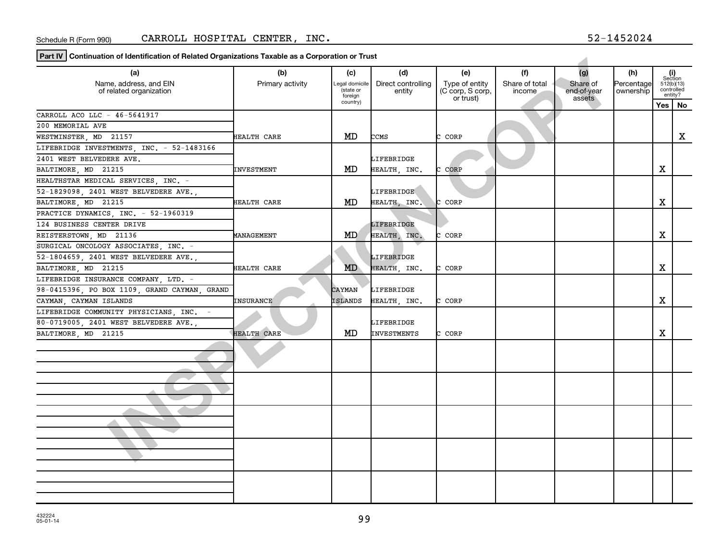**Part IV Continuation of Identification of Related Organizations Taxable as a Corporation or Trust**

| (a)                                               | (b)                | (c)                         | (d)                          | (e)                                | (f)            | (g)                     | (h)                     |                                                                                                   |    |
|---------------------------------------------------|--------------------|-----------------------------|------------------------------|------------------------------------|----------------|-------------------------|-------------------------|---------------------------------------------------------------------------------------------------|----|
| Name, address, and EIN<br>of related organization | Primary activity   | Legal domicile<br>(state or | Direct controlling<br>entity | Type of entity<br>(C corp, S corp, | Share of total | Share of<br>end-of-year | Percentage<br>ownership | (i)<br>Section<br>512(b)(13)<br>controlled<br>entity?<br>Yes  <br>х<br>х<br>X<br>X<br>X<br>X<br>X |    |
|                                                   |                    | foreign<br>country)         |                              | or trust)                          | income         | assets                  |                         |                                                                                                   |    |
|                                                   |                    |                             |                              |                                    |                |                         |                         |                                                                                                   | No |
| CARROLL ACO LLC - 46-5641917                      |                    |                             |                              |                                    |                |                         |                         |                                                                                                   |    |
| 200 MEMORIAL AVE                                  |                    |                             |                              |                                    |                |                         |                         |                                                                                                   |    |
| WESTMINSTER, MD 21157                             | HEALTH CARE        | MD                          | CCMS                         | C CORP                             |                |                         |                         |                                                                                                   |    |
| LIFEBRIDGE INVESTMENTS, INC. - 52-1483166         |                    |                             |                              |                                    |                |                         |                         |                                                                                                   |    |
| 2401 WEST BELVEDERE AVE.                          |                    |                             | LIFEBRIDGE                   |                                    |                |                         |                         |                                                                                                   |    |
| BALTIMORE MD 21215                                | INVESTMENT         | MD                          | HEALTH, INC.                 | C CORP                             |                |                         |                         |                                                                                                   |    |
| HEALTHSTAR MEDICAL SERVICES, INC. -               |                    |                             |                              |                                    |                |                         |                         |                                                                                                   |    |
| 52-1829098, 2401 WEST BELVEDERE AVE.,             |                    |                             | LIFEBRIDGE                   |                                    |                |                         |                         |                                                                                                   |    |
| BALTIMORE MD 21215                                | HEALTH CARE        | MD                          | HEALTH, INC.                 | C CORP                             |                |                         |                         |                                                                                                   |    |
| PRACTICE DYNAMICS, INC. - 52-1960319              |                    |                             |                              |                                    |                |                         |                         |                                                                                                   |    |
| 124 BUSINESS CENTER DRIVE                         |                    |                             | <b>LIFEBRIDGE</b>            |                                    |                |                         |                         |                                                                                                   |    |
| REISTERSTOWN, MD 21136                            | MANAGEMENT         | MD.                         | HEALTH, INC.                 | CORP<br>c.                         |                |                         |                         |                                                                                                   |    |
| SURGICAL ONCOLOGY ASSOCIATES, INC. -              |                    |                             |                              |                                    |                |                         |                         |                                                                                                   |    |
| 52-1804659, 2401 WEST BELVEDERE AVE.,             |                    |                             | LIFEBRIDGE                   |                                    |                |                         |                         |                                                                                                   |    |
| BALTIMORE, MD 21215                               | HEALTH CARE        | MD                          | HEALTH, INC.                 | C CORP                             |                |                         |                         |                                                                                                   |    |
| LIFEBRIDGE INSURANCE COMPANY, LTD. -              |                    |                             |                              |                                    |                |                         |                         |                                                                                                   |    |
| 98-0415396, PO BOX 1109, GRAND CAYMAN, GRAND      |                    | CAYMAN                      | LIFEBRIDGE                   |                                    |                |                         |                         |                                                                                                   |    |
| CAYMAN, CAYMAN ISLANDS                            | INSURANCE          | ISLANDS                     | HEALTH, INC.                 | C CORP                             |                |                         |                         |                                                                                                   |    |
| LIFEBRIDGE COMMUNITY PHYSICIANS, INC.             |                    |                             |                              |                                    |                |                         |                         |                                                                                                   |    |
| 80-0719005, 2401 WEST BELVEDERE AVE.,             |                    |                             | LIFEBRIDGE                   |                                    |                |                         |                         |                                                                                                   |    |
| BALTIMORE, MD 21215                               | <b>HEALTH CARE</b> | MD                          | INVESTMENTS                  | C CORP                             |                |                         |                         |                                                                                                   |    |
|                                                   |                    |                             |                              |                                    |                |                         |                         |                                                                                                   |    |
|                                                   |                    |                             |                              |                                    |                |                         |                         |                                                                                                   |    |
|                                                   |                    |                             |                              |                                    |                |                         |                         |                                                                                                   |    |
|                                                   |                    |                             |                              |                                    |                |                         |                         |                                                                                                   |    |
|                                                   |                    |                             |                              |                                    |                |                         |                         |                                                                                                   |    |
|                                                   |                    |                             |                              |                                    |                |                         |                         |                                                                                                   |    |
|                                                   |                    |                             |                              |                                    |                |                         |                         |                                                                                                   |    |
|                                                   |                    |                             |                              |                                    |                |                         |                         |                                                                                                   |    |
|                                                   |                    |                             |                              |                                    |                |                         |                         |                                                                                                   |    |
|                                                   |                    |                             |                              |                                    |                |                         |                         |                                                                                                   |    |
|                                                   |                    |                             |                              |                                    |                |                         |                         |                                                                                                   |    |
|                                                   |                    |                             |                              |                                    |                |                         |                         |                                                                                                   |    |
|                                                   |                    |                             |                              |                                    |                |                         |                         |                                                                                                   |    |
|                                                   |                    |                             |                              |                                    |                |                         |                         |                                                                                                   |    |
|                                                   |                    |                             |                              |                                    |                |                         |                         |                                                                                                   |    |
|                                                   |                    |                             |                              |                                    |                |                         |                         |                                                                                                   |    |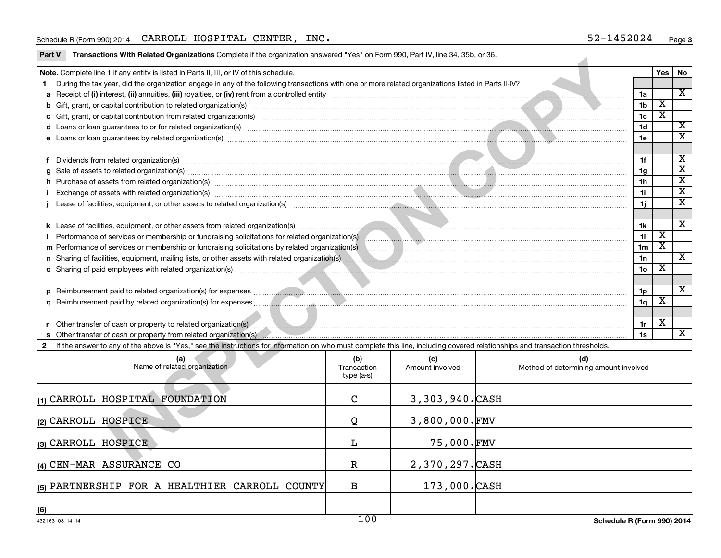#### Schedule R (Form 990) 2014 Page CARROLL HOSPITAL CENTER, INC. 52-1452024

Part V Transactions With Related Organizations Complete if the organization answered "Yes" on Form 990, Part IV, line 34, 35b, or 36.

(4) CEN-MAR ASSURANCE CO **R** 2,370,297.CASH

**(5)** PARTNERSHIP FOR A HEALTHIER CARROLL COUNTY B 173,000.CASH

| Note. Complete line 1 if any entity is listed in Parts II, III, or IV of this schedule.                                                                                                                                        |                                  |                        |                                              |                 | Yes                     | No                      |
|--------------------------------------------------------------------------------------------------------------------------------------------------------------------------------------------------------------------------------|----------------------------------|------------------------|----------------------------------------------|-----------------|-------------------------|-------------------------|
| During the tax year, did the organization engage in any of the following transactions with one or more related organizations listed in Parts II-IV?                                                                            |                                  |                        |                                              |                 |                         |                         |
|                                                                                                                                                                                                                                |                                  |                        |                                              | 1a              |                         | $\mathbf{x}$            |
| b Gift, grant, or capital contribution to related organization(s) encourance contained and contribution to related organization(s) encourance contained and contribution to related organization(s) encourance contained and c |                                  |                        |                                              | 1 <sub>b</sub>  | $\overline{\mathbf{X}}$ |                         |
| c Gift, grant, or capital contribution from related organization(s) material content to contribution from related organization(s) material contribution from related organization(s) material contribution contribution of the |                                  |                        |                                              | 1c              | $\overline{\mathbf{X}}$ |                         |
|                                                                                                                                                                                                                                |                                  |                        |                                              | 1d              |                         | $\overline{\mathbf{x}}$ |
| e Loans or loan guarantees by related organization(s) material content and content and content and content and content and content and content and content and content and content and content and content and content and con |                                  |                        |                                              | 1e              |                         | $\overline{\texttt{x}}$ |
|                                                                                                                                                                                                                                |                                  |                        |                                              |                 |                         |                         |
| f Dividends from related organization(s) manufactured and contract the contract of the contract of the contract of the contract of the contract of the contract of the contract of the contract of the contract of the contrac |                                  |                        |                                              | 1f              |                         | Х                       |
| Sale of assets to related organization(s) www.assettion.com/www.assettion.com/www.assettion.com/www.assettion.com/www.assettion.com/www.assettion.com/www.assettion.com/www.assettion.com/www.assettion.com/www.assettion.com/ |                                  |                        |                                              | 1q              |                         | $\overline{\mathtt{x}}$ |
| h Purchase of assets from related organization(s) manufactured and content and content and content and content and content and content and content and content and content and content and content and content and content and |                                  |                        |                                              | 1 <sub>h</sub>  |                         | $\overline{\mathtt{x}}$ |
| Exchange of assets with related organization(s) www.assettion.com/www.assettion.com/www.assettion.com/www.assettion.com/www.assettion.com/www.assettion.com/www.assettion.com/www.assettion.com/www.assettion.com/www.assettio |                                  |                        |                                              | 1i.             |                         | $\overline{\mathtt{x}}$ |
|                                                                                                                                                                                                                                |                                  |                        |                                              | 1i.             |                         | $\overline{\mathbf{x}}$ |
|                                                                                                                                                                                                                                |                                  |                        |                                              |                 |                         |                         |
| k Lease of facilities, equipment, or other assets from related organization(s) manufactured and the manufactured and the manufactured and the manufactured and the manufactured and the manufactured and the manufactured and  |                                  |                        |                                              | 1k              |                         | x                       |
|                                                                                                                                                                                                                                |                                  |                        |                                              | 11              | $\overline{\mathbf{X}}$ |                         |
| m Performance of services or membership or fundraising solicitations by related organization(s)                                                                                                                                |                                  |                        |                                              | 1 <sub>m</sub>  | $\mathbf{x}$            |                         |
|                                                                                                                                                                                                                                |                                  |                        |                                              | 1n              |                         | $\overline{\mathbf{x}}$ |
| o Sharing of paid employees with related organization(s) manufactured and contact the control of the control of the control of the control of the control of the control of the control of the control of the control of the c |                                  |                        |                                              | 10 <sub>o</sub> | $\overline{\mathbf{X}}$ |                         |
|                                                                                                                                                                                                                                |                                  |                        |                                              |                 |                         |                         |
|                                                                                                                                                                                                                                |                                  |                        |                                              | 1p              |                         | X                       |
|                                                                                                                                                                                                                                |                                  |                        |                                              | 1 <sub>q</sub>  | х                       |                         |
|                                                                                                                                                                                                                                |                                  |                        |                                              |                 |                         |                         |
| r Other transfer of cash or property to related organization(s) And the material content of the content of the content of the content of the content of the content of the content of the content of the content of the conten |                                  |                        |                                              | 1r              | X                       |                         |
|                                                                                                                                                                                                                                |                                  |                        |                                              | 1s              |                         | $\overline{\mathbf{x}}$ |
| 2 If the answer to any of the above is "Yes," see the instructions for information on who must complete this line, including covered relationships and transaction thresholds.                                                 |                                  |                        |                                              |                 |                         |                         |
| (a)<br>Name of related organization                                                                                                                                                                                            | (b)<br>Transaction<br>type (a-s) | (c)<br>Amount involved | (d)<br>Method of determining amount involved |                 |                         |                         |
| (1) CARROLL HOSPITAL FOUNDATION                                                                                                                                                                                                | C                                | 3,303,940.CASH         |                                              |                 |                         |                         |
| (2) CARROLL HOSPICE                                                                                                                                                                                                            | Q                                | $3,800,000$ . FMV      |                                              |                 |                         |                         |
| (3) CARROLL HOSPICE                                                                                                                                                                                                            | L                                | 75,000.FMV             |                                              |                 |                         |                         |
| $\cdots$ $\cdots$ $\cdots$                                                                                                                                                                                                     |                                  | $0.250.005$ $\sim$     |                                              |                 |                         |                         |

**(6)**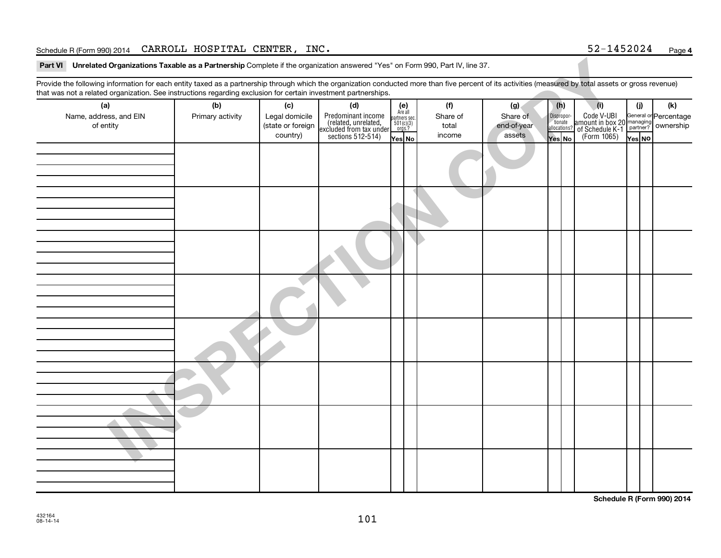### Schedule R (Form 990) 2014 Page CARROLL HOSPITAL CENTER, INC. 52-1452024

| Part VI Unrelated Organizations Taxable as a Partnership Complete if the organization answered "Yes" on Form 990, Part IV, line 37.                                                                    |                         |                                                        |                                                                                                  |                                                          |                                    |                                          |                                              |                                                                                                      |        |                                           |
|--------------------------------------------------------------------------------------------------------------------------------------------------------------------------------------------------------|-------------------------|--------------------------------------------------------|--------------------------------------------------------------------------------------------------|----------------------------------------------------------|------------------------------------|------------------------------------------|----------------------------------------------|------------------------------------------------------------------------------------------------------|--------|-------------------------------------------|
| Provide the following information for each entity taxed as a partnership through which the organization conducted more than five percent of its activities (measured by total assets or gross revenue) |                         |                                                        |                                                                                                  |                                                          |                                    |                                          |                                              |                                                                                                      |        |                                           |
| that was not a related organization. See instructions regarding exclusion for certain investment partnerships.                                                                                         |                         |                                                        |                                                                                                  |                                                          |                                    |                                          |                                              |                                                                                                      |        |                                           |
| (a)<br>Name, address, and EIN<br>of entity                                                                                                                                                             | (b)<br>Primary activity | (c)<br>Legal domicile<br>(state or foreign<br>country) | (d)<br>Predominant income<br>related, unrelated,<br>excluded from tax under<br>sections 512-514) | $(e)$<br>Are all<br>partners sec.<br>501(c)(3)<br>orgs.? | (f)<br>Share of<br>total<br>income | (g)<br>Share of<br>end-of-year<br>assets | (h)<br>Dispropor-<br>tionate<br>allocations? | (i)<br>Code V-UBI General or<br>amount in box 20 managing<br>of Schedule K-1 partner?<br>(Form 1065) | (j)    | (k)<br>General or Percentage<br>ownership |
|                                                                                                                                                                                                        |                         |                                                        |                                                                                                  | Yes No                                                   |                                    |                                          | Yes No                                       |                                                                                                      | Yes NO |                                           |
|                                                                                                                                                                                                        |                         |                                                        |                                                                                                  |                                                          |                                    |                                          |                                              |                                                                                                      |        |                                           |
|                                                                                                                                                                                                        |                         |                                                        |                                                                                                  |                                                          |                                    |                                          |                                              |                                                                                                      |        |                                           |
|                                                                                                                                                                                                        |                         |                                                        |                                                                                                  |                                                          |                                    |                                          |                                              |                                                                                                      |        |                                           |
|                                                                                                                                                                                                        |                         |                                                        |                                                                                                  |                                                          |                                    |                                          |                                              |                                                                                                      |        |                                           |
|                                                                                                                                                                                                        |                         |                                                        |                                                                                                  |                                                          |                                    |                                          |                                              |                                                                                                      |        |                                           |
|                                                                                                                                                                                                        |                         |                                                        |                                                                                                  |                                                          |                                    |                                          |                                              |                                                                                                      |        |                                           |
|                                                                                                                                                                                                        |                         |                                                        |                                                                                                  |                                                          |                                    |                                          |                                              |                                                                                                      |        |                                           |

**Schedule R (Form 990) 2014**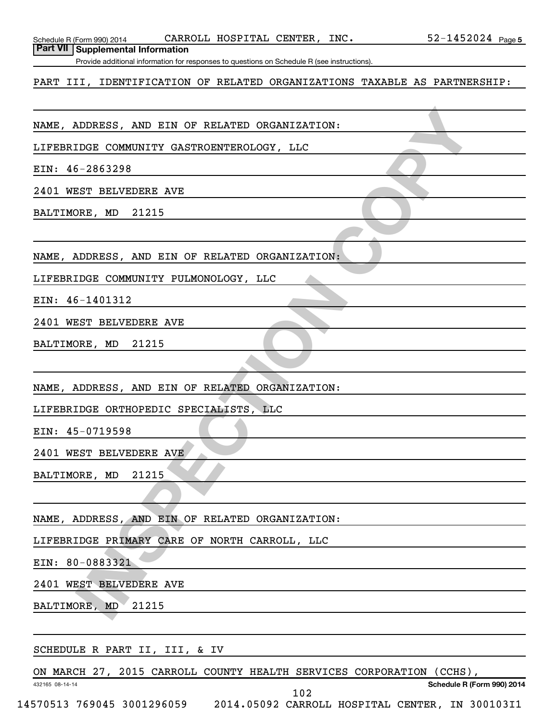| Schedule R (Form 990) 2014 |  |
|----------------------------|--|
|----------------------------|--|

Schedule R (Form 990) 2014 CARROLL HOSPITAL CENTER , INC .  $52-1452024$   $_{\rm Page}$ 

**Part VII Supplemental Information**

Provide additional information for responses to questions on Schedule R (see instructions).

#### PART III, IDENTIFICATION OF RELATED ORGANIZATIONS TAXABLE AS PARTNERSHIP:

NAME, ADDRESS, AND EIN OF RELATED ORGANIZATION:

LIFEBRIDGE COMMUNITY GASTROENTEROLOGY, LLC

EIN: 46-2863298

2401 WEST BELVEDERE AVE

BALTIMORE, MD 21215

NAME, ADDRESS, AND EIN OF RELATED ORGANIZATION:

LIFEBRIDGE COMMUNITY PULMONOLOGY, LLC

EIN: 46-1401312

2401 WEST BELVEDERE AVE

BALTIMORE, MD 21215

ADDEESS, AND EIN OF RELATED ORGANIZATION:<br>
IDGE COMMUNITY GASTROENTEROLOGY, LLC<br>
5-2863298<br>
SST BELVEDERE AVE<br>
NEDRESS, AND EIN OF RELATED ORGANIZATION:<br>
IDGE COMMUNITY FULMONOLOGY, LLC<br>
5-1401312<br>
SST BELVEDERE AVE<br>
DRES, NAME, ADDRESS, AND EIN OF RELATED ORGANIZATION:

LIFEBRIDGE ORTHOPEDIC SPECIALISTS, LLC

EIN: 45-0719598

2401 WEST BELVEDERE AVE

BALTIMORE, MD 21215

NAME, ADDRESS, AND EIN OF RELATED ORGANIZATION:

LIFEBRIDGE PRIMARY CARE OF NORTH CARROLL, LLC

EIN: 80-0883321

432165 08-14-14

2401 WEST BELVEDERE AVE

BALTIMORE, MD 21215

#### SCHEDULE R PART II, III, & IV

ON MARCH 27, 2015 CARROLL COUNTY HEALTH SERVICES CORPORATION (CCHS),

**Schedule R (Form 990) 2014**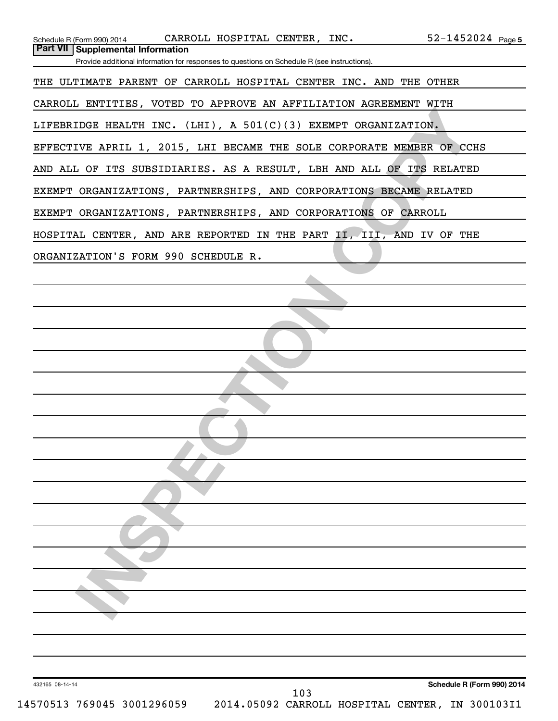| <b>Part VII   Supplemental Information</b><br>Provide additional information for responses to questions on Schedule R (see instructions).<br>THE ULTIMATE PARENT OF CARROLL HOSPITAL CENTER INC. AND THE OTHER<br>CARROLL ENTITIES, VOTED TO APPROVE AN AFFILIATION AGREEMENT WITH |  |
|------------------------------------------------------------------------------------------------------------------------------------------------------------------------------------------------------------------------------------------------------------------------------------|--|
|                                                                                                                                                                                                                                                                                    |  |
|                                                                                                                                                                                                                                                                                    |  |
|                                                                                                                                                                                                                                                                                    |  |
| LIFEBRIDGE HEALTH INC. (LHI), A $501(C)(3)$ EXEMPT ORGANIZATION.                                                                                                                                                                                                                   |  |
| EFFECTIVE APRIL 1, 2015, LHI BECAME THE SOLE CORPORATE MEMBER OF CCHS                                                                                                                                                                                                              |  |
| AND ALL OF ITS SUBSIDIARIES. AS A RESULT, LBH AND ALL OF ITS RELATED                                                                                                                                                                                                               |  |
| EXEMPT ORGANIZATIONS, PARTNERSHIPS, AND CORPORATIONS BECAME RELATED                                                                                                                                                                                                                |  |
| EXEMPT ORGANIZATIONS, PARTNERSHIPS, AND CORPORATIONS OF CARROLL                                                                                                                                                                                                                    |  |
| HOSPITAL CENTER, AND ARE REPORTED IN THE PART II, III, AND IV OF THE<br>ORGANIZATION'S FORM 990 SCHEDULE R.                                                                                                                                                                        |  |
|                                                                                                                                                                                                                                                                                    |  |
|                                                                                                                                                                                                                                                                                    |  |
|                                                                                                                                                                                                                                                                                    |  |
|                                                                                                                                                                                                                                                                                    |  |
|                                                                                                                                                                                                                                                                                    |  |
|                                                                                                                                                                                                                                                                                    |  |
|                                                                                                                                                                                                                                                                                    |  |
|                                                                                                                                                                                                                                                                                    |  |
|                                                                                                                                                                                                                                                                                    |  |
|                                                                                                                                                                                                                                                                                    |  |
|                                                                                                                                                                                                                                                                                    |  |
|                                                                                                                                                                                                                                                                                    |  |
|                                                                                                                                                                                                                                                                                    |  |
|                                                                                                                                                                                                                                                                                    |  |
|                                                                                                                                                                                                                                                                                    |  |
|                                                                                                                                                                                                                                                                                    |  |
|                                                                                                                                                                                                                                                                                    |  |
|                                                                                                                                                                                                                                                                                    |  |
|                                                                                                                                                                                                                                                                                    |  |
| Schedule R (Form 990) 2014<br>432165 08-14-14<br>103<br>14570513 769045 3001296059<br>2014.05092 CARROLL HOSPITAL CENTER, IN 300103I1                                                                                                                                              |  |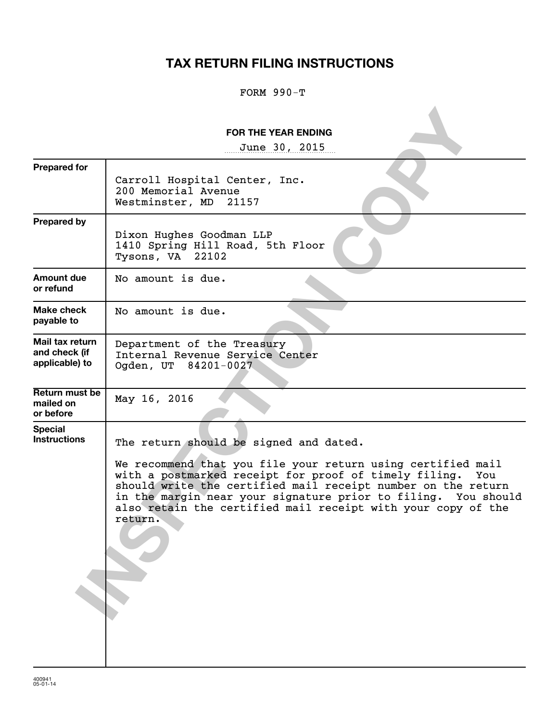## **TAX RETURN FILING INSTRUCTIONS**

#### FORM 990-T

|                                                    | <b>FOR THE YEAR ENDING</b>                                                                                                                                                                                                                                                                                                                                                        |
|----------------------------------------------------|-----------------------------------------------------------------------------------------------------------------------------------------------------------------------------------------------------------------------------------------------------------------------------------------------------------------------------------------------------------------------------------|
|                                                    | June 30, 2015                                                                                                                                                                                                                                                                                                                                                                     |
| <b>Prepared for</b>                                | Carroll Hospital Center, Inc.<br>200 Memorial Avenue<br>Westminster, MD<br>21157                                                                                                                                                                                                                                                                                                  |
| <b>Prepared by</b>                                 | Dixon Hughes Goodman LLP<br>1410 Spring Hill Road, 5th Floor<br>Tysons, VA 22102                                                                                                                                                                                                                                                                                                  |
| Amount due<br>or refund                            | No amount is due.                                                                                                                                                                                                                                                                                                                                                                 |
| Make check<br>payable to                           | No amount is due.                                                                                                                                                                                                                                                                                                                                                                 |
| Mail tax return<br>and check (if<br>applicable) to | Department of the Treasury<br>Internal Revenue Service Center<br>Ogden, UT 84201-0027                                                                                                                                                                                                                                                                                             |
| Return must be<br>mailed on<br>or before           | May 16, 2016                                                                                                                                                                                                                                                                                                                                                                      |
| <b>Special</b><br><b>Instructions</b>              | The return should be signed and dated.<br>We recommend that you file your return using certified mail<br>with a postmarked receipt for proof of timely filing.<br>You<br>should write the certified mail receipt number on the return<br>in the margin near your signature prior to filing. You should<br>also retain the certified mail receipt with your copy of the<br>return. |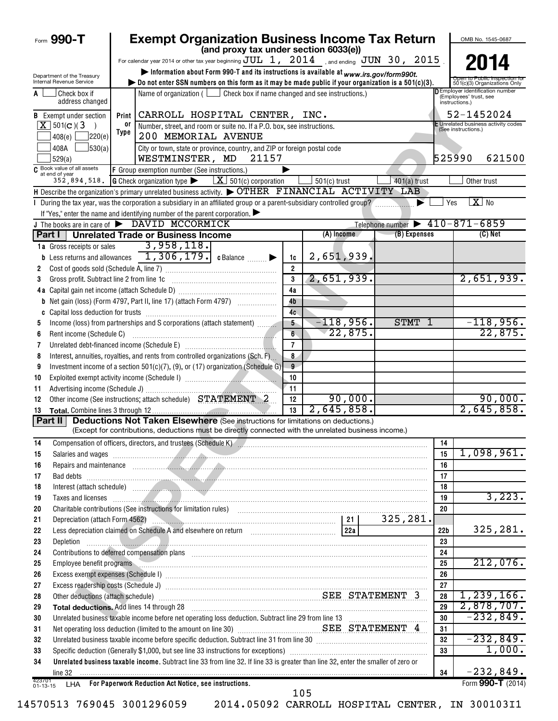| Form 990-T                                             |                                                                                                                                                     |       | <b>Exempt Organization Business Income Tax Return</b>                                                                                                                                                                                |                                                                                         |                |                |              |                                                |                 |                                          | OMB No. 1545-0687                                            |
|--------------------------------------------------------|-----------------------------------------------------------------------------------------------------------------------------------------------------|-------|--------------------------------------------------------------------------------------------------------------------------------------------------------------------------------------------------------------------------------------|-----------------------------------------------------------------------------------------|----------------|----------------|--------------|------------------------------------------------|-----------------|------------------------------------------|--------------------------------------------------------------|
|                                                        | (and proxy tax under section 6033(e))<br>For calendar year 2014 or other tax year beginning $\text{JUL}$ 1, 2014 , and ending $\text{JUN}$ 30, 2015 |       |                                                                                                                                                                                                                                      |                                                                                         |                |                |              |                                                |                 |                                          |                                                              |
|                                                        |                                                                                                                                                     |       |                                                                                                                                                                                                                                      |                                                                                         |                |                |              |                                                |                 |                                          | 2014                                                         |
| Department of the Treasury<br>Internal Revenue Service |                                                                                                                                                     |       | bo not enter SSN numbers on this form as it may be made public if your organization is a $501(c)(3)$ .                                                                                                                               | Information about Form 990-T and its instructions is available at www.irs.gov/form990t. |                |                |              |                                                |                 |                                          | Open to Public Inspection to<br>501(c)(3) Organizations Only |
| Check box if<br>A                                      | address changed                                                                                                                                     |       |                                                                                                                                                                                                                                      | Name of organization ( $\Box$ Check box if name changed and see instructions.)          |                |                |              |                                                |                 | (Employees' trust, see<br>instructions.) | D Employer identification number                             |
| <b>B</b> Exempt under section                          |                                                                                                                                                     | Print | CARROLL HOSPITAL CENTER, INC.                                                                                                                                                                                                        |                                                                                         |                |                |              |                                                |                 |                                          | 52-1452024                                                   |
| $X$ 501(c)(3)                                          | $\rightarrow$                                                                                                                                       | 0ľ    | Number, street, and room or suite no. If a P.O. box, see instructions.                                                                                                                                                               |                                                                                         |                |                |              |                                                |                 | (See instructions.)                      | Unrelated business activity codes                            |
| 408(e)                                                 | ]220(e)                                                                                                                                             | Type  | 200 MEMORIAL AVENUE                                                                                                                                                                                                                  |                                                                                         |                |                |              |                                                |                 |                                          |                                                              |
| 408A<br>529(a)                                         | 530(a)                                                                                                                                              |       | City or town, state or province, country, and ZIP or foreign postal code<br>WESTMINSTER, MD                                                                                                                                          | 21157                                                                                   |                |                |              |                                                | 525990          |                                          | 621500                                                       |
| C Book value of all assets<br>at end of year           |                                                                                                                                                     |       | F Group exemption number (See instructions.)                                                                                                                                                                                         |                                                                                         |                |                |              |                                                |                 |                                          |                                                              |
|                                                        |                                                                                                                                                     |       | 352, 894, 518. G Check organization type $\blacktriangleright$ $\boxed{X}$ 501(c) corporation                                                                                                                                        |                                                                                         |                | $501(c)$ trust |              | $401(a)$ trust                                 |                 | Other trust                              |                                                              |
|                                                        |                                                                                                                                                     |       | H Describe the organization's primary unrelated business activity. $\blacktriangleright$ OTHER FINANCIAL ACTIVITY LAB                                                                                                                |                                                                                         |                |                |              |                                                |                 |                                          |                                                              |
|                                                        |                                                                                                                                                     |       | I During the tax year, was the corporation a subsidiary in an affiliated group or a parent-subsidiary controlled group?                                                                                                              |                                                                                         |                |                |              |                                                | Yes             | $X_{0}$                                  |                                                              |
|                                                        |                                                                                                                                                     |       | If "Yes," enter the name and identifying number of the parent corporation. $\blacktriangleright$                                                                                                                                     |                                                                                         |                |                |              |                                                |                 |                                          |                                                              |
|                                                        |                                                                                                                                                     |       | J The books are in care of DAVID MCCORMICK                                                                                                                                                                                           |                                                                                         |                |                |              | Telephone number $\triangleright$ 410-871-6859 |                 |                                          |                                                              |
|                                                        |                                                                                                                                                     |       | <b>Part I</b> Unrelated Trade or Business Income                                                                                                                                                                                     |                                                                                         |                | $(A)$ Income   |              | (B) Expenses                                   |                 |                                          | $(C)$ Net                                                    |
| 1a Gross receipts or sales                             |                                                                                                                                                     |       | 3,958,118.                                                                                                                                                                                                                           |                                                                                         |                |                |              |                                                |                 |                                          |                                                              |
|                                                        |                                                                                                                                                     |       | <b>b</b> Less returns and allowances $\boxed{1,306,179}$ c Balance $\boxed{\phantom{1}}$                                                                                                                                             |                                                                                         | 1c             | 2,651,939,     |              |                                                |                 |                                          |                                                              |
| 2                                                      |                                                                                                                                                     |       |                                                                                                                                                                                                                                      |                                                                                         | $\overline{2}$ |                |              |                                                |                 |                                          |                                                              |
| 3                                                      | Gross profit. Subtract line 2 from line 1c                                                                                                          |       |                                                                                                                                                                                                                                      |                                                                                         | 3              | 2,651,939.     |              |                                                |                 |                                          | 2,651,939.                                                   |
|                                                        |                                                                                                                                                     |       |                                                                                                                                                                                                                                      |                                                                                         | 4a             |                |              |                                                |                 |                                          |                                                              |
|                                                        |                                                                                                                                                     |       | <b>b</b> Net gain (loss) (Form 4797, Part II, line 17) (attach Form 4797)                                                                                                                                                            |                                                                                         | 4 <sub>b</sub> |                |              |                                                |                 |                                          |                                                              |
| C                                                      |                                                                                                                                                     |       |                                                                                                                                                                                                                                      |                                                                                         | 4c             |                |              |                                                |                 |                                          |                                                              |
| 5                                                      |                                                                                                                                                     |       | Income (loss) from partnerships and S corporations (attach statement)                                                                                                                                                                |                                                                                         | 5              |                | $-118,956$ . | STMT 1                                         |                 |                                          | $-118,956.$                                                  |
| 6                                                      | Rent income (Schedule C)                                                                                                                            |       |                                                                                                                                                                                                                                      |                                                                                         | $6^{\circ}$    |                | 22,875.      |                                                |                 |                                          | 22,875.                                                      |
| 7                                                      |                                                                                                                                                     |       |                                                                                                                                                                                                                                      |                                                                                         | $\overline{7}$ |                |              |                                                |                 |                                          |                                                              |
| 8                                                      |                                                                                                                                                     |       | Interest, annuities, royalties, and rents from controlled organizations (Sch. F)                                                                                                                                                     |                                                                                         | 8              |                |              |                                                |                 |                                          |                                                              |
| 9                                                      |                                                                                                                                                     |       | Investment income of a section 501(c)(7), (9), or (17) organization (Schedule G)                                                                                                                                                     |                                                                                         | 9              |                |              |                                                |                 |                                          |                                                              |
| 10                                                     |                                                                                                                                                     |       |                                                                                                                                                                                                                                      |                                                                                         | 10             |                |              |                                                |                 |                                          |                                                              |
| 11                                                     |                                                                                                                                                     |       |                                                                                                                                                                                                                                      |                                                                                         | 11             |                | 90,000.      |                                                |                 |                                          |                                                              |
| 12                                                     |                                                                                                                                                     |       | Other income (See instructions; attach schedule) STATEMENT 2                                                                                                                                                                         |                                                                                         | 12             | 2,645,858.     |              |                                                |                 |                                          | 90,000.<br>2,645,858.                                        |
| 13<br>Part II                                          |                                                                                                                                                     |       | <b>Deductions Not Taken Elsewhere (See instructions for limitations on deductions.)</b>                                                                                                                                              |                                                                                         | 13             |                |              |                                                |                 |                                          |                                                              |
|                                                        |                                                                                                                                                     |       | (Except for contributions, deductions must be directly connected with the unrelated business income.)                                                                                                                                |                                                                                         |                |                |              |                                                |                 |                                          |                                                              |
| 14                                                     |                                                                                                                                                     |       |                                                                                                                                                                                                                                      |                                                                                         |                |                |              |                                                | 14              |                                          |                                                              |
| 15                                                     |                                                                                                                                                     |       | Salaries and wages <b>continuum and the contract of the contract of the contract of the contract of the contract of the contract of the contract of the contract of the contract of the contract of the contract of the contract</b> |                                                                                         |                |                |              |                                                | 15              |                                          | 1,098,961.                                                   |
| 16                                                     |                                                                                                                                                     |       | Repairs and maintenance <i>communications</i> and contract the contract of the contract of the contract of the contract of the contract of the contract of the contract of the contract of the contract of the contract of the cont  |                                                                                         |                |                |              |                                                | 16              |                                          |                                                              |
| 17                                                     |                                                                                                                                                     |       | Bad debts <b>contract the contract of the contract of the contract of the contract of the contract of the contract of the contract of the contract of the contract of the contract of the contract of the contract of the contra</b> |                                                                                         |                |                |              |                                                | 17              |                                          |                                                              |
| 18                                                     |                                                                                                                                                     |       |                                                                                                                                                                                                                                      |                                                                                         |                |                |              |                                                | 18              |                                          |                                                              |
| 19                                                     |                                                                                                                                                     |       | Taxes and licenses <b>contract the contract of the contract of the contract of the contract of the contract of the contract of the contract of the contract of the contract of the contract of the contract of the contract of t</b> |                                                                                         |                |                |              |                                                | 19              |                                          | 3,223.                                                       |
| 20                                                     |                                                                                                                                                     |       | Charitable contributions (See instructions for limitation rules) [11] manufacture in the contributions (See instructions for limitation rules) [11] manufacture contributions (See instructions for limitation rules) [11] man       |                                                                                         |                |                |              |                                                | 20              |                                          |                                                              |
| 21                                                     |                                                                                                                                                     |       |                                                                                                                                                                                                                                      |                                                                                         |                |                |              | 325,281.                                       |                 |                                          |                                                              |
| 22                                                     |                                                                                                                                                     |       |                                                                                                                                                                                                                                      |                                                                                         |                |                |              |                                                | 22 <sub>b</sub> |                                          | 325,281.                                                     |
| 23<br>Depletion                                        |                                                                                                                                                     |       |                                                                                                                                                                                                                                      |                                                                                         |                |                |              |                                                | 23              |                                          |                                                              |
| 24                                                     |                                                                                                                                                     |       | Contributions to deferred compensation plans [11] manufactured contributions to deferred compensation plans [1                                                                                                                       |                                                                                         |                |                |              |                                                | 24              |                                          |                                                              |
| 25                                                     | Employee benefit programs                                                                                                                           |       |                                                                                                                                                                                                                                      |                                                                                         |                |                |              |                                                | 25              |                                          | 212,076.                                                     |
| 26                                                     |                                                                                                                                                     |       | Excess exempt expenses (Schedule I) www.communications.communications.communications.com                                                                                                                                             |                                                                                         |                |                |              |                                                | 26              |                                          |                                                              |
| 27                                                     |                                                                                                                                                     |       |                                                                                                                                                                                                                                      |                                                                                         |                |                |              |                                                | 27              |                                          |                                                              |
| 28                                                     |                                                                                                                                                     |       | Other deductions (attach schedule) <b>Manual Example 2</b> STATEMENT 3                                                                                                                                                               |                                                                                         |                |                |              |                                                | 28              |                                          | 1,239,166.                                                   |
| 29                                                     |                                                                                                                                                     |       | Total deductions. Add lines 14 through 28 [11] manuscription contract to the first of the manuscription of the manuscription of the manuscription of the manuscription of the manuscription of the manuscription of the manusc       |                                                                                         |                |                |              |                                                | 29              |                                          | 2,878,707.                                                   |
| 30                                                     |                                                                                                                                                     |       | Unrelated business taxable income before net operating loss deduction. Subtract line 29 from line 13 [111] [12                                                                                                                       |                                                                                         |                |                |              |                                                | 30              |                                          | $-232,849.$                                                  |
| 31                                                     |                                                                                                                                                     |       | Net operating loss deduction (limited to the amount on line 30) <b>Manual SEE STATEMENT 4</b>                                                                                                                                        |                                                                                         |                |                |              |                                                | 31              |                                          |                                                              |
| 32                                                     |                                                                                                                                                     |       | Unrelated business taxable income before specific deduction. Subtract line 31 from line 30 [11] manuscripts taxable income before specific deduction. Subtract line 31 from line 30 [11] manuscripts taxable income set of the       |                                                                                         |                |                |              |                                                | 32              |                                          | $-232,849.$                                                  |
| 33                                                     |                                                                                                                                                     |       |                                                                                                                                                                                                                                      |                                                                                         |                |                |              |                                                | 33              |                                          | 1,000.                                                       |
| 34<br>line 32                                          |                                                                                                                                                     |       | Unrelated business taxable income. Subtract line 33 from line 32. If line 33 is greater than line 32, enter the smaller of zero or                                                                                                   |                                                                                         |                |                |              |                                                | 34              |                                          | $-232,849.$                                                  |
| 423701                                                 |                                                                                                                                                     |       | LHA For Paperwork Reduction Act Notice, see instructions.                                                                                                                                                                            |                                                                                         |                |                |              |                                                |                 |                                          | Form 990-T (2014)                                            |
| $01 - 13 - 15$                                         |                                                                                                                                                     |       |                                                                                                                                                                                                                                      |                                                                                         | 105            |                |              |                                                |                 |                                          |                                                              |

|  | 14570513 769045 3001296059 |
|--|----------------------------|
|  |                            |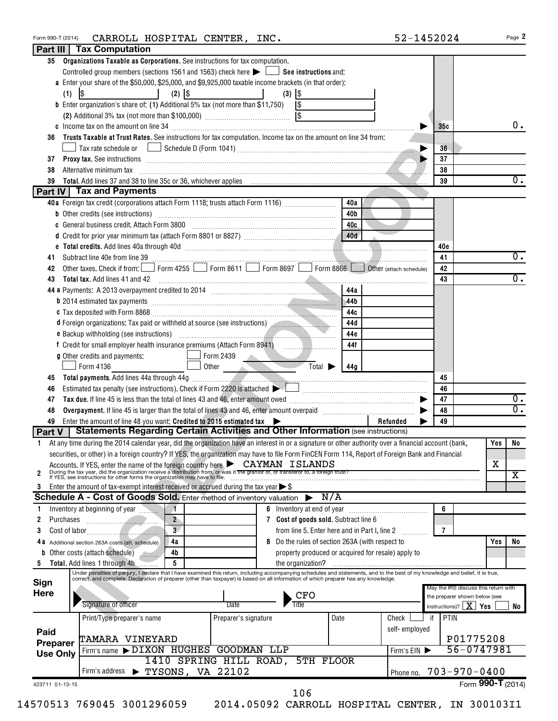| Form 990-T (2014) | CARROLL HOSPITAL CENTER, INC.                                                                                                                                                                                                            |                                  |              |                                                      |               | 52-1452024                              | Page 2                  |
|-------------------|------------------------------------------------------------------------------------------------------------------------------------------------------------------------------------------------------------------------------------------|----------------------------------|--------------|------------------------------------------------------|---------------|-----------------------------------------|-------------------------|
|                   | Part III   Tax Computation                                                                                                                                                                                                               |                                  |              |                                                      |               |                                         |                         |
|                   | 35 Organizations Taxable as Corporations. See instructions for tax computation.                                                                                                                                                          |                                  |              |                                                      |               |                                         |                         |
|                   | Controlled group members (sections 1561 and 1563) check here $\blacktriangleright$ $\Box$ See instructions and:                                                                                                                          |                                  |              |                                                      |               |                                         |                         |
|                   | a Enter your share of the \$50,000, \$25,000, and \$9,925,000 taxable income brackets (in that order):                                                                                                                                   |                                  |              |                                                      |               |                                         |                         |
| (1)               | $\lvert \mathcal{S} \rvert$<br>$(2)$ $ $ \$                                                                                                                                                                                              |                                  | $(3)$ $ $ \$ |                                                      |               |                                         |                         |
|                   | <b>b</b> Enter organization's share of: (1) Additional 5% tax (not more than \$11,750)                                                                                                                                                   |                                  | $\sqrt{3}$   |                                                      |               |                                         |                         |
|                   |                                                                                                                                                                                                                                          |                                  |              |                                                      |               |                                         |                         |
|                   |                                                                                                                                                                                                                                          |                                  |              |                                                      |               | 35c                                     | 0.                      |
| 36                | Trusts Taxable at Trust Rates. See instructions for tax computation. Income tax on the amount on line 34 from:                                                                                                                           |                                  |              |                                                      |               |                                         |                         |
|                   | Tax rate schedule or <u>Imperior Schedule D</u> (Form 1041) [1994] [2012] [2013] [2013] [2013] [2013] [2014] [2014] [2014] [2014] [2014] [2014] [2014] [2014] [2014] [2014] [2014] [2014] [2014] [2014] [2014] [2014] [2014] [2014]      |                                  |              |                                                      |               | 36                                      |                         |
|                   |                                                                                                                                                                                                                                          |                                  |              |                                                      |               | 37                                      |                         |
| 37                | Proxy tax. See instructions entertainment and the contract of the internal contract of the contract of the contract of the contract of the contract of the contract of the contract of the contract of the contract of the con           |                                  |              |                                                      |               |                                         |                         |
| 38                | Alternative minimum tax                                                                                                                                                                                                                  |                                  |              |                                                      |               | 38                                      |                         |
| 39                |                                                                                                                                                                                                                                          |                                  |              |                                                      |               | 39                                      | 0.                      |
|                   | Part IV Tax and Payments                                                                                                                                                                                                                 |                                  |              |                                                      |               |                                         |                         |
|                   | 40a Foreign tax credit (corporations attach Form 1118; trusts attach Form 1116)                                                                                                                                                          |                                  |              | 40a                                                  |               |                                         |                         |
|                   |                                                                                                                                                                                                                                          |                                  |              | 40b                                                  |               |                                         |                         |
|                   | c General business credit. Attach Form 3800 [11] CHERRY CORRECTED: 100 [400]                                                                                                                                                             |                                  |              |                                                      |               |                                         |                         |
|                   |                                                                                                                                                                                                                                          |                                  |              |                                                      |               |                                         |                         |
|                   | e Total credits. Add lines 40a through 40d (1990) (1990) (1990) (1990) (1990) (1990) (1990) (1990) (1990) (1990) (1990) (1990) (1990) (1990) (1990) (1990) (1990) (1990) (1990) (1990) (1990) (1990) (1990) (1990) (1990) (199           |                                  |              |                                                      |               | 40c                                     |                         |
| 41                |                                                                                                                                                                                                                                          |                                  |              |                                                      |               | 41                                      | 0.                      |
| 42                | Other taxes. Check if from: Form 4255 Form 8611 Form 8697 Form 8866 Obther (attach schedule)                                                                                                                                             |                                  |              |                                                      |               | 42                                      |                         |
| 43                | <b>Total tax.</b> Add lines 41 and 42                                                                                                                                                                                                    |                                  |              |                                                      |               | 43                                      | $\overline{0}$ .        |
|                   |                                                                                                                                                                                                                                          |                                  |              | 44a                                                  |               |                                         |                         |
|                   |                                                                                                                                                                                                                                          |                                  |              | 44b                                                  |               |                                         |                         |
|                   | b 2014 estimated tax payments [11] matter contracts and the contracts and the contracts of the contracts of the contracts of the contracts of the contracts of the contracts of the contracts of the contracts of the contract           |                                  |              |                                                      |               |                                         |                         |
|                   |                                                                                                                                                                                                                                          |                                  |              | 44c                                                  |               |                                         |                         |
|                   | d Foreign organizations: Tax paid or withheld at source (see instructions)                                                                                                                                                               |                                  |              | 44d                                                  |               |                                         |                         |
|                   |                                                                                                                                                                                                                                          |                                  |              | 44e                                                  |               |                                         |                         |
|                   | f Credit for small employer health insurance premiums (Attach Form 8941) [100011001100110101101101101101101101                                                                                                                           |                                  |              | 44f                                                  |               |                                         |                         |
|                   | g Other credits and payments:                                                                                                                                                                                                            | $\Box$ Form 2439                 |              |                                                      |               |                                         |                         |
|                   | Form 4136                                                                                                                                                                                                                                | Other                            | <b>START</b> | $\overline{\mathrm{Total}}$<br>44a                   |               |                                         |                         |
| 45                |                                                                                                                                                                                                                                          |                                  |              |                                                      |               | 45                                      |                         |
| 46                | Estimated tax penalty (see instructions). Check if Form 2220 is attached $\blacktriangleright$                                                                                                                                           |                                  |              |                                                      |               | 46                                      |                         |
| 47                |                                                                                                                                                                                                                                          |                                  |              |                                                      |               | 47                                      | 0.                      |
| 48                |                                                                                                                                                                                                                                          |                                  |              |                                                      |               | 48                                      | 0.                      |
|                   |                                                                                                                                                                                                                                          |                                  |              |                                                      |               | 49                                      |                         |
| 49                | Enter the amount of line 48 you want: Credited to 2015 estimated tax<br><b>Statements Regarding Certain Activities and Other Information (see instructions)</b>                                                                          |                                  |              |                                                      | Refunded      |                                         |                         |
| Part V            |                                                                                                                                                                                                                                          |                                  |              |                                                      |               |                                         |                         |
| 1.                | At any time during the 2014 calendar year, did the organization have an interest in or a signature or other authority over a financial account (bank,                                                                                    |                                  |              |                                                      |               |                                         | Yes<br>No.              |
|                   | securities, or other) in a foreign country? If YES, the organization may have to file Form FinCEN Form 114, Report of Foreign Bank and Financial                                                                                         |                                  |              |                                                      |               |                                         |                         |
|                   |                                                                                                                                                                                                                                          |                                  |              |                                                      |               |                                         | X                       |
| $\overline{2}$    | Accounts. If YES, enter the name of the foreign country here <b>CAYMAN ISLANDS</b><br>During the tax year, did the organization receive a distribution from, or was it the grantor of, or transferor to, a foreign trust?<br>If YES, see |                                  |              |                                                      |               |                                         | $\overline{\texttt{X}}$ |
| 3                 | Enter the amount of tax-exempt interest received or accrued during the tax year $\triangleright$ \$                                                                                                                                      |                                  |              |                                                      |               |                                         |                         |
|                   | Schedule A - Cost of Goods Sold. Enter method of inventory valuation                                                                                                                                                                     |                                  |              | N/A                                                  |               |                                         |                         |
| 1                 | Inventory at beginning of year                                                                                                                                                                                                           |                                  |              | 6 Inventory at end of year <i>manually contained</i> |               | 6                                       |                         |
| 2<br>Purchases    | $2^{\circ}$                                                                                                                                                                                                                              |                                  |              | 7 Cost of goods sold. Subtract line 6                |               |                                         |                         |
|                   | $\frac{1}{2}$<br>$\overline{\mathbf{3}}$                                                                                                                                                                                                 |                                  |              |                                                      |               | $\overline{7}$                          |                         |
| 3                 |                                                                                                                                                                                                                                          |                                  |              | from line 5. Enter here and in Part I, line 2        |               |                                         |                         |
| 4 a               | Additional section 263A costs (att. schedule)<br>4a                                                                                                                                                                                      |                                  |              | 8 Do the rules of section 263A (with respect to      |               |                                         | Yes<br>No               |
| b                 | Other costs (attach schedule)<br>4b                                                                                                                                                                                                      |                                  |              | property produced or acquired for resale) apply to   |               |                                         |                         |
| 5                 | 5<br>Total. Add lines 1 through 4b                                                                                                                                                                                                       |                                  |              |                                                      |               |                                         |                         |
|                   | Under penalties of perjury, I declare that I have examined this return, including accompanying schedules and statements, and to the best of my knowledge and belief, it is true,<br>correct, and complete. Declaration of prepare        |                                  |              |                                                      |               |                                         |                         |
| Sign              |                                                                                                                                                                                                                                          |                                  |              |                                                      |               | May the IRS discuss this return with    |                         |
| Here              |                                                                                                                                                                                                                                          |                                  | CFO          |                                                      |               | the preparer shown below (see           |                         |
|                   | Signature of officer                                                                                                                                                                                                                     | Date                             | Title        |                                                      |               | instructions)? $\boxed{\mathbf{X}}$ Yes | No                      |
|                   | Print/Type preparer's name                                                                                                                                                                                                               | Preparer's signature             |              | Date                                                 | Check         | PTIN<br>if                              |                         |
|                   |                                                                                                                                                                                                                                          |                                  |              |                                                      | self-employed |                                         |                         |
| Paid              | <b>TAMARA VINEYARD</b>                                                                                                                                                                                                                   |                                  |              |                                                      |               |                                         | P01775208               |
| Preparer          |                                                                                                                                                                                                                                          |                                  |              |                                                      |               |                                         |                         |
| <b>Use Only</b>   | Firm's name > DIXON HUGHES GOODMAN LLP                                                                                                                                                                                                   |                                  |              |                                                      | Firm's EIN    |                                         | 56-0747981              |
|                   |                                                                                                                                                                                                                                          | 1410 SPRING HILL ROAD, 5TH FLOOR |              |                                                      |               |                                         |                         |
|                   | Firm's address > TYSONS, VA 22102                                                                                                                                                                                                        |                                  |              |                                                      | Phone no.     | $703 - 970 - 0400$                      |                         |
| 423711 01-13-15   |                                                                                                                                                                                                                                          |                                  |              |                                                      |               |                                         | Form 990-T (2014)       |
|                   |                                                                                                                                                                                                                                          |                                  | 106          |                                                      |               |                                         |                         |
|                   | 14570513 769045 3001296059                                                                                                                                                                                                               |                                  |              | 2014.05092 CARROLL HOSPITAL CENTER, IN 300103I1      |               |                                         |                         |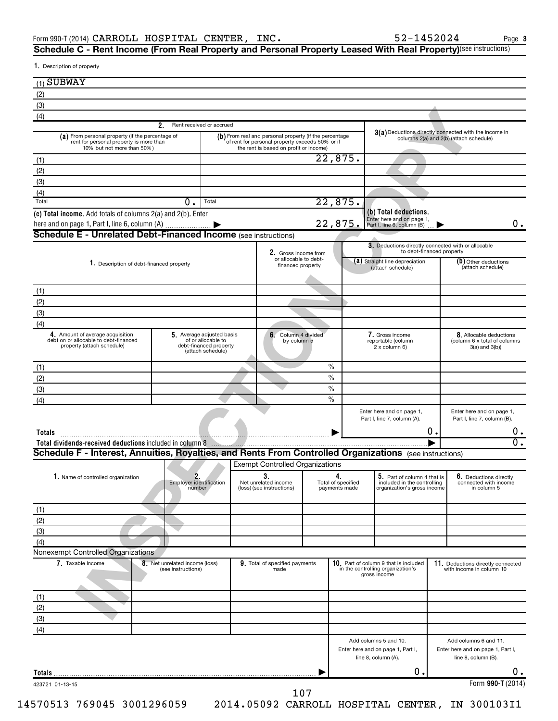${\bf S}$ chedule C - Rent Income (From Real Property and Personal Property Leased With Real Property)<sup>(see instructions)</sup>

1. Description of property

| (3)                                                                                                                                                                                                                    |                                                      |                                                                                                |                                                                                                                                                     |               |                          |                                                                                                                   |    |                                                                                                                                                                                                                                                                   |
|------------------------------------------------------------------------------------------------------------------------------------------------------------------------------------------------------------------------|------------------------------------------------------|------------------------------------------------------------------------------------------------|-----------------------------------------------------------------------------------------------------------------------------------------------------|---------------|--------------------------|-------------------------------------------------------------------------------------------------------------------|----|-------------------------------------------------------------------------------------------------------------------------------------------------------------------------------------------------------------------------------------------------------------------|
| (4)                                                                                                                                                                                                                    | 2.                                                   | Rent received or accrued                                                                       |                                                                                                                                                     |               |                          |                                                                                                                   |    |                                                                                                                                                                                                                                                                   |
| (a) From personal property (if the percentage of<br>rent for personal property is more than<br>10% but not more than 50%)                                                                                              |                                                      |                                                                                                | (b) From real and personal property (if the percentage<br>of rent for personal property exceeds 50% or if<br>the rent is based on profit or income) |               |                          |                                                                                                                   |    | 3(a) Deductions directly connected with the income in<br>columns 2(a) and 2(b) (attach schedule)                                                                                                                                                                  |
| (1)                                                                                                                                                                                                                    |                                                      |                                                                                                |                                                                                                                                                     | 22,875.       |                          |                                                                                                                   |    |                                                                                                                                                                                                                                                                   |
| (2)                                                                                                                                                                                                                    |                                                      |                                                                                                |                                                                                                                                                     |               |                          |                                                                                                                   |    |                                                                                                                                                                                                                                                                   |
| (3)                                                                                                                                                                                                                    |                                                      |                                                                                                |                                                                                                                                                     |               |                          |                                                                                                                   |    |                                                                                                                                                                                                                                                                   |
| (4)                                                                                                                                                                                                                    |                                                      |                                                                                                |                                                                                                                                                     |               |                          |                                                                                                                   |    |                                                                                                                                                                                                                                                                   |
| Total                                                                                                                                                                                                                  | $\overline{0}$ .                                     | Total                                                                                          |                                                                                                                                                     | 22,875.       |                          |                                                                                                                   |    |                                                                                                                                                                                                                                                                   |
| (c) Total income. Add totals of columns 2(a) and 2(b). Enter<br>here and on page 1, Part I, line 6, column (A)                                                                                                         |                                                      |                                                                                                |                                                                                                                                                     | 22,875.       |                          | (b) Total deductions.<br>Enter here and on page 1,<br>Part I, line 6, column (B)                                  |    |                                                                                                                                                                                                                                                                   |
| <b>Schedule E - Unrelated Debt-Financed Income</b> (see instructions)                                                                                                                                                  |                                                      |                                                                                                |                                                                                                                                                     |               |                          |                                                                                                                   |    |                                                                                                                                                                                                                                                                   |
|                                                                                                                                                                                                                        |                                                      |                                                                                                | 2. Gross income from<br>or allocable to debt-                                                                                                       |               |                          | 3. Deductions directly connected with or allocable<br>to debt-financed property<br>(a) Straight line depreciation |    | (b) Other deductions                                                                                                                                                                                                                                              |
| 1. Description of debt-financed property                                                                                                                                                                               |                                                      |                                                                                                | financed property                                                                                                                                   |               |                          | (attach schedule)                                                                                                 |    | (attach schedule)                                                                                                                                                                                                                                                 |
| (1)                                                                                                                                                                                                                    |                                                      |                                                                                                |                                                                                                                                                     |               |                          |                                                                                                                   |    |                                                                                                                                                                                                                                                                   |
| (2)                                                                                                                                                                                                                    |                                                      |                                                                                                |                                                                                                                                                     |               |                          |                                                                                                                   |    |                                                                                                                                                                                                                                                                   |
| (3)                                                                                                                                                                                                                    |                                                      |                                                                                                |                                                                                                                                                     |               |                          |                                                                                                                   |    |                                                                                                                                                                                                                                                                   |
| (4)                                                                                                                                                                                                                    |                                                      |                                                                                                |                                                                                                                                                     |               |                          |                                                                                                                   |    |                                                                                                                                                                                                                                                                   |
| 4. Amount of average acquisition<br>debt on or allocable to debt-financed<br>property (attach schedule)                                                                                                                |                                                      | 5. Average adjusted basis<br>of or allocable to<br>debt-financed property<br>(attach schedule) | 6. Column 4 divided<br>by column 5                                                                                                                  |               |                          | 7. Gross income<br>reportable (column<br>2 x column 6)                                                            |    | 8. Allocable deductions<br>(column 6 x total of columns<br>$3(a)$ and $3(b)$                                                                                                                                                                                      |
| (1)                                                                                                                                                                                                                    |                                                      |                                                                                                |                                                                                                                                                     | $\%$          |                          |                                                                                                                   |    |                                                                                                                                                                                                                                                                   |
| (2)                                                                                                                                                                                                                    |                                                      |                                                                                                |                                                                                                                                                     | $\frac{0}{0}$ |                          |                                                                                                                   |    |                                                                                                                                                                                                                                                                   |
| (3)                                                                                                                                                                                                                    |                                                      |                                                                                                |                                                                                                                                                     | $\%$          |                          |                                                                                                                   |    |                                                                                                                                                                                                                                                                   |
|                                                                                                                                                                                                                        |                                                      |                                                                                                |                                                                                                                                                     |               |                          |                                                                                                                   |    |                                                                                                                                                                                                                                                                   |
|                                                                                                                                                                                                                        |                                                      |                                                                                                |                                                                                                                                                     | $\frac{0}{0}$ |                          |                                                                                                                   |    |                                                                                                                                                                                                                                                                   |
|                                                                                                                                                                                                                        |                                                      |                                                                                                |                                                                                                                                                     |               |                          | Enter here and on page 1,<br>Part I, line 7, column (A).                                                          |    |                                                                                                                                                                                                                                                                   |
|                                                                                                                                                                                                                        |                                                      |                                                                                                |                                                                                                                                                     |               |                          |                                                                                                                   | 0. |                                                                                                                                                                                                                                                                   |
|                                                                                                                                                                                                                        |                                                      |                                                                                                |                                                                                                                                                     |               |                          |                                                                                                                   |    |                                                                                                                                                                                                                                                                   |
|                                                                                                                                                                                                                        |                                                      |                                                                                                |                                                                                                                                                     |               |                          |                                                                                                                   |    |                                                                                                                                                                                                                                                                   |
|                                                                                                                                                                                                                        |                                                      |                                                                                                | <b>Exempt Controlled Organizations</b>                                                                                                              |               |                          |                                                                                                                   |    |                                                                                                                                                                                                                                                                   |
| 1. Name of controlled organization                                                                                                                                                                                     | 2.<br>Employer identification<br>number              |                                                                                                | 3.<br>Net unrelated income<br>(loss) (see instructions)                                                                                             | payments made | 4.<br>Total of specified | 5. Part of column 4 that is<br>included in the controlling<br>organization's gross income                         |    | in column 5                                                                                                                                                                                                                                                       |
|                                                                                                                                                                                                                        |                                                      |                                                                                                |                                                                                                                                                     |               |                          |                                                                                                                   |    |                                                                                                                                                                                                                                                                   |
|                                                                                                                                                                                                                        |                                                      |                                                                                                |                                                                                                                                                     |               |                          |                                                                                                                   |    |                                                                                                                                                                                                                                                                   |
|                                                                                                                                                                                                                        |                                                      |                                                                                                |                                                                                                                                                     |               |                          |                                                                                                                   |    |                                                                                                                                                                                                                                                                   |
|                                                                                                                                                                                                                        |                                                      |                                                                                                |                                                                                                                                                     |               |                          |                                                                                                                   |    |                                                                                                                                                                                                                                                                   |
|                                                                                                                                                                                                                        |                                                      |                                                                                                |                                                                                                                                                     |               |                          |                                                                                                                   |    |                                                                                                                                                                                                                                                                   |
| 7. Taxable Income                                                                                                                                                                                                      | 8. Net unrelated income (loss)<br>(see instructions) |                                                                                                | 9. Total of specified payments<br>made                                                                                                              |               |                          | 10. Part of column 9 that is included<br>in the controlling organization's<br>gross income                        |    |                                                                                                                                                                                                                                                                   |
|                                                                                                                                                                                                                        |                                                      |                                                                                                |                                                                                                                                                     |               |                          |                                                                                                                   |    |                                                                                                                                                                                                                                                                   |
|                                                                                                                                                                                                                        |                                                      |                                                                                                |                                                                                                                                                     |               |                          |                                                                                                                   |    |                                                                                                                                                                                                                                                                   |
|                                                                                                                                                                                                                        |                                                      |                                                                                                |                                                                                                                                                     |               |                          |                                                                                                                   |    |                                                                                                                                                                                                                                                                   |
|                                                                                                                                                                                                                        |                                                      |                                                                                                |                                                                                                                                                     |               |                          |                                                                                                                   |    |                                                                                                                                                                                                                                                                   |
| (4)<br>Totals<br>Schedule F - Interest, Annuities, Royalties, and Rents From Controlled Organizations (see instructions)<br>(1)<br>(2)<br>(3)<br>(4)<br>Nonexempt Controlled Organizations<br>(1)<br>(2)<br>(3)<br>(4) |                                                      |                                                                                                |                                                                                                                                                     |               |                          | Add columns 5 and 10.<br>Enter here and on page 1, Part I,<br>line 8, column (A).                                 |    | Enter here and on page 1,<br>Part I, line 7, column (B).<br>6. Deductions directly<br>connected with income<br>11. Deductions directly connected<br>with income in column 10<br>Add columns 6 and 11.<br>Enter here and on page 1, Part I,<br>line 8, column (B). |
|                                                                                                                                                                                                                        |                                                      |                                                                                                |                                                                                                                                                     |               |                          | 0.                                                                                                                |    |                                                                                                                                                                                                                                                                   |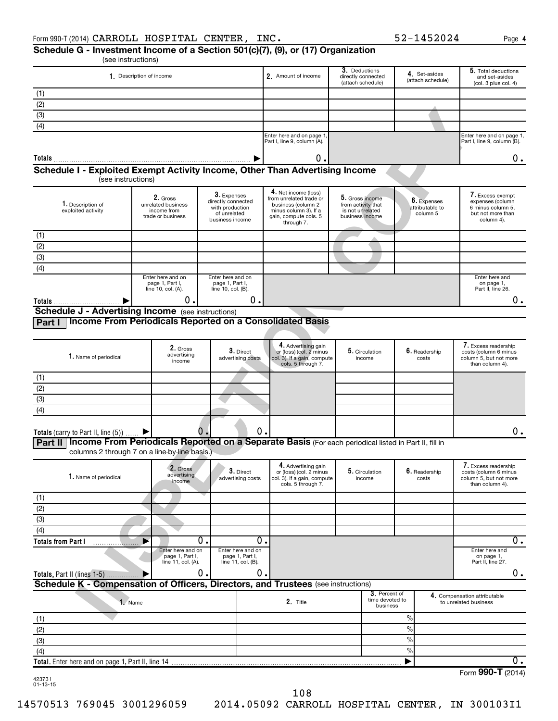#### (see instructions) **Schedule G - Investment Income of a Section 501(c)(7), (9), or (17) Organization**

|                                                                                                                                                                  | 1. Description of income             |                                      |                                      | 2. Amount of income                                    | 3. Deductions<br>directly connected   |                                              | 4. Set-asides<br>(attach schedule) | 5. Total deductions<br>and set-asides                 |
|------------------------------------------------------------------------------------------------------------------------------------------------------------------|--------------------------------------|--------------------------------------|--------------------------------------|--------------------------------------------------------|---------------------------------------|----------------------------------------------|------------------------------------|-------------------------------------------------------|
|                                                                                                                                                                  |                                      |                                      |                                      |                                                        | (attach schedule)                     |                                              |                                    | (col. 3 plus col. 4)                                  |
| (1)<br>(2)                                                                                                                                                       |                                      |                                      |                                      |                                                        |                                       |                                              |                                    |                                                       |
| $\overline{3}$                                                                                                                                                   |                                      |                                      |                                      |                                                        |                                       |                                              |                                    |                                                       |
| (4)                                                                                                                                                              |                                      |                                      |                                      |                                                        |                                       |                                              |                                    |                                                       |
|                                                                                                                                                                  |                                      |                                      |                                      | Enter here and on page 1                               |                                       |                                              |                                    | Enter here and on page 1,                             |
|                                                                                                                                                                  |                                      |                                      |                                      | Part I, line 9, column (A).                            |                                       |                                              |                                    | Part I, line 9, column (B).                           |
| Totals                                                                                                                                                           |                                      |                                      |                                      | О.                                                     |                                       |                                              |                                    | 0.                                                    |
| Schedule I - Exploited Exempt Activity Income, Other Than Advertising Income<br>(see instructions)                                                               |                                      |                                      |                                      |                                                        |                                       |                                              |                                    |                                                       |
|                                                                                                                                                                  |                                      |                                      |                                      | 4. Net income (loss)                                   |                                       |                                              |                                    |                                                       |
| 1. Description of                                                                                                                                                | 2. Gross<br>unrelated business       | 3. Expenses<br>directly connected    |                                      | from unrelated trade or<br>business (column 2          | 5. Gross income<br>from activity that |                                              | 6. Expenses                        | 7. Excess exempt<br>expenses (column                  |
| exploited activity                                                                                                                                               | income from<br>trade or business     | with production<br>of unrelated      |                                      | minus column 3). If a<br>gain, compute cols. 5         | is not unrelated<br>business income   |                                              | attributable to<br>column 5        | 6 minus column 5,<br>but not more than                |
|                                                                                                                                                                  |                                      | business income                      |                                      | through 7.                                             |                                       |                                              |                                    | column 4).                                            |
| (1)                                                                                                                                                              |                                      |                                      |                                      |                                                        |                                       |                                              |                                    |                                                       |
| (2)                                                                                                                                                              |                                      |                                      |                                      |                                                        |                                       |                                              |                                    |                                                       |
| $\overline{3}$                                                                                                                                                   |                                      |                                      |                                      |                                                        |                                       |                                              |                                    |                                                       |
| (4)                                                                                                                                                              |                                      |                                      |                                      |                                                        |                                       |                                              |                                    |                                                       |
|                                                                                                                                                                  | Enter here and on<br>page 1, Part I, | Enter here and on<br>page 1, Part I, |                                      |                                                        |                                       |                                              |                                    | Enter here and<br>on page 1,                          |
|                                                                                                                                                                  | line 10, col. (A).                   | line 10, col. (B).                   |                                      |                                                        |                                       |                                              |                                    | Part II, line 26.                                     |
| Totals<br><b>Schedule J - Advertising Income</b> (see instructions)                                                                                              | 0.                                   |                                      | О.                                   |                                                        |                                       |                                              |                                    | $0$ .                                                 |
| Income From Periodicals Reported on a Consolidated Basis<br>Part I                                                                                               |                                      |                                      |                                      |                                                        |                                       |                                              |                                    |                                                       |
|                                                                                                                                                                  |                                      |                                      |                                      |                                                        |                                       |                                              |                                    |                                                       |
|                                                                                                                                                                  |                                      |                                      |                                      | 4. Advertising gain                                    |                                       |                                              |                                    | 7. Excess readership                                  |
| 1. Name of periodical                                                                                                                                            | 2. Gross<br>advertising              |                                      | 3. Direct<br>advertising costs       | or (loss) (col. 2 minus<br>col. 3). If a gain, compute |                                       | 5. Circulation<br>income                     | 6. Readership<br>costs             | costs (column 6 minus<br>column 5, but not more       |
|                                                                                                                                                                  | income                               |                                      |                                      | cols. 5 through 7.                                     |                                       |                                              |                                    | than column 4).                                       |
| (1)                                                                                                                                                              |                                      |                                      |                                      |                                                        |                                       |                                              |                                    |                                                       |
| (2)                                                                                                                                                              |                                      |                                      |                                      |                                                        |                                       |                                              |                                    |                                                       |
| (3)                                                                                                                                                              |                                      |                                      |                                      |                                                        |                                       |                                              |                                    |                                                       |
| (4)                                                                                                                                                              |                                      |                                      |                                      |                                                        |                                       |                                              |                                    |                                                       |
|                                                                                                                                                                  |                                      |                                      |                                      |                                                        |                                       |                                              |                                    |                                                       |
| Totals (carry to Part II, line $(5)$ )                                                                                                                           |                                      | $\mathbf 0$ .                        | $\mathbf 0$ .                        |                                                        |                                       |                                              |                                    | 0.                                                    |
| Income From Periodicals Reported on a Separate Basis (For each periodical listed in Part II, fill in<br>Part II<br>columns 2 through 7 on a line-by-line basis.) |                                      |                                      |                                      |                                                        |                                       |                                              |                                    |                                                       |
|                                                                                                                                                                  |                                      |                                      |                                      | 4. Advertising gain                                    |                                       |                                              |                                    | 7. Excess readership                                  |
| 1. Name of periodical                                                                                                                                            | 2. Gross<br>advertising              |                                      | $3.$ Direct                          | or (loss) (col. 2 minus                                |                                       | 5. Circulation                               | $6.$ Readership                    | costs (column 6 minus                                 |
|                                                                                                                                                                  | income                               |                                      | advertising costs                    | col. 3). If a gain, compute<br>cols. 5 through 7.      |                                       | income                                       | costs                              | column 5, but not more<br>than column 4).             |
| (1)                                                                                                                                                              |                                      |                                      |                                      |                                                        |                                       |                                              |                                    |                                                       |
| (2)                                                                                                                                                              |                                      |                                      |                                      |                                                        |                                       |                                              |                                    |                                                       |
| (3)                                                                                                                                                              |                                      |                                      |                                      |                                                        |                                       |                                              |                                    |                                                       |
| (4)                                                                                                                                                              |                                      |                                      |                                      |                                                        |                                       |                                              |                                    |                                                       |
| <b>Totals from Part I</b>                                                                                                                                        |                                      | $\overline{0}$ .                     | 0.                                   |                                                        |                                       |                                              |                                    | $\overline{0}$ .                                      |
|                                                                                                                                                                  | Enter here and on<br>page 1, Part I, |                                      | Enter here and on<br>page 1, Part I, |                                                        |                                       |                                              |                                    | Enter here and<br>on page 1,                          |
|                                                                                                                                                                  | line 11, col. (A).                   |                                      | line 11, col. (B).                   |                                                        |                                       |                                              |                                    | Part II, line 27.                                     |
| Totals, Part II (lines 1-5)                                                                                                                                      |                                      | 0.                                   | 0.                                   |                                                        |                                       |                                              |                                    | 0.                                                    |
| Schedule K - Compensation of Officers, Directors, and Trustees (see instructions)                                                                                |                                      |                                      |                                      |                                                        |                                       |                                              |                                    |                                                       |
| 1. Name                                                                                                                                                          |                                      |                                      |                                      | 2. Title                                               |                                       | 3. Percent of<br>time devoted to<br>business |                                    | 4. Compensation attributable<br>to unrelated business |
| (1)                                                                                                                                                              |                                      |                                      |                                      |                                                        |                                       | $\%$                                         |                                    |                                                       |
| (2)                                                                                                                                                              |                                      |                                      |                                      |                                                        |                                       | $\frac{0}{0}$                                |                                    |                                                       |
| (3)                                                                                                                                                              |                                      |                                      |                                      |                                                        |                                       | $\frac{0}{0}$                                |                                    |                                                       |
| (4)                                                                                                                                                              |                                      |                                      |                                      |                                                        |                                       | $\%$                                         |                                    |                                                       |
|                                                                                                                                                                  |                                      |                                      |                                      |                                                        |                                       |                                              |                                    | О.                                                    |
| 423731                                                                                                                                                           |                                      |                                      |                                      |                                                        |                                       |                                              |                                    | Form 990-T (2014)                                     |
| $01 - 13 - 15$                                                                                                                                                   |                                      |                                      |                                      |                                                        |                                       |                                              |                                    |                                                       |

108

14570513 769045 3001296059 2014.05092 CARROLL HOSPITAL CENTER, IN 300103I1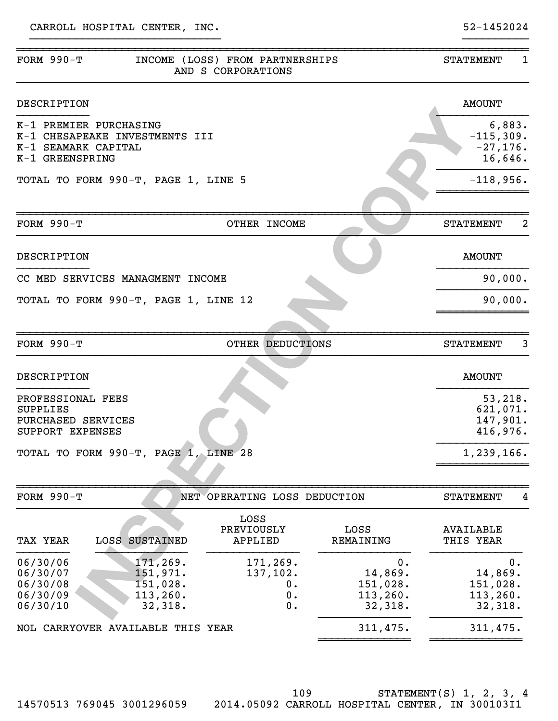| FORM $990-T$                                                                                                        | INCOME (LOSS) FROM PARTNERSHIPS<br>AND S CORPORATIONS |                                                   | 1<br><b>STATEMENT</b>                            |
|---------------------------------------------------------------------------------------------------------------------|-------------------------------------------------------|---------------------------------------------------|--------------------------------------------------|
| DESCRIPTION                                                                                                         |                                                       |                                                   | <b>AMOUNT</b>                                    |
| K-1 PREMIER PURCHASING<br>K-1 CHESAPEAKE INVESTMENTS III<br>K-1 SEAMARK CAPITAL<br>K-1 GREENSPRING                  |                                                       |                                                   | 6,883.<br>$-115,309.$<br>$-27,176.$<br>16,646.   |
| TOTAL TO FORM 990-T, PAGE 1, LINE 5                                                                                 |                                                       |                                                   | $-118,956.$                                      |
| FORM $990-T$                                                                                                        | OTHER INCOME                                          |                                                   | 2<br><b>STATEMENT</b>                            |
| DESCRIPTION                                                                                                         |                                                       |                                                   | <b>AMOUNT</b>                                    |
| CC MED SERVICES MANAGMENT INCOME                                                                                    |                                                       |                                                   | 90,000.                                          |
| TOTAL TO FORM 990-T, PAGE 1, LINE 12                                                                                |                                                       |                                                   | 90,000.                                          |
|                                                                                                                     |                                                       |                                                   |                                                  |
| FORM $990-T$                                                                                                        | OTHER DEDUCTIONS                                      |                                                   | 3<br><b>STATEMENT</b>                            |
| DESCRIPTION                                                                                                         |                                                       |                                                   | <b>AMOUNT</b>                                    |
| PROFESSIONAL FEES<br><b>SUPPLIES</b><br>PURCHASED SERVICES<br>SUPPORT EXPENSES                                      |                                                       |                                                   | 53,218.<br>621,071.<br>147,901.<br>416,976.      |
| TOTAL TO FORM 990-T, PAGE 1, LINE 28                                                                                |                                                       |                                                   | 1,239,166.                                       |
| <b>FORM 990-T</b>                                                                                                   | NET OPERATING LOSS DEDUCTION                          |                                                   | <b>STATEMENT</b><br>4                            |
| TAX YEAR<br><b>LOSS SUSTAINED</b>                                                                                   | LOSS<br>PREVIOUSLY<br>APPLIED                         | LOSS<br>REMAINING                                 | <b>AVAILABLE</b><br>THIS YEAR                    |
| 171,269.<br>06/30/06<br>151,971.<br>06/30/07<br>151,028.<br>06/30/08<br>113,260.<br>06/30/09<br>06/30/10<br>32,318. | 171,269.<br>137,102.<br>0.<br>0.<br>0.                | О.<br>14,869.<br>151,028.<br>113, 260.<br>32,318. | 0.<br>14,869.<br>151,028.<br>113,260.<br>32,318. |
| NOL CARRYOVER AVAILABLE THIS YEAR                                                                                   |                                                       | 311,475.                                          | 311,475.                                         |
|                                                                                                                     |                                                       |                                                   |                                                  |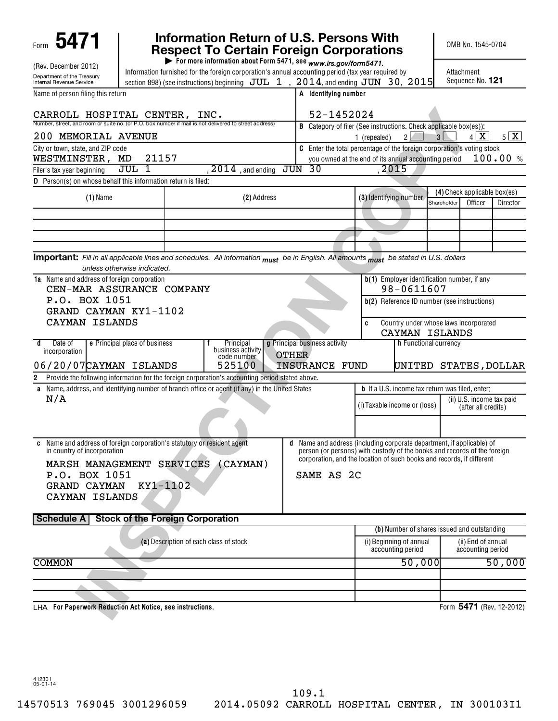| 5471                                                                                                                                  |                                                                                                    | Information Return of U.S. Persons With<br><b>Respect To Certain Foreign Corporations</b><br>For more information about Form 5471, see www.irs.gov/form5471. |                                       |                                                                                                                                                 |                       | OMB No. 1545-0704            |                           |  |
|---------------------------------------------------------------------------------------------------------------------------------------|----------------------------------------------------------------------------------------------------|--------------------------------------------------------------------------------------------------------------------------------------------------------------|---------------------------------------|-------------------------------------------------------------------------------------------------------------------------------------------------|-----------------------|------------------------------|---------------------------|--|
| (Rev. December 2012)                                                                                                                  | Information furnished for the foreign corporation's annual accounting period (tax year required by |                                                                                                                                                              | Attachment                            |                                                                                                                                                 |                       |                              |                           |  |
| Department of the Treasury<br><b>Internal Revenue Service</b>                                                                         |                                                                                                    | section 898) (see instructions) beginning $JUL$ 1, $2014$ , and ending $JUN$ 30, 2015                                                                        |                                       |                                                                                                                                                 |                       | Sequence No. 121             |                           |  |
| Name of person filing this return                                                                                                     |                                                                                                    |                                                                                                                                                              | A Identifying number                  |                                                                                                                                                 |                       |                              |                           |  |
| CARROLL HOSPITAL CENTER,                                                                                                              |                                                                                                    | INC.                                                                                                                                                         | 52-1452024                            |                                                                                                                                                 |                       |                              |                           |  |
| Number, street, and room or suite no. (or P.O. box number if mail is not delivered to street address)<br>200 MEMORIAL AVENUE          |                                                                                                    |                                                                                                                                                              |                                       | <b>B</b> Category of filer (See instructions. Check applicable box(es)):<br>$\overline{2}$<br>1 (repealed)                                      | 3 <sup>1</sup>        | $4 \times$                   | 5X                        |  |
| City or town, state, and ZIP code                                                                                                     |                                                                                                    |                                                                                                                                                              |                                       | C Enter the total percentage of the foreign corporation's voting stock                                                                          |                       |                              |                           |  |
| WESTMINSTER, MD                                                                                                                       | 21157                                                                                              |                                                                                                                                                              |                                       | you owned at the end of its annual accounting period                                                                                            |                       |                              | 100.00 %                  |  |
| Filer's tax year beginning<br>D Person(s) on whose behalf this information return is filed:                                           | $JUL$ 1                                                                                            | $\overline{2014}$ , and ending                                                                                                                               | JUN<br>- 30                           | .2015                                                                                                                                           |                       |                              |                           |  |
|                                                                                                                                       |                                                                                                    |                                                                                                                                                              |                                       |                                                                                                                                                 |                       | (4) Check applicable box(es) |                           |  |
| $(1)$ Name                                                                                                                            |                                                                                                    | (2) Address                                                                                                                                                  |                                       | (3) Identifying number                                                                                                                          | Shareholder           | Officer                      | Director                  |  |
|                                                                                                                                       |                                                                                                    |                                                                                                                                                              |                                       |                                                                                                                                                 |                       |                              |                           |  |
|                                                                                                                                       |                                                                                                    |                                                                                                                                                              |                                       |                                                                                                                                                 |                       |                              |                           |  |
|                                                                                                                                       |                                                                                                    |                                                                                                                                                              |                                       |                                                                                                                                                 |                       |                              |                           |  |
| Important: Fill in all applicable lines and schedules. All information must be in English. All amounts must be stated in U.S. dollars |                                                                                                    |                                                                                                                                                              |                                       |                                                                                                                                                 |                       |                              |                           |  |
|                                                                                                                                       | unless otherwise indicated.                                                                        |                                                                                                                                                              |                                       |                                                                                                                                                 |                       |                              |                           |  |
| 1a Name and address of foreign corporation                                                                                            |                                                                                                    |                                                                                                                                                              |                                       | b(1) Employer identification number, if any<br>98-0611607                                                                                       |                       |                              |                           |  |
| P.O. BOX 1051                                                                                                                         | CEN-MAR ASSURANCE COMPANY                                                                          |                                                                                                                                                              |                                       | b(2) Reference ID number (see instructions)                                                                                                     |                       |                              |                           |  |
| GRAND CAYMAN KY1-1102                                                                                                                 |                                                                                                    |                                                                                                                                                              |                                       |                                                                                                                                                 |                       |                              |                           |  |
| CAYMAN ISLANDS                                                                                                                        |                                                                                                    |                                                                                                                                                              |                                       | Country under whose laws incorporated<br>c                                                                                                      |                       |                              |                           |  |
|                                                                                                                                       |                                                                                                    |                                                                                                                                                              |                                       | CAYMAN ISLANDS                                                                                                                                  |                       |                              |                           |  |
| Date of<br>đ<br>incorporation                                                                                                         | e Principal place of business                                                                      | Principal<br>business activity                                                                                                                               | g Principal business activity         |                                                                                                                                                 | h Functional currency |                              |                           |  |
| 06/20/07 CAYMAN ISLANDS                                                                                                               |                                                                                                    | code number<br>525100                                                                                                                                        | <b>OTHER</b><br><b>INSURANCE FUND</b> |                                                                                                                                                 |                       |                              | UNITED STATES, DOLLAR     |  |
| 2 Provide the following information for the foreign corporation's accounting period stated above.                                     |                                                                                                    |                                                                                                                                                              |                                       |                                                                                                                                                 |                       |                              |                           |  |
| a Name, address, and identifying number of branch office or agent (if any) in the United States                                       |                                                                                                    |                                                                                                                                                              |                                       | <b>b</b> If a U.S. income tax return was filed, enter:                                                                                          |                       |                              |                           |  |
| N/A                                                                                                                                   |                                                                                                    |                                                                                                                                                              |                                       | (i) Taxable income or (loss)                                                                                                                    |                       |                              | (ii) U.S. income tax paid |  |
|                                                                                                                                       |                                                                                                    |                                                                                                                                                              |                                       |                                                                                                                                                 |                       | (after all credits)          |                           |  |
|                                                                                                                                       |                                                                                                    |                                                                                                                                                              |                                       |                                                                                                                                                 |                       |                              |                           |  |
| in country of incorporation                                                                                                           | Name and address of foreign corporation's statutory or resident agent                              |                                                                                                                                                              | d                                     | Name and address (including corporate department, if applicable) of<br>person (or persons) with custody of the books and records of the foreign |                       |                              |                           |  |
|                                                                                                                                       | MARSH MANAGEMENT SERVICES (CAYMAN)                                                                 |                                                                                                                                                              |                                       | corporation, and the location of such books and records, if different                                                                           |                       |                              |                           |  |
| P.O. BOX 1051                                                                                                                         |                                                                                                    |                                                                                                                                                              | SAME AS 2C                            |                                                                                                                                                 |                       |                              |                           |  |
| <b>GRAND CAYMAN</b>                                                                                                                   | KY1-1102                                                                                           |                                                                                                                                                              |                                       |                                                                                                                                                 |                       |                              |                           |  |
| CAYMAN ISLANDS                                                                                                                        |                                                                                                    |                                                                                                                                                              |                                       |                                                                                                                                                 |                       |                              |                           |  |
|                                                                                                                                       |                                                                                                    |                                                                                                                                                              |                                       |                                                                                                                                                 |                       |                              |                           |  |
| Schedule A                                                                                                                            | <b>Stock of the Foreign Corporation</b>                                                            |                                                                                                                                                              |                                       | (b) Number of shares issued and outstanding                                                                                                     |                       |                              |                           |  |
|                                                                                                                                       | (a) Description of each class of stock                                                             |                                                                                                                                                              |                                       | (i) Beginning of annual                                                                                                                         |                       | (ii) End of annual           |                           |  |
|                                                                                                                                       |                                                                                                    |                                                                                                                                                              |                                       | accounting period                                                                                                                               |                       | accounting period            |                           |  |
| <b>COMMON</b>                                                                                                                         |                                                                                                    |                                                                                                                                                              |                                       | 50,000                                                                                                                                          |                       |                              | 50,000                    |  |
|                                                                                                                                       |                                                                                                    |                                                                                                                                                              |                                       |                                                                                                                                                 |                       |                              |                           |  |
|                                                                                                                                       |                                                                                                    |                                                                                                                                                              |                                       |                                                                                                                                                 |                       |                              |                           |  |
| LHA For Paperwork Reduction Act Notice, see instructions.                                                                             |                                                                                                    |                                                                                                                                                              |                                       |                                                                                                                                                 |                       |                              | Form 5471 (Rev. 12-2012)  |  |

412301 05-01-14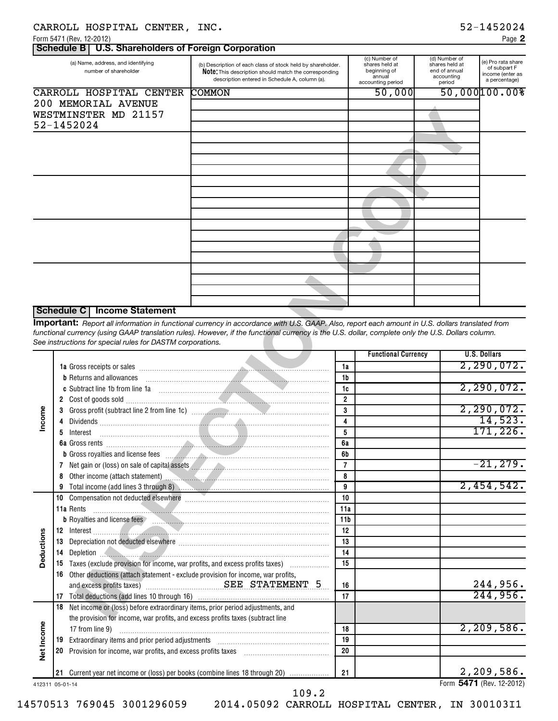|  | CARROLL HOSPITAL CENTER, INC |  |  |
|--|------------------------------|--|--|
|--|------------------------------|--|--|

**2**

|  | Schedule B   U.S. Shareholders of Foreign Corporation |  |
|--|-------------------------------------------------------|--|

| (a) Name, address, and identifying<br>number of shareholder | (b) Description of each class of stock held by shareholder.<br>Note: This description should match the corresponding<br>description entered in Schedule A, column (a). | (c) Number of<br>shares held at<br>beginning of<br>annual<br>accounting period | (d) Number of<br>shares held at<br>end of annual<br>accounting<br>period | (e) Pro rata share<br>of subpart F<br>income (enter as<br>a percentage) |
|-------------------------------------------------------------|------------------------------------------------------------------------------------------------------------------------------------------------------------------------|--------------------------------------------------------------------------------|--------------------------------------------------------------------------|-------------------------------------------------------------------------|
| CARROLL HOSPITAL CENTER                                     | <b>COMMON</b>                                                                                                                                                          | 50,000                                                                         |                                                                          | 50,000100.008                                                           |
| 200 MEMORIAL AVENUE                                         |                                                                                                                                                                        |                                                                                |                                                                          |                                                                         |
| WESTMINSTER MD 21157                                        |                                                                                                                                                                        |                                                                                |                                                                          |                                                                         |
| 52-1452024                                                  |                                                                                                                                                                        |                                                                                |                                                                          |                                                                         |
|                                                             |                                                                                                                                                                        |                                                                                |                                                                          |                                                                         |
|                                                             |                                                                                                                                                                        |                                                                                |                                                                          |                                                                         |
|                                                             |                                                                                                                                                                        |                                                                                |                                                                          |                                                                         |
|                                                             |                                                                                                                                                                        |                                                                                |                                                                          |                                                                         |
|                                                             |                                                                                                                                                                        |                                                                                |                                                                          |                                                                         |
|                                                             |                                                                                                                                                                        |                                                                                |                                                                          |                                                                         |
|                                                             |                                                                                                                                                                        |                                                                                |                                                                          |                                                                         |
|                                                             |                                                                                                                                                                        |                                                                                |                                                                          |                                                                         |
|                                                             |                                                                                                                                                                        |                                                                                |                                                                          |                                                                         |
|                                                             |                                                                                                                                                                        |                                                                                |                                                                          |                                                                         |
|                                                             |                                                                                                                                                                        |                                                                                |                                                                          |                                                                         |
|                                                             |                                                                                                                                                                        |                                                                                |                                                                          |                                                                         |
|                                                             |                                                                                                                                                                        |                                                                                |                                                                          |                                                                         |
|                                                             |                                                                                                                                                                        |                                                                                |                                                                          |                                                                         |
|                                                             |                                                                                                                                                                        |                                                                                |                                                                          |                                                                         |
|                                                             |                                                                                                                                                                        |                                                                                |                                                                          |                                                                         |
|                                                             |                                                                                                                                                                        |                                                                                |                                                                          |                                                                         |

#### **Schedule C Income Statement**

|                 |                | WESTMINSTER MD 21157<br>52-1452024                                                                                                                                                  |                                                                                                                                                                                                                                                                                                       |                                 |                            |  |                                                     |
|-----------------|----------------|-------------------------------------------------------------------------------------------------------------------------------------------------------------------------------------|-------------------------------------------------------------------------------------------------------------------------------------------------------------------------------------------------------------------------------------------------------------------------------------------------------|---------------------------------|----------------------------|--|-----------------------------------------------------|
|                 |                |                                                                                                                                                                                     |                                                                                                                                                                                                                                                                                                       |                                 |                            |  |                                                     |
|                 |                |                                                                                                                                                                                     |                                                                                                                                                                                                                                                                                                       |                                 |                            |  |                                                     |
|                 |                |                                                                                                                                                                                     |                                                                                                                                                                                                                                                                                                       |                                 |                            |  |                                                     |
|                 |                |                                                                                                                                                                                     |                                                                                                                                                                                                                                                                                                       |                                 |                            |  |                                                     |
|                 |                | Schedule C   Income Statement<br>See instructions for special rules for DASTM corporations.                                                                                         | Important: Report all information in functional currency in accordance with U.S. GAAP. Also, report each amount in U.S. dollars translated from<br>functional currency (using GAAP translation rules). However, if the functional currency is the U.S. dollar, complete only the U.S. Dollars column. |                                 |                            |  |                                                     |
|                 |                | <b>b</b> Returns and allowances<br>c Subtract line 1b from line 1a                                                                                                                  |                                                                                                                                                                                                                                                                                                       | 1a<br>1b<br>1c                  | <b>Functional Currency</b> |  | <b>U.S. Dollars</b><br>2, 290, 072.<br>2, 290, 072. |
| Income          | 3.<br>4        |                                                                                                                                                                                     | Gross profit (subtract line 2 from line 1c) material contract and contact the contract of the Stroman Control o                                                                                                                                                                                       | $\overline{2}$<br>3<br>4        |                            |  | 2, 290, 072.<br>14,523.                             |
|                 | 5.             | Interest                                                                                                                                                                            | b Gross royalties and license fees <b>with an american control of the Case of Case of August</b> 2014 of Gross royalties                                                                                                                                                                              | 5<br>6a<br>6b<br>$\overline{7}$ |                            |  | 171, 226.<br>$-21, 279.$                            |
|                 | 8<br>9<br>10   |                                                                                                                                                                                     |                                                                                                                                                                                                                                                                                                       | 8<br>9<br>10                    |                            |  | 2,454,542.                                          |
|                 |                | 11a Rents<br>12 Interest                                                                                                                                                            | b Royalties and license fees <b>Fig. 2006 CONSUMERTED BEING AT A ROYAlties and license fees Fig. 2006</b>                                                                                                                                                                                             | 11a<br>11b<br>12                |                            |  |                                                     |
| Deductions      | 13<br>14<br>15 |                                                                                                                                                                                     | Depletion                                                                                                                                                                                                                                                                                             | 13<br>14<br>15                  |                            |  |                                                     |
|                 | 16<br>17       | Other deductions (attach statement - exclude provision for income, war profits,                                                                                                     |                                                                                                                                                                                                                                                                                                       | 16<br>17                        |                            |  | 244,956.<br>244,956.                                |
|                 | 18             | Net income or (loss) before extraordinary items, prior period adjustments, and<br>the provision for income, war profits, and excess profits taxes (subtract line<br>17 from line 9) |                                                                                                                                                                                                                                                                                                       | 18                              |                            |  | 2, 209, 586.                                        |
| Net Income      | 19<br>20       | Provision for income, war profits, and excess profits taxes                                                                                                                         |                                                                                                                                                                                                                                                                                                       | 19<br>20                        |                            |  |                                                     |
| 412311 05-01-14 |                |                                                                                                                                                                                     | 21 Current year net income or (loss) per books (combine lines 18 through 20)                                                                                                                                                                                                                          | 21                              |                            |  | 2,209,586.<br>Form 5471 (Rev. 12-2012)              |

109.2

14570513 769045 3001296059 2014.05092 CARROLL HOSPITAL CENTER, IN 300103I1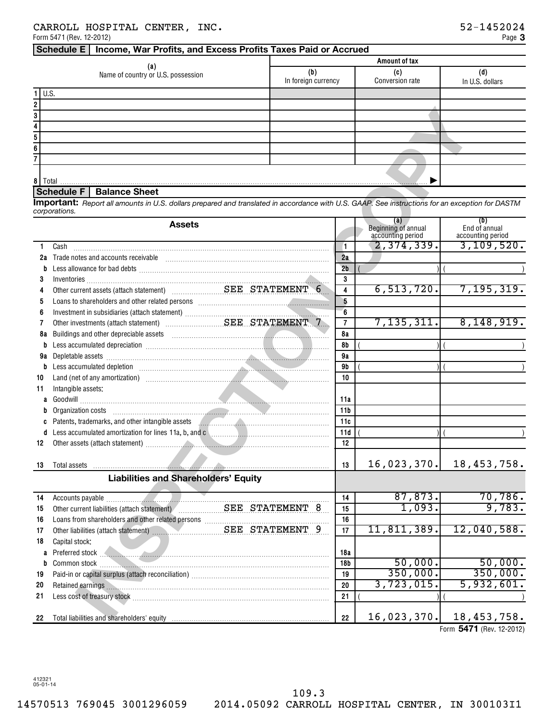|                                           | Amount of tax              |                               |                 |  |  |  |  |
|-------------------------------------------|----------------------------|-------------------------------|-----------------|--|--|--|--|
| (a)<br>Name of country or U.S. possession | (b)<br>In foreign currency | (C)<br><b>Conversion rate</b> | In U.S. dollars |  |  |  |  |
| $1$ U.S.                                  |                            |                               |                 |  |  |  |  |
| 2                                         |                            |                               |                 |  |  |  |  |
| 3                                         |                            |                               |                 |  |  |  |  |
|                                           |                            |                               |                 |  |  |  |  |
| 5                                         |                            |                               |                 |  |  |  |  |
| 6                                         |                            |                               |                 |  |  |  |  |
|                                           |                            |                               |                 |  |  |  |  |
| 8 Total                                   |                            |                               |                 |  |  |  |  |

### **Schedule F Balance Sheet**

|          | Schedule F   Balance Sheet                                                                                                                                                                                                                                        |                         |                                                 |                                               |
|----------|-------------------------------------------------------------------------------------------------------------------------------------------------------------------------------------------------------------------------------------------------------------------|-------------------------|-------------------------------------------------|-----------------------------------------------|
|          | Important: Report all amounts in U.S. dollars prepared and translated in accordance with U.S. GAAP. See instructions for an exception for DASTM<br>corporations.                                                                                                  |                         |                                                 |                                               |
|          | <b>Assets</b>                                                                                                                                                                                                                                                     |                         | (a)<br>Beginning of annual<br>accounting period | (b)<br>End of annual<br>accounting period     |
| 1.       | Cash                                                                                                                                                                                                                                                              | $\mathbf{1}$            | 2,374,339.                                      | 3, 109, 520.                                  |
| 2a       | Trade notes and accounts receivable                                                                                                                                                                                                                               | 2a                      |                                                 |                                               |
|          | b                                                                                                                                                                                                                                                                 | 2 <sub>b</sub>          |                                                 |                                               |
| 3        |                                                                                                                                                                                                                                                                   | 3                       |                                                 |                                               |
| 4        |                                                                                                                                                                                                                                                                   | $\overline{\mathbf{4}}$ | 6, 513, 720.                                    | 7, 195, 319.                                  |
| 5        |                                                                                                                                                                                                                                                                   | $5\overline{)}$         |                                                 |                                               |
| 6        |                                                                                                                                                                                                                                                                   | 6                       |                                                 |                                               |
| 7        |                                                                                                                                                                                                                                                                   | $\overline{7}$          | 7, 135, 311.                                    | 8,148,919.                                    |
| 8a       | Buildings and other depreciable assets<br><u> 1988 - Januar Stein, Amerikaansk ferstjer op de oarne oantal de oarne oantal de oarne oantal de oarne oantal </u>                                                                                                   | 8а                      |                                                 |                                               |
|          | Less accumulated depreciation [11] matter contracts are also accumulated depreciation [11] matter contracts and<br>b                                                                                                                                              | <b>8b</b>               |                                                 |                                               |
| 9a       |                                                                                                                                                                                                                                                                   | 9a                      |                                                 |                                               |
|          | Depletable assets with a construction of the set of the construction of the construction of the construction of the construction of the construction of the construction of the construction of the construction of the constr<br>Less accumulated depletion<br>b | 9b                      |                                                 |                                               |
| 10       | <u> Estados de la contrador de la contrador de la contrador de la contrador de la contrador de la contrador de la contrador de la contrador de la contrador de la contrador de la contrador de la contrador de la contrador de l</u>                              | 10                      |                                                 |                                               |
| 11       | Land (net of any amortization) manufactured and contact the control of any amortization<br>Intangible assets:                                                                                                                                                     |                         |                                                 |                                               |
|          | a                                                                                                                                                                                                                                                                 | 11a                     |                                                 |                                               |
|          | Organization costs<br>b                                                                                                                                                                                                                                           | 11 <sub>b</sub>         |                                                 |                                               |
|          | Patents, trademarks, and other intangible assets<br>C                                                                                                                                                                                                             | 11c                     |                                                 |                                               |
|          | d                                                                                                                                                                                                                                                                 | 11d                     |                                                 |                                               |
| 12       |                                                                                                                                                                                                                                                                   | 12                      |                                                 |                                               |
|          |                                                                                                                                                                                                                                                                   |                         |                                                 |                                               |
| 13       | <b>Total assets</b>                                                                                                                                                                                                                                               | 13                      | 16,023,370.                                     | 18, 453, 758.                                 |
|          | <b>Liabilities and Shareholders' Equity</b>                                                                                                                                                                                                                       |                         |                                                 |                                               |
| 14       |                                                                                                                                                                                                                                                                   | 14                      | 87,873.                                         | 70,786.                                       |
| 15       | Other current liabilities (attach statement) SEE STATEMENT 8                                                                                                                                                                                                      | 15                      | 1,093.                                          | 9,783.                                        |
|          |                                                                                                                                                                                                                                                                   |                         |                                                 |                                               |
| 16       |                                                                                                                                                                                                                                                                   | 16<br>17                | 11, 811, 389.                                   | 12,040,588.                                   |
| 17<br>18 |                                                                                                                                                                                                                                                                   |                         |                                                 |                                               |
|          | Capital stock:                                                                                                                                                                                                                                                    |                         |                                                 |                                               |
|          | Preferred stock<br>a                                                                                                                                                                                                                                              | 18a<br>18 <sub>b</sub>  | 50,000.                                         | 50,000.                                       |
| 19       | b                                                                                                                                                                                                                                                                 | 19                      | 350,000.                                        | 350,000.                                      |
| 20       |                                                                                                                                                                                                                                                                   | 20                      | 3,723,015.                                      | 5,932,601.                                    |
| 21       |                                                                                                                                                                                                                                                                   | 21                      |                                                 |                                               |
|          |                                                                                                                                                                                                                                                                   |                         |                                                 |                                               |
| 22       |                                                                                                                                                                                                                                                                   | 22                      | 16,023,370.                                     | $18,453,758$ .                                |
|          |                                                                                                                                                                                                                                                                   |                         |                                                 | $F_{2}$ $F_{4}$ $T_{4}$ $(D_{21}$ , $10,0010$ |

Form 5471 (Rev. 12-2012)

412321 05-01-14

109.3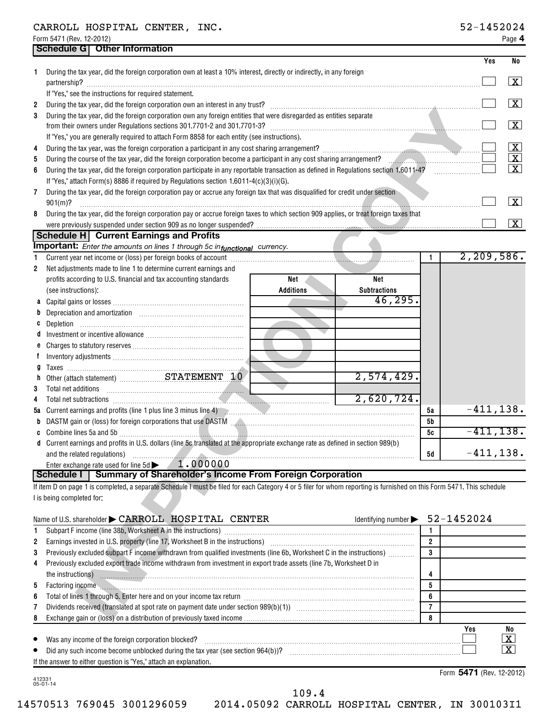|                          | CARROLL HOSPITAL CENTER, INC. |  | 52-145202 |
|--------------------------|-------------------------------|--|-----------|
| Form 5471 (Rev. 12-2012) |                               |  | Page      |

|              | Schedule G   Other Information                                                                                                                                                                                                               |                |              |                         |
|--------------|----------------------------------------------------------------------------------------------------------------------------------------------------------------------------------------------------------------------------------------------|----------------|--------------|-------------------------|
|              |                                                                                                                                                                                                                                              |                | Yes          | No                      |
|              | During the tax year, did the foreign corporation own at least a 10% interest, directly or indirectly, in any foreign                                                                                                                         |                |              | $\lfloor x \rfloor$     |
|              | If "Yes," see the instructions for required statement.                                                                                                                                                                                       |                |              | $\boxed{\textbf{X}}$    |
| 2<br>3       | During the tax year, did the foreign corporation own any foreign entities that were disregarded as entities separate                                                                                                                         |                |              |                         |
|              | from their owners under Regulations sections 301.7701-2 and 301.7701-3?                                                                                                                                                                      |                |              | $\boxed{\mathbf{X}}$    |
|              | If "Yes," you are generally required to attach Form 8858 for each entity (see instructions).                                                                                                                                                 |                |              |                         |
| 4            |                                                                                                                                                                                                                                              |                |              | $\lfloor x \rfloor$     |
| 5            | During the course of the tax year, did the foreign corporation become a participant in any cost sharing arrangement?                                                                                                                         |                |              | $\overline{\mathbf{X}}$ |
| 6            | During the tax year, did the foreign corporation participate in any reportable transaction as defined in Regulations section 1.6011-4?                                                                                                       |                |              | $\overline{X}$          |
|              | If "Yes," attach Form(s) 8886 if required by Regulations section 1.6011-4(c)(3)(i)(G).                                                                                                                                                       |                |              |                         |
| 7            | During the tax year, did the foreign corporation pay or accrue any foreign tax that was disqualified for credit under section                                                                                                                |                |              |                         |
|              | $901(m)$ ?                                                                                                                                                                                                                                   |                |              | $\boxed{\textbf{X}}$    |
| 8            | During the tax year, did the foreign corporation pay or accrue foreign taxes to which section 909 applies, or treat foreign taxes that                                                                                                       |                |              |                         |
|              |                                                                                                                                                                                                                                              |                |              | $\boxed{\textbf{X}}$    |
|              | Schedule H Current Earnings and Profits<br><b>Important:</b> Enter the amounts on lines 1 through 5c infunctional currency.                                                                                                                  |                |              |                         |
| $\mathbf{1}$ | Current year net income or (loss) per foreign books of account [11] [11] content that is a content weak and the content of the content of the content of the content of the content of the content of the content of the conte               | $\mathbf{1}$   | 2, 209, 586. |                         |
| $\mathbf{2}$ | Net adjustments made to line 1 to determine current earnings and                                                                                                                                                                             |                |              |                         |
|              | profits according to U.S. financial and tax accounting standards<br>Net<br>Net                                                                                                                                                               |                |              |                         |
|              | <b>Additions</b><br><b>Subtractions</b><br>(see instructions):                                                                                                                                                                               |                |              |                         |
|              | 46, 295.                                                                                                                                                                                                                                     |                |              |                         |
| b            |                                                                                                                                                                                                                                              |                |              |                         |
|              |                                                                                                                                                                                                                                              |                |              |                         |
| đ            |                                                                                                                                                                                                                                              |                |              |                         |
| e            |                                                                                                                                                                                                                                              |                |              |                         |
| f            |                                                                                                                                                                                                                                              |                |              |                         |
|              |                                                                                                                                                                                                                                              |                |              |                         |
| n            | $2,574,429$ .                                                                                                                                                                                                                                |                |              |                         |
| 3            |                                                                                                                                                                                                                                              |                |              |                         |
| 4            | 2,620,724.<br>Total net subtractions with a construction of the subtractions with a construction of the subtractions with a construction of the subtractions with a construction of the subtractions with a construction of the subtractions |                |              |                         |
|              | 5a Current earnings and profits (line 1 plus line 3 minus line 4) [2010] [2010] [2010] [2010] [2010] [3010] [3010] [3010] [3010] [3010] [3010] [3010] [3010] [3010] [3010] [3010] [3010] [3010] [3010] [3010] [3010] [3010] [3               | 5а             | $-411, 138.$ |                         |
|              | b DASTM gain or (loss) for foreign corporations that use DASTM [1999] [1999] DASTM [1999] DASTM gain or (loss)                                                                                                                               | 5b             |              |                         |
|              |                                                                                                                                                                                                                                              | 5c             | $-411, 138.$ |                         |
|              | d Current earnings and profits in U.S. dollars (line 5c translated at the appropriate exchange rate as defined in section 989(b)                                                                                                             | 5d             | $-411, 138.$ |                         |
|              | 1.000000<br>Enter exchange rate used for line 5d                                                                                                                                                                                             |                |              |                         |
|              | Schedule I<br><b>Summary of Shareholder's Income From Foreign Corporation</b>                                                                                                                                                                |                |              |                         |
|              | If item D on page 1 is completed, a separate Schedule I must be filed for each Category 4 or 5 filer for whom reporting is furnished on this Form 5471. This schedule                                                                        |                |              |                         |
|              | I is being completed for:                                                                                                                                                                                                                    |                |              |                         |
|              |                                                                                                                                                                                                                                              |                |              |                         |
|              | Name of U.S. shareholder CARROLL HOSPITAL CENTER<br>Identifying number                                                                                                                                                                       |                | 52-1452024   |                         |
| 1            |                                                                                                                                                                                                                                              | 1              |              |                         |
| 2            | Earnings invested in U.S. property (line 17, Worksheet B in the instructions) [[[[[[[[[[[[[[[[[[[[[]]]]]]]]]]                                                                                                                                | $\overline{2}$ |              |                         |
| 3            | Previously excluded subpart F income withdrawn from qualified investments (line 6b, Worksheet C in the instructions)                                                                                                                         | 3              |              |                         |
| 4            | Previously excluded export trade income withdrawn from investment in export trade assets (line 7b, Worksheet D in                                                                                                                            |                |              |                         |
|              |                                                                                                                                                                                                                                              | 4              |              |                         |
| 5            | Factoring income www.archive.com/news/community/incommunity/incommunity/incommunity/incommunity/incommunity/incommunity/incommunity/incommunity/incommunity/incommunity/incommunity/incommunity/incommunity/incommunity/incomm               | 5              |              |                         |
| 6            |                                                                                                                                                                                                                                              | 6              |              |                         |
| 7            |                                                                                                                                                                                                                                              | $\overline{7}$ |              |                         |
|              | 8 Exchange gain or (loss) on a distribution of previously taxed income                                                                                                                                                                       | 8              |              |                         |

|              | Identifying number $\blacktriangleright$ 52-1452024<br>Name of U.S. shareholder CARROLL HOSPITAL CENTER                                                                                                                        |   |            |                                                          |
|--------------|--------------------------------------------------------------------------------------------------------------------------------------------------------------------------------------------------------------------------------|---|------------|----------------------------------------------------------|
|              |                                                                                                                                                                                                                                |   |            |                                                          |
| $\mathbf{2}$ | Earnings invested in U.S. property (line 17, Worksheet B in the instructions) [100011] [100011] [100011] [100011] [100011] [100011] [100011] [100011] [100011] [100011] [100011] [100011] [100011] [100011] [100011] [100011]  | 2 |            |                                                          |
| 3            | Previously excluded subpart F income withdrawn from qualified investments (line 6b, Worksheet C in the instructions)                                                                                                           | 3 |            |                                                          |
| 4            | Previously excluded export trade income withdrawn from investment in export trade assets (line 7b, Worksheet D in                                                                                                              |   |            |                                                          |
|              | the instructions) <b>with the instructions in the instructions in the instructions</b>                                                                                                                                         |   |            |                                                          |
| 5            | Factoring income with the commutation of the contract of the contract of the contract of the contract of the contract of the contract of the contract of the contract of the contract of the contract of the contract of the c | 5 |            |                                                          |
| 6            |                                                                                                                                                                                                                                | 6 |            |                                                          |
|              |                                                                                                                                                                                                                                |   |            |                                                          |
| 8            |                                                                                                                                                                                                                                | 8 |            |                                                          |
|              | If the answer to either question is "Yes," attach an explanation.                                                                                                                                                              |   | <b>Yes</b> | No<br>$\overline{\textbf{X}}$<br>$\overline{\texttt{x}}$ |

412331 05-01-14

Form 5471 (Rev. 12-2012)

109.4

14570513 769045 3001296059 2014.05092 CARROLL HOSPITAL CENTER, IN 300103I1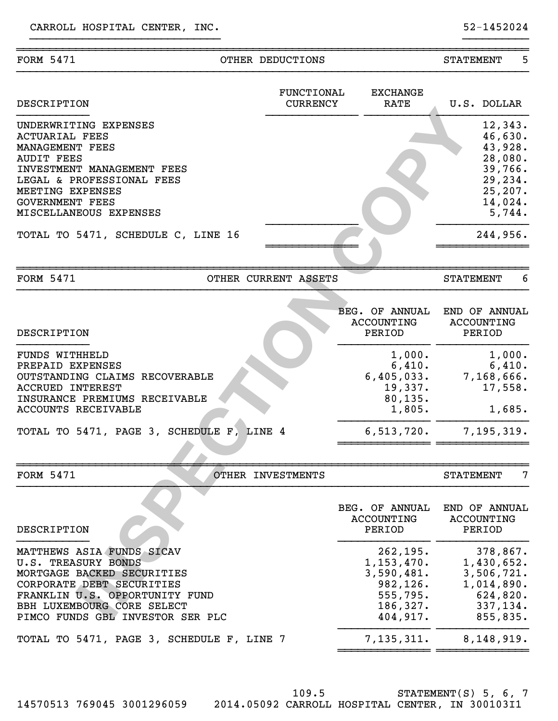| <b>FORM 5471</b>                                                                                                                                                                                                          | OTHER DEDUCTIONS     |                               |                                                                                                                        | 5<br><b>STATEMENT</b>                                                                                                      |
|---------------------------------------------------------------------------------------------------------------------------------------------------------------------------------------------------------------------------|----------------------|-------------------------------|------------------------------------------------------------------------------------------------------------------------|----------------------------------------------------------------------------------------------------------------------------|
| <b>DESCRIPTION</b>                                                                                                                                                                                                        |                      | FUNCTIONAL<br><b>CURRENCY</b> | <b>EXCHANGE</b><br>RATE                                                                                                | U.S. DOLLAR                                                                                                                |
| UNDERWRITING EXPENSES<br><b>ACTUARIAL FEES</b><br>MANAGEMENT FEES<br><b>AUDIT FEES</b><br>INVESTMENT MANAGEMENT FEES<br>LEGAL & PROFESSIONAL FEES<br>MEETING EXPENSES<br><b>GOVERNMENT FEES</b><br>MISCELLANEOUS EXPENSES |                      |                               |                                                                                                                        | 12,343.<br>46,630.<br>43,928.<br>28,080.<br>39,766.<br>29,234.<br>25,207.<br>14,024.<br>5,744.                             |
| TOTAL TO 5471, SCHEDULE C, LINE 16                                                                                                                                                                                        |                      |                               |                                                                                                                        | 244,956.                                                                                                                   |
| <b>FORM 5471</b>                                                                                                                                                                                                          | OTHER CURRENT ASSETS |                               |                                                                                                                        | 6<br><b>STATEMENT</b>                                                                                                      |
| DESCRIPTION                                                                                                                                                                                                               |                      |                               | <b>BEG. OF ANNUAL</b><br>ACCOUNTING<br>PERIOD                                                                          | END OF ANNUAL<br><b>ACCOUNTING</b><br>PERIOD                                                                               |
| FUNDS WITHHELD<br>PREPAID EXPENSES<br>OUTSTANDING CLAIMS RECOVERABLE<br><b>ACCRUED INTEREST</b><br>INSURANCE PREMIUMS RECEIVABLE<br>ACCOUNTS RECEIVABLE                                                                   |                      |                               | 1,000.<br>6,410.<br>6,405,033.<br>19,337.<br>80, 135.<br>1,805.                                                        | 1,000.<br>6,410.<br>7,168,666.<br>17,558.<br>1,685.                                                                        |
| TOTAL TO 5471, PAGE 3, SCHEDULE F, LINE 4                                                                                                                                                                                 |                      |                               | 6, 513, 720.                                                                                                           | 7, 195, 319.                                                                                                               |
| <b>FORM 5471</b>                                                                                                                                                                                                          | OTHER INVESTMENTS    |                               |                                                                                                                        | 7<br><b>STATEMENT</b>                                                                                                      |
| DESCRIPTION<br>MATTHEWS ASIA FUNDS SICAV<br>U.S. TREASURY BONDS<br>MORTGAGE BACKED SECURITIES<br>CORPORATE DEBT SECURITIES<br>FRANKLIN U.S. OPPORTUNITY FUND<br>BBH LUXEMBOURG CORE SELECT                                |                      |                               | BEG. OF ANNUAL<br>ACCOUNTING<br>PERIOD<br>262, 195.<br>1, 153, 470.<br>3,590,481.<br>982, 126.<br>555,795.<br>186,327. | END OF ANNUAL<br><b>ACCOUNTING</b><br>PERIOD<br>378,867.<br>1,430,652.<br>3,506,721.<br>1,014,890.<br>624,820.<br>337,134. |
| PIMCO FUNDS GBL INVESTOR SER PLC<br>TOTAL TO 5471, PAGE 3, SCHEDULE F, LINE 7                                                                                                                                             |                      |                               | 404,917.<br>7,135,311.                                                                                                 | 855,835.<br>8,148,919.                                                                                                     |
|                                                                                                                                                                                                                           |                      |                               |                                                                                                                        |                                                                                                                            |

STATEMENT(S) 5, 6, 7 14570513 769045 3001296059 2014.05092 CARROLL HOSPITAL CENTER, IN 300103I1 109.5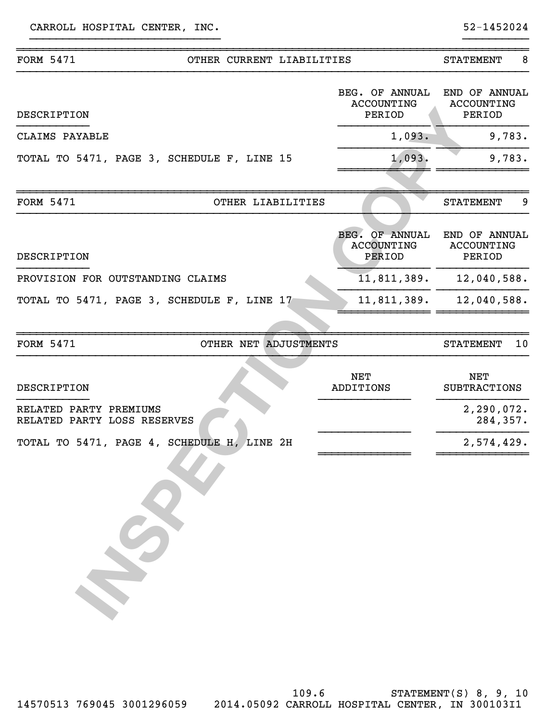| <b>FORM 5471</b>                                      | OTHER CURRENT LIABILITIES |                                                      | <b>STATEMENT</b>                             | 8      |
|-------------------------------------------------------|---------------------------|------------------------------------------------------|----------------------------------------------|--------|
| <b>DESCRIPTION</b>                                    |                           | BEG. OF ANNUAL<br><b>ACCOUNTING</b><br>PERIOD        | END OF ANNUAL<br>ACCOUNTING<br>PERIOD        |        |
| CLAIMS PAYABLE                                        |                           | 1,093.                                               |                                              | 9,783. |
| TOTAL TO 5471, PAGE 3, SCHEDULE F, LINE 15            |                           | 1,093.                                               |                                              | 9,783. |
|                                                       |                           |                                                      |                                              |        |
| <b>FORM 5471</b>                                      | OTHER LIABILITIES         |                                                      | <b>STATEMENT</b>                             | 9      |
| DESCRIPTION                                           |                           | <b>BEG. OF ANNUAL</b><br><b>ACCOUNTING</b><br>PERIOD | END OF ANNUAL<br><b>ACCOUNTING</b><br>PERIOD |        |
| PROVISION FOR OUTSTANDING CLAIMS                      |                           | 11,811,389.                                          | 12,040,588.                                  |        |
| TOTAL TO 5471, PAGE 3, SCHEDULE F, LINE 17            |                           | 11,811,389.                                          | 12,040,588.                                  |        |
| <b>FORM 5471</b>                                      | OTHER NET ADJUSTMENTS     |                                                      | <b>STATEMENT</b>                             | 10     |
| DESCRIPTION                                           |                           | <b>NET</b><br>ADDITIONS                              | <b>NET</b><br><b>SUBTRACTIONS</b>            |        |
| RELATED PARTY PREMIUMS<br>RELATED PARTY LOSS RESERVES |                           |                                                      | 2, 290, 072.<br>284,357.                     |        |
| TOTAL TO 5471, PAGE 4, SCHEDULE H, LINE 2H            |                           |                                                      | 2,574,429.                                   |        |
|                                                       |                           |                                                      |                                              |        |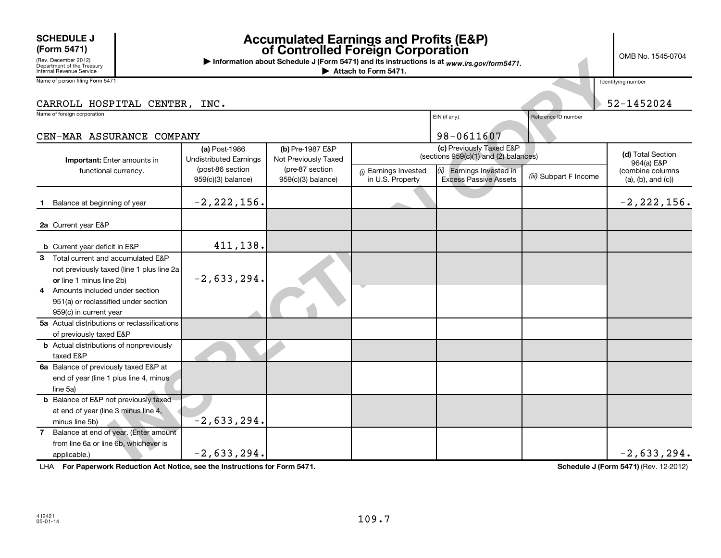## **SCHEDULE J**<br>(Form 5471)

## **(Form 5471) Accumulated Earnings and Profits (E&P) of Controlled Foreign Corporation**

OMB No. 1545-0704

| (Rev. December 2012)<br>Department of the Treasury<br>Internal Revenue Service | דט וטדטדט. וט <del>יו</del> ט טויוט<br>Information about Schedule J (Form 5471) and its instructions is at www.irs.gov/form5471.<br>Attach to Form 5471. |                                                   |                                         |                                           |                                                                   |                        |                                               |  |  |
|--------------------------------------------------------------------------------|----------------------------------------------------------------------------------------------------------------------------------------------------------|---------------------------------------------------|-----------------------------------------|-------------------------------------------|-------------------------------------------------------------------|------------------------|-----------------------------------------------|--|--|
| Name of person filing Form 5471                                                |                                                                                                                                                          |                                                   |                                         |                                           |                                                                   |                        | Identifying number                            |  |  |
| CARROLL HOSPITAL CENTER, INC.                                                  |                                                                                                                                                          |                                                   |                                         |                                           |                                                                   |                        | 52-1452024                                    |  |  |
| Name of foreign corporation                                                    |                                                                                                                                                          |                                                   |                                         |                                           | EIN (if any)                                                      | Reference ID number    |                                               |  |  |
| CEN-MAR ASSURANCE COMPANY                                                      |                                                                                                                                                          |                                                   |                                         |                                           | 98-0611607                                                        |                        |                                               |  |  |
|                                                                                |                                                                                                                                                          | (a) Post-1986                                     | (b) Pre-1987 E&P                        |                                           | (c) Previously Taxed E&P<br>(sections 959(c)(1) and (2) balances) |                        | (d) Total Section                             |  |  |
| Important: Enter amounts in                                                    |                                                                                                                                                          | <b>Undistributed Earnings</b><br>(post-86 section | Not Previously Taxed<br>(pre-87 section |                                           |                                                                   |                        | 964(a) E&P                                    |  |  |
| functional currency.                                                           |                                                                                                                                                          | 959(c)(3) balance)                                | 959(c)(3) balance)                      | (i) Earnings Invested<br>in U.S. Property | (ii) Earnings Invested in<br><b>Excess Passive Assets</b>         | (iii) Subpart F Income | (combine columns<br>$(a)$ , $(b)$ , and $(c)$ |  |  |
| Balance at beginning of year                                                   |                                                                                                                                                          | $-2, 222, 156.$                                   |                                         |                                           |                                                                   |                        | $-2, 222, 156.$                               |  |  |
|                                                                                |                                                                                                                                                          |                                                   |                                         |                                           |                                                                   |                        |                                               |  |  |
| 2a Current year E&P                                                            |                                                                                                                                                          |                                                   |                                         |                                           |                                                                   |                        |                                               |  |  |
| <b>b</b> Current year deficit in E&P                                           |                                                                                                                                                          | 411,138.                                          |                                         |                                           |                                                                   |                        |                                               |  |  |
| Total current and accumulated E&P<br>3                                         |                                                                                                                                                          |                                                   |                                         |                                           |                                                                   |                        |                                               |  |  |
|                                                                                | not previously taxed (line 1 plus line 2a)                                                                                                               |                                                   |                                         |                                           |                                                                   |                        |                                               |  |  |
| or line 1 minus line 2b)                                                       |                                                                                                                                                          | $-2,633,294.$                                     |                                         |                                           |                                                                   |                        |                                               |  |  |
| Amounts included under section<br>4                                            |                                                                                                                                                          |                                                   |                                         |                                           |                                                                   |                        |                                               |  |  |
| 951(a) or reclassified under section                                           |                                                                                                                                                          |                                                   |                                         |                                           |                                                                   |                        |                                               |  |  |
| 959(c) in current year                                                         |                                                                                                                                                          |                                                   |                                         |                                           |                                                                   |                        |                                               |  |  |
| 5a Actual distributions or reclassifications                                   |                                                                                                                                                          |                                                   |                                         |                                           |                                                                   |                        |                                               |  |  |
| of previously taxed E&P                                                        |                                                                                                                                                          |                                                   |                                         |                                           |                                                                   |                        |                                               |  |  |
| <b>b</b> Actual distributions of nonpreviously                                 |                                                                                                                                                          |                                                   |                                         |                                           |                                                                   |                        |                                               |  |  |
| taxed E&P                                                                      |                                                                                                                                                          |                                                   |                                         |                                           |                                                                   |                        |                                               |  |  |
| 6a Balance of previously taxed E&P at                                          |                                                                                                                                                          |                                                   |                                         |                                           |                                                                   |                        |                                               |  |  |
| end of year (line 1 plus line 4, minus                                         |                                                                                                                                                          |                                                   |                                         |                                           |                                                                   |                        |                                               |  |  |
| line 5a)                                                                       |                                                                                                                                                          |                                                   |                                         |                                           |                                                                   |                        |                                               |  |  |
| <b>b</b> Balance of E&P not previously taxed                                   |                                                                                                                                                          |                                                   |                                         |                                           |                                                                   |                        |                                               |  |  |
| at end of year (line 3 minus line 4,                                           |                                                                                                                                                          |                                                   |                                         |                                           |                                                                   |                        |                                               |  |  |
| minus line 5b)                                                                 |                                                                                                                                                          | $-2,633,294.$                                     |                                         |                                           |                                                                   |                        |                                               |  |  |
| Balance at end of year. (Enter amount<br>$\overline{7}$                        |                                                                                                                                                          |                                                   |                                         |                                           |                                                                   |                        |                                               |  |  |
| from line 6a or line 6b, whichever is                                          |                                                                                                                                                          |                                                   |                                         |                                           |                                                                   |                        |                                               |  |  |
| applicable.)                                                                   |                                                                                                                                                          | $-2,633,294.$                                     |                                         |                                           |                                                                   |                        | $-2,633,294.$                                 |  |  |

LHA For Paperwork Reduction Act Notice, see the Instructions for Form 5471. **In the set of the Schedule J (Form 5471)** (Rev. 12-2012)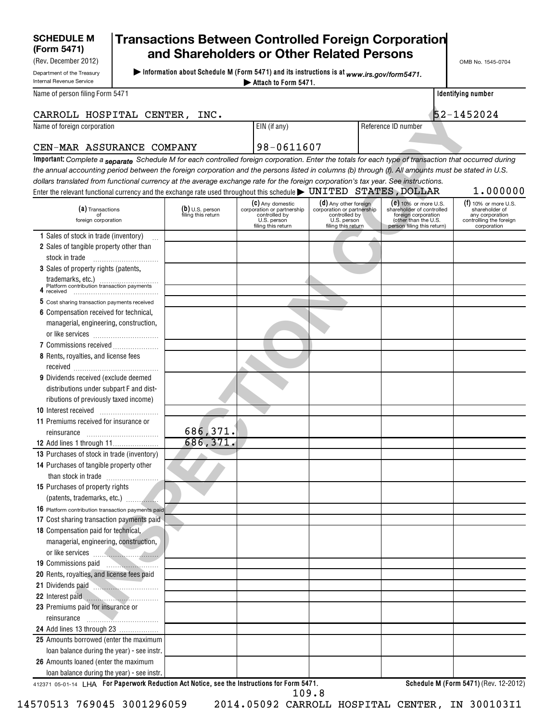## **SCHEDULE M**

Department of the Treasury

H

(Rev. December 2012)

### **(Form 5471) Transactions Between Controlled Foreign Corporation and Shareholders or Other Related Persons**

**| Information about Schedule M (Form 5471) and its instructions is at**  *www.irs.gov/form5471.*

OMB No. 1545-0704

| <b>Internal Revenue Service</b>                                                                                                                       |                                         | Attach to Form 5471.                                                             |                                                                                  |                                                                                                        |                                                                             |
|-------------------------------------------------------------------------------------------------------------------------------------------------------|-----------------------------------------|----------------------------------------------------------------------------------|----------------------------------------------------------------------------------|--------------------------------------------------------------------------------------------------------|-----------------------------------------------------------------------------|
| Name of person filing Form 5471                                                                                                                       |                                         |                                                                                  |                                                                                  |                                                                                                        | Identifying number                                                          |
| CARROLL HOSPITAL CENTER, INC.                                                                                                                         |                                         |                                                                                  |                                                                                  |                                                                                                        | 52-1452024                                                                  |
| Name of foreign corporation                                                                                                                           |                                         | EIN (if any)                                                                     |                                                                                  | Reference ID number                                                                                    |                                                                             |
| CEN-MAR ASSURANCE COMPANY                                                                                                                             |                                         | 98-0611607                                                                       |                                                                                  |                                                                                                        |                                                                             |
| Important: Complete a separate Schedule M for each controlled foreign corporation. Enter the totals for each type of transaction that occurred during |                                         |                                                                                  |                                                                                  |                                                                                                        |                                                                             |
| the annual accounting period between the foreign corporation and the persons listed in columns (b) through (f). All amounts must be stated in U.S.    |                                         |                                                                                  |                                                                                  |                                                                                                        |                                                                             |
| dollars translated from functional currency at the average exchange rate for the foreign corporation's tax year. See instructions.                    |                                         |                                                                                  |                                                                                  |                                                                                                        |                                                                             |
|                                                                                                                                                       |                                         |                                                                                  |                                                                                  |                                                                                                        | 1.000000                                                                    |
|                                                                                                                                                       |                                         | (C) Any domestic                                                                 | (d) Any other foreign                                                            | $(e)$ 10% or more U.S.                                                                                 | $(f)$ 10% or more U.S.                                                      |
| (a) Transactions<br>of<br>foreign corporation                                                                                                         | $(b)$ U.S. person<br>filing this return | corporation or partnership<br>controlled by<br>U.S. person<br>filing this return | corporation or partnership<br>controlled by<br>U.S. person<br>filing this return | shareholder of controlled<br>foreign corporation<br>(other than the U.S.<br>person filing this return) | shareholder of<br>any corporation<br>controlling the foreign<br>corporation |
| 1 Sales of stock in trade (inventory)                                                                                                                 |                                         |                                                                                  |                                                                                  |                                                                                                        |                                                                             |
| 2 Sales of tangible property other than                                                                                                               |                                         |                                                                                  |                                                                                  |                                                                                                        |                                                                             |
| stock in trade                                                                                                                                        |                                         |                                                                                  |                                                                                  |                                                                                                        |                                                                             |
| 3 Sales of property rights (patents,                                                                                                                  |                                         |                                                                                  |                                                                                  |                                                                                                        |                                                                             |
| trademarks, etc.)<br>Platform contribution transaction payments                                                                                       |                                         |                                                                                  |                                                                                  |                                                                                                        |                                                                             |
|                                                                                                                                                       |                                         |                                                                                  |                                                                                  |                                                                                                        |                                                                             |
| 5 Cost sharing transaction payments received                                                                                                          |                                         |                                                                                  |                                                                                  |                                                                                                        |                                                                             |
| 6 Compensation received for technical,                                                                                                                |                                         |                                                                                  |                                                                                  |                                                                                                        |                                                                             |
| managerial, engineering, construction,                                                                                                                |                                         |                                                                                  |                                                                                  |                                                                                                        |                                                                             |
|                                                                                                                                                       |                                         |                                                                                  |                                                                                  |                                                                                                        |                                                                             |
| 7 Commissions received                                                                                                                                |                                         |                                                                                  |                                                                                  |                                                                                                        |                                                                             |
| 8 Rents, royalties, and license fees                                                                                                                  |                                         |                                                                                  |                                                                                  |                                                                                                        |                                                                             |
|                                                                                                                                                       |                                         |                                                                                  |                                                                                  |                                                                                                        |                                                                             |
| 9 Dividends received (exclude deemed                                                                                                                  |                                         |                                                                                  |                                                                                  |                                                                                                        |                                                                             |
| distributions under subpart F and dist-                                                                                                               |                                         |                                                                                  |                                                                                  |                                                                                                        |                                                                             |
| ributions of previously taxed income)                                                                                                                 |                                         |                                                                                  |                                                                                  |                                                                                                        |                                                                             |
| 10 Interest received                                                                                                                                  |                                         |                                                                                  |                                                                                  |                                                                                                        |                                                                             |
| 11 Premiums received for insurance or                                                                                                                 |                                         |                                                                                  |                                                                                  |                                                                                                        |                                                                             |
| reinsurance                                                                                                                                           | 686,371.                                |                                                                                  |                                                                                  |                                                                                                        |                                                                             |
| <b>12</b> Add lines 1 through 11                                                                                                                      | 686,371.                                |                                                                                  |                                                                                  |                                                                                                        |                                                                             |
| 13 Purchases of stock in trade (inventory)                                                                                                            |                                         |                                                                                  |                                                                                  |                                                                                                        |                                                                             |
| 14 Purchases of tangible property other                                                                                                               |                                         |                                                                                  |                                                                                  |                                                                                                        |                                                                             |
|                                                                                                                                                       |                                         |                                                                                  |                                                                                  |                                                                                                        |                                                                             |
| 15 Purchases of property rights                                                                                                                       |                                         |                                                                                  |                                                                                  |                                                                                                        |                                                                             |
|                                                                                                                                                       |                                         |                                                                                  |                                                                                  |                                                                                                        |                                                                             |
| 16 Platform contribution transaction payments paid                                                                                                    |                                         |                                                                                  |                                                                                  |                                                                                                        |                                                                             |
| 17 Cost sharing transaction payments paid                                                                                                             |                                         |                                                                                  |                                                                                  |                                                                                                        |                                                                             |
| 18 Compensation paid for technical,                                                                                                                   |                                         |                                                                                  |                                                                                  |                                                                                                        |                                                                             |
| managerial, engineering, construction,                                                                                                                |                                         |                                                                                  |                                                                                  |                                                                                                        |                                                                             |
| or like services                                                                                                                                      |                                         |                                                                                  |                                                                                  |                                                                                                        |                                                                             |
| 19 Commissions paid                                                                                                                                   |                                         |                                                                                  |                                                                                  |                                                                                                        |                                                                             |
| 20 Rents, royalties, and license fees paid                                                                                                            |                                         |                                                                                  |                                                                                  |                                                                                                        |                                                                             |
| 21 Dividends paid                                                                                                                                     |                                         |                                                                                  |                                                                                  |                                                                                                        |                                                                             |
| 22 Interest paid                                                                                                                                      |                                         |                                                                                  |                                                                                  |                                                                                                        |                                                                             |
| 23 Premiums paid for insurance or                                                                                                                     |                                         |                                                                                  |                                                                                  |                                                                                                        |                                                                             |
| reinsurance                                                                                                                                           |                                         |                                                                                  |                                                                                  |                                                                                                        |                                                                             |
| <b>24</b> Add lines 13 through 23                                                                                                                     |                                         |                                                                                  |                                                                                  |                                                                                                        |                                                                             |
| 25 Amounts borrowed (enter the maximum                                                                                                                |                                         |                                                                                  |                                                                                  |                                                                                                        |                                                                             |
| loan balance during the year) - see instr.                                                                                                            |                                         |                                                                                  |                                                                                  |                                                                                                        |                                                                             |
| 26 Amounts loaned (enter the maximum                                                                                                                  |                                         |                                                                                  |                                                                                  |                                                                                                        |                                                                             |
| loan balance during the year) - see instr.                                                                                                            |                                         |                                                                                  |                                                                                  |                                                                                                        |                                                                             |

412371 05-01-14 **For Paperwork Reduction Act Notice, see the Instructions for Form 5471. Schedule M (Form 5471)**  LHA (Rev. 12-2012)

109.8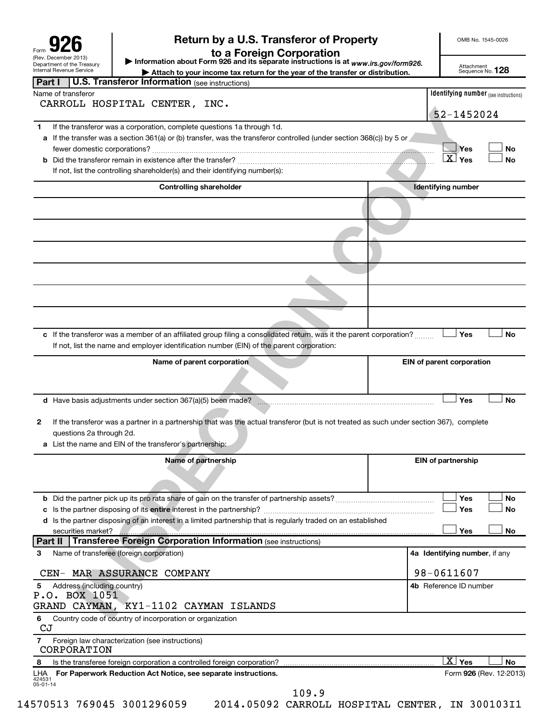| Form                                                                                  |  |
|---------------------------------------------------------------------------------------|--|
| (Rev. December 2013)<br>Department of the Treasury<br><b>Internal Revenue Service</b> |  |

# **926 deturn by a U.S. Transferor of Property**<br>a Foreign Corporation **to a Security**

OMB No. 1545-0026

Department of the Treasury **Attachment Service Attachment** Sequence No.<br>| Internal Revenue Service **Attachment Attach to your income tax return for the year of the transfer or distribution.** Sequence No. **| Information about Form 926 and its separate instructions is at**  *www.irs.gov/form926.*

Attachment<br>Sequence No. **128** 

| Part I                   | <b>U.S. Transferor Information (see instructions)</b>                                                                                    |                                              |  |
|--------------------------|------------------------------------------------------------------------------------------------------------------------------------------|----------------------------------------------|--|
| Name of transferor       |                                                                                                                                          | <b>Identifying number</b> (see instructions) |  |
|                          | CARROLL HOSPITAL CENTER, INC.                                                                                                            |                                              |  |
|                          |                                                                                                                                          | 52-1452024                                   |  |
| 1                        | If the transferor was a corporation, complete questions 1a through 1d.                                                                   |                                              |  |
| а                        | If the transfer was a section 361(a) or (b) transfer, was the transferor controlled (under section 368(c)) by 5 or                       |                                              |  |
|                          |                                                                                                                                          | Yes<br>Nο                                    |  |
| b                        |                                                                                                                                          | $\overline{X}$ Yes<br>Nο                     |  |
|                          | If not, list the controlling shareholder(s) and their identifying number(s):                                                             |                                              |  |
|                          | <b>Controlling shareholder</b>                                                                                                           | <b>Identifying number</b>                    |  |
|                          |                                                                                                                                          |                                              |  |
|                          |                                                                                                                                          |                                              |  |
|                          |                                                                                                                                          |                                              |  |
|                          |                                                                                                                                          |                                              |  |
|                          |                                                                                                                                          |                                              |  |
|                          |                                                                                                                                          |                                              |  |
|                          |                                                                                                                                          |                                              |  |
|                          | c If the transferor was a member of an affiliated group filing a consolidated return, was it the parent corporation?                     | <b>No</b><br>Yes                             |  |
|                          | If not, list the name and employer identification number (EIN) of the parent corporation:                                                |                                              |  |
|                          | Name of parent corporation                                                                                                               | EIN of parent corporation                    |  |
|                          |                                                                                                                                          |                                              |  |
|                          |                                                                                                                                          |                                              |  |
|                          | d Have basis adjustments under section 367(a)(5) been made?                                                                              | Yes<br><b>No</b>                             |  |
|                          |                                                                                                                                          |                                              |  |
| 2                        | If the transferor was a partner in a partnership that was the actual transferor (but is not treated as such under section 367), complete |                                              |  |
|                          | questions 2a through 2d.                                                                                                                 |                                              |  |
|                          | a List the name and EIN of the transferor's partnership:                                                                                 |                                              |  |
|                          |                                                                                                                                          |                                              |  |
|                          | Name of partnership                                                                                                                      | <b>EIN of partnership</b>                    |  |
|                          |                                                                                                                                          |                                              |  |
|                          |                                                                                                                                          |                                              |  |
|                          | <b>b</b> Did the partner pick up its pro rata share of gain on the transfer of partnership assets?                                       | Yes<br>No                                    |  |
|                          | c Is the partner disposing of its <b>entire</b> interest in the partnership?                                                             | Yes<br>No                                    |  |
|                          | d Is the partner disposing of an interest in a limited partnership that is regularly traded on an established                            |                                              |  |
|                          | securities market?                                                                                                                       | Yes<br><b>No</b>                             |  |
| Part II                  | Transferee Foreign Corporation Information (see instructions)                                                                            |                                              |  |
| 3                        | Name of transferee (foreign corporation)                                                                                                 | 4a Identifying number, if any                |  |
|                          |                                                                                                                                          |                                              |  |
|                          | CEN- MAR ASSURANCE COMPANY                                                                                                               | 98-0611607                                   |  |
| 5                        | Address (including country)                                                                                                              | 4b Reference ID number                       |  |
|                          | P.O. BOX 1051                                                                                                                            |                                              |  |
|                          | GRAND CAYMAN, KY1-1102 CAYMAN ISLANDS                                                                                                    |                                              |  |
| 6<br>CJ                  | Country code of country of incorporation or organization                                                                                 |                                              |  |
| 7                        | Foreign law characterization (see instructions)                                                                                          |                                              |  |
|                          | CORPORATION                                                                                                                              |                                              |  |
| 8                        | Is the transferee foreign corporation a controlled foreign corporation?                                                                  | $\overline{\text{X}}$ Yes<br>No              |  |
| LHA                      | For Paperwork Reduction Act Notice, see separate instructions.                                                                           | Form 926 (Rev. 12-2013)                      |  |
| 424531<br>$05 - 01 - 14$ |                                                                                                                                          |                                              |  |
|                          | 109.9                                                                                                                                    |                                              |  |

14570513 769045 3001296059 2014.05092 CARROLL HOSPITAL CENTER, IN 300103I1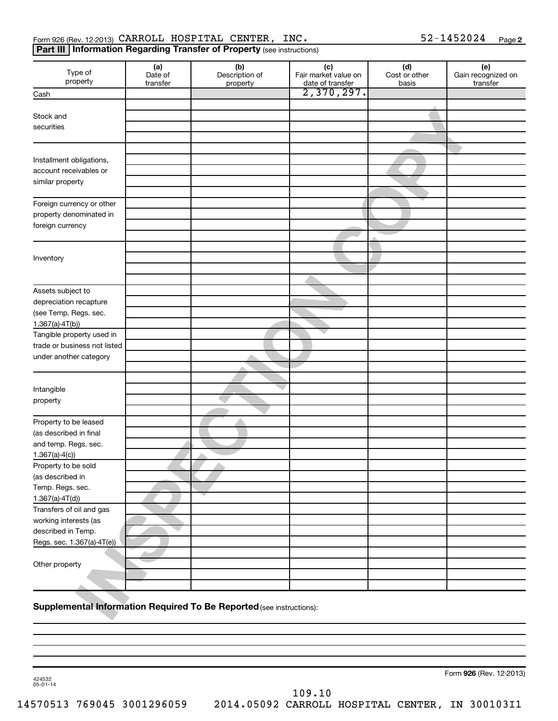#### Form 926 (Rev. 12-2013)  $\texttt{CARCH}$   $\texttt{HOSPITAL}$   $\texttt{CBNTER}$ ,  $\texttt{INC.}$  52-1452024  $\texttt{Page}$

#### **Part III | Information Regarding Transfer of Property** (see instructions)

| Type of<br>property                    | (a)<br>Date of<br>transfer | (b)<br>Description of<br>property                                    | (c)<br>Fair market value on<br>date of transfer | $(d)$<br>Cost or other<br>basis | (e)<br>Gain recognized on<br>transfer |
|----------------------------------------|----------------------------|----------------------------------------------------------------------|-------------------------------------------------|---------------------------------|---------------------------------------|
| Cash                                   |                            |                                                                      | 2,370,297.                                      |                                 |                                       |
|                                        |                            |                                                                      |                                                 |                                 |                                       |
| Stock and                              |                            |                                                                      |                                                 |                                 |                                       |
| securities                             |                            |                                                                      |                                                 |                                 |                                       |
|                                        |                            |                                                                      |                                                 |                                 |                                       |
|                                        |                            |                                                                      |                                                 |                                 |                                       |
| Installment obligations,               |                            |                                                                      |                                                 |                                 |                                       |
| account receivables or                 |                            |                                                                      |                                                 |                                 |                                       |
| similar property                       |                            |                                                                      |                                                 |                                 |                                       |
|                                        |                            |                                                                      |                                                 |                                 |                                       |
| Foreign currency or other              |                            |                                                                      |                                                 |                                 |                                       |
| property denominated in                |                            |                                                                      |                                                 |                                 |                                       |
| foreign currency                       |                            |                                                                      |                                                 |                                 |                                       |
|                                        |                            |                                                                      |                                                 |                                 |                                       |
|                                        |                            |                                                                      |                                                 |                                 |                                       |
| Inventory                              |                            |                                                                      |                                                 |                                 |                                       |
|                                        |                            |                                                                      |                                                 |                                 |                                       |
|                                        |                            |                                                                      |                                                 |                                 |                                       |
| Assets subject to                      |                            |                                                                      |                                                 |                                 |                                       |
| depreciation recapture                 |                            |                                                                      |                                                 |                                 |                                       |
| (see Temp. Regs. sec.                  |                            |                                                                      |                                                 |                                 |                                       |
| $1.367(a) -4T(b)$                      |                            |                                                                      |                                                 |                                 |                                       |
| Tangible property used in              |                            |                                                                      |                                                 |                                 |                                       |
| trade or business not listed           |                            |                                                                      |                                                 |                                 |                                       |
| under another category                 |                            |                                                                      |                                                 |                                 |                                       |
|                                        |                            |                                                                      |                                                 |                                 |                                       |
|                                        |                            |                                                                      |                                                 |                                 |                                       |
| Intangible                             |                            |                                                                      |                                                 |                                 |                                       |
| property                               |                            |                                                                      |                                                 |                                 |                                       |
|                                        |                            |                                                                      |                                                 |                                 |                                       |
| Property to be leased                  |                            |                                                                      |                                                 |                                 |                                       |
| (as described in final                 |                            |                                                                      |                                                 |                                 |                                       |
| and temp. Regs. sec.                   |                            |                                                                      |                                                 |                                 |                                       |
| $1.367(a) - 4(c)$                      |                            |                                                                      |                                                 |                                 |                                       |
| Property to be sold                    |                            |                                                                      |                                                 |                                 |                                       |
| (as described in                       |                            |                                                                      |                                                 |                                 |                                       |
| Temp. Regs. sec.<br>$1.367(a) - 4T(d)$ |                            |                                                                      |                                                 |                                 |                                       |
| Transfers of oil and gas               |                            |                                                                      |                                                 |                                 |                                       |
| working interests (as                  |                            |                                                                      |                                                 |                                 |                                       |
| described in Temp.                     |                            |                                                                      |                                                 |                                 |                                       |
| Regs. sec. 1.367(a)-4T(e))             |                            |                                                                      |                                                 |                                 |                                       |
|                                        |                            |                                                                      |                                                 |                                 |                                       |
| Other property                         |                            |                                                                      |                                                 |                                 |                                       |
|                                        |                            |                                                                      |                                                 |                                 |                                       |
|                                        |                            |                                                                      |                                                 |                                 |                                       |
|                                        |                            |                                                                      |                                                 |                                 |                                       |
|                                        |                            | Supplemental Information Required To Be Reported (see instructions): |                                                 |                                 |                                       |

#### **Supplemental Information Required To Be Reported** (see instructions):

Form 926 (Rev. 12-2013)

424532 05-01-14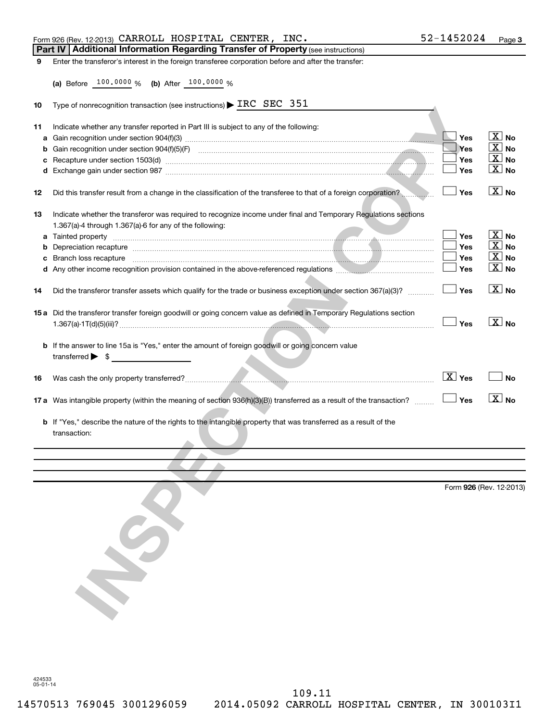|    | Form 926 (Rev. 12-2013) CARROLL HOSPITAL CENTER, INC.                                                                                                                                                                          | 52-1452024              | Page 3                 |
|----|--------------------------------------------------------------------------------------------------------------------------------------------------------------------------------------------------------------------------------|-------------------------|------------------------|
|    | Part IV   Additional Information Regarding Transfer of Property (see instructions)                                                                                                                                             |                         |                        |
| 9  | Enter the transferor's interest in the foreign transferee corporation before and after the transfer:                                                                                                                           |                         |                        |
|    |                                                                                                                                                                                                                                |                         |                        |
|    | (a) Before 100.0000 % (b) After 100.0000 %                                                                                                                                                                                     |                         |                        |
|    |                                                                                                                                                                                                                                |                         |                        |
| 10 | Type of nonrecognition transaction (see instructions) $\blacktriangleright$ IRC SEC 351                                                                                                                                        |                         |                        |
|    |                                                                                                                                                                                                                                |                         |                        |
| 11 | Indicate whether any transfer reported in Part III is subject to any of the following:                                                                                                                                         |                         |                        |
| a  |                                                                                                                                                                                                                                | Yes                     | $X_{N0}$               |
| b  |                                                                                                                                                                                                                                | Yes                     | $X_{\text{No}}$        |
|    |                                                                                                                                                                                                                                | Yes                     | $X_{\text{No}}$        |
|    |                                                                                                                                                                                                                                | Yes                     | $\lfloor x \rfloor$ No |
| 12 | Did this transfer result from a change in the classification of the transferee to that of a foreign corporation?                                                                                                               | Yes                     | $X$ No                 |
| 13 | Indicate whether the transferor was required to recognize income under final and Temporary Regulations sections                                                                                                                |                         |                        |
|    | 1.367(a)-4 through 1.367(a)-6 for any of the following:                                                                                                                                                                        |                         |                        |
|    |                                                                                                                                                                                                                                | Yes                     | $X_{N0}$               |
| b  |                                                                                                                                                                                                                                | Yes                     | $\lfloor x \rfloor$ No |
| с  | Branch loss recapture entertainment contracts and contracts and contracts and contracts and contracts and contracts and contracts and contracts and contracts and contracts and contracts and contracts and contracts and cont | Yes                     | $X$ No                 |
|    |                                                                                                                                                                                                                                | Yes                     | $\lfloor x \rfloor$ No |
| 14 | Did the transferor transfer assets which qualify for the trade or business exception under section 367(a)(3)?                                                                                                                  | Yes                     | $\boxed{\text{X}}$ No  |
|    |                                                                                                                                                                                                                                |                         |                        |
|    | 15 a Did the transferor transfer foreign goodwill or going concern value as defined in Temporary Regulations section                                                                                                           | Yes                     | $\boxed{\text{X}}$ No  |
|    | b If the answer to line 15a is "Yes," enter the amount of foreign goodwill or going concern value<br>$transferred \rightarrow \$$                                                                                              |                         |                        |
| 16 |                                                                                                                                                                                                                                | $\boxed{\text{X}}$ Yes  | <b>No</b>              |
|    | 17 a Was intangible property (within the meaning of section 936(h)(3)(B)) transferred as a result of the transaction?                                                                                                          | $\Box$ Yes              | $\boxed{\text{X}}$ No  |
|    | b If "Yes," describe the nature of the rights to the intangible property that was transferred as a result of the<br>transaction:                                                                                               |                         |                        |
|    |                                                                                                                                                                                                                                |                         |                        |
|    |                                                                                                                                                                                                                                |                         |                        |
|    |                                                                                                                                                                                                                                |                         |                        |
|    |                                                                                                                                                                                                                                | Form 926 (Rev. 12-2013) |                        |
|    |                                                                                                                                                                                                                                |                         |                        |
|    |                                                                                                                                                                                                                                |                         |                        |
|    |                                                                                                                                                                                                                                |                         |                        |
|    |                                                                                                                                                                                                                                |                         |                        |
|    |                                                                                                                                                                                                                                |                         |                        |
|    |                                                                                                                                                                                                                                |                         |                        |
|    |                                                                                                                                                                                                                                |                         |                        |
|    |                                                                                                                                                                                                                                |                         |                        |
|    |                                                                                                                                                                                                                                |                         |                        |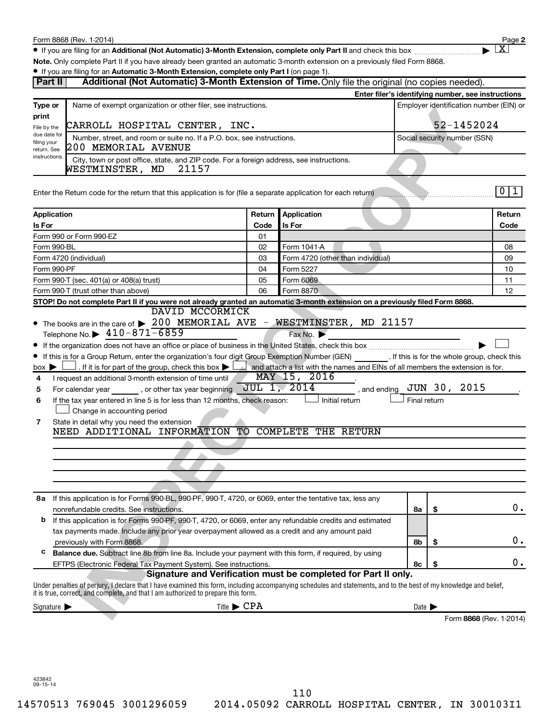$\bullet$  If you are filing for an Additional (Not Automatic) 3-Month Extension, complete only Part II and check this box  $~~$ 

**Note.**  Only complete Part II if you have already been granted an automatic 3-month extension on a previously filed Form 8868.

**2**

† X

#### **• If you are filing for an Automatic 3-Month Extension, complete only Part I** (on page 1).

| $\frac{1}{2}$ you are ming for an Automatic o-Month Extension, complete only r art i (or page 1).<br>Part II                                                                                                                                            |                                                                                                   | Additional (Not Automatic) 3-Month Extension of Time. Only file the original (no copies needed).          |                            |                              |                                                    |
|---------------------------------------------------------------------------------------------------------------------------------------------------------------------------------------------------------------------------------------------------------|---------------------------------------------------------------------------------------------------|-----------------------------------------------------------------------------------------------------------|----------------------------|------------------------------|----------------------------------------------------|
|                                                                                                                                                                                                                                                         |                                                                                                   |                                                                                                           |                            |                              | Enter filer's identifying number, see instructions |
| Name of exempt organization or other filer, see instructions.<br>Type or<br>print                                                                                                                                                                       |                                                                                                   | Employer identification number (EIN) or<br>52-1452024                                                     |                            |                              |                                                    |
| CARROLL HOSPITAL CENTER, INC.<br>File by the<br>due date for                                                                                                                                                                                            |                                                                                                   |                                                                                                           |                            |                              |                                                    |
| filing your<br>200 MEMORIAL AVENUE<br>return. See                                                                                                                                                                                                       | Number, street, and room or suite no. If a P.O. box, see instructions.                            |                                                                                                           |                            | Social security number (SSN) |                                                    |
| instructions.<br>WESTMINSTER, MD                                                                                                                                                                                                                        | City, town or post office, state, and ZIP code. For a foreign address, see instructions.<br>21157 |                                                                                                           |                            |                              |                                                    |
| Enter the Return code for the return that this application is for (file a separate application for each return)                                                                                                                                         |                                                                                                   |                                                                                                           |                            |                              | 0 <sub>1</sub>                                     |
| Application                                                                                                                                                                                                                                             | Return                                                                                            | Application                                                                                               |                            |                              | Return                                             |
| Is For                                                                                                                                                                                                                                                  | Code                                                                                              | Is For                                                                                                    |                            |                              | Code                                               |
| Form 990 or Form 990-EZ                                                                                                                                                                                                                                 | 01                                                                                                |                                                                                                           |                            |                              |                                                    |
| Form 990-BL                                                                                                                                                                                                                                             | 02                                                                                                | Form 1041-A                                                                                               |                            |                              | 08                                                 |
| Form 4720 (individual)                                                                                                                                                                                                                                  | 03                                                                                                | Form 4720 (other than individual)                                                                         |                            |                              | 09                                                 |
| Form 990-PF                                                                                                                                                                                                                                             | 04                                                                                                | Form 5227                                                                                                 |                            |                              | 10                                                 |
| Form 990-T (sec. 401(a) or 408(a) trust)                                                                                                                                                                                                                | 05                                                                                                | Form 6069                                                                                                 |                            |                              | 11                                                 |
| Form 990-T (trust other than above)                                                                                                                                                                                                                     | 06                                                                                                | Form 8870                                                                                                 |                            |                              | 12                                                 |
| STOP! Do not complete Part II if you were not already granted an automatic 3-month extension on a previously filed Form 8868.                                                                                                                           |                                                                                                   |                                                                                                           |                            |                              |                                                    |
|                                                                                                                                                                                                                                                         | DAVID MCCORMICK                                                                                   |                                                                                                           |                            |                              |                                                    |
| • The books are in the care of > 200 MEMORIAL AVE - WESTMINSTER, MD 21157                                                                                                                                                                               |                                                                                                   |                                                                                                           |                            |                              |                                                    |
| Telephone No. $\blacktriangleright$ 410-871-6859                                                                                                                                                                                                        |                                                                                                   | Fax No.                                                                                                   |                            |                              |                                                    |
|                                                                                                                                                                                                                                                         |                                                                                                   |                                                                                                           |                            |                              |                                                    |
| • If this is for a Group Return, enter the organization's four digit Group Exemption Number (GEN) ________. If this is for the whole group, check this                                                                                                  |                                                                                                   |                                                                                                           |                            |                              |                                                    |
| . If it is for part of the group, check this box $\blacktriangleright$ [<br>$box \triangleright$                                                                                                                                                        |                                                                                                   | and attach a list with the names and EINs of all members the extension is for.                            |                            |                              |                                                    |
| I request an additional 3-month extension of time until<br>4                                                                                                                                                                                            |                                                                                                   | MAY 15, 2016                                                                                              |                            |                              |                                                    |
| For calendar year ________, or other tax year beginning<br>5                                                                                                                                                                                            |                                                                                                   | <b>JUL 1, 2014</b><br>, and ending                                                                        |                            | JUN 30, 2015                 |                                                    |
| If the tax year entered in line 5 is for less than 12 months, check reason:<br>6                                                                                                                                                                        |                                                                                                   | Initial return                                                                                            | Final return               |                              |                                                    |
| Change in accounting period                                                                                                                                                                                                                             |                                                                                                   |                                                                                                           |                            |                              |                                                    |
| State in detail why you need the extension<br>7<br>NEED ADDITIONAL INFORMATION TO COMPLETE THE RETURN                                                                                                                                                   |                                                                                                   |                                                                                                           |                            |                              |                                                    |
|                                                                                                                                                                                                                                                         |                                                                                                   |                                                                                                           |                            |                              |                                                    |
|                                                                                                                                                                                                                                                         |                                                                                                   |                                                                                                           |                            |                              |                                                    |
|                                                                                                                                                                                                                                                         |                                                                                                   |                                                                                                           |                            |                              |                                                    |
|                                                                                                                                                                                                                                                         |                                                                                                   |                                                                                                           |                            |                              |                                                    |
|                                                                                                                                                                                                                                                         |                                                                                                   |                                                                                                           |                            |                              |                                                    |
| 8a If this application is for Forms 990-BL, 990-PF, 990-T, 4720, or 6069, enter the tentative tax, less any                                                                                                                                             |                                                                                                   |                                                                                                           |                            |                              |                                                    |
| nonrefundable credits. See instructions.                                                                                                                                                                                                                |                                                                                                   |                                                                                                           | 8а                         | \$                           | 0.                                                 |
| b                                                                                                                                                                                                                                                       |                                                                                                   | If this application is for Forms 990-PF, 990-T, 4720, or 6069, enter any refundable credits and estimated |                            |                              |                                                    |
| tax payments made. Include any prior year overpayment allowed as a credit and any amount paid                                                                                                                                                           |                                                                                                   |                                                                                                           |                            |                              |                                                    |
| previously with Form 8868.                                                                                                                                                                                                                              |                                                                                                   |                                                                                                           | 8b                         | \$                           | 0.                                                 |
| с<br>Balance due. Subtract line 8b from line 8a. Include your payment with this form, if required, by using                                                                                                                                             |                                                                                                   |                                                                                                           |                            |                              |                                                    |
| EFTPS (Electronic Federal Tax Payment System). See instructions.                                                                                                                                                                                        |                                                                                                   |                                                                                                           | 8с                         | \$                           | 0.                                                 |
|                                                                                                                                                                                                                                                         |                                                                                                   | Signature and Verification must be completed for Part II only.                                            |                            |                              |                                                    |
| Under penalties of perjury, I declare that I have examined this form, including accompanying schedules and statements, and to the best of my knowledge and belief,<br>it is true, correct, and complete, and that I am authorized to prepare this form. |                                                                                                   |                                                                                                           |                            |                              |                                                    |
| Signature $\blacktriangleright$                                                                                                                                                                                                                         | Title $\blacktriangleright$ CPA                                                                   |                                                                                                           | Date $\blacktriangleright$ |                              |                                                    |
|                                                                                                                                                                                                                                                         |                                                                                                   |                                                                                                           |                            |                              | Form 8868 (Rev. 1-2014)                            |
|                                                                                                                                                                                                                                                         |                                                                                                   |                                                                                                           |                            |                              |                                                    |
|                                                                                                                                                                                                                                                         |                                                                                                   |                                                                                                           |                            |                              |                                                    |

423842 09-15-14

14570513 769045 3001296059 2014.05092 CARROLL HOSPITAL CENTER, IN 300103I1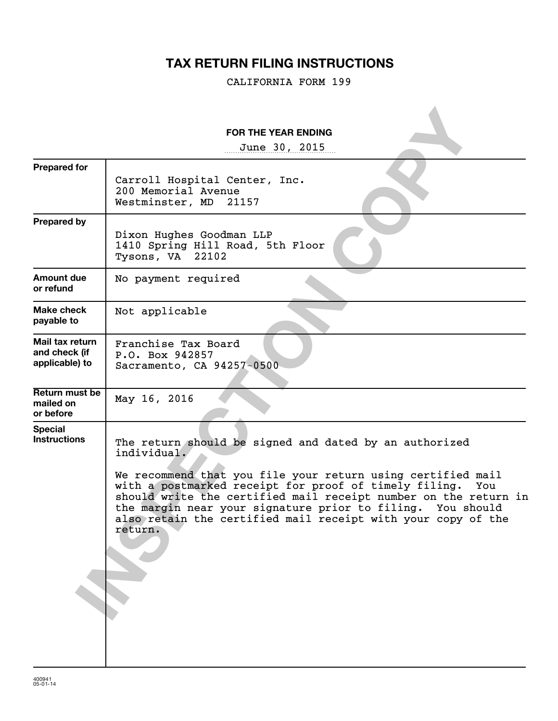## **TAX RETURN FILING INSTRUCTIONS**

CALIFORNIA FORM 199

|                                                    | <b>FOR THE YEAR ENDING</b>                                                                                                                                                                                                                                                                                                                                                                                       |
|----------------------------------------------------|------------------------------------------------------------------------------------------------------------------------------------------------------------------------------------------------------------------------------------------------------------------------------------------------------------------------------------------------------------------------------------------------------------------|
|                                                    | June 30, 2015                                                                                                                                                                                                                                                                                                                                                                                                    |
| <b>Prepared for</b>                                | Carroll Hospital Center, Inc.<br>200 Memorial Avenue<br>Westminster, MD 21157                                                                                                                                                                                                                                                                                                                                    |
| <b>Prepared by</b>                                 | Dixon Hughes Goodman LLP<br>1410 Spring Hill Road, 5th Floor<br>Tysons, VA 22102                                                                                                                                                                                                                                                                                                                                 |
| Amount due<br>or refund                            | No payment required                                                                                                                                                                                                                                                                                                                                                                                              |
| Make check<br>payable to                           | Not applicable                                                                                                                                                                                                                                                                                                                                                                                                   |
| Mail tax return<br>and check (if<br>applicable) to | Franchise Tax Board<br>P.O. Box 942857<br>Sacramento, CA 94257-0500                                                                                                                                                                                                                                                                                                                                              |
| Return must be<br>mailed on<br>or before           | May 16, 2016                                                                                                                                                                                                                                                                                                                                                                                                     |
| <b>Special</b><br><b>Instructions</b>              | The return should be signed and dated by an authorized<br>individual.<br>We recommend that you file your return using certified mail<br>with a postmarked receipt for proof of timely filing.<br>You<br>should write the certified mail receipt number on the return in<br>the margin near your signature prior to filing. You should<br>also retain the certified mail receipt with your copy of the<br>return. |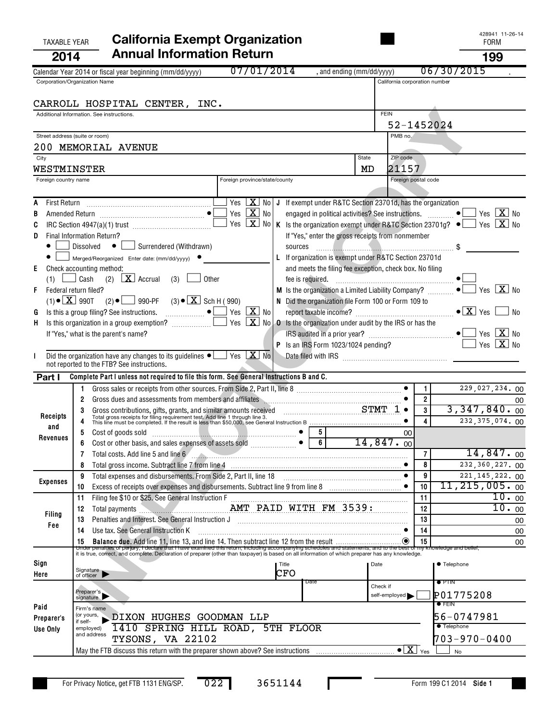## TAXABLE YEAR **California Exempt Organization California Exempt Organization 2014 Annual Information Return 199**

|                      | 07/01/2014<br>, and ending (mm/dd/yyyy)<br>Calendar Year 2014 or fiscal year beginning (mm/dd/yyyy)                                                                                                                                                                                                                       |               |                                        | 06/30/2015                     |
|----------------------|---------------------------------------------------------------------------------------------------------------------------------------------------------------------------------------------------------------------------------------------------------------------------------------------------------------------------|---------------|----------------------------------------|--------------------------------|
|                      | Corporation/Organization Name                                                                                                                                                                                                                                                                                             |               | California corporation number          |                                |
|                      |                                                                                                                                                                                                                                                                                                                           |               |                                        |                                |
|                      | CARROLL HOSPITAL CENTER, INC.                                                                                                                                                                                                                                                                                             | <b>FEIN</b>   |                                        |                                |
|                      | Additional Information. See instructions.                                                                                                                                                                                                                                                                                 |               | 52-1452024                             |                                |
|                      | Street address (suite or room)                                                                                                                                                                                                                                                                                            | PMB no.       |                                        |                                |
|                      | 200 MEMORIAL AVENUE                                                                                                                                                                                                                                                                                                       |               |                                        |                                |
| City                 | <b>State</b>                                                                                                                                                                                                                                                                                                              | ZIP code      |                                        |                                |
| WESTMINSTER          | MD                                                                                                                                                                                                                                                                                                                        |               | 21157                                  |                                |
| Foreign country name | Foreign province/state/county                                                                                                                                                                                                                                                                                             |               | Foreign postal code                    |                                |
|                      |                                                                                                                                                                                                                                                                                                                           |               |                                        |                                |
|                      | Yes $\boxed{\textbf{X}}$ No $\boxed{\textbf{J}}$ If exempt under R&TC Section 23701d, has the organization                                                                                                                                                                                                                |               |                                        |                                |
|                      | Yes $X$ No<br>engaged in political activities? See instructions.  ●                                                                                                                                                                                                                                                       |               |                                        | Yes $\boxed{\mathbf{X}}$ No    |
| C                    | Yes<br>$\lfloor x \rfloor$<br>No<br>K Is the organization exempt under R&TC Section 23701g? $\bullet$ Yes $\boxed{\mathbf{X}}$ No                                                                                                                                                                                         |               |                                        |                                |
| D                    | If "Yes," enter the gross receipts from nonmember<br>Final Information Return?                                                                                                                                                                                                                                            |               |                                        |                                |
|                      | Surrendered (Withdrawn)<br>Dissolved $\bullet$  <br>sources                                                                                                                                                                                                                                                               |               |                                        |                                |
|                      | L If organization is exempt under R&TC Section 23701d<br>Merged/Reorganized Enter date: (mm/dd/yyyy)                                                                                                                                                                                                                      |               |                                        |                                |
| Ε                    | Check accounting method:<br>and meets the filing fee exception, check box. No filing                                                                                                                                                                                                                                      |               |                                        |                                |
|                      | (2) $\boxed{\mathbf{X}}$ Accrual<br>Cash<br>(3)<br>Other                                                                                                                                                                                                                                                                  |               |                                        | Yes $X$ No                     |
| F                    | M Is the organization a Limited Liability Company?<br>Federal return filed?<br>$(2) \bullet$ 990-PF $(3) \bullet \boxed{X}$ Sch H (990)<br>$(1) \bullet \boxed{\textbf{X}}$ 990T<br>N Did the organization file Form 100 or Form 109 to                                                                                   |               |                                        |                                |
| G                    | Is this a group filing? See instructions. $\Box$ $\bullet$ $\Box$ Yes $\boxed{\mathbf{X}}$ No                                                                                                                                                                                                                             |               |                                        | l No                           |
| н                    | $X$ No<br>Yes<br><b>0</b> Is the organization under audit by the IRS or has the                                                                                                                                                                                                                                           |               |                                        |                                |
|                      | If "Yes," what is the parent's name?                                                                                                                                                                                                                                                                                      |               |                                        | Yes $\boxed{\mathbf{X}}$       |
|                      | P Is an IRS Form 1023/1024 pending?                                                                                                                                                                                                                                                                                       |               |                                        | $\boxed{\text{X}}$ No<br>Yes   |
|                      | $X$ No<br>Did the organization have any changes to its guidelines $\bullet$ $\Box$ Yes                                                                                                                                                                                                                                    |               |                                        |                                |
|                      | not reported to the FTB? See instructions.                                                                                                                                                                                                                                                                                |               |                                        |                                |
| Part I               | Complete Part I unless not required to file this form. See General Instructions B and C.                                                                                                                                                                                                                                  |               |                                        |                                |
|                      |                                                                                                                                                                                                                                                                                                                           |               | $\mathbf{1}$                           | 229,027,234.00                 |
|                      | Gross dues and assessments from members and affiliates Martin Martin Martin Martin Martin Martin Martin Martin<br>2                                                                                                                                                                                                       |               | $\overline{2}$                         | 00                             |
| Receipts             | Gross contributions, gifts, grants, and similar amounts received CHART TO TOTAL TOTAL TOTAL TOTAL TOTAL TOTAL TOTAL TOTAL TOTAL TOTAL TOTAL TOTAL TOTAL TOTAL TOTAL TOTAL TOTAL TOTAL TOTAL TOTAL TOTAL TOTAL THIS line must b                                                                                            |               | 3                                      | 3,347,840.00                   |
| and                  |                                                                                                                                                                                                                                                                                                                           |               |                                        | 232, 375, 074. 00              |
| Revenues             | Cost of goods sold enterprises of assets sold enterprises of assets sold enterprise of a sets sold enterprises of assets sold enterprises of assets sold enterprise of a sets sold enterprise of a sets sold enterprise of a s<br>5                                                                                       |               |                                        |                                |
|                      |                                                                                                                                                                                                                                                                                                                           |               |                                        | 14,847.00                      |
|                      | Total costs. Add line 5 and line 6                                                                                                                                                                                                                                                                                        |               | $\overline{7}$<br>8<br>$\bullet$       | 232,360,227.00                 |
|                      | Total expenses and disbursements. From Side 2, Part II, line 18<br>9                                                                                                                                                                                                                                                      |               | 9                                      | 221, 145, 222. 00              |
| <b>Expenses</b>      | Excess of receipts over expenses and disbursements. Subtract line 9 from line 8 [100] [100] Excess of receipts over expenses and disbursements. Subtract line 9 from line 8<br>10                                                                                                                                         |               | 10                                     | $11,215,005 \cdot$ 00          |
|                      | Filing fee \$10 or \$25. See General Instruction F<br>11                                                                                                                                                                                                                                                                  |               | 11                                     | 10.00                          |
|                      | AMT PAID WITH FM 3539:<br>Total payments<br>12                                                                                                                                                                                                                                                                            |               | 12                                     | 10.00                          |
| <b>Filing</b>        | Penalties and Interest. See General Instruction J<br>13                                                                                                                                                                                                                                                                   |               | 13                                     | 00                             |
| Fee                  | Use tax. See General Instruction K<br>14                                                                                                                                                                                                                                                                                  |               | 14                                     | 00                             |
|                      | Balance due. Add line 11, line 13, and line 14. Then subtract line 12 from the result<br>15                                                                                                                                                                                                                               |               | 15<br>$\left( \bullet \right)$         | 00                             |
|                      | Under penalties of periury. I declare that I have examined this return, including accompanying schedules and statements, and to the best of my knowledge and belief,<br>it is true, correct, and complete. Declaration of preparer (other than taxpayer) is based on all information of which preparer has any knowledge. |               |                                        |                                |
| Sign                 | Title                                                                                                                                                                                                                                                                                                                     | Date          |                                        | ● Telephone                    |
| Here                 | Signature<br>of officer  <br>CFO                                                                                                                                                                                                                                                                                          |               |                                        |                                |
|                      | Date                                                                                                                                                                                                                                                                                                                      | Check if      |                                        | $\bullet$ PTIN                 |
|                      | Preparer's<br>signature                                                                                                                                                                                                                                                                                                   | self-employed |                                        | P01775208<br>$\bullet$ Fein    |
| Paid                 | Firm's name<br>(or yours,                                                                                                                                                                                                                                                                                                 |               |                                        |                                |
| Preparer's           | DIXON HUGHES GOODMAN LLP<br>if self-<br>1410 SPRING HILL ROAD, 5TH FLOOR                                                                                                                                                                                                                                                  |               |                                        | 56-0747981<br><b>Telephone</b> |
| Use Only             | employed)<br>and address<br>TYSONS, VA 22102                                                                                                                                                                                                                                                                              |               |                                        | 703-970-0400                   |
|                      | May the FTB discuss this return with the preparer shown above? See instructions                                                                                                                                                                                                                                           |               | $\overline{\bullet X}$ $_{\text{Yes}}$ | <b>No</b>                      |
|                      |                                                                                                                                                                                                                                                                                                                           |               |                                        |                                |

3651144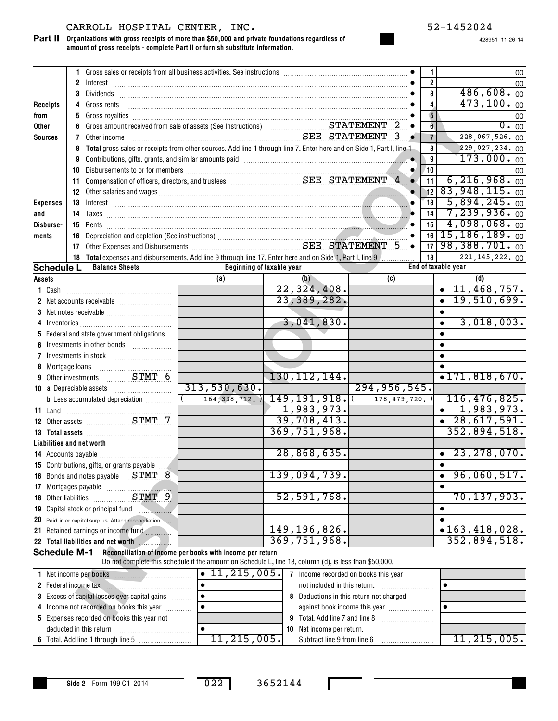#### CARROLL HOSPITAL CENTER, INC. 52-1452024

**Organizations with gross receipts of more than \$50,000 and private foundations regardless of amount of gross receipts - complete Part II or furnish substitute information. Part II**

|                      |   | 1 Gross sales or receipts from all business activities. See instructions [11, 11] Gross sales or receipts from all business activities. See instructions [11, 11] Gross sales or receipts from all business activities.        |                                                                                                        |                                |                                         | $\mathbf{1}$            | 00                                  |
|----------------------|---|--------------------------------------------------------------------------------------------------------------------------------------------------------------------------------------------------------------------------------|--------------------------------------------------------------------------------------------------------|--------------------------------|-----------------------------------------|-------------------------|-------------------------------------|
|                      |   |                                                                                                                                                                                                                                |                                                                                                        |                                |                                         | $\overline{2}$          | 00                                  |
|                      |   |                                                                                                                                                                                                                                |                                                                                                        |                                |                                         | $\overline{\mathbf{3}}$ | 486,608.00                          |
| Receipts             |   |                                                                                                                                                                                                                                |                                                                                                        |                                |                                         | $\overline{\mathbf{4}}$ | 473, 100.00                         |
| from                 |   |                                                                                                                                                                                                                                |                                                                                                        |                                |                                         | $\overline{\mathbf{5}}$ | 00                                  |
| Other                |   |                                                                                                                                                                                                                                |                                                                                                        |                                |                                         | $6\phantom{a}$          | 0.00                                |
| <b>Sources</b>       |   | <b>7</b> Other income                                                                                                                                                                                                          | SEE STATEMENT 3                                                                                        |                                |                                         | $\overline{7}$          | 228,067,526.00                      |
|                      | 8 | Total gross sales or receipts from other sources. Add line 1 through line 7. Enter here and on Side 1, Part I, line 1                                                                                                          |                                                                                                        |                                |                                         | 8                       | 229,027,234.00                      |
|                      |   | 9 Contributions, gifts, grants, and similar amounts paid [11] [12] Contributions, gifts, grants, and similar amounts paid [11] [12] Contributions, gifts, grants, and similar amounts paid [12] [12] Contributions, gifts, gra |                                                                                                        |                                |                                         | 9                       | 173,000.00                          |
|                      |   |                                                                                                                                                                                                                                |                                                                                                        |                                |                                         | 10                      | 00                                  |
|                      |   |                                                                                                                                                                                                                                |                                                                                                        |                                |                                         | $\overline{11}$         | 6, 216, 968.00                      |
|                      |   | 12 Other salaries and wages <b>continuum contract and wages</b> contract the contract of the contract of the contract of                                                                                                       |                                                                                                        |                                |                                         | 12                      | $83,948,115.$ <sub>00</sub>         |
| <b>Expenses</b>      |   |                                                                                                                                                                                                                                |                                                                                                        |                                |                                         | 13                      | 5,894,245.00                        |
| and                  |   |                                                                                                                                                                                                                                |                                                                                                        |                                |                                         | 14                      | $7,239,936.$ 00                     |
| Disburse-            |   |                                                                                                                                                                                                                                |                                                                                                        |                                |                                         | 15 <sup>15</sup>        | $\overline{4,098,068.}_{00}$        |
| ments                |   |                                                                                                                                                                                                                                |                                                                                                        |                                |                                         |                         | $16$   15, 186, 189. 00             |
|                      |   | 16 Depreciation and depletion (See instructions)<br>17 Other Expenses and Disbursements<br>17 Other Expenses and Disbursements<br>2014 - The SEE STATEMENT 5                                                                   |                                                                                                        |                                |                                         |                         | $17$   98, 388, 701. 00             |
|                      |   | 18 Total expenses and disbursements. Add line 9 through line 17. Enter here and on Side 1, Part I, line 9                                                                                                                      |                                                                                                        |                                |                                         | 18 <sup>1</sup>         | 221, 145, 222. 00                   |
|                      |   | <b>Schedule L</b> Balance Sheets                                                                                                                                                                                               | Beginning of taxable year                                                                              |                                |                                         |                         | End of taxable year                 |
| Assets               |   |                                                                                                                                                                                                                                | (a)                                                                                                    | (b)                            | (c)                                     |                         | (d)                                 |
| 1 Cash               |   |                                                                                                                                                                                                                                |                                                                                                        | 22, 324, 408.                  |                                         |                         | 11,468,757.<br>$\bullet$            |
|                      |   |                                                                                                                                                                                                                                |                                                                                                        | 23, 389, 282.                  |                                         |                         | 19,510,699.                         |
|                      |   |                                                                                                                                                                                                                                |                                                                                                        |                                |                                         |                         |                                     |
|                      |   |                                                                                                                                                                                                                                |                                                                                                        | 3,041,830.                     |                                         |                         | 3,018,003.<br>$\bullet$             |
|                      |   | 5 Federal and state government obligations                                                                                                                                                                                     |                                                                                                        |                                |                                         |                         |                                     |
|                      |   | Investments in other bonds                                                                                                                                                                                                     |                                                                                                        |                                |                                         |                         |                                     |
|                      |   |                                                                                                                                                                                                                                |                                                                                                        |                                |                                         |                         |                                     |
|                      |   |                                                                                                                                                                                                                                |                                                                                                        |                                |                                         |                         |                                     |
|                      |   | 9 Other investments  STMT 6                                                                                                                                                                                                    |                                                                                                        | 130, 112, 144.                 |                                         |                         | $\overline{\bullet}$ 171, 818, 670. |
|                      |   |                                                                                                                                                                                                                                | 313,530,630.                                                                                           |                                | 294, 956, 545.                          |                         |                                     |
|                      |   | <b>b</b> Less accumulated depreciation                                                                                                                                                                                         | 164, 338, 712.                                                                                         | 149, 191, 918.                 | 178,479,720.                            |                         | 116, 476, 825.                      |
|                      |   |                                                                                                                                                                                                                                |                                                                                                        | 1,983,973.                     |                                         |                         | $\bullet$ 1,983,973.                |
|                      |   |                                                                                                                                                                                                                                |                                                                                                        | 39,708,413.                    |                                         |                         | $-28,617,591.$                      |
|                      |   |                                                                                                                                                                                                                                |                                                                                                        | 369, 751, 968.                 |                                         |                         | 352,894,518.                        |
|                      |   | Liabilities and net worth                                                                                                                                                                                                      |                                                                                                        |                                |                                         |                         |                                     |
|                      |   |                                                                                                                                                                                                                                |                                                                                                        | 28,868,635.                    |                                         |                         | $-23, 278, 070.$                    |
|                      |   | 15 Contributions, gifts, or grants payable                                                                                                                                                                                     |                                                                                                        |                                |                                         |                         |                                     |
|                      |   | 16 Bonds and notes payable STMT 8                                                                                                                                                                                              |                                                                                                        | 139,094,739.                   |                                         |                         | 96,060,517.                         |
|                      |   | 17 Mortgages payable                                                                                                                                                                                                           |                                                                                                        |                                |                                         |                         |                                     |
| 18 Other liabilities |   | STMT 9                                                                                                                                                                                                                         |                                                                                                        | 52, 591, 768.                  |                                         |                         | 70, 137, 903.                       |
|                      |   | 19 Capital stock or principal fund                                                                                                                                                                                             |                                                                                                        |                                |                                         |                         |                                     |
|                      |   | 20 Paid-in or capital surplus. Attach reconciliation                                                                                                                                                                           |                                                                                                        |                                |                                         |                         |                                     |
|                      |   | 21 Retained earnings or income fund                                                                                                                                                                                            |                                                                                                        | 149, 196, 826.                 |                                         |                         | $\bullet$ 163, 418, 028.            |
|                      |   | 22 Total liabilities and net worth <b>community</b>                                                                                                                                                                            |                                                                                                        | 369, 751, 968.                 |                                         |                         | 352,894,518.                        |
| <b>Schedule M-1</b>  |   |                                                                                                                                                                                                                                | Reconciliation of income per books with income per return                                              |                                |                                         |                         |                                     |
|                      |   |                                                                                                                                                                                                                                | Do not complete this schedule if the amount on Schedule L, line 13, column (d), is less than \$50,000. |                                |                                         |                         |                                     |
|                      |   |                                                                                                                                                                                                                                | $\bullet$ 11, 215, 005.                                                                                |                                | 7 Income recorded on books this year    |                         |                                     |
|                      |   | 2 Federal income tax                                                                                                                                                                                                           |                                                                                                        | not included in this return.   |                                         |                         |                                     |
|                      |   | 3 Excess of capital losses over capital gains                                                                                                                                                                                  | $\bullet$                                                                                              |                                | 8 Deductions in this return not charged |                         |                                     |
|                      |   | 4 Income not recorded on books this year                                                                                                                                                                                       | $\bullet$                                                                                              |                                | against book income this year           |                         |                                     |
|                      |   | 5 Expenses recorded on books this year not                                                                                                                                                                                     |                                                                                                        | 9 Total, Add line 7 and line 8 |                                         |                         |                                     |

| <b>I INGLIFICATION DATE IN 1999</b>                  |          | <b>THUGHT COULD UP THE UP TO A THE VILLO</b> |             |
|------------------------------------------------------|----------|----------------------------------------------|-------------|
| <b>2</b> Federal income tax                          |          | not included in this return.                 |             |
| <b>3</b> Excess of capital losses over capital gains |          | 8 Deductions in this return not charged      |             |
| 4 Income not recorded on books this year             |          | against book income this year                |             |
| 5 Expenses recorded on books this year not           |          | 9 Total. Add line 7 and line 8               |             |
| deducted in this return                              |          | <b>10</b> Net income per return.             |             |
| 6 Total. Add line 1 through line 5                   | 215,005. | Subtract line 9 from line 6                  | 11,215,005. |

022 3652144

п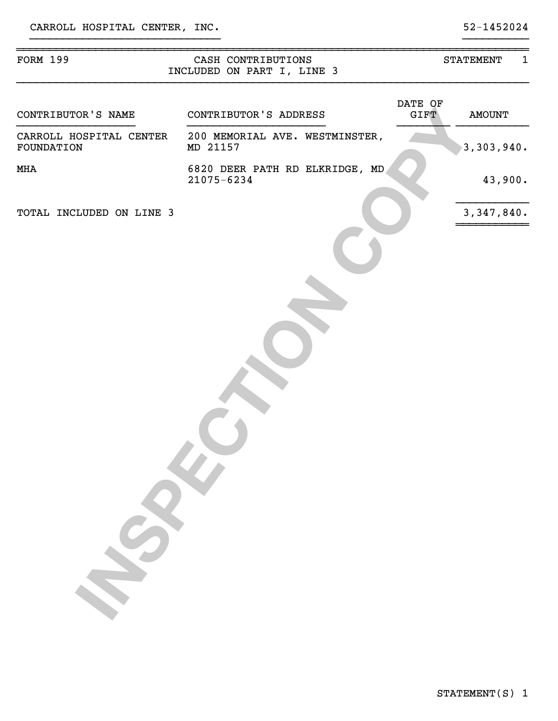| FORM 199                              | CASH CONTRIBUTIONS<br>INCLUDED ON PART I, LINE 3 |                        | $\mathbf{1}$<br><b>STATEMENT</b> |
|---------------------------------------|--------------------------------------------------|------------------------|----------------------------------|
| CONTRIBUTOR'S NAME                    | CONTRIBUTOR'S ADDRESS                            | DATE OF<br><b>GIFT</b> | <b>AMOUNT</b>                    |
| CARROLL HOSPITAL CENTER<br>FOUNDATION | 200 MEMORIAL AVE. WESTMINSTER,<br>MD 21157       |                        | 3,303,940.                       |
| MHA                                   | 6820 DEER PATH RD ELKRIDGE, MD<br>21075-6234     |                        | 43,900.                          |
| TOTAL INCLUDED ON LINE 3              |                                                  |                        | 3, 347, 840.                     |
|                                       |                                                  |                        |                                  |
|                                       |                                                  |                        |                                  |
|                                       |                                                  |                        |                                  |
|                                       |                                                  |                        |                                  |
|                                       |                                                  |                        |                                  |
|                                       |                                                  |                        |                                  |
|                                       |                                                  |                        |                                  |
|                                       |                                                  |                        |                                  |
|                                       |                                                  |                        |                                  |
| $\mathcal{S}$                         |                                                  |                        |                                  |
|                                       |                                                  |                        |                                  |
|                                       |                                                  |                        |                                  |
|                                       |                                                  |                        |                                  |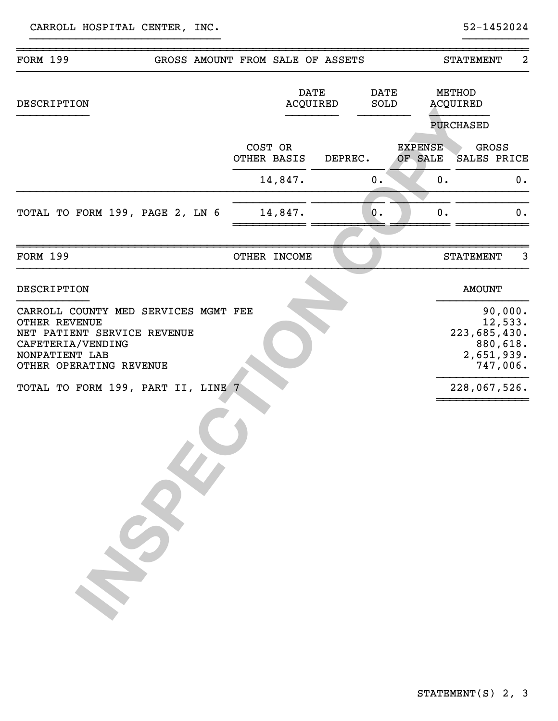| <b>FORM 199</b>                                                                                                                                                                                     | GROSS AMOUNT FROM SALE OF ASSETS |                         |         |                     |                           |                    | <b>STATEMENT</b>                                                                         | 2  |
|-----------------------------------------------------------------------------------------------------------------------------------------------------------------------------------------------------|----------------------------------|-------------------------|---------|---------------------|---------------------------|--------------------|------------------------------------------------------------------------------------------|----|
| <b>DESCRIPTION</b>                                                                                                                                                                                  |                                  | <b>DATE</b><br>ACQUIRED |         | <b>DATE</b><br>SOLD |                           | METHOD<br>ACQUIRED |                                                                                          |    |
|                                                                                                                                                                                                     |                                  |                         |         |                     |                           |                    | <b>PURCHASED</b>                                                                         |    |
|                                                                                                                                                                                                     |                                  | COST OR<br>OTHER BASIS  | DEPREC. |                     | <b>EXPENSE</b><br>OF SALE |                    | <b>GROSS</b><br>SALES PRICE                                                              |    |
|                                                                                                                                                                                                     |                                  | 14,847.                 |         | 0.                  |                           | 0.                 |                                                                                          | 0. |
| TOTAL TO FORM 199, PAGE 2, LN 6                                                                                                                                                                     |                                  | 14,847.                 |         | 0.                  |                           | 0.                 |                                                                                          | 0. |
| <b>FORM 199</b>                                                                                                                                                                                     |                                  | OTHER INCOME            |         |                     |                           |                    | <b>STATEMENT</b>                                                                         | 3  |
| DESCRIPTION                                                                                                                                                                                         |                                  |                         |         |                     |                           |                    | <b>AMOUNT</b>                                                                            |    |
| CARROLL COUNTY MED SERVICES MGMT FEE<br><b>OTHER REVENUE</b><br>NET PATIENT SERVICE REVENUE<br>CAFETERIA/VENDING<br>NONPATIENT LAB<br>OTHER OPERATING REVENUE<br>TOTAL TO FORM 199, PART II, LINE 7 |                                  |                         |         |                     |                           |                    | 90,000.<br>12,533.<br>223,685,430.<br>880,618.<br>2,651,939.<br>747,006.<br>228,067,526. |    |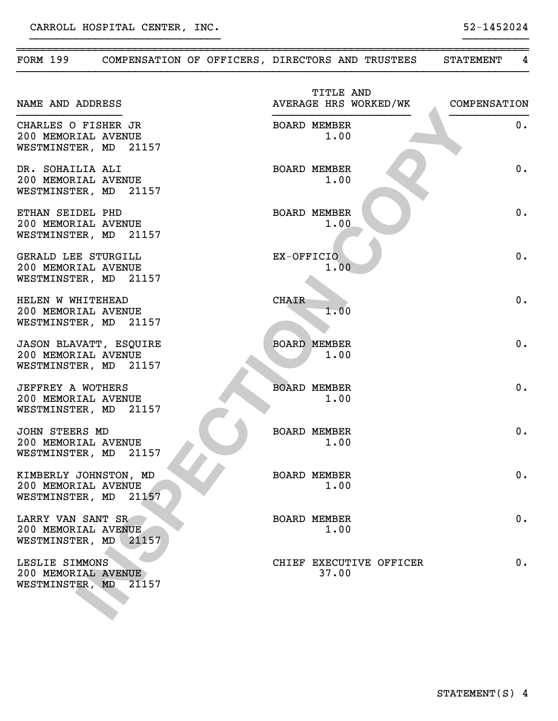| <b>FORM 199</b>                                                               | COMPENSATION OF OFFICERS, DIRECTORS AND TRUSTEES |                                    | 4<br><b>STATEMENT</b> |
|-------------------------------------------------------------------------------|--------------------------------------------------|------------------------------------|-----------------------|
| NAME AND ADDRESS                                                              |                                                  | TITLE AND<br>AVERAGE HRS WORKED/WK | COMPENSATION          |
| CHARLES O FISHER JR<br>200 MEMORIAL AVENUE<br>WESTMINSTER, MD 21157           |                                                  | <b>BOARD MEMBER</b><br>1.00        | 0.                    |
| DR. SOHAILIA ALI<br>200 MEMORIAL AVENUE<br>WESTMINSTER, MD 21157              |                                                  | <b>BOARD MEMBER</b><br>1.00        | 0.                    |
| ETHAN SEIDEL PHD<br>200 MEMORIAL AVENUE<br>WESTMINSTER, MD 21157              |                                                  | <b>BOARD MEMBER</b><br>1.00        | 0.                    |
| GERALD LEE STURGILL<br>200 MEMORIAL AVENUE<br>WESTMINSTER, MD 21157           |                                                  | EX-OFFICIO<br>1.00                 | 0.                    |
| HELEN W WHITEHEAD<br>200 MEMORIAL AVENUE<br>WESTMINSTER, MD 21157             |                                                  | <b>CHAIR</b><br>1.00               | 0.                    |
| <b>JASON BLAVATT, ESQUIRE</b><br>200 MEMORIAL AVENUE<br>WESTMINSTER, MD 21157 |                                                  | <b>BOARD MEMBER</b><br>1.00        | 0.                    |
| JEFFREY A WOTHERS<br>200 MEMORIAL AVENUE<br>WESTMINSTER, MD 21157             |                                                  | <b>BOARD MEMBER</b><br>1.00        | 0.                    |
| JOHN STEERS MD<br>200 MEMORIAL AVENUE<br>WESTMINSTER, MD                      | 21157                                            | <b>BOARD MEMBER</b><br>1.00        | 0.                    |
| KIMBERLY JOHNSTON, MD<br>200 MEMORIAL AVENUE<br>WESTMINSTER, MD               | 21157                                            | <b>BOARD MEMBER</b><br>1.00        | 0.                    |
| LARRY VAN SANT SR<br>200 MEMORIAL AVENUE<br>WESTMINSTER, MD                   | 21157                                            | <b>BOARD MEMBER</b><br>1.00        | 0.                    |
| LESLIE SIMMONS<br>200 MEMORIAL AVENUE<br>WESTMINSTER, MD                      | 21157                                            | CHIEF EXECUTIVE OFFICER<br>37.00   | 0.                    |

~~~~~~~~~~~~~~~~~~~~~~~~~~~~~~~~~~~~~~~~~~~~~~~~~~~~~~~~~~~~~~~~~~~~~~~~~~~~~~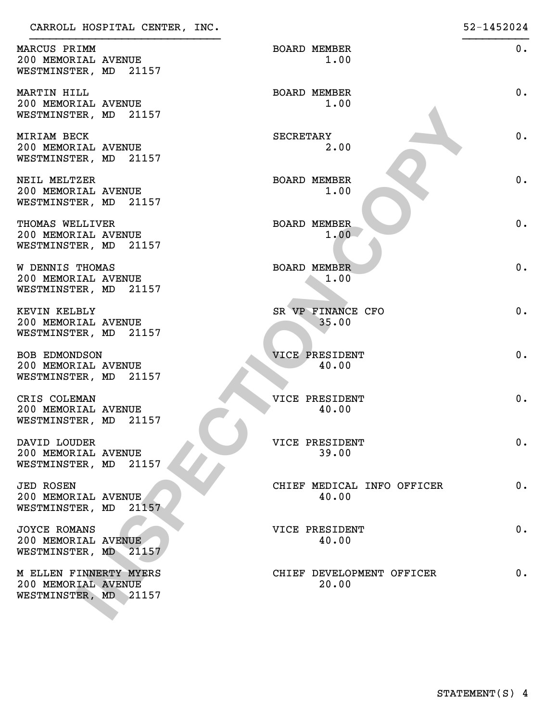| MARCUS PRIMM<br>200 MEMORIAL AVENUE<br>WESTMINSTER, MD 21157           | <b>BOARD MEMBER</b><br>1.00         | $0$ . |
|------------------------------------------------------------------------|-------------------------------------|-------|
| MARTIN HILL<br>200 MEMORIAL AVENUE<br>WESTMINSTER, MD 21157            | <b>BOARD MEMBER</b><br>1.00         | $0$ . |
| MIRIAM BECK<br>200 MEMORIAL AVENUE<br>WESTMINSTER, MD 21157            | SECRETARY<br>2.00                   | $0$ . |
| NEIL MELTZER<br>200 MEMORIAL AVENUE<br>WESTMINSTER, MD 21157           | <b>BOARD MEMBER</b><br>1.00         | $0$ . |
| THOMAS WELLIVER<br>200 MEMORIAL AVENUE<br>WESTMINSTER, MD 21157        | <b>BOARD MEMBER</b><br>1.00         | $0$ . |
| <b>W DENNIS THOMAS</b><br>200 MEMORIAL AVENUE<br>WESTMINSTER, MD 21157 | <b>BOARD MEMBER</b><br>1.00         | $0$ . |
| KEVIN KELBLY<br>200 MEMORIAL AVENUE<br>WESTMINSTER, MD 21157           | SR VP FINANCE CFO<br>35.00          | $0$ . |
| BOB EDMONDSON<br>200 MEMORIAL AVENUE<br>WESTMINSTER, MD 21157          | <b>VICE PRESIDENT</b><br>40.00      | $0$ . |
| CRIS COLEMAN<br>200 MEMORIAL AVENUE<br>WESTMINSTER, MD 21157           | VICE PRESIDENT<br>40.00             | $0$ . |
| DAVID LOUDER<br>200 MEMORIAL AVENUE<br>WESTMINSTER, MD<br>21157        | VICE PRESIDENT<br>39.00             | 0.    |
| <b>JED ROSEN</b><br>200 MEMORIAL AVENUE<br>WESTMINSTER, MD<br>21157    | CHIEF MEDICAL INFO OFFICER<br>40.00 | 0.    |
| <b>JOYCE ROMANS</b><br>200 MEMORIAL AVENUE<br>WESTMINSTER, MD 21157    | VICE PRESIDENT<br>40.00             | 0.    |
| M ELLEN FINNERTY MYERS<br>200 MEMORIAL AVENUE<br>WESTMINSTER, MD 21157 | CHIEF DEVELOPMENT OFFICER<br>20.00  | 0.    |
|                                                                        |                                     |       |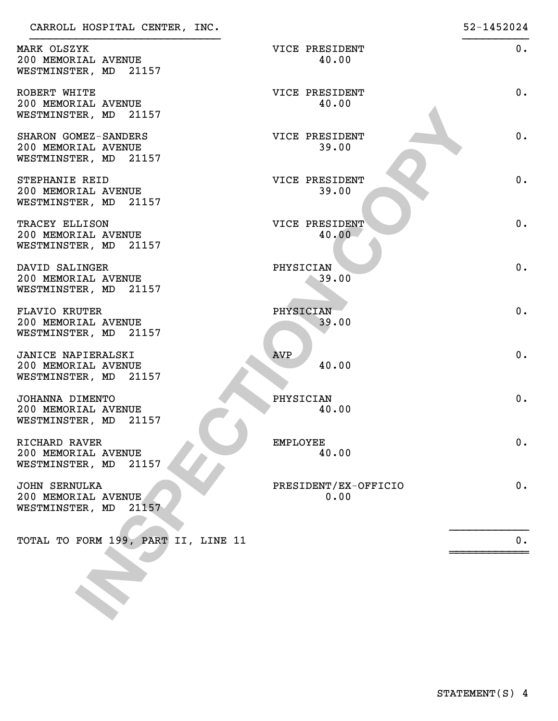| CARROLL HODEITAL CENTER, INC.                                           |                              | JZ IZJZVZI |
|-------------------------------------------------------------------------|------------------------------|------------|
| MARK OLSZYK<br>200 MEMORIAL AVENUE<br>WESTMINSTER, MD 21157             | VICE PRESIDENT<br>40.00      | 0.         |
| ROBERT WHITE<br>200 MEMORIAL AVENUE<br>WESTMINSTER, MD 21157            | VICE PRESIDENT<br>40.00      | $0$ .      |
| SHARON GOMEZ-SANDERS<br>200 MEMORIAL AVENUE<br>WESTMINSTER, MD 21157    | VICE PRESIDENT<br>39.00      | 0.         |
| STEPHANIE REID<br>200 MEMORIAL AVENUE<br>WESTMINSTER, MD 21157          | VICE PRESIDENT<br>39.00      | 0.         |
| TRACEY ELLISON<br>200 MEMORIAL AVENUE<br>WESTMINSTER, MD 21157          | VICE PRESIDENT<br>40.00      | 0.         |
| DAVID SALINGER<br>200 MEMORIAL AVENUE<br>WESTMINSTER, MD 21157          | PHYSICIAN<br>39.00           | 0.         |
| <b>FLAVIO KRUTER</b><br>200 MEMORIAL AVENUE<br>WESTMINSTER, MD 21157    | PHYSICIAN<br>39.00           | 0.         |
| JANICE NAPIERALSKI<br>200 MEMORIAL AVENUE<br>WESTMINSTER, MD 21157      | <b>AVP</b><br>40.00          | 0.         |
| JOHANNA DIMENTO<br>200 MEMORIAL AVENUE<br>WESTMINSTER, MD 21157         | PHYSICIAN<br>40.00           | 0.         |
| RICHARD RAVER<br>200 MEMORIAL AVENUE<br>21157<br>WESTMINSTER, MD        | <b>EMPLOYEE</b><br>40.00     | 0.         |
| <b>JOHN SERNULKA</b><br>200 MEMORIAL AVENUE<br>WESTMINSTER, MD<br>21157 | PRESIDENT/EX-OFFICIO<br>0.00 | 0.         |
| TOTAL TO FORM 199, PART II, LINE 11                                     |                              | 0.         |
|                                                                         |                              |            |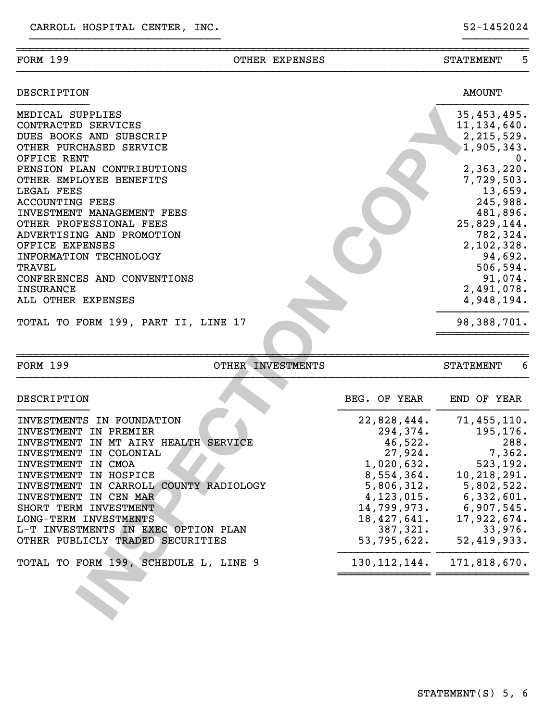|                                                        | 1,905,343.<br>0.<br>2,363,220.<br>7,729,503.<br>13,659.<br>245,988.<br>481,896.<br>25,829,144.<br>782,324.<br>2,102,328.<br>94,692.<br>506, 594.<br>91,074.<br>2,491,078.<br>4,948,194.<br>98,388,701. |
|--------------------------------------------------------|--------------------------------------------------------------------------------------------------------------------------------------------------------------------------------------------------------|
| OTHER INVESTMENTS                                      | 6<br><b>STATEMENT</b>                                                                                                                                                                                  |
| BEG. OF YEAR<br>22,828,444.<br>294,374.                | END OF YEAR<br>71,455,110.<br>195,176.                                                                                                                                                                 |
| 27,924.<br>1,020,632.<br>8,554,364.                    | 288.<br>7,362.<br>523, 192.<br>10, 218, 291.<br>5,802,522.                                                                                                                                             |
| 4, 123, 015.<br>14,799,973.<br>18,427,641.<br>387,321. | 6,332,601.<br>6,907,545.<br>17,922,674.<br>33,976.<br>52, 419, 933.                                                                                                                                    |
| 130, 112, 144.                                         | 171,818,670.                                                                                                                                                                                           |
|                                                        | 46,522.<br>5,806,312.<br>53,795,622.                                                                                                                                                                   |

}}}}}}}}}}}}}}}}}}}}}}}}}}}}}}}}}}}}}}}}}}}}}}}}}}}}}}}}}}}}}}}}}}}}}}}}}}}}}}

}}}}}}}}}}}}}}}}}}}}}}}}}}}}} }}}}}}}}}}

DESCRIPTION AMOUNT }}}}}}}}}}} }}}}}}}}}}}}}}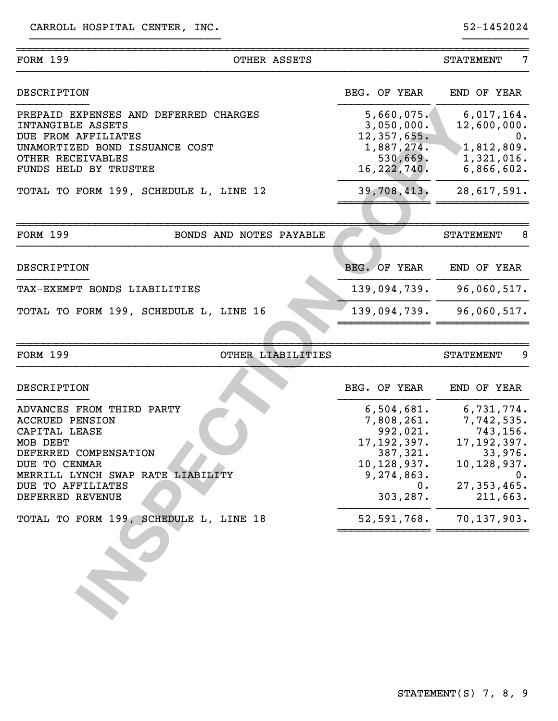| <b>FORM 199</b>                                                                                                                                                                                          | OTHER ASSETS            |                                                                                                                     | <b>STATEMENT</b> | 7                                                                                                                     |
|----------------------------------------------------------------------------------------------------------------------------------------------------------------------------------------------------------|-------------------------|---------------------------------------------------------------------------------------------------------------------|------------------|-----------------------------------------------------------------------------------------------------------------------|
| DESCRIPTION                                                                                                                                                                                              |                         | BEG. OF YEAR                                                                                                        |                  | END OF YEAR                                                                                                           |
| PREPAID EXPENSES AND DEFERRED CHARGES<br>INTANGIBLE ASSETS<br>DUE FROM AFFILIATES                                                                                                                        |                         | 5,660,075.<br>3,050,000.<br>12, 357, 655.                                                                           |                  | 6,017,164.<br>12,600,000.<br>0.                                                                                       |
| UNAMORTIZED BOND ISSUANCE COST<br>OTHER RECEIVABLES<br>FUNDS HELD BY TRUSTEE                                                                                                                             |                         | 1,887,274.<br>530,669.<br>16, 222, 740.                                                                             |                  | 1,812,809.<br>1,321,016.<br>6,866,602.                                                                                |
| TOTAL TO FORM 199, SCHEDULE L, LINE 12                                                                                                                                                                   |                         | 39,708,413.                                                                                                         |                  | 28,617,591.                                                                                                           |
|                                                                                                                                                                                                          |                         |                                                                                                                     |                  |                                                                                                                       |
| <b>FORM 199</b>                                                                                                                                                                                          | BONDS AND NOTES PAYABLE |                                                                                                                     | <b>STATEMENT</b> | 8                                                                                                                     |
| DESCRIPTION                                                                                                                                                                                              |                         | BEG. OF YEAR                                                                                                        |                  | END OF YEAR                                                                                                           |
| TAX-EXEMPT BONDS LIABILITIES                                                                                                                                                                             |                         | 139,094,739.                                                                                                        |                  | 96,060,517.                                                                                                           |
| TOTAL TO FORM 199, SCHEDULE L, LINE 16                                                                                                                                                                   |                         | 139,094,739.                                                                                                        |                  | 96,060,517.                                                                                                           |
| <b>FORM 199</b>                                                                                                                                                                                          | OTHER LIABILITIES       |                                                                                                                     | <b>STATEMENT</b> | 9                                                                                                                     |
|                                                                                                                                                                                                          |                         |                                                                                                                     |                  |                                                                                                                       |
| DESCRIPTION                                                                                                                                                                                              |                         | BEG. OF YEAR                                                                                                        |                  | END OF YEAR                                                                                                           |
| ADVANCES FROM THIRD PARTY<br><b>ACCRUED PENSION</b><br>CAPITAL LEASE<br>MOB DEBT<br>DEFERRED COMPENSATION<br>DUE TO CENMAR<br>MERRILL LYNCH SWAP RATE LIABILITY<br>DUE TO AFFILIATES<br>DEFERRED REVENUE |                         | 6,504,681.<br>7,808,261.<br>992,021.<br>17, 192, 397.<br>387,321.<br>10,128,937.<br>9,274,863.<br>$0$ .<br>303,287. |                  | 6,731,774.<br>7,742,535.<br>743,156.<br>17, 192, 397.<br>33,976.<br>10,128,937.<br>$0$ .<br>27, 353, 465.<br>211,663. |
| TOTAL TO FORM 199, SCHEDULE L, LINE 18                                                                                                                                                                   |                         | 52,591,768.                                                                                                         |                  | 70,137,903.                                                                                                           |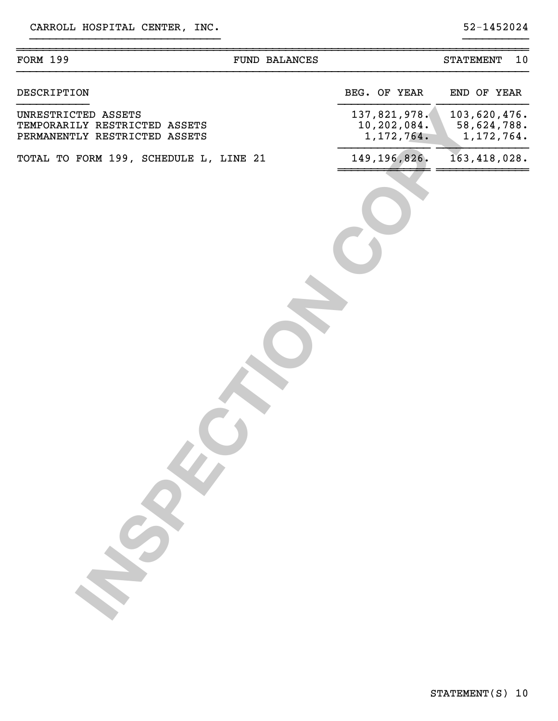| <b>FORM 199</b>                                                                       | <b>FUND BALANCES</b> |                                             | 10<br><b>STATEMENT</b>                      |
|---------------------------------------------------------------------------------------|----------------------|---------------------------------------------|---------------------------------------------|
| DESCRIPTION                                                                           |                      | BEG. OF YEAR                                | END OF YEAR                                 |
| UNRESTRICTED ASSETS<br>TEMPORARILY RESTRICTED ASSETS<br>PERMANENTLY RESTRICTED ASSETS |                      | 137,821,978.<br>10, 202, 084.<br>1,172,764. | 103,620,476.<br>58,624,788.<br>1, 172, 764. |
| TOTAL TO FORM 199, SCHEDULE L, LINE 21                                                |                      | 149, 196, 826.                              | 163, 418, 028.                              |
|                                                                                       |                      |                                             |                                             |
|                                                                                       |                      |                                             |                                             |
|                                                                                       |                      |                                             |                                             |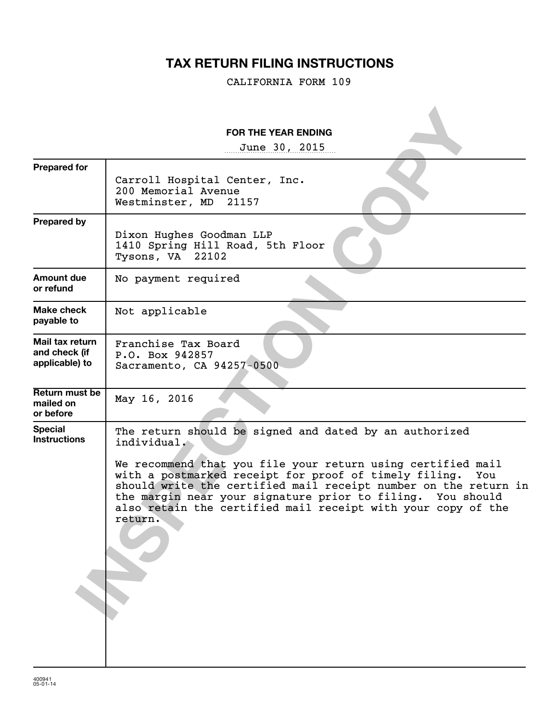## **TAX RETURN FILING INSTRUCTIONS**

CALIFORNIA FORM 109

|                                                    | <b>FOR THE YEAR ENDING</b>                                                                                                                                                                                                                                                                                                                                                                                       |
|----------------------------------------------------|------------------------------------------------------------------------------------------------------------------------------------------------------------------------------------------------------------------------------------------------------------------------------------------------------------------------------------------------------------------------------------------------------------------|
| <b>Prepared for</b>                                | June 30, 2015<br>Carroll Hospital Center, Inc.<br>200 Memorial Avenue<br>Westminster, MD<br>21157                                                                                                                                                                                                                                                                                                                |
| <b>Prepared by</b>                                 | Dixon Hughes Goodman LLP<br>1410 Spring Hill Road, 5th Floor<br>Tysons, VA 22102                                                                                                                                                                                                                                                                                                                                 |
| <b>Amount due</b><br>or refund                     | No payment required                                                                                                                                                                                                                                                                                                                                                                                              |
| Make check<br>payable to                           | Not applicable                                                                                                                                                                                                                                                                                                                                                                                                   |
| Mail tax return<br>and check (if<br>applicable) to | Franchise Tax Board<br>P.O. Box 942857<br>Sacramento, CA 94257-0500                                                                                                                                                                                                                                                                                                                                              |
| Return must be<br>mailed on<br>or before           | May 16, 2016                                                                                                                                                                                                                                                                                                                                                                                                     |
| <b>Special</b><br><b>Instructions</b>              | The return should be signed and dated by an authorized<br>individual.<br>We recommend that you file your return using certified mail<br>with a postmarked receipt for proof of timely filing.<br>You<br>should write the certified mail receipt number on the return in<br>the margin near your signature prior to filing. You should<br>also retain the certified mail receipt with your copy of the<br>return. |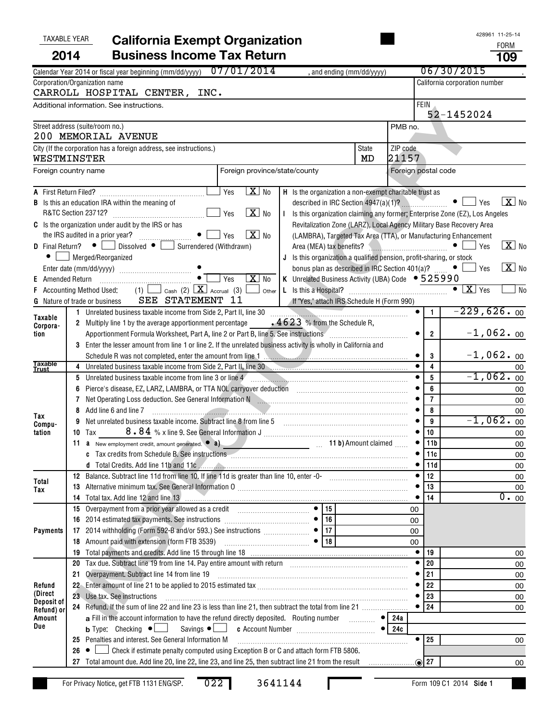| <b>TAXABLE YEAR</b>      |                | <b>California Exempt Organization</b>                                                                                                                                                                                          |                     |                | 428961 11-25-14                                |  |  |
|--------------------------|----------------|--------------------------------------------------------------------------------------------------------------------------------------------------------------------------------------------------------------------------------|---------------------|----------------|------------------------------------------------|--|--|
| 2014                     |                | <b>Business Income Tax Return</b>                                                                                                                                                                                              |                     |                | <b>FORM</b><br>109                             |  |  |
|                          |                | Calendar Year 2014 or fiscal year beginning (mm/dd/yyyy) 07/01/2014<br>, and ending (mm/dd/yyyy)                                                                                                                               |                     |                | 06/30/2015                                     |  |  |
|                          |                | Corporation/Organization name<br>CARROLL HOSPITAL CENTER, INC.                                                                                                                                                                 |                     |                | California corporation number                  |  |  |
|                          |                | Additional information. See instructions.                                                                                                                                                                                      |                     | <b>FEIN</b>    |                                                |  |  |
|                          |                |                                                                                                                                                                                                                                |                     |                | 52-1452024                                     |  |  |
|                          |                | Street address (suite/room no.)                                                                                                                                                                                                | PMB no.             |                |                                                |  |  |
|                          |                | 200 MEMORIAL AVENUE                                                                                                                                                                                                            |                     |                |                                                |  |  |
| WESTMINSTER              |                | City (If the corporation has a foreign address, see instructions.)<br>State<br>MD                                                                                                                                              | ZIP code<br>21157   |                |                                                |  |  |
| Foreign country name     |                | Foreign province/state/county                                                                                                                                                                                                  | Foreign postal code |                |                                                |  |  |
|                          |                | $\overline{\mathbf{X}}$ No<br>Yes<br>H Is the organization a non-exempt charitable trust as                                                                                                                                    |                     |                |                                                |  |  |
|                          |                | <b>B</b> Is this an education IRA within the meaning of<br>described in IRC Section $4947(a)(1)$ ? $\ldots$ $\bullet$ $\Box$ Yes                                                                                               |                     |                | $\boxed{\mathbf{X}}$ No                        |  |  |
|                          |                | $\boxed{\mathbf{X}}$ No<br>R&TC Section 23712?<br>Yes<br>I Is this organization claiming any former; Enterprise Zone (EZ), Los Angeles                                                                                         |                     |                |                                                |  |  |
|                          |                | C Is the organization under audit by the IRS or has<br>Revitalization Zone (LARZ), Local Agency Military Base Recovery Area                                                                                                    |                     |                |                                                |  |  |
|                          |                | $X$ No<br>$\bullet$    <br>Yes<br>(LAMBRA), Targeted Tax Area (TTA), or Manufacturing Enhancement                                                                                                                              |                     |                |                                                |  |  |
|                          |                | <b>D</b> Final Return? $\bullet$ <b>D</b> Dissolved $\bullet$ <b>D</b> Surrendered (Withdrawn)                                                                                                                                 |                     |                | $X$ No                                         |  |  |
| $\bullet$                |                | Merged/Reorganized<br>J Is this organization a qualified pension, profit-sharing, or stock<br>bonus plan as described in IRC Section 401(a)? $\Box$ • $\Box$ Yes                                                               |                     |                | $\boxed{\text{X}}$ No                          |  |  |
| Amended Return<br>E.     |                | $\boxed{\text{X}}$ No<br>Yes<br>K Unrelated Business Activity (UBA) Code • 525990<br>and an announcement of the service of the service of the service of the service of the service of the service                             |                     |                |                                                |  |  |
|                          |                | Accounting Method Used:                                                                                                                                                                                                        |                     |                | $\bullet$ $\boxed{\text{X}}$ $\gamma$ es<br>No |  |  |
|                          |                | SEE STATEMENT 11<br>If "Yes," attach IRS Schedule H (Form 990)<br><b>G</b> Nature of trade or business                                                                                                                         |                     |                |                                                |  |  |
| Taxable                  |                |                                                                                                                                                                                                                                | $\bullet$           | $\overline{1}$ | $-229,626.00$                                  |  |  |
| Corpora-                 |                | 2 Multiply line 1 by the average apportionment percentage $4623$ % from the Schedule R,                                                                                                                                        |                     |                |                                                |  |  |
| tion                     |                |                                                                                                                                                                                                                                | $\overline{2}$      | $-1,062.$ 00   |                                                |  |  |
|                          |                | 3 Enter the lesser amount from line 1 or line 2. If the unrelated business activity is wholly in California and                                                                                                                |                     |                |                                                |  |  |
| <b>Taxable</b>           | $\overline{4}$ | Unrelated business taxable income from Side 2, Part II, line 30                                                                                                                                                                |                     | 3<br>4         | $-1,062.$ 00                                   |  |  |
| <b>Trust</b>             |                | 5 Unrelated business taxable income from line 3 or line 4                                                                                                                                                                      |                     | 5              | 00<br>$-1,062.$ 00                             |  |  |
|                          |                | 6 Pierce's disease, EZ, LARZ, LAMBRA, or TTA NOL carryover deduction [11] [12] [12] Discourses the Pierce's disease, EZ, LARZ, LAMBRA, or TTA NOL carryover deduction                                                          |                     | 6              | 00                                             |  |  |
|                          | 7              | Net Operating Loss deduction. See General Information N [19] [19] [19] Net Operating Loss deduction. See General Information N                                                                                                 |                     | $\overline{7}$ | 00                                             |  |  |
|                          | 8              | Add line 6 and line 7<br>$\overbrace{\hspace{2.5cm}}$                                                                                                                                                                          |                     | 8              | 00                                             |  |  |
| Tax<br>Compu-            | 9              | Net unrelated business taxable income. Subtract line 8 from line 5                                                                                                                                                             |                     | 9              | $-1,062.$ 00                                   |  |  |
| tation                   |                |                                                                                                                                                                                                                                |                     | 10             | 00                                             |  |  |
|                          |                | 11 a New employment credit, amount generated. • a) 11 b) Amount claimed                                                                                                                                                        |                     | 11b            | 00                                             |  |  |
|                          |                | Tax credits from Schedule B. See instructions <b>Constructions Construction Construction Construction Construction</b>                                                                                                         |                     | 11c            | 00                                             |  |  |
|                          |                |                                                                                                                                                                                                                                |                     | 11d<br>12      | 00<br>00                                       |  |  |
| Total                    |                | 13 Alternative minimum tax. See General Information 0 [11] Martin Matterian Matterian Matterian Matterian Matterian Matterian Matterian Matterian Matterian Matterian Matterian Matterian Matterian Matterian Matterian Matter |                     | 13             | 00                                             |  |  |
| Tax                      | 14             |                                                                                                                                                                                                                                |                     | 14             | 0.00                                           |  |  |
|                          |                |                                                                                                                                                                                                                                | 00                  |                |                                                |  |  |
|                          |                |                                                                                                                                                                                                                                | 00                  |                |                                                |  |  |
| <b>Payments</b>          |                |                                                                                                                                                                                                                                | 00                  |                |                                                |  |  |
|                          | 18             | Amount paid with extension (form FTB 3539)                                                                                                                                                                                     | 00                  |                |                                                |  |  |
|                          |                |                                                                                                                                                                                                                                | $\bullet$           | 19             | 00                                             |  |  |
|                          | 20<br>21       | Overpayment. Subtract line 14 from line 19                                                                                                                                                                                     | 20<br>21            | 00<br>00       |                                                |  |  |
| Refund                   |                |                                                                                                                                                                                                                                | 22                  | 00             |                                                |  |  |
| (Direct                  |                | 23 Use tax. See instructions                                                                                                                                                                                                   |                     | 23             | 00                                             |  |  |
| Deposit of<br>Refund) or |                |                                                                                                                                                                                                                                |                     | 24             | 00                                             |  |  |
| Amount                   |                | a Fill in the account information to have the refund directly deposited. Routing number<br>-   ● <u> </u>                                                                                                                      | 24a                 |                |                                                |  |  |
| Due                      |                | Savings $\bullet$ $\Box$<br>c Account Number $\ldots$ $\bullet$<br><b>b</b> Type: Checking $\bullet$                                                                                                                           | 24с                 |                |                                                |  |  |
|                          |                | 25 Penalties and interest. See General Information M                                                                                                                                                                           |                     | 25             | 00                                             |  |  |
|                          | 26             | Check if estimate penalty computed using Exception B or C and attach form FTB 5806.<br>$\bullet$ 1                                                                                                                             |                     |                |                                                |  |  |
|                          |                |                                                                                                                                                                                                                                |                     |                | 00                                             |  |  |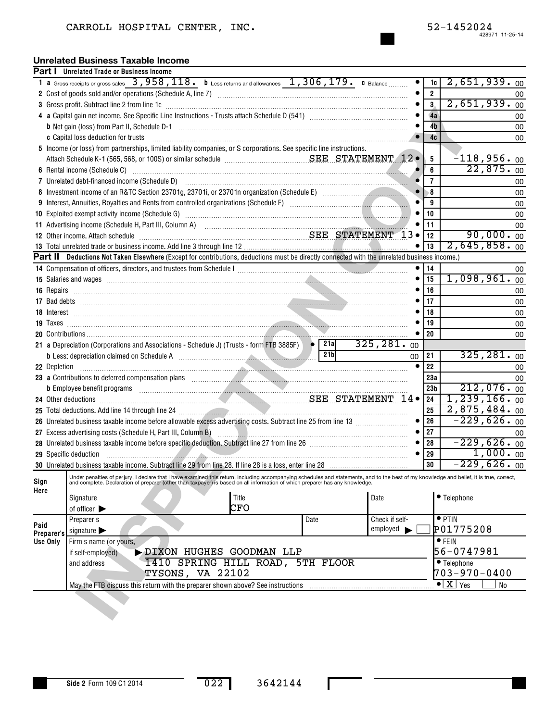#### **Unrelated Business Taxable Income**

|      |                                                                                                                                                                                                                                | <b>Part I</b> Unrelated Trade or Business Income                                                                                                                                                                               |                  |                |                                                                      |              |      |  |                       |           |                  |                                          |                     |  |
|------|--------------------------------------------------------------------------------------------------------------------------------------------------------------------------------------------------------------------------------|--------------------------------------------------------------------------------------------------------------------------------------------------------------------------------------------------------------------------------|------------------|----------------|----------------------------------------------------------------------|--------------|------|--|-----------------------|-----------|------------------|------------------------------------------|---------------------|--|
|      |                                                                                                                                                                                                                                | 1 a Gross receipts or gross sales $\overline{3}$ , 958, 118. b Less returns and allowances $1$ , 306, 179. c Balance                                                                                                           |                  |                |                                                                      |              |      |  |                       |           | 1c               |                                          | 2,651,939.00        |  |
|      |                                                                                                                                                                                                                                |                                                                                                                                                                                                                                |                  |                |                                                                      |              |      |  |                       |           | $\boldsymbol{2}$ |                                          | 00                  |  |
| 3    |                                                                                                                                                                                                                                |                                                                                                                                                                                                                                |                  | 3 <sub>1</sub> |                                                                      | 2,651,939.00 |      |  |                       |           |                  |                                          |                     |  |
|      | Gross profit. Subtract line 2 from line 1c [11] manufactured in the contract of the 2 from line 1c [11] manufactured in the contract of the contract of the contract of the contract of the contract of the contract of the co |                                                                                                                                                                                                                                |                  |                |                                                                      |              |      |  |                       |           |                  |                                          | 00                  |  |
|      |                                                                                                                                                                                                                                |                                                                                                                                                                                                                                |                  |                |                                                                      |              |      |  |                       |           | 4 <sub>b</sub>   |                                          | 00                  |  |
|      |                                                                                                                                                                                                                                | c Capital loss deduction for trusts                                                                                                                                                                                            |                  |                |                                                                      |              |      |  |                       |           | 4c               |                                          | 00                  |  |
|      |                                                                                                                                                                                                                                | 5 Income (or loss) from partnerships, limited liability companies, or S corporations. See specific line instructions.                                                                                                          |                  |                |                                                                      |              |      |  |                       |           |                  |                                          |                     |  |
|      |                                                                                                                                                                                                                                |                                                                                                                                                                                                                                |                  |                |                                                                      |              |      |  |                       |           | 5                |                                          | $-118,956.$ 00      |  |
|      |                                                                                                                                                                                                                                |                                                                                                                                                                                                                                |                  |                |                                                                      |              |      |  |                       |           | 6                |                                          | 22,875.00           |  |
|      |                                                                                                                                                                                                                                |                                                                                                                                                                                                                                |                  | $\overline{7}$ |                                                                      | 00           |      |  |                       |           |                  |                                          |                     |  |
| 8    |                                                                                                                                                                                                                                |                                                                                                                                                                                                                                |                  |                |                                                                      |              |      |  |                       |           | 8                |                                          | 00                  |  |
| 9    |                                                                                                                                                                                                                                |                                                                                                                                                                                                                                |                  |                |                                                                      |              |      |  |                       |           | 9                |                                          | 00                  |  |
|      |                                                                                                                                                                                                                                |                                                                                                                                                                                                                                |                  |                |                                                                      |              |      |  |                       |           | 10               |                                          | 00                  |  |
|      |                                                                                                                                                                                                                                | 11 Advertising income (Schedule H, Part III, Column A) [11] Martin Martin Martin Martin Martin Martin Martin M                                                                                                                 |                  |                |                                                                      |              |      |  |                       |           | 11               |                                          | 00                  |  |
|      |                                                                                                                                                                                                                                | 12 Other income. Attach schedule <b>Manufacture 12 of SEE STATEMENT</b> 13 •                                                                                                                                                   |                  |                |                                                                      |              |      |  |                       |           | 12               |                                          | $90,000.$ 00        |  |
|      |                                                                                                                                                                                                                                |                                                                                                                                                                                                                                |                  |                |                                                                      |              |      |  |                       |           | 13               |                                          | 2,645,858.00        |  |
|      |                                                                                                                                                                                                                                | Part II Deductions Not Taken Elsewhere (Except for contributions, deductions must be directly connected with the unrelated business income.)                                                                                   |                  |                |                                                                      |              |      |  |                       |           |                  |                                          |                     |  |
|      |                                                                                                                                                                                                                                |                                                                                                                                                                                                                                |                  |                |                                                                      |              |      |  |                       |           | 14               |                                          | 00                  |  |
|      |                                                                                                                                                                                                                                | 15 Salaries and wages encourage contained a state of the state of the state of the state of the state of the state of the state of the state of the state of the state of the state of the state of the state of the state of  |                  |                |                                                                      |              |      |  |                       |           | 15               |                                          | $1,098,961.$ 00     |  |
|      |                                                                                                                                                                                                                                |                                                                                                                                                                                                                                |                  |                |                                                                      |              |      |  |                       |           | 16               |                                          | 00                  |  |
|      |                                                                                                                                                                                                                                |                                                                                                                                                                                                                                |                  |                |                                                                      |              |      |  |                       |           | 17               |                                          | 00                  |  |
|      |                                                                                                                                                                                                                                |                                                                                                                                                                                                                                |                  |                |                                                                      |              |      |  |                       |           | 18               |                                          | 00                  |  |
|      |                                                                                                                                                                                                                                |                                                                                                                                                                                                                                |                  |                |                                                                      |              |      |  |                       |           | 19               |                                          |                     |  |
|      |                                                                                                                                                                                                                                |                                                                                                                                                                                                                                |                  |                |                                                                      |              |      |  |                       |           | 20               |                                          | 00                  |  |
|      |                                                                                                                                                                                                                                | 21 a Depreciation (Corporations and Associations - Schedule J) (Trusts - form FTB 3885F) • 21a                                                                                                                                 |                  |                |                                                                      |              |      |  | 325, 281.00           |           |                  |                                          |                     |  |
|      |                                                                                                                                                                                                                                |                                                                                                                                                                                                                                |                  |                |                                                                      |              | 21bl |  |                       | $00\,$    | 21               |                                          | 325, 281, 00        |  |
|      | 22 Depletion                                                                                                                                                                                                                   |                                                                                                                                                                                                                                |                  |                |                                                                      |              |      |  |                       | $\bullet$ | 22               |                                          | 00                  |  |
|      |                                                                                                                                                                                                                                | 23 a Contributions to deferred compensation plans manufactured and contributions to deferred compensation plans                                                                                                                |                  |                |                                                                      |              |      |  |                       |           | 23a              |                                          | 00                  |  |
|      |                                                                                                                                                                                                                                | b Employee benefit programs with an account of the contract of the contract of the contract of the contract of                                                                                                                 |                  |                |                                                                      |              |      |  |                       |           | 23 <sub>b</sub>  |                                          | 212,076.00          |  |
|      |                                                                                                                                                                                                                                | 24 Other deductions <b>Manufacturers</b> SEE STATEMENT 14 .                                                                                                                                                                    |                  |                |                                                                      |              |      |  |                       |           | 24               |                                          | $1, 239, 166.$ 00   |  |
|      |                                                                                                                                                                                                                                | 25 Total deductions. Add line 14 through line 24 manuscriptions are also also all the control of the control of                                                                                                                |                  |                |                                                                      |              |      |  |                       |           | 25               |                                          | $2,875,484.$ 00     |  |
|      |                                                                                                                                                                                                                                |                                                                                                                                                                                                                                |                  |                |                                                                      |              |      |  |                       |           | 26               |                                          | $-229,626.00$       |  |
|      |                                                                                                                                                                                                                                | 27 Excess advertising costs (Schedule H, Part III, Column B) [11] [2010] [2010] [2010] [2010] [2010] [2010] [2010] [2010] [2010] [2010] [2010] [2010] [2010] [2010] [2010] [2010] [2010] [2010] [2010] [2010] [2010] [2010] [2 |                  |                |                                                                      |              |      |  |                       |           | 27               |                                          | 00<br>$-229,626.00$ |  |
|      |                                                                                                                                                                                                                                |                                                                                                                                                                                                                                |                  |                |                                                                      |              |      |  |                       | $\bullet$ | 28<br>29         |                                          | 1,000.00            |  |
|      |                                                                                                                                                                                                                                | 29 Specific deduction                                                                                                                                                                                                          |                  |                | <u> 1989 - Andrea Stadt British, Amerikaansk politiker (d. 1989)</u> |              |      |  |                       |           | 30               |                                          | $-229,626.00$       |  |
|      |                                                                                                                                                                                                                                | Under penalties of perjury, I declare that I have examined this return, including accompanying schedules and statements, and to the best of my knowledge and belief, it is true, correct,                                      |                  |                |                                                                      |              |      |  |                       |           |                  |                                          |                     |  |
| Sign |                                                                                                                                                                                                                                | and complete. Declaration of preparer (other than taxpayer) is based on all information of which preparer has any knowledge.                                                                                                   |                  |                |                                                                      |              |      |  |                       |           |                  |                                          |                     |  |
| Here |                                                                                                                                                                                                                                | Signature                                                                                                                                                                                                                      |                  |                | Title                                                                |              |      |  | Date                  |           |                  | • Telephone                              |                     |  |
|      |                                                                                                                                                                                                                                | of officer $\blacktriangleright$                                                                                                                                                                                               |                  |                | CFO                                                                  |              |      |  |                       |           |                  |                                          |                     |  |
|      |                                                                                                                                                                                                                                | Preparer's                                                                                                                                                                                                                     |                  |                |                                                                      | Date         |      |  | Check if self-        |           |                  | $\bullet$ PTIN                           |                     |  |
| Paid |                                                                                                                                                                                                                                | signature $\blacktriangleright$                                                                                                                                                                                                |                  |                |                                                                      |              |      |  | $employd \rightarrow$ |           |                  | P01775208                                |                     |  |
|      | Preparer's<br>Use Only                                                                                                                                                                                                         | Firm's name (or yours,                                                                                                                                                                                                         |                  |                |                                                                      |              |      |  |                       |           |                  | $\bullet$ FEIN                           |                     |  |
|      |                                                                                                                                                                                                                                | if self-employed)                                                                                                                                                                                                              |                  |                | DIXON HUGHES GOODMAN LLP                                             |              |      |  |                       |           |                  | 56-0747981                               |                     |  |
|      |                                                                                                                                                                                                                                | and address                                                                                                                                                                                                                    |                  |                | 1410 SPRING HILL ROAD, 5TH FLOOR                                     |              |      |  |                       |           |                  | $\bullet$ Telephone                      |                     |  |
|      |                                                                                                                                                                                                                                |                                                                                                                                                                                                                                | TYSONS, VA 22102 |                |                                                                      |              |      |  |                       |           |                  | $703 - 970 - 0400$                       |                     |  |
|      |                                                                                                                                                                                                                                | May the FTB discuss this return with the preparer shown above? See instructions                                                                                                                                                |                  |                |                                                                      |              |      |  |                       |           |                  | $\bullet$ $\boxed{\text{X}}$ $\gamma$ es | No                  |  |
|      |                                                                                                                                                                                                                                |                                                                                                                                                                                                                                |                  |                |                                                                      |              |      |  |                       |           |                  |                                          |                     |  |
|      |                                                                                                                                                                                                                                |                                                                                                                                                                                                                                |                  |                |                                                                      |              |      |  |                       |           |                  |                                          |                     |  |
|      |                                                                                                                                                                                                                                |                                                                                                                                                                                                                                |                  |                |                                                                      |              |      |  |                       |           |                  |                                          |                     |  |

L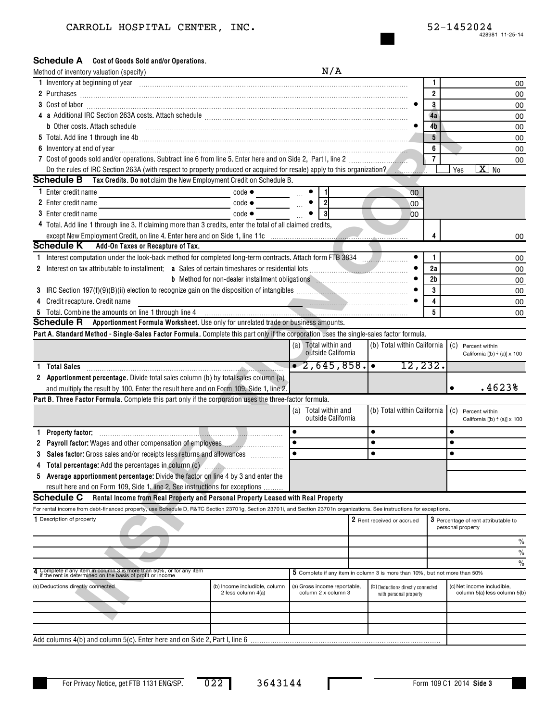#### Schedule A Cost of Goods Sold and/or Operations.

|              | Method of inventory valuation (specify)                                                                                                                                                                                        |                               | N/A                          |                                                                            |                |                                           |
|--------------|--------------------------------------------------------------------------------------------------------------------------------------------------------------------------------------------------------------------------------|-------------------------------|------------------------------|----------------------------------------------------------------------------|----------------|-------------------------------------------|
|              | 1 Inventory at beginning of year encourance and contained a state of the state of the state of the state of the state of the state of the state of the state of the state of the state of the state of the state of the state  |                               |                              |                                                                            | 1              | 00                                        |
|              |                                                                                                                                                                                                                                |                               |                              |                                                                            | $\overline{2}$ | 00                                        |
|              |                                                                                                                                                                                                                                |                               |                              |                                                                            | 3              | 00                                        |
|              |                                                                                                                                                                                                                                |                               |                              |                                                                            | 4a             | 00                                        |
|              | <b>b</b> Other costs. Attach schedule                                                                                                                                                                                          |                               |                              |                                                                            | 4b             | 00                                        |
|              |                                                                                                                                                                                                                                |                               |                              |                                                                            | 5              | 00                                        |
|              | 6 Inventory at end of year manufactured and an extreme contract of the state of the state of the state of the state of the state of the state of the state of the state of the state of the state of the state of the state of |                               |                              |                                                                            | 6              | 00                                        |
|              | 7 Cost of goods sold and/or operations. Subtract line 6 from line 5. Enter here and on Side 2, Part I, line 2 [11, 1111]                                                                                                       |                               |                              |                                                                            | $\overline{7}$ | 00                                        |
|              | Do the rules of IRC Section 263A (with respect to property produced or acquired for resale) apply to this organization?                                                                                                        |                               |                              |                                                                            |                | $\overline{\text{X}}$<br>Yes<br><b>No</b> |
|              | <b>Schedule B</b> Tax Credits. Do not claim the New Employment Credit on Schedule B.                                                                                                                                           |                               |                              |                                                                            |                |                                           |
|              | 1 Enter credit name<br>$code \bullet$                                                                                                                                                                                          | <b>Contract Contract</b>      | $\blacksquare$               | 00                                                                         |                |                                           |
|              | 2 Enter credit name                                                                                                                                                                                                            | $code \bullet$                | $\mathbf{2}$                 | 00                                                                         |                |                                           |
|              | <b>3</b> Enter credit name<br>$code \bullet$                                                                                                                                                                                   |                               |                              | 00                                                                         |                |                                           |
|              | 4 Total. Add line 1 through line 3. If claiming more than 3 credits, enter the total of all claimed credits,                                                                                                                   |                               |                              |                                                                            |                |                                           |
|              |                                                                                                                                                                                                                                |                               |                              |                                                                            |                | 00                                        |
|              | <b>Schedule K</b><br>Add-On Taxes or Recapture of Tax.                                                                                                                                                                         |                               |                              |                                                                            |                |                                           |
| $\mathbf{1}$ | Interest computation under the look-back method for completed long-term contracts. Attach form FTB 3834                                                                                                                        |                               |                              |                                                                            | 1              | 00                                        |
|              |                                                                                                                                                                                                                                |                               |                              |                                                                            | 2a             | 00                                        |
|              | <b>b</b> Method for non-dealer installment obligations <b>Mathematical Instance Inc.</b>                                                                                                                                       |                               |                              |                                                                            | 2 <sub>b</sub> | 00                                        |
|              | 3 IRC Section 197(f)(9)(B)(ii) election to recognize gain on the disposition of intangibles <i>manual community containers</i>                                                                                                 |                               |                              |                                                                            | 3              | 00                                        |
|              | 4 Credit recapture. Credit name                                                                                                                                                                                                |                               |                              |                                                                            | 4              | 00                                        |
|              |                                                                                                                                                                                                                                |                               |                              |                                                                            | 5              | 00                                        |
|              | Schedule R Apportionment Formula Worksheet. Use only for unrelated trade or business amounts.                                                                                                                                  |                               |                              |                                                                            |                |                                           |
|              | Part A. Standard Method - Single-Sales Factor Formula. Complete this part only if the corporation uses the single-sales factor formula.                                                                                        |                               |                              |                                                                            |                |                                           |
|              |                                                                                                                                                                                                                                |                               | (a) Total within and         | (b) Total within California                                                |                | (C) Percent within                        |
|              |                                                                                                                                                                                                                                |                               | outside California           |                                                                            |                | California $[(b) \div (a)] \times 100$    |
|              | 1 Total Sales                                                                                                                                                                                                                  |                               | $\bullet$ 2,645,858.         | 12, 232.                                                                   |                |                                           |
|              | 2 Apportionment percentage. Divide total sales column (b) by total sales column (a)                                                                                                                                            |                               |                              |                                                                            |                |                                           |
|              | and multiply the result by 100. Enter the result here and on Form 109, Side 1, line 2.                                                                                                                                         |                               |                              |                                                                            |                | .4623%<br>$\bullet$                       |
|              | Part B. Three Factor Formula. Complete this part only if the corporation uses the three-factor formula.                                                                                                                        |                               |                              |                                                                            |                |                                           |
|              |                                                                                                                                                                                                                                |                               | Total within and<br>(a)      | (b) Total within California                                                |                | (C) Percent within                        |
|              |                                                                                                                                                                                                                                |                               | outside California           |                                                                            |                | California $[(b) \div (a)] \times 100$    |
| 1.           | Property factor:                                                                                                                                                                                                               |                               | $\bullet$                    | $\bullet$                                                                  |                | $\bullet$                                 |
|              | 2 Payroll factor: Wages and other compensation of employees                                                                                                                                                                    |                               | ٠                            | $\bullet$                                                                  |                | $\bullet$                                 |
| 3            | Sales factor: Gross sales and/or receipts less returns and allowances                                                                                                                                                          |                               |                              | $\bullet$                                                                  |                | $\bullet$                                 |
|              | 4 Total percentage: Add the percentages in column (c) <b>The Contract Contract Protein Contract Protein</b>                                                                                                                    |                               |                              |                                                                            |                |                                           |
|              | 5 Average apportionment percentage: Divide the factor on line 4 by 3 and enter the                                                                                                                                             |                               |                              |                                                                            |                |                                           |
|              | result here and on Form 109, Side 1, line 2. See instructions for exceptions                                                                                                                                                   |                               |                              |                                                                            |                |                                           |
|              | <b>Schedule C</b><br>Rental Income from Real Property and Personal Property Leased with Real Property                                                                                                                          |                               |                              |                                                                            |                |                                           |
|              | For rental income from debt-financed property, use Schedule D, R&TC Section 23701g, Section 23701i, and Section 23701n organizations. See instructions for exceptions.                                                         |                               |                              |                                                                            |                |                                           |
|              | 1 Description of property                                                                                                                                                                                                      |                               |                              | 2 Rent received or accrued                                                 |                | 3 Percentage of rent attributable to      |
|              |                                                                                                                                                                                                                                |                               |                              |                                                                            |                | personal property                         |
|              |                                                                                                                                                                                                                                |                               |                              |                                                                            |                | $\frac{0}{0}$                             |
|              |                                                                                                                                                                                                                                |                               |                              |                                                                            |                | $\%$                                      |
|              |                                                                                                                                                                                                                                |                               |                              |                                                                            |                | $\frac{0}{0}$                             |
|              | 4 Complete it any item in column 3 is more than 50%, or for any item<br>if the rent is determined on the basis of profit or income                                                                                             |                               |                              | 5 Complete if any item in column 3 is more than 10%, but not more than 50% |                |                                           |
|              | (a) Deductions directly connected                                                                                                                                                                                              | (b) Income includible, column | (a) Gross income reportable, | (b) Deductions directly connected                                          |                | (c) Net income includible,                |
|              | 2 less column 4(a)                                                                                                                                                                                                             |                               | column 2 x column 3          | with personal property                                                     |                | column 5(a) less column 5(b)              |
|              |                                                                                                                                                                                                                                |                               |                              |                                                                            |                |                                           |
|              |                                                                                                                                                                                                                                |                               |                              |                                                                            |                |                                           |
|              |                                                                                                                                                                                                                                |                               |                              |                                                                            |                |                                           |
|              |                                                                                                                                                                                                                                |                               |                              |                                                                            |                |                                           |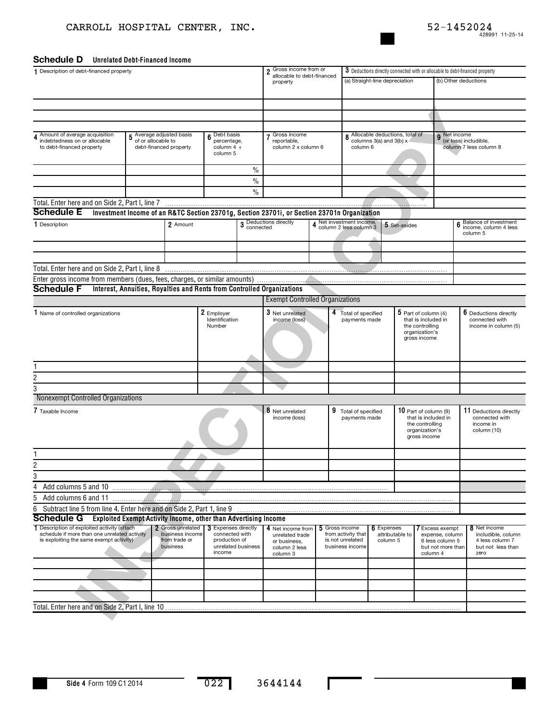#### Schedule D Unrelated Debt-Financed Income

| 1 Description of debt-financed property                                                     |                                                                 |                                                            |                              |                    | 2 Gross income from or                                                                      |   | 3 Deductions directly connected with or allocable to debt-financed property |                                                             |                                               |                                      |                                          |  |  |
|---------------------------------------------------------------------------------------------|-----------------------------------------------------------------|------------------------------------------------------------|------------------------------|--------------------|---------------------------------------------------------------------------------------------|---|-----------------------------------------------------------------------------|-------------------------------------------------------------|-----------------------------------------------|--------------------------------------|------------------------------------------|--|--|
|                                                                                             |                                                                 |                                                            |                              |                    | allocable to debt-financed<br>property                                                      |   |                                                                             | (a) Straight-line depreciation                              |                                               |                                      | (b) Other deductions                     |  |  |
|                                                                                             |                                                                 |                                                            |                              |                    |                                                                                             |   |                                                                             |                                                             |                                               |                                      |                                          |  |  |
|                                                                                             |                                                                 |                                                            |                              |                    |                                                                                             |   |                                                                             |                                                             |                                               |                                      |                                          |  |  |
|                                                                                             |                                                                 |                                                            |                              |                    |                                                                                             |   |                                                                             |                                                             |                                               |                                      |                                          |  |  |
|                                                                                             |                                                                 |                                                            |                              |                    |                                                                                             |   |                                                                             |                                                             |                                               |                                      |                                          |  |  |
| 4 Amount of average acquisition<br>indebtedness on or allocable                             | 5 Average adjusted basis<br>of or allocable to                  |                                                            | Debt basis<br>percentage,    |                    | 7 Gross income<br>reportable,                                                               |   |                                                                             | 8 Allocable deductions, total of<br>columns 3(a) and 3(b) x |                                               | 9 <sup>Net income</sup>              | (or loss) includible,                    |  |  |
| to debt-financed property                                                                   | debt-financed property                                          |                                                            | column $4 \div$<br>column 5  |                    | column 2 x column 6                                                                         |   | column 6                                                                    |                                                             |                                               |                                      | column 7 less column 8                   |  |  |
|                                                                                             |                                                                 |                                                            |                              |                    |                                                                                             |   |                                                                             |                                                             |                                               |                                      |                                          |  |  |
|                                                                                             |                                                                 |                                                            |                              | $\%$               |                                                                                             |   |                                                                             |                                                             |                                               |                                      |                                          |  |  |
|                                                                                             |                                                                 |                                                            |                              | $\%$               |                                                                                             |   |                                                                             |                                                             |                                               |                                      |                                          |  |  |
|                                                                                             |                                                                 |                                                            |                              | $\%$               |                                                                                             |   |                                                                             |                                                             |                                               |                                      |                                          |  |  |
| Total. Enter here and on Side 2, Part I, line 7                                             |                                                                 |                                                            |                              |                    |                                                                                             |   |                                                                             |                                                             |                                               |                                      |                                          |  |  |
| <b>Schedule E</b>                                                                           |                                                                 |                                                            |                              |                    | Investment Income of an R&TC Section 23701g, Section 23701i, or Section 23701n Organization |   |                                                                             |                                                             |                                               |                                      | Balance of investment                    |  |  |
| 1 Description                                                                               |                                                                 | 2 Amount                                                   |                              |                    | 3 Deductions directly<br>connected                                                          |   | Net investment income,<br>column 2 less column 3                            | 5 Set-asides                                                |                                               | 6                                    | income, column 4 less<br>column 5        |  |  |
|                                                                                             |                                                                 |                                                            |                              |                    |                                                                                             |   |                                                                             |                                                             |                                               |                                      |                                          |  |  |
|                                                                                             |                                                                 |                                                            |                              |                    |                                                                                             |   |                                                                             |                                                             |                                               |                                      |                                          |  |  |
| Total. Enter here and on Side 2, Part I, line 8                                             |                                                                 |                                                            |                              |                    |                                                                                             |   |                                                                             |                                                             |                                               |                                      |                                          |  |  |
| Enter gross income from members (dues, fees, charges, or similar amounts)                   |                                                                 |                                                            |                              |                    |                                                                                             |   |                                                                             |                                                             |                                               |                                      |                                          |  |  |
| <b>Schedule F</b>                                                                           |                                                                 |                                                            |                              |                    | Interest, Annuities, Royalties and Rents from Controlled Organizations                      |   |                                                                             |                                                             |                                               |                                      |                                          |  |  |
|                                                                                             |                                                                 |                                                            |                              |                    | <b>Exempt Controlled Organizations</b>                                                      |   |                                                                             |                                                             |                                               |                                      |                                          |  |  |
| 1 Name of controlled organizations                                                          |                                                                 |                                                            | 2 Employer<br>Identification |                    | 3 Net unrelated<br>income (loss)                                                            | 4 | Total of specified<br>payments made                                         |                                                             | $5$ Part of column (4)<br>that is included in |                                      | 6 Deductions directly<br>connected with  |  |  |
|                                                                                             |                                                                 |                                                            | Number                       |                    |                                                                                             |   |                                                                             |                                                             | the controlling<br>organization's             |                                      | income in column (5)                     |  |  |
|                                                                                             |                                                                 |                                                            |                              |                    |                                                                                             |   |                                                                             |                                                             | gross income                                  |                                      |                                          |  |  |
|                                                                                             |                                                                 |                                                            |                              |                    |                                                                                             |   |                                                                             |                                                             |                                               |                                      |                                          |  |  |
|                                                                                             |                                                                 |                                                            |                              |                    |                                                                                             |   |                                                                             |                                                             |                                               |                                      |                                          |  |  |
|                                                                                             |                                                                 |                                                            |                              |                    |                                                                                             |   |                                                                             |                                                             |                                               |                                      |                                          |  |  |
|                                                                                             |                                                                 |                                                            |                              |                    |                                                                                             |   |                                                                             |                                                             |                                               |                                      |                                          |  |  |
| Nonexempt Controlled Organizations                                                          |                                                                 |                                                            |                              |                    |                                                                                             |   |                                                                             |                                                             |                                               |                                      |                                          |  |  |
| 7 Taxable Income                                                                            |                                                                 |                                                            |                              |                    |                                                                                             | 9 |                                                                             |                                                             | 10 Part of column (9)                         |                                      |                                          |  |  |
|                                                                                             |                                                                 |                                                            |                              |                    | 8 Net unrelated<br>income (loss)                                                            |   | Total of specified<br>payments made                                         |                                                             | that is included in                           |                                      | 11 Deductions directly<br>connected with |  |  |
|                                                                                             |                                                                 |                                                            |                              |                    |                                                                                             |   |                                                                             |                                                             | the controlling<br>organization's             |                                      | income in<br>column (10)                 |  |  |
|                                                                                             |                                                                 |                                                            |                              |                    |                                                                                             |   |                                                                             |                                                             | gross income                                  |                                      |                                          |  |  |
|                                                                                             |                                                                 |                                                            |                              |                    |                                                                                             |   |                                                                             |                                                             |                                               |                                      |                                          |  |  |
| 2                                                                                           |                                                                 |                                                            |                              |                    |                                                                                             |   |                                                                             |                                                             |                                               |                                      |                                          |  |  |
| 3                                                                                           |                                                                 |                                                            |                              |                    |                                                                                             |   |                                                                             |                                                             |                                               |                                      |                                          |  |  |
| 4<br>Add columns 5 and 10                                                                   |                                                                 |                                                            |                              |                    |                                                                                             |   |                                                                             |                                                             |                                               |                                      |                                          |  |  |
| 5<br>Add columns 6 and 11                                                                   |                                                                 |                                                            |                              |                    |                                                                                             |   |                                                                             |                                                             |                                               |                                      |                                          |  |  |
| Subtract line 5 from line 4. Enter here and on Side 2, Part 1, line 9<br>6                  |                                                                 |                                                            |                              |                    |                                                                                             |   |                                                                             |                                                             |                                               |                                      |                                          |  |  |
| Schedule G                                                                                  | Exploited Exempt Activity Income, other than Advertising Income |                                                            |                              |                    |                                                                                             |   |                                                                             |                                                             |                                               |                                      |                                          |  |  |
| 1 Description of exploited activity (attach<br>schedule if more than one unrelated activity |                                                                 | 2 Gross unrelated   3 Expenses directly<br>business income | connected with               |                    | 4 Net income from<br>unrelated trade                                                        |   | 5 Gross income<br>from activity that                                        | 6 Expenses<br>attributable to                               | <b>7</b> Excess exempt                        | expense, column                      | 8 Net income<br>includible, column       |  |  |
| is exploiting the same exempt activity)<br>from trade or<br>business                        |                                                                 |                                                            | production of                | unrelated business | or business.<br>column 2 less                                                               |   | is not unrelated<br>business income                                         | column 5                                                    |                                               | 6 less column 5<br>but not more than | 4 less column 7<br>but not less than     |  |  |
|                                                                                             |                                                                 |                                                            | income                       |                    | column 3                                                                                    |   |                                                                             |                                                             | column 4                                      |                                      | zero                                     |  |  |
|                                                                                             |                                                                 |                                                            |                              |                    |                                                                                             |   |                                                                             |                                                             |                                               |                                      |                                          |  |  |
|                                                                                             |                                                                 |                                                            |                              |                    |                                                                                             |   |                                                                             |                                                             |                                               |                                      |                                          |  |  |
|                                                                                             |                                                                 |                                                            |                              |                    |                                                                                             |   |                                                                             |                                                             |                                               |                                      |                                          |  |  |
|                                                                                             |                                                                 |                                                            |                              |                    |                                                                                             |   |                                                                             |                                                             |                                               |                                      |                                          |  |  |
|                                                                                             |                                                                 |                                                            |                              |                    |                                                                                             |   |                                                                             |                                                             |                                               |                                      |                                          |  |  |

L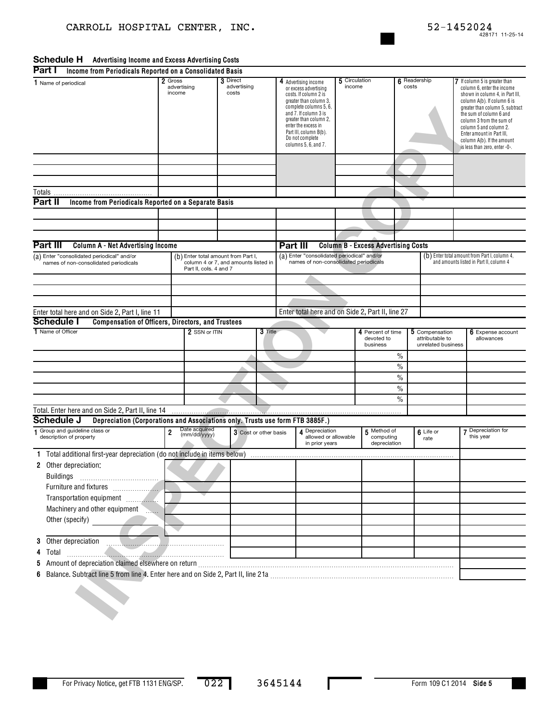#### **Schedule H** Advertising Income and Excess Advertising Costs

|                      | Part I<br>Income from Periodicals Reported on a Consolidated Basis                                                      |                                  |                                                                                                       |                                  |                       |                                                                                                                                                                                                                                                                           |  |                                                          |  |                                                                                     |               |                                                                                                                                                                                                                                                                                                                                               |  |                                 |
|----------------------|-------------------------------------------------------------------------------------------------------------------------|----------------------------------|-------------------------------------------------------------------------------------------------------|----------------------------------|-----------------------|---------------------------------------------------------------------------------------------------------------------------------------------------------------------------------------------------------------------------------------------------------------------------|--|----------------------------------------------------------|--|-------------------------------------------------------------------------------------|---------------|-----------------------------------------------------------------------------------------------------------------------------------------------------------------------------------------------------------------------------------------------------------------------------------------------------------------------------------------------|--|---------------------------------|
| 1 Name of periodical |                                                                                                                         | 2 Gross<br>advertising<br>income |                                                                                                       | 3 Direct<br>advertising<br>costs |                       | 4 Advertising income<br>or excess advertising<br>costs. If column 2 is<br>greater than column 3,<br>complete columns 5, 6,<br>and 7. If column 3 is<br>greater than column 2,<br>enter the excess in<br>Part III, column B(b).<br>Do not complete<br>columns 5, 6, and 7. |  | 5 Circulation<br>income                                  |  | 6 Readership<br>costs                                                               |               | 7 If column 5 is greater than<br>column 6, enter the income<br>shown in column 4, in Part III,<br>column A(b). If column 6 is<br>greater than column 5, subtract<br>the sum of column 6 and<br>column 3 from the sum of<br>column 5 and column 2.<br>Enter amount in Part III,<br>column A(b). If the amount<br>is less than zero, enter -0-. |  |                                 |
|                      |                                                                                                                         |                                  |                                                                                                       |                                  |                       |                                                                                                                                                                                                                                                                           |  |                                                          |  |                                                                                     |               |                                                                                                                                                                                                                                                                                                                                               |  |                                 |
|                      |                                                                                                                         |                                  |                                                                                                       |                                  |                       |                                                                                                                                                                                                                                                                           |  |                                                          |  |                                                                                     |               |                                                                                                                                                                                                                                                                                                                                               |  |                                 |
|                      | Part II<br>Income from Periodicals Reported on a Separate Basis                                                         |                                  |                                                                                                       |                                  |                       |                                                                                                                                                                                                                                                                           |  |                                                          |  |                                                                                     |               |                                                                                                                                                                                                                                                                                                                                               |  |                                 |
|                      |                                                                                                                         |                                  |                                                                                                       |                                  |                       |                                                                                                                                                                                                                                                                           |  |                                                          |  |                                                                                     |               |                                                                                                                                                                                                                                                                                                                                               |  |                                 |
|                      |                                                                                                                         |                                  |                                                                                                       |                                  |                       |                                                                                                                                                                                                                                                                           |  |                                                          |  |                                                                                     |               |                                                                                                                                                                                                                                                                                                                                               |  |                                 |
|                      |                                                                                                                         |                                  |                                                                                                       |                                  |                       |                                                                                                                                                                                                                                                                           |  |                                                          |  |                                                                                     |               |                                                                                                                                                                                                                                                                                                                                               |  |                                 |
|                      | Part III<br><b>Column A - Net Advertising Income</b>                                                                    |                                  |                                                                                                       |                                  |                       | Part III                                                                                                                                                                                                                                                                  |  |                                                          |  | <b>Column B - Excess Advertising Costs</b>                                          |               |                                                                                                                                                                                                                                                                                                                                               |  |                                 |
|                      | (a) Enter "consolidated periodical" and/or<br>names of non-consolidated periodicals                                     |                                  | (b) Enter total amount from Part I,<br>column 4 or 7, and amounts listed in<br>Part II, cols. 4 and 7 |                                  |                       |                                                                                                                                                                                                                                                                           |  |                                                          |  | (a) Enter "consolidated periodical" and/or<br>names of non-consolidated periodicals |               | (b) Enter total amount from Part I, column 4,<br>and amounts listed in Part II, column 4                                                                                                                                                                                                                                                      |  |                                 |
|                      |                                                                                                                         |                                  |                                                                                                       |                                  |                       |                                                                                                                                                                                                                                                                           |  |                                                          |  |                                                                                     |               |                                                                                                                                                                                                                                                                                                                                               |  |                                 |
|                      |                                                                                                                         |                                  |                                                                                                       |                                  |                       |                                                                                                                                                                                                                                                                           |  |                                                          |  |                                                                                     |               |                                                                                                                                                                                                                                                                                                                                               |  |                                 |
|                      |                                                                                                                         |                                  |                                                                                                       |                                  |                       |                                                                                                                                                                                                                                                                           |  |                                                          |  |                                                                                     |               |                                                                                                                                                                                                                                                                                                                                               |  |                                 |
|                      | Enter total here and on Side 2, Part I, line 11                                                                         |                                  |                                                                                                       |                                  |                       |                                                                                                                                                                                                                                                                           |  |                                                          |  | Enter total here and on Side 2, Part II, line 27                                    |               |                                                                                                                                                                                                                                                                                                                                               |  |                                 |
|                      | <b>Schedule I</b><br>Compensation of Officers, Directors, and Trustees<br>1 Name of Officer                             |                                  | 2 SSN or ITIN                                                                                         |                                  | 3 Title               |                                                                                                                                                                                                                                                                           |  |                                                          |  |                                                                                     |               |                                                                                                                                                                                                                                                                                                                                               |  |                                 |
|                      |                                                                                                                         |                                  |                                                                                                       |                                  |                       |                                                                                                                                                                                                                                                                           |  |                                                          |  | 4 Percent of time<br>devoted to<br>business                                         |               | 5 Compensation<br>attributable to<br>unrelated business                                                                                                                                                                                                                                                                                       |  | 6 Expense account<br>allowances |
|                      |                                                                                                                         |                                  |                                                                                                       |                                  |                       |                                                                                                                                                                                                                                                                           |  |                                                          |  |                                                                                     | $\%$          |                                                                                                                                                                                                                                                                                                                                               |  |                                 |
|                      |                                                                                                                         |                                  |                                                                                                       |                                  |                       |                                                                                                                                                                                                                                                                           |  |                                                          |  |                                                                                     | $\%$          |                                                                                                                                                                                                                                                                                                                                               |  |                                 |
|                      |                                                                                                                         |                                  |                                                                                                       |                                  |                       |                                                                                                                                                                                                                                                                           |  |                                                          |  |                                                                                     | $\frac{0}{0}$ |                                                                                                                                                                                                                                                                                                                                               |  |                                 |
|                      |                                                                                                                         |                                  |                                                                                                       |                                  |                       |                                                                                                                                                                                                                                                                           |  |                                                          |  |                                                                                     | $\frac{0}{0}$ |                                                                                                                                                                                                                                                                                                                                               |  |                                 |
|                      |                                                                                                                         |                                  |                                                                                                       |                                  |                       |                                                                                                                                                                                                                                                                           |  |                                                          |  |                                                                                     | $\%$          |                                                                                                                                                                                                                                                                                                                                               |  |                                 |
|                      | Total. Enter here and on Side 2, Part II, line 14                                                                       |                                  |                                                                                                       |                                  |                       |                                                                                                                                                                                                                                                                           |  |                                                          |  |                                                                                     |               |                                                                                                                                                                                                                                                                                                                                               |  |                                 |
|                      | Schedule J<br>Depreciation (Corporations and Associations only. Trusts use form FTB 3885F.)                             |                                  | Date acquired                                                                                         |                                  |                       |                                                                                                                                                                                                                                                                           |  |                                                          |  |                                                                                     |               |                                                                                                                                                                                                                                                                                                                                               |  |                                 |
|                      | Group and guideline class or<br>description of property                                                                 | $\overline{2}$                   | (mm/dd/yyyy)                                                                                          |                                  | 3 Cost or other basis |                                                                                                                                                                                                                                                                           |  | A Depreciation<br>allowed or allowable<br>in prior years |  | 5 Method of<br>computing<br>depreciation                                            |               | 6 Life or<br>rate                                                                                                                                                                                                                                                                                                                             |  | 7 Depreciation for<br>this year |
|                      | 1 Total additional first-year depreciation (do not include in items below)<br>2 Other depreciation:<br><b>Buildings</b> |                                  |                                                                                                       |                                  |                       |                                                                                                                                                                                                                                                                           |  |                                                          |  |                                                                                     |               |                                                                                                                                                                                                                                                                                                                                               |  |                                 |
|                      |                                                                                                                         |                                  |                                                                                                       |                                  |                       |                                                                                                                                                                                                                                                                           |  |                                                          |  |                                                                                     |               |                                                                                                                                                                                                                                                                                                                                               |  |                                 |
|                      |                                                                                                                         |                                  |                                                                                                       |                                  |                       |                                                                                                                                                                                                                                                                           |  |                                                          |  |                                                                                     |               |                                                                                                                                                                                                                                                                                                                                               |  |                                 |
|                      | Machinery and other equipment                                                                                           |                                  |                                                                                                       |                                  |                       |                                                                                                                                                                                                                                                                           |  |                                                          |  |                                                                                     |               |                                                                                                                                                                                                                                                                                                                                               |  |                                 |
|                      | Other (specify)                                                                                                         |                                  |                                                                                                       |                                  |                       |                                                                                                                                                                                                                                                                           |  |                                                          |  |                                                                                     |               |                                                                                                                                                                                                                                                                                                                                               |  |                                 |
|                      |                                                                                                                         |                                  |                                                                                                       |                                  |                       |                                                                                                                                                                                                                                                                           |  |                                                          |  |                                                                                     |               |                                                                                                                                                                                                                                                                                                                                               |  |                                 |
|                      | 3 Other depreciation <b>Container and Container and Container Property Container</b>                                    |                                  |                                                                                                       |                                  |                       |                                                                                                                                                                                                                                                                           |  |                                                          |  |                                                                                     |               |                                                                                                                                                                                                                                                                                                                                               |  |                                 |
|                      | 4 Total                                                                                                                 |                                  |                                                                                                       |                                  |                       |                                                                                                                                                                                                                                                                           |  |                                                          |  |                                                                                     |               |                                                                                                                                                                                                                                                                                                                                               |  |                                 |
|                      |                                                                                                                         |                                  |                                                                                                       |                                  |                       |                                                                                                                                                                                                                                                                           |  |                                                          |  |                                                                                     |               |                                                                                                                                                                                                                                                                                                                                               |  |                                 |
|                      |                                                                                                                         |                                  |                                                                                                       |                                  |                       |                                                                                                                                                                                                                                                                           |  |                                                          |  |                                                                                     |               |                                                                                                                                                                                                                                                                                                                                               |  |                                 |
|                      |                                                                                                                         |                                  |                                                                                                       |                                  |                       |                                                                                                                                                                                                                                                                           |  |                                                          |  |                                                                                     |               |                                                                                                                                                                                                                                                                                                                                               |  |                                 |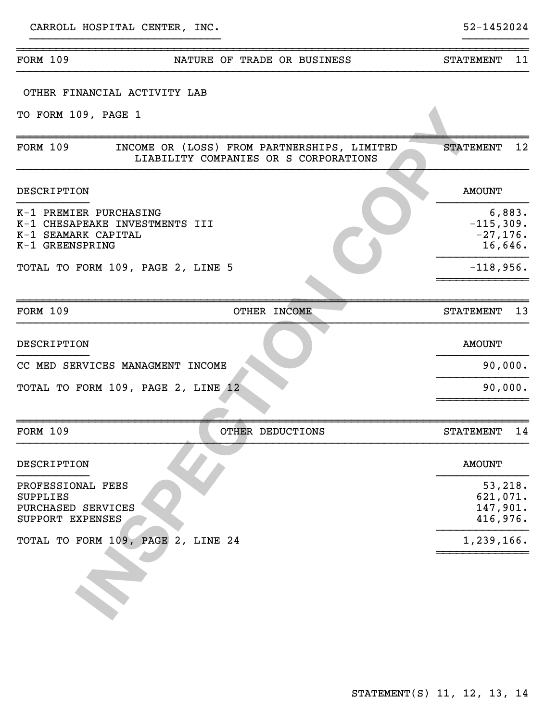|                                                                                                    | NATURE OF TRADE OR BUSINESS                                                          | 11<br><b>STATEMENT</b>                         |
|----------------------------------------------------------------------------------------------------|--------------------------------------------------------------------------------------|------------------------------------------------|
| OTHER FINANCIAL ACTIVITY LAB                                                                       |                                                                                      |                                                |
| TO FORM 109, PAGE 1                                                                                |                                                                                      |                                                |
| FORM 109                                                                                           | INCOME OR (LOSS) FROM PARTNERSHIPS, LIMITED<br>LIABILITY COMPANIES OR S CORPORATIONS | 12<br><b>STATEMENT</b>                         |
| DESCRIPTION                                                                                        |                                                                                      | <b>AMOUNT</b>                                  |
| K-1 PREMIER PURCHASING<br>K-1 CHESAPEAKE INVESTMENTS III<br>K-1 SEAMARK CAPITAL<br>K-1 GREENSPRING |                                                                                      | 6,883.<br>$-115,309.$<br>$-27,176.$<br>16,646. |
| TOTAL TO FORM 109, PAGE 2, LINE 5                                                                  |                                                                                      | $-118,956.$                                    |
| <b>FORM 109</b>                                                                                    | OTHER INCOME                                                                         | 13<br><b>STATEMENT</b>                         |
| DESCRIPTION                                                                                        |                                                                                      | <b>AMOUNT</b>                                  |
| CC MED SERVICES MANAGMENT INCOME                                                                   |                                                                                      | 90,000.                                        |
| TOTAL TO FORM 109, PAGE 2, LINE 12                                                                 |                                                                                      | 90,000.                                        |
| <b>FORM 109</b>                                                                                    | OTHER DEDUCTIONS                                                                     | 14<br><b>STATEMENT</b>                         |
| DESCRIPTION                                                                                        |                                                                                      | <b>AMOUNT</b>                                  |
| PROFESSIONAL FEES<br><b>SUPPLIES</b><br>PURCHASED SERVICES<br>SUPPORT EXPENSES                     |                                                                                      | 53, 218.<br>621,071.<br>147,901.<br>416,976.   |
| TOTAL TO FORM 109, PAGE 2, LINE 24                                                                 |                                                                                      | 1,239,166.                                     |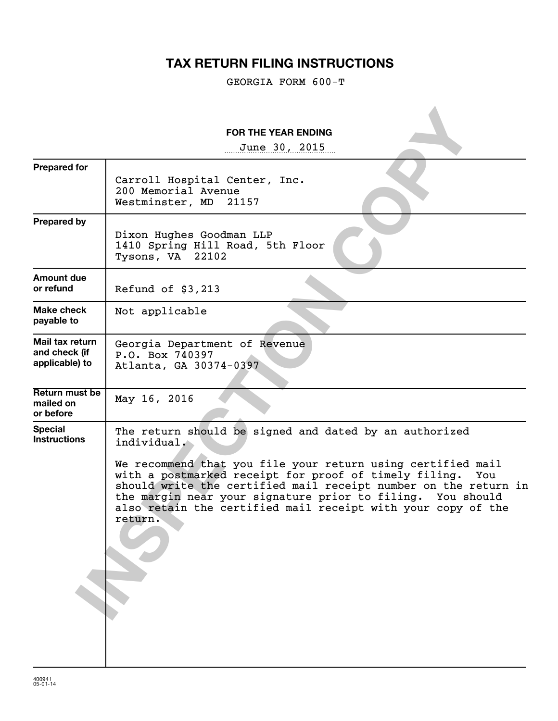# **TAX RETURN FILING INSTRUCTIONS**

GEORGIA FORM 600-T

|                                                    | <b>FOR THE YEAR ENDING</b>                                                                                                                                                                                                                                                                                                                                                                                       |
|----------------------------------------------------|------------------------------------------------------------------------------------------------------------------------------------------------------------------------------------------------------------------------------------------------------------------------------------------------------------------------------------------------------------------------------------------------------------------|
|                                                    | June 30, 2015                                                                                                                                                                                                                                                                                                                                                                                                    |
| <b>Prepared for</b>                                | Carroll Hospital Center, Inc.<br>200 Memorial Avenue<br>Westminster, MD<br>21157                                                                                                                                                                                                                                                                                                                                 |
| <b>Prepared by</b>                                 | Dixon Hughes Goodman LLP<br>1410 Spring Hill Road, 5th Floor<br>Tysons, VA 22102                                                                                                                                                                                                                                                                                                                                 |
| <b>Amount due</b><br>or refund                     | Refund of $$3,213$                                                                                                                                                                                                                                                                                                                                                                                               |
| Make check<br>payable to                           | Not applicable                                                                                                                                                                                                                                                                                                                                                                                                   |
| Mail tax return<br>and check (if<br>applicable) to | Georgia Department of Revenue<br>P.O. Box 740397<br>Atlanta, GA 30374-0397                                                                                                                                                                                                                                                                                                                                       |
| Return must be<br>mailed on<br>or before           | May 16, 2016                                                                                                                                                                                                                                                                                                                                                                                                     |
| <b>Special</b><br><b>Instructions</b>              | The return should be signed and dated by an authorized<br>individual.<br>We recommend that you file your return using certified mail<br>with a postmarked receipt for proof of timely filing.<br>You<br>should write the certified mail receipt number on the return in<br>the margin near your signature prior to filing. You should<br>also retain the certified mail receipt with your copy of the<br>return. |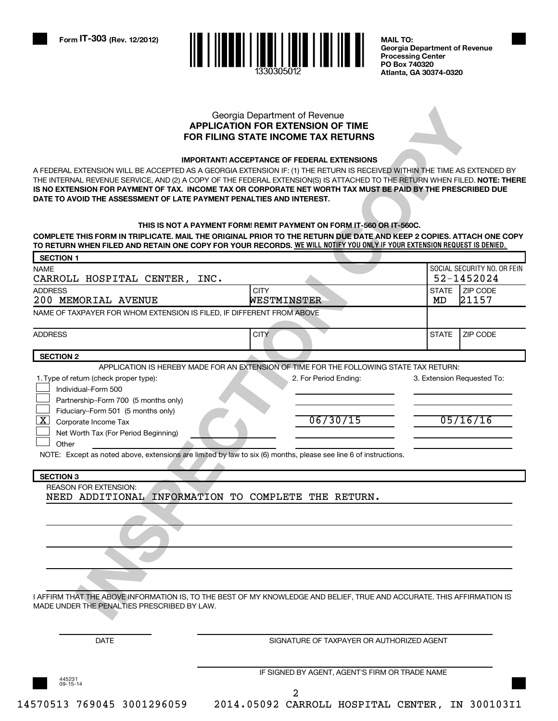

**Georgia Department of Revenue Processing Center PO Box 740320 Atlanta, GA 30374-0320**

#### **APPLICATION FOR EXTENSION OF TIME FOR FILING STATE INCOME TAX RETURNS** Georgia Department of Revenue

#### **IMPORTANT! ACCEPTANCE OF FEDERAL EXTENSIONS**

#### **THIS IS NOT A PAYMENT FORM! REMIT PAYMENT ON FORM IT-560 OR IT-560C.**

| DATE TO AVOID THE ASSESSMENT OF LATE PAYMENT PENALTIES AND INTEREST.<br>COMPLETE THIS FORM IN TRIPLICATE. MAIL THE ORIGINAL PRIOR TO THE RETURN DUE DATE AND KEEP 2 COPIES. ATTACH ONE COPY<br>TO RETURN WHEN FILED AND RETAIN ONE COPY FOR YOUR RECORDS. WE WILL NOTIFY YOU ONLY IF YOUR EXTENSION REQUEST IS DENIED. | THIS IS NOT A PAYMENT FORM! REMIT PAYMENT ON FORM IT-560 OR IT-560C.                        |              |                               |
|------------------------------------------------------------------------------------------------------------------------------------------------------------------------------------------------------------------------------------------------------------------------------------------------------------------------|---------------------------------------------------------------------------------------------|--------------|-------------------------------|
| <b>SECTION 1</b><br><b>NAME</b>                                                                                                                                                                                                                                                                                        |                                                                                             |              | SOCIAL SECURITY NO. OR FEIN   |
| CARROLL HOSPITAL CENTER, INC.                                                                                                                                                                                                                                                                                          |                                                                                             | <b>STATE</b> | 52-1452024<br><b>ZIP CODE</b> |
| <b>ADDRESS</b><br>200 MEMORIAL AVENUE                                                                                                                                                                                                                                                                                  | <b>CITY</b><br>WESTMINSTER                                                                  | MD           | 21157                         |
| NAME OF TAXPAYER FOR WHOM EXTENSION IS FILED, IF DIFFERENT FROM ABOVE                                                                                                                                                                                                                                                  |                                                                                             |              |                               |
| <b>ADDRESS</b>                                                                                                                                                                                                                                                                                                         | <b>CITY</b>                                                                                 | <b>STATE</b> | ZIP CODE                      |
| <b>SECTION 2</b>                                                                                                                                                                                                                                                                                                       |                                                                                             |              |                               |
| Partnership-Form 700 (5 months only)<br>Fiduciary--Form 501 (5 months only)<br>$\boxed{\textbf{X}}$ Corporate Income Tax<br>Net Worth Tax (For Period Beginning)<br>Other<br>NOTE: Except as noted above, extensions are limited by law to six (6) months, please see line 6 of instructions.<br><b>SECTION 3</b>      | 06/30/15                                                                                    |              | 05/16/16                      |
| <b>REASON FOR EXTENSION:</b><br>NEED ADDITIONAL                                                                                                                                                                                                                                                                        | INFORMATION TO COMPLETE THE RETURN.                                                         |              |                               |
| I AFFIRM THAT THE ABOVE INFORMATION IS, TO THE BEST OF MY KNOWLEDGE AND BELIEF, TRUE AND ACCURATE. THIS AFFIRMATION IS<br>MADE UNDER THE PENALTIES PRESCRIBED BY LAW.                                                                                                                                                  |                                                                                             |              |                               |
| <b>DATE</b>                                                                                                                                                                                                                                                                                                            | SIGNATURE OF TAXPAYER OR AUTHORIZED AGENT<br>IF SIGNED BY AGENT, AGENT'S FIRM OR TRADE NAME |              |                               |
| 445231<br>09-15-14                                                                                                                                                                                                                                                                                                     |                                                                                             |              |                               |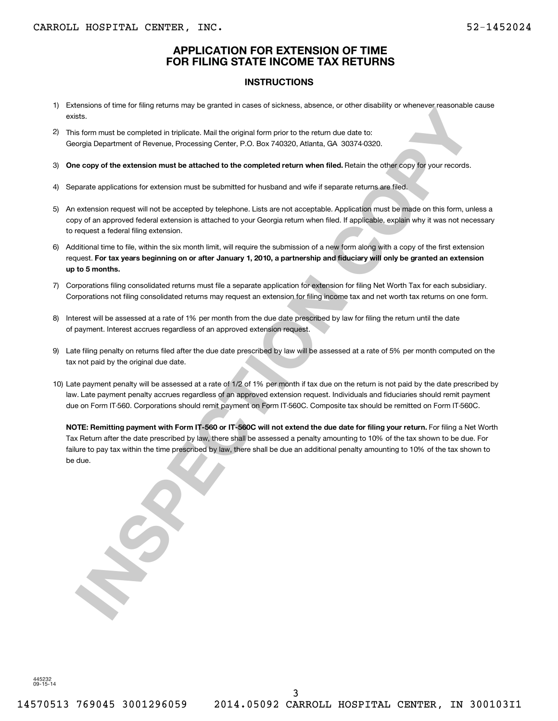### **APPLICATION FOR EXTENSION OF TIME FOR FILING STATE INCOME TAX RETURNS**

#### **INSTRUCTIONS**

- 1) Extensions of time for filing returns may be granted in cases of sickness, absence, or other disability or whenever reasonable cause exists.
- 2) This form must be completed in triplicate. Mail the original form prior to the return due date to: Georgia Department of Revenue, Processing Center, P.O. Box 740320, Atlanta, GA 30374-0320.
- 3) One copy of the extension must be attached to the completed return when filed. Retain the other copy for your records.
- 4) Separate applications for extension must be submitted for husband and wife if separate returns are filed.
- 5) An extension request will not be accepted by telephone. Lists are not acceptable. Application must be made on this form, unless a copy of an approved federal extension is attached to your Georgia return when filed. If applicable, explain why it was not necessary to request a federal filing extension.
- **For tax years beginning on or after January 1, 2010, a partnership and fiduciary will only be granted an extension** request. **up to 5 months.** 6) Additional time to file, within the six month limit, will require the submission of a new form along with a copy of the first extension
- 7) Corporations filing consolidated returns must file a separate application for extension for filing Net Worth Tax for each subsidiary. Corporations not filing consolidated returns may request an extension for filing income tax and net worth tax returns on one form.
- 8) Interest will be assessed at a rate of 1% per month from the due date prescribed by law for filing the return until the date of payment. Interest accrues regardless of an approved extension request.
- 9) Late filing penalty on returns filed after the due date prescribed by law will be assessed at a rate of 5% per month computed on the tax not paid by the original due date.
- 10) Late payment penalty will be assessed at a rate of 1/2 of 1% per month if tax due on the return is not paid by the date prescribed by law. Late payment penalty accrues regardless of an approved extension request. Individuals and fiduciaries should remit payment due on Form IT-560. Corporations should remit payment on Form IT-560C. Composite tax should be remitted on Form IT-560C.

**ISSUE THE CONSULTER CONSULTER CONSULTER CONSULTER CONSULTER CONSULTER CONSULTER CONSULTER CONSULTER CONSULTER CONSULTER CONSULTER CONSULTER CONSULTER CONSULTER CONSULTER CONSULTER CONSULTER CONSULTER CONSULTER CONSULTER C NOTE: Remitting payment with Form IT-560 or IT-560C will not extend the due date for filing your return.** For filing a Net Worth Tax Return after the date prescribed by law, there shall be assessed a penalty amounting to 10% of the tax shown to be due. For failure to pay tax within the time prescribed by law, there shall be due an additional penalty amounting to 10% of the tax shown to be due.

445232 09-15-14

3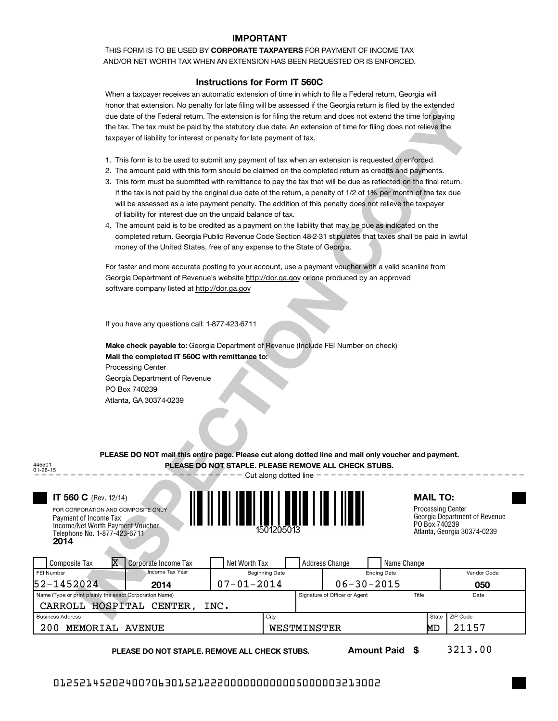#### **IMPORTANT**

THIS FORM IS TO BE USED BY **CORPORATE TAXPAYERS** FOR PAYMENT OF INCOME TAX AND/OR NET WORTH TAX WHEN AN EXTENSION HAS BEEN REQUESTED OR IS ENFORCED.

#### **Instructions for Form IT 560C**

When a taxpayer receives an automatic extension of time in which to file a Federal return, Georgia will honor that extension. No penalty for late filing will be assessed if the Georgia return is filed by the extended due date of the Federal return. The extension is for filing the return and does not extend the time for paying the tax. The tax must be paid by the statutory due date. An extension of time for filing does not relieve the taxpayer of liability for interest or penalty for late payment of tax.

- 1. This form is to be used to submit any payment of tax when an extension is requested or enforced.
- 2. The amount paid with this form should be claimed on the completed return as credits and payments.
- 3. This form must be submitted with remittance to pay the tax that will be due as reflected on the final return. If the tax is not paid by the original due date of the return, a penalty of 1/2 of 1% per month of the tax due will be assessed as a late payment penalty. The addition of this penalty does not relieve the taxpayer of liability for interest due on the unpaid balance of tax.
- 4. The amount paid is to be credited as a payment on the liability that may be due as indicated on the completed return. Georgia Public Revenue Code Section 48-2-31 stipulates that taxes shall be paid in lawful money of the United States, free of any expense to the State of Georgia.

|                                                                  | TIONOF that extension. TVO penalty for late himly will be assessed if the Georgia return is med by the extended  |                                      |                                                |
|------------------------------------------------------------------|------------------------------------------------------------------------------------------------------------------|--------------------------------------|------------------------------------------------|
|                                                                  | due date of the Federal return. The extension is for filing the return and does not extend the time for paying   |                                      |                                                |
|                                                                  | the tax. The tax must be paid by the statutory due date. An extension of time for filing does not relieve the    |                                      |                                                |
|                                                                  | taxpayer of liability for interest or penalty for late payment of tax.                                           |                                      |                                                |
|                                                                  |                                                                                                                  |                                      |                                                |
|                                                                  | 1. This form is to be used to submit any payment of tax when an extension is requested or enforced.              |                                      |                                                |
|                                                                  | 2. The amount paid with this form should be claimed on the completed return as credits and payments.             |                                      |                                                |
|                                                                  | 3. This form must be submitted with remittance to pay the tax that will be due as reflected on the final return. |                                      |                                                |
|                                                                  | If the tax is not paid by the original due date of the return, a penalty of 1/2 of 1% per month of the tax due   |                                      |                                                |
|                                                                  | will be assessed as a late payment penalty. The addition of this penalty does not relieve the taxpayer           |                                      |                                                |
|                                                                  | of liability for interest due on the unpaid balance of tax.                                                      |                                      |                                                |
|                                                                  | 4. The amount paid is to be credited as a payment on the liability that may be due as indicated on the           |                                      |                                                |
|                                                                  | completed return. Georgia Public Revenue Code Section 48-2-31 stipulates that taxes shall be paid in lawful      |                                      |                                                |
|                                                                  | money of the United States, free of any expense to the State of Georgia.                                         |                                      |                                                |
|                                                                  | For faster and more accurate posting to your account, use a payment voucher with a valid scanline from           |                                      |                                                |
|                                                                  | Georgia Department of Revenue's website http://dor.ga.gov or one produced by an approved                         |                                      |                                                |
| software company listed at http://dor.ga.gov                     |                                                                                                                  |                                      |                                                |
|                                                                  |                                                                                                                  |                                      |                                                |
|                                                                  |                                                                                                                  |                                      |                                                |
| If you have any questions call: 1-877-423-6711                   |                                                                                                                  |                                      |                                                |
|                                                                  |                                                                                                                  |                                      |                                                |
|                                                                  | Make check payable to: Georgia Department of Revenue (Include FEI Number on check)                               |                                      |                                                |
|                                                                  | Mail the completed IT 560C with remittance to:                                                                   |                                      |                                                |
| <b>Processing Center</b>                                         |                                                                                                                  |                                      |                                                |
| Georgia Department of Revenue                                    |                                                                                                                  |                                      |                                                |
| PO Box 740239                                                    |                                                                                                                  |                                      |                                                |
| Atlanta, GA 30374-0239                                           |                                                                                                                  |                                      |                                                |
|                                                                  |                                                                                                                  |                                      |                                                |
|                                                                  |                                                                                                                  |                                      |                                                |
|                                                                  |                                                                                                                  |                                      |                                                |
|                                                                  |                                                                                                                  |                                      |                                                |
|                                                                  | PLEASE DO NOT mail this entire page. Please cut along dotted line and mail only voucher and payment.             |                                      |                                                |
| 445501                                                           | PLEASE DO NOT STAPLE. PLEASE REMOVE ALL CHECK STUBS.                                                             |                                      |                                                |
| 01-28-15                                                         | $-$ Cut along dotted line $-$                                                                                    |                                      |                                                |
|                                                                  |                                                                                                                  |                                      |                                                |
| <b>IT 560 C</b> (Rev. 12/14)                                     |                                                                                                                  |                                      | <b>MAIL TO:</b>                                |
| FOR CORPORATION AND COMPOSITE ONLY                               |                                                                                                                  |                                      | <b>Processing Center</b>                       |
| Payment of Income Tax                                            |                                                                                                                  |                                      | Georgia Department of Revenue<br>PO Box 740239 |
| Income/Net Worth Payment Voucher<br>Telephone No. 1-877-423-6711 | 1501205013                                                                                                       |                                      | Atlanta, Georgia 30374-0239                    |
| 2014                                                             |                                                                                                                  |                                      |                                                |
|                                                                  |                                                                                                                  |                                      |                                                |
| x<br><b>Composite Tax</b><br>Corporate Income Tax                | Net Worth Tax                                                                                                    | <b>Address Change</b><br>Name Change |                                                |
| <b>Income Tax Year</b><br>FEI Number                             | <b>Beginning Date</b>                                                                                            | <b>Ending Date</b>                   | Vendor Code                                    |
| 52-1452024<br>2014                                               | $07 - 01 - 2014$                                                                                                 | $06 - 30 - 2015$                     | 050                                            |
| Name (Type or print plainly the exact Corporation Name)          |                                                                                                                  | Signature of Officer or Agent        | Title<br>Date                                  |
| CARROLL HOSPITAL CENTER,                                         | INC.                                                                                                             |                                      |                                                |
| <b>Business Address</b>                                          | City                                                                                                             |                                      | ZIP Code<br>State                              |

200 MEMORIAL AVENUE WESTMINSTER MD 21157

**PLEASE DO NOT STAPLE. REMOVE ALL CHECK STUBS.**

**Amount Paid \$**

3213.00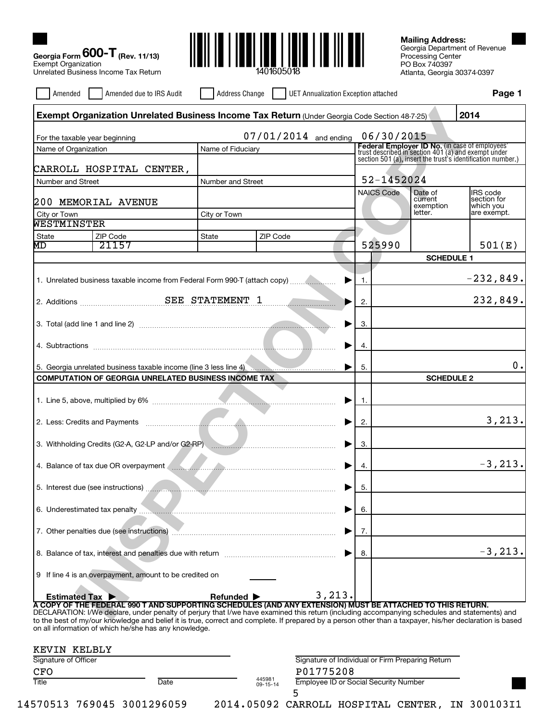

Georgia Department of Revenue Processing Center PO Box 740397 Atlanta, Georgia 30374-0397 **Mailing Address:**

| Amended                                                | Amended due to IRS Audit                                                                                                                                                                                                                                                                                  | <b>Address Change</b>          |                    | UET Annualization Exception attached             |                   |                      | Page 1                                                                                                |
|--------------------------------------------------------|-----------------------------------------------------------------------------------------------------------------------------------------------------------------------------------------------------------------------------------------------------------------------------------------------------------|--------------------------------|--------------------|--------------------------------------------------|-------------------|----------------------|-------------------------------------------------------------------------------------------------------|
|                                                        | Exempt Organization Unrelated Business Income Tax Return (Under Georgia Code Section 48-7-25)                                                                                                                                                                                                             |                                |                    |                                                  |                   |                      | 2014                                                                                                  |
|                                                        |                                                                                                                                                                                                                                                                                                           |                                |                    | 07/01/2014 and ending                            | 06/30/2015        |                      |                                                                                                       |
| For the taxable year beginning<br>Name of Organization |                                                                                                                                                                                                                                                                                                           | Name of Fiduciary              |                    |                                                  |                   |                      | Federal Employer ID No. (in case of employees'<br>trust described in section 401 (a) and exempt under |
|                                                        |                                                                                                                                                                                                                                                                                                           |                                |                    |                                                  |                   |                      | section 501 (a), insert the trust's identification number.)                                           |
|                                                        | CARROLL HOSPITAL CENTER,                                                                                                                                                                                                                                                                                  |                                |                    |                                                  |                   |                      |                                                                                                       |
| Number and Street                                      |                                                                                                                                                                                                                                                                                                           | Number and Street              |                    |                                                  | 52-1452024        |                      |                                                                                                       |
|                                                        | 200 MEMORIAL AVENUE                                                                                                                                                                                                                                                                                       |                                |                    |                                                  | <b>NAICS Code</b> | Date of<br>current   | IRS code<br>section for                                                                               |
| City or Town                                           |                                                                                                                                                                                                                                                                                                           | City or Town                   |                    |                                                  |                   | exemption<br>letter. | which you<br>are exempt.                                                                              |
| WESTMINSTER                                            |                                                                                                                                                                                                                                                                                                           |                                |                    |                                                  |                   |                      |                                                                                                       |
| State                                                  | ZIP Code                                                                                                                                                                                                                                                                                                  | State                          | ZIP Code           |                                                  |                   |                      |                                                                                                       |
| MD                                                     | 21157                                                                                                                                                                                                                                                                                                     |                                |                    |                                                  | 525990            |                      | 501(E)                                                                                                |
|                                                        |                                                                                                                                                                                                                                                                                                           |                                |                    |                                                  |                   | <b>SCHEDULE 1</b>    |                                                                                                       |
|                                                        | 1. Unrelated business taxable income from Federal Form 990-T (attach copy)                                                                                                                                                                                                                                |                                |                    | ▶                                                | 1.                |                      | $-232,849.$                                                                                           |
|                                                        |                                                                                                                                                                                                                                                                                                           |                                |                    |                                                  |                   |                      |                                                                                                       |
|                                                        |                                                                                                                                                                                                                                                                                                           |                                |                    |                                                  | 2.                |                      | 232,849.                                                                                              |
|                                                        |                                                                                                                                                                                                                                                                                                           |                                |                    |                                                  |                   |                      |                                                                                                       |
|                                                        |                                                                                                                                                                                                                                                                                                           |                                |                    |                                                  | 3.                |                      |                                                                                                       |
|                                                        |                                                                                                                                                                                                                                                                                                           |                                |                    |                                                  | 4.                |                      |                                                                                                       |
|                                                        |                                                                                                                                                                                                                                                                                                           |                                |                    |                                                  |                   |                      |                                                                                                       |
|                                                        | 5. Georgia unrelated business taxable income (line 3 less line 4) manuscriman contract of the set of the set of the set of the set of the set of the set of the set of the set of the set of the set of the set of the set of                                                                             |                                |                    |                                                  | 5.                |                      | Ο.                                                                                                    |
|                                                        | <b>COMPUTATION OF GEORGIA UNRELATED BUSINESS INCOME TAX</b>                                                                                                                                                                                                                                               |                                |                    |                                                  |                   | <b>SCHEDULE 2</b>    |                                                                                                       |
|                                                        |                                                                                                                                                                                                                                                                                                           |                                |                    |                                                  | -1.               |                      |                                                                                                       |
|                                                        |                                                                                                                                                                                                                                                                                                           |                                |                    |                                                  |                   |                      |                                                                                                       |
|                                                        |                                                                                                                                                                                                                                                                                                           |                                |                    |                                                  | 2.                |                      | 3,213.                                                                                                |
|                                                        |                                                                                                                                                                                                                                                                                                           |                                |                    |                                                  |                   |                      |                                                                                                       |
|                                                        |                                                                                                                                                                                                                                                                                                           |                                |                    |                                                  | З.                |                      |                                                                                                       |
|                                                        | 4. Balance of tax due OR overpayment <b>All Accords</b> 2014 2014 2015 2016                                                                                                                                                                                                                               |                                |                    |                                                  | 4.                |                      | $-3, 213.$                                                                                            |
|                                                        |                                                                                                                                                                                                                                                                                                           |                                |                    |                                                  |                   |                      |                                                                                                       |
|                                                        | 5. Interest due (see instructions)                                                                                                                                                                                                                                                                        |                                |                    |                                                  | 5.                |                      |                                                                                                       |
|                                                        |                                                                                                                                                                                                                                                                                                           |                                |                    |                                                  |                   |                      |                                                                                                       |
|                                                        |                                                                                                                                                                                                                                                                                                           |                                |                    |                                                  | 6.                |                      |                                                                                                       |
|                                                        |                                                                                                                                                                                                                                                                                                           |                                |                    |                                                  | 7.                |                      |                                                                                                       |
|                                                        |                                                                                                                                                                                                                                                                                                           |                                |                    |                                                  |                   |                      |                                                                                                       |
|                                                        |                                                                                                                                                                                                                                                                                                           |                                |                    |                                                  | 8.                |                      | $-3, 213.$                                                                                            |
|                                                        |                                                                                                                                                                                                                                                                                                           |                                |                    |                                                  |                   |                      |                                                                                                       |
|                                                        | 9 If line 4 is an overpayment, amount to be credited on                                                                                                                                                                                                                                                   |                                |                    |                                                  |                   |                      |                                                                                                       |
| <b>Estimated Tax ▶</b>                                 |                                                                                                                                                                                                                                                                                                           | Refunded $\blacktriangleright$ |                    | 3,213.                                           |                   |                      |                                                                                                       |
|                                                        | A COPY OF THE FEDERAL 990 T AND SUPPORTING SCHEDULES (AND ANY EXTENSION) MUST BE ATTACHED TO THIS RETURN.                                                                                                                                                                                                 |                                |                    |                                                  |                   |                      |                                                                                                       |
|                                                        | DECLARATION: I/We declare, under penalty of perjury that I/we have examined this return (including accompanying schedules and statements) and<br>to the best of my/our knowledge and belief it is true, correct and complete. If prepared by a person other than a taxpayer, his/her declaration is based |                                |                    |                                                  |                   |                      |                                                                                                       |
|                                                        | on all information of which he/she has any knowledge.                                                                                                                                                                                                                                                     |                                |                    |                                                  |                   |                      |                                                                                                       |
| KEVIN KELBLY                                           |                                                                                                                                                                                                                                                                                                           |                                |                    |                                                  |                   |                      |                                                                                                       |
| Signature of Officer                                   |                                                                                                                                                                                                                                                                                                           |                                |                    | Signature of Individual or Firm Preparing Return |                   |                      |                                                                                                       |
| <b>CFO</b>                                             |                                                                                                                                                                                                                                                                                                           |                                |                    | P01775208                                        |                   |                      |                                                                                                       |
| Title                                                  | Date                                                                                                                                                                                                                                                                                                      |                                | 445981<br>09-15-14 | <b>Employee ID or Social Security Number</b>     |                   |                      |                                                                                                       |

5

14570513 769045 3001296059 2014.05092 CARROLL HOSPITAL CENTER, IN 300103I1

**Georgia Form (Rev. 11/13)**

**600-T**

Exempt Organization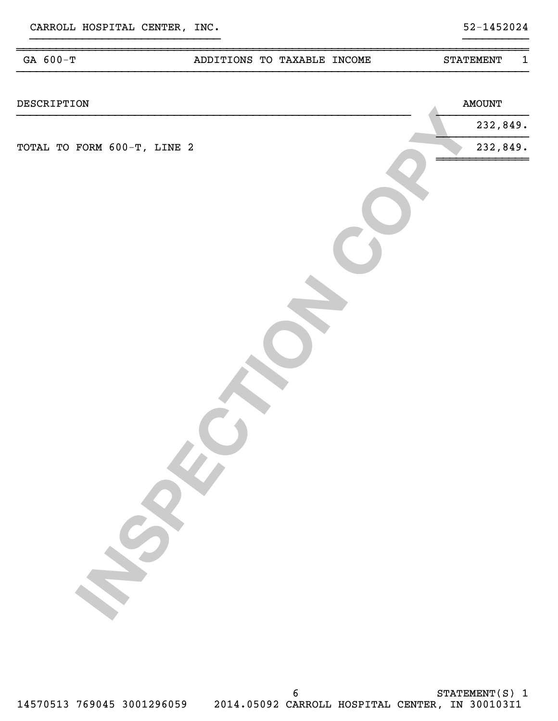| GA 600-T                    | ADDITIONS TO TAXABLE INCOME | $\mathbf{1}$<br><b>STATEMENT</b> |
|-----------------------------|-----------------------------|----------------------------------|
| DESCRIPTION                 |                             | <b>AMOUNT</b>                    |
|                             |                             | 232,849.                         |
| TOTAL TO FORM 600-T, LINE 2 |                             | 232,849.                         |
|                             |                             |                                  |
|                             |                             |                                  |
|                             |                             |                                  |
|                             |                             |                                  |

}}}}}}}}}}}}}}}}}}}}}}}}}}}}} }}}}}}}}}}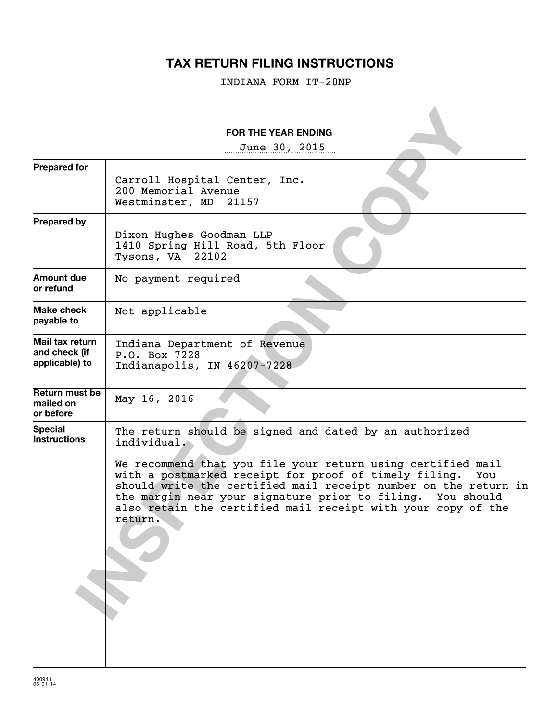# **TAX RETURN FILING INSTRUCTIONS**

INDIANA FORM IT-20NP

|                                                    | <b>FOR THE YEAR ENDING</b><br>June 30, 2015                                                                                                                                                                                                                                                                                                                                                                      |
|----------------------------------------------------|------------------------------------------------------------------------------------------------------------------------------------------------------------------------------------------------------------------------------------------------------------------------------------------------------------------------------------------------------------------------------------------------------------------|
| <b>Prepared for</b>                                | Carroll Hospital Center, Inc.<br>200 Memorial Avenue<br>Westminster, MD 21157                                                                                                                                                                                                                                                                                                                                    |
| <b>Prepared by</b>                                 | Dixon Hughes Goodman LLP<br>1410 Spring Hill Road, 5th Floor<br>Tysons, VA 22102                                                                                                                                                                                                                                                                                                                                 |
| Amount due<br>or refund                            | No payment required                                                                                                                                                                                                                                                                                                                                                                                              |
| Make check<br>payable to                           | Not applicable                                                                                                                                                                                                                                                                                                                                                                                                   |
| Mail tax return<br>and check (if<br>applicable) to | Indiana Department of Revenue<br>P.O. Box 7228<br>Indianapolis, IN 46207-7228                                                                                                                                                                                                                                                                                                                                    |
| <b>Return must be</b><br>mailed on<br>or before    | May 16, 2016                                                                                                                                                                                                                                                                                                                                                                                                     |
| <b>Special</b><br><b>Instructions</b>              | The return should be signed and dated by an authorized<br>individual.<br>We recommend that you file your return using certified mail<br>with a postmarked receipt for proof of timely filing.<br>You<br>should write the certified mail receipt number on the return in<br>the margin near your signature prior to filing. You should<br>also retain the certified mail receipt with your copy of the<br>return. |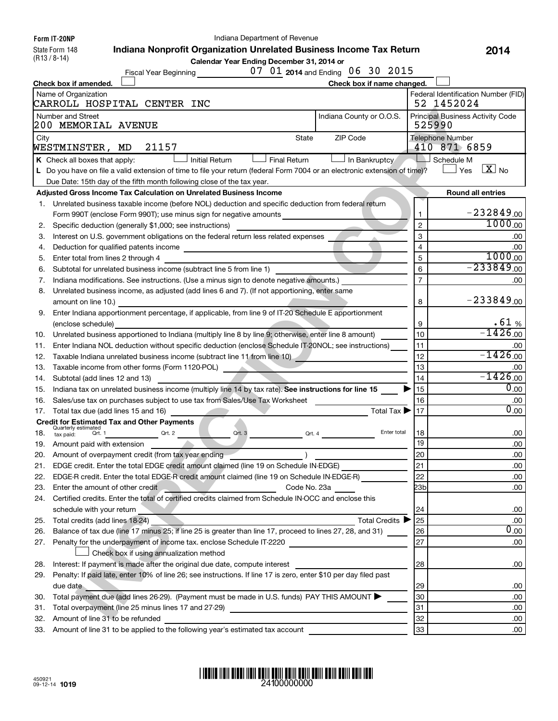**Form IT-20NP** State Form 148

(R13 / 8-14)

Indiana Department of Revenue

**Indiana Nonprofit Organization Unrelated Business Income Tax Return 2014**

**Calendar Year Ending December 31, 2014 or**

| 07 01 2014 and Ending 06 30 2015<br>Fiscal Year Beginning                                                                   |                |                                         |
|-----------------------------------------------------------------------------------------------------------------------------|----------------|-----------------------------------------|
| Check box if name changed.<br>Check box if amended.                                                                         |                |                                         |
| Name of Organization                                                                                                        |                | Federal Identification Number (FID)     |
| CARROLL HOSPITAL CENTER INC                                                                                                 |                | 52 1452024                              |
| Number and Street<br>Indiana County or O.O.S.<br>200 MEMORIAL AVENUE                                                        | 525990         | <b>Principal Business Activity Code</b> |
| ZIP Code<br>State<br>City<br>21157<br>WESTMINSTER, MD                                                                       |                | <b>Telephone Number</b><br>410 871 6859 |
| K Check all boxes that apply:<br><b>Initial Return</b><br><b>Final Return</b><br>In Bankruptcy                              | n.             | Schedule M                              |
| L Do you have on file a valid extension of time to file your return (federal Form 7004 or an electronic extension of time)? |                | $\overline{X}$ No<br>$\Box$ Yes         |
| Due Date: 15th day of the fifth month following close of the tax year.                                                      |                |                                         |
| Adjusted Gross Income Tax Calculation on Unrelated Business Income                                                          |                | <b>Round all entries</b>                |
| 1. Unrelated business taxable income (before NOL) deduction and specific deduction from federal return                      |                |                                         |
| Form 990T (enclose Form 990T); use minus sign for negative amounts                                                          | 1              | $-232849.00$                            |
| Specific deduction (generally \$1,000; see instructions)<br>2.                                                              | $\overline{2}$ | $1000_{.00}$                            |
| Interest on U.S. government obligations on the federal return less related expenses<br>3.                                   | 3              | .00                                     |
| Deduction for qualified patents income<br>4.                                                                                | $\overline{4}$ | .00                                     |
| Enter total from lines 2 through 4<br>5.                                                                                    | 5              | $1000_{.00}$                            |
| Subtotal for unrelated business income (subtract line 5 from line 1)<br>6.                                                  | 6              | $-233849_{.00}$                         |
| Indiana modifications. See instructions. (Use a minus sign to denote negative amounts.)<br>7.                               | $\overline{7}$ | .00                                     |
| Unrelated business income, as adjusted (add lines 6 and 7). (If not apportioning, enter same<br>8.                          |                |                                         |
| amount on line 10.)                                                                                                         | 8              | $-233849_{.00}$                         |
| Enter Indiana apportionment percentage, if applicable, from line 9 of IT-20 Schedule E apportionment<br>9.                  |                |                                         |
| (enclose schedule)                                                                                                          | 9              | .61%                                    |
| Unrelated business apportioned to Indiana (multiply line 8 by line 9; otherwise, enter line 8 amount)<br>10.                | 10             | $-1426_{.00}$                           |
| Enter Indiana NOL deduction without specific deduction (enclose Schedule IT-20NOL; see instructions)<br>11.                 | 11             | .00                                     |
| Taxable Indiana unrelated business income (subtract line 11 from line 10)<br>12.                                            | 12             | $-1426_{.00}$                           |
| Taxable income from other forms (Form 1120-POL)<br>13.                                                                      | 13             | .00                                     |
| Subtotal (add lines 12 and 13)<br>14.                                                                                       | 14             | $-1426_{.00}$                           |
| Indiana tax on unrelated business income (multiply line 14 by tax rate). See instructions for line 15<br>15.                | 15             | 0.00                                    |
| Sales/use tax on purchases subject to use tax from Sales/Use Tax Worksheet<br>16.                                           | 16             | .00                                     |
| Total Tax $\blacktriangleright$<br>Total tax due (add lines 15 and 16)<br>17.                                               | 17             | $\overline{0}$ .00                      |
| <b>Credit for Estimated Tax and Other Payments</b>                                                                          |                |                                         |
| Quarterly estimated<br>Qrt. 2<br>Qrt. 3<br>Enter total<br>18.<br>Qrt. 1<br>Qrt. 4<br>tax paid:                              | 18             | .00                                     |
| Amount paid with extension<br>19.                                                                                           | 19             | .00                                     |
| Amount of overpayment credit (from tax year ending<br>20.                                                                   | 20             | .00                                     |
| 21. EDGE credit. Enter the total EDGE credit amount claimed (line 19 on Schedule IN-EDGE)                                   | 21             | .00                                     |
| EDGE-R credit. Enter the total EDGE-R credit amount claimed (line 19 on Schedule IN-EDGE-R)<br>22.                          | 22             | .00                                     |
| Code No. 23a<br>23.<br>Enter the amount of other credit                                                                     | 23b            | .00                                     |
| Certified credits. Enter the total of certified credits claimed from Schedule IN-OCC and enclose this<br>24.                |                |                                         |
| schedule with your return                                                                                                   | 24             | .00                                     |
| Total credits (add lines 18-24)<br>Total Credits ▶<br>25.                                                                   | 25             | .00                                     |
| Balance of tax due (line 17 minus 25; if line 25 is greater than line 17, proceed to lines 27, 28, and 31)<br>26.           | 26             | 0.00                                    |
| Penalty for the underpayment of income tax. enclose Schedule IT-2220<br>27.                                                 | 27             | .00                                     |
| Check box if using annualization method                                                                                     |                |                                         |
| Interest: If payment is made after the original due date, compute interest<br>28.                                           | 28             | .00                                     |
| Penalty: If paid late, enter 10% of line 26; see instructions. If line 17 is zero, enter \$10 per day filed past<br>29.     |                |                                         |
| due date                                                                                                                    | 29             | .00                                     |
| Total payment due (add lines 26-29). (Payment must be made in U.S. funds) PAY THIS AMOUNT<br>30.                            | 30             | .00                                     |
| Total overpayment (line 25 minus lines 17 and 27-29)<br>31.<br><u> 1980 - Johann Barbara, martxa alemaniar a</u>            | 31             | .00                                     |
| Amount of line 31 to be refunded<br>32.                                                                                     | 32             | .00                                     |
| Amount of line 31 to be applied to the following year's estimated tax account<br>33.                                        | 33             | .00                                     |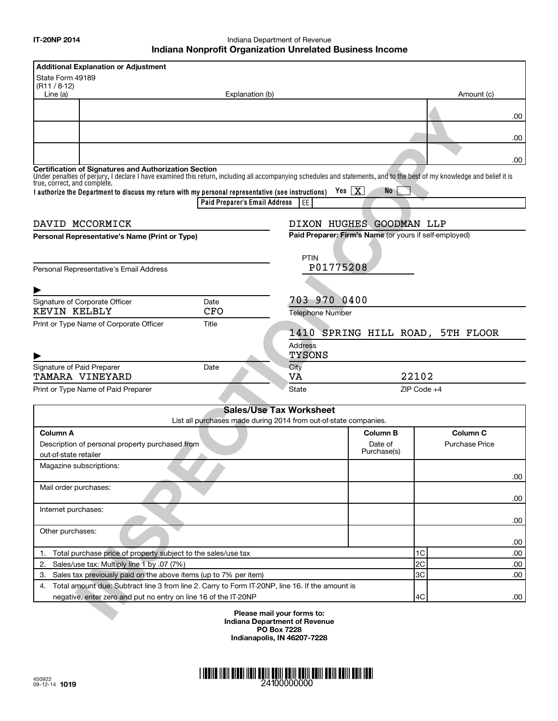Indiana Department of Revenue **Indiana Nonprofit Organization Unrelated Business Income**

| <b>Additional Explanation or Adjustment</b>                                                                                                                                                                                                                              |                  |                                                        |                                  |     |
|--------------------------------------------------------------------------------------------------------------------------------------------------------------------------------------------------------------------------------------------------------------------------|------------------|--------------------------------------------------------|----------------------------------|-----|
| State Form 49189                                                                                                                                                                                                                                                         |                  |                                                        |                                  |     |
| (R11 / 8.12)<br>Line (a)<br>Explanation (b)                                                                                                                                                                                                                              |                  |                                                        | Amount (c)                       |     |
|                                                                                                                                                                                                                                                                          |                  |                                                        |                                  |     |
|                                                                                                                                                                                                                                                                          |                  |                                                        |                                  | .00 |
|                                                                                                                                                                                                                                                                          |                  |                                                        |                                  |     |
|                                                                                                                                                                                                                                                                          |                  |                                                        |                                  | .00 |
|                                                                                                                                                                                                                                                                          |                  |                                                        |                                  |     |
|                                                                                                                                                                                                                                                                          |                  |                                                        |                                  | .00 |
| <b>Certification of Signatures and Authorization Section</b><br>Under penalties of perjury, I declare I have examined this return, including all accompanying schedules and statements, and to the best of my knowledge and belief it is<br>true, correct, and complete. |                  |                                                        |                                  |     |
| I authorize the Department to discuss my return with my personal representative (see instructions)                                                                                                                                                                       |                  | Yes $ X $<br>No.                                       |                                  |     |
| Paid Preparer's Email Address                                                                                                                                                                                                                                            | EE               |                                                        |                                  |     |
|                                                                                                                                                                                                                                                                          |                  |                                                        |                                  |     |
| DAVID MCCORMICK                                                                                                                                                                                                                                                          |                  | DIXON HUGHES GOODMAN LLP                               |                                  |     |
| Personal Representative's Name (Print or Type)                                                                                                                                                                                                                           |                  | Paid Preparer: Firm's Name (or yours if self-employed) |                                  |     |
|                                                                                                                                                                                                                                                                          |                  |                                                        |                                  |     |
|                                                                                                                                                                                                                                                                          | PTIN             |                                                        |                                  |     |
| Personal Representative's Email Address                                                                                                                                                                                                                                  | P01775208        |                                                        |                                  |     |
|                                                                                                                                                                                                                                                                          |                  |                                                        |                                  |     |
| Signature of Corporate Officer<br>Date                                                                                                                                                                                                                                   | 703 970 0400     |                                                        |                                  |     |
| KEVIN KELBLY<br><b>CFO</b>                                                                                                                                                                                                                                               | Telephone Number |                                                        |                                  |     |
| Print or Type Name of Corporate Officer<br>Title                                                                                                                                                                                                                         |                  |                                                        |                                  |     |
|                                                                                                                                                                                                                                                                          |                  |                                                        | 1410 SPRING HILL ROAD, 5TH FLOOR |     |
|                                                                                                                                                                                                                                                                          | <b>Address</b>   |                                                        |                                  |     |
|                                                                                                                                                                                                                                                                          | TYSONS           |                                                        |                                  |     |
| Signature of Paid Preparer<br>Date                                                                                                                                                                                                                                       | City             |                                                        |                                  |     |
| <b>TAMARA VINEYARD</b>                                                                                                                                                                                                                                                   | VA               |                                                        | 22102                            |     |
| Print or Type Name of Paid Preparer                                                                                                                                                                                                                                      | <b>State</b>     |                                                        | ZIP Code +4                      |     |
|                                                                                                                                                                                                                                                                          |                  |                                                        |                                  |     |
| <b>Sales/Use Tax Worksheet</b><br>List all purchases made during 2014 from out-of-state companies.                                                                                                                                                                       |                  |                                                        |                                  |     |
| Column A                                                                                                                                                                                                                                                                 |                  | <b>Column B</b>                                        | Column <sub>C</sub>              |     |
| Description of personal property purchased from                                                                                                                                                                                                                          |                  | Date of                                                | <b>Purchase Price</b>            |     |
| out-of-state retailer                                                                                                                                                                                                                                                    |                  | Purchase(s)                                            |                                  |     |
| Magazine subscriptions:                                                                                                                                                                                                                                                  |                  |                                                        |                                  |     |
|                                                                                                                                                                                                                                                                          |                  |                                                        |                                  | .00 |
| Mail order purchases:                                                                                                                                                                                                                                                    |                  |                                                        |                                  |     |
|                                                                                                                                                                                                                                                                          |                  |                                                        |                                  | .00 |
| Internet purchases:                                                                                                                                                                                                                                                      |                  |                                                        |                                  |     |
|                                                                                                                                                                                                                                                                          |                  |                                                        |                                  | .00 |
| Other purchases:                                                                                                                                                                                                                                                         |                  |                                                        |                                  |     |
|                                                                                                                                                                                                                                                                          |                  |                                                        |                                  | .00 |
| Total purchase price of property subject to the sales/use tax<br>1.                                                                                                                                                                                                      |                  |                                                        | 1C                               | .00 |
| Sales/use tax: Multiply line 1 by .07 (7%)<br>2.                                                                                                                                                                                                                         |                  |                                                        | 2C                               | .00 |
| Sales tax previously paid on the above items (up to 7% per item)<br>3.                                                                                                                                                                                                   |                  |                                                        | 3C                               | .00 |
| 4. Total amount due: Subtract line 3 from line 2. Carry to Form IT-20NP, line 16. If the amount is                                                                                                                                                                       |                  |                                                        |                                  |     |
| negative, enter zero and put no entry on line 16 of the IT-20NP                                                                                                                                                                                                          |                  |                                                        | 4C                               | .00 |
| Please mail your forms to:                                                                                                                                                                                                                                               |                  |                                                        |                                  |     |

**Please mail your forms to: Indiana Department of Revenue PO Box 7228 Indianapolis, IN 46207-7228**

#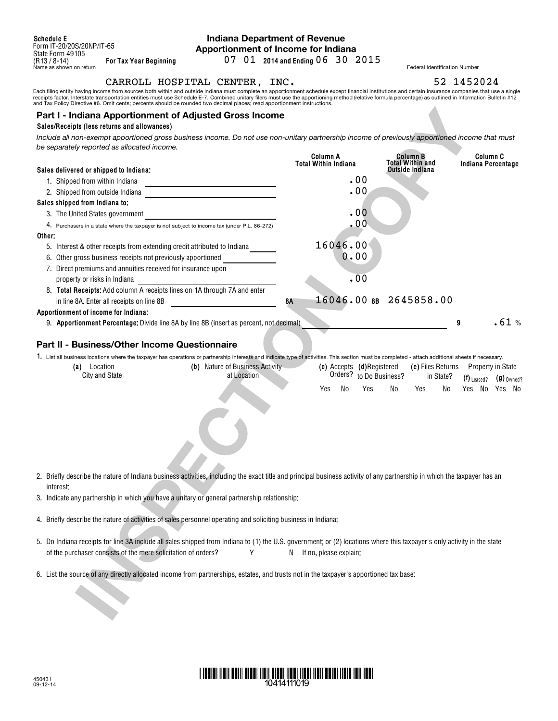### **Indiana Department of Revenue Apportionment of Income for Indiana**

**For Tax Year Beginning 2014 and Ending** 07 01 06 30 2015

CARROLL HOSPITAL CENTER, INC. 52 1452024

Each filing entity having income from sources both within and outside Indiana must complete an apportionment schedule except financial institutions and certain insurance companies that use a single<br>receipts factor. Interst

#### **Part I - Indiana Apportionment of Adjusted Gross Income**

#### **Sales/Receipts (less returns and allowances)**

| Part I - Indiana Apportionment of Adjusted Gross Income<br>Sales/Receipts (less returns and allowances)                                                                                                                                |                           |                                            |                               |
|----------------------------------------------------------------------------------------------------------------------------------------------------------------------------------------------------------------------------------------|---------------------------|--------------------------------------------|-------------------------------|
| Include all non-exempt apportioned gross business income. Do not use non-unitary partnership income of previously apportioned income that must                                                                                         |                           |                                            |                               |
| be separately reported as allocated income.                                                                                                                                                                                            |                           |                                            |                               |
|                                                                                                                                                                                                                                        | Column A                  | Column B                                   | Column C                      |
| Sales delivered or shipped to Indiana:                                                                                                                                                                                                 | Total Within Indiana      | <b>Total Within and</b><br>Outside Indiana | Indiana Percentage            |
| 1. Shipped from within Indiana                                                                                                                                                                                                         | .00                       |                                            |                               |
| <u> 1989 - Johann Barn, mars ann an t-Amhain an t-Amhain an t-Amhain an t-Amhain an t-Amhain an t-Amhain an t-Amh</u><br>2. Shipped from outside Indiana<br>the control of the control of the control of the control of the control of | .00                       |                                            |                               |
| Sales shipped from Indiana to:                                                                                                                                                                                                         |                           |                                            |                               |
| 3. The United States government<br><u> 1989 - Johann Barbara, martxa alemaniar a</u>                                                                                                                                                   | .00                       |                                            |                               |
| 4. Purchasers in a state where the taxpayer is not subject to income tax (under P.L. 86-272)                                                                                                                                           | .00                       |                                            |                               |
| Other:                                                                                                                                                                                                                                 |                           |                                            |                               |
| 5. Interest & other receipts from extending credit attributed to Indiana                                                                                                                                                               | 16046.00                  |                                            |                               |
| 6. Other gross business receipts not previously apportioned                                                                                                                                                                            | 0.00                      |                                            |                               |
| 7. Direct premiums and annuities received for insurance upon                                                                                                                                                                           |                           |                                            |                               |
| property or risks in Indiana                                                                                                                                                                                                           | .00                       |                                            |                               |
| 8. Total Receipts: Add column A receipts lines on 1A through 7A and enter                                                                                                                                                              |                           |                                            |                               |
| in line 8A. Enter all receipts on line 8B                                                                                                                                                                                              | 8Α                        | 16046.00 8B 2645858.00                     |                               |
| Apportionment of income for Indiana:                                                                                                                                                                                                   |                           |                                            |                               |
| 9. Apportionment Percentage: Divide line 8A by line 8B (insert as percent, not decimal)                                                                                                                                                |                           |                                            | .61%<br>9                     |
|                                                                                                                                                                                                                                        |                           |                                            |                               |
| Part II - Business/Other Income Questionnaire                                                                                                                                                                                          |                           |                                            |                               |
| 1. List all business locations where the taxpayer has operations or partnership interests and indicate type of activities. This section must be completed - attach additional sheets if necessary.                                     |                           |                                            |                               |
| (b) Nature of Business Activity<br>(a) Location                                                                                                                                                                                        | (c) Accepts (d)Registered | (e) Files Returns                          | Property in State             |
| <b>City and State</b><br>at Location                                                                                                                                                                                                   | Orders? to Do Business?   | in State?                                  | $(g)$ Owned?<br>$(1)$ Leased? |
|                                                                                                                                                                                                                                        | No<br>Yes<br>Yes          | No<br>Yes<br>No                            | Yes No Yes No                 |
|                                                                                                                                                                                                                                        |                           |                                            |                               |
|                                                                                                                                                                                                                                        |                           |                                            |                               |
|                                                                                                                                                                                                                                        |                           |                                            |                               |
|                                                                                                                                                                                                                                        |                           |                                            |                               |
|                                                                                                                                                                                                                                        |                           |                                            |                               |
|                                                                                                                                                                                                                                        |                           |                                            |                               |
|                                                                                                                                                                                                                                        |                           |                                            |                               |
| 2. Briefly describe the nature of Indiana business activities, including the exact title and principal business activity of any partnership in which the taxpayer has an                                                               |                           |                                            |                               |
| interest:                                                                                                                                                                                                                              |                           |                                            |                               |
| 3. Indicate any partnership in which you have a unitary or general partnership relationship:                                                                                                                                           |                           |                                            |                               |
|                                                                                                                                                                                                                                        |                           |                                            |                               |
| 4. Briefly describe the nature of activities of sales personnel operating and soliciting business in Indiana:                                                                                                                          |                           |                                            |                               |
|                                                                                                                                                                                                                                        |                           |                                            |                               |
| 5. Do Indiana receipts for line 3A include all sales shipped from Indiana to (1) the U.S. government; or (2) locations where this taxpayer's only activity in the state                                                                |                           |                                            |                               |
| of the purchaser consists of the mere solicitation of orders?<br>Υ                                                                                                                                                                     | N If no, please explain:  |                                            |                               |
|                                                                                                                                                                                                                                        |                           |                                            |                               |
| 6. List the source of any directly allocated income from partnerships, estates, and trusts not in the taxpayer's apportioned tax base:                                                                                                 |                           |                                            |                               |
|                                                                                                                                                                                                                                        |                           |                                            |                               |
|                                                                                                                                                                                                                                        |                           |                                            |                               |
|                                                                                                                                                                                                                                        |                           |                                            |                               |
|                                                                                                                                                                                                                                        |                           |                                            |                               |

| (a`<br>_ocation       | Nature of Business Activity<br>(b) |           | (c) Accepts (d)Registered | (e) Files Returns | Property in State |              |
|-----------------------|------------------------------------|-----------|---------------------------|-------------------|-------------------|--------------|
| <b>City and State</b> | at Location                        |           | Orders? to Do Business?   | in State?         | $(f)$ Leased?     | $(9)$ Owned? |
|                       |                                    | Yes<br>N۱ | No<br>Yes                 | Yes<br>No         | No<br>Yes         | No<br>Yes    |

- 5. Do Indiana receipts for line 3A include all sales shipped from Indiana to (1) the U.S. government; or (2) locations where this taxpayer's only activity in the state of the purchaser consists of the mere solicitation of orders?  $Y$  N If no, please explain:
- 6. List the source of any directly allocated income from partnerships, estates, and trusts not in the taxpayer's apportioned tax base:

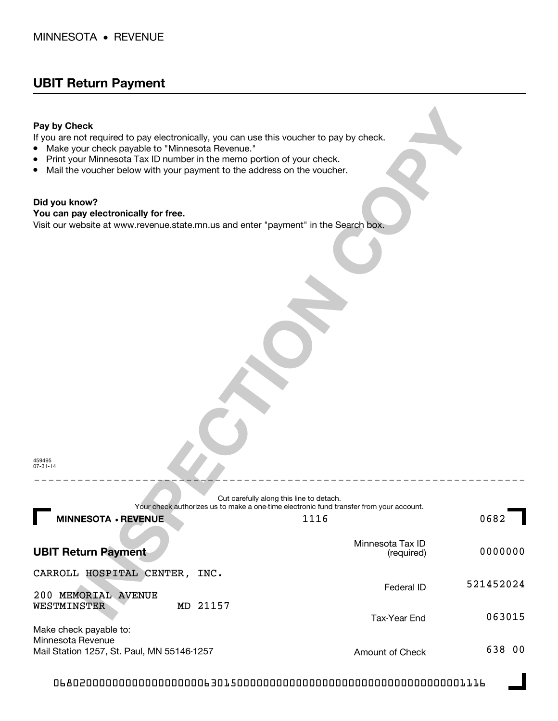## **UBIT Return Payment**

### **Pay by Check**

- Make your check payable to "Minnesota Revenue."
- Print your Minnesota Tax ID number in the memo portion of your check.
- $\bullet$ Mail the voucher below with your payment to the address on the voucher.

### **Did you know?**

#### **You can pay electronically for free.**

| Pay by Check<br>If you are not required to pay electronically, you can use this voucher to pay by check.<br>Make your check payable to "Minnesota Revenue."<br>$\bullet$<br>Print your Minnesota Tax ID number in the memo portion of your check.<br>٠<br>Mail the voucher below with your payment to the address on the voucher.<br>٠ |                                   |           |
|----------------------------------------------------------------------------------------------------------------------------------------------------------------------------------------------------------------------------------------------------------------------------------------------------------------------------------------|-----------------------------------|-----------|
| Did you know?<br>You can pay electronically for free.                                                                                                                                                                                                                                                                                  |                                   |           |
| Visit our website at www.revenue.state.mn.us and enter "payment" in the Search box.                                                                                                                                                                                                                                                    |                                   |           |
|                                                                                                                                                                                                                                                                                                                                        |                                   |           |
| 459495<br>$07 - 31 - 14$                                                                                                                                                                                                                                                                                                               |                                   |           |
| Cut carefully along this line to detach.<br>Your check authorizes us to make a one-time electronic fund transfer from your account.                                                                                                                                                                                                    |                                   |           |
| <b>MINNESOTA · REVENUE</b><br>П                                                                                                                                                                                                                                                                                                        | 1116                              | 0682      |
| <b>UBIT Return Payment</b>                                                                                                                                                                                                                                                                                                             | Minnesota Tax ID<br>(required)    | 0000000   |
| CARROLL HOSPITAL CENTER, INC.                                                                                                                                                                                                                                                                                                          |                                   | 521452024 |
| 200 MEMORIAL AVENUE<br>MD 21157<br>WESTMINSTER                                                                                                                                                                                                                                                                                         | Federal ID<br><b>Tax-Year End</b> | 063015    |
| Make check payable to:<br>Minnesota Revenue<br>Mail Station 1257, St. Paul, MN 55146-1257                                                                                                                                                                                                                                              | Amount of Check                   | 638 00    |

068020000000000000000006301500000000000000000000000000000000001116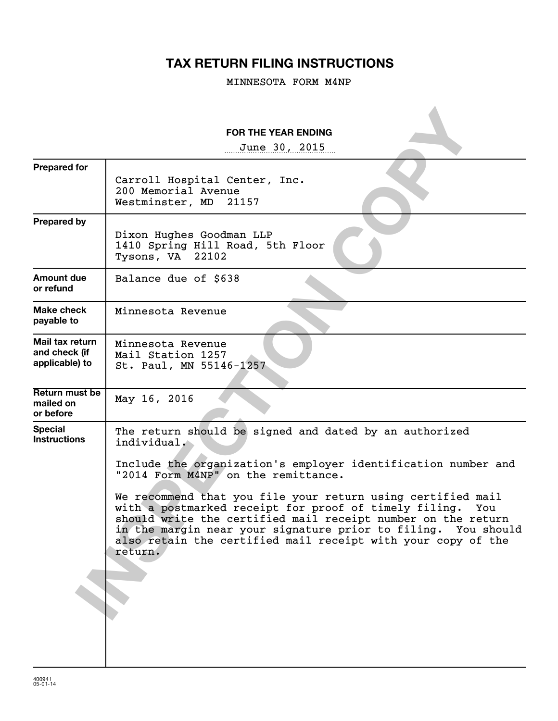# **TAX RETURN FILING INSTRUCTIONS**

MINNESOTA FORM M4NP

|                                                    | <b>FOR THE YEAR ENDING</b>                                                                                                                                                                                                                                                                                                              |
|----------------------------------------------------|-----------------------------------------------------------------------------------------------------------------------------------------------------------------------------------------------------------------------------------------------------------------------------------------------------------------------------------------|
|                                                    | June 30, 2015                                                                                                                                                                                                                                                                                                                           |
| <b>Prepared for</b>                                | Carroll Hospital Center, Inc.<br>200 Memorial Avenue<br>Westminster, MD 21157                                                                                                                                                                                                                                                           |
| <b>Prepared by</b>                                 | Dixon Hughes Goodman LLP<br>1410 Spring Hill Road, 5th Floor<br>Tysons, VA 22102                                                                                                                                                                                                                                                        |
| <b>Amount due</b><br>or refund                     | Balance due of \$638                                                                                                                                                                                                                                                                                                                    |
| Make check<br>payable to                           | Minnesota Revenue                                                                                                                                                                                                                                                                                                                       |
| Mail tax return<br>and check (if<br>applicable) to | Minnesota Revenue<br>Mail Station 1257<br>St. Paul, MN 55146-1257                                                                                                                                                                                                                                                                       |
| Return must be<br>mailed on<br>or before           | May 16, 2016                                                                                                                                                                                                                                                                                                                            |
| <b>Special</b><br><b>Instructions</b>              | The return should be signed and dated by an authorized<br>individual.                                                                                                                                                                                                                                                                   |
|                                                    | Include the organization's employer identification number and<br>"2014 Form M4NP" on the remittance.                                                                                                                                                                                                                                    |
|                                                    | We recommend that you file your return using certified mail<br>with a postmarked receipt for proof of timely filing.<br>You<br>should write the certified mail receipt number on the return<br>in the margin near your signature prior to filing. You should<br>also retain the certified mail receipt with your copy of the<br>return. |
|                                                    |                                                                                                                                                                                                                                                                                                                                         |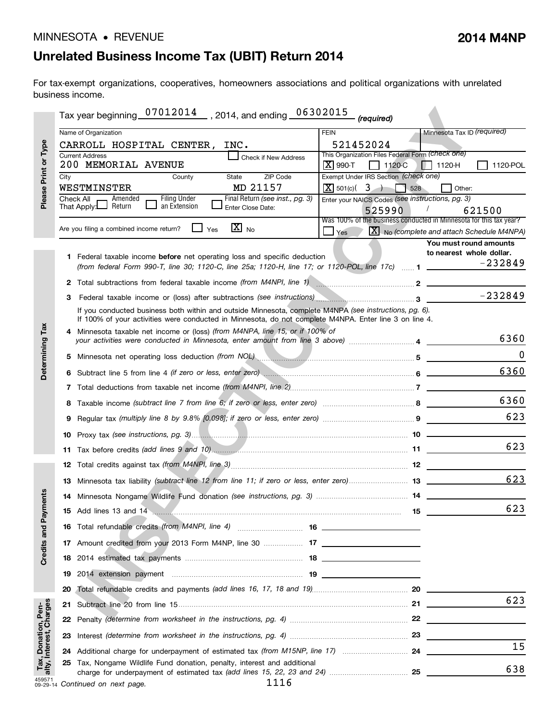# **Unrelated Business Income Tax (UBIT) Return 2014**

For tax-exempt organizations, cooperatives, homeowners associations and political organizations with unrelated business income.

|                                                |      | Tax year beginning 07012014 , 2014, and ending 06302015                                                                                                                                                                        | (required)                                                                                                          |
|------------------------------------------------|------|--------------------------------------------------------------------------------------------------------------------------------------------------------------------------------------------------------------------------------|---------------------------------------------------------------------------------------------------------------------|
| Please Print or Type                           |      | Name of Organization                                                                                                                                                                                                           | Minnesota Tax ID (required)<br><b>FEIN</b>                                                                          |
|                                                |      | CARROLL HOSPITAL CENTER,<br>INC.                                                                                                                                                                                               | 521452024                                                                                                           |
|                                                |      | <b>Current Address</b><br>Check if New Address<br>200 MEMORIAL AVENUE                                                                                                                                                          | This Organization Files Federal Form (Check one)<br>$ \mathbf{X} $ 990-T<br>$ $ 1120-C<br>1120-POL<br>$  $   1120-H |
|                                                | City | ZIP Code<br>State<br>County                                                                                                                                                                                                    | Exempt Under IRS Section (check one)                                                                                |
|                                                |      | MD 21157<br>WESTMINSTER                                                                                                                                                                                                        | $\boxed{\text{X}}$ 501(c)( 3)<br>528<br>Other:                                                                      |
|                                                |      | <b>Filing Under</b><br>Final Return (see inst., pg. 3)<br>Check All<br>Amended<br>That Apply: Return<br>an Extension<br>Enter Close Date:                                                                                      | Enter your NAICS Codes (see instructions, pg. 3)                                                                    |
|                                                |      |                                                                                                                                                                                                                                | 525990<br>621500<br>Was 100% of the business conducted in Minnesota for this tax year?                              |
|                                                |      | $\overline{\mathbf{X}}$ No<br>Are you filing a combined income return?<br>Yes                                                                                                                                                  | $\boxed{\textbf{X}}$ No (complete and attach Schedule M4NPA)<br>Yes                                                 |
|                                                |      |                                                                                                                                                                                                                                | You must round amounts                                                                                              |
|                                                |      | 1 Federal taxable income before net operating loss and specific deduction                                                                                                                                                      | to nearest whole dollar.                                                                                            |
|                                                |      | (from federal Form 990-T, line 30; 1120-C, line 25a; 1120-H, line 17; or 1120-POL, line 17c)  1 ________                                                                                                                       | $-232849$                                                                                                           |
|                                                |      | 2 Total subtractions from federal taxable income (from M4NPI, line 1) manufactured manufactured 2 ___________                                                                                                                  |                                                                                                                     |
|                                                | 3    | Federal taxable income or (loss) after subtractions (see instructions) manuscriptions 3                                                                                                                                        | $-232849$                                                                                                           |
|                                                |      | If you conducted business both within and outside Minnesota, complete M4NPA (see instructions, pg. 6).<br>If 100% of your activities were conducted in Minnesota, do not complete M4NPA. Enter line 3 on line 4.               |                                                                                                                     |
| Determining Tax                                |      | 4 Minnesota taxable net income or (loss) (from M4NPA, line 15, or if 100% of<br>your activities were conducted in Minnesota, enter amount from line 3 above) 4                                                                 | 6360                                                                                                                |
|                                                |      | 5 Minnesota net operating loss deduction (from NOL) manuscription control to the state of the state of the state of the state of the state of the state of the state of the state of the state of the state of the state of th | $\Omega$                                                                                                            |
|                                                |      |                                                                                                                                                                                                                                | 6360                                                                                                                |
|                                                |      |                                                                                                                                                                                                                                |                                                                                                                     |
|                                                |      |                                                                                                                                                                                                                                | 6360                                                                                                                |
|                                                | 9    |                                                                                                                                                                                                                                | 623                                                                                                                 |
|                                                |      |                                                                                                                                                                                                                                |                                                                                                                     |
|                                                |      |                                                                                                                                                                                                                                | 623                                                                                                                 |
|                                                |      |                                                                                                                                                                                                                                |                                                                                                                     |
|                                                |      | 13 Minnesota tax liability (subtract line 12 from line 11; if zero or less, enter zero) 13                                                                                                                                     | 623                                                                                                                 |
| ments                                          |      |                                                                                                                                                                                                                                |                                                                                                                     |
|                                                |      | 15 Add lines 13 and 14 <b>www.communications.communications.communications</b>                                                                                                                                                 | 623<br>15                                                                                                           |
| Credits and Pay                                |      |                                                                                                                                                                                                                                |                                                                                                                     |
|                                                |      |                                                                                                                                                                                                                                |                                                                                                                     |
|                                                | 18   |                                                                                                                                                                                                                                |                                                                                                                     |
|                                                | 19   |                                                                                                                                                                                                                                |                                                                                                                     |
|                                                | 20   |                                                                                                                                                                                                                                |                                                                                                                     |
|                                                | 21.  |                                                                                                                                                                                                                                | 623                                                                                                                 |
|                                                | 22   |                                                                                                                                                                                                                                |                                                                                                                     |
| Tax, Donation, Pen-<br>alty, Interest, Charges | 23   |                                                                                                                                                                                                                                |                                                                                                                     |
|                                                |      |                                                                                                                                                                                                                                | 15                                                                                                                  |
|                                                |      | 25 Tax, Nongame Wildlife Fund donation, penalty, interest and additional                                                                                                                                                       | 638                                                                                                                 |
| 459571                                         |      | 1116<br>09-29-14 Continued on next page.                                                                                                                                                                                       |                                                                                                                     |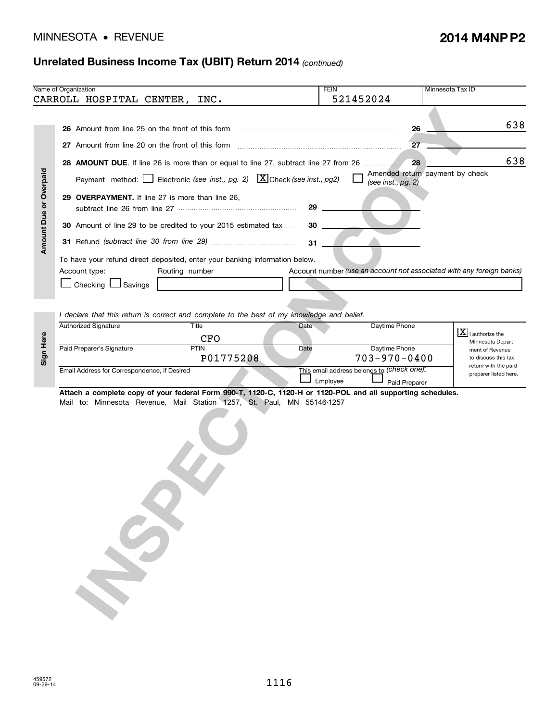# • MINNESOTA REVENUE **2014 M4NP P2**

### **Unrelated Business Income Tax (UBIT) Return 2014** *(continued)*

|                               | Name of Organization                                                                                        | <b>FEIN</b> | 521452024                                  | Minnesota Tax ID                                                      |
|-------------------------------|-------------------------------------------------------------------------------------------------------------|-------------|--------------------------------------------|-----------------------------------------------------------------------|
|                               | CARROLL HOSPITAL CENTER, INC.                                                                               |             |                                            |                                                                       |
|                               |                                                                                                             |             | 26                                         | 638                                                                   |
|                               |                                                                                                             |             | 27                                         |                                                                       |
|                               | 28 AMOUNT DUE. If line 26 is more than or equal to line 27, subtract line 27 from 26                        |             | 28                                         | 638                                                                   |
|                               | Payment method: Electronic (see inst., pg. 2) $X$ Check (see inst., pg2)                                    |             | (see inst., pg. 2)                         | Amended return payment by check                                       |
| <b>Amount Due or Overpaid</b> | 29 OVERPAYMENT. If line 27 is more than line 26,                                                            | 29          |                                            |                                                                       |
|                               | 30 Amount of line 29 to be credited to your 2015 estimated tax                                              | $30$ $-$    |                                            |                                                                       |
|                               |                                                                                                             | 31          |                                            |                                                                       |
|                               | To have your refund direct deposited, enter your banking information below.                                 |             |                                            |                                                                       |
|                               | Account type:<br>Routing number                                                                             |             |                                            | Account number (use an account not associated with any foreign banks) |
|                               | □ Checking □ Savings                                                                                        |             |                                            |                                                                       |
|                               |                                                                                                             |             |                                            |                                                                       |
|                               | I declare that this return is correct and complete to the best of my knowledge and belief.                  |             |                                            |                                                                       |
|                               | Authorized Signature<br>Title                                                                               | Date        | Daytime Phone                              |                                                                       |
|                               | <b>CFO</b>                                                                                                  |             |                                            | $\overline{\mathbf{X}}$ I authorize the<br>Minnesota Depart-          |
| Sign Here                     | Paid Preparer's Signature<br><b>PTIN</b><br>P01775208                                                       | Date        | Daytime Phone<br>$703 - 970 - 0400$        | ment of Revenue<br>to discuss this tax                                |
|                               | Email Address for Correspondence, if Desired                                                                |             | This email address belongs to (check one): | return with the paid                                                  |
|                               |                                                                                                             | Employee    | Paid Preparer                              | preparer listed here.                                                 |
|                               | Attach a complete copy of your federal Form 990-T, 1120-C, 1120-H or 1120-POL and all supporting schedules. |             |                                            |                                                                       |
|                               | Mail to: Minnesota Revenue, Mail Station 1257, St. Paul, MN 55146-1257                                      |             |                                            |                                                                       |
|                               |                                                                                                             |             |                                            |                                                                       |
|                               |                                                                                                             |             |                                            |                                                                       |
|                               |                                                                                                             |             |                                            |                                                                       |
|                               |                                                                                                             |             |                                            |                                                                       |
|                               |                                                                                                             |             |                                            |                                                                       |
|                               |                                                                                                             |             |                                            |                                                                       |
|                               |                                                                                                             |             |                                            |                                                                       |
|                               |                                                                                                             |             |                                            |                                                                       |
|                               |                                                                                                             |             |                                            |                                                                       |
|                               |                                                                                                             |             |                                            |                                                                       |
|                               |                                                                                                             |             |                                            |                                                                       |
|                               |                                                                                                             |             |                                            |                                                                       |
|                               |                                                                                                             |             |                                            |                                                                       |
|                               |                                                                                                             |             |                                            |                                                                       |
|                               |                                                                                                             |             |                                            |                                                                       |

| $\omega$ | Authorized Signature                         | нтне<br>CFO       | Date                                                   | Daytime Phone                       | I authorize the<br>ພ<br>Minnesota Depart-                      |
|----------|----------------------------------------------|-------------------|--------------------------------------------------------|-------------------------------------|----------------------------------------------------------------|
| ္တ       | Paid Preparer's Signature                    | PTIN<br>P01775208 | Date                                                   | Daytime Phone<br>$703 - 970 - 0400$ | ment of Revenue<br>to discuss this tax<br>return with the paid |
|          | Email Address for Correspondence, if Desired |                   | This email address belongs to (check one).<br>Employee | preparer listed here.               |                                                                |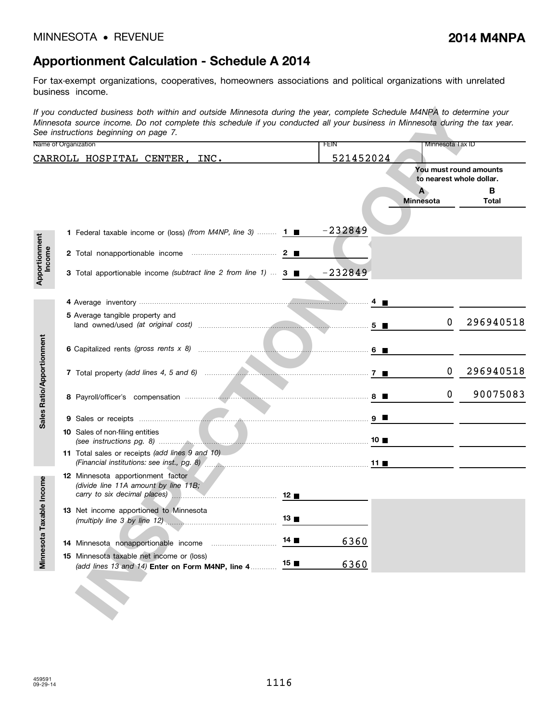# **Apportionment Calculation - Schedule A 2014**

For tax-exempt organizations, cooperatives, homeowners associations and political organizations with unrelated business income.

|                           | If you conducted business both within and outside Minnesota during the year, complete Schedule M4NPA to determine your<br>Minnesota source income. Do not complete this schedule if you conducted all your business in Minnesota during the tax year.<br>See instructions beginning on page 7. |                     |           |                                                                                                                      |                        |
|---------------------------|------------------------------------------------------------------------------------------------------------------------------------------------------------------------------------------------------------------------------------------------------------------------------------------------|---------------------|-----------|----------------------------------------------------------------------------------------------------------------------|------------------------|
|                           | Name of Organization                                                                                                                                                                                                                                                                           |                     | FEIN      | Minnesota Tax ID                                                                                                     |                        |
|                           | CARROLL HOSPITAL CENTER, INC.                                                                                                                                                                                                                                                                  |                     | 521452024 |                                                                                                                      |                        |
|                           |                                                                                                                                                                                                                                                                                                |                     |           | to nearest whole dollar.                                                                                             | You must round amounts |
|                           |                                                                                                                                                                                                                                                                                                |                     |           | $\mathbf{A}$<br><b>Minnesota</b>                                                                                     | В<br>Total             |
|                           | <b>1</b> Federal taxable income or (loss) (from M4NP, line 3) <b>1</b> $\blacksquare$                                                                                                                                                                                                          |                     | $-232849$ |                                                                                                                      |                        |
|                           |                                                                                                                                                                                                                                                                                                |                     |           |                                                                                                                      |                        |
| Apportionment<br>Income   | 3 Total apportionable income (subtract line 2 from line 1) $\dots$ 3 $\blacksquare$                                                                                                                                                                                                            |                     | $-232849$ |                                                                                                                      |                        |
|                           |                                                                                                                                                                                                                                                                                                |                     |           |                                                                                                                      |                        |
|                           | 5 Average tangible property and                                                                                                                                                                                                                                                                |                     |           | 0                                                                                                                    | 296940518              |
| Sales Ratio/Apportionment |                                                                                                                                                                                                                                                                                                |                     |           |                                                                                                                      |                        |
|                           |                                                                                                                                                                                                                                                                                                |                     |           | 0                                                                                                                    | 296940518              |
|                           |                                                                                                                                                                                                                                                                                                |                     |           | $\mathbf 0$                                                                                                          | 90075083               |
|                           |                                                                                                                                                                                                                                                                                                |                     |           | <u> 1999 - Jan Barbara Barat, prima prima prima prima prima prima prima prima prima prima prima prima prima prim</u> |                        |
|                           | <b>10</b> Sales of non-filing entities                                                                                                                                                                                                                                                         |                     |           |                                                                                                                      |                        |
|                           | 11 Total sales or receipts (add lines 9 and 10)                                                                                                                                                                                                                                                |                     |           |                                                                                                                      |                        |
| ble Income                | 12 Minnesota apportionment factor<br>(divide line 11A amount by line 11B;                                                                                                                                                                                                                      |                     |           |                                                                                                                      |                        |
|                           | 13 Net income apportioned to Minnesota                                                                                                                                                                                                                                                         | 13                  |           |                                                                                                                      |                        |
| Minnesota Taxa            |                                                                                                                                                                                                                                                                                                | $14$ $\blacksquare$ | 6360      |                                                                                                                      |                        |
|                           | 15 Minnesota taxable net income or (loss)<br>(add lines 13 and 14) Enter on Form M4NP, line 4                                                                                                                                                                                                  | $15$ $\blacksquare$ | 6360      |                                                                                                                      |                        |
|                           |                                                                                                                                                                                                                                                                                                |                     |           |                                                                                                                      |                        |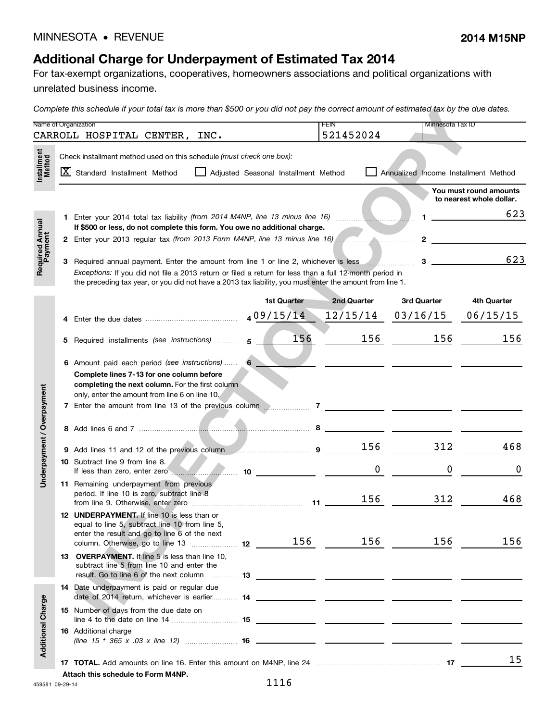# **Additional Charge for Underpayment of Estimated Tax 2014**

For tax-exempt organizations, cooperatives, homeowners associations and political organizations with

unrelated business income.

*Complete this schedule if your total tax is more than \$500 or you did not pay the correct amount of estimated tax by the due dates.*

|                            |   | Name of Organization                                                                                                                                                                                                                                                                                                        |                                      | FEIN<br>521452024 | Minnesota Tax ID                     |                                                    |
|----------------------------|---|-----------------------------------------------------------------------------------------------------------------------------------------------------------------------------------------------------------------------------------------------------------------------------------------------------------------------------|--------------------------------------|-------------------|--------------------------------------|----------------------------------------------------|
|                            |   | CARROLL HOSPITAL CENTER, INC.                                                                                                                                                                                                                                                                                               |                                      |                   |                                      |                                                    |
| Installment<br>Method      |   | Check installment method used on this schedule (must check one box):<br>X Standard Installment Method                                                                                                                                                                                                                       | Adjusted Seasonal Installment Method |                   | Annualized Income Installment Method |                                                    |
|                            |   |                                                                                                                                                                                                                                                                                                                             |                                      |                   |                                      | You must round amounts<br>to nearest whole dollar. |
|                            |   | If \$500 or less, do not complete this form. You owe no additional charge.                                                                                                                                                                                                                                                  |                                      |                   | $\mathbf 1$                          | 623                                                |
|                            |   |                                                                                                                                                                                                                                                                                                                             |                                      |                   |                                      |                                                    |
| Required Annual<br>Payment |   | 3 Required annual payment. Enter the amount from line 1 or line 2, whichever is less _______________<br>Exceptions: If you did not file a 2013 return or filed a return for less than a full 12-month period in<br>the preceding tax year, or you did not have a 2013 tax liability, you must enter the amount from line 1. |                                      |                   | $3 \quad \qquad$                     | 623                                                |
|                            |   |                                                                                                                                                                                                                                                                                                                             | 1st Quarter                          | 2nd Quarter       | 3rd Quarter                          | 4th Quarter                                        |
|                            | 4 | Enter the due dates <b>contract the deterministic and a</b> $0.9/15/14$                                                                                                                                                                                                                                                     |                                      | 12/15/14          | 03/16/15                             | 06/15/15                                           |
|                            | 5 | Required installments (see instructions)                                                                                                                                                                                                                                                                                    | 156<br>5 <sup>5</sup>                | 156               | 156                                  | 156                                                |
|                            |   | 6 Amount paid each period (see instructions)  6<br>Complete lines 7-13 for one column before<br>completing the next column. For the first column<br>only, enter the amount from line 6 on line 10.                                                                                                                          |                                      |                   |                                      |                                                    |
| Underpayment / Overpayment |   |                                                                                                                                                                                                                                                                                                                             |                                      |                   |                                      |                                                    |
|                            |   |                                                                                                                                                                                                                                                                                                                             |                                      | 156               | 312                                  | 468                                                |
|                            |   | 10 Subtract line 9 from line 8.<br>If less than zero, enter zero <b>with the contract of the contract of the contract of the contract of the contract of the contract of the contract of the contract of the contract of the contract of the contract of the contra</b>                                                     |                                      | 0                 | 0                                    | 0                                                  |
|                            |   | 11 Remaining underpayment from previous<br>period. If line 10 is zero, subtract line 8                                                                                                                                                                                                                                      |                                      | 156               | 312                                  | 468                                                |
|                            |   | 12 UNDERPAYMENT. If line 10 is less than or<br>equal to line 5, subtract line 10 from line 5,<br>enter the result and go to line 6 of the next<br>column. Otherwise, go to line 13  12 156                                                                                                                                  |                                      | 156               | 156                                  | 156                                                |
|                            |   | 13 OVERPAYMENT. If line 5 is less than line 10.<br>subtract line 5 from line 10 and enter the                                                                                                                                                                                                                               |                                      |                   |                                      |                                                    |
|                            |   | 14 Date underpayment is paid or regular due                                                                                                                                                                                                                                                                                 |                                      |                   |                                      |                                                    |
|                            |   | 15 Number of days from the due date on                                                                                                                                                                                                                                                                                      |                                      |                   |                                      |                                                    |
| <b>Additional Charge</b>   |   | <b>16</b> Additional charge                                                                                                                                                                                                                                                                                                 |                                      |                   |                                      |                                                    |
|                            |   | Attach this schedule to Form M4NP.                                                                                                                                                                                                                                                                                          |                                      |                   |                                      | 15                                                 |